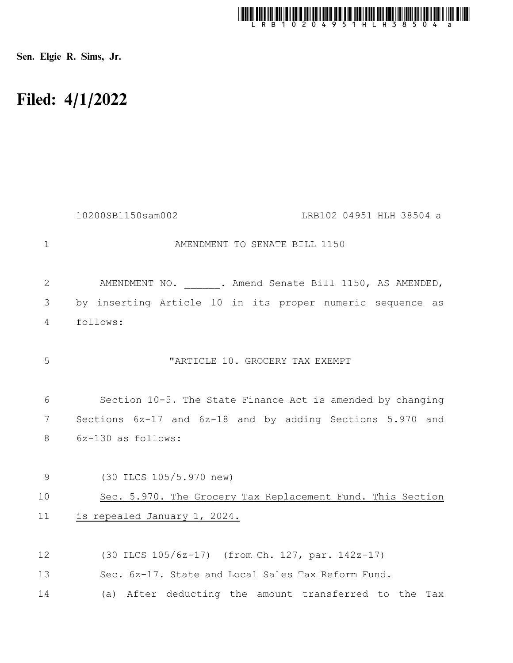

Sen. Elgie R. Sims, Jr.

## Filed: 4/1/2022

|                | 10200SB1150sam002<br>LRB102 04951 HLH 38504 a              |
|----------------|------------------------------------------------------------|
| $\mathbf{1}$   | AMENDMENT TO SENATE BILL 1150                              |
| 2              | AMENDMENT NO. . Amend Senate Bill 1150, AS AMENDED,        |
| 3              | by inserting Article 10 in its proper numeric sequence as  |
| $\overline{4}$ | follows:                                                   |
| 5              | "ARTICLE 10. GROCERY TAX EXEMPT                            |
| 6              | Section 10-5. The State Finance Act is amended by changing |
| 7              | Sections 6z-17 and 6z-18 and by adding Sections 5.970 and  |
| 8              | 6z-130 as follows:                                         |
|                |                                                            |
| 9              | (30 ILCS 105/5.970 new)                                    |
| 10             | Sec. 5.970. The Grocery Tax Replacement Fund. This Section |
| 11             | is repealed January 1, 2024.                               |
| 12             | (30 ILCS 105/6z-17) (from Ch. 127, par. 142z-17)           |
| 13             | Sec. 6z-17. State and Local Sales Tax Reform Fund.         |
| 14             | (a) After deducting the amount transferred to the Tax      |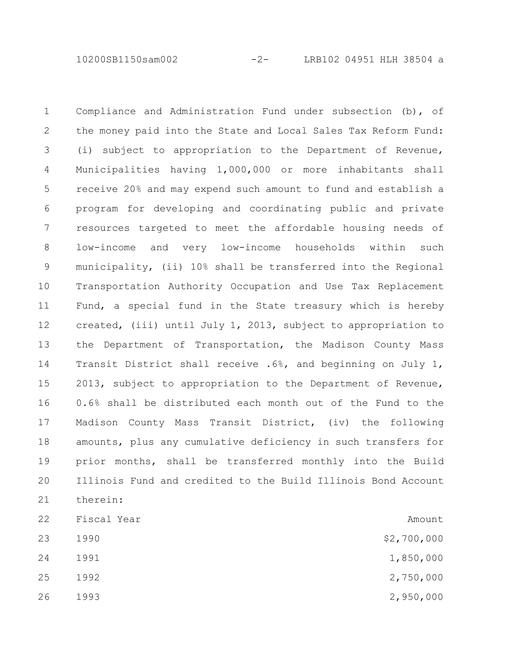10200SB1150sam002 -2- LRB102 04951 HLH 38504 a

Compliance and Administration Fund under subsection (b), of the money paid into the State and Local Sales Tax Reform Fund: (i) subject to appropriation to the Department of Revenue, Municipalities having 1,000,000 or more inhabitants shall receive 20% and may expend such amount to fund and establish a program for developing and coordinating public and private resources targeted to meet the affordable housing needs of low-income and very low-income households within such municipality, (ii) 10% shall be transferred into the Regional Transportation Authority Occupation and Use Tax Replacement Fund, a special fund in the State treasury which is hereby created, (iii) until July 1, 2013, subject to appropriation to the Department of Transportation, the Madison County Mass Transit District shall receive .6%, and beginning on July 1, 2013, subject to appropriation to the Department of Revenue, 0.6% shall be distributed each month out of the Fund to the Madison County Mass Transit District, (iv) the following amounts, plus any cumulative deficiency in such transfers for prior months, shall be transferred monthly into the Build Illinois Fund and credited to the Build Illinois Bond Account therein: Fiscal Year  $\overline{A}$ 1990 \$2,700,000 1 2 3 4 5 6 7 8 9 10 11 12 13 14 15 16 17 18 19 20 21 22 23

24

- 25
- 26

1991 1,850,000 1992 2,750,000

1993 2,950,000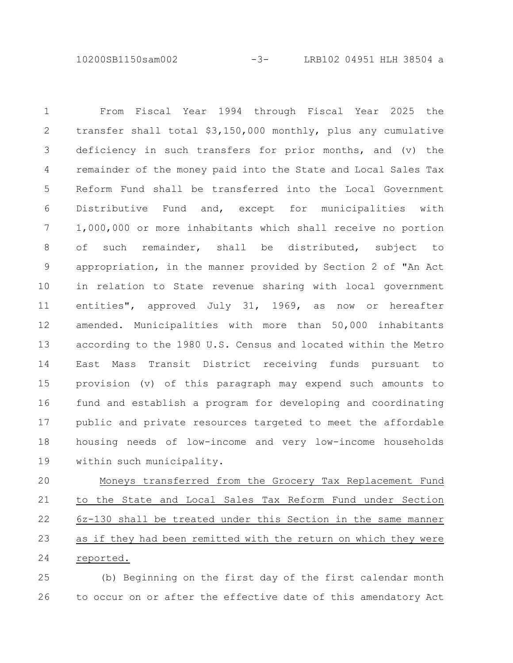10200SB1150sam002 -3- LRB102 04951 HLH 38504 a

From Fiscal Year 1994 through Fiscal Year 2025 the transfer shall total \$3,150,000 monthly, plus any cumulative deficiency in such transfers for prior months, and (v) the remainder of the money paid into the State and Local Sales Tax Reform Fund shall be transferred into the Local Government Distributive Fund and, except for municipalities with 1,000,000 or more inhabitants which shall receive no portion of such remainder, shall be distributed, subject to appropriation, in the manner provided by Section 2 of "An Act in relation to State revenue sharing with local government entities", approved July 31, 1969, as now or hereafter amended. Municipalities with more than 50,000 inhabitants according to the 1980 U.S. Census and located within the Metro East Mass Transit District receiving funds pursuant to provision (v) of this paragraph may expend such amounts to fund and establish a program for developing and coordinating public and private resources targeted to meet the affordable housing needs of low-income and very low-income households within such municipality. 1 2 3 4 5 6 7 8 9 10 11 12 13 14 15 16 17 18 19

Moneys transferred from the Grocery Tax Replacement Fund to the State and Local Sales Tax Reform Fund under Section 6z-130 shall be treated under this Section in the same manner as if they had been remitted with the return on which they were reported. 20 21 22 23 24

(b) Beginning on the first day of the first calendar month to occur on or after the effective date of this amendatory Act 25 26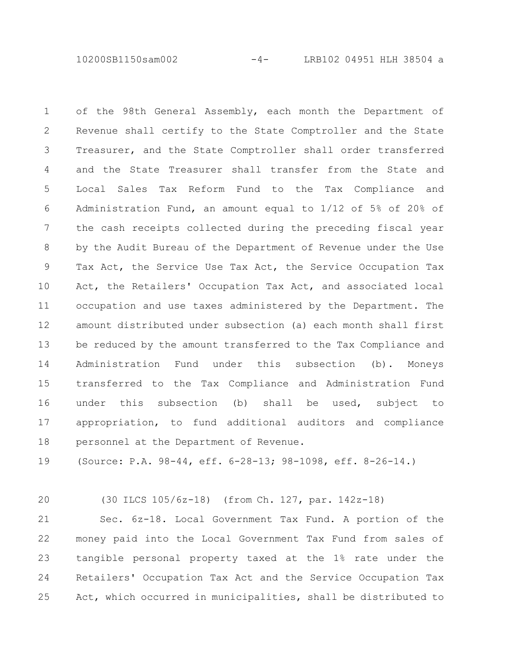10200SB1150sam002 -4- LRB102 04951 HLH 38504 a

of the 98th General Assembly, each month the Department of Revenue shall certify to the State Comptroller and the State Treasurer, and the State Comptroller shall order transferred and the State Treasurer shall transfer from the State and Local Sales Tax Reform Fund to the Tax Compliance and Administration Fund, an amount equal to 1/12 of 5% of 20% of the cash receipts collected during the preceding fiscal year by the Audit Bureau of the Department of Revenue under the Use Tax Act, the Service Use Tax Act, the Service Occupation Tax Act, the Retailers' Occupation Tax Act, and associated local occupation and use taxes administered by the Department. The amount distributed under subsection (a) each month shall first be reduced by the amount transferred to the Tax Compliance and Administration Fund under this subsection (b). Moneys transferred to the Tax Compliance and Administration Fund under this subsection (b) shall be used, subject to appropriation, to fund additional auditors and compliance personnel at the Department of Revenue. 1 2 3 4 5 6 7 8 9 10 11 12 13 14 15 16 17 18

(Source: P.A. 98-44, eff. 6-28-13; 98-1098, eff. 8-26-14.) 19

 $20$ 

## (30 ILCS 105/6z-18) (from Ch. 127, par. 142z-18)

Sec. 6z-18. Local Government Tax Fund. A portion of the money paid into the Local Government Tax Fund from sales of tangible personal property taxed at the 1% rate under the Retailers' Occupation Tax Act and the Service Occupation Tax Act, which occurred in municipalities, shall be distributed to 21 22 23 24 25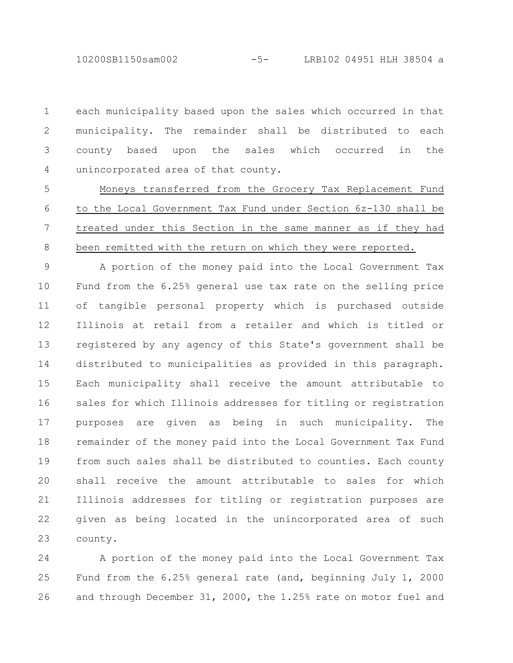10200SB1150sam002 -5- LRB102 04951 HLH 38504 a

each municipality based upon the sales which occurred in that municipality. The remainder shall be distributed to each county based upon the sales which occurred in the unincorporated area of that county. 1 2 3 4

Moneys transferred from the Grocery Tax Replacement Fund to the Local Government Tax Fund under Section 6z-130 shall be treated under this Section in the same manner as if they had been remitted with the return on which they were reported. 5 6 7 8

A portion of the money paid into the Local Government Tax Fund from the 6.25% general use tax rate on the selling price of tangible personal property which is purchased outside Illinois at retail from a retailer and which is titled or registered by any agency of this State's government shall be distributed to municipalities as provided in this paragraph. Each municipality shall receive the amount attributable to sales for which Illinois addresses for titling or registration purposes are given as being in such municipality. The remainder of the money paid into the Local Government Tax Fund from such sales shall be distributed to counties. Each county shall receive the amount attributable to sales for which Illinois addresses for titling or registration purposes are given as being located in the unincorporated area of such county. 9 10 11 12 13 14 15 16 17 18 19 20 21 22 23

A portion of the money paid into the Local Government Tax Fund from the 6.25% general rate (and, beginning July 1, 2000 and through December 31, 2000, the 1.25% rate on motor fuel and 24 25 26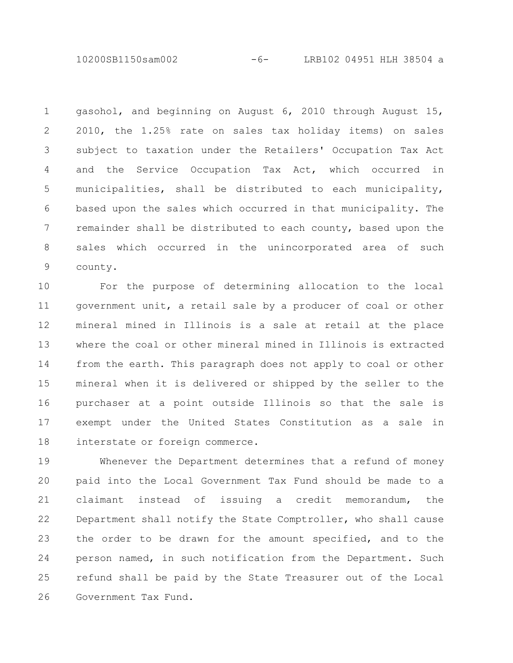10200SB1150sam002 -6- LRB102 04951 HLH 38504 a

gasohol, and beginning on August 6, 2010 through August 15, 2010, the 1.25% rate on sales tax holiday items) on sales subject to taxation under the Retailers' Occupation Tax Act and the Service Occupation Tax Act, which occurred in municipalities, shall be distributed to each municipality, based upon the sales which occurred in that municipality. The remainder shall be distributed to each county, based upon the sales which occurred in the unincorporated area of such county. 1 2 3 4 5 6 7 8 9

For the purpose of determining allocation to the local government unit, a retail sale by a producer of coal or other mineral mined in Illinois is a sale at retail at the place where the coal or other mineral mined in Illinois is extracted from the earth. This paragraph does not apply to coal or other mineral when it is delivered or shipped by the seller to the purchaser at a point outside Illinois so that the sale is exempt under the United States Constitution as a sale in interstate or foreign commerce. 10 11 12 13 14 15 16 17 18

Whenever the Department determines that a refund of money paid into the Local Government Tax Fund should be made to a claimant instead of issuing a credit memorandum, the Department shall notify the State Comptroller, who shall cause the order to be drawn for the amount specified, and to the person named, in such notification from the Department. Such refund shall be paid by the State Treasurer out of the Local Government Tax Fund. 19 20 21 22 23 24 25 26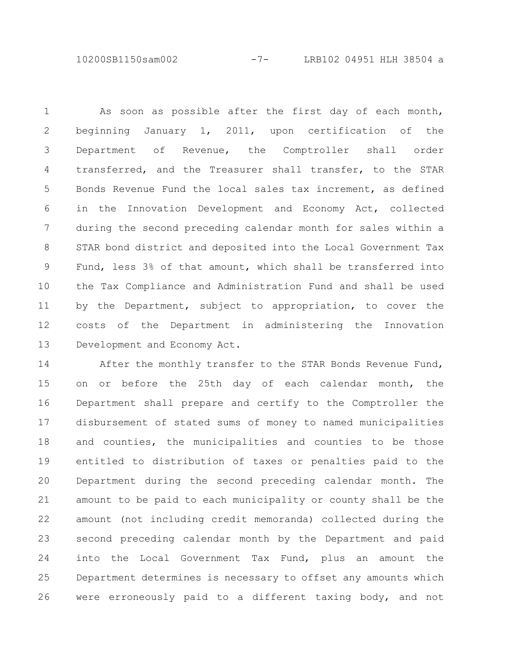10200SB1150sam002 -7- LRB102 04951 HLH 38504 a

As soon as possible after the first day of each month, beginning January 1, 2011, upon certification of the Department of Revenue, the Comptroller shall order transferred, and the Treasurer shall transfer, to the STAR Bonds Revenue Fund the local sales tax increment, as defined in the Innovation Development and Economy Act, collected during the second preceding calendar month for sales within a STAR bond district and deposited into the Local Government Tax Fund, less 3% of that amount, which shall be transferred into the Tax Compliance and Administration Fund and shall be used by the Department, subject to appropriation, to cover the costs of the Department in administering the Innovation Development and Economy Act. 1 2 3 4 5 6 7 8 9 10 11 12 13

After the monthly transfer to the STAR Bonds Revenue Fund, on or before the 25th day of each calendar month, the Department shall prepare and certify to the Comptroller the disbursement of stated sums of money to named municipalities and counties, the municipalities and counties to be those entitled to distribution of taxes or penalties paid to the Department during the second preceding calendar month. The amount to be paid to each municipality or county shall be the amount (not including credit memoranda) collected during the second preceding calendar month by the Department and paid into the Local Government Tax Fund, plus an amount the Department determines is necessary to offset any amounts which were erroneously paid to a different taxing body, and not 14 15 16 17 18 19 20 21 22 23 24 25 26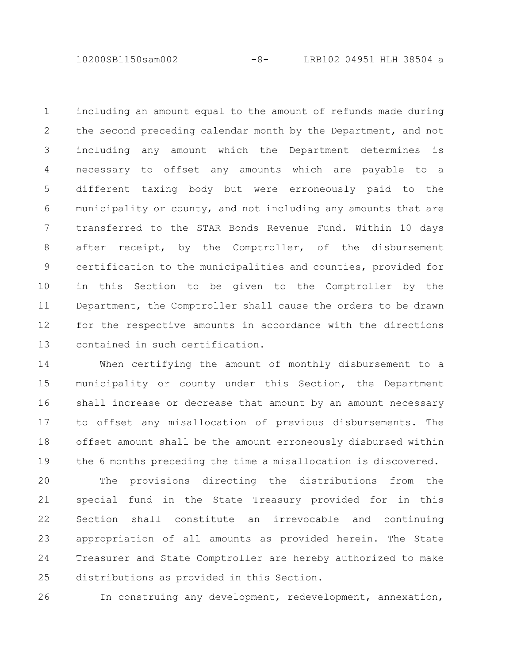10200SB1150sam002 -8- LRB102 04951 HLH 38504 a

including an amount equal to the amount of refunds made during the second preceding calendar month by the Department, and not including any amount which the Department determines is necessary to offset any amounts which are payable to a different taxing body but were erroneously paid to the municipality or county, and not including any amounts that are transferred to the STAR Bonds Revenue Fund. Within 10 days after receipt, by the Comptroller, of the disbursement certification to the municipalities and counties, provided for in this Section to be given to the Comptroller by the Department, the Comptroller shall cause the orders to be drawn for the respective amounts in accordance with the directions contained in such certification. 1 2 3 4 5 6 7 8 9 10 11 12 13

When certifying the amount of monthly disbursement to a municipality or county under this Section, the Department shall increase or decrease that amount by an amount necessary to offset any misallocation of previous disbursements. The offset amount shall be the amount erroneously disbursed within the 6 months preceding the time a misallocation is discovered. 14 15 16 17 18 19

The provisions directing the distributions from the special fund in the State Treasury provided for in this Section shall constitute an irrevocable and continuing appropriation of all amounts as provided herein. The State Treasurer and State Comptroller are hereby authorized to make distributions as provided in this Section. 20 21 22 23 24 25

In construing any development, redevelopment, annexation, 26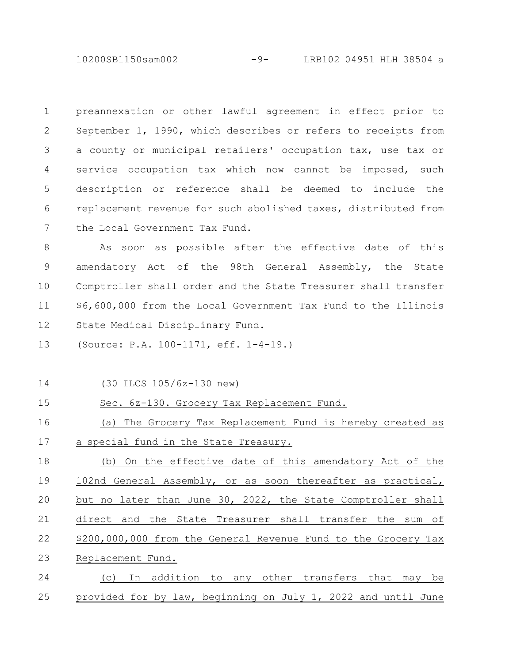10200SB1150sam002 -9- LRB102 04951 HLH 38504 a

preannexation or other lawful agreement in effect prior to September 1, 1990, which describes or refers to receipts from a county or municipal retailers' occupation tax, use tax or service occupation tax which now cannot be imposed, such description or reference shall be deemed to include the replacement revenue for such abolished taxes, distributed from the Local Government Tax Fund. 1 2 3 4 5 6 7

As soon as possible after the effective date of this amendatory Act of the 98th General Assembly, the State Comptroller shall order and the State Treasurer shall transfer \$6,600,000 from the Local Government Tax Fund to the Illinois State Medical Disciplinary Fund. 8 9 10 11 12

(Source: P.A. 100-1171, eff. 1-4-19.) 13

25

| 14 | (30 ILCS 105/6z-130 new)                                       |
|----|----------------------------------------------------------------|
| 15 | Sec. 6z-130. Grocery Tax Replacement Fund.                     |
| 16 | (a) The Grocery Tax Replacement Fund is hereby created as      |
| 17 | a special fund in the State Treasury.                          |
| 18 | (b) On the effective date of this amendatory Act of the        |
| 19 | 102nd General Assembly, or as soon thereafter as practical,    |
| 20 | but no later than June 30, 2022, the State Comptroller shall   |
| 21 | direct and the State Treasurer shall transfer the sum of       |
| 22 | \$200,000,000 from the General Revenue Fund to the Grocery Tax |
| 23 | Replacement Fund.                                              |
| 24 | In addition to any other transfers that may<br>be<br>(C)       |

provided for by law, beginning on July 1, 2022 and until June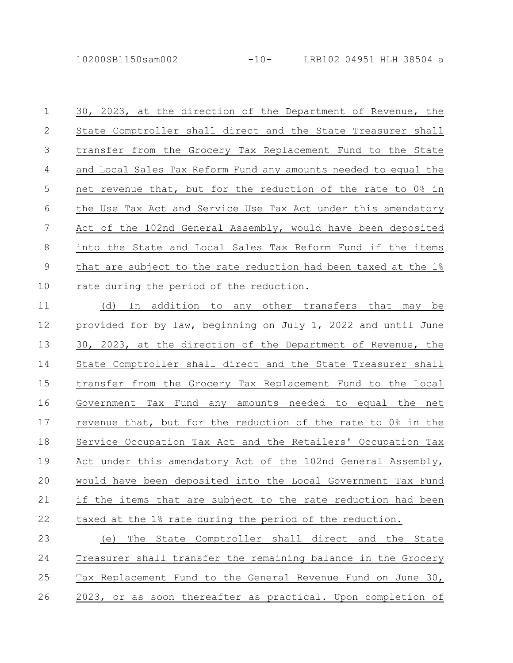10200SB1150sam002 -10- LRB102 04951 HLH 38504 a

30, 2023, at the direction of the Department of Revenue, the State Comptroller shall direct and the State Treasurer shall transfer from the Grocery Tax Replacement Fund to the State and Local Sales Tax Reform Fund any amounts needed to equal the net revenue that, but for the reduction of the rate to 0% in the Use Tax Act and Service Use Tax Act under this amendatory Act of the 102nd General Assembly, would have been deposited into the State and Local Sales Tax Reform Fund if the items that are subject to the rate reduction had been taxed at the 1% rate during the period of the reduction. 1 2 3 4 5 6 7 8 9 10

(d) In addition to any other transfers that may be provided for by law, beginning on July 1, 2022 and until June 30, 2023, at the direction of the Department of Revenue, the State Comptroller shall direct and the State Treasurer shall transfer from the Grocery Tax Replacement Fund to the Local Government Tax Fund any amounts needed to equal the net revenue that, but for the reduction of the rate to 0% in the Service Occupation Tax Act and the Retailers' Occupation Tax Act under this amendatory Act of the 102nd General Assembly, would have been deposited into the Local Government Tax Fund if the items that are subject to the rate reduction had been taxed at the 1% rate during the period of the reduction. 11 12 13 14 15 16 17 18 19 20 21 22

(e) The State Comptroller shall direct and the State Treasurer shall transfer the remaining balance in the Grocery Tax Replacement Fund to the General Revenue Fund on June 30, 2023, or as soon thereafter as practical. Upon completion of 23 24 25 26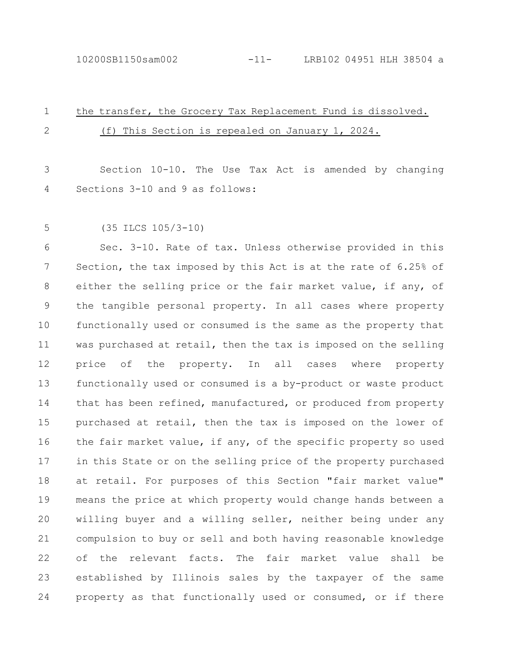## the transfer, the Grocery Tax Replacement Fund is dissolved. (f) This Section is repealed on January 1, 2024. 1 2

Section 10-10. The Use Tax Act is amended by changing Sections 3-10 and 9 as follows: 3 4

5

(35 ILCS 105/3-10)

Sec. 3-10. Rate of tax. Unless otherwise provided in this Section, the tax imposed by this Act is at the rate of 6.25% of either the selling price or the fair market value, if any, of the tangible personal property. In all cases where property functionally used or consumed is the same as the property that was purchased at retail, then the tax is imposed on the selling price of the property. In all cases where property functionally used or consumed is a by-product or waste product that has been refined, manufactured, or produced from property purchased at retail, then the tax is imposed on the lower of the fair market value, if any, of the specific property so used in this State or on the selling price of the property purchased at retail. For purposes of this Section "fair market value" means the price at which property would change hands between a willing buyer and a willing seller, neither being under any compulsion to buy or sell and both having reasonable knowledge of the relevant facts. The fair market value shall be established by Illinois sales by the taxpayer of the same property as that functionally used or consumed, or if there 6 7 8 9 10 11 12 13 14 15 16 17 18 19 20 21 22 23 24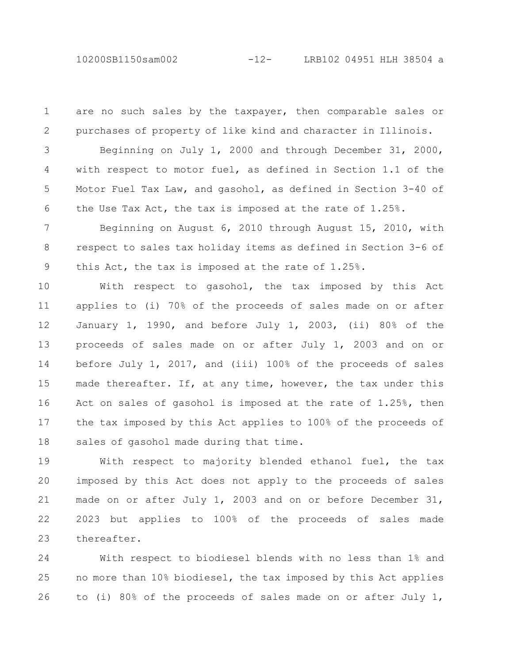are no such sales by the taxpayer, then comparable sales or purchases of property of like kind and character in Illinois. 1 2

Beginning on July 1, 2000 and through December 31, 2000, with respect to motor fuel, as defined in Section 1.1 of the Motor Fuel Tax Law, and gasohol, as defined in Section 3-40 of the Use Tax Act, the tax is imposed at the rate of 1.25%. 3 4 5 6

Beginning on August 6, 2010 through August 15, 2010, with respect to sales tax holiday items as defined in Section 3-6 of this Act, the tax is imposed at the rate of 1.25%. 7 8 9

With respect to gasohol, the tax imposed by this Act applies to (i) 70% of the proceeds of sales made on or after January 1, 1990, and before July 1, 2003, (ii) 80% of the proceeds of sales made on or after July 1, 2003 and on or before July 1, 2017, and (iii) 100% of the proceeds of sales made thereafter. If, at any time, however, the tax under this Act on sales of gasohol is imposed at the rate of 1.25%, then the tax imposed by this Act applies to 100% of the proceeds of sales of gasohol made during that time. 10 11 12 13 14 15 16 17 18

With respect to majority blended ethanol fuel, the tax imposed by this Act does not apply to the proceeds of sales made on or after July 1, 2003 and on or before December 31, 2023 but applies to 100% of the proceeds of sales made thereafter. 19 20 21 22 23

With respect to biodiesel blends with no less than 1% and no more than 10% biodiesel, the tax imposed by this Act applies to (i) 80% of the proceeds of sales made on or after July 1, 24 25 26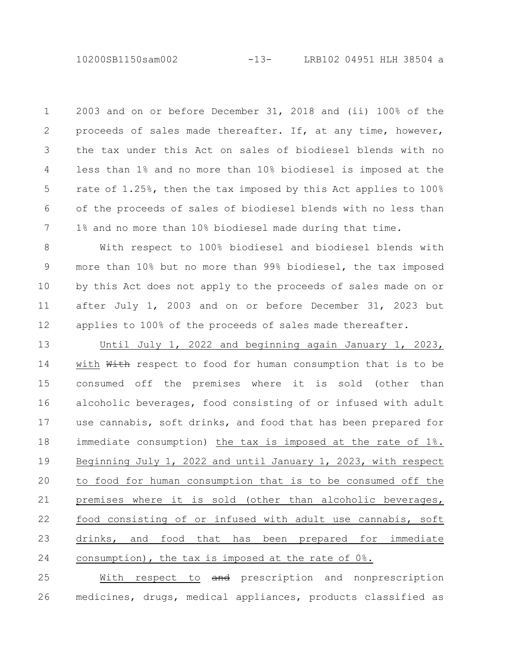10200SB1150sam002 -13- LRB102 04951 HLH 38504 a

2003 and on or before December 31, 2018 and (ii) 100% of the proceeds of sales made thereafter. If, at any time, however, the tax under this Act on sales of biodiesel blends with no less than 1% and no more than 10% biodiesel is imposed at the rate of 1.25%, then the tax imposed by this Act applies to 100% of the proceeds of sales of biodiesel blends with no less than 1% and no more than 10% biodiesel made during that time. 1 2 3 4 5 6 7

With respect to 100% biodiesel and biodiesel blends with more than 10% but no more than 99% biodiesel, the tax imposed by this Act does not apply to the proceeds of sales made on or after July 1, 2003 and on or before December 31, 2023 but applies to 100% of the proceeds of sales made thereafter. 8 9 10 11 12

Until July 1, 2022 and beginning again January 1, 2023, with With respect to food for human consumption that is to be consumed off the premises where it is sold (other than alcoholic beverages, food consisting of or infused with adult use cannabis, soft drinks, and food that has been prepared for immediate consumption) the tax is imposed at the rate of 1%. Beginning July 1, 2022 and until January 1, 2023, with respect to food for human consumption that is to be consumed off the premises where it is sold (other than alcoholic beverages, food consisting of or infused with adult use cannabis, soft drinks, and food that has been prepared for immediate consumption), the tax is imposed at the rate of 0%. 13 14 15 16 17 18 19 20 21 22 23 24

With respect to and prescription and nonprescription medicines, drugs, medical appliances, products classified as 25 26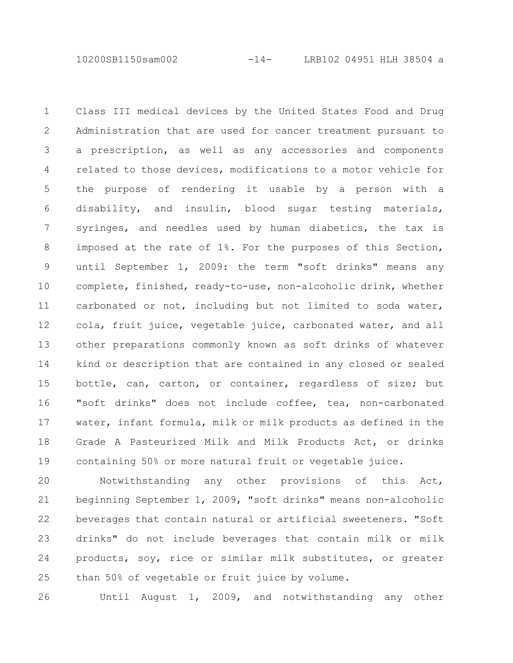10200SB1150sam002 -14- LRB102 04951 HLH 38504 a

Class III medical devices by the United States Food and Drug Administration that are used for cancer treatment pursuant to a prescription, as well as any accessories and components related to those devices, modifications to a motor vehicle for the purpose of rendering it usable by a person with a disability, and insulin, blood sugar testing materials, syringes, and needles used by human diabetics, the tax is imposed at the rate of 1%. For the purposes of this Section, until September 1, 2009: the term "soft drinks" means any complete, finished, ready-to-use, non-alcoholic drink, whether carbonated or not, including but not limited to soda water, cola, fruit juice, vegetable juice, carbonated water, and all other preparations commonly known as soft drinks of whatever kind or description that are contained in any closed or sealed bottle, can, carton, or container, regardless of size; but "soft drinks" does not include coffee, tea, non-carbonated water, infant formula, milk or milk products as defined in the Grade A Pasteurized Milk and Milk Products Act, or drinks containing 50% or more natural fruit or vegetable juice. 1 2 3 4 5 6 7 8 9 10 11 12 13 14 15 16 17 18 19

Notwithstanding any other provisions of this Act, beginning September 1, 2009, "soft drinks" means non-alcoholic beverages that contain natural or artificial sweeteners. "Soft drinks" do not include beverages that contain milk or milk products, soy, rice or similar milk substitutes, or greater than 50% of vegetable or fruit juice by volume. 20 21 22 23 24 25

26

Until August 1, 2009, and notwithstanding any other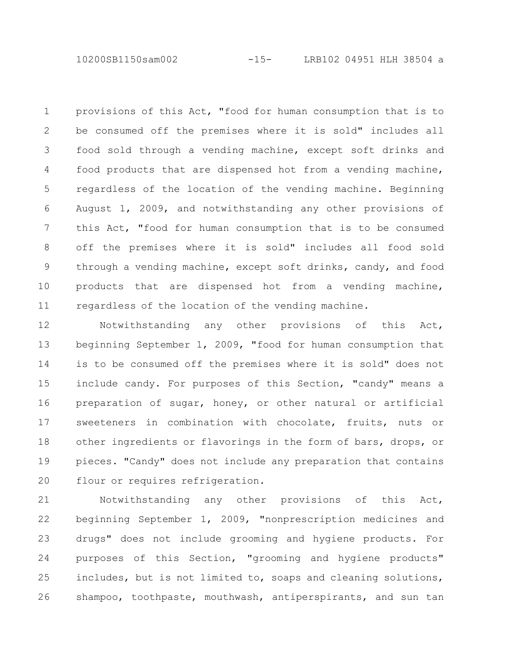10200SB1150sam002 -15- LRB102 04951 HLH 38504 a

provisions of this Act, "food for human consumption that is to be consumed off the premises where it is sold" includes all food sold through a vending machine, except soft drinks and food products that are dispensed hot from a vending machine, regardless of the location of the vending machine. Beginning August 1, 2009, and notwithstanding any other provisions of this Act, "food for human consumption that is to be consumed off the premises where it is sold" includes all food sold through a vending machine, except soft drinks, candy, and food products that are dispensed hot from a vending machine, regardless of the location of the vending machine. 1 2 3 4 5 6 7 8 9 10 11

Notwithstanding any other provisions of this Act, beginning September 1, 2009, "food for human consumption that is to be consumed off the premises where it is sold" does not include candy. For purposes of this Section, "candy" means a preparation of sugar, honey, or other natural or artificial sweeteners in combination with chocolate, fruits, nuts or other ingredients or flavorings in the form of bars, drops, or pieces. "Candy" does not include any preparation that contains flour or requires refrigeration. 12 13 14 15 16 17 18 19 20

Notwithstanding any other provisions of this Act, beginning September 1, 2009, "nonprescription medicines and drugs" does not include grooming and hygiene products. For purposes of this Section, "grooming and hygiene products" includes, but is not limited to, soaps and cleaning solutions, shampoo, toothpaste, mouthwash, antiperspirants, and sun tan 21 22 23 24 25 26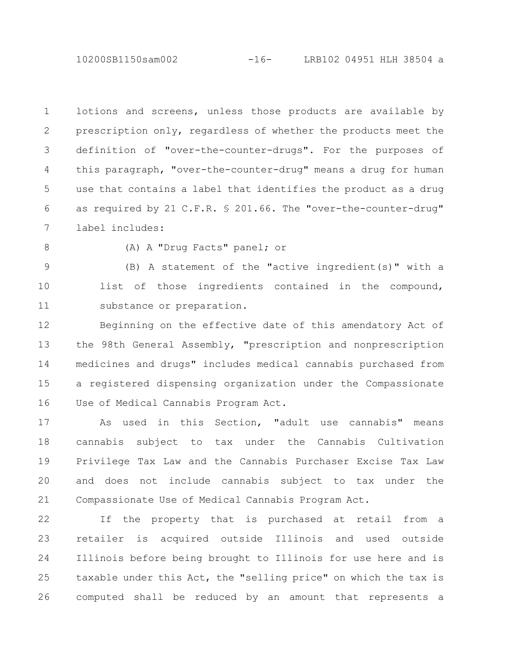10200SB1150sam002 -16- LRB102 04951 HLH 38504 a

lotions and screens, unless those products are available by prescription only, regardless of whether the products meet the definition of "over-the-counter-drugs". For the purposes of this paragraph, "over-the-counter-drug" means a drug for human use that contains a label that identifies the product as a drug as required by 21 C.F.R. § 201.66. The "over-the-counter-drug" label includes: 1 2 3 4 5 6 7

8

(A) A "Drug Facts" panel; or

(B) A statement of the "active ingredient(s)" with a list of those ingredients contained in the compound, substance or preparation. 9 10 11

Beginning on the effective date of this amendatory Act of the 98th General Assembly, "prescription and nonprescription medicines and drugs" includes medical cannabis purchased from a registered dispensing organization under the Compassionate Use of Medical Cannabis Program Act. 12 13 14 15 16

As used in this Section, "adult use cannabis" means cannabis subject to tax under the Cannabis Cultivation Privilege Tax Law and the Cannabis Purchaser Excise Tax Law and does not include cannabis subject to tax under the Compassionate Use of Medical Cannabis Program Act. 17 18 19 20 21

If the property that is purchased at retail from a retailer is acquired outside Illinois and used outside Illinois before being brought to Illinois for use here and is taxable under this Act, the "selling price" on which the tax is computed shall be reduced by an amount that represents a 22 23 24 25 26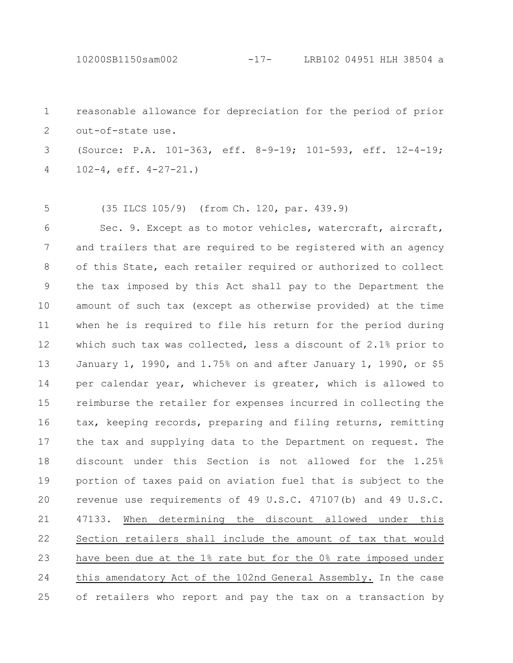10200SB1150sam002 -17- LRB102 04951 HLH 38504 a

reasonable allowance for depreciation for the period of prior out-of-state use. 1 2

(Source: P.A. 101-363, eff. 8-9-19; 101-593, eff. 12-4-19; 102-4, eff. 4-27-21.) 3 4

(35 ILCS 105/9) (from Ch. 120, par. 439.9) 5

Sec. 9. Except as to motor vehicles, watercraft, aircraft, and trailers that are required to be registered with an agency of this State, each retailer required or authorized to collect the tax imposed by this Act shall pay to the Department the amount of such tax (except as otherwise provided) at the time when he is required to file his return for the period during which such tax was collected, less a discount of 2.1% prior to January 1, 1990, and 1.75% on and after January 1, 1990, or \$5 per calendar year, whichever is greater, which is allowed to reimburse the retailer for expenses incurred in collecting the tax, keeping records, preparing and filing returns, remitting the tax and supplying data to the Department on request. The discount under this Section is not allowed for the 1.25% portion of taxes paid on aviation fuel that is subject to the revenue use requirements of 49 U.S.C. 47107(b) and 49 U.S.C. 47133. When determining the discount allowed under this Section retailers shall include the amount of tax that would have been due at the 1% rate but for the 0% rate imposed under this amendatory Act of the 102nd General Assembly. In the case of retailers who report and pay the tax on a transaction by 6 7 8 9 10 11 12 13 14 15 16 17 18 19 20 21 22 23 24 25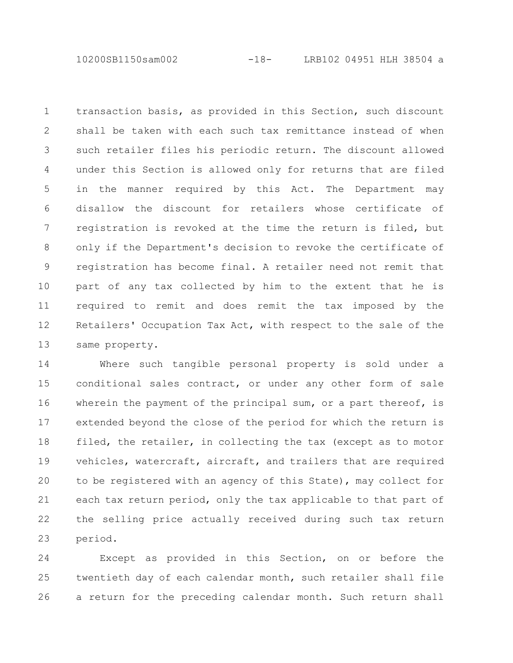10200SB1150sam002 -18- LRB102 04951 HLH 38504 a

transaction basis, as provided in this Section, such discount shall be taken with each such tax remittance instead of when such retailer files his periodic return. The discount allowed under this Section is allowed only for returns that are filed in the manner required by this Act. The Department may disallow the discount for retailers whose certificate of registration is revoked at the time the return is filed, but only if the Department's decision to revoke the certificate of registration has become final. A retailer need not remit that part of any tax collected by him to the extent that he is required to remit and does remit the tax imposed by the Retailers' Occupation Tax Act, with respect to the sale of the same property. 1 2 3 4 5 6 7 8 9 10 11 12 13

Where such tangible personal property is sold under a conditional sales contract, or under any other form of sale wherein the payment of the principal sum, or a part thereof, is extended beyond the close of the period for which the return is filed, the retailer, in collecting the tax (except as to motor vehicles, watercraft, aircraft, and trailers that are required to be registered with an agency of this State), may collect for each tax return period, only the tax applicable to that part of the selling price actually received during such tax return period. 14 15 16 17 18 19 20 21 22 23

Except as provided in this Section, on or before the twentieth day of each calendar month, such retailer shall file a return for the preceding calendar month. Such return shall 24 25 26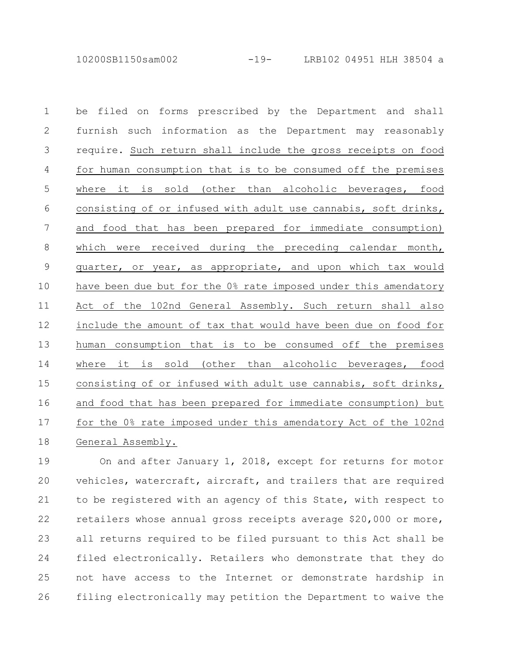10200SB1150sam002 -19- LRB102 04951 HLH 38504 a

be filed on forms prescribed by the Department and shall furnish such information as the Department may reasonably require. Such return shall include the gross receipts on food for human consumption that is to be consumed off the premises where it is sold (other than alcoholic beverages, food consisting of or infused with adult use cannabis, soft drinks, and food that has been prepared for immediate consumption) which were received during the preceding calendar month, quarter, or year, as appropriate, and upon which tax would have been due but for the 0% rate imposed under this amendatory Act of the 102nd General Assembly. Such return shall also include the amount of tax that would have been due on food for human consumption that is to be consumed off the premises where it is sold (other than alcoholic beverages, food consisting of or infused with adult use cannabis, soft drinks, and food that has been prepared for immediate consumption) but for the 0% rate imposed under this amendatory Act of the 102nd General Assembly. 1 2 3 4 5 6 7 8 9 10 11 12 13 14 15 16 17 18

On and after January 1, 2018, except for returns for motor vehicles, watercraft, aircraft, and trailers that are required to be registered with an agency of this State, with respect to retailers whose annual gross receipts average \$20,000 or more, all returns required to be filed pursuant to this Act shall be filed electronically. Retailers who demonstrate that they do not have access to the Internet or demonstrate hardship in filing electronically may petition the Department to waive the 19 20 21 22 23 24 25 26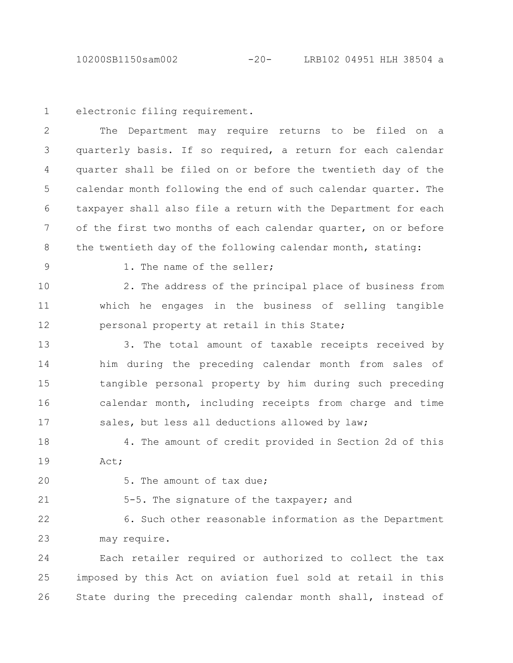electronic filing requirement. 1

The Department may require returns to be filed on a quarterly basis. If so required, a return for each calendar quarter shall be filed on or before the twentieth day of the calendar month following the end of such calendar quarter. The taxpayer shall also file a return with the Department for each of the first two months of each calendar quarter, on or before the twentieth day of the following calendar month, stating: 2 3 4 5 6 7 8

9

1. The name of the seller;

2. The address of the principal place of business from which he engages in the business of selling tangible personal property at retail in this State; 10 11 12

3. The total amount of taxable receipts received by him during the preceding calendar month from sales of tangible personal property by him during such preceding calendar month, including receipts from charge and time sales, but less all deductions allowed by law; 13 14 15 16 17

4. The amount of credit provided in Section 2d of this Act; 18 19

20

21

5. The amount of tax due;

5-5. The signature of the taxpayer; and

6. Such other reasonable information as the Department may require. 22 23

Each retailer required or authorized to collect the tax imposed by this Act on aviation fuel sold at retail in this State during the preceding calendar month shall, instead of 24 25 26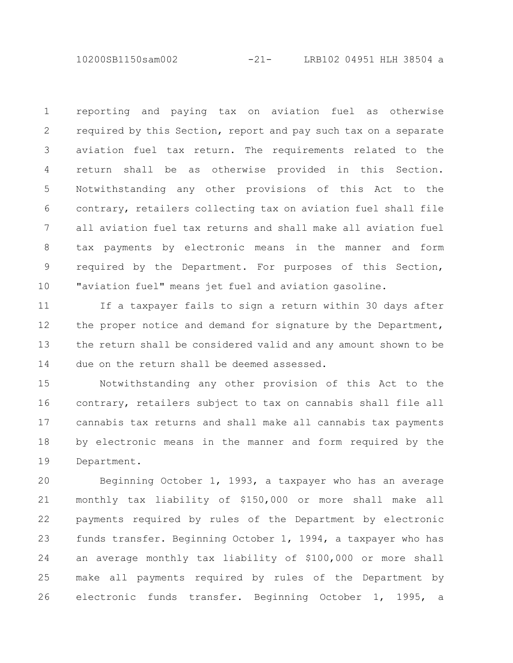10200SB1150sam002 -21- LRB102 04951 HLH 38504 a

reporting and paying tax on aviation fuel as otherwise required by this Section, report and pay such tax on a separate aviation fuel tax return. The requirements related to the return shall be as otherwise provided in this Section. Notwithstanding any other provisions of this Act to the contrary, retailers collecting tax on aviation fuel shall file all aviation fuel tax returns and shall make all aviation fuel tax payments by electronic means in the manner and form required by the Department. For purposes of this Section, "aviation fuel" means jet fuel and aviation gasoline. 1 2 3 4 5 6 7 8 9 10

If a taxpayer fails to sign a return within 30 days after the proper notice and demand for signature by the Department, the return shall be considered valid and any amount shown to be due on the return shall be deemed assessed. 11 12 13 14

Notwithstanding any other provision of this Act to the contrary, retailers subject to tax on cannabis shall file all cannabis tax returns and shall make all cannabis tax payments by electronic means in the manner and form required by the Department. 15 16 17 18 19

Beginning October 1, 1993, a taxpayer who has an average monthly tax liability of \$150,000 or more shall make all payments required by rules of the Department by electronic funds transfer. Beginning October 1, 1994, a taxpayer who has an average monthly tax liability of \$100,000 or more shall make all payments required by rules of the Department by electronic funds transfer. Beginning October 1, 1995, a 20 21 22 23 24 25 26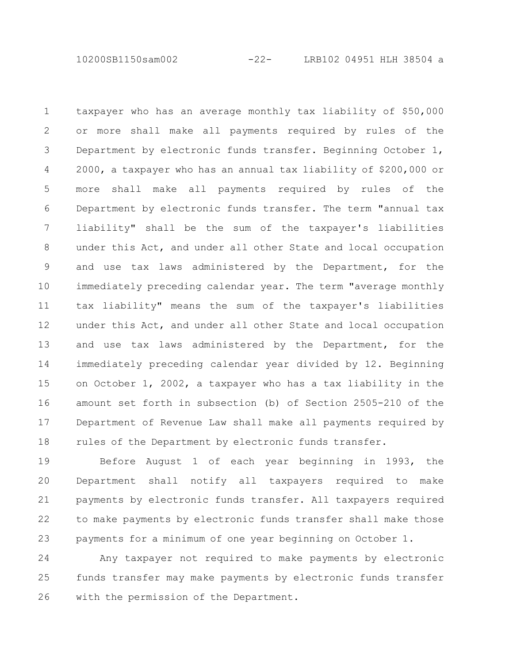10200SB1150sam002 -22- LRB102 04951 HLH 38504 a

taxpayer who has an average monthly tax liability of \$50,000 or more shall make all payments required by rules of the Department by electronic funds transfer. Beginning October 1, 2000, a taxpayer who has an annual tax liability of \$200,000 or more shall make all payments required by rules of the Department by electronic funds transfer. The term "annual tax liability" shall be the sum of the taxpayer's liabilities under this Act, and under all other State and local occupation and use tax laws administered by the Department, for the immediately preceding calendar year. The term "average monthly tax liability" means the sum of the taxpayer's liabilities under this Act, and under all other State and local occupation and use tax laws administered by the Department, for the immediately preceding calendar year divided by 12. Beginning on October 1, 2002, a taxpayer who has a tax liability in the amount set forth in subsection (b) of Section 2505-210 of the Department of Revenue Law shall make all payments required by rules of the Department by electronic funds transfer. 1 2 3 4 5 6 7 8 9 10 11 12 13 14 15 16 17 18

Before August 1 of each year beginning in 1993, the Department shall notify all taxpayers required to make payments by electronic funds transfer. All taxpayers required to make payments by electronic funds transfer shall make those payments for a minimum of one year beginning on October 1. 19 20 21 22 23

Any taxpayer not required to make payments by electronic funds transfer may make payments by electronic funds transfer with the permission of the Department. 24 25 26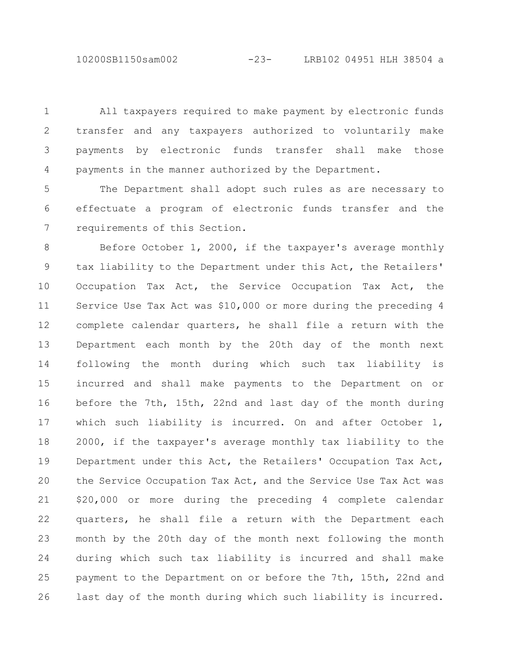10200SB1150sam002 -23- LRB102 04951 HLH 38504 a

All taxpayers required to make payment by electronic funds transfer and any taxpayers authorized to voluntarily make payments by electronic funds transfer shall make those payments in the manner authorized by the Department. 1 2 3 4

The Department shall adopt such rules as are necessary to effectuate a program of electronic funds transfer and the requirements of this Section. 5 6 7

Before October 1, 2000, if the taxpayer's average monthly tax liability to the Department under this Act, the Retailers' Occupation Tax Act, the Service Occupation Tax Act, the Service Use Tax Act was \$10,000 or more during the preceding 4 complete calendar quarters, he shall file a return with the Department each month by the 20th day of the month next following the month during which such tax liability is incurred and shall make payments to the Department on or before the 7th, 15th, 22nd and last day of the month during which such liability is incurred. On and after October 1, 2000, if the taxpayer's average monthly tax liability to the Department under this Act, the Retailers' Occupation Tax Act, the Service Occupation Tax Act, and the Service Use Tax Act was \$20,000 or more during the preceding 4 complete calendar quarters, he shall file a return with the Department each month by the 20th day of the month next following the month during which such tax liability is incurred and shall make payment to the Department on or before the 7th, 15th, 22nd and last day of the month during which such liability is incurred. 8 9 10 11 12 13 14 15 16 17 18 19 20 21 22 23 24 25 26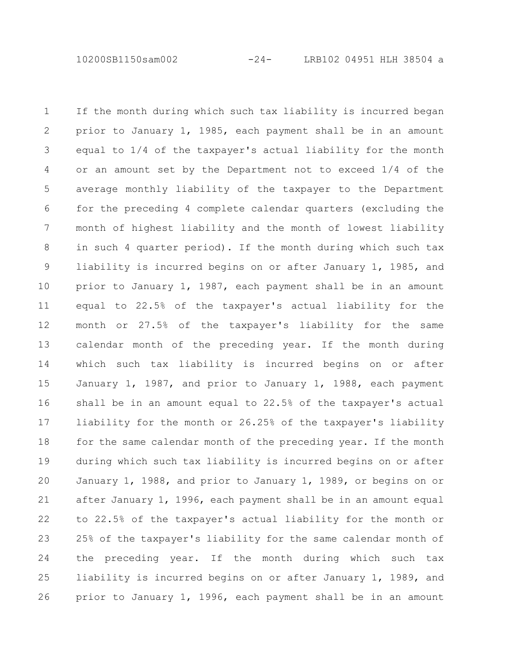10200SB1150sam002 -24- LRB102 04951 HLH 38504 a

If the month during which such tax liability is incurred began prior to January 1, 1985, each payment shall be in an amount equal to 1/4 of the taxpayer's actual liability for the month or an amount set by the Department not to exceed 1/4 of the average monthly liability of the taxpayer to the Department for the preceding 4 complete calendar quarters (excluding the month of highest liability and the month of lowest liability in such 4 quarter period). If the month during which such tax liability is incurred begins on or after January 1, 1985, and prior to January 1, 1987, each payment shall be in an amount equal to 22.5% of the taxpayer's actual liability for the month or 27.5% of the taxpayer's liability for the same calendar month of the preceding year. If the month during which such tax liability is incurred begins on or after January 1, 1987, and prior to January 1, 1988, each payment shall be in an amount equal to 22.5% of the taxpayer's actual liability for the month or 26.25% of the taxpayer's liability for the same calendar month of the preceding year. If the month during which such tax liability is incurred begins on or after January 1, 1988, and prior to January 1, 1989, or begins on or after January 1, 1996, each payment shall be in an amount equal to 22.5% of the taxpayer's actual liability for the month or 25% of the taxpayer's liability for the same calendar month of the preceding year. If the month during which such tax liability is incurred begins on or after January 1, 1989, and prior to January 1, 1996, each payment shall be in an amount 1 2 3 4 5 6 7 8 9 10 11 12 13 14 15 16 17 18 19 20 21 22 23 24 25 26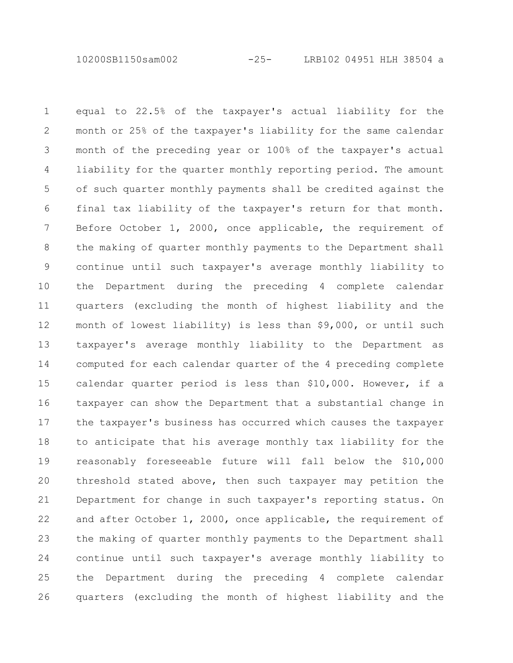10200SB1150sam002 -25- LRB102 04951 HLH 38504 a

equal to 22.5% of the taxpayer's actual liability for the month or 25% of the taxpayer's liability for the same calendar month of the preceding year or 100% of the taxpayer's actual liability for the quarter monthly reporting period. The amount of such quarter monthly payments shall be credited against the final tax liability of the taxpayer's return for that month. Before October 1, 2000, once applicable, the requirement of the making of quarter monthly payments to the Department shall continue until such taxpayer's average monthly liability to the Department during the preceding 4 complete calendar quarters (excluding the month of highest liability and the month of lowest liability) is less than \$9,000, or until such taxpayer's average monthly liability to the Department as computed for each calendar quarter of the 4 preceding complete calendar quarter period is less than \$10,000. However, if a taxpayer can show the Department that a substantial change in the taxpayer's business has occurred which causes the taxpayer to anticipate that his average monthly tax liability for the reasonably foreseeable future will fall below the \$10,000 threshold stated above, then such taxpayer may petition the Department for change in such taxpayer's reporting status. On and after October 1, 2000, once applicable, the requirement of the making of quarter monthly payments to the Department shall continue until such taxpayer's average monthly liability to the Department during the preceding 4 complete calendar quarters (excluding the month of highest liability and the 1 2 3 4 5 6 7 8 9 10 11 12 13 14 15 16 17 18 19 20 21 22 23 24 25 26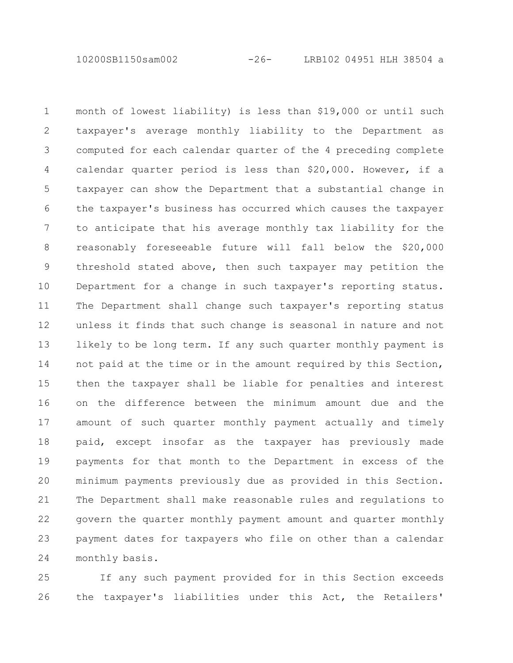10200SB1150sam002 -26- LRB102 04951 HLH 38504 a

month of lowest liability) is less than \$19,000 or until such taxpayer's average monthly liability to the Department as computed for each calendar quarter of the 4 preceding complete calendar quarter period is less than \$20,000. However, if a taxpayer can show the Department that a substantial change in the taxpayer's business has occurred which causes the taxpayer to anticipate that his average monthly tax liability for the reasonably foreseeable future will fall below the \$20,000 threshold stated above, then such taxpayer may petition the Department for a change in such taxpayer's reporting status. The Department shall change such taxpayer's reporting status unless it finds that such change is seasonal in nature and not likely to be long term. If any such quarter monthly payment is not paid at the time or in the amount required by this Section, then the taxpayer shall be liable for penalties and interest on the difference between the minimum amount due and the amount of such quarter monthly payment actually and timely paid, except insofar as the taxpayer has previously made payments for that month to the Department in excess of the minimum payments previously due as provided in this Section. The Department shall make reasonable rules and regulations to govern the quarter monthly payment amount and quarter monthly payment dates for taxpayers who file on other than a calendar monthly basis. 1 2 3 4 5 6 7 8 9 10 11 12 13 14 15 16 17 18 19 20 21 22 23 24

If any such payment provided for in this Section exceeds the taxpayer's liabilities under this Act, the Retailers' 25 26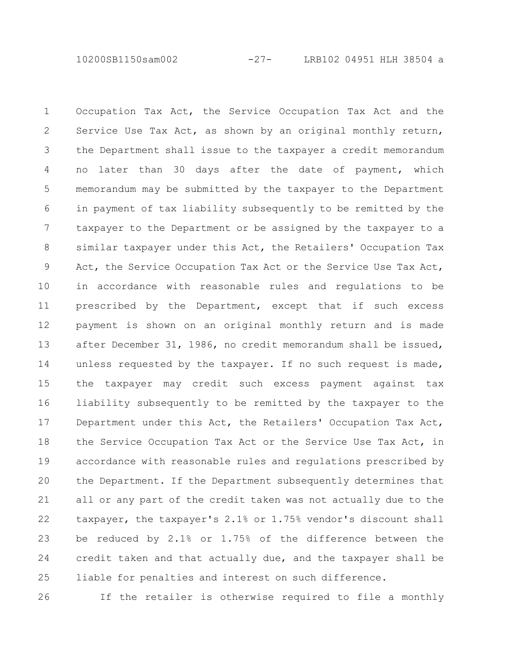10200SB1150sam002 -27- LRB102 04951 HLH 38504 a

Occupation Tax Act, the Service Occupation Tax Act and the Service Use Tax Act, as shown by an original monthly return, the Department shall issue to the taxpayer a credit memorandum no later than 30 days after the date of payment, which memorandum may be submitted by the taxpayer to the Department in payment of tax liability subsequently to be remitted by the taxpayer to the Department or be assigned by the taxpayer to a similar taxpayer under this Act, the Retailers' Occupation Tax Act, the Service Occupation Tax Act or the Service Use Tax Act, in accordance with reasonable rules and regulations to be prescribed by the Department, except that if such excess payment is shown on an original monthly return and is made after December 31, 1986, no credit memorandum shall be issued, unless requested by the taxpayer. If no such request is made, the taxpayer may credit such excess payment against tax liability subsequently to be remitted by the taxpayer to the Department under this Act, the Retailers' Occupation Tax Act, the Service Occupation Tax Act or the Service Use Tax Act, in accordance with reasonable rules and regulations prescribed by the Department. If the Department subsequently determines that all or any part of the credit taken was not actually due to the taxpayer, the taxpayer's 2.1% or 1.75% vendor's discount shall be reduced by 2.1% or 1.75% of the difference between the credit taken and that actually due, and the taxpayer shall be liable for penalties and interest on such difference. 1 2 3 4 5 6 7 8 9 10 11 12 13 14 15 16 17 18 19 20 21 22 23 24 25

26

If the retailer is otherwise required to file a monthly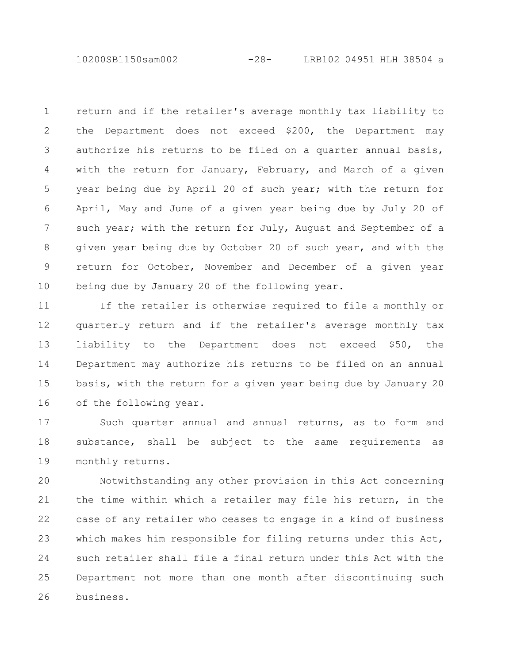10200SB1150sam002 -28- LRB102 04951 HLH 38504 a

return and if the retailer's average monthly tax liability to the Department does not exceed \$200, the Department may authorize his returns to be filed on a quarter annual basis, with the return for January, February, and March of a given year being due by April 20 of such year; with the return for April, May and June of a given year being due by July 20 of such year; with the return for July, August and September of a given year being due by October 20 of such year, and with the return for October, November and December of a given year being due by January 20 of the following year. 1 2 3 4 5 6 7 8 9 10

If the retailer is otherwise required to file a monthly or quarterly return and if the retailer's average monthly tax liability to the Department does not exceed \$50, the Department may authorize his returns to be filed on an annual basis, with the return for a given year being due by January 20 of the following year. 11 12 13 14 15 16

Such quarter annual and annual returns, as to form and substance, shall be subject to the same requirements as monthly returns. 17 18 19

Notwithstanding any other provision in this Act concerning the time within which a retailer may file his return, in the case of any retailer who ceases to engage in a kind of business which makes him responsible for filing returns under this Act, such retailer shall file a final return under this Act with the Department not more than one month after discontinuing such business. 20 21 22 23 24 25 26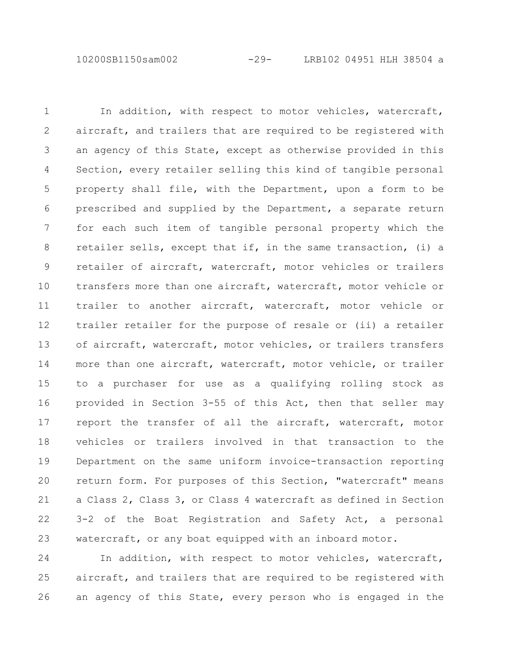10200SB1150sam002 -29- LRB102 04951 HLH 38504 a

In addition, with respect to motor vehicles, watercraft, aircraft, and trailers that are required to be registered with an agency of this State, except as otherwise provided in this Section, every retailer selling this kind of tangible personal property shall file, with the Department, upon a form to be prescribed and supplied by the Department, a separate return for each such item of tangible personal property which the retailer sells, except that if, in the same transaction, (i) a retailer of aircraft, watercraft, motor vehicles or trailers transfers more than one aircraft, watercraft, motor vehicle or trailer to another aircraft, watercraft, motor vehicle or trailer retailer for the purpose of resale or (ii) a retailer of aircraft, watercraft, motor vehicles, or trailers transfers more than one aircraft, watercraft, motor vehicle, or trailer to a purchaser for use as a qualifying rolling stock as provided in Section 3-55 of this Act, then that seller may report the transfer of all the aircraft, watercraft, motor vehicles or trailers involved in that transaction to the Department on the same uniform invoice-transaction reporting return form. For purposes of this Section, "watercraft" means a Class 2, Class 3, or Class 4 watercraft as defined in Section 3-2 of the Boat Registration and Safety Act, a personal watercraft, or any boat equipped with an inboard motor. 1 2 3 4 5 6 7 8 9 10 11 12 13 14 15 16 17 18 19 20 21 22 23

In addition, with respect to motor vehicles, watercraft, aircraft, and trailers that are required to be registered with an agency of this State, every person who is engaged in the 24 25 26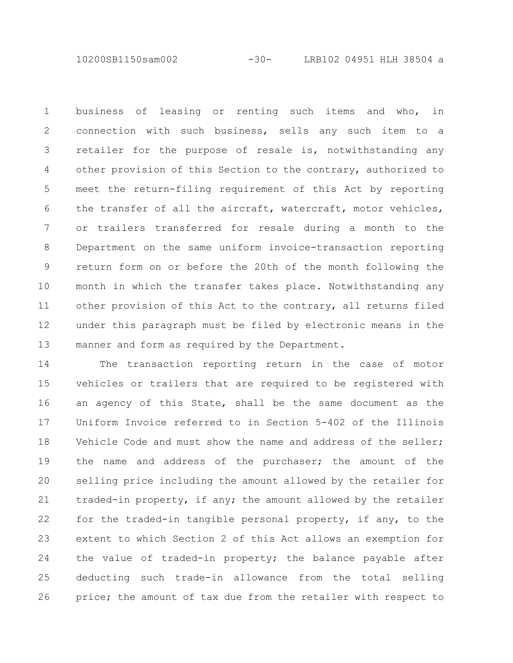10200SB1150sam002 -30- LRB102 04951 HLH 38504 a

business of leasing or renting such items and who, in connection with such business, sells any such item to a retailer for the purpose of resale is, notwithstanding any other provision of this Section to the contrary, authorized to meet the return-filing requirement of this Act by reporting the transfer of all the aircraft, watercraft, motor vehicles, or trailers transferred for resale during a month to the Department on the same uniform invoice-transaction reporting return form on or before the 20th of the month following the month in which the transfer takes place. Notwithstanding any other provision of this Act to the contrary, all returns filed under this paragraph must be filed by electronic means in the manner and form as required by the Department. 1 2 3 4 5 6 7 8 9 10 11 12 13

The transaction reporting return in the case of motor vehicles or trailers that are required to be registered with an agency of this State, shall be the same document as the Uniform Invoice referred to in Section 5-402 of the Illinois Vehicle Code and must show the name and address of the seller; the name and address of the purchaser; the amount of the selling price including the amount allowed by the retailer for traded-in property, if any; the amount allowed by the retailer for the traded-in tangible personal property, if any, to the extent to which Section 2 of this Act allows an exemption for the value of traded-in property; the balance payable after deducting such trade-in allowance from the total selling price; the amount of tax due from the retailer with respect to 14 15 16 17 18 19 20 21 22 23 24 25 26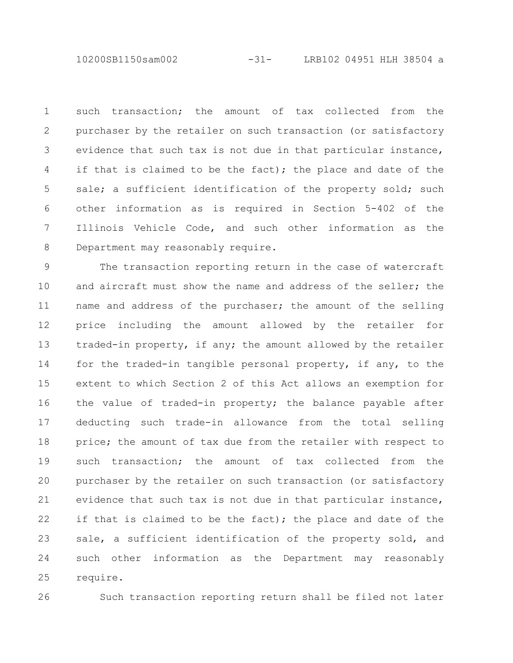10200SB1150sam002 -31- LRB102 04951 HLH 38504 a

such transaction; the amount of tax collected from the purchaser by the retailer on such transaction (or satisfactory evidence that such tax is not due in that particular instance, if that is claimed to be the fact); the place and date of the sale; a sufficient identification of the property sold; such other information as is required in Section 5-402 of the Illinois Vehicle Code, and such other information as the Department may reasonably require. 1 2 3 4 5 6 7 8

The transaction reporting return in the case of watercraft and aircraft must show the name and address of the seller; the name and address of the purchaser; the amount of the selling price including the amount allowed by the retailer for traded-in property, if any; the amount allowed by the retailer for the traded-in tangible personal property, if any, to the extent to which Section 2 of this Act allows an exemption for the value of traded-in property; the balance payable after deducting such trade-in allowance from the total selling price; the amount of tax due from the retailer with respect to such transaction; the amount of tax collected from the purchaser by the retailer on such transaction (or satisfactory evidence that such tax is not due in that particular instance, if that is claimed to be the fact); the place and date of the sale, a sufficient identification of the property sold, and such other information as the Department may reasonably require. 9 10 11 12 13 14 15 16 17 18 19 20 21 22 23 24 25

26

Such transaction reporting return shall be filed not later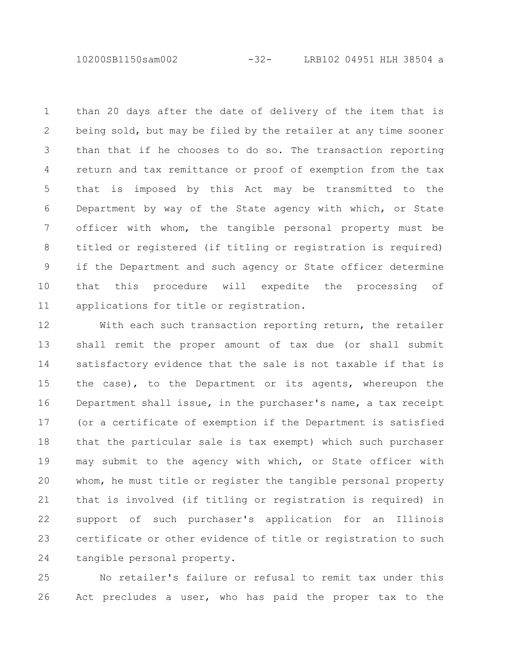10200SB1150sam002 -32- LRB102 04951 HLH 38504 a

than 20 days after the date of delivery of the item that is being sold, but may be filed by the retailer at any time sooner than that if he chooses to do so. The transaction reporting return and tax remittance or proof of exemption from the tax that is imposed by this Act may be transmitted to the Department by way of the State agency with which, or State officer with whom, the tangible personal property must be titled or registered (if titling or registration is required) if the Department and such agency or State officer determine that this procedure will expedite the processing of applications for title or registration. 1 2 3 4 5 6 7 8 9 10 11

With each such transaction reporting return, the retailer shall remit the proper amount of tax due (or shall submit satisfactory evidence that the sale is not taxable if that is the case), to the Department or its agents, whereupon the Department shall issue, in the purchaser's name, a tax receipt (or a certificate of exemption if the Department is satisfied that the particular sale is tax exempt) which such purchaser may submit to the agency with which, or State officer with whom, he must title or register the tangible personal property that is involved (if titling or registration is required) in support of such purchaser's application for an Illinois certificate or other evidence of title or registration to such tangible personal property. 12 13 14 15 16 17 18 19 20 21 22 23 24

No retailer's failure or refusal to remit tax under this Act precludes a user, who has paid the proper tax to the 25 26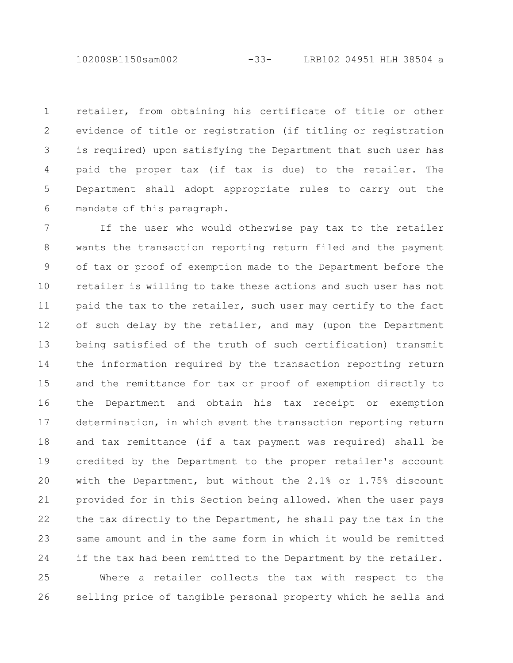10200SB1150sam002 -33- LRB102 04951 HLH 38504 a

retailer, from obtaining his certificate of title or other evidence of title or registration (if titling or registration is required) upon satisfying the Department that such user has paid the proper tax (if tax is due) to the retailer. The Department shall adopt appropriate rules to carry out the mandate of this paragraph. 1 2 3 4 5 6

If the user who would otherwise pay tax to the retailer wants the transaction reporting return filed and the payment of tax or proof of exemption made to the Department before the retailer is willing to take these actions and such user has not paid the tax to the retailer, such user may certify to the fact of such delay by the retailer, and may (upon the Department being satisfied of the truth of such certification) transmit the information required by the transaction reporting return and the remittance for tax or proof of exemption directly to the Department and obtain his tax receipt or exemption determination, in which event the transaction reporting return and tax remittance (if a tax payment was required) shall be credited by the Department to the proper retailer's account with the Department, but without the 2.1% or 1.75% discount provided for in this Section being allowed. When the user pays the tax directly to the Department, he shall pay the tax in the same amount and in the same form in which it would be remitted if the tax had been remitted to the Department by the retailer. 7 8 9 10 11 12 13 14 15 16 17 18 19 20 21 22 23 24

Where a retailer collects the tax with respect to the selling price of tangible personal property which he sells and 25 26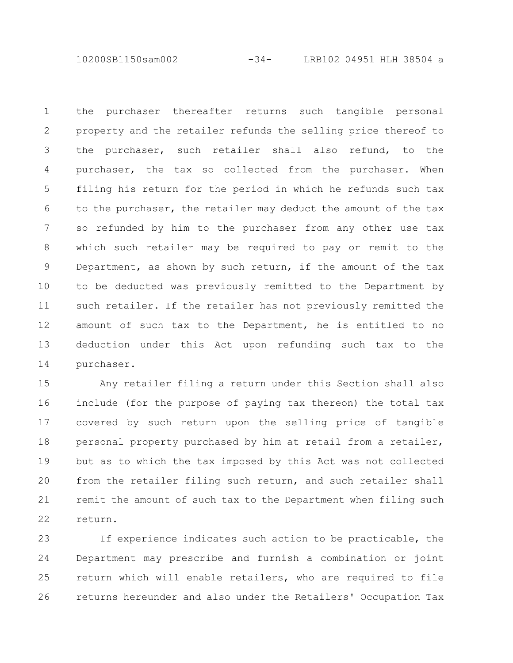10200SB1150sam002 -34- LRB102 04951 HLH 38504 a

the purchaser thereafter returns such tangible personal property and the retailer refunds the selling price thereof to the purchaser, such retailer shall also refund, to the purchaser, the tax so collected from the purchaser. When filing his return for the period in which he refunds such tax to the purchaser, the retailer may deduct the amount of the tax so refunded by him to the purchaser from any other use tax which such retailer may be required to pay or remit to the Department, as shown by such return, if the amount of the tax to be deducted was previously remitted to the Department by such retailer. If the retailer has not previously remitted the amount of such tax to the Department, he is entitled to no deduction under this Act upon refunding such tax to the purchaser. 1 2 3 4 5 6 7 8 9 10 11 12 13 14

Any retailer filing a return under this Section shall also include (for the purpose of paying tax thereon) the total tax covered by such return upon the selling price of tangible personal property purchased by him at retail from a retailer, but as to which the tax imposed by this Act was not collected from the retailer filing such return, and such retailer shall remit the amount of such tax to the Department when filing such return. 15 16 17 18 19 20 21 22

If experience indicates such action to be practicable, the Department may prescribe and furnish a combination or joint return which will enable retailers, who are required to file returns hereunder and also under the Retailers' Occupation Tax 23 24 25 26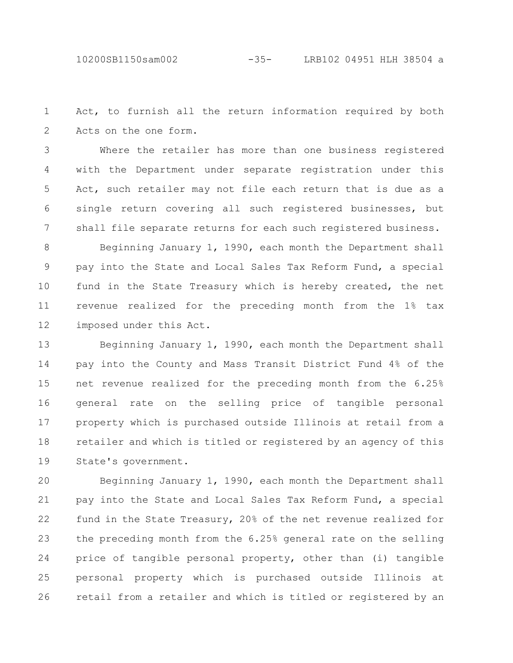Act, to furnish all the return information required by both Acts on the one form. 1 2

Where the retailer has more than one business registered with the Department under separate registration under this Act, such retailer may not file each return that is due as a single return covering all such registered businesses, but shall file separate returns for each such registered business. 3 4 5 6 7

Beginning January 1, 1990, each month the Department shall pay into the State and Local Sales Tax Reform Fund, a special fund in the State Treasury which is hereby created, the net revenue realized for the preceding month from the 1% tax imposed under this Act. 8 9 10 11 12

Beginning January 1, 1990, each month the Department shall pay into the County and Mass Transit District Fund 4% of the net revenue realized for the preceding month from the 6.25% general rate on the selling price of tangible personal property which is purchased outside Illinois at retail from a retailer and which is titled or registered by an agency of this State's government. 13 14 15 16 17 18 19

Beginning January 1, 1990, each month the Department shall pay into the State and Local Sales Tax Reform Fund, a special fund in the State Treasury, 20% of the net revenue realized for the preceding month from the 6.25% general rate on the selling price of tangible personal property, other than (i) tangible personal property which is purchased outside Illinois at retail from a retailer and which is titled or registered by an 20 21 22 23 24 25 26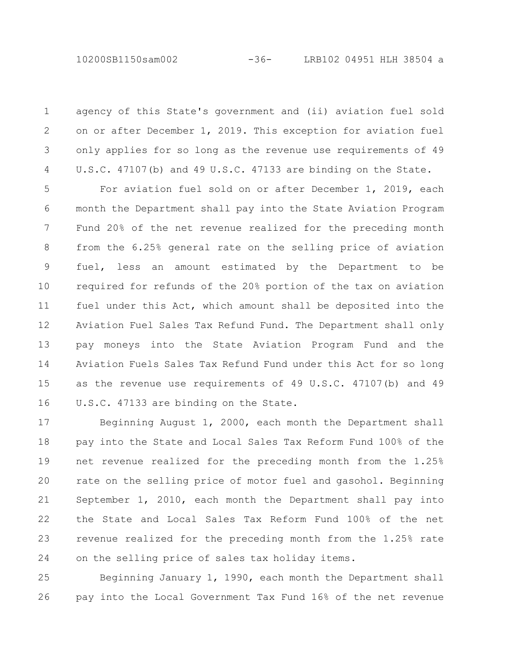agency of this State's government and (ii) aviation fuel sold on or after December 1, 2019. This exception for aviation fuel only applies for so long as the revenue use requirements of 49 U.S.C. 47107(b) and 49 U.S.C. 47133 are binding on the State. 1 2 3 4

For aviation fuel sold on or after December 1, 2019, each month the Department shall pay into the State Aviation Program Fund 20% of the net revenue realized for the preceding month from the 6.25% general rate on the selling price of aviation fuel, less an amount estimated by the Department to be required for refunds of the 20% portion of the tax on aviation fuel under this Act, which amount shall be deposited into the Aviation Fuel Sales Tax Refund Fund. The Department shall only pay moneys into the State Aviation Program Fund and the Aviation Fuels Sales Tax Refund Fund under this Act for so long as the revenue use requirements of 49 U.S.C. 47107(b) and 49 U.S.C. 47133 are binding on the State. 5 6 7 8 9 10 11 12 13 14 15 16

Beginning August 1, 2000, each month the Department shall pay into the State and Local Sales Tax Reform Fund 100% of the net revenue realized for the preceding month from the 1.25% rate on the selling price of motor fuel and gasohol. Beginning September 1, 2010, each month the Department shall pay into the State and Local Sales Tax Reform Fund 100% of the net revenue realized for the preceding month from the 1.25% rate on the selling price of sales tax holiday items. 17 18 19 20 21 22 23 24

Beginning January 1, 1990, each month the Department shall pay into the Local Government Tax Fund 16% of the net revenue 25 26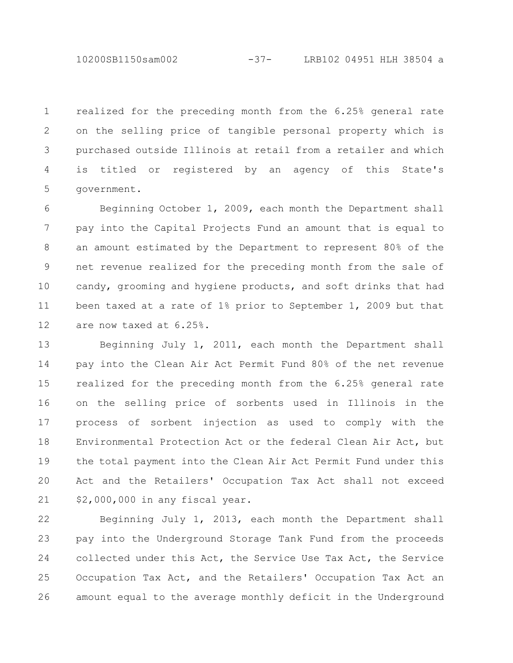10200SB1150sam002 -37- LRB102 04951 HLH 38504 a

realized for the preceding month from the 6.25% general rate on the selling price of tangible personal property which is purchased outside Illinois at retail from a retailer and which is titled or registered by an agency of this State's government. 1 2 3 4 5

Beginning October 1, 2009, each month the Department shall pay into the Capital Projects Fund an amount that is equal to an amount estimated by the Department to represent 80% of the net revenue realized for the preceding month from the sale of candy, grooming and hygiene products, and soft drinks that had been taxed at a rate of 1% prior to September 1, 2009 but that are now taxed at 6.25%. 6 7 8 9 10 11 12

Beginning July 1, 2011, each month the Department shall pay into the Clean Air Act Permit Fund 80% of the net revenue realized for the preceding month from the 6.25% general rate on the selling price of sorbents used in Illinois in the process of sorbent injection as used to comply with the Environmental Protection Act or the federal Clean Air Act, but the total payment into the Clean Air Act Permit Fund under this Act and the Retailers' Occupation Tax Act shall not exceed \$2,000,000 in any fiscal year. 13 14 15 16 17 18 19 20 21

Beginning July 1, 2013, each month the Department shall pay into the Underground Storage Tank Fund from the proceeds collected under this Act, the Service Use Tax Act, the Service Occupation Tax Act, and the Retailers' Occupation Tax Act an amount equal to the average monthly deficit in the Underground 22 23 24 25 26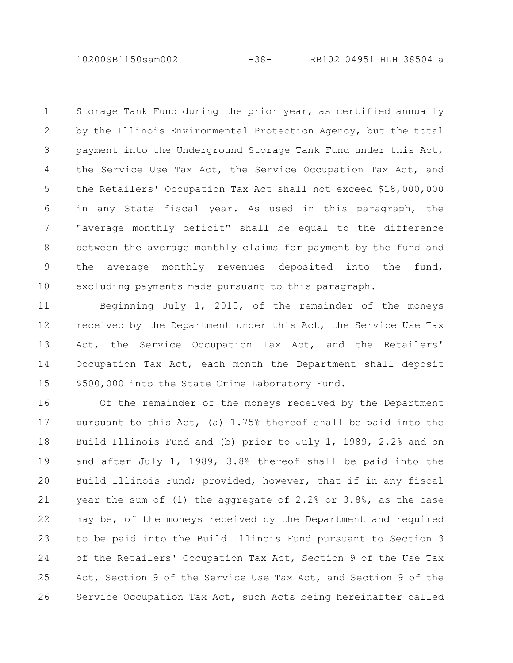10200SB1150sam002 -38- LRB102 04951 HLH 38504 a

Storage Tank Fund during the prior year, as certified annually by the Illinois Environmental Protection Agency, but the total payment into the Underground Storage Tank Fund under this Act, the Service Use Tax Act, the Service Occupation Tax Act, and the Retailers' Occupation Tax Act shall not exceed \$18,000,000 in any State fiscal year. As used in this paragraph, the "average monthly deficit" shall be equal to the difference between the average monthly claims for payment by the fund and the average monthly revenues deposited into the fund, excluding payments made pursuant to this paragraph. 1 2 3 4 5 6 7 8 9 10

Beginning July 1, 2015, of the remainder of the moneys received by the Department under this Act, the Service Use Tax Act, the Service Occupation Tax Act, and the Retailers' Occupation Tax Act, each month the Department shall deposit \$500,000 into the State Crime Laboratory Fund. 11 12 13 14 15

Of the remainder of the moneys received by the Department pursuant to this Act, (a) 1.75% thereof shall be paid into the Build Illinois Fund and (b) prior to July 1, 1989, 2.2% and on and after July 1, 1989, 3.8% thereof shall be paid into the Build Illinois Fund; provided, however, that if in any fiscal year the sum of (1) the aggregate of 2.2% or 3.8%, as the case may be, of the moneys received by the Department and required to be paid into the Build Illinois Fund pursuant to Section 3 of the Retailers' Occupation Tax Act, Section 9 of the Use Tax Act, Section 9 of the Service Use Tax Act, and Section 9 of the Service Occupation Tax Act, such Acts being hereinafter called 16 17 18 19 20 21 22 23 24 25 26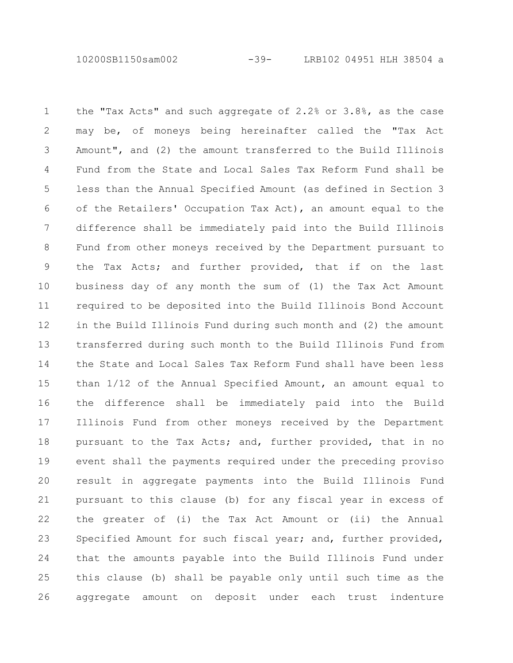10200SB1150sam002 -39- LRB102 04951 HLH 38504 a

the "Tax Acts" and such aggregate of 2.2% or 3.8%, as the case may be, of moneys being hereinafter called the "Tax Act Amount", and (2) the amount transferred to the Build Illinois Fund from the State and Local Sales Tax Reform Fund shall be less than the Annual Specified Amount (as defined in Section 3 of the Retailers' Occupation Tax Act), an amount equal to the difference shall be immediately paid into the Build Illinois Fund from other moneys received by the Department pursuant to the Tax Acts; and further provided, that if on the last business day of any month the sum of (1) the Tax Act Amount required to be deposited into the Build Illinois Bond Account in the Build Illinois Fund during such month and (2) the amount transferred during such month to the Build Illinois Fund from the State and Local Sales Tax Reform Fund shall have been less than 1/12 of the Annual Specified Amount, an amount equal to the difference shall be immediately paid into the Build Illinois Fund from other moneys received by the Department pursuant to the Tax Acts; and, further provided, that in no event shall the payments required under the preceding proviso result in aggregate payments into the Build Illinois Fund pursuant to this clause (b) for any fiscal year in excess of the greater of (i) the Tax Act Amount or (ii) the Annual Specified Amount for such fiscal year; and, further provided, that the amounts payable into the Build Illinois Fund under this clause (b) shall be payable only until such time as the aggregate amount on deposit under each trust indenture 1 2 3 4 5 6 7 8 9 10 11 12 13 14 15 16 17 18 19 20 21 22 23 24 25 26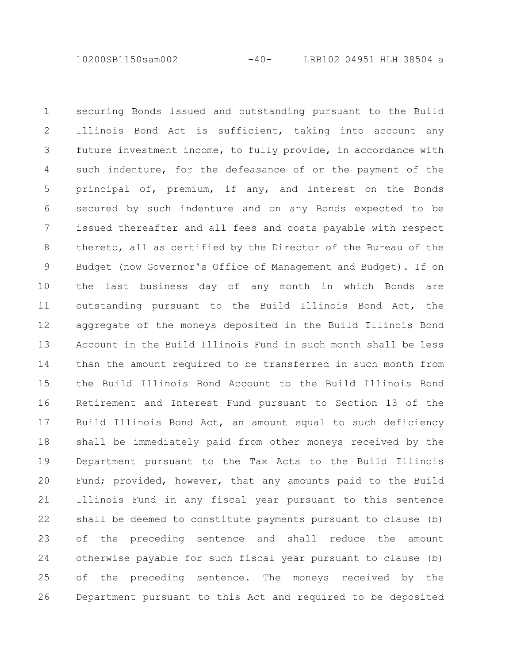10200SB1150sam002 -40- LRB102 04951 HLH 38504 a

securing Bonds issued and outstanding pursuant to the Build Illinois Bond Act is sufficient, taking into account any future investment income, to fully provide, in accordance with such indenture, for the defeasance of or the payment of the principal of, premium, if any, and interest on the Bonds secured by such indenture and on any Bonds expected to be issued thereafter and all fees and costs payable with respect thereto, all as certified by the Director of the Bureau of the Budget (now Governor's Office of Management and Budget). If on the last business day of any month in which Bonds are outstanding pursuant to the Build Illinois Bond Act, the aggregate of the moneys deposited in the Build Illinois Bond Account in the Build Illinois Fund in such month shall be less than the amount required to be transferred in such month from the Build Illinois Bond Account to the Build Illinois Bond Retirement and Interest Fund pursuant to Section 13 of the Build Illinois Bond Act, an amount equal to such deficiency shall be immediately paid from other moneys received by the Department pursuant to the Tax Acts to the Build Illinois Fund; provided, however, that any amounts paid to the Build Illinois Fund in any fiscal year pursuant to this sentence shall be deemed to constitute payments pursuant to clause (b) of the preceding sentence and shall reduce the amount otherwise payable for such fiscal year pursuant to clause (b) of the preceding sentence. The moneys received by the Department pursuant to this Act and required to be deposited 1 2 3 4 5 6 7 8 9 10 11 12 13 14 15 16 17 18 19 20 21 22 23 24 25 26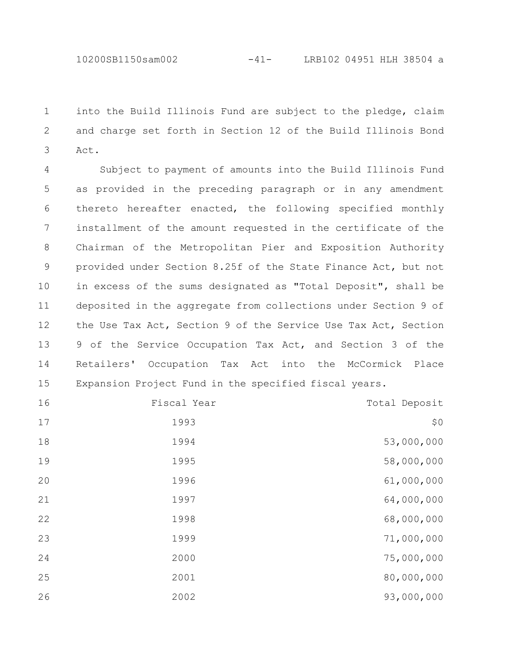10200SB1150sam002 -41- LRB102 04951 HLH 38504 a

into the Build Illinois Fund are subject to the pledge, claim and charge set forth in Section 12 of the Build Illinois Bond Act. 

Subject to payment of amounts into the Build Illinois Fund as provided in the preceding paragraph or in any amendment thereto hereafter enacted, the following specified monthly installment of the amount requested in the certificate of the Chairman of the Metropolitan Pier and Exposition Authority provided under Section 8.25f of the State Finance Act, but not in excess of the sums designated as "Total Deposit", shall be deposited in the aggregate from collections under Section 9 of the Use Tax Act, Section 9 of the Service Use Tax Act, Section of the Service Occupation Tax Act, and Section 3 of the Retailers' Occupation Tax Act into the McCormick Place Expansion Project Fund in the specified fiscal years. 

| Total Deposit | Fiscal Year | 16 |
|---------------|-------------|----|
| \$0           | 1993        | 17 |
| 53,000,000    | 1994        | 18 |
| 58,000,000    | 1995        | 19 |
| 61,000,000    | 1996        | 20 |
| 64,000,000    | 1997        | 21 |
| 68,000,000    | 1998        | 22 |
| 71,000,000    | 1999        | 23 |
| 75,000,000    | 2000        | 24 |
| 80,000,000    | 2001        | 25 |
| 93,000,000    | 2002        | 26 |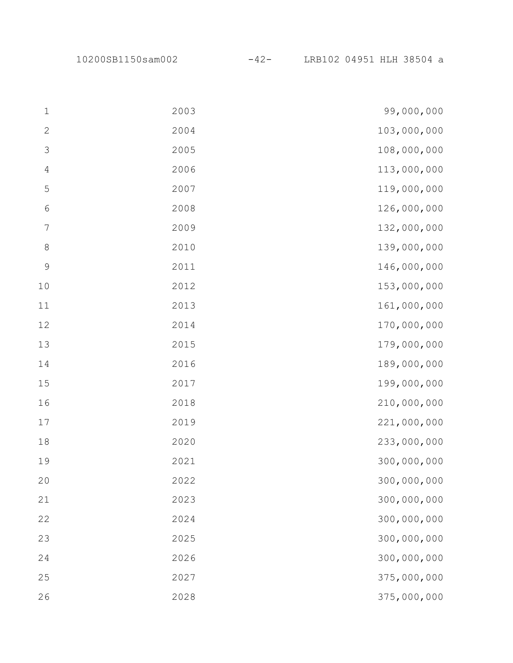10200SB1150sam002 -42- LRB102 04951 HLH 38504 a

| $\mathbf{1}$    | 2003 | 99,000,000  |
|-----------------|------|-------------|
| $\sqrt{2}$      | 2004 | 103,000,000 |
| $\mathsf 3$     | 2005 | 108,000,000 |
| $\overline{4}$  | 2006 | 113,000,000 |
| $\mathsf S$     | 2007 | 119,000,000 |
| $\sqrt{6}$      | 2008 | 126,000,000 |
| $7\phantom{.0}$ | 2009 | 132,000,000 |
| $\,8\,$         | 2010 | 139,000,000 |
| $\mathsf 9$     | 2011 | 146,000,000 |
| 10              | 2012 | 153,000,000 |
| $11\,$          | 2013 | 161,000,000 |
| $12$            | 2014 | 170,000,000 |
| 13              | 2015 | 179,000,000 |
| $14$            | 2016 | 189,000,000 |
| 15              | 2017 | 199,000,000 |
| 16              | 2018 | 210,000,000 |
| $17$            | 2019 | 221,000,000 |
| $1\,8$          | 2020 | 233,000,000 |
| 19              | 2021 | 300,000,000 |
| 20              | 2022 | 300,000,000 |
| 21              | 2023 | 300,000,000 |
| 22              | 2024 | 300,000,000 |
| 23              | 2025 | 300,000,000 |
| 24              | 2026 | 300,000,000 |
| 25              | 2027 | 375,000,000 |
| 26              | 2028 | 375,000,000 |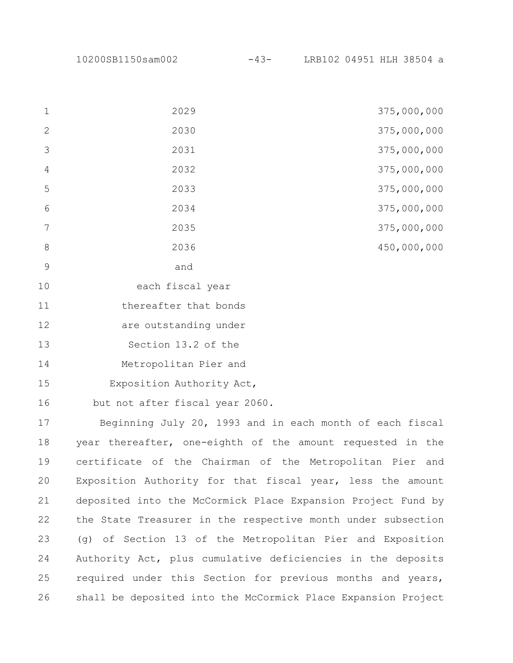| 1              | 2029                  | 375,000,000 |
|----------------|-----------------------|-------------|
| 2              | 2030                  | 375,000,000 |
| 3              | 2031                  | 375,000,000 |
| $\overline{4}$ | 2032                  | 375,000,000 |
| 5              | 2033                  | 375,000,000 |
| 6              | 2034                  | 375,000,000 |
| 7              | 2035                  | 375,000,000 |
| 8              | 2036                  | 450,000,000 |
| 9              | and                   |             |
| 10             | each fiscal year      |             |
| 11             | thereafter that bonds |             |

are outstanding under 

Section 13.2 of the 

Metropolitan Pier and 

Exposition Authority Act, 

but not after fiscal year 2060. 

Beginning July 20, 1993 and in each month of each fiscal year thereafter, one-eighth of the amount requested in the certificate of the Chairman of the Metropolitan Pier and Exposition Authority for that fiscal year, less the amount deposited into the McCormick Place Expansion Project Fund by the State Treasurer in the respective month under subsection (g) of Section 13 of the Metropolitan Pier and Exposition Authority Act, plus cumulative deficiencies in the deposits required under this Section for previous months and years, shall be deposited into the McCormick Place Expansion Project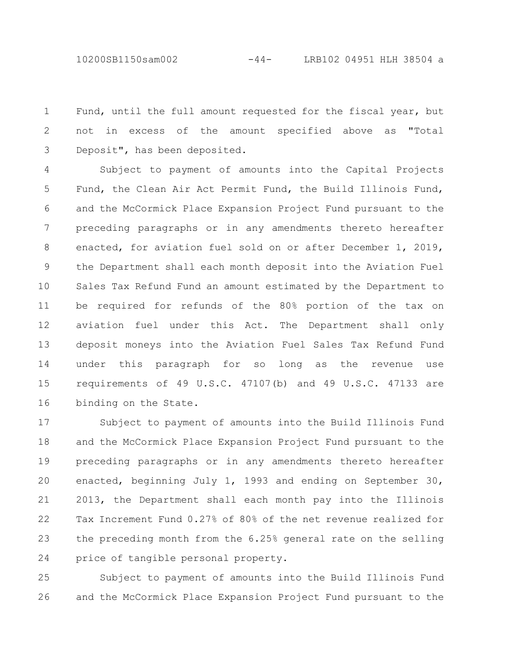10200SB1150sam002 -44- LRB102 04951 HLH 38504 a

Fund, until the full amount requested for the fiscal year, but not in excess of the amount specified above as "Total Deposit", has been deposited. 1 2 3

Subject to payment of amounts into the Capital Projects Fund, the Clean Air Act Permit Fund, the Build Illinois Fund, and the McCormick Place Expansion Project Fund pursuant to the preceding paragraphs or in any amendments thereto hereafter enacted, for aviation fuel sold on or after December 1, 2019, the Department shall each month deposit into the Aviation Fuel Sales Tax Refund Fund an amount estimated by the Department to be required for refunds of the 80% portion of the tax on aviation fuel under this Act. The Department shall only deposit moneys into the Aviation Fuel Sales Tax Refund Fund under this paragraph for so long as the revenue use requirements of 49 U.S.C. 47107(b) and 49 U.S.C. 47133 are binding on the State. 4 5 6 7 8 9 10 11 12 13 14 15 16

Subject to payment of amounts into the Build Illinois Fund and the McCormick Place Expansion Project Fund pursuant to the preceding paragraphs or in any amendments thereto hereafter enacted, beginning July 1, 1993 and ending on September 30, 2013, the Department shall each month pay into the Illinois Tax Increment Fund 0.27% of 80% of the net revenue realized for the preceding month from the 6.25% general rate on the selling price of tangible personal property. 17 18 19 20 21 22 23 24

Subject to payment of amounts into the Build Illinois Fund and the McCormick Place Expansion Project Fund pursuant to the 25 26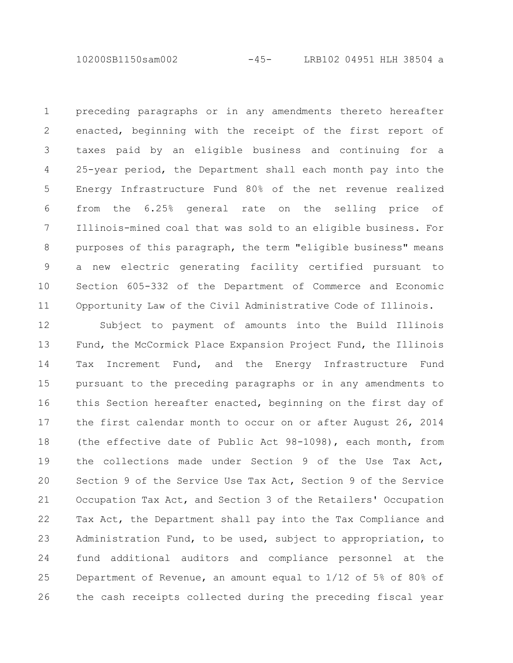10200SB1150sam002 -45- LRB102 04951 HLH 38504 a

preceding paragraphs or in any amendments thereto hereafter enacted, beginning with the receipt of the first report of taxes paid by an eligible business and continuing for a 25-year period, the Department shall each month pay into the Energy Infrastructure Fund 80% of the net revenue realized from the 6.25% general rate on the selling price of Illinois-mined coal that was sold to an eligible business. For purposes of this paragraph, the term "eligible business" means a new electric generating facility certified pursuant to Section 605-332 of the Department of Commerce and Economic Opportunity Law of the Civil Administrative Code of Illinois. 1 2 3 4 5 6 7 8 9 10 11

Subject to payment of amounts into the Build Illinois Fund, the McCormick Place Expansion Project Fund, the Illinois Tax Increment Fund, and the Energy Infrastructure Fund pursuant to the preceding paragraphs or in any amendments to this Section hereafter enacted, beginning on the first day of the first calendar month to occur on or after August 26, 2014 (the effective date of Public Act 98-1098), each month, from the collections made under Section 9 of the Use Tax Act, Section 9 of the Service Use Tax Act, Section 9 of the Service Occupation Tax Act, and Section 3 of the Retailers' Occupation Tax Act, the Department shall pay into the Tax Compliance and Administration Fund, to be used, subject to appropriation, to fund additional auditors and compliance personnel at the Department of Revenue, an amount equal to 1/12 of 5% of 80% of the cash receipts collected during the preceding fiscal year 12 13 14 15 16 17 18 19 20 21 22 23 24 25 26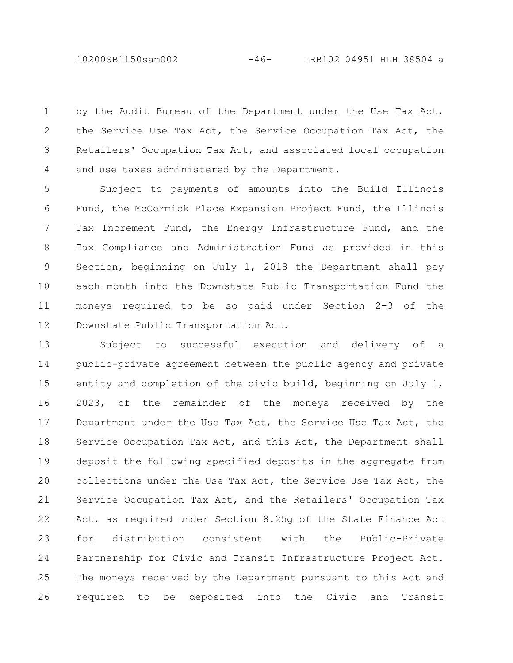10200SB1150sam002 -46- LRB102 04951 HLH 38504 a

by the Audit Bureau of the Department under the Use Tax Act, the Service Use Tax Act, the Service Occupation Tax Act, the Retailers' Occupation Tax Act, and associated local occupation and use taxes administered by the Department. 1 2 3 4

Subject to payments of amounts into the Build Illinois Fund, the McCormick Place Expansion Project Fund, the Illinois Tax Increment Fund, the Energy Infrastructure Fund, and the Tax Compliance and Administration Fund as provided in this Section, beginning on July 1, 2018 the Department shall pay each month into the Downstate Public Transportation Fund the moneys required to be so paid under Section 2-3 of the Downstate Public Transportation Act. 5 6 7 8 9 10 11 12

Subject to successful execution and delivery of a public-private agreement between the public agency and private entity and completion of the civic build, beginning on July 1, 2023, of the remainder of the moneys received by the Department under the Use Tax Act, the Service Use Tax Act, the Service Occupation Tax Act, and this Act, the Department shall deposit the following specified deposits in the aggregate from collections under the Use Tax Act, the Service Use Tax Act, the Service Occupation Tax Act, and the Retailers' Occupation Tax Act, as required under Section 8.25g of the State Finance Act for distribution consistent with the Public-Private Partnership for Civic and Transit Infrastructure Project Act. The moneys received by the Department pursuant to this Act and required to be deposited into the Civic and Transit 13 14 15 16 17 18 19 20 21 22 23 24 25 26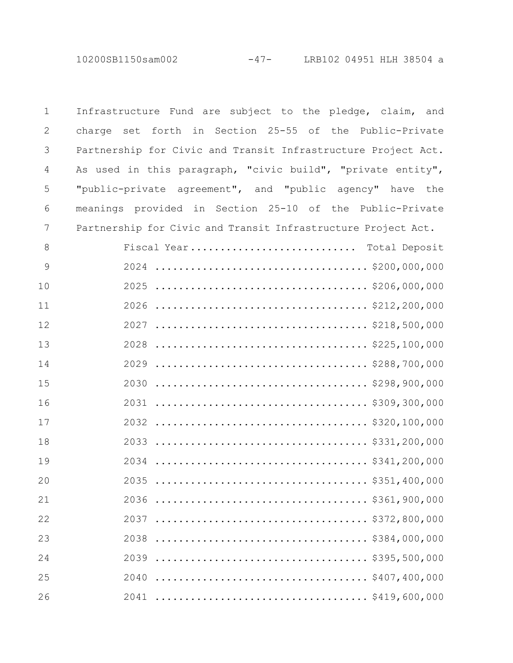| $\mathbf 1$   | Infrastructure Fund are subject to the pledge, claim, and     |
|---------------|---------------------------------------------------------------|
| $\mathbf{2}$  | charge set forth in Section 25-55 of the Public-Private       |
| 3             | Partnership for Civic and Transit Infrastructure Project Act. |
| 4             | As used in this paragraph, "civic build", "private entity",   |
| 5             | "public-private agreement", and "public agency" have the      |
| 6             | meanings provided in Section 25-10 of the Public-Private      |
| 7             | Partnership for Civic and Transit Infrastructure Project Act. |
| 8             | Fiscal Year Total Deposit                                     |
| $\mathcal{G}$ |                                                               |
| 10            |                                                               |
| 11            |                                                               |
| 12            |                                                               |
| 13            |                                                               |
| 14            |                                                               |
| 15            |                                                               |
| 16            |                                                               |
| 17            |                                                               |
| 18            |                                                               |
| 19            |                                                               |
| 20            | 2035                                                          |
| 21            |                                                               |
| 22            | \$372,800,000<br>2037                                         |
| 23            | 2038                                                          |
| 24            | 2039                                                          |
| 25            | 2040                                                          |
| 26            |                                                               |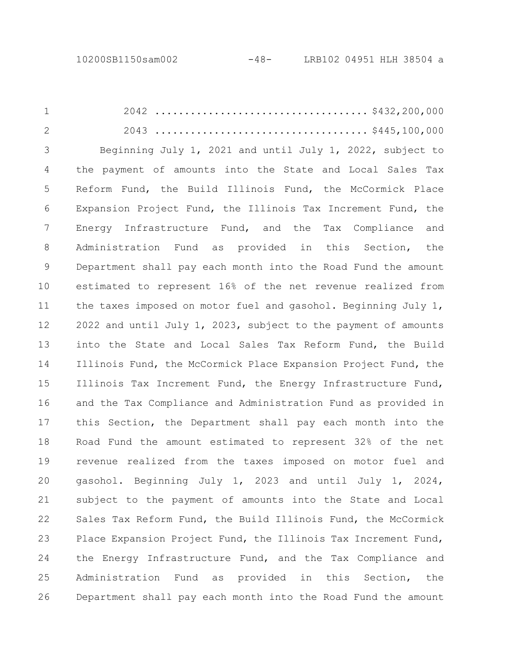2042 .................................... \$432,200,000 2043 .................................... \$445,100,000 Beginning July 1, 2021 and until July 1, 2022, subject to the payment of amounts into the State and Local Sales Tax Reform Fund, the Build Illinois Fund, the McCormick Place Expansion Project Fund, the Illinois Tax Increment Fund, the Energy Infrastructure Fund, and the Tax Compliance and Administration Fund as provided in this Section, the Department shall pay each month into the Road Fund the amount estimated to represent 16% of the net revenue realized from the taxes imposed on motor fuel and gasohol. Beginning July 1, 2022 and until July 1, 2023, subject to the payment of amounts into the State and Local Sales Tax Reform Fund, the Build Illinois Fund, the McCormick Place Expansion Project Fund, the Illinois Tax Increment Fund, the Energy Infrastructure Fund, and the Tax Compliance and Administration Fund as provided in this Section, the Department shall pay each month into the Road Fund the amount estimated to represent 32% of the net revenue realized from the taxes imposed on motor fuel and gasohol. Beginning July 1, 2023 and until July 1, 2024, subject to the payment of amounts into the State and Local Sales Tax Reform Fund, the Build Illinois Fund, the McCormick Place Expansion Project Fund, the Illinois Tax Increment Fund, the Energy Infrastructure Fund, and the Tax Compliance and Administration Fund as provided in this Section, the Department shall pay each month into the Road Fund the amount 1 2 3 4 5 6 7 8 9 10 11 12 13 14 15 16 17 18 19 20 21 22 23 24 25 26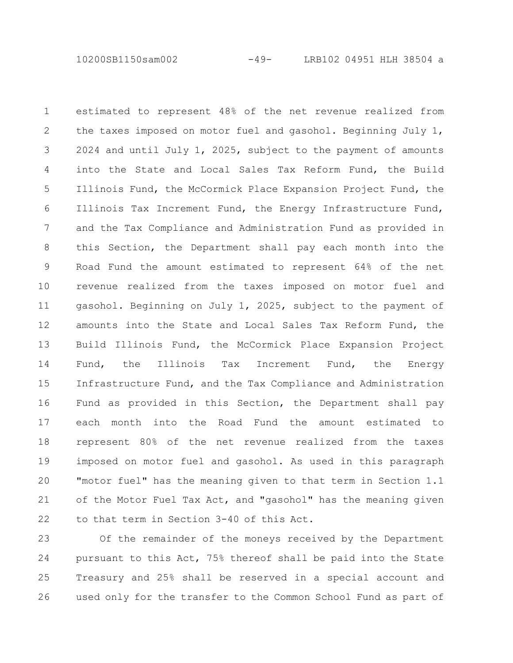10200SB1150sam002 -49- LRB102 04951 HLH 38504 a

estimated to represent 48% of the net revenue realized from the taxes imposed on motor fuel and gasohol. Beginning July 1, 2024 and until July 1, 2025, subject to the payment of amounts into the State and Local Sales Tax Reform Fund, the Build Illinois Fund, the McCormick Place Expansion Project Fund, the Illinois Tax Increment Fund, the Energy Infrastructure Fund, and the Tax Compliance and Administration Fund as provided in this Section, the Department shall pay each month into the Road Fund the amount estimated to represent 64% of the net revenue realized from the taxes imposed on motor fuel and gasohol. Beginning on July 1, 2025, subject to the payment of amounts into the State and Local Sales Tax Reform Fund, the Build Illinois Fund, the McCormick Place Expansion Project Fund, the Illinois Tax Increment Fund, the Energy Infrastructure Fund, and the Tax Compliance and Administration Fund as provided in this Section, the Department shall pay each month into the Road Fund the amount estimated to represent 80% of the net revenue realized from the taxes imposed on motor fuel and gasohol. As used in this paragraph "motor fuel" has the meaning given to that term in Section 1.1 of the Motor Fuel Tax Act, and "gasohol" has the meaning given to that term in Section 3-40 of this Act. 1 2 3 4 5 6 7 8 9 10 11 12 13 14 15 16 17 18 19 20 21 22

Of the remainder of the moneys received by the Department pursuant to this Act, 75% thereof shall be paid into the State Treasury and 25% shall be reserved in a special account and used only for the transfer to the Common School Fund as part of 23 24 25 26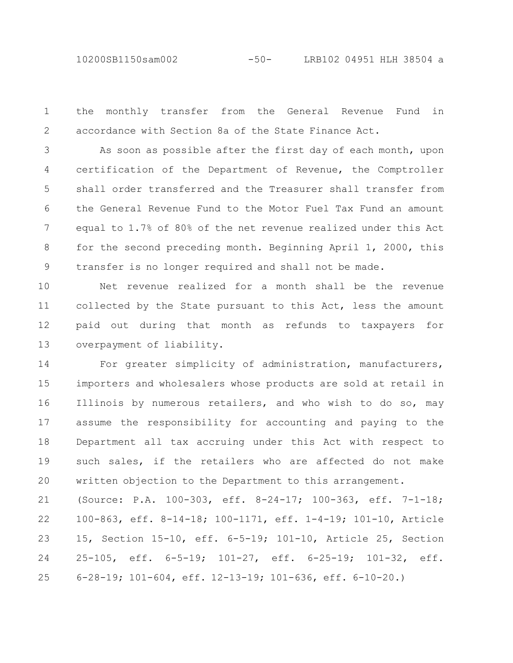10200SB1150sam002 -50- LRB102 04951 HLH 38504 a

the monthly transfer from the General Revenue Fund in accordance with Section 8a of the State Finance Act. 1 2

As soon as possible after the first day of each month, upon certification of the Department of Revenue, the Comptroller shall order transferred and the Treasurer shall transfer from the General Revenue Fund to the Motor Fuel Tax Fund an amount equal to 1.7% of 80% of the net revenue realized under this Act for the second preceding month. Beginning April 1, 2000, this transfer is no longer required and shall not be made. 3 4 5 6 7 8 9

Net revenue realized for a month shall be the revenue collected by the State pursuant to this Act, less the amount paid out during that month as refunds to taxpayers for overpayment of liability. 10 11 12 13

For greater simplicity of administration, manufacturers, importers and wholesalers whose products are sold at retail in Illinois by numerous retailers, and who wish to do so, may assume the responsibility for accounting and paying to the Department all tax accruing under this Act with respect to such sales, if the retailers who are affected do not make written objection to the Department to this arrangement. 14 15 16 17 18 19 20

(Source: P.A. 100-303, eff. 8-24-17; 100-363, eff. 7-1-18; 100-863, eff. 8-14-18; 100-1171, eff. 1-4-19; 101-10, Article 15, Section 15-10, eff. 6-5-19; 101-10, Article 25, Section 25-105, eff. 6-5-19; 101-27, eff. 6-25-19; 101-32, eff. 6-28-19; 101-604, eff. 12-13-19; 101-636, eff. 6-10-20.) 21 22 23 24 25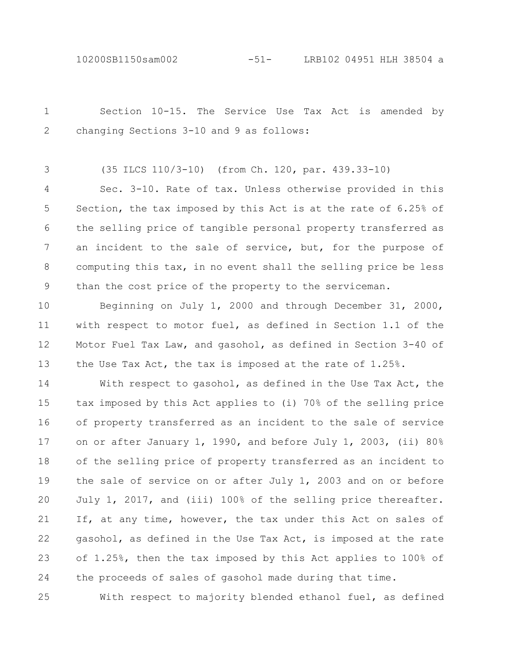10200SB1150sam002 -51- LRB102 04951 HLH 38504 a

Section 10-15. The Service Use Tax Act is amended by changing Sections 3-10 and 9 as follows: (35 ILCS 110/3-10) (from Ch. 120, par. 439.33-10) Sec. 3-10. Rate of tax. Unless otherwise provided in this Section, the tax imposed by this Act is at the rate of 6.25% of the selling price of tangible personal property transferred as an incident to the sale of service, but, for the purpose of computing this tax, in no event shall the selling price be less than the cost price of the property to the serviceman. Beginning on July 1, 2000 and through December 31, 2000, with respect to motor fuel, as defined in Section 1.1 of the 1 2 3 4 5 6 7 8 9 10 11

Motor Fuel Tax Law, and gasohol, as defined in Section 3-40 of

the Use Tax Act, the tax is imposed at the rate of 1.25%.

12

13

With respect to gasohol, as defined in the Use Tax Act, the tax imposed by this Act applies to (i) 70% of the selling price of property transferred as an incident to the sale of service on or after January 1, 1990, and before July 1, 2003, (ii) 80% of the selling price of property transferred as an incident to the sale of service on or after July 1, 2003 and on or before July 1, 2017, and (iii) 100% of the selling price thereafter. If, at any time, however, the tax under this Act on sales of gasohol, as defined in the Use Tax Act, is imposed at the rate of 1.25%, then the tax imposed by this Act applies to 100% of the proceeds of sales of gasohol made during that time. 14 15 16 17 18 19 20 21 22 23 24

With respect to majority blended ethanol fuel, as defined 25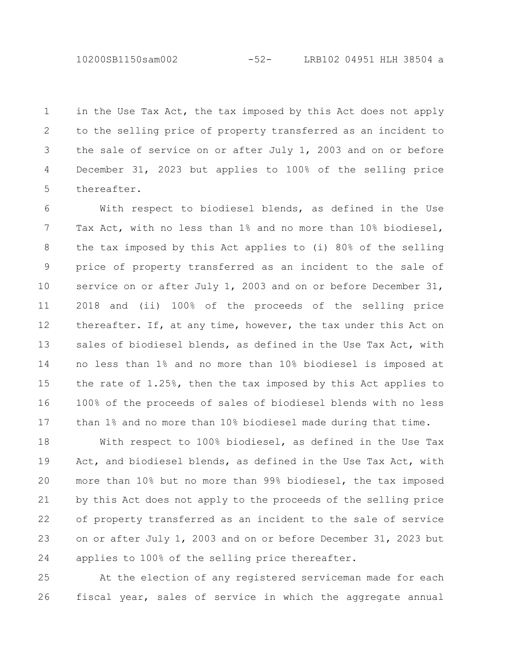10200SB1150sam002 -52- LRB102 04951 HLH 38504 a

in the Use Tax Act, the tax imposed by this Act does not apply to the selling price of property transferred as an incident to the sale of service on or after July 1, 2003 and on or before December 31, 2023 but applies to 100% of the selling price thereafter. 1 2 3 4 5

With respect to biodiesel blends, as defined in the Use Tax Act, with no less than 1% and no more than 10% biodiesel, the tax imposed by this Act applies to (i) 80% of the selling price of property transferred as an incident to the sale of service on or after July 1, 2003 and on or before December 31, 2018 and (ii) 100% of the proceeds of the selling price thereafter. If, at any time, however, the tax under this Act on sales of biodiesel blends, as defined in the Use Tax Act, with no less than 1% and no more than 10% biodiesel is imposed at the rate of 1.25%, then the tax imposed by this Act applies to 100% of the proceeds of sales of biodiesel blends with no less than 1% and no more than 10% biodiesel made during that time. 6 7 8 9 10 11 12 13 14 15 16 17

With respect to 100% biodiesel, as defined in the Use Tax Act, and biodiesel blends, as defined in the Use Tax Act, with more than 10% but no more than 99% biodiesel, the tax imposed by this Act does not apply to the proceeds of the selling price of property transferred as an incident to the sale of service on or after July 1, 2003 and on or before December 31, 2023 but applies to 100% of the selling price thereafter. 18 19 20 21 22 23 24

At the election of any registered serviceman made for each fiscal year, sales of service in which the aggregate annual 25 26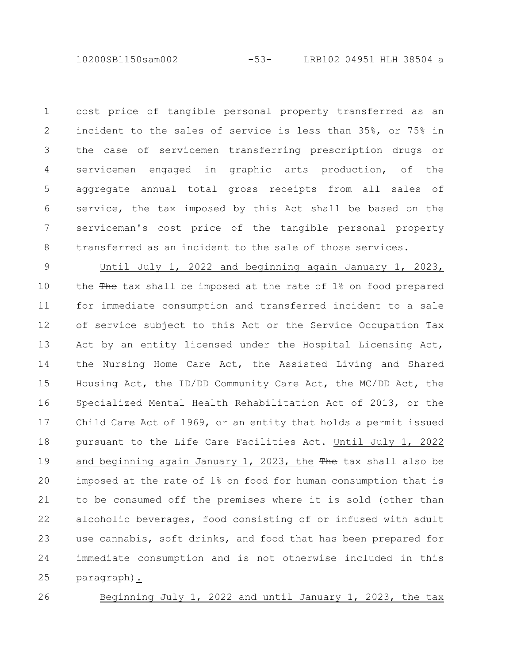10200SB1150sam002 -53- LRB102 04951 HLH 38504 a

cost price of tangible personal property transferred as an incident to the sales of service is less than 35%, or 75% in the case of servicemen transferring prescription drugs or servicemen engaged in graphic arts production, of the aggregate annual total gross receipts from all sales of service, the tax imposed by this Act shall be based on the serviceman's cost price of the tangible personal property transferred as an incident to the sale of those services. 1 2 3 4 5 6 7 8

Until July 1, 2022 and beginning again January 1, 2023, the  $\frac{m}{2}$  tax shall be imposed at the rate of 1% on food prepared for immediate consumption and transferred incident to a sale of service subject to this Act or the Service Occupation Tax Act by an entity licensed under the Hospital Licensing Act, the Nursing Home Care Act, the Assisted Living and Shared Housing Act, the ID/DD Community Care Act, the MC/DD Act, the Specialized Mental Health Rehabilitation Act of 2013, or the Child Care Act of 1969, or an entity that holds a permit issued pursuant to the Life Care Facilities Act. Until July 1, 2022 and beginning again January 1, 2023, the The tax shall also be imposed at the rate of 1% on food for human consumption that is to be consumed off the premises where it is sold (other than alcoholic beverages, food consisting of or infused with adult use cannabis, soft drinks, and food that has been prepared for immediate consumption and is not otherwise included in this paragraph). 9 10 11 12 13 14 15 16 17 18 19 20 21 22 23 24 25

26

Beginning July 1, 2022 and until January 1, 2023, the tax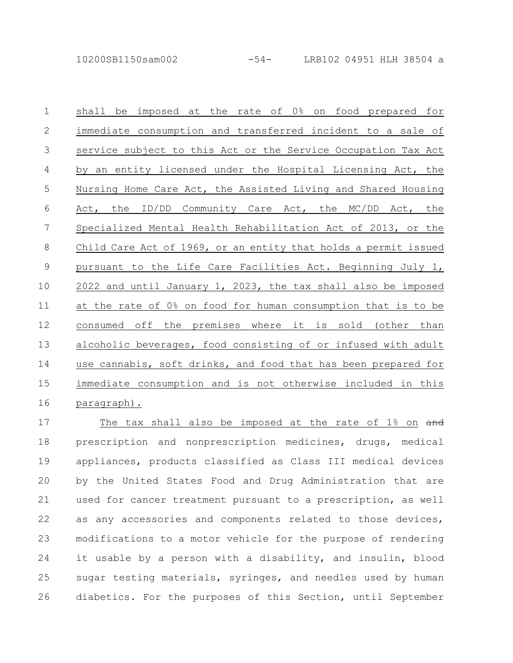shall be imposed at the rate of 0% on food prepared for immediate consumption and transferred incident to a sale of service subject to this Act or the Service Occupation Tax Act by an entity licensed under the Hospital Licensing Act, the Nursing Home Care Act, the Assisted Living and Shared Housing Act, the ID/DD Community Care Act, the MC/DD Act, the Specialized Mental Health Rehabilitation Act of 2013, or the Child Care Act of 1969, or an entity that holds a permit issued pursuant to the Life Care Facilities Act. Beginning July 1, 2022 and until January 1, 2023, the tax shall also be imposed at the rate of 0% on food for human consumption that is to be consumed off the premises where it is sold (other than alcoholic beverages, food consisting of or infused with adult use cannabis, soft drinks, and food that has been prepared for immediate consumption and is not otherwise included in this paragraph). 1 2 3 4 5 6 7 8 9 10 11 12 13 14 15 16

The tax shall also be imposed at the rate of 1% on and prescription and nonprescription medicines, drugs, medical appliances, products classified as Class III medical devices by the United States Food and Drug Administration that are used for cancer treatment pursuant to a prescription, as well as any accessories and components related to those devices, modifications to a motor vehicle for the purpose of rendering it usable by a person with a disability, and insulin, blood sugar testing materials, syringes, and needles used by human diabetics. For the purposes of this Section, until September 17 18 19 20 21 22 23 24 25 26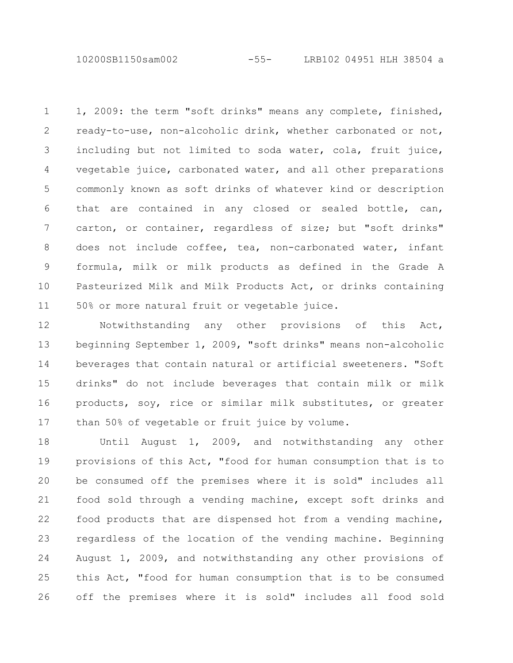10200SB1150sam002 -55- LRB102 04951 HLH 38504 a

1, 2009: the term "soft drinks" means any complete, finished, ready-to-use, non-alcoholic drink, whether carbonated or not, including but not limited to soda water, cola, fruit juice, vegetable juice, carbonated water, and all other preparations commonly known as soft drinks of whatever kind or description that are contained in any closed or sealed bottle, can, carton, or container, regardless of size; but "soft drinks" does not include coffee, tea, non-carbonated water, infant formula, milk or milk products as defined in the Grade A Pasteurized Milk and Milk Products Act, or drinks containing 50% or more natural fruit or vegetable juice. 1 2 3 4 5 6 7 8 9 10 11

Notwithstanding any other provisions of this Act, beginning September 1, 2009, "soft drinks" means non-alcoholic beverages that contain natural or artificial sweeteners. "Soft drinks" do not include beverages that contain milk or milk products, soy, rice or similar milk substitutes, or greater than 50% of vegetable or fruit juice by volume. 12 13 14 15 16 17

Until August 1, 2009, and notwithstanding any other provisions of this Act, "food for human consumption that is to be consumed off the premises where it is sold" includes all food sold through a vending machine, except soft drinks and food products that are dispensed hot from a vending machine, regardless of the location of the vending machine. Beginning August 1, 2009, and notwithstanding any other provisions of this Act, "food for human consumption that is to be consumed off the premises where it is sold" includes all food sold 18 19 20 21 22 23 24 25 26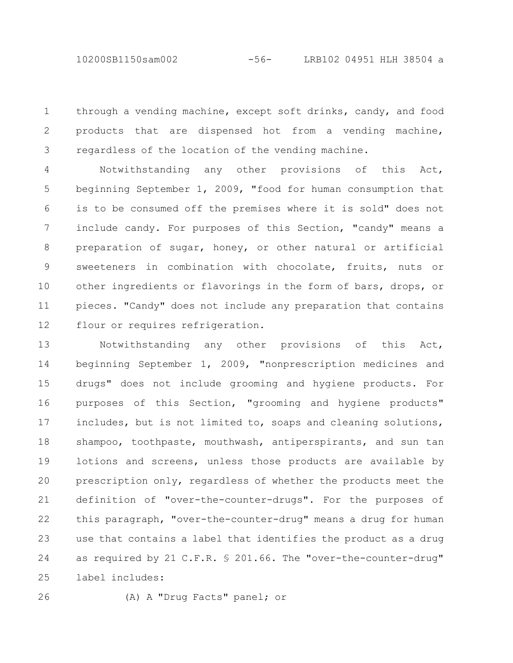through a vending machine, except soft drinks, candy, and food products that are dispensed hot from a vending machine, regardless of the location of the vending machine. 1 2 3

Notwithstanding any other provisions of this Act, beginning September 1, 2009, "food for human consumption that is to be consumed off the premises where it is sold" does not include candy. For purposes of this Section, "candy" means a preparation of sugar, honey, or other natural or artificial sweeteners in combination with chocolate, fruits, nuts or other ingredients or flavorings in the form of bars, drops, or pieces. "Candy" does not include any preparation that contains flour or requires refrigeration. 4 5 6 7 8 9 10 11 12

Notwithstanding any other provisions of this Act, beginning September 1, 2009, "nonprescription medicines and drugs" does not include grooming and hygiene products. For purposes of this Section, "grooming and hygiene products" includes, but is not limited to, soaps and cleaning solutions, shampoo, toothpaste, mouthwash, antiperspirants, and sun tan lotions and screens, unless those products are available by prescription only, regardless of whether the products meet the definition of "over-the-counter-drugs". For the purposes of this paragraph, "over-the-counter-drug" means a drug for human use that contains a label that identifies the product as a drug as required by 21 C.F.R. § 201.66. The "over-the-counter-drug" label includes: 13 14 15 16 17 18 19 20 21 22 23 24 25

26

(A) A "Drug Facts" panel; or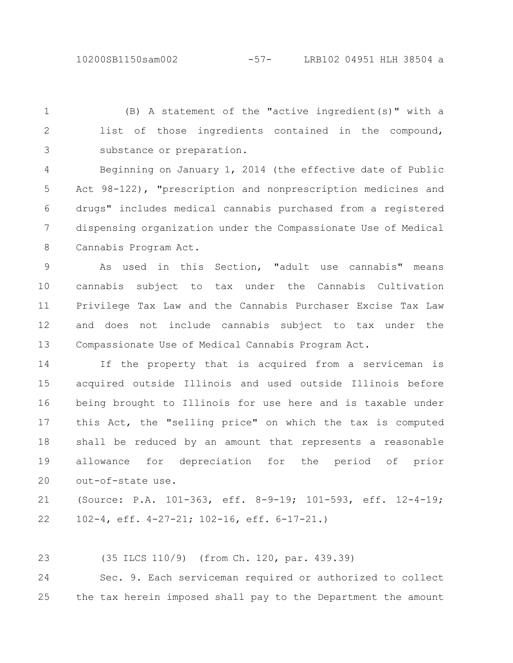(B) A statement of the "active ingredient(s)" with a list of those ingredients contained in the compound, substance or preparation. 1 2 3

Beginning on January 1, 2014 (the effective date of Public Act 98-122), "prescription and nonprescription medicines and drugs" includes medical cannabis purchased from a registered dispensing organization under the Compassionate Use of Medical Cannabis Program Act. 4 5 6 7 8

As used in this Section, "adult use cannabis" means cannabis subject to tax under the Cannabis Cultivation Privilege Tax Law and the Cannabis Purchaser Excise Tax Law and does not include cannabis subject to tax under the Compassionate Use of Medical Cannabis Program Act. 9 10 11 12 13

If the property that is acquired from a serviceman is acquired outside Illinois and used outside Illinois before being brought to Illinois for use here and is taxable under this Act, the "selling price" on which the tax is computed shall be reduced by an amount that represents a reasonable allowance for depreciation for the period of prior out-of-state use. 14 15 16 17 18 19 20

(Source: P.A. 101-363, eff. 8-9-19; 101-593, eff. 12-4-19; 102-4, eff. 4-27-21; 102-16, eff. 6-17-21.) 21 22

(35 ILCS 110/9) (from Ch. 120, par. 439.39) 23

Sec. 9. Each serviceman required or authorized to collect the tax herein imposed shall pay to the Department the amount 24 25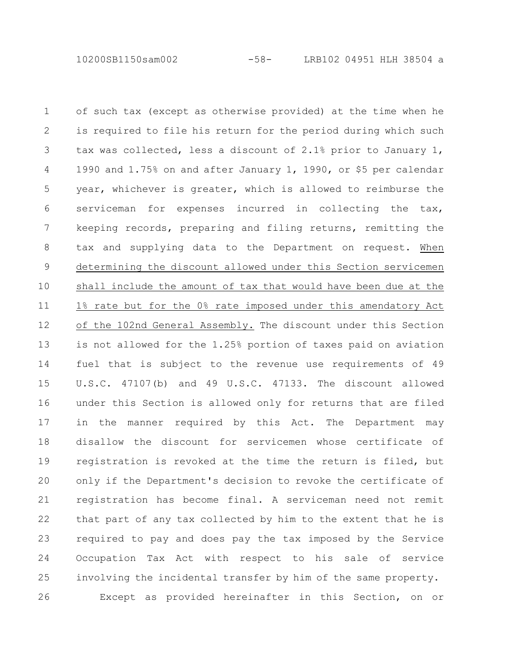10200SB1150sam002 -58- LRB102 04951 HLH 38504 a

of such tax (except as otherwise provided) at the time when he is required to file his return for the period during which such tax was collected, less a discount of 2.1% prior to January 1, 1990 and 1.75% on and after January 1, 1990, or \$5 per calendar year, whichever is greater, which is allowed to reimburse the serviceman for expenses incurred in collecting the tax, keeping records, preparing and filing returns, remitting the tax and supplying data to the Department on request. When determining the discount allowed under this Section servicemen shall include the amount of tax that would have been due at the 1% rate but for the 0% rate imposed under this amendatory Act of the 102nd General Assembly. The discount under this Section is not allowed for the 1.25% portion of taxes paid on aviation fuel that is subject to the revenue use requirements of 49 U.S.C. 47107(b) and 49 U.S.C. 47133. The discount allowed under this Section is allowed only for returns that are filed in the manner required by this Act. The Department may disallow the discount for servicemen whose certificate of registration is revoked at the time the return is filed, but only if the Department's decision to revoke the certificate of registration has become final. A serviceman need not remit that part of any tax collected by him to the extent that he is required to pay and does pay the tax imposed by the Service Occupation Tax Act with respect to his sale of service involving the incidental transfer by him of the same property. Except as provided hereinafter in this Section, on or 1 2 3 4 5 6 7 8 9 10 11 12 13 14 15 16 17 18 19 20 21 22 23 24 25 26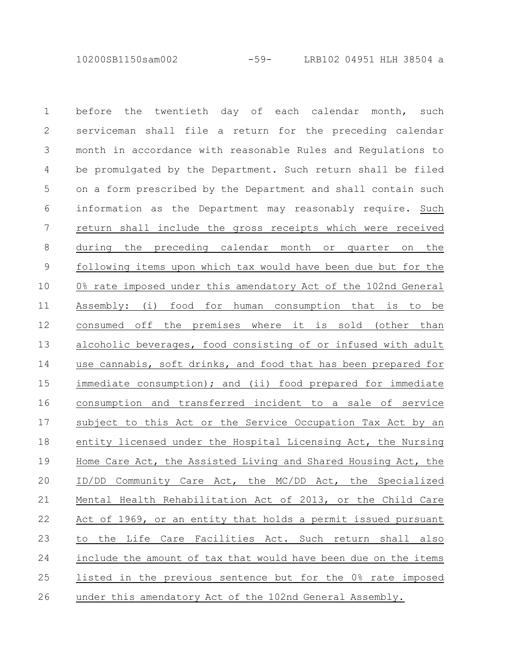10200SB1150sam002 -59- LRB102 04951 HLH 38504 a

before the twentieth day of each calendar month, such serviceman shall file a return for the preceding calendar month in accordance with reasonable Rules and Regulations to be promulgated by the Department. Such return shall be filed on a form prescribed by the Department and shall contain such information as the Department may reasonably require. Such return shall include the gross receipts which were received during the preceding calendar month or quarter on the following items upon which tax would have been due but for the 0% rate imposed under this amendatory Act of the 102nd General Assembly: (i) food for human consumption that is to be consumed off the premises where it is sold (other than alcoholic beverages, food consisting of or infused with adult use cannabis, soft drinks, and food that has been prepared for immediate consumption); and (ii) food prepared for immediate consumption and transferred incident to a sale of service subject to this Act or the Service Occupation Tax Act by an entity licensed under the Hospital Licensing Act, the Nursing Home Care Act, the Assisted Living and Shared Housing Act, the ID/DD Community Care Act, the MC/DD Act, the Specialized Mental Health Rehabilitation Act of 2013, or the Child Care Act of 1969, or an entity that holds a permit issued pursuant to the Life Care Facilities Act. Such return shall also include the amount of tax that would have been due on the items listed in the previous sentence but for the 0% rate imposed under this amendatory Act of the 102nd General Assembly. 1 2 3 4 5 6 7 8 9 10 11 12 13 14 15 16 17 18 19 20 21 22 23 24 25 26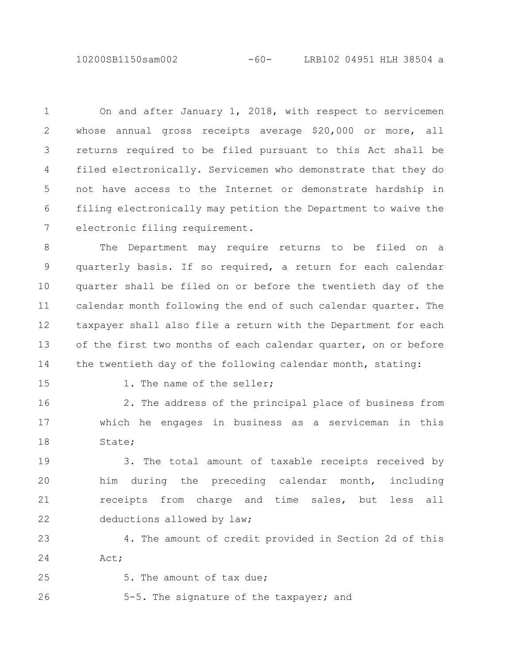10200SB1150sam002 -60- LRB102 04951 HLH 38504 a

On and after January 1, 2018, with respect to servicemen whose annual gross receipts average \$20,000 or more, all returns required to be filed pursuant to this Act shall be filed electronically. Servicemen who demonstrate that they do not have access to the Internet or demonstrate hardship in filing electronically may petition the Department to waive the electronic filing requirement. 1 2 3 4 5 6 7

The Department may require returns to be filed on a quarterly basis. If so required, a return for each calendar quarter shall be filed on or before the twentieth day of the calendar month following the end of such calendar quarter. The taxpayer shall also file a return with the Department for each of the first two months of each calendar quarter, on or before the twentieth day of the following calendar month, stating: 8 9 10 11 12 13 14

15

1. The name of the seller;

2. The address of the principal place of business from which he engages in business as a serviceman in this State; 16 17 18

3. The total amount of taxable receipts received by him during the preceding calendar month, including receipts from charge and time sales, but less all deductions allowed by law; 19 20 21 22

4. The amount of credit provided in Section 2d of this Act; 23 24

25

5. The amount of tax due;

5-5. The signature of the taxpayer; and 26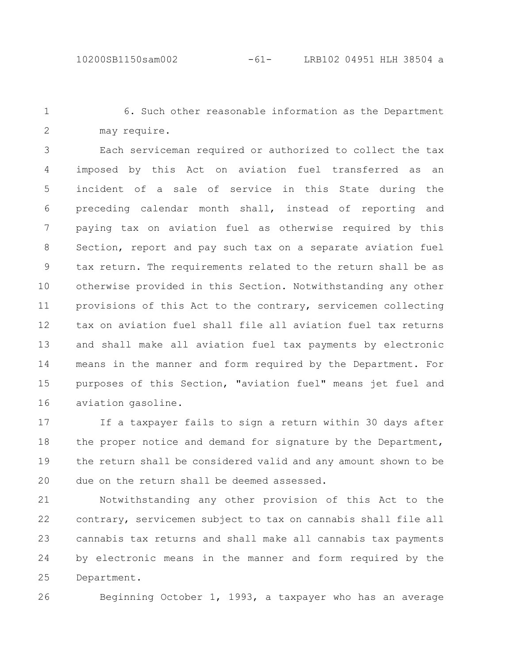1 2

6. Such other reasonable information as the Department may require.

Each serviceman required or authorized to collect the tax imposed by this Act on aviation fuel transferred as an incident of a sale of service in this State during the preceding calendar month shall, instead of reporting and paying tax on aviation fuel as otherwise required by this Section, report and pay such tax on a separate aviation fuel tax return. The requirements related to the return shall be as otherwise provided in this Section. Notwithstanding any other provisions of this Act to the contrary, servicemen collecting tax on aviation fuel shall file all aviation fuel tax returns and shall make all aviation fuel tax payments by electronic means in the manner and form required by the Department. For purposes of this Section, "aviation fuel" means jet fuel and aviation gasoline. 3 4 5 6 7 8 9 10 11 12 13 14 15 16

If a taxpayer fails to sign a return within 30 days after the proper notice and demand for signature by the Department, the return shall be considered valid and any amount shown to be due on the return shall be deemed assessed. 17 18 19 20

Notwithstanding any other provision of this Act to the contrary, servicemen subject to tax on cannabis shall file all cannabis tax returns and shall make all cannabis tax payments by electronic means in the manner and form required by the Department. 21 22 23 24 25

26

Beginning October 1, 1993, a taxpayer who has an average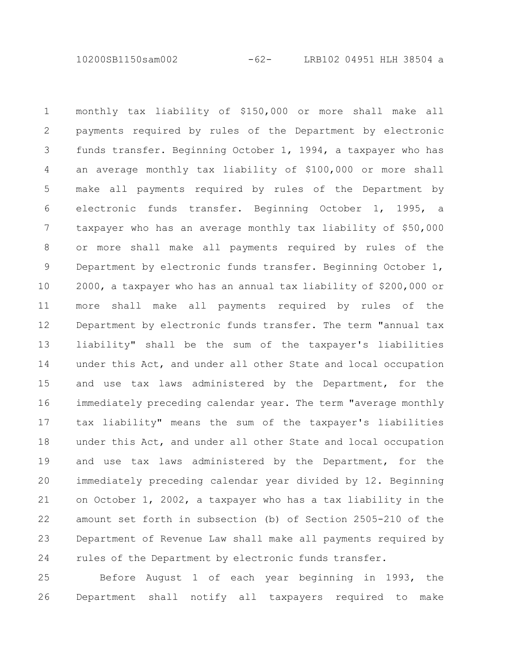10200SB1150sam002 -62- LRB102 04951 HLH 38504 a

monthly tax liability of \$150,000 or more shall make all payments required by rules of the Department by electronic funds transfer. Beginning October 1, 1994, a taxpayer who has an average monthly tax liability of \$100,000 or more shall make all payments required by rules of the Department by electronic funds transfer. Beginning October 1, 1995, a taxpayer who has an average monthly tax liability of \$50,000 or more shall make all payments required by rules of the Department by electronic funds transfer. Beginning October 1, 2000, a taxpayer who has an annual tax liability of \$200,000 or more shall make all payments required by rules of the Department by electronic funds transfer. The term "annual tax liability" shall be the sum of the taxpayer's liabilities under this Act, and under all other State and local occupation and use tax laws administered by the Department, for the immediately preceding calendar year. The term "average monthly tax liability" means the sum of the taxpayer's liabilities under this Act, and under all other State and local occupation and use tax laws administered by the Department, for the immediately preceding calendar year divided by 12. Beginning on October 1, 2002, a taxpayer who has a tax liability in the amount set forth in subsection (b) of Section 2505-210 of the Department of Revenue Law shall make all payments required by rules of the Department by electronic funds transfer. 1 2 3 4 5 6 7 8 9 10 11 12 13 14 15 16 17 18 19 20 21 22 23 24

Before August 1 of each year beginning in 1993, the Department shall notify all taxpayers required to make 25 26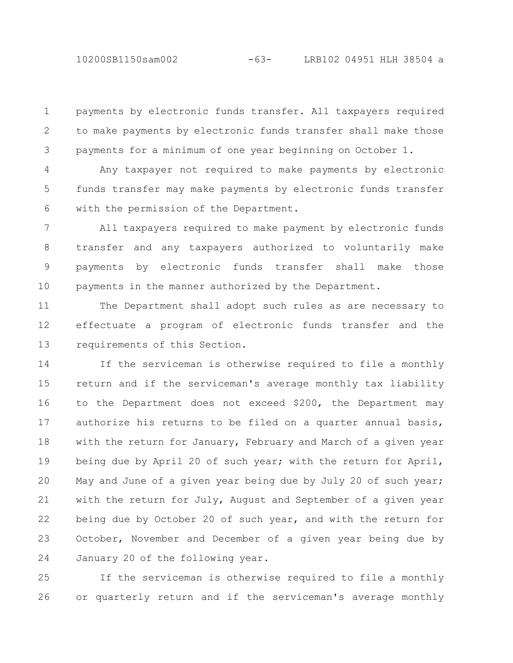10200SB1150sam002 -63- LRB102 04951 HLH 38504 a

payments by electronic funds transfer. All taxpayers required to make payments by electronic funds transfer shall make those payments for a minimum of one year beginning on October 1. 1 2 3

Any taxpayer not required to make payments by electronic funds transfer may make payments by electronic funds transfer with the permission of the Department. 4 5 6

All taxpayers required to make payment by electronic funds transfer and any taxpayers authorized to voluntarily make payments by electronic funds transfer shall make those payments in the manner authorized by the Department. 7 8 9 10

The Department shall adopt such rules as are necessary to effectuate a program of electronic funds transfer and the requirements of this Section. 11 12 13

If the serviceman is otherwise required to file a monthly return and if the serviceman's average monthly tax liability to the Department does not exceed \$200, the Department may authorize his returns to be filed on a quarter annual basis, with the return for January, February and March of a given year being due by April 20 of such year; with the return for April, May and June of a given year being due by July 20 of such year; with the return for July, August and September of a given year being due by October 20 of such year, and with the return for October, November and December of a given year being due by January 20 of the following year. 14 15 16 17 18 19 20 21 22 23 24

If the serviceman is otherwise required to file a monthly or quarterly return and if the serviceman's average monthly 25 26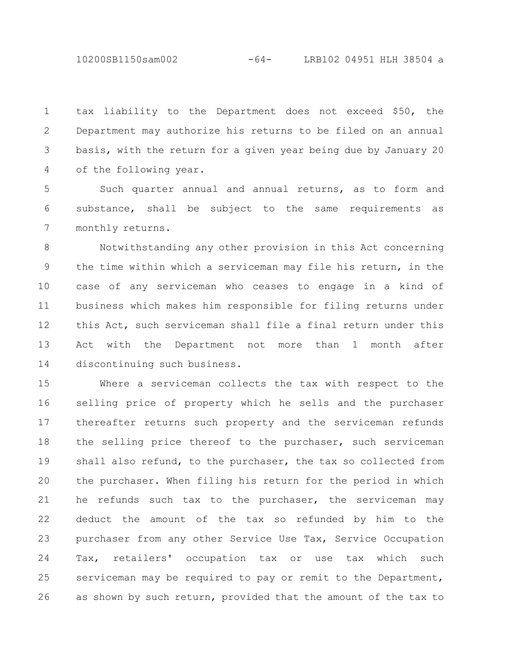10200SB1150sam002 -64- LRB102 04951 HLH 38504 a

tax liability to the Department does not exceed \$50, the Department may authorize his returns to be filed on an annual basis, with the return for a given year being due by January 20 of the following year. 1 2 3 4

Such quarter annual and annual returns, as to form and substance, shall be subject to the same requirements as monthly returns. 5 6 7

Notwithstanding any other provision in this Act concerning the time within which a serviceman may file his return, in the case of any serviceman who ceases to engage in a kind of business which makes him responsible for filing returns under this Act, such serviceman shall file a final return under this Act with the Department not more than 1 month after discontinuing such business. 8 9 10 11 12 13 14

Where a serviceman collects the tax with respect to the selling price of property which he sells and the purchaser thereafter returns such property and the serviceman refunds the selling price thereof to the purchaser, such serviceman shall also refund, to the purchaser, the tax so collected from the purchaser. When filing his return for the period in which he refunds such tax to the purchaser, the serviceman may deduct the amount of the tax so refunded by him to the purchaser from any other Service Use Tax, Service Occupation Tax, retailers' occupation tax or use tax which such serviceman may be required to pay or remit to the Department, as shown by such return, provided that the amount of the tax to 15 16 17 18 19 20 21 22 23 24 25 26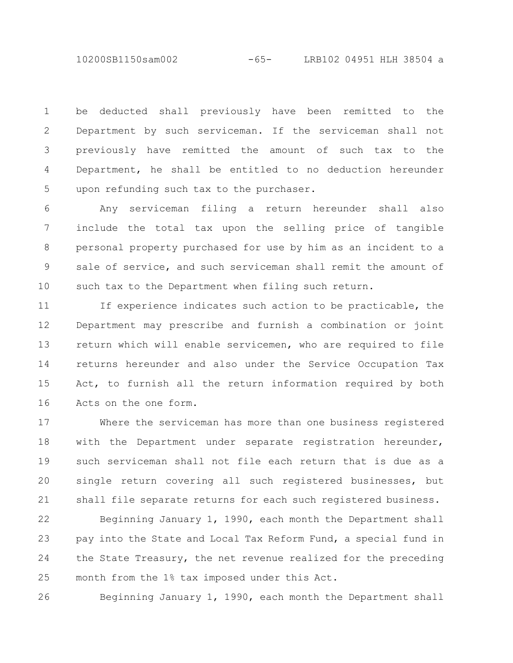10200SB1150sam002 -65- LRB102 04951 HLH 38504 a

be deducted shall previously have been remitted to the Department by such serviceman. If the serviceman shall not previously have remitted the amount of such tax to the Department, he shall be entitled to no deduction hereunder upon refunding such tax to the purchaser. 1 2 3 4 5

Any serviceman filing a return hereunder shall also include the total tax upon the selling price of tangible personal property purchased for use by him as an incident to a sale of service, and such serviceman shall remit the amount of such tax to the Department when filing such return. 6 7 8 9 10

If experience indicates such action to be practicable, the Department may prescribe and furnish a combination or joint return which will enable servicemen, who are required to file returns hereunder and also under the Service Occupation Tax Act, to furnish all the return information required by both Acts on the one form. 11 12 13 14 15 16

Where the serviceman has more than one business registered with the Department under separate registration hereunder, such serviceman shall not file each return that is due as a single return covering all such registered businesses, but shall file separate returns for each such registered business. 17 18 19 20 21

Beginning January 1, 1990, each month the Department shall pay into the State and Local Tax Reform Fund, a special fund in the State Treasury, the net revenue realized for the preceding month from the 1% tax imposed under this Act. 22 23 24 25

26

Beginning January 1, 1990, each month the Department shall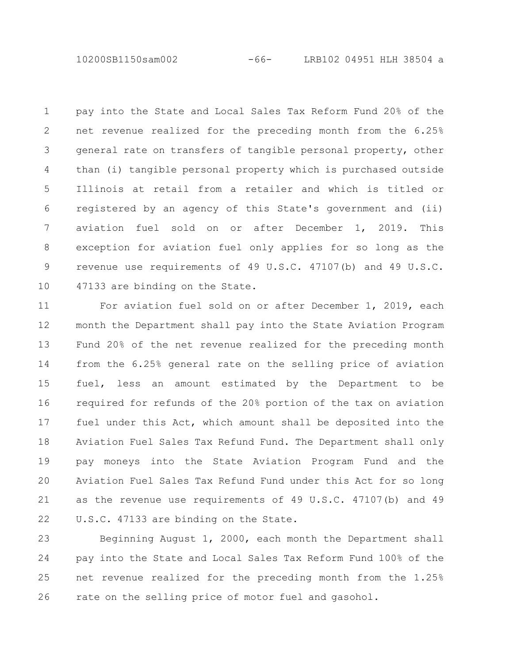10200SB1150sam002 -66- LRB102 04951 HLH 38504 a

pay into the State and Local Sales Tax Reform Fund 20% of the net revenue realized for the preceding month from the 6.25% general rate on transfers of tangible personal property, other than (i) tangible personal property which is purchased outside Illinois at retail from a retailer and which is titled or registered by an agency of this State's government and (ii) aviation fuel sold on or after December 1, 2019. This exception for aviation fuel only applies for so long as the revenue use requirements of 49 U.S.C. 47107(b) and 49 U.S.C. 47133 are binding on the State. 1 2 3 4 5 6 7 8 9 10

For aviation fuel sold on or after December 1, 2019, each month the Department shall pay into the State Aviation Program Fund 20% of the net revenue realized for the preceding month from the 6.25% general rate on the selling price of aviation fuel, less an amount estimated by the Department to be required for refunds of the 20% portion of the tax on aviation fuel under this Act, which amount shall be deposited into the Aviation Fuel Sales Tax Refund Fund. The Department shall only pay moneys into the State Aviation Program Fund and the Aviation Fuel Sales Tax Refund Fund under this Act for so long as the revenue use requirements of 49 U.S.C. 47107(b) and 49 U.S.C. 47133 are binding on the State. 11 12 13 14 15 16 17 18 19 20 21 22

Beginning August 1, 2000, each month the Department shall pay into the State and Local Sales Tax Reform Fund 100% of the net revenue realized for the preceding month from the 1.25% rate on the selling price of motor fuel and gasohol. 23 24 25 26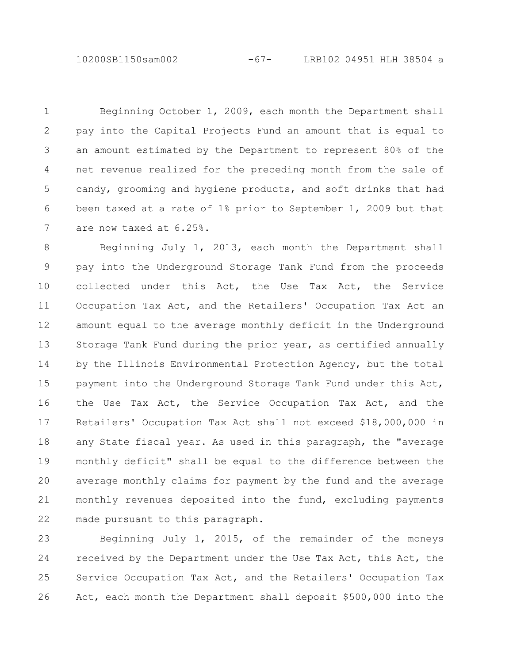10200SB1150sam002 -67- LRB102 04951 HLH 38504 a

Beginning October 1, 2009, each month the Department shall pay into the Capital Projects Fund an amount that is equal to an amount estimated by the Department to represent 80% of the net revenue realized for the preceding month from the sale of candy, grooming and hygiene products, and soft drinks that had been taxed at a rate of 1% prior to September 1, 2009 but that are now taxed at 6.25%. 1 2 3 4 5 6 7

Beginning July 1, 2013, each month the Department shall pay into the Underground Storage Tank Fund from the proceeds collected under this Act, the Use Tax Act, the Service Occupation Tax Act, and the Retailers' Occupation Tax Act an amount equal to the average monthly deficit in the Underground Storage Tank Fund during the prior year, as certified annually by the Illinois Environmental Protection Agency, but the total payment into the Underground Storage Tank Fund under this Act, the Use Tax Act, the Service Occupation Tax Act, and the Retailers' Occupation Tax Act shall not exceed \$18,000,000 in any State fiscal year. As used in this paragraph, the "average monthly deficit" shall be equal to the difference between the average monthly claims for payment by the fund and the average monthly revenues deposited into the fund, excluding payments made pursuant to this paragraph. 8 9 10 11 12 13 14 15 16 17 18 19 20 21 22

Beginning July 1, 2015, of the remainder of the moneys received by the Department under the Use Tax Act, this Act, the Service Occupation Tax Act, and the Retailers' Occupation Tax Act, each month the Department shall deposit \$500,000 into the 23 24 25 26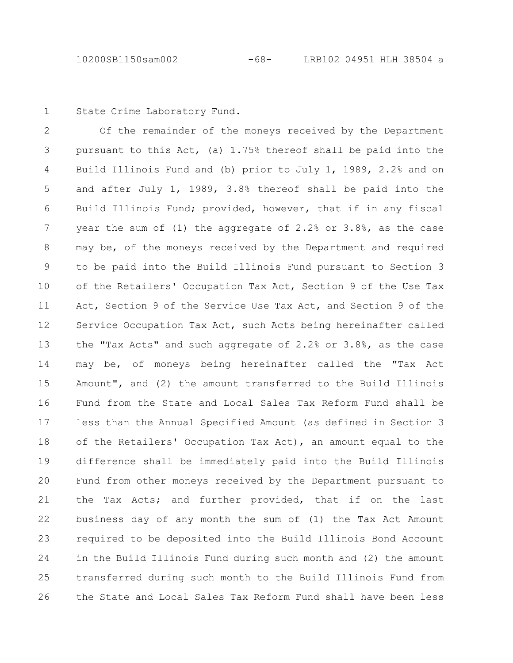State Crime Laboratory Fund. 1

Of the remainder of the moneys received by the Department pursuant to this Act, (a) 1.75% thereof shall be paid into the Build Illinois Fund and (b) prior to July 1, 1989, 2.2% and on and after July 1, 1989, 3.8% thereof shall be paid into the Build Illinois Fund; provided, however, that if in any fiscal year the sum of (1) the aggregate of 2.2% or 3.8%, as the case may be, of the moneys received by the Department and required to be paid into the Build Illinois Fund pursuant to Section 3 of the Retailers' Occupation Tax Act, Section 9 of the Use Tax Act, Section 9 of the Service Use Tax Act, and Section 9 of the Service Occupation Tax Act, such Acts being hereinafter called the "Tax Acts" and such aggregate of 2.2% or 3.8%, as the case may be, of moneys being hereinafter called the "Tax Act Amount", and (2) the amount transferred to the Build Illinois Fund from the State and Local Sales Tax Reform Fund shall be less than the Annual Specified Amount (as defined in Section 3 of the Retailers' Occupation Tax Act), an amount equal to the difference shall be immediately paid into the Build Illinois Fund from other moneys received by the Department pursuant to the Tax Acts; and further provided, that if on the last business day of any month the sum of (1) the Tax Act Amount required to be deposited into the Build Illinois Bond Account in the Build Illinois Fund during such month and (2) the amount transferred during such month to the Build Illinois Fund from the State and Local Sales Tax Reform Fund shall have been less 2 3 4 5 6 7 8 9 10 11 12 13 14 15 16 17 18 19 20 21 22 23 24 25 26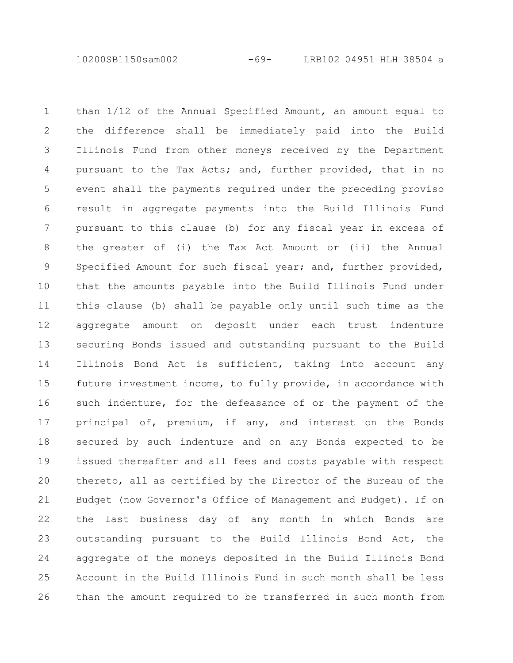10200SB1150sam002 -69- LRB102 04951 HLH 38504 a

than 1/12 of the Annual Specified Amount, an amount equal to the difference shall be immediately paid into the Build Illinois Fund from other moneys received by the Department pursuant to the Tax Acts; and, further provided, that in no event shall the payments required under the preceding proviso result in aggregate payments into the Build Illinois Fund pursuant to this clause (b) for any fiscal year in excess of the greater of (i) the Tax Act Amount or (ii) the Annual Specified Amount for such fiscal year; and, further provided, that the amounts payable into the Build Illinois Fund under this clause (b) shall be payable only until such time as the aggregate amount on deposit under each trust indenture securing Bonds issued and outstanding pursuant to the Build Illinois Bond Act is sufficient, taking into account any future investment income, to fully provide, in accordance with such indenture, for the defeasance of or the payment of the principal of, premium, if any, and interest on the Bonds secured by such indenture and on any Bonds expected to be issued thereafter and all fees and costs payable with respect thereto, all as certified by the Director of the Bureau of the Budget (now Governor's Office of Management and Budget). If on the last business day of any month in which Bonds are outstanding pursuant to the Build Illinois Bond Act, the aggregate of the moneys deposited in the Build Illinois Bond Account in the Build Illinois Fund in such month shall be less than the amount required to be transferred in such month from 1 2 3 4 5 6 7 8 9 10 11 12 13 14 15 16 17 18 19 20 21 22 23 24 25 26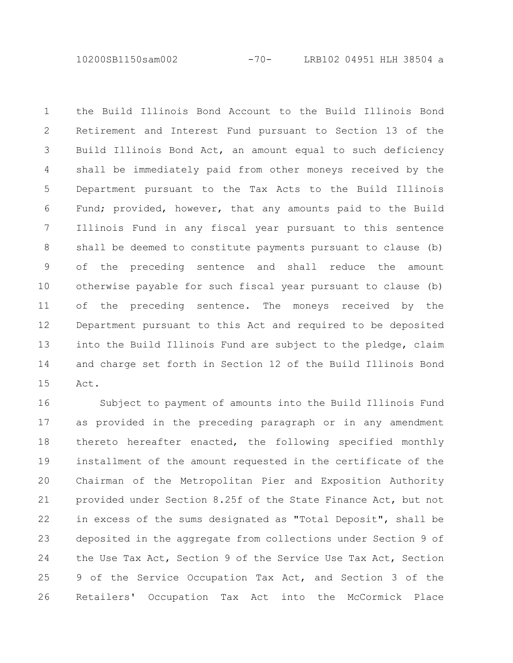10200SB1150sam002 -70- LRB102 04951 HLH 38504 a

the Build Illinois Bond Account to the Build Illinois Bond Retirement and Interest Fund pursuant to Section 13 of the Build Illinois Bond Act, an amount equal to such deficiency shall be immediately paid from other moneys received by the Department pursuant to the Tax Acts to the Build Illinois Fund; provided, however, that any amounts paid to the Build Illinois Fund in any fiscal year pursuant to this sentence shall be deemed to constitute payments pursuant to clause (b) of the preceding sentence and shall reduce the amount otherwise payable for such fiscal year pursuant to clause (b) of the preceding sentence. The moneys received by the Department pursuant to this Act and required to be deposited into the Build Illinois Fund are subject to the pledge, claim and charge set forth in Section 12 of the Build Illinois Bond Act. 1 2 3 4 5 6 7 8 9 10 11 12 13 14 15

Subject to payment of amounts into the Build Illinois Fund as provided in the preceding paragraph or in any amendment thereto hereafter enacted, the following specified monthly installment of the amount requested in the certificate of the Chairman of the Metropolitan Pier and Exposition Authority provided under Section 8.25f of the State Finance Act, but not in excess of the sums designated as "Total Deposit", shall be deposited in the aggregate from collections under Section 9 of the Use Tax Act, Section 9 of the Service Use Tax Act, Section 9 of the Service Occupation Tax Act, and Section 3 of the Retailers' Occupation Tax Act into the McCormick Place 16 17 18 19 20 21 22 23 24 25 26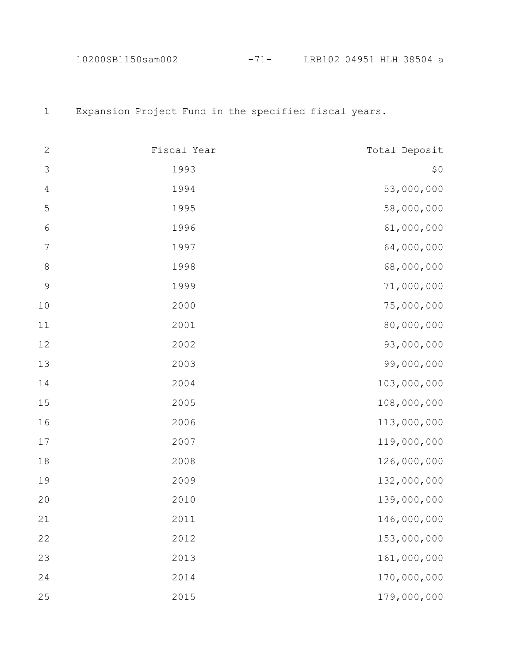10200SB1150sam002 -71- LRB102 04951 HLH 38504 a

Expansion Project Fund in the specified fiscal years.

| $\sqrt{2}$       | Fiscal Year | Total Deposit |
|------------------|-------------|---------------|
| $\mathfrak{Z}$   | 1993        | \$0           |
| $\sqrt{4}$       | 1994        | 53,000,000    |
| 5                | 1995        | 58,000,000    |
| $\sqrt{6}$       | 1996        | 61,000,000    |
| $\boldsymbol{7}$ | 1997        | 64,000,000    |
| $\,8\,$          | 1998        | 68,000,000    |
| $\mathsf 9$      | 1999        | 71,000,000    |
| 10               | 2000        | 75,000,000    |
| 11               | 2001        | 80,000,000    |
| 12               | 2002        | 93,000,000    |
| 13               | 2003        | 99,000,000    |
| 14               | 2004        | 103,000,000   |
| 15               | 2005        | 108,000,000   |
| 16               | 2006        | 113,000,000   |
| $17$             | 2007        | 119,000,000   |
| 18               | 2008        | 126,000,000   |
| 19               | 2009        | 132,000,000   |
| $20$             | 2010        | 139,000,000   |
| 21               | 2011        | 146,000,000   |
| 22               | 2012        | 153,000,000   |
| 23               | 2013        | 161,000,000   |
| 24               | 2014        | 170,000,000   |
| 25               | 2015        | 179,000,000   |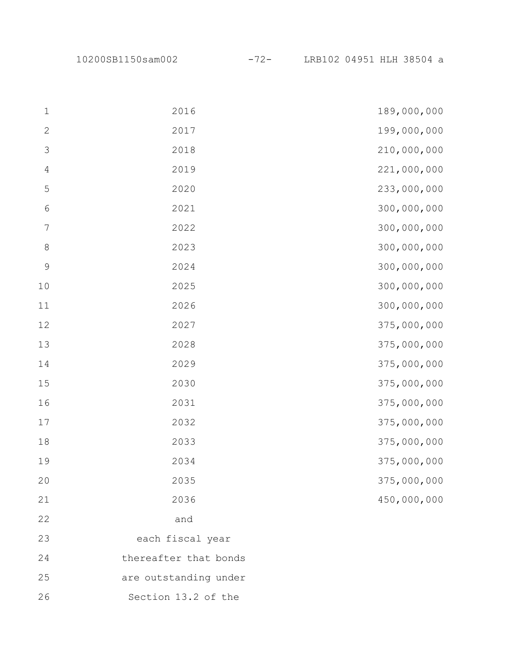| $\mathbf 1$    | 2016                  | 189,000,000 |
|----------------|-----------------------|-------------|
| $\mathbf{2}$   | 2017                  | 199,000,000 |
| $\mathfrak{Z}$ | 2018                  | 210,000,000 |
| $\sqrt{4}$     | 2019                  | 221,000,000 |
| 5              | 2020                  | 233,000,000 |
| $\epsilon$     | 2021                  | 300,000,000 |
| $\sqrt{ }$     | 2022                  | 300,000,000 |
| $\,8\,$        | 2023                  | 300,000,000 |
| $\mathsf 9$    | 2024                  | 300,000,000 |
| $10$           | 2025                  | 300,000,000 |
| $11\,$         | 2026                  | 300,000,000 |
| 12             | 2027                  | 375,000,000 |
| 13             | 2028                  | 375,000,000 |
| 14             | 2029                  | 375,000,000 |
| 15             | 2030                  | 375,000,000 |
| 16             | 2031                  | 375,000,000 |
| 17             | 2032                  | 375,000,000 |
| 18             | 2033                  | 375,000,000 |
| 19             | 2034                  | 375,000,000 |
| 20             | 2035                  | 375,000,000 |
| 21             | 2036                  | 450,000,000 |
| 22             | and                   |             |
| 23             | each fiscal year      |             |
| 24             | thereafter that bonds |             |
| 25             | are outstanding under |             |
| 26             | Section 13.2 of the   |             |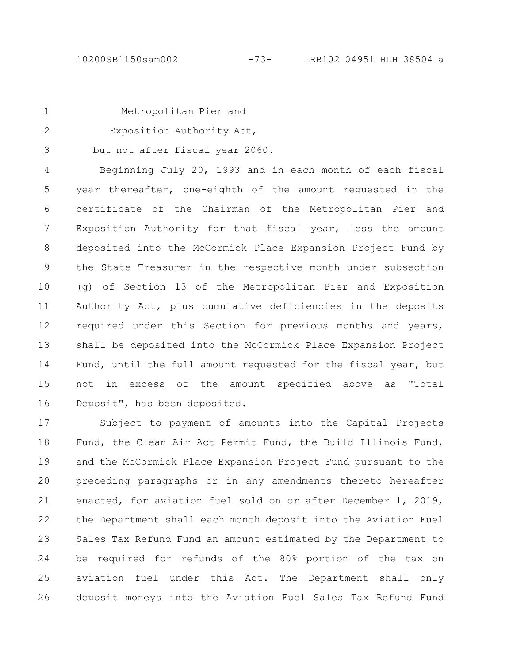| ۰. |  |
|----|--|
|    |  |
|    |  |

2

Metropolitan Pier and

Exposition Authority Act,

but not after fiscal year 2060. 3

Beginning July 20, 1993 and in each month of each fiscal year thereafter, one-eighth of the amount requested in the certificate of the Chairman of the Metropolitan Pier and Exposition Authority for that fiscal year, less the amount deposited into the McCormick Place Expansion Project Fund by the State Treasurer in the respective month under subsection (g) of Section 13 of the Metropolitan Pier and Exposition Authority Act, plus cumulative deficiencies in the deposits required under this Section for previous months and years, shall be deposited into the McCormick Place Expansion Project Fund, until the full amount requested for the fiscal year, but not in excess of the amount specified above as "Total Deposit", has been deposited. 4 5 6 7 8 9 10 11 12 13 14 15 16

Subject to payment of amounts into the Capital Projects Fund, the Clean Air Act Permit Fund, the Build Illinois Fund, and the McCormick Place Expansion Project Fund pursuant to the preceding paragraphs or in any amendments thereto hereafter enacted, for aviation fuel sold on or after December 1, 2019, the Department shall each month deposit into the Aviation Fuel Sales Tax Refund Fund an amount estimated by the Department to be required for refunds of the 80% portion of the tax on aviation fuel under this Act. The Department shall only deposit moneys into the Aviation Fuel Sales Tax Refund Fund 17 18 19 20 21 22 23 24 25 26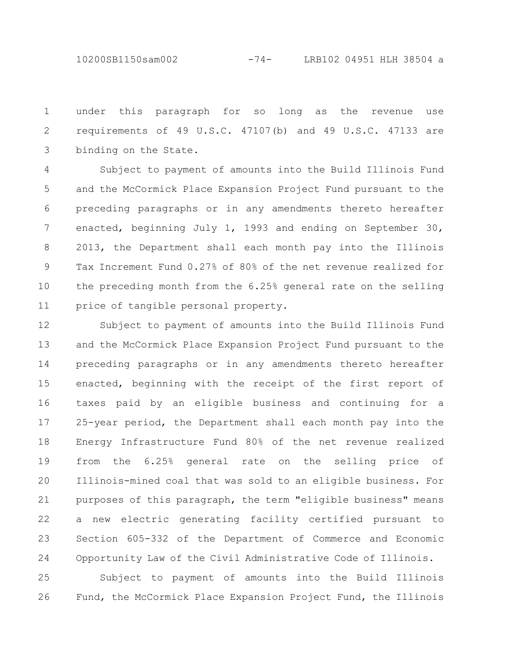10200SB1150sam002 -74- LRB102 04951 HLH 38504 a

under this paragraph for so long as the revenue use requirements of 49 U.S.C. 47107(b) and 49 U.S.C. 47133 are binding on the State. 1 2 3

Subject to payment of amounts into the Build Illinois Fund and the McCormick Place Expansion Project Fund pursuant to the preceding paragraphs or in any amendments thereto hereafter enacted, beginning July 1, 1993 and ending on September 30, 2013, the Department shall each month pay into the Illinois Tax Increment Fund 0.27% of 80% of the net revenue realized for the preceding month from the 6.25% general rate on the selling price of tangible personal property. 4 5 6 7 8 9 10 11

Subject to payment of amounts into the Build Illinois Fund and the McCormick Place Expansion Project Fund pursuant to the preceding paragraphs or in any amendments thereto hereafter enacted, beginning with the receipt of the first report of taxes paid by an eligible business and continuing for a 25-year period, the Department shall each month pay into the Energy Infrastructure Fund 80% of the net revenue realized from the 6.25% general rate on the selling price of Illinois-mined coal that was sold to an eligible business. For purposes of this paragraph, the term "eligible business" means a new electric generating facility certified pursuant to Section 605-332 of the Department of Commerce and Economic Opportunity Law of the Civil Administrative Code of Illinois. 12 13 14 15 16 17 18 19 20 21 22 23 24

Subject to payment of amounts into the Build Illinois Fund, the McCormick Place Expansion Project Fund, the Illinois 25 26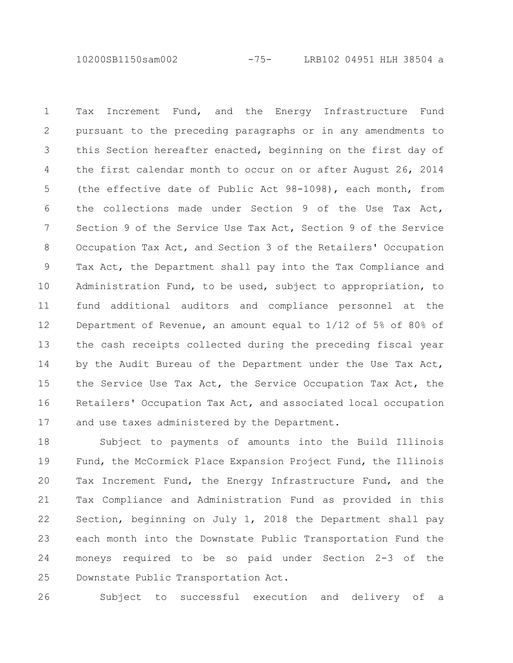10200SB1150sam002 -75- LRB102 04951 HLH 38504 a

Tax Increment Fund, and the Energy Infrastructure Fund pursuant to the preceding paragraphs or in any amendments to this Section hereafter enacted, beginning on the first day of the first calendar month to occur on or after August 26, 2014 (the effective date of Public Act 98-1098), each month, from the collections made under Section 9 of the Use Tax Act, Section 9 of the Service Use Tax Act, Section 9 of the Service Occupation Tax Act, and Section 3 of the Retailers' Occupation Tax Act, the Department shall pay into the Tax Compliance and Administration Fund, to be used, subject to appropriation, to fund additional auditors and compliance personnel at the Department of Revenue, an amount equal to 1/12 of 5% of 80% of the cash receipts collected during the preceding fiscal year by the Audit Bureau of the Department under the Use Tax Act, the Service Use Tax Act, the Service Occupation Tax Act, the Retailers' Occupation Tax Act, and associated local occupation and use taxes administered by the Department. 1 2 3 4 5 6 7 8 9 10 11 12 13 14 15 16 17

Subject to payments of amounts into the Build Illinois Fund, the McCormick Place Expansion Project Fund, the Illinois Tax Increment Fund, the Energy Infrastructure Fund, and the Tax Compliance and Administration Fund as provided in this Section, beginning on July 1, 2018 the Department shall pay each month into the Downstate Public Transportation Fund the moneys required to be so paid under Section 2-3 of the Downstate Public Transportation Act. 18 19 20 21 22 23 24 25

Subject to successful execution and delivery of a 26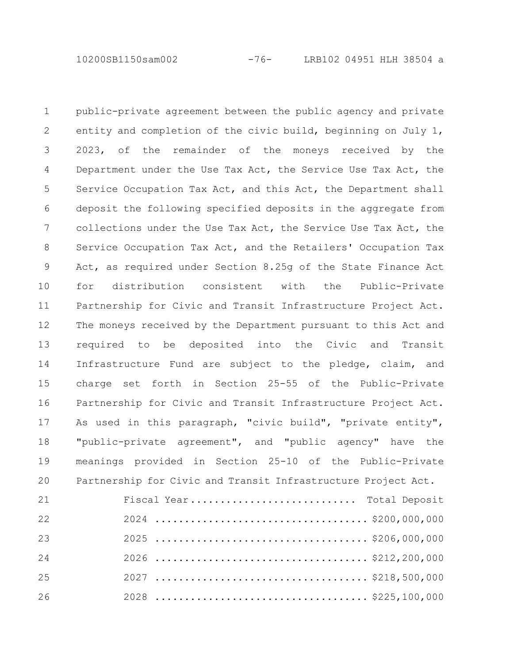10200SB1150sam002 -76- LRB102 04951 HLH 38504 a

public-private agreement between the public agency and private entity and completion of the civic build, beginning on July 1, 2023, of the remainder of the moneys received by the Department under the Use Tax Act, the Service Use Tax Act, the Service Occupation Tax Act, and this Act, the Department shall deposit the following specified deposits in the aggregate from collections under the Use Tax Act, the Service Use Tax Act, the Service Occupation Tax Act, and the Retailers' Occupation Tax Act, as required under Section 8.25g of the State Finance Act for distribution consistent with the Public-Private Partnership for Civic and Transit Infrastructure Project Act. The moneys received by the Department pursuant to this Act and required to be deposited into the Civic and Transit Infrastructure Fund are subject to the pledge, claim, and charge set forth in Section 25-55 of the Public-Private Partnership for Civic and Transit Infrastructure Project Act. As used in this paragraph, "civic build", "private entity", "public-private agreement", and "public agency" have the meanings provided in Section 25-10 of the Public-Private Partnership for Civic and Transit Infrastructure Project Act. Fiscal Year............................ Total Deposit 2024 .................................... \$200,000,000 1 2 3 4 5 6 7 8 9 10 11 12 13 14 15 16 17 18 19 20 21 22

2025 .................................... \$206,000,000 2026 .................................... \$212,200,000 2027 .................................... \$218,500,000 2028 .................................... \$225,100,000 23 24 25 26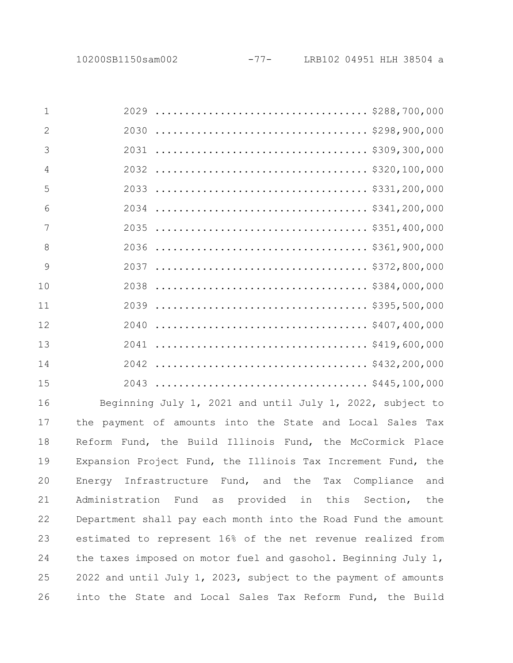| $\mathbf 1$    |                                                           |
|----------------|-----------------------------------------------------------|
| $\overline{2}$ |                                                           |
| 3              |                                                           |
| $\overline{4}$ |                                                           |
| 5              |                                                           |
| 6              |                                                           |
| 7              |                                                           |
| 8              |                                                           |
| 9              |                                                           |
| 10             |                                                           |
| 11             |                                                           |
| 12             |                                                           |
| 13             |                                                           |
| 14             |                                                           |
| 15             |                                                           |
| 16             | Beginning July 1, 2021 and until July 1, 2022, subject to |
| 17             | the payment of amounts into the State and Local Sales Tax |
| 18             | Reform Fund, the Build Illinois Fund, the McCormick Place |
|                |                                                           |

Reform Fund, the Build Illinois Fund, the McCormick Place Expansion Project Fund, the Illinois Tax Increment Fund, the Energy Infrastructure Fund, and the Tax Compliance and Administration Fund as provided in this Section, the Department shall pay each month into the Road Fund the amount estimated to represent 16% of the net revenue realized from the taxes imposed on motor fuel and gasohol. Beginning July 1, and until July 1, 2023, subject to the payment of amounts into the State and Local Sales Tax Reform Fund, the Build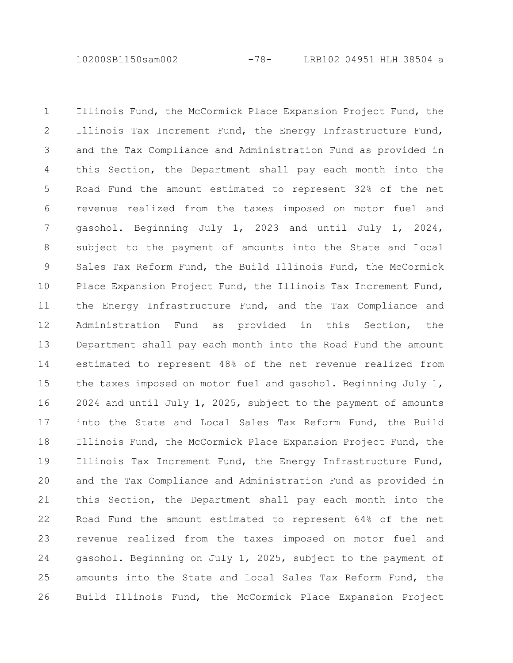10200SB1150sam002 -78- LRB102 04951 HLH 38504 a

Illinois Fund, the McCormick Place Expansion Project Fund, the Illinois Tax Increment Fund, the Energy Infrastructure Fund, and the Tax Compliance and Administration Fund as provided in this Section, the Department shall pay each month into the Road Fund the amount estimated to represent 32% of the net revenue realized from the taxes imposed on motor fuel and gasohol. Beginning July 1, 2023 and until July 1, 2024, subject to the payment of amounts into the State and Local Sales Tax Reform Fund, the Build Illinois Fund, the McCormick Place Expansion Project Fund, the Illinois Tax Increment Fund, the Energy Infrastructure Fund, and the Tax Compliance and Administration Fund as provided in this Section, the Department shall pay each month into the Road Fund the amount estimated to represent 48% of the net revenue realized from the taxes imposed on motor fuel and gasohol. Beginning July 1, 2024 and until July 1, 2025, subject to the payment of amounts into the State and Local Sales Tax Reform Fund, the Build Illinois Fund, the McCormick Place Expansion Project Fund, the Illinois Tax Increment Fund, the Energy Infrastructure Fund, and the Tax Compliance and Administration Fund as provided in this Section, the Department shall pay each month into the Road Fund the amount estimated to represent 64% of the net revenue realized from the taxes imposed on motor fuel and gasohol. Beginning on July 1, 2025, subject to the payment of amounts into the State and Local Sales Tax Reform Fund, the Build Illinois Fund, the McCormick Place Expansion Project 1 2 3 4 5 6 7 8 9 10 11 12 13 14 15 16 17 18 19 20 21 22 23 24 25 26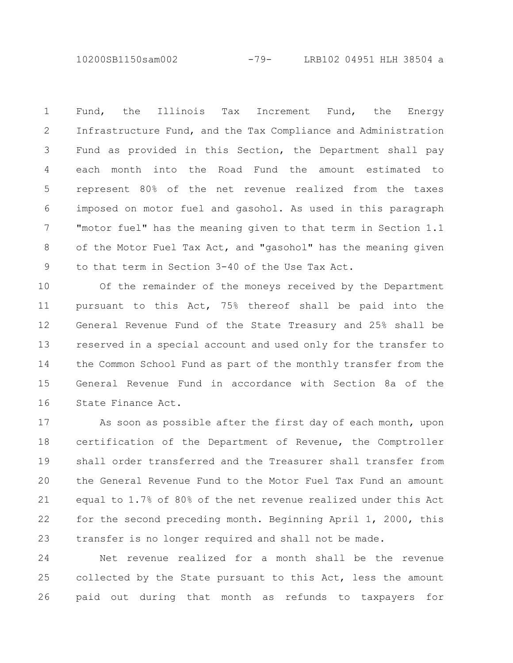10200SB1150sam002 -79- LRB102 04951 HLH 38504 a

Fund, the Illinois Tax Increment Fund, the Energy Infrastructure Fund, and the Tax Compliance and Administration Fund as provided in this Section, the Department shall pay each month into the Road Fund the amount estimated to represent 80% of the net revenue realized from the taxes imposed on motor fuel and gasohol. As used in this paragraph "motor fuel" has the meaning given to that term in Section 1.1 of the Motor Fuel Tax Act, and "gasohol" has the meaning given to that term in Section 3-40 of the Use Tax Act. 1 2 3 4 5 6 7 8 9

Of the remainder of the moneys received by the Department pursuant to this Act, 75% thereof shall be paid into the General Revenue Fund of the State Treasury and 25% shall be reserved in a special account and used only for the transfer to the Common School Fund as part of the monthly transfer from the General Revenue Fund in accordance with Section 8a of the State Finance Act. 10 11 12 13 14 15 16

As soon as possible after the first day of each month, upon certification of the Department of Revenue, the Comptroller shall order transferred and the Treasurer shall transfer from the General Revenue Fund to the Motor Fuel Tax Fund an amount equal to 1.7% of 80% of the net revenue realized under this Act for the second preceding month. Beginning April 1, 2000, this transfer is no longer required and shall not be made. 17 18 19 20 21 22 23

Net revenue realized for a month shall be the revenue collected by the State pursuant to this Act, less the amount paid out during that month as refunds to taxpayers for 24 25 26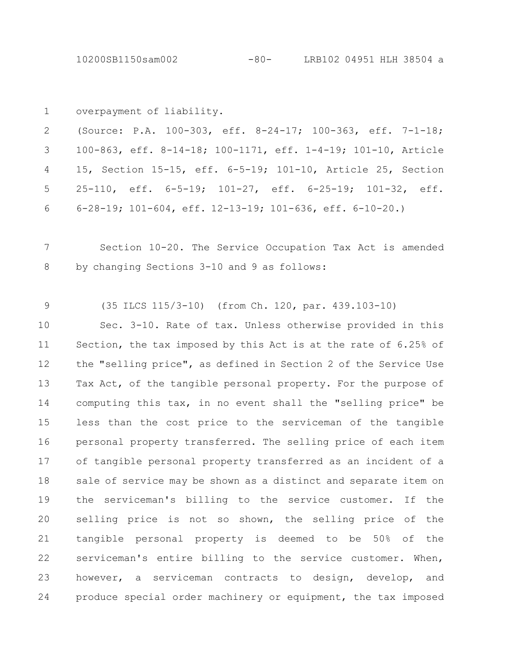10200SB1150sam002 -80- LRB102 04951 HLH 38504 a

overpayment of liability. 1

(Source: P.A. 100-303, eff. 8-24-17; 100-363, eff. 7-1-18; 100-863, eff. 8-14-18; 100-1171, eff. 1-4-19; 101-10, Article 15, Section 15-15, eff. 6-5-19; 101-10, Article 25, Section 25-110, eff. 6-5-19; 101-27, eff. 6-25-19; 101-32, eff. 6-28-19; 101-604, eff. 12-13-19; 101-636, eff. 6-10-20.) 2 3 4 5 6

Section 10-20. The Service Occupation Tax Act is amended by changing Sections 3-10 and 9 as follows: 7 8

(35 ILCS 115/3-10) (from Ch. 120, par. 439.103-10) 9

Sec. 3-10. Rate of tax. Unless otherwise provided in this Section, the tax imposed by this Act is at the rate of 6.25% of the "selling price", as defined in Section 2 of the Service Use Tax Act, of the tangible personal property. For the purpose of computing this tax, in no event shall the "selling price" be less than the cost price to the serviceman of the tangible personal property transferred. The selling price of each item of tangible personal property transferred as an incident of a sale of service may be shown as a distinct and separate item on the serviceman's billing to the service customer. If the selling price is not so shown, the selling price of the tangible personal property is deemed to be 50% of the serviceman's entire billing to the service customer. When, however, a serviceman contracts to design, develop, and produce special order machinery or equipment, the tax imposed 10 11 12 13 14 15 16 17 18 19 20 21 22 23 24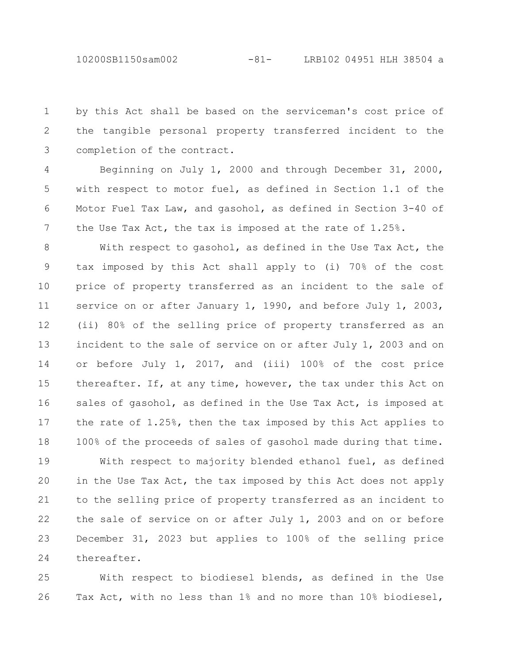10200SB1150sam002 -81- LRB102 04951 HLH 38504 a

by this Act shall be based on the serviceman's cost price of the tangible personal property transferred incident to the completion of the contract. 1 2 3

Beginning on July 1, 2000 and through December 31, 2000, with respect to motor fuel, as defined in Section 1.1 of the Motor Fuel Tax Law, and gasohol, as defined in Section 3-40 of the Use Tax Act, the tax is imposed at the rate of 1.25%. 4 5 6 7

With respect to gasohol, as defined in the Use Tax Act, the tax imposed by this Act shall apply to (i) 70% of the cost price of property transferred as an incident to the sale of service on or after January 1, 1990, and before July 1, 2003, (ii) 80% of the selling price of property transferred as an incident to the sale of service on or after July 1, 2003 and on or before July 1, 2017, and (iii) 100% of the cost price thereafter. If, at any time, however, the tax under this Act on sales of gasohol, as defined in the Use Tax Act, is imposed at the rate of 1.25%, then the tax imposed by this Act applies to 100% of the proceeds of sales of gasohol made during that time. 8 9 10 11 12 13 14 15 16 17 18

With respect to majority blended ethanol fuel, as defined in the Use Tax Act, the tax imposed by this Act does not apply to the selling price of property transferred as an incident to the sale of service on or after July 1, 2003 and on or before December 31, 2023 but applies to 100% of the selling price thereafter. 19 20 21 22 23 24

With respect to biodiesel blends, as defined in the Use Tax Act, with no less than 1% and no more than 10% biodiesel, 25 26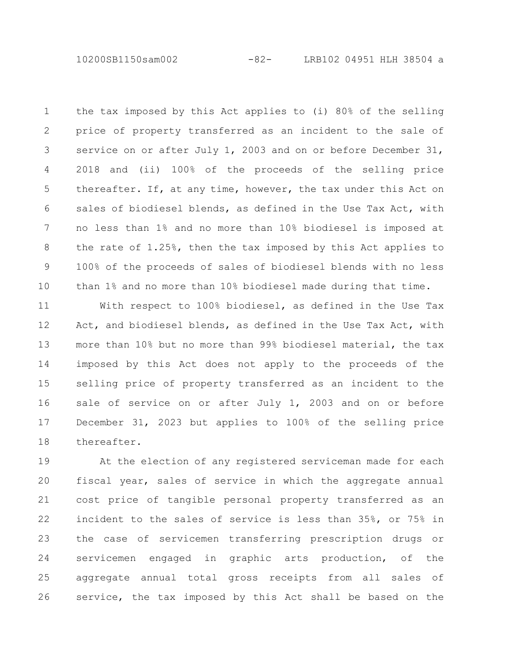10200SB1150sam002 -82- LRB102 04951 HLH 38504 a

the tax imposed by this Act applies to (i) 80% of the selling price of property transferred as an incident to the sale of service on or after July 1, 2003 and on or before December 31, 2018 and (ii) 100% of the proceeds of the selling price thereafter. If, at any time, however, the tax under this Act on sales of biodiesel blends, as defined in the Use Tax Act, with no less than 1% and no more than 10% biodiesel is imposed at the rate of 1.25%, then the tax imposed by this Act applies to 100% of the proceeds of sales of biodiesel blends with no less than 1% and no more than 10% biodiesel made during that time. 1 2 3 4 5 6 7 8 9 10

With respect to 100% biodiesel, as defined in the Use Tax Act, and biodiesel blends, as defined in the Use Tax Act, with more than 10% but no more than 99% biodiesel material, the tax imposed by this Act does not apply to the proceeds of the selling price of property transferred as an incident to the sale of service on or after July 1, 2003 and on or before December 31, 2023 but applies to 100% of the selling price thereafter. 11 12 13 14 15 16 17 18

At the election of any registered serviceman made for each fiscal year, sales of service in which the aggregate annual cost price of tangible personal property transferred as an incident to the sales of service is less than 35%, or 75% in the case of servicemen transferring prescription drugs or servicemen engaged in graphic arts production, of the aggregate annual total gross receipts from all sales of service, the tax imposed by this Act shall be based on the 19 20 21 22 23 24 25 26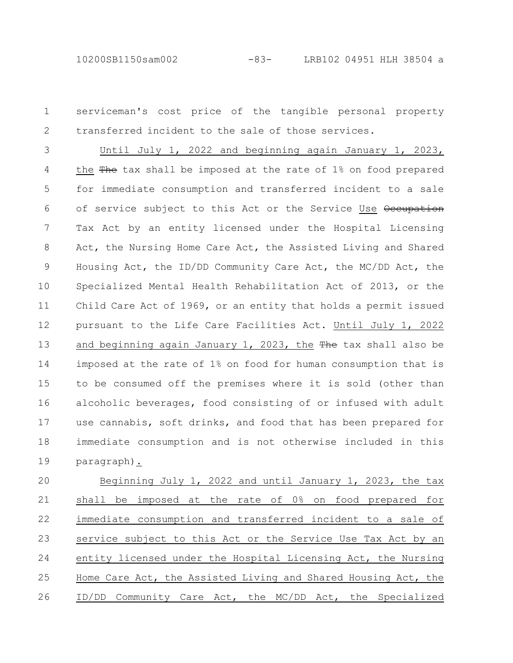10200SB1150sam002 -83- LRB102 04951 HLH 38504 a

serviceman's cost price of the tangible personal property transferred incident to the sale of those services. 1 2

Until July 1, 2022 and beginning again January 1, 2023, the  $\frac{m}{2}$  tax shall be imposed at the rate of 1% on food prepared for immediate consumption and transferred incident to a sale of service subject to this Act or the Service Use Occupation Tax Act by an entity licensed under the Hospital Licensing Act, the Nursing Home Care Act, the Assisted Living and Shared Housing Act, the ID/DD Community Care Act, the MC/DD Act, the Specialized Mental Health Rehabilitation Act of 2013, or the Child Care Act of 1969, or an entity that holds a permit issued pursuant to the Life Care Facilities Act. Until July 1, 2022 and beginning again January 1, 2023, the  $The$  tax shall also be imposed at the rate of 1% on food for human consumption that is to be consumed off the premises where it is sold (other than alcoholic beverages, food consisting of or infused with adult use cannabis, soft drinks, and food that has been prepared for immediate consumption and is not otherwise included in this paragraph). 3 4 5 6 7 8 9 10 11 12 13 14 15 16 17 18 19

Beginning July 1, 2022 and until January 1, 2023, the tax shall be imposed at the rate of 0% on food prepared for immediate consumption and transferred incident to a sale of service subject to this Act or the Service Use Tax Act by an entity licensed under the Hospital Licensing Act, the Nursing Home Care Act, the Assisted Living and Shared Housing Act, the ID/DD Community Care Act, the MC/DD Act, the Specialized 20 21 22 23 24 25 26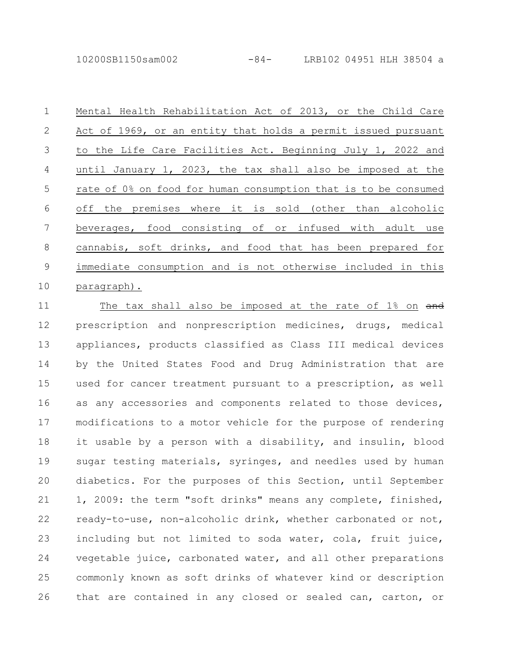10200SB1150sam002 -84- LRB102 04951 HLH 38504 a

Mental Health Rehabilitation Act of 2013, or the Child Care Act of 1969, or an entity that holds a permit issued pursuant to the Life Care Facilities Act. Beginning July 1, 2022 and until January 1, 2023, the tax shall also be imposed at the rate of 0% on food for human consumption that is to be consumed off the premises where it is sold (other than alcoholic beverages, food consisting of or infused with adult use cannabis, soft drinks, and food that has been prepared for immediate consumption and is not otherwise included in this paragraph). 1 2 3 4 5 6 7 8 9 10

The tax shall also be imposed at the rate of 1% on and prescription and nonprescription medicines, drugs, medical appliances, products classified as Class III medical devices by the United States Food and Drug Administration that are used for cancer treatment pursuant to a prescription, as well as any accessories and components related to those devices, modifications to a motor vehicle for the purpose of rendering it usable by a person with a disability, and insulin, blood sugar testing materials, syringes, and needles used by human diabetics. For the purposes of this Section, until September 1, 2009: the term "soft drinks" means any complete, finished, ready-to-use, non-alcoholic drink, whether carbonated or not, including but not limited to soda water, cola, fruit juice, vegetable juice, carbonated water, and all other preparations commonly known as soft drinks of whatever kind or description that are contained in any closed or sealed can, carton, or 11 12 13 14 15 16 17 18 19 20 21 22 23 24 25 26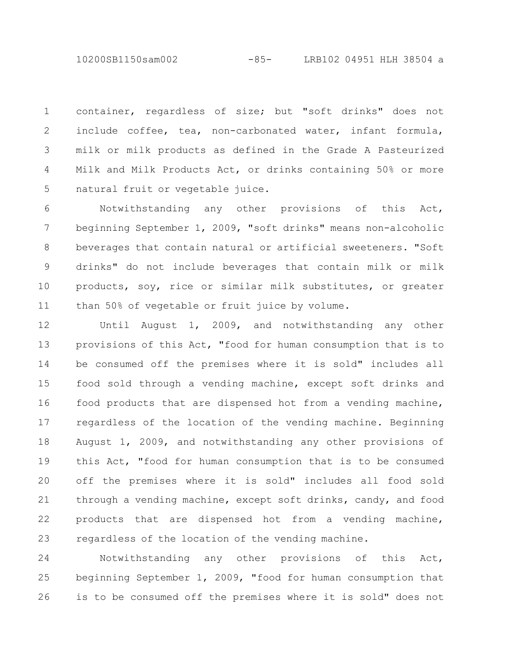10200SB1150sam002 -85- LRB102 04951 HLH 38504 a

container, regardless of size; but "soft drinks" does not include coffee, tea, non-carbonated water, infant formula, milk or milk products as defined in the Grade A Pasteurized Milk and Milk Products Act, or drinks containing 50% or more natural fruit or vegetable juice. 1 2 3 4 5

Notwithstanding any other provisions of this Act, beginning September 1, 2009, "soft drinks" means non-alcoholic beverages that contain natural or artificial sweeteners. "Soft drinks" do not include beverages that contain milk or milk products, soy, rice or similar milk substitutes, or greater than 50% of vegetable or fruit juice by volume. 6 7 8 9 10 11

Until August 1, 2009, and notwithstanding any other provisions of this Act, "food for human consumption that is to be consumed off the premises where it is sold" includes all food sold through a vending machine, except soft drinks and food products that are dispensed hot from a vending machine, regardless of the location of the vending machine. Beginning August 1, 2009, and notwithstanding any other provisions of this Act, "food for human consumption that is to be consumed off the premises where it is sold" includes all food sold through a vending machine, except soft drinks, candy, and food products that are dispensed hot from a vending machine, regardless of the location of the vending machine. 12 13 14 15 16 17 18 19 20 21 22 23

Notwithstanding any other provisions of this Act, beginning September 1, 2009, "food for human consumption that is to be consumed off the premises where it is sold" does not 24 25 26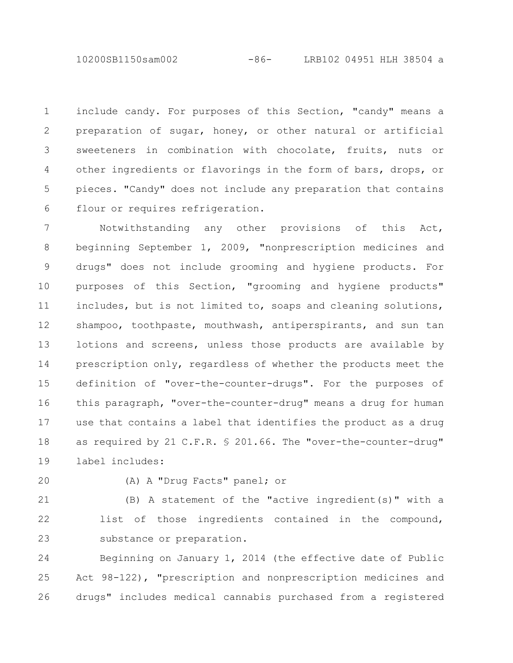10200SB1150sam002 -86- LRB102 04951 HLH 38504 a

include candy. For purposes of this Section, "candy" means a preparation of sugar, honey, or other natural or artificial sweeteners in combination with chocolate, fruits, nuts or other ingredients or flavorings in the form of bars, drops, or pieces. "Candy" does not include any preparation that contains flour or requires refrigeration. 1 2 3 4 5 6

Notwithstanding any other provisions of this Act, beginning September 1, 2009, "nonprescription medicines and drugs" does not include grooming and hygiene products. For purposes of this Section, "grooming and hygiene products" includes, but is not limited to, soaps and cleaning solutions, shampoo, toothpaste, mouthwash, antiperspirants, and sun tan lotions and screens, unless those products are available by prescription only, regardless of whether the products meet the definition of "over-the-counter-drugs". For the purposes of this paragraph, "over-the-counter-drug" means a drug for human use that contains a label that identifies the product as a drug as required by 21 C.F.R. § 201.66. The "over-the-counter-drug" label includes: 7 8 9 10 11 12 13 14 15 16 17 18 19

20

(A) A "Drug Facts" panel; or

21

(B) A statement of the "active ingredient(s)" with a list of those ingredients contained in the compound, substance or preparation. 22 23

Beginning on January 1, 2014 (the effective date of Public Act 98-122), "prescription and nonprescription medicines and drugs" includes medical cannabis purchased from a registered 24 25 26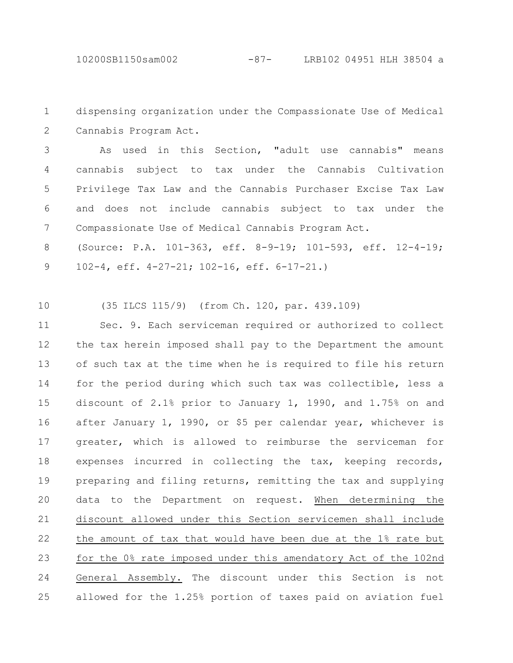10200SB1150sam002 -87- LRB102 04951 HLH 38504 a

dispensing organization under the Compassionate Use of Medical Cannabis Program Act. 1 2

As used in this Section, "adult use cannabis" means cannabis subject to tax under the Cannabis Cultivation Privilege Tax Law and the Cannabis Purchaser Excise Tax Law and does not include cannabis subject to tax under the Compassionate Use of Medical Cannabis Program Act. 3 4 5 6 7

(Source: P.A. 101-363, eff. 8-9-19; 101-593, eff. 12-4-19; 102-4, eff. 4-27-21; 102-16, eff. 6-17-21.) 8 9

(35 ILCS 115/9) (from Ch. 120, par. 439.109) 10

Sec. 9. Each serviceman required or authorized to collect the tax herein imposed shall pay to the Department the amount of such tax at the time when he is required to file his return for the period during which such tax was collectible, less a discount of 2.1% prior to January 1, 1990, and 1.75% on and after January 1, 1990, or \$5 per calendar year, whichever is greater, which is allowed to reimburse the serviceman for expenses incurred in collecting the tax, keeping records, preparing and filing returns, remitting the tax and supplying data to the Department on request. When determining the discount allowed under this Section servicemen shall include the amount of tax that would have been due at the 1% rate but for the 0% rate imposed under this amendatory Act of the 102nd General Assembly. The discount under this Section is not allowed for the 1.25% portion of taxes paid on aviation fuel 11 12 13 14 15 16 17 18 19 20 21 22 23 24 25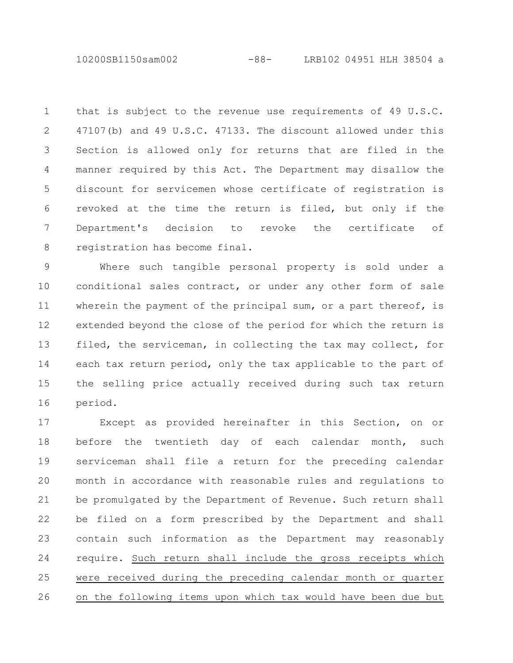10200SB1150sam002 -88- LRB102 04951 HLH 38504 a

that is subject to the revenue use requirements of 49 U.S.C. 47107(b) and 49 U.S.C. 47133. The discount allowed under this Section is allowed only for returns that are filed in the manner required by this Act. The Department may disallow the discount for servicemen whose certificate of registration is revoked at the time the return is filed, but only if the Department's decision to revoke the certificate of registration has become final. 1 2 3 4 5 6 7 8

Where such tangible personal property is sold under a conditional sales contract, or under any other form of sale wherein the payment of the principal sum, or a part thereof, is extended beyond the close of the period for which the return is filed, the serviceman, in collecting the tax may collect, for each tax return period, only the tax applicable to the part of the selling price actually received during such tax return period. 9 10 11 12 13 14 15 16

Except as provided hereinafter in this Section, on or before the twentieth day of each calendar month, such serviceman shall file a return for the preceding calendar month in accordance with reasonable rules and regulations to be promulgated by the Department of Revenue. Such return shall be filed on a form prescribed by the Department and shall contain such information as the Department may reasonably require. Such return shall include the gross receipts which were received during the preceding calendar month or quarter on the following items upon which tax would have been due but 17 18 19 20 21 22 23 24 25 26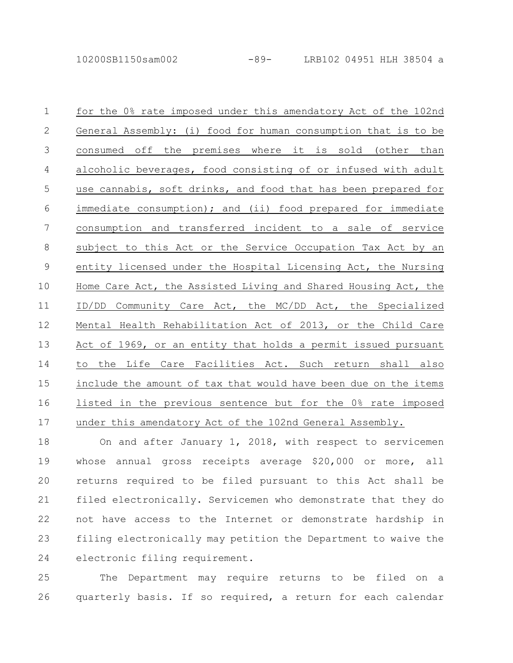for the 0% rate imposed under this amendatory Act of the 102nd General Assembly: (i) food for human consumption that is to be consumed off the premises where it is sold (other than alcoholic beverages, food consisting of or infused with adult use cannabis, soft drinks, and food that has been prepared for immediate consumption); and (ii) food prepared for immediate consumption and transferred incident to a sale of service subject to this Act or the Service Occupation Tax Act by an entity licensed under the Hospital Licensing Act, the Nursing Home Care Act, the Assisted Living and Shared Housing Act, the ID/DD Community Care Act, the MC/DD Act, the Specialized Mental Health Rehabilitation Act of 2013, or the Child Care Act of 1969, or an entity that holds a permit issued pursuant to the Life Care Facilities Act. Such return shall also include the amount of tax that would have been due on the items listed in the previous sentence but for the 0% rate imposed under this amendatory Act of the 102nd General Assembly. 1 2 3 4 5 6 7 8 9 10 11 12 13 14 15 16 17

On and after January 1, 2018, with respect to servicemen whose annual gross receipts average \$20,000 or more, all returns required to be filed pursuant to this Act shall be filed electronically. Servicemen who demonstrate that they do not have access to the Internet or demonstrate hardship in filing electronically may petition the Department to waive the electronic filing requirement. 18 19 20 21 22 23 24

The Department may require returns to be filed on a quarterly basis. If so required, a return for each calendar 25 26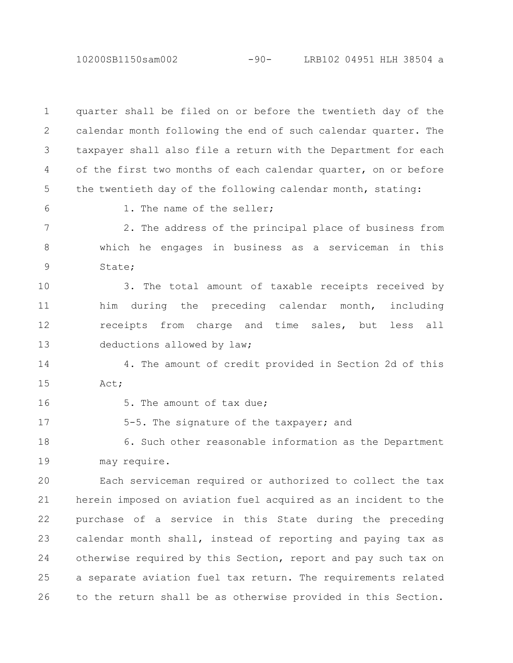10200SB1150sam002 -90- LRB102 04951 HLH 38504 a

quarter shall be filed on or before the twentieth day of the calendar month following the end of such calendar quarter. The taxpayer shall also file a return with the Department for each of the first two months of each calendar quarter, on or before the twentieth day of the following calendar month, stating: 1. The name of the seller; 2. The address of the principal place of business from which he engages in business as a serviceman in this State; 3. The total amount of taxable receipts received by him during the preceding calendar month, including receipts from charge and time sales, but less all deductions allowed by law; 4. The amount of credit provided in Section 2d of this Act; 5. The amount of tax due; 5-5. The signature of the taxpayer; and 6. Such other reasonable information as the Department may require. Each serviceman required or authorized to collect the tax herein imposed on aviation fuel acquired as an incident to the purchase of a service in this State during the preceding calendar month shall, instead of reporting and paying tax as otherwise required by this Section, report and pay such tax on a separate aviation fuel tax return. The requirements related to the return shall be as otherwise provided in this Section. 1 2 3 4 5 6 7 8 9 10 11 12 13 14 15 16 17 18 19 20 21 22 23 24 25 26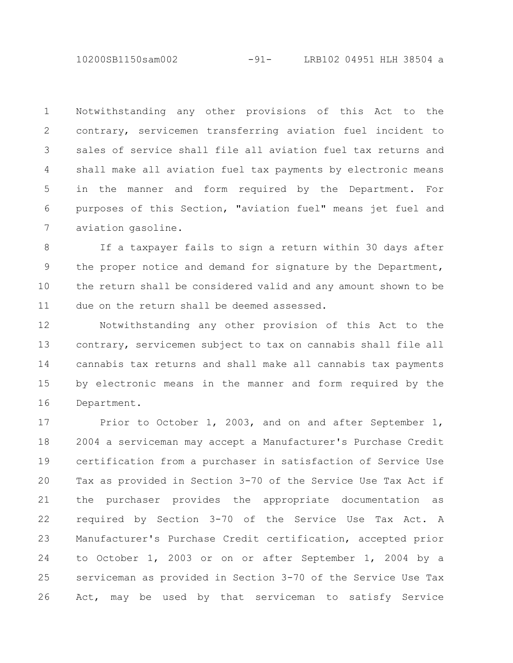10200SB1150sam002 -91- LRB102 04951 HLH 38504 a

Notwithstanding any other provisions of this Act to the contrary, servicemen transferring aviation fuel incident to sales of service shall file all aviation fuel tax returns and shall make all aviation fuel tax payments by electronic means in the manner and form required by the Department. For purposes of this Section, "aviation fuel" means jet fuel and aviation gasoline. 1 2 3 4 5 6 7

If a taxpayer fails to sign a return within 30 days after the proper notice and demand for signature by the Department, the return shall be considered valid and any amount shown to be due on the return shall be deemed assessed. 8 9 10 11

Notwithstanding any other provision of this Act to the contrary, servicemen subject to tax on cannabis shall file all cannabis tax returns and shall make all cannabis tax payments by electronic means in the manner and form required by the Department. 12 13 14 15 16

Prior to October 1, 2003, and on and after September 1, 2004 a serviceman may accept a Manufacturer's Purchase Credit certification from a purchaser in satisfaction of Service Use Tax as provided in Section 3-70 of the Service Use Tax Act if the purchaser provides the appropriate documentation as required by Section 3-70 of the Service Use Tax Act. A Manufacturer's Purchase Credit certification, accepted prior to October 1, 2003 or on or after September 1, 2004 by a serviceman as provided in Section 3-70 of the Service Use Tax Act, may be used by that serviceman to satisfy Service 17 18 19 20 21 22 23 24 25 26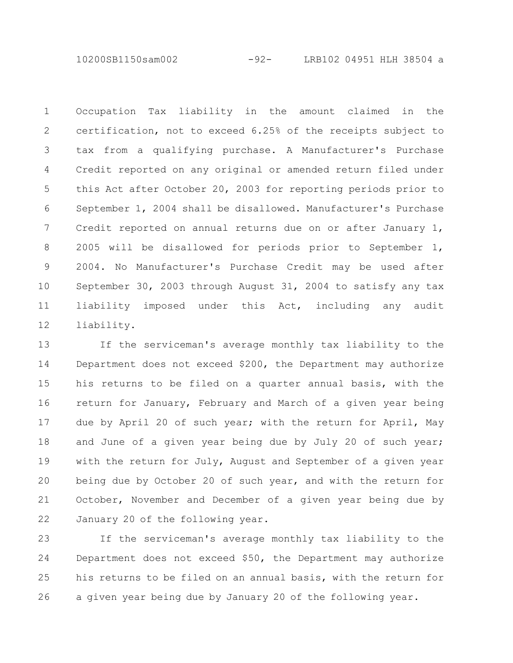10200SB1150sam002 -92- LRB102 04951 HLH 38504 a

Occupation Tax liability in the amount claimed in the certification, not to exceed 6.25% of the receipts subject to tax from a qualifying purchase. A Manufacturer's Purchase Credit reported on any original or amended return filed under this Act after October 20, 2003 for reporting periods prior to September 1, 2004 shall be disallowed. Manufacturer's Purchase Credit reported on annual returns due on or after January 1, 2005 will be disallowed for periods prior to September 1, 2004. No Manufacturer's Purchase Credit may be used after September 30, 2003 through August 31, 2004 to satisfy any tax liability imposed under this Act, including any audit liability. 1 2 3 4 5 6 7 8 9 10 11 12

If the serviceman's average monthly tax liability to the Department does not exceed \$200, the Department may authorize his returns to be filed on a quarter annual basis, with the return for January, February and March of a given year being due by April 20 of such year; with the return for April, May and June of a given year being due by July 20 of such year; with the return for July, August and September of a given year being due by October 20 of such year, and with the return for October, November and December of a given year being due by January 20 of the following year. 13 14 15 16 17 18 19 20 21 22

If the serviceman's average monthly tax liability to the Department does not exceed \$50, the Department may authorize his returns to be filed on an annual basis, with the return for a given year being due by January 20 of the following year. 23 24 25 26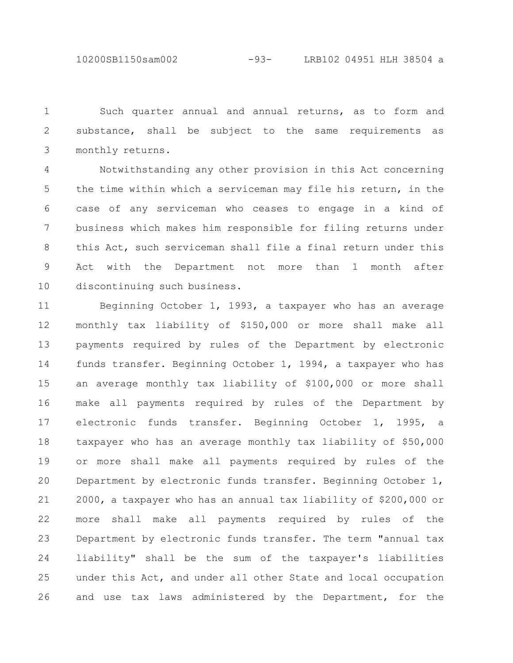10200SB1150sam002 -93- LRB102 04951 HLH 38504 a

Such quarter annual and annual returns, as to form and substance, shall be subject to the same requirements as monthly returns. 1 2 3

Notwithstanding any other provision in this Act concerning the time within which a serviceman may file his return, in the case of any serviceman who ceases to engage in a kind of business which makes him responsible for filing returns under this Act, such serviceman shall file a final return under this Act with the Department not more than 1 month after discontinuing such business. 4 5 6 7 8 9 10

Beginning October 1, 1993, a taxpayer who has an average monthly tax liability of \$150,000 or more shall make all payments required by rules of the Department by electronic funds transfer. Beginning October 1, 1994, a taxpayer who has an average monthly tax liability of \$100,000 or more shall make all payments required by rules of the Department by electronic funds transfer. Beginning October 1, 1995, a taxpayer who has an average monthly tax liability of \$50,000 or more shall make all payments required by rules of the Department by electronic funds transfer. Beginning October 1, 2000, a taxpayer who has an annual tax liability of \$200,000 or more shall make all payments required by rules of the Department by electronic funds transfer. The term "annual tax liability" shall be the sum of the taxpayer's liabilities under this Act, and under all other State and local occupation and use tax laws administered by the Department, for the 11 12 13 14 15 16 17 18 19 20 21 22 23 24 25 26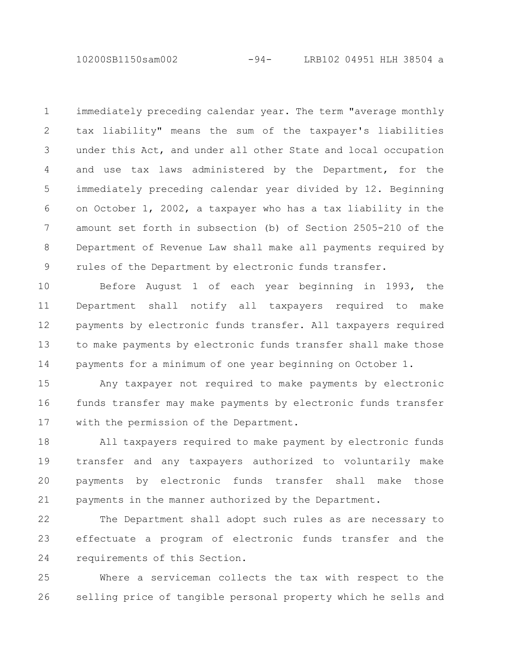10200SB1150sam002 -94- LRB102 04951 HLH 38504 a

immediately preceding calendar year. The term "average monthly tax liability" means the sum of the taxpayer's liabilities under this Act, and under all other State and local occupation and use tax laws administered by the Department, for the immediately preceding calendar year divided by 12. Beginning on October 1, 2002, a taxpayer who has a tax liability in the amount set forth in subsection (b) of Section 2505-210 of the Department of Revenue Law shall make all payments required by rules of the Department by electronic funds transfer. 1 2 3 4 5 6 7 8 9

Before August 1 of each year beginning in 1993, the Department shall notify all taxpayers required to make payments by electronic funds transfer. All taxpayers required to make payments by electronic funds transfer shall make those payments for a minimum of one year beginning on October 1. 10 11 12 13 14

Any taxpayer not required to make payments by electronic funds transfer may make payments by electronic funds transfer with the permission of the Department. 15 16 17

All taxpayers required to make payment by electronic funds transfer and any taxpayers authorized to voluntarily make payments by electronic funds transfer shall make those payments in the manner authorized by the Department. 18 19 20 21

The Department shall adopt such rules as are necessary to effectuate a program of electronic funds transfer and the requirements of this Section. 22 23 24

Where a serviceman collects the tax with respect to the selling price of tangible personal property which he sells and 25 26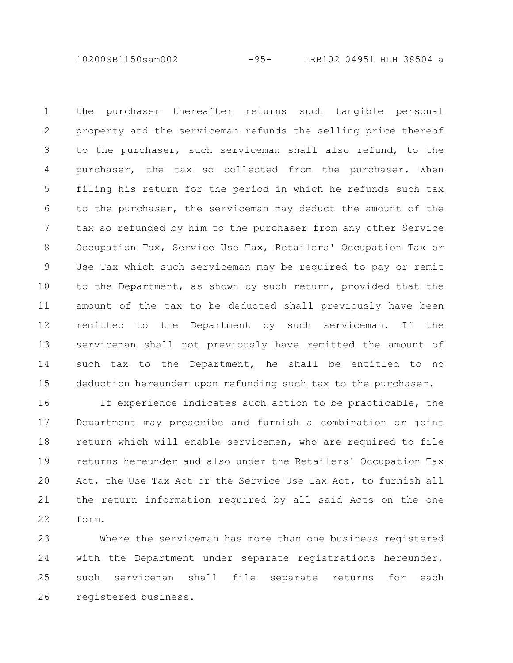10200SB1150sam002 -95- LRB102 04951 HLH 38504 a

the purchaser thereafter returns such tangible personal property and the serviceman refunds the selling price thereof to the purchaser, such serviceman shall also refund, to the purchaser, the tax so collected from the purchaser. When filing his return for the period in which he refunds such tax to the purchaser, the serviceman may deduct the amount of the tax so refunded by him to the purchaser from any other Service Occupation Tax, Service Use Tax, Retailers' Occupation Tax or Use Tax which such serviceman may be required to pay or remit to the Department, as shown by such return, provided that the amount of the tax to be deducted shall previously have been remitted to the Department by such serviceman. If the serviceman shall not previously have remitted the amount of such tax to the Department, he shall be entitled to no deduction hereunder upon refunding such tax to the purchaser. 1 2 3 4 5 6 7 8 9 10 11 12 13 14 15

If experience indicates such action to be practicable, the Department may prescribe and furnish a combination or joint return which will enable servicemen, who are required to file returns hereunder and also under the Retailers' Occupation Tax Act, the Use Tax Act or the Service Use Tax Act, to furnish all the return information required by all said Acts on the one form. 16 17 18 19 20 21 22

Where the serviceman has more than one business registered with the Department under separate registrations hereunder, such serviceman shall file separate returns for each registered business. 23 24 25 26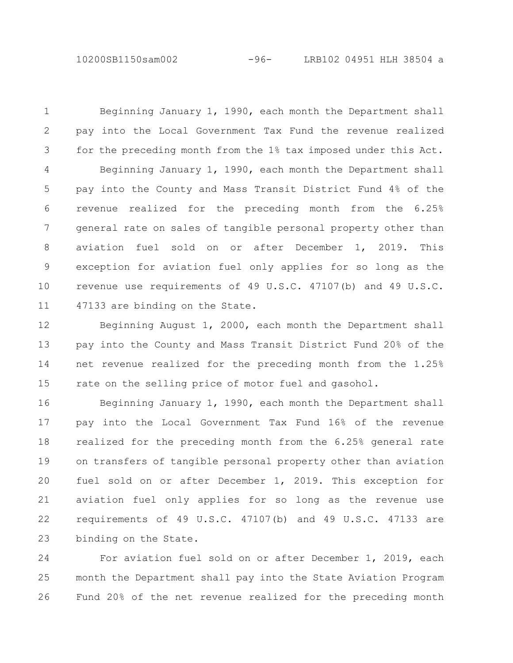10200SB1150sam002 -96- LRB102 04951 HLH 38504 a

Beginning January 1, 1990, each month the Department shall pay into the Local Government Tax Fund the revenue realized for the preceding month from the 1% tax imposed under this Act. Beginning January 1, 1990, each month the Department shall pay into the County and Mass Transit District Fund 4% of the revenue realized for the preceding month from the 6.25% general rate on sales of tangible personal property other than aviation fuel sold on or after December 1, 2019. This exception for aviation fuel only applies for so long as the revenue use requirements of 49 U.S.C. 47107(b) and 49 U.S.C. 47133 are binding on the State. 1 2 3 4 5 6 7 8 9 10 11

Beginning August 1, 2000, each month the Department shall pay into the County and Mass Transit District Fund 20% of the net revenue realized for the preceding month from the 1.25% rate on the selling price of motor fuel and gasohol. 12 13 14 15

Beginning January 1, 1990, each month the Department shall pay into the Local Government Tax Fund 16% of the revenue realized for the preceding month from the 6.25% general rate on transfers of tangible personal property other than aviation fuel sold on or after December 1, 2019. This exception for aviation fuel only applies for so long as the revenue use requirements of 49 U.S.C. 47107(b) and 49 U.S.C. 47133 are binding on the State. 16 17 18 19 20 21 22 23

For aviation fuel sold on or after December 1, 2019, each month the Department shall pay into the State Aviation Program Fund 20% of the net revenue realized for the preceding month 24 25 26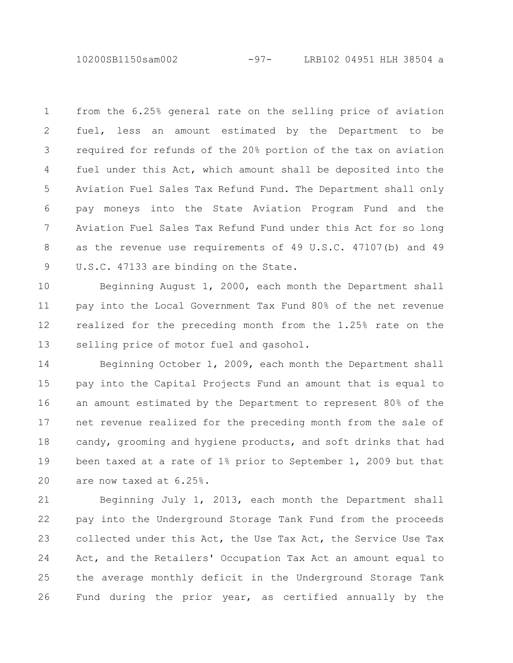10200SB1150sam002 -97- LRB102 04951 HLH 38504 a

from the 6.25% general rate on the selling price of aviation fuel, less an amount estimated by the Department to be required for refunds of the 20% portion of the tax on aviation fuel under this Act, which amount shall be deposited into the Aviation Fuel Sales Tax Refund Fund. The Department shall only pay moneys into the State Aviation Program Fund and the Aviation Fuel Sales Tax Refund Fund under this Act for so long as the revenue use requirements of 49 U.S.C. 47107(b) and 49 U.S.C. 47133 are binding on the State. 1 2 3 4 5 6 7 8 9

Beginning August 1, 2000, each month the Department shall pay into the Local Government Tax Fund 80% of the net revenue realized for the preceding month from the 1.25% rate on the selling price of motor fuel and gasohol. 10 11 12 13

Beginning October 1, 2009, each month the Department shall pay into the Capital Projects Fund an amount that is equal to an amount estimated by the Department to represent 80% of the net revenue realized for the preceding month from the sale of candy, grooming and hygiene products, and soft drinks that had been taxed at a rate of 1% prior to September 1, 2009 but that are now taxed at 6.25%. 14 15 16 17 18 19 20

Beginning July 1, 2013, each month the Department shall pay into the Underground Storage Tank Fund from the proceeds collected under this Act, the Use Tax Act, the Service Use Tax Act, and the Retailers' Occupation Tax Act an amount equal to the average monthly deficit in the Underground Storage Tank Fund during the prior year, as certified annually by the 21 22 23 24 25 26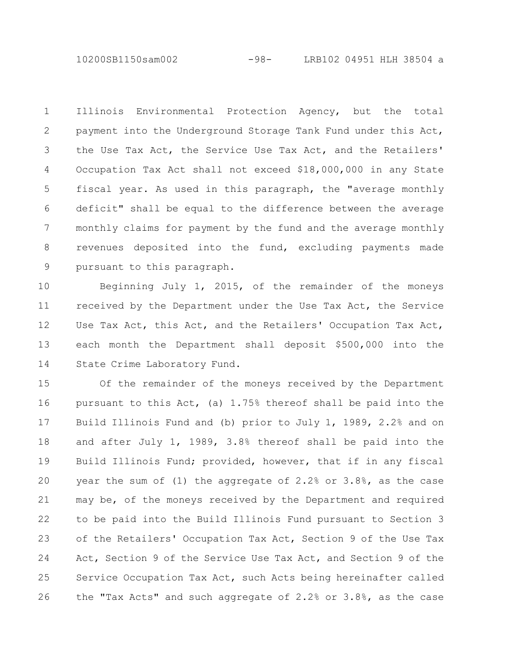10200SB1150sam002 -98- LRB102 04951 HLH 38504 a

Illinois Environmental Protection Agency, but the total payment into the Underground Storage Tank Fund under this Act, the Use Tax Act, the Service Use Tax Act, and the Retailers' Occupation Tax Act shall not exceed \$18,000,000 in any State fiscal year. As used in this paragraph, the "average monthly deficit" shall be equal to the difference between the average monthly claims for payment by the fund and the average monthly revenues deposited into the fund, excluding payments made pursuant to this paragraph. 1 2 3 4 5 6 7 8 9

Beginning July 1, 2015, of the remainder of the moneys received by the Department under the Use Tax Act, the Service Use Tax Act, this Act, and the Retailers' Occupation Tax Act, each month the Department shall deposit \$500,000 into the State Crime Laboratory Fund. 10 11 12 13 14

Of the remainder of the moneys received by the Department pursuant to this Act, (a) 1.75% thereof shall be paid into the Build Illinois Fund and (b) prior to July 1, 1989, 2.2% and on and after July 1, 1989, 3.8% thereof shall be paid into the Build Illinois Fund; provided, however, that if in any fiscal year the sum of (1) the aggregate of 2.2% or 3.8%, as the case may be, of the moneys received by the Department and required to be paid into the Build Illinois Fund pursuant to Section 3 of the Retailers' Occupation Tax Act, Section 9 of the Use Tax Act, Section 9 of the Service Use Tax Act, and Section 9 of the Service Occupation Tax Act, such Acts being hereinafter called the "Tax Acts" and such aggregate of 2.2% or 3.8%, as the case 15 16 17 18 19 20 21 22 23 24 25 26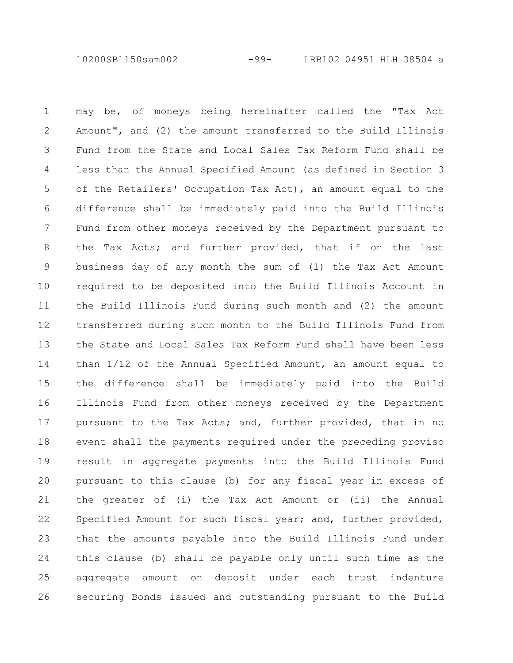10200SB1150sam002 -99- LRB102 04951 HLH 38504 a

may be, of moneys being hereinafter called the "Tax Act Amount", and (2) the amount transferred to the Build Illinois Fund from the State and Local Sales Tax Reform Fund shall be less than the Annual Specified Amount (as defined in Section 3 of the Retailers' Occupation Tax Act), an amount equal to the difference shall be immediately paid into the Build Illinois Fund from other moneys received by the Department pursuant to the Tax Acts; and further provided, that if on the last business day of any month the sum of (1) the Tax Act Amount required to be deposited into the Build Illinois Account in the Build Illinois Fund during such month and (2) the amount transferred during such month to the Build Illinois Fund from the State and Local Sales Tax Reform Fund shall have been less than 1/12 of the Annual Specified Amount, an amount equal to the difference shall be immediately paid into the Build Illinois Fund from other moneys received by the Department pursuant to the Tax Acts; and, further provided, that in no event shall the payments required under the preceding proviso result in aggregate payments into the Build Illinois Fund pursuant to this clause (b) for any fiscal year in excess of the greater of (i) the Tax Act Amount or (ii) the Annual Specified Amount for such fiscal year; and, further provided, that the amounts payable into the Build Illinois Fund under this clause (b) shall be payable only until such time as the aggregate amount on deposit under each trust indenture securing Bonds issued and outstanding pursuant to the Build 1 2 3 4 5 6 7 8 9 10 11 12 13 14 15 16 17 18 19 20 21 22 23 24 25 26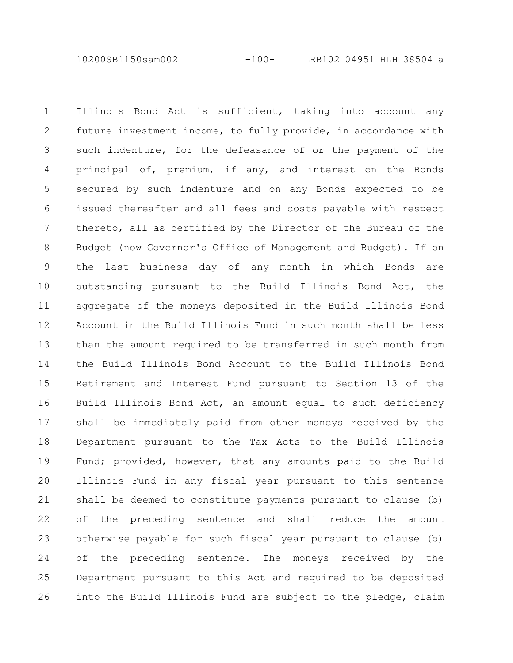10200SB1150sam002 -100- LRB102 04951 HLH 38504 a

Illinois Bond Act is sufficient, taking into account any future investment income, to fully provide, in accordance with such indenture, for the defeasance of or the payment of the principal of, premium, if any, and interest on the Bonds secured by such indenture and on any Bonds expected to be issued thereafter and all fees and costs payable with respect thereto, all as certified by the Director of the Bureau of the Budget (now Governor's Office of Management and Budget). If on the last business day of any month in which Bonds are outstanding pursuant to the Build Illinois Bond Act, the aggregate of the moneys deposited in the Build Illinois Bond Account in the Build Illinois Fund in such month shall be less than the amount required to be transferred in such month from the Build Illinois Bond Account to the Build Illinois Bond Retirement and Interest Fund pursuant to Section 13 of the Build Illinois Bond Act, an amount equal to such deficiency shall be immediately paid from other moneys received by the Department pursuant to the Tax Acts to the Build Illinois Fund; provided, however, that any amounts paid to the Build Illinois Fund in any fiscal year pursuant to this sentence shall be deemed to constitute payments pursuant to clause (b) of the preceding sentence and shall reduce the amount otherwise payable for such fiscal year pursuant to clause (b) of the preceding sentence. The moneys received by the Department pursuant to this Act and required to be deposited into the Build Illinois Fund are subject to the pledge, claim 1 2 3 4 5 6 7 8 9 10 11 12 13 14 15 16 17 18 19 20 21 22 23 24 25 26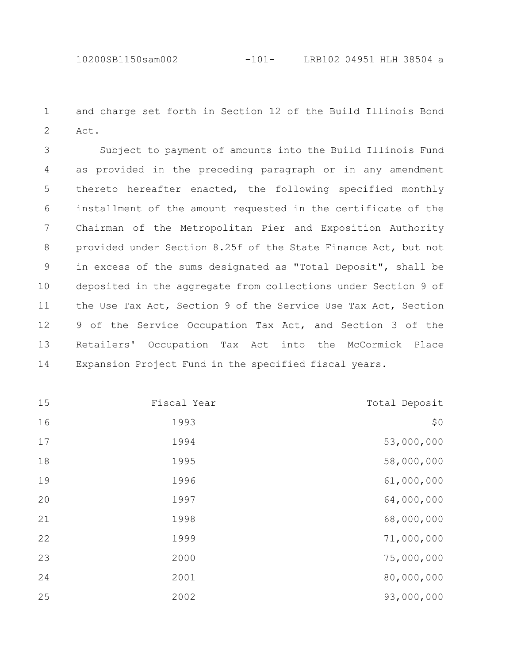and charge set forth in Section 12 of the Build Illinois Bond Act. 

Subject to payment of amounts into the Build Illinois Fund as provided in the preceding paragraph or in any amendment thereto hereafter enacted, the following specified monthly installment of the amount requested in the certificate of the Chairman of the Metropolitan Pier and Exposition Authority provided under Section 8.25f of the State Finance Act, but not in excess of the sums designated as "Total Deposit", shall be deposited in the aggregate from collections under Section 9 of the Use Tax Act, Section 9 of the Service Use Tax Act, Section of the Service Occupation Tax Act, and Section 3 of the Retailers' Occupation Tax Act into the McCormick Place Expansion Project Fund in the specified fiscal years. 

| Total Deposit | Fiscal Year | 15 |
|---------------|-------------|----|
| \$0           | 1993        | 16 |
| 53,000,000    | 1994        | 17 |
| 58,000,000    | 1995        | 18 |
| 61,000,000    | 1996        | 19 |
| 64,000,000    | 1997        | 20 |
| 68,000,000    | 1998        | 21 |
| 71,000,000    | 1999        | 22 |
| 75,000,000    | 2000        | 23 |
| 80,000,000    | 2001        | 24 |
| 93,000,000    | 2002        | 25 |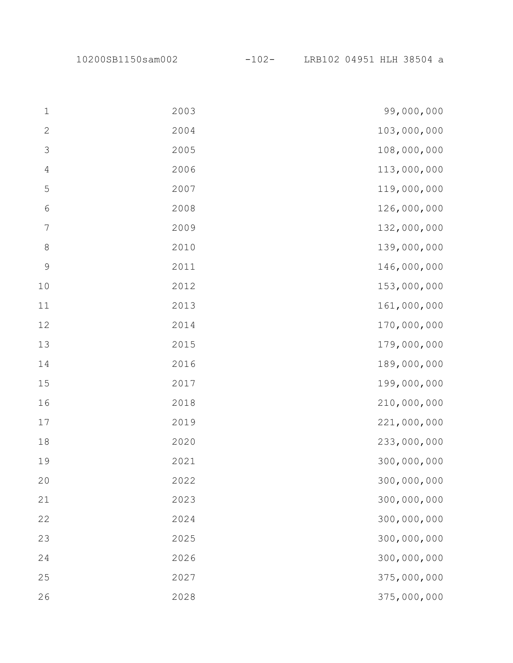10200SB1150sam002 -102- LRB102 04951 HLH 38504 a

| $\mathbf{1}$   | 2003 | 99,000,000  |
|----------------|------|-------------|
| $\mathbf{2}$   | 2004 | 103,000,000 |
| $\mathcal{S}$  | 2005 | 108,000,000 |
| $\overline{4}$ | 2006 | 113,000,000 |
| $\mathsf S$    | 2007 | 119,000,000 |
| $\epsilon$     | 2008 | 126,000,000 |
| $\sqrt{ }$     | 2009 | 132,000,000 |
| $\,8\,$        | 2010 | 139,000,000 |
| $\mathcal{G}$  | 2011 | 146,000,000 |
| 10             | 2012 | 153,000,000 |
| 11             | 2013 | 161,000,000 |
| 12             | 2014 | 170,000,000 |
| 13             | 2015 | 179,000,000 |
| 14             | 2016 | 189,000,000 |
| 15             | 2017 | 199,000,000 |
| 16             | 2018 | 210,000,000 |
| $17$           | 2019 | 221,000,000 |
| 18             | 2020 | 233,000,000 |
| 19             | 2021 | 300,000,000 |
| 20             | 2022 | 300,000,000 |
| 21             | 2023 | 300,000,000 |
| 22             | 2024 | 300,000,000 |
| 23             | 2025 | 300,000,000 |
| 24             | 2026 | 300,000,000 |
| 25             | 2027 | 375,000,000 |
| 26             | 2028 | 375,000,000 |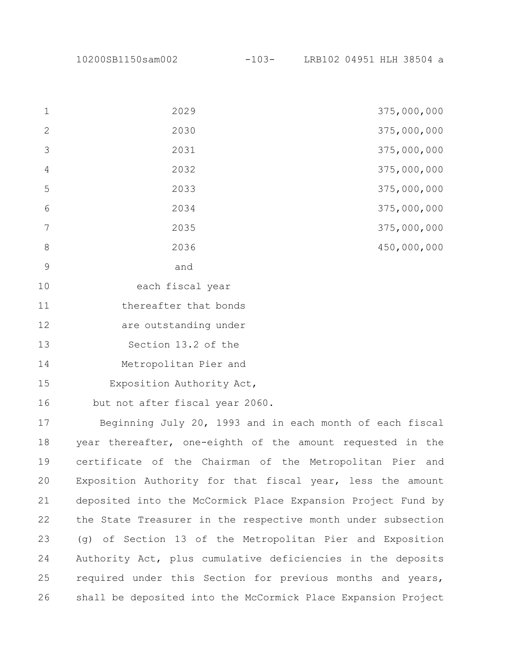|                | 2029                  | 375,000,000 |
|----------------|-----------------------|-------------|
| $\mathbf{2}$   | 2030                  | 375,000,000 |
| 3              | 2031                  | 375,000,000 |
| $\overline{4}$ | 2032                  | 375,000,000 |
| 5              | 2033                  | 375,000,000 |
| 6              | 2034                  | 375,000,000 |
| 7              | 2035                  | 375,000,000 |
| 8              | 2036                  | 450,000,000 |
| 9              | and                   |             |
| 10             | each fiscal year      |             |
| 11             | thereafter that bonds |             |

are outstanding under 

Section 13.2 of the 

Metropolitan Pier and 

Exposition Authority Act, 

but not after fiscal year 2060. 

Beginning July 20, 1993 and in each month of each fiscal year thereafter, one-eighth of the amount requested in the certificate of the Chairman of the Metropolitan Pier and Exposition Authority for that fiscal year, less the amount deposited into the McCormick Place Expansion Project Fund by the State Treasurer in the respective month under subsection (g) of Section 13 of the Metropolitan Pier and Exposition Authority Act, plus cumulative deficiencies in the deposits required under this Section for previous months and years, shall be deposited into the McCormick Place Expansion Project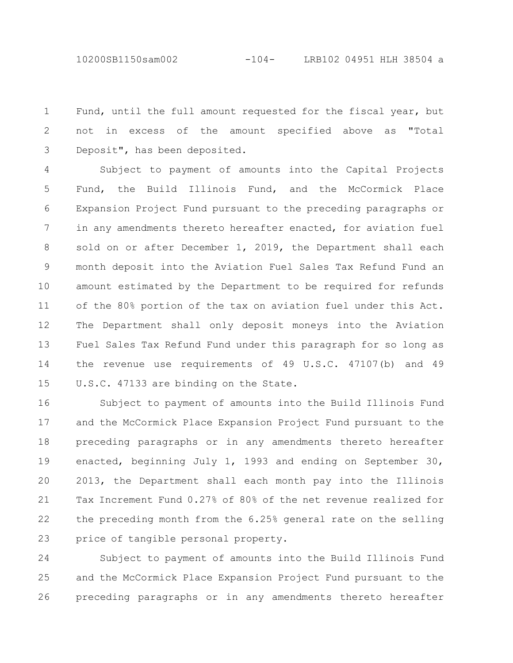10200SB1150sam002 -104- LRB102 04951 HLH 38504 a

Fund, until the full amount requested for the fiscal year, but not in excess of the amount specified above as "Total Deposit", has been deposited. 1 2 3

Subject to payment of amounts into the Capital Projects Fund, the Build Illinois Fund, and the McCormick Place Expansion Project Fund pursuant to the preceding paragraphs or in any amendments thereto hereafter enacted, for aviation fuel sold on or after December 1, 2019, the Department shall each month deposit into the Aviation Fuel Sales Tax Refund Fund an amount estimated by the Department to be required for refunds of the 80% portion of the tax on aviation fuel under this Act. The Department shall only deposit moneys into the Aviation Fuel Sales Tax Refund Fund under this paragraph for so long as the revenue use requirements of 49 U.S.C. 47107(b) and 49 U.S.C. 47133 are binding on the State. 4 5 6 7 8 9 10 11 12 13 14 15

Subject to payment of amounts into the Build Illinois Fund and the McCormick Place Expansion Project Fund pursuant to the preceding paragraphs or in any amendments thereto hereafter enacted, beginning July 1, 1993 and ending on September 30, 2013, the Department shall each month pay into the Illinois Tax Increment Fund 0.27% of 80% of the net revenue realized for the preceding month from the 6.25% general rate on the selling price of tangible personal property. 16 17 18 19 20 21 22 23

Subject to payment of amounts into the Build Illinois Fund and the McCormick Place Expansion Project Fund pursuant to the preceding paragraphs or in any amendments thereto hereafter 24 25 26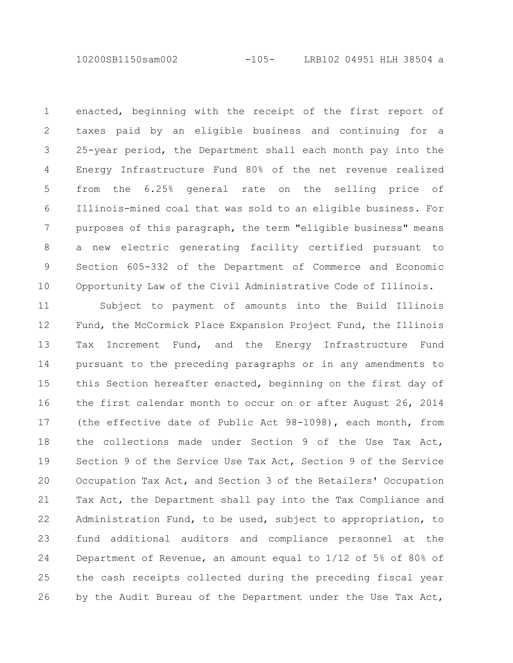10200SB1150sam002 -105- LRB102 04951 HLH 38504 a

enacted, beginning with the receipt of the first report of taxes paid by an eligible business and continuing for a 25-year period, the Department shall each month pay into the Energy Infrastructure Fund 80% of the net revenue realized from the 6.25% general rate on the selling price of Illinois-mined coal that was sold to an eligible business. For purposes of this paragraph, the term "eligible business" means a new electric generating facility certified pursuant to Section 605-332 of the Department of Commerce and Economic Opportunity Law of the Civil Administrative Code of Illinois. 1 2 3 4 5 6 7 8 9 10

Subject to payment of amounts into the Build Illinois Fund, the McCormick Place Expansion Project Fund, the Illinois Tax Increment Fund, and the Energy Infrastructure Fund pursuant to the preceding paragraphs or in any amendments to this Section hereafter enacted, beginning on the first day of the first calendar month to occur on or after August 26, 2014 (the effective date of Public Act 98-1098), each month, from the collections made under Section 9 of the Use Tax Act, Section 9 of the Service Use Tax Act, Section 9 of the Service Occupation Tax Act, and Section 3 of the Retailers' Occupation Tax Act, the Department shall pay into the Tax Compliance and Administration Fund, to be used, subject to appropriation, to fund additional auditors and compliance personnel at the Department of Revenue, an amount equal to 1/12 of 5% of 80% of the cash receipts collected during the preceding fiscal year by the Audit Bureau of the Department under the Use Tax Act, 11 12 13 14 15 16 17 18 19 20 21 22 23 24 25 26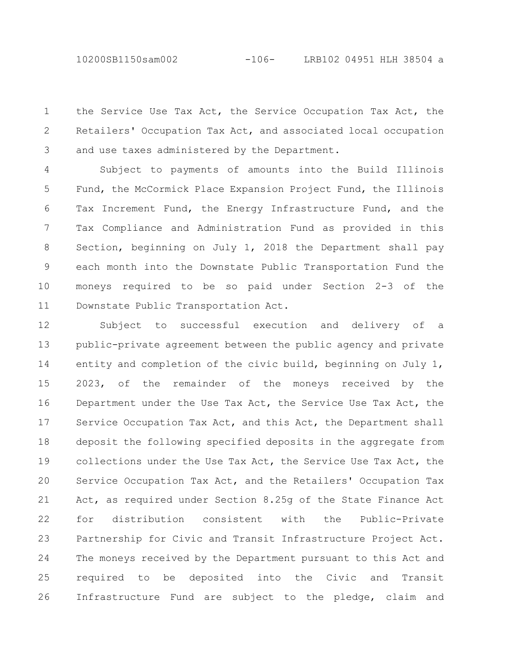10200SB1150sam002 -106- LRB102 04951 HLH 38504 a

the Service Use Tax Act, the Service Occupation Tax Act, the Retailers' Occupation Tax Act, and associated local occupation and use taxes administered by the Department. 1 2 3

Subject to payments of amounts into the Build Illinois Fund, the McCormick Place Expansion Project Fund, the Illinois Tax Increment Fund, the Energy Infrastructure Fund, and the Tax Compliance and Administration Fund as provided in this Section, beginning on July 1, 2018 the Department shall pay each month into the Downstate Public Transportation Fund the moneys required to be so paid under Section 2-3 of the Downstate Public Transportation Act. 4 5 6 7 8 9 10 11

Subject to successful execution and delivery of a public-private agreement between the public agency and private entity and completion of the civic build, beginning on July 1, 2023, of the remainder of the moneys received by the Department under the Use Tax Act, the Service Use Tax Act, the Service Occupation Tax Act, and this Act, the Department shall deposit the following specified deposits in the aggregate from collections under the Use Tax Act, the Service Use Tax Act, the Service Occupation Tax Act, and the Retailers' Occupation Tax Act, as required under Section 8.25g of the State Finance Act for distribution consistent with the Public-Private Partnership for Civic and Transit Infrastructure Project Act. The moneys received by the Department pursuant to this Act and required to be deposited into the Civic and Transit Infrastructure Fund are subject to the pledge, claim and 12 13 14 15 16 17 18 19 20 21 22 23 24 25 26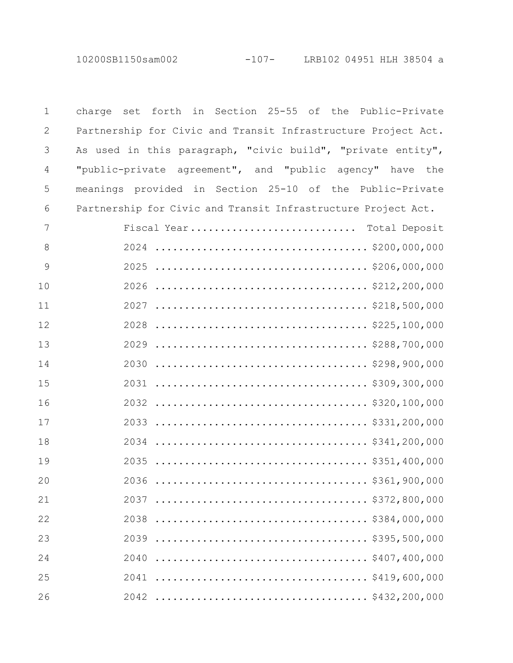| $\mathbf 1$ | charge set forth in Section 25-55 of the Public-Private       |
|-------------|---------------------------------------------------------------|
| 2           | Partnership for Civic and Transit Infrastructure Project Act. |
| 3           | As used in this paragraph, "civic build", "private entity",   |
| 4           | "public-private agreement", and "public agency" have the      |
| 5           | meanings provided in Section 25-10 of the Public-Private      |
| 6           | Partnership for Civic and Transit Infrastructure Project Act. |
| 7           | Fiscal Year Total Deposit                                     |
| 8           |                                                               |
| 9           |                                                               |
| 10          |                                                               |
| 11          |                                                               |
| 12          |                                                               |
| 13          |                                                               |
| 14          |                                                               |
| 15          |                                                               |
| 16          |                                                               |
| 17          |                                                               |
| 18          |                                                               |
| 19          |                                                               |
| 20          |                                                               |
| 21          | \$372,800,000<br>2037                                         |
| 22          | 2038                                                          |
| 23          | \$395,500,000<br>2039                                         |
| 24          | 2040                                                          |
| 25          | 2041                                                          |
| 26          |                                                               |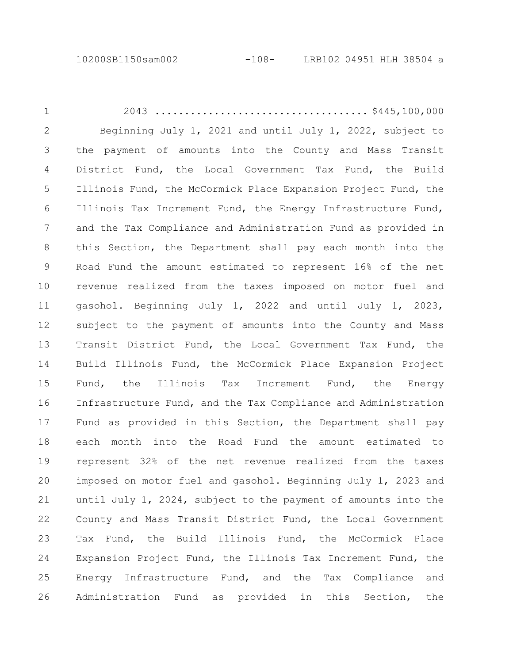2043 .................................... \$445,100,000 Beginning July 1, 2021 and until July 1, 2022, subject to the payment of amounts into the County and Mass Transit District Fund, the Local Government Tax Fund, the Build Illinois Fund, the McCormick Place Expansion Project Fund, the Illinois Tax Increment Fund, the Energy Infrastructure Fund, and the Tax Compliance and Administration Fund as provided in this Section, the Department shall pay each month into the Road Fund the amount estimated to represent 16% of the net revenue realized from the taxes imposed on motor fuel and gasohol. Beginning July 1, 2022 and until July 1, 2023, subject to the payment of amounts into the County and Mass Transit District Fund, the Local Government Tax Fund, the Build Illinois Fund, the McCormick Place Expansion Project Fund, the Illinois Tax Increment Fund, the Energy Infrastructure Fund, and the Tax Compliance and Administration Fund as provided in this Section, the Department shall pay each month into the Road Fund the amount estimated to represent 32% of the net revenue realized from the taxes imposed on motor fuel and gasohol. Beginning July 1, 2023 and until July 1, 2024, subject to the payment of amounts into the County and Mass Transit District Fund, the Local Government Tax Fund, the Build Illinois Fund, the McCormick Place Expansion Project Fund, the Illinois Tax Increment Fund, the Energy Infrastructure Fund, and the Tax Compliance and Administration Fund as provided in this Section, the 1 2 3 4 5 6 7 8 9 10 11 12 13 14 15 16 17 18 19 20 21 22 23 24 25 26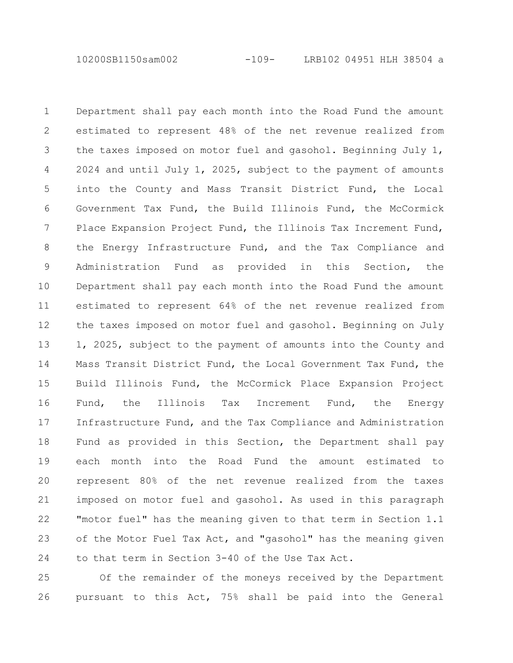10200SB1150sam002 -109- LRB102 04951 HLH 38504 a

Department shall pay each month into the Road Fund the amount estimated to represent 48% of the net revenue realized from the taxes imposed on motor fuel and gasohol. Beginning July 1, 2024 and until July 1, 2025, subject to the payment of amounts into the County and Mass Transit District Fund, the Local Government Tax Fund, the Build Illinois Fund, the McCormick Place Expansion Project Fund, the Illinois Tax Increment Fund, the Energy Infrastructure Fund, and the Tax Compliance and Administration Fund as provided in this Section, the Department shall pay each month into the Road Fund the amount estimated to represent 64% of the net revenue realized from the taxes imposed on motor fuel and gasohol. Beginning on July 1, 2025, subject to the payment of amounts into the County and Mass Transit District Fund, the Local Government Tax Fund, the Build Illinois Fund, the McCormick Place Expansion Project Fund, the Illinois Tax Increment Fund, the Energy Infrastructure Fund, and the Tax Compliance and Administration Fund as provided in this Section, the Department shall pay each month into the Road Fund the amount estimated to represent 80% of the net revenue realized from the taxes imposed on motor fuel and gasohol. As used in this paragraph "motor fuel" has the meaning given to that term in Section 1.1 of the Motor Fuel Tax Act, and "gasohol" has the meaning given to that term in Section 3-40 of the Use Tax Act. 1 2 3 4 5 6 7 8 9 10 11 12 13 14 15 16 17 18 19 20 21 22 23 24

Of the remainder of the moneys received by the Department pursuant to this Act, 75% shall be paid into the General 25 26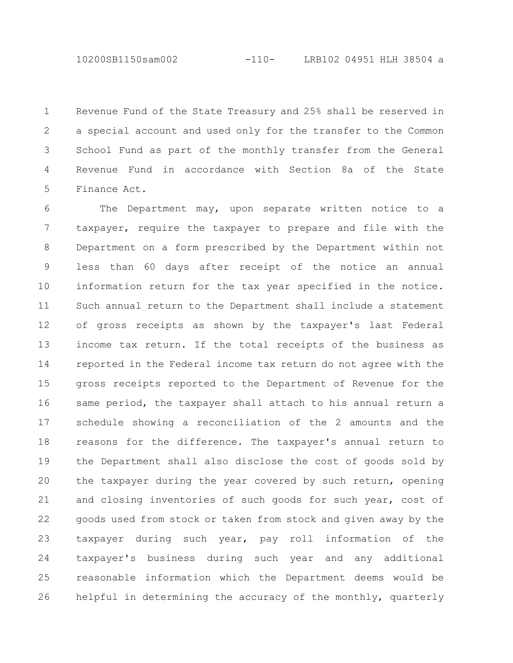Revenue Fund of the State Treasury and 25% shall be reserved in a special account and used only for the transfer to the Common School Fund as part of the monthly transfer from the General Revenue Fund in accordance with Section 8a of the State Finance Act. 1 2 3 4 5

The Department may, upon separate written notice to a taxpayer, require the taxpayer to prepare and file with the Department on a form prescribed by the Department within not less than 60 days after receipt of the notice an annual information return for the tax year specified in the notice. Such annual return to the Department shall include a statement of gross receipts as shown by the taxpayer's last Federal income tax return. If the total receipts of the business as reported in the Federal income tax return do not agree with the gross receipts reported to the Department of Revenue for the same period, the taxpayer shall attach to his annual return a schedule showing a reconciliation of the 2 amounts and the reasons for the difference. The taxpayer's annual return to the Department shall also disclose the cost of goods sold by the taxpayer during the year covered by such return, opening and closing inventories of such goods for such year, cost of goods used from stock or taken from stock and given away by the taxpayer during such year, pay roll information of the taxpayer's business during such year and any additional reasonable information which the Department deems would be helpful in determining the accuracy of the monthly, quarterly 6 7 8 9 10 11 12 13 14 15 16 17 18 19 20 21 22 23 24 25 26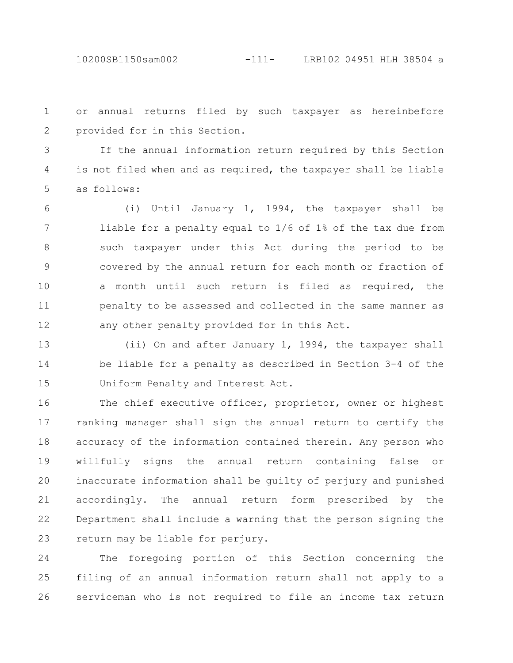10200SB1150sam002 -111- LRB102 04951 HLH 38504 a

or annual returns filed by such taxpayer as hereinbefore provided for in this Section. 1 2

If the annual information return required by this Section is not filed when and as required, the taxpayer shall be liable as follows: 3 4 5

(i) Until January 1, 1994, the taxpayer shall be liable for a penalty equal to 1/6 of 1% of the tax due from such taxpayer under this Act during the period to be covered by the annual return for each month or fraction of a month until such return is filed as required, the penalty to be assessed and collected in the same manner as any other penalty provided for in this Act. 6 7 8 9 10 11 12

(ii) On and after January 1, 1994, the taxpayer shall be liable for a penalty as described in Section 3-4 of the Uniform Penalty and Interest Act. 13 14 15

The chief executive officer, proprietor, owner or highest ranking manager shall sign the annual return to certify the accuracy of the information contained therein. Any person who willfully signs the annual return containing false or inaccurate information shall be guilty of perjury and punished accordingly. The annual return form prescribed by the Department shall include a warning that the person signing the return may be liable for perjury. 16 17 18 19 20 21 22 23

The foregoing portion of this Section concerning the filing of an annual information return shall not apply to a serviceman who is not required to file an income tax return 24 25 26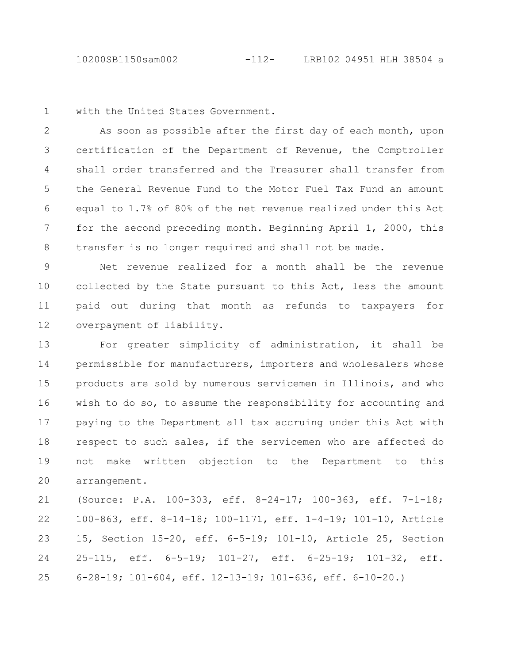10200SB1150sam002 -112- LRB102 04951 HLH 38504 a

with the United States Government. 1

As soon as possible after the first day of each month, upon certification of the Department of Revenue, the Comptroller shall order transferred and the Treasurer shall transfer from the General Revenue Fund to the Motor Fuel Tax Fund an amount equal to 1.7% of 80% of the net revenue realized under this Act for the second preceding month. Beginning April 1, 2000, this transfer is no longer required and shall not be made. 2 3 4 5 6 7 8

Net revenue realized for a month shall be the revenue collected by the State pursuant to this Act, less the amount paid out during that month as refunds to taxpayers for overpayment of liability. 9 10 11 12

For greater simplicity of administration, it shall be permissible for manufacturers, importers and wholesalers whose products are sold by numerous servicemen in Illinois, and who wish to do so, to assume the responsibility for accounting and paying to the Department all tax accruing under this Act with respect to such sales, if the servicemen who are affected do not make written objection to the Department to this arrangement. 13 14 15 16 17 18 19 20

(Source: P.A. 100-303, eff. 8-24-17; 100-363, eff. 7-1-18; 100-863, eff. 8-14-18; 100-1171, eff. 1-4-19; 101-10, Article 15, Section 15-20, eff. 6-5-19; 101-10, Article 25, Section 25-115, eff. 6-5-19; 101-27, eff. 6-25-19; 101-32, eff. 6-28-19; 101-604, eff. 12-13-19; 101-636, eff. 6-10-20.) 21 22 23 24 25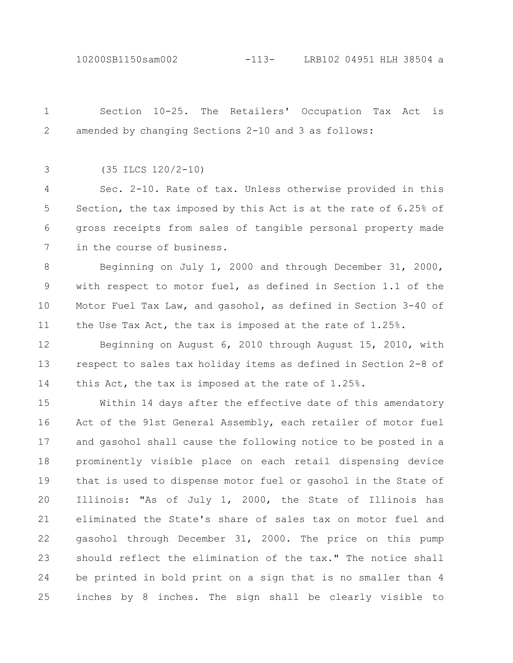10200SB1150sam002 -113- LRB102 04951 HLH 38504 a

1

Section 10-25. The Retailers' Occupation Tax Act is

amended by changing Sections 2-10 and 3 as follows: (35 ILCS 120/2-10) Sec. 2-10. Rate of tax. Unless otherwise provided in this Section, the tax imposed by this Act is at the rate of 6.25% of gross receipts from sales of tangible personal property made in the course of business. Beginning on July 1, 2000 and through December 31, 2000, with respect to motor fuel, as defined in Section 1.1 of the Motor Fuel Tax Law, and gasohol, as defined in Section 3-40 of the Use Tax Act, the tax is imposed at the rate of 1.25%. Beginning on August 6, 2010 through August 15, 2010, with respect to sales tax holiday items as defined in Section 2-8 of this Act, the tax is imposed at the rate of 1.25%. Within 14 days after the effective date of this amendatory Act of the 91st General Assembly, each retailer of motor fuel and gasohol shall cause the following notice to be posted in a prominently visible place on each retail dispensing device that is used to dispense motor fuel or gasohol in the State of Illinois: "As of July 1, 2000, the State of Illinois has eliminated the State's share of sales tax on motor fuel and gasohol through December 31, 2000. The price on this pump should reflect the elimination of the tax." The notice shall be printed in bold print on a sign that is no smaller than 4 inches by 8 inches. The sign shall be clearly visible to 2 3 4 5 6 7 8 9 10 11 12 13 14 15 16 17 18 19 20 21 22 23 24 25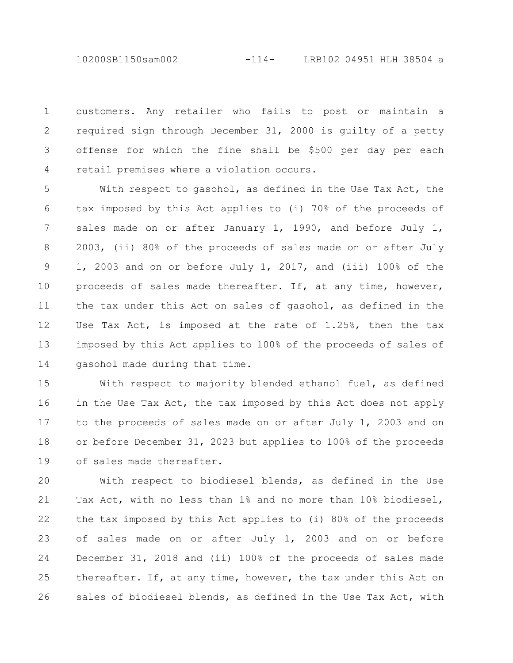10200SB1150sam002 -114- LRB102 04951 HLH 38504 a

customers. Any retailer who fails to post or maintain a required sign through December 31, 2000 is guilty of a petty offense for which the fine shall be \$500 per day per each retail premises where a violation occurs. 1 2 3 4

With respect to gasohol, as defined in the Use Tax Act, the tax imposed by this Act applies to (i) 70% of the proceeds of sales made on or after January 1, 1990, and before July 1, 2003, (ii) 80% of the proceeds of sales made on or after July 1, 2003 and on or before July 1, 2017, and (iii) 100% of the proceeds of sales made thereafter. If, at any time, however, the tax under this Act on sales of gasohol, as defined in the Use Tax Act, is imposed at the rate of 1.25%, then the tax imposed by this Act applies to 100% of the proceeds of sales of gasohol made during that time. 5 6 7 8 9 10 11 12 13 14

With respect to majority blended ethanol fuel, as defined in the Use Tax Act, the tax imposed by this Act does not apply to the proceeds of sales made on or after July 1, 2003 and on or before December 31, 2023 but applies to 100% of the proceeds of sales made thereafter. 15 16 17 18 19

With respect to biodiesel blends, as defined in the Use Tax Act, with no less than 1% and no more than 10% biodiesel, the tax imposed by this Act applies to (i) 80% of the proceeds of sales made on or after July 1, 2003 and on or before December 31, 2018 and (ii) 100% of the proceeds of sales made thereafter. If, at any time, however, the tax under this Act on sales of biodiesel blends, as defined in the Use Tax Act, with 20 21 22 23 24 25 26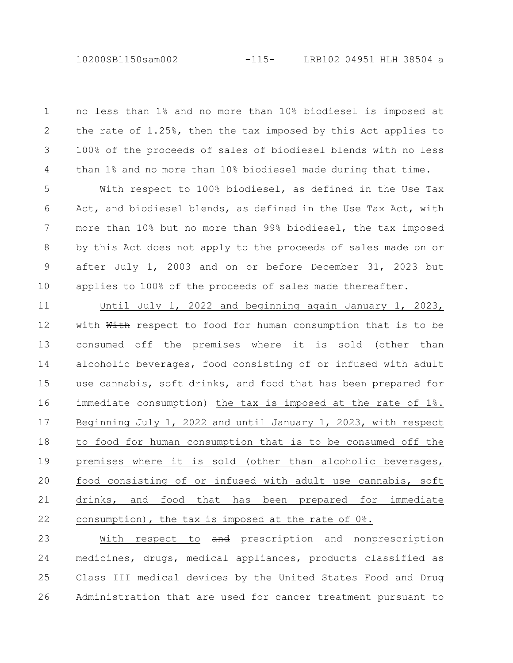no less than 1% and no more than 10% biodiesel is imposed at the rate of 1.25%, then the tax imposed by this Act applies to 100% of the proceeds of sales of biodiesel blends with no less than 1% and no more than 10% biodiesel made during that time. 1 2 3 4

With respect to 100% biodiesel, as defined in the Use Tax Act, and biodiesel blends, as defined in the Use Tax Act, with more than 10% but no more than 99% biodiesel, the tax imposed by this Act does not apply to the proceeds of sales made on or after July 1, 2003 and on or before December 31, 2023 but applies to 100% of the proceeds of sales made thereafter. 5 6 7 8 9 10

Until July 1, 2022 and beginning again January 1, 2023, with With respect to food for human consumption that is to be consumed off the premises where it is sold (other than alcoholic beverages, food consisting of or infused with adult use cannabis, soft drinks, and food that has been prepared for immediate consumption) the tax is imposed at the rate of 1%. Beginning July 1, 2022 and until January 1, 2023, with respect to food for human consumption that is to be consumed off the premises where it is sold (other than alcoholic beverages, food consisting of or infused with adult use cannabis, soft drinks, and food that has been prepared for immediate consumption), the tax is imposed at the rate of 0%. 11 12 13 14 15 16 17 18 19 20 21 22

With respect to and prescription and nonprescription medicines, drugs, medical appliances, products classified as Class III medical devices by the United States Food and Drug Administration that are used for cancer treatment pursuant to 23 24 25 26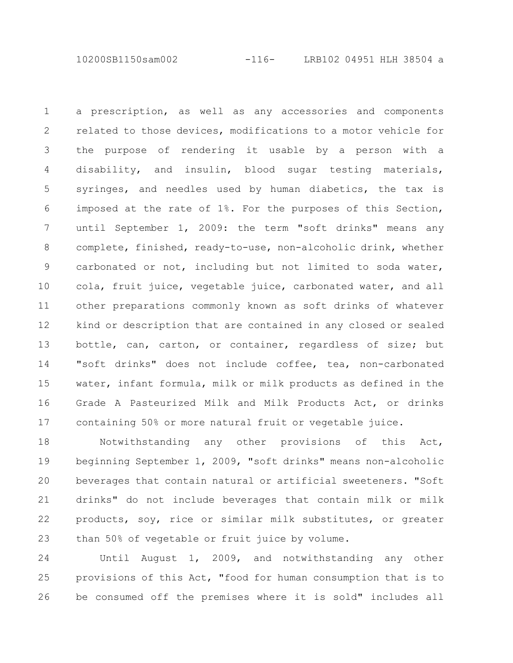10200SB1150sam002 -116- LRB102 04951 HLH 38504 a

a prescription, as well as any accessories and components related to those devices, modifications to a motor vehicle for the purpose of rendering it usable by a person with a disability, and insulin, blood sugar testing materials, syringes, and needles used by human diabetics, the tax is imposed at the rate of 1%. For the purposes of this Section, until September 1, 2009: the term "soft drinks" means any complete, finished, ready-to-use, non-alcoholic drink, whether carbonated or not, including but not limited to soda water, cola, fruit juice, vegetable juice, carbonated water, and all other preparations commonly known as soft drinks of whatever kind or description that are contained in any closed or sealed bottle, can, carton, or container, regardless of size; but "soft drinks" does not include coffee, tea, non-carbonated water, infant formula, milk or milk products as defined in the Grade A Pasteurized Milk and Milk Products Act, or drinks containing 50% or more natural fruit or vegetable juice. 1 2 3 4 5 6 7 8 9 10 11 12 13 14 15 16 17

Notwithstanding any other provisions of this Act, beginning September 1, 2009, "soft drinks" means non-alcoholic beverages that contain natural or artificial sweeteners. "Soft drinks" do not include beverages that contain milk or milk products, soy, rice or similar milk substitutes, or greater than 50% of vegetable or fruit juice by volume. 18 19 20 21 22 23

Until August 1, 2009, and notwithstanding any other provisions of this Act, "food for human consumption that is to be consumed off the premises where it is sold" includes all 24 25 26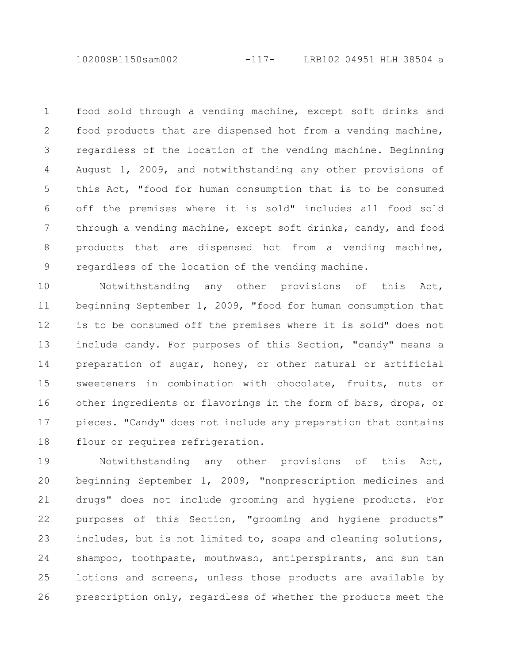10200SB1150sam002 -117- LRB102 04951 HLH 38504 a

food sold through a vending machine, except soft drinks and food products that are dispensed hot from a vending machine, regardless of the location of the vending machine. Beginning August 1, 2009, and notwithstanding any other provisions of this Act, "food for human consumption that is to be consumed off the premises where it is sold" includes all food sold through a vending machine, except soft drinks, candy, and food products that are dispensed hot from a vending machine, regardless of the location of the vending machine. 1 2 3 4 5 6 7 8 9

Notwithstanding any other provisions of this Act, beginning September 1, 2009, "food for human consumption that is to be consumed off the premises where it is sold" does not include candy. For purposes of this Section, "candy" means a preparation of sugar, honey, or other natural or artificial sweeteners in combination with chocolate, fruits, nuts or other ingredients or flavorings in the form of bars, drops, or pieces. "Candy" does not include any preparation that contains flour or requires refrigeration. 10 11 12 13 14 15 16 17 18

Notwithstanding any other provisions of this Act, beginning September 1, 2009, "nonprescription medicines and drugs" does not include grooming and hygiene products. For purposes of this Section, "grooming and hygiene products" includes, but is not limited to, soaps and cleaning solutions, shampoo, toothpaste, mouthwash, antiperspirants, and sun tan lotions and screens, unless those products are available by prescription only, regardless of whether the products meet the 19 20 21 22 23 24 25 26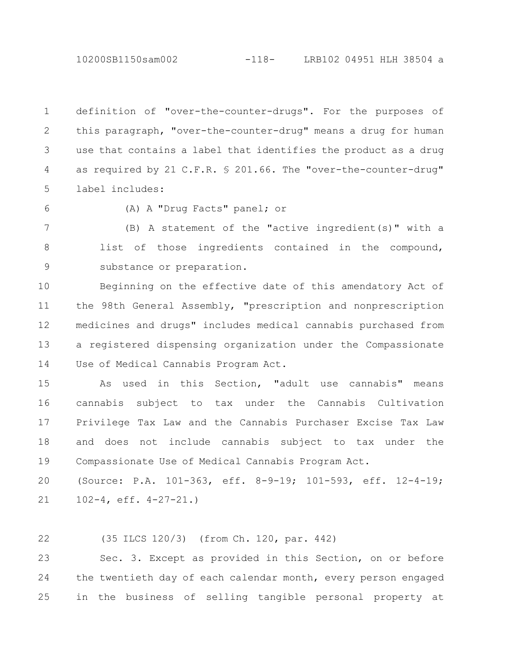10200SB1150sam002 -118- LRB102 04951 HLH 38504 a

definition of "over-the-counter-drugs". For the purposes of this paragraph, "over-the-counter-drug" means a drug for human use that contains a label that identifies the product as a drug as required by 21 C.F.R. § 201.66. The "over-the-counter-drug" label includes: 1 2 3 4 5

6

(A) A "Drug Facts" panel; or

(B) A statement of the "active ingredient(s)" with a list of those ingredients contained in the compound, substance or preparation. 7 8 9

Beginning on the effective date of this amendatory Act of the 98th General Assembly, "prescription and nonprescription medicines and drugs" includes medical cannabis purchased from a registered dispensing organization under the Compassionate Use of Medical Cannabis Program Act. 10 11 12 13 14

As used in this Section, "adult use cannabis" means cannabis subject to tax under the Cannabis Cultivation Privilege Tax Law and the Cannabis Purchaser Excise Tax Law and does not include cannabis subject to tax under the Compassionate Use of Medical Cannabis Program Act. 15 16 17 18 19

(Source: P.A. 101-363, eff. 8-9-19; 101-593, eff. 12-4-19; 102-4, eff. 4-27-21.) 20 21

(35 ILCS 120/3) (from Ch. 120, par. 442) 22

Sec. 3. Except as provided in this Section, on or before the twentieth day of each calendar month, every person engaged in the business of selling tangible personal property at 23 24 25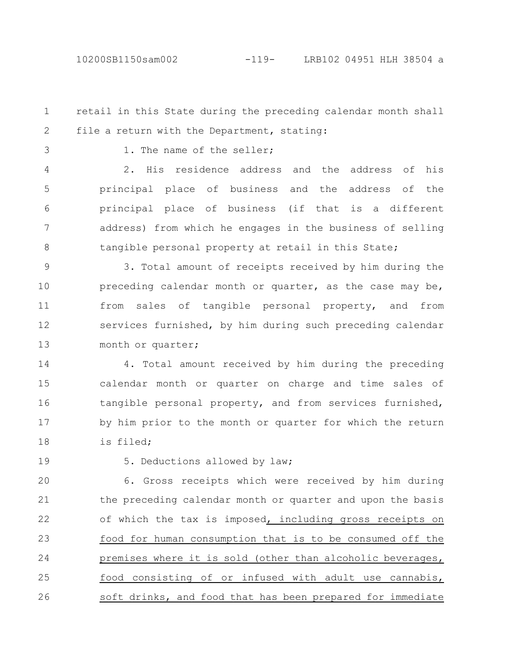## 10200SB1150sam002 -119- LRB102 04951 HLH 38504 a

retail in this State during the preceding calendar month shall file a return with the Department, stating: 1 2

3

1. The name of the seller;

2. His residence address and the address of his principal place of business and the address of the principal place of business (if that is a different address) from which he engages in the business of selling tangible personal property at retail in this State; 4 5 6 7 8

3. Total amount of receipts received by him during the preceding calendar month or quarter, as the case may be, from sales of tangible personal property, and from services furnished, by him during such preceding calendar month or quarter; 9 10 11 12 13

4. Total amount received by him during the preceding calendar month or quarter on charge and time sales of tangible personal property, and from services furnished, by him prior to the month or quarter for which the return is filed; 14 15 16 17 18

19

5. Deductions allowed by law;

6. Gross receipts which were received by him during the preceding calendar month or quarter and upon the basis of which the tax is imposed, including gross receipts on food for human consumption that is to be consumed off the premises where it is sold (other than alcoholic beverages, food consisting of or infused with adult use cannabis, soft drinks, and food that has been prepared for immediate 20 21 22 23 24 25 26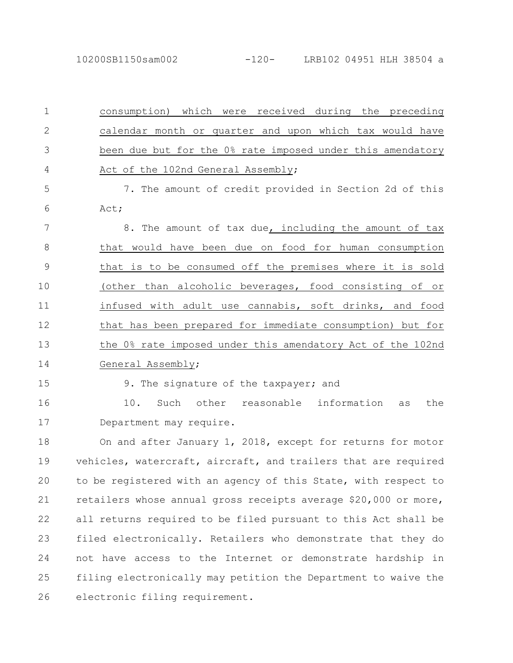| $\mathbf{1}$   | consumption) which were received during the preceding           |
|----------------|-----------------------------------------------------------------|
| $\mathbf{2}$   | calendar month or quarter and upon which tax would have         |
| 3              | been due but for the 0% rate imposed under this amendatory      |
| $\overline{4}$ | Act of the 102nd General Assembly;                              |
| 5              | 7. The amount of credit provided in Section 2d of this          |
| 6              | Act;                                                            |
| 7              | 8. The amount of tax due, including the amount of tax           |
| $8\,$          | that would have been due on food for human consumption          |
| $\mathcal{G}$  | that is to be consumed off the premises where it is sold        |
| 10             | (other than alcoholic beverages, food consisting of or          |
| 11             | infused with adult use cannabis, soft drinks, and food          |
| 12             | that has been prepared for immediate consumption) but for       |
| 13             | the 0% rate imposed under this amendatory Act of the 102nd      |
| 14             | General Assembly;                                               |
| 15             | 9. The signature of the taxpayer; and                           |
| 16             | Such other reasonable information<br>10.<br>the<br>as           |
| 17             | Department may require.                                         |
| 18             | On and after January 1, 2018, except for returns for motor      |
| 19             | vehicles, watercraft, aircraft, and trailers that are required  |
| 20             | to be registered with an agency of this State, with respect to  |
| 21             | retailers whose annual gross receipts average \$20,000 or more, |
| 22             | all returns required to be filed pursuant to this Act shall be  |
| 23             | filed electronically. Retailers who demonstrate that they do    |
| 24             | not have access to the Internet or demonstrate hardship in      |
| 25             | filing electronically may petition the Department to waive the  |
| 26             | electronic filing requirement.                                  |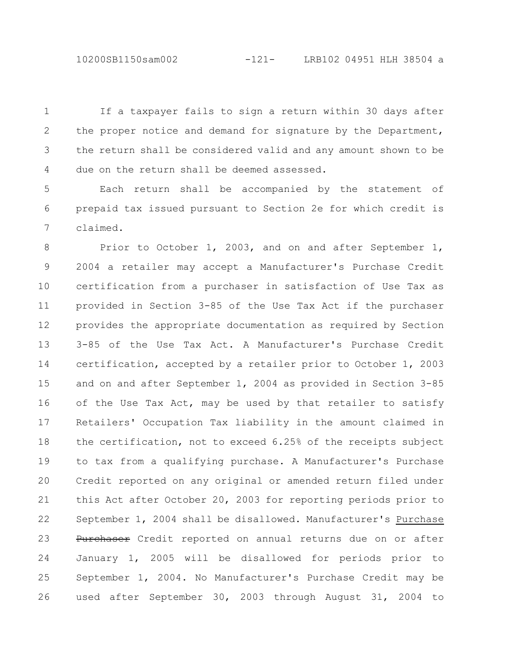10200SB1150sam002 -121- LRB102 04951 HLH 38504 a

If a taxpayer fails to sign a return within 30 days after the proper notice and demand for signature by the Department, the return shall be considered valid and any amount shown to be due on the return shall be deemed assessed. 1 2 3 4

Each return shall be accompanied by the statement of prepaid tax issued pursuant to Section 2e for which credit is claimed. 5 6 7

Prior to October 1, 2003, and on and after September 1, 2004 a retailer may accept a Manufacturer's Purchase Credit certification from a purchaser in satisfaction of Use Tax as provided in Section 3-85 of the Use Tax Act if the purchaser provides the appropriate documentation as required by Section 3-85 of the Use Tax Act. A Manufacturer's Purchase Credit certification, accepted by a retailer prior to October 1, 2003 and on and after September 1, 2004 as provided in Section 3-85 of the Use Tax Act, may be used by that retailer to satisfy Retailers' Occupation Tax liability in the amount claimed in the certification, not to exceed 6.25% of the receipts subject to tax from a qualifying purchase. A Manufacturer's Purchase Credit reported on any original or amended return filed under this Act after October 20, 2003 for reporting periods prior to September 1, 2004 shall be disallowed. Manufacturer's Purchase Purchaser Credit reported on annual returns due on or after January 1, 2005 will be disallowed for periods prior to September 1, 2004. No Manufacturer's Purchase Credit may be used after September 30, 2003 through August 31, 2004 to 8 9 10 11 12 13 14 15 16 17 18 19 20 21 22 23 24 25 26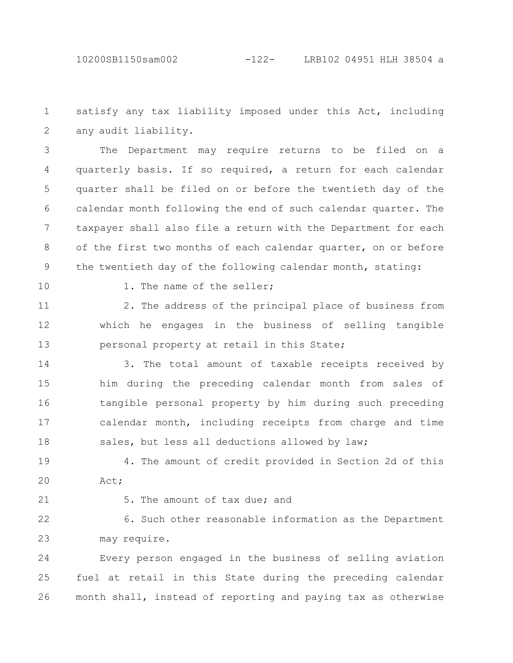satisfy any tax liability imposed under this Act, including any audit liability. 1 2

The Department may require returns to be filed on a quarterly basis. If so required, a return for each calendar quarter shall be filed on or before the twentieth day of the calendar month following the end of such calendar quarter. The taxpayer shall also file a return with the Department for each of the first two months of each calendar quarter, on or before the twentieth day of the following calendar month, stating: 3 4 5 6 7 8 9

10

1. The name of the seller;

2. The address of the principal place of business from which he engages in the business of selling tangible personal property at retail in this State; 11 12 13

3. The total amount of taxable receipts received by him during the preceding calendar month from sales of tangible personal property by him during such preceding calendar month, including receipts from charge and time sales, but less all deductions allowed by law; 14 15 16 17 18

4. The amount of credit provided in Section 2d of this Act; 19 20

21

5. The amount of tax due; and

6. Such other reasonable information as the Department may require. 22 23

Every person engaged in the business of selling aviation fuel at retail in this State during the preceding calendar month shall, instead of reporting and paying tax as otherwise 24 25 26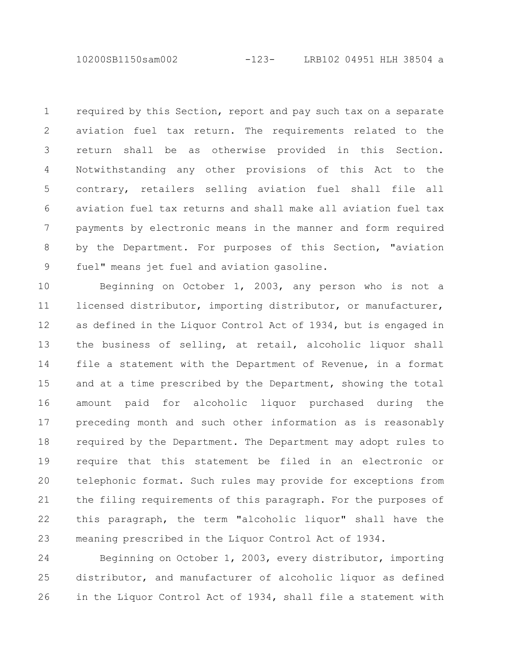10200SB1150sam002 -123- LRB102 04951 HLH 38504 a

required by this Section, report and pay such tax on a separate aviation fuel tax return. The requirements related to the return shall be as otherwise provided in this Section. Notwithstanding any other provisions of this Act to the contrary, retailers selling aviation fuel shall file all aviation fuel tax returns and shall make all aviation fuel tax payments by electronic means in the manner and form required by the Department. For purposes of this Section, "aviation fuel" means jet fuel and aviation gasoline. 1 2 3 4 5 6 7 8 9

Beginning on October 1, 2003, any person who is not a licensed distributor, importing distributor, or manufacturer, as defined in the Liquor Control Act of 1934, but is engaged in the business of selling, at retail, alcoholic liquor shall file a statement with the Department of Revenue, in a format and at a time prescribed by the Department, showing the total amount paid for alcoholic liquor purchased during the preceding month and such other information as is reasonably required by the Department. The Department may adopt rules to require that this statement be filed in an electronic or telephonic format. Such rules may provide for exceptions from the filing requirements of this paragraph. For the purposes of this paragraph, the term "alcoholic liquor" shall have the meaning prescribed in the Liquor Control Act of 1934. 10 11 12 13 14 15 16 17 18 19 20 21 22 23

Beginning on October 1, 2003, every distributor, importing distributor, and manufacturer of alcoholic liquor as defined in the Liquor Control Act of 1934, shall file a statement with 24 25 26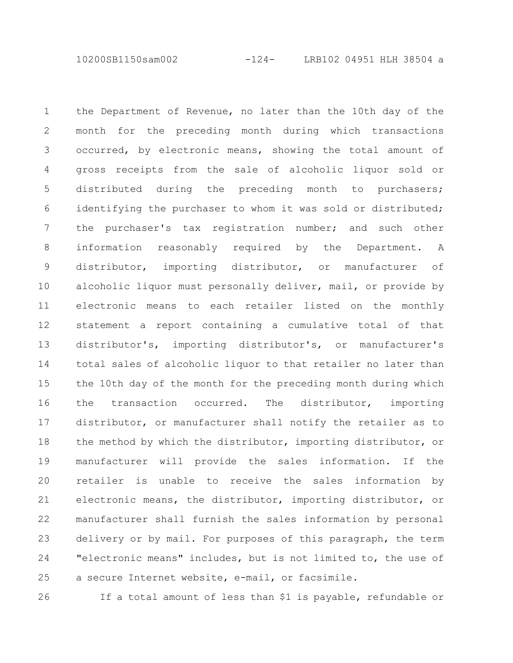10200SB1150sam002 -124- LRB102 04951 HLH 38504 a

the Department of Revenue, no later than the 10th day of the month for the preceding month during which transactions occurred, by electronic means, showing the total amount of gross receipts from the sale of alcoholic liquor sold or distributed during the preceding month to purchasers; identifying the purchaser to whom it was sold or distributed; the purchaser's tax registration number; and such other information reasonably required by the Department. A distributor, importing distributor, or manufacturer of alcoholic liquor must personally deliver, mail, or provide by electronic means to each retailer listed on the monthly statement a report containing a cumulative total of that distributor's, importing distributor's, or manufacturer's total sales of alcoholic liquor to that retailer no later than the 10th day of the month for the preceding month during which the transaction occurred. The distributor, importing distributor, or manufacturer shall notify the retailer as to the method by which the distributor, importing distributor, or manufacturer will provide the sales information. If the retailer is unable to receive the sales information by electronic means, the distributor, importing distributor, or manufacturer shall furnish the sales information by personal delivery or by mail. For purposes of this paragraph, the term "electronic means" includes, but is not limited to, the use of a secure Internet website, e-mail, or facsimile. 1 2 3 4 5 6 7 8 9 10 11 12 13 14 15 16 17 18 19 20 21 22 23 24 25

26

If a total amount of less than \$1 is payable, refundable or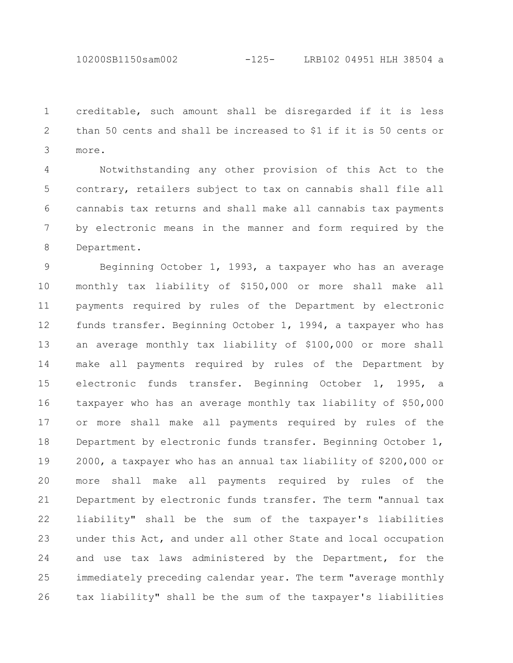10200SB1150sam002 -125- LRB102 04951 HLH 38504 a

creditable, such amount shall be disregarded if it is less than 50 cents and shall be increased to \$1 if it is 50 cents or more. 1 2 3

Notwithstanding any other provision of this Act to the contrary, retailers subject to tax on cannabis shall file all cannabis tax returns and shall make all cannabis tax payments by electronic means in the manner and form required by the Department. 4 5 6 7 8

Beginning October 1, 1993, a taxpayer who has an average monthly tax liability of \$150,000 or more shall make all payments required by rules of the Department by electronic funds transfer. Beginning October 1, 1994, a taxpayer who has an average monthly tax liability of \$100,000 or more shall make all payments required by rules of the Department by electronic funds transfer. Beginning October 1, 1995, a taxpayer who has an average monthly tax liability of \$50,000 or more shall make all payments required by rules of the Department by electronic funds transfer. Beginning October 1, 2000, a taxpayer who has an annual tax liability of \$200,000 or more shall make all payments required by rules of the Department by electronic funds transfer. The term "annual tax liability" shall be the sum of the taxpayer's liabilities under this Act, and under all other State and local occupation and use tax laws administered by the Department, for the immediately preceding calendar year. The term "average monthly tax liability" shall be the sum of the taxpayer's liabilities 9 10 11 12 13 14 15 16 17 18 19 20 21 22 23 24 25 26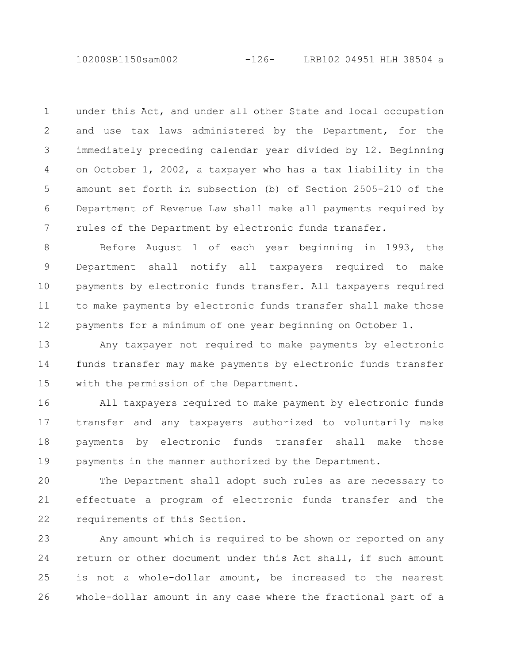10200SB1150sam002 -126- LRB102 04951 HLH 38504 a

under this Act, and under all other State and local occupation and use tax laws administered by the Department, for the immediately preceding calendar year divided by 12. Beginning on October 1, 2002, a taxpayer who has a tax liability in the amount set forth in subsection (b) of Section 2505-210 of the Department of Revenue Law shall make all payments required by rules of the Department by electronic funds transfer. 1 2 3 4 5 6 7

Before August 1 of each year beginning in 1993, the Department shall notify all taxpayers required to make payments by electronic funds transfer. All taxpayers required to make payments by electronic funds transfer shall make those payments for a minimum of one year beginning on October 1. 8 9 10 11 12

Any taxpayer not required to make payments by electronic funds transfer may make payments by electronic funds transfer with the permission of the Department. 13 14 15

All taxpayers required to make payment by electronic funds transfer and any taxpayers authorized to voluntarily make payments by electronic funds transfer shall make those payments in the manner authorized by the Department. 16 17 18 19

The Department shall adopt such rules as are necessary to effectuate a program of electronic funds transfer and the requirements of this Section. 20 21 22

Any amount which is required to be shown or reported on any return or other document under this Act shall, if such amount is not a whole-dollar amount, be increased to the nearest whole-dollar amount in any case where the fractional part of a 23 24 25 26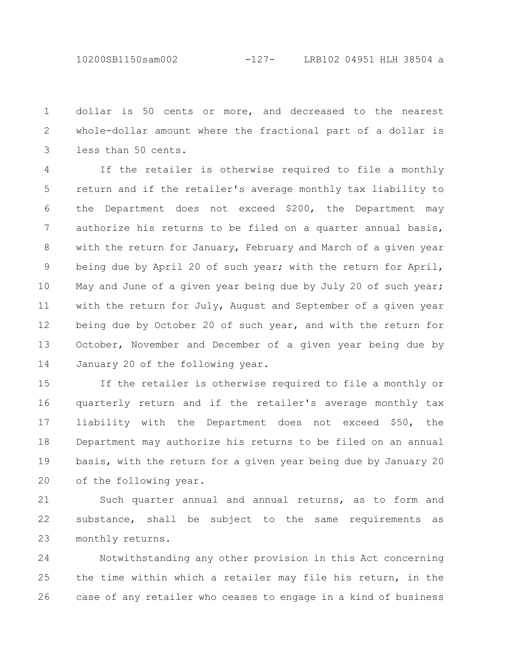10200SB1150sam002 -127- LRB102 04951 HLH 38504 a

dollar is 50 cents or more, and decreased to the nearest whole-dollar amount where the fractional part of a dollar is less than 50 cents. 1 2 3

If the retailer is otherwise required to file a monthly return and if the retailer's average monthly tax liability to the Department does not exceed \$200, the Department may authorize his returns to be filed on a quarter annual basis, with the return for January, February and March of a given year being due by April 20 of such year; with the return for April, May and June of a given year being due by July 20 of such year; with the return for July, August and September of a given year being due by October 20 of such year, and with the return for October, November and December of a given year being due by January 20 of the following year. 4 5 6 7 8 9 10 11 12 13 14

If the retailer is otherwise required to file a monthly or quarterly return and if the retailer's average monthly tax liability with the Department does not exceed \$50, the Department may authorize his returns to be filed on an annual basis, with the return for a given year being due by January 20 of the following year. 15 16 17 18 19 20

Such quarter annual and annual returns, as to form and substance, shall be subject to the same requirements as monthly returns. 21 22 23

Notwithstanding any other provision in this Act concerning the time within which a retailer may file his return, in the case of any retailer who ceases to engage in a kind of business 24 25 26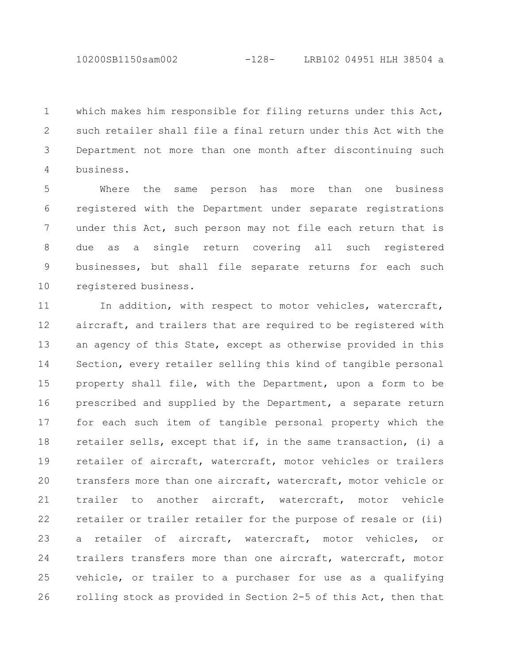which makes him responsible for filing returns under this Act, such retailer shall file a final return under this Act with the Department not more than one month after discontinuing such business. 1 2 3 4

Where the same person has more than one business registered with the Department under separate registrations under this Act, such person may not file each return that is due as a single return covering all such registered businesses, but shall file separate returns for each such registered business. 5 6 7 8 9 10

In addition, with respect to motor vehicles, watercraft, aircraft, and trailers that are required to be registered with an agency of this State, except as otherwise provided in this Section, every retailer selling this kind of tangible personal property shall file, with the Department, upon a form to be prescribed and supplied by the Department, a separate return for each such item of tangible personal property which the retailer sells, except that if, in the same transaction, (i) a retailer of aircraft, watercraft, motor vehicles or trailers transfers more than one aircraft, watercraft, motor vehicle or trailer to another aircraft, watercraft, motor vehicle retailer or trailer retailer for the purpose of resale or (ii) a retailer of aircraft, watercraft, motor vehicles, or trailers transfers more than one aircraft, watercraft, motor vehicle, or trailer to a purchaser for use as a qualifying rolling stock as provided in Section 2-5 of this Act, then that 11 12 13 14 15 16 17 18 19 20 21 22 23 24 25 26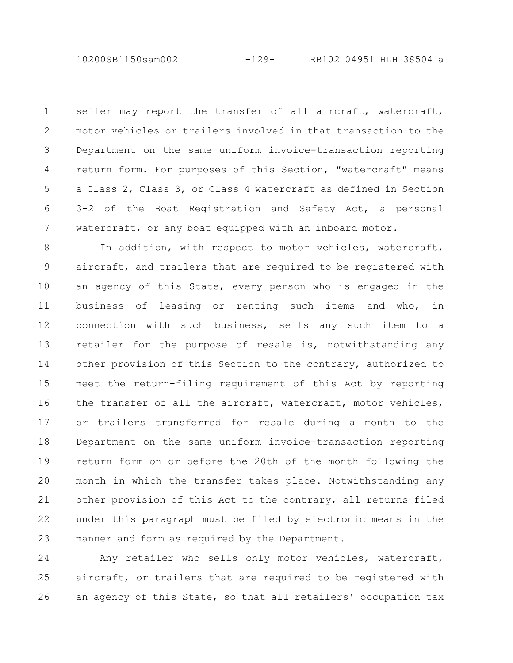seller may report the transfer of all aircraft, watercraft, motor vehicles or trailers involved in that transaction to the Department on the same uniform invoice-transaction reporting return form. For purposes of this Section, "watercraft" means a Class 2, Class 3, or Class 4 watercraft as defined in Section 3-2 of the Boat Registration and Safety Act, a personal watercraft, or any boat equipped with an inboard motor. 1 2 3 4 5 6 7

In addition, with respect to motor vehicles, watercraft, aircraft, and trailers that are required to be registered with an agency of this State, every person who is engaged in the business of leasing or renting such items and who, in connection with such business, sells any such item to a retailer for the purpose of resale is, notwithstanding any other provision of this Section to the contrary, authorized to meet the return-filing requirement of this Act by reporting the transfer of all the aircraft, watercraft, motor vehicles, or trailers transferred for resale during a month to the Department on the same uniform invoice-transaction reporting return form on or before the 20th of the month following the month in which the transfer takes place. Notwithstanding any other provision of this Act to the contrary, all returns filed under this paragraph must be filed by electronic means in the manner and form as required by the Department. 8 9 10 11 12 13 14 15 16 17 18 19 20 21 22 23

Any retailer who sells only motor vehicles, watercraft, aircraft, or trailers that are required to be registered with an agency of this State, so that all retailers' occupation tax 24 25 26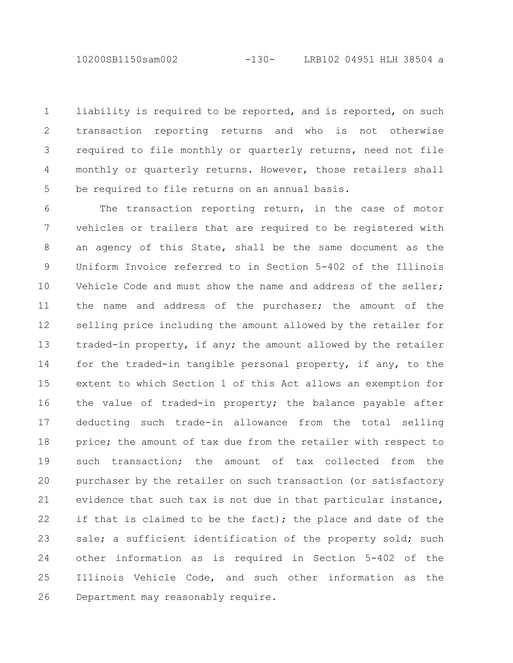10200SB1150sam002 -130- LRB102 04951 HLH 38504 a

liability is required to be reported, and is reported, on such transaction reporting returns and who is not otherwise required to file monthly or quarterly returns, need not file monthly or quarterly returns. However, those retailers shall be required to file returns on an annual basis. 1 2 3 4 5

The transaction reporting return, in the case of motor vehicles or trailers that are required to be registered with an agency of this State, shall be the same document as the Uniform Invoice referred to in Section 5-402 of the Illinois Vehicle Code and must show the name and address of the seller; the name and address of the purchaser; the amount of the selling price including the amount allowed by the retailer for traded-in property, if any; the amount allowed by the retailer for the traded-in tangible personal property, if any, to the extent to which Section 1 of this Act allows an exemption for the value of traded-in property; the balance payable after deducting such trade-in allowance from the total selling price; the amount of tax due from the retailer with respect to such transaction; the amount of tax collected from the purchaser by the retailer on such transaction (or satisfactory evidence that such tax is not due in that particular instance, if that is claimed to be the fact); the place and date of the sale; a sufficient identification of the property sold; such other information as is required in Section 5-402 of the Illinois Vehicle Code, and such other information as the Department may reasonably require. 6 7 8 9 10 11 12 13 14 15 16 17 18 19 20 21 22 23 24 25 26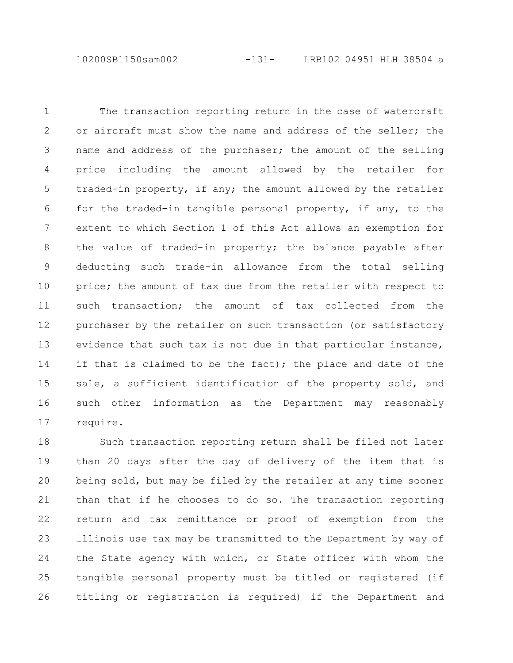10200SB1150sam002 -131- LRB102 04951 HLH 38504 a

The transaction reporting return in the case of watercraft or aircraft must show the name and address of the seller; the name and address of the purchaser; the amount of the selling price including the amount allowed by the retailer for traded-in property, if any; the amount allowed by the retailer for the traded-in tangible personal property, if any, to the extent to which Section 1 of this Act allows an exemption for the value of traded-in property; the balance payable after deducting such trade-in allowance from the total selling price; the amount of tax due from the retailer with respect to such transaction; the amount of tax collected from the purchaser by the retailer on such transaction (or satisfactory evidence that such tax is not due in that particular instance, if that is claimed to be the fact); the place and date of the sale, a sufficient identification of the property sold, and such other information as the Department may reasonably require. 1 2 3 4 5 6 7 8 9 10 11 12 13 14 15 16 17

Such transaction reporting return shall be filed not later than 20 days after the day of delivery of the item that is being sold, but may be filed by the retailer at any time sooner than that if he chooses to do so. The transaction reporting return and tax remittance or proof of exemption from the Illinois use tax may be transmitted to the Department by way of the State agency with which, or State officer with whom the tangible personal property must be titled or registered (if titling or registration is required) if the Department and 18 19 20 21 22 23 24 25 26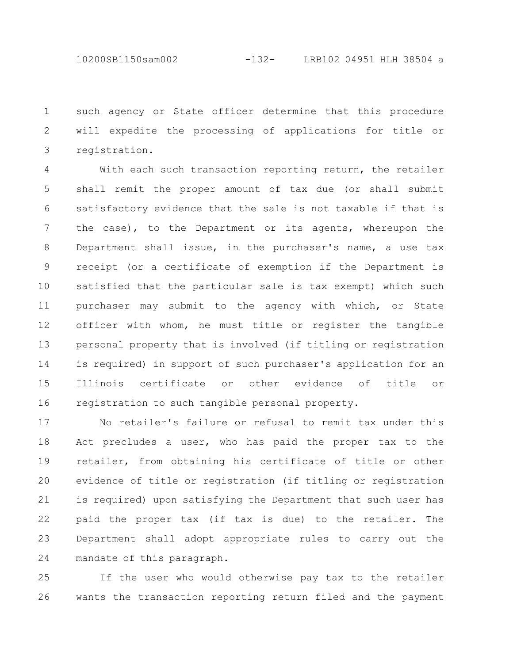10200SB1150sam002 -132- LRB102 04951 HLH 38504 a

such agency or State officer determine that this procedure will expedite the processing of applications for title or registration. 1 2 3

With each such transaction reporting return, the retailer shall remit the proper amount of tax due (or shall submit satisfactory evidence that the sale is not taxable if that is the case), to the Department or its agents, whereupon the Department shall issue, in the purchaser's name, a use tax receipt (or a certificate of exemption if the Department is satisfied that the particular sale is tax exempt) which such purchaser may submit to the agency with which, or State officer with whom, he must title or register the tangible personal property that is involved (if titling or registration is required) in support of such purchaser's application for an Illinois certificate or other evidence of title or registration to such tangible personal property. 4 5 6 7 8 9 10 11 12 13 14 15 16

No retailer's failure or refusal to remit tax under this Act precludes a user, who has paid the proper tax to the retailer, from obtaining his certificate of title or other evidence of title or registration (if titling or registration is required) upon satisfying the Department that such user has paid the proper tax (if tax is due) to the retailer. The Department shall adopt appropriate rules to carry out the mandate of this paragraph. 17 18 19 20 21 22 23 24

If the user who would otherwise pay tax to the retailer wants the transaction reporting return filed and the payment 25 26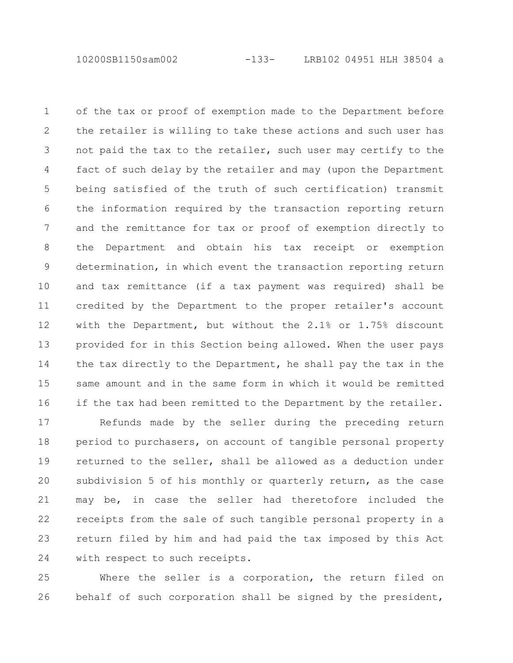10200SB1150sam002 -133- LRB102 04951 HLH 38504 a

of the tax or proof of exemption made to the Department before the retailer is willing to take these actions and such user has not paid the tax to the retailer, such user may certify to the fact of such delay by the retailer and may (upon the Department being satisfied of the truth of such certification) transmit the information required by the transaction reporting return and the remittance for tax or proof of exemption directly to the Department and obtain his tax receipt or exemption determination, in which event the transaction reporting return and tax remittance (if a tax payment was required) shall be credited by the Department to the proper retailer's account with the Department, but without the 2.1% or 1.75% discount provided for in this Section being allowed. When the user pays the tax directly to the Department, he shall pay the tax in the same amount and in the same form in which it would be remitted if the tax had been remitted to the Department by the retailer. 1 2 3 4 5 6 7 8 9 10 11 12 13 14 15 16

Refunds made by the seller during the preceding return period to purchasers, on account of tangible personal property returned to the seller, shall be allowed as a deduction under subdivision 5 of his monthly or quarterly return, as the case may be, in case the seller had theretofore included the receipts from the sale of such tangible personal property in a return filed by him and had paid the tax imposed by this Act with respect to such receipts. 17 18 19 20 21 22 23 24

Where the seller is a corporation, the return filed on behalf of such corporation shall be signed by the president, 25 26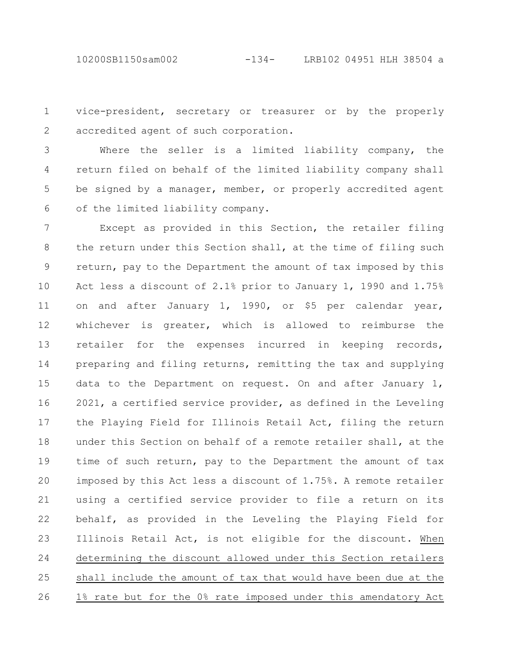10200SB1150sam002 -134- LRB102 04951 HLH 38504 a

vice-president, secretary or treasurer or by the properly accredited agent of such corporation. 1 2

Where the seller is a limited liability company, the return filed on behalf of the limited liability company shall be signed by a manager, member, or properly accredited agent of the limited liability company. 3 4 5 6

Except as provided in this Section, the retailer filing the return under this Section shall, at the time of filing such return, pay to the Department the amount of tax imposed by this Act less a discount of 2.1% prior to January 1, 1990 and 1.75% on and after January 1, 1990, or \$5 per calendar year, whichever is greater, which is allowed to reimburse the retailer for the expenses incurred in keeping records, preparing and filing returns, remitting the tax and supplying data to the Department on request. On and after January 1, 2021, a certified service provider, as defined in the Leveling the Playing Field for Illinois Retail Act, filing the return under this Section on behalf of a remote retailer shall, at the time of such return, pay to the Department the amount of tax imposed by this Act less a discount of 1.75%. A remote retailer using a certified service provider to file a return on its behalf, as provided in the Leveling the Playing Field for Illinois Retail Act, is not eligible for the discount. When determining the discount allowed under this Section retailers shall include the amount of tax that would have been due at the 1% rate but for the 0% rate imposed under this amendatory Act 7 8 9 10 11 12 13 14 15 16 17 18 19 20 21 22 23 24 25 26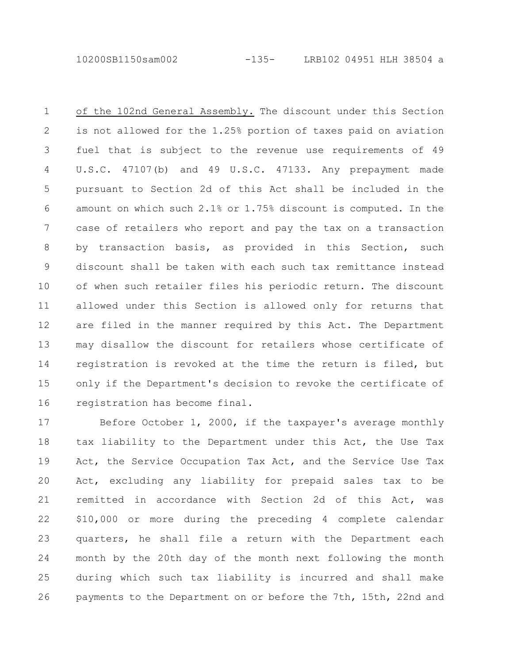10200SB1150sam002 -135- LRB102 04951 HLH 38504 a

of the 102nd General Assembly. The discount under this Section is not allowed for the 1.25% portion of taxes paid on aviation fuel that is subject to the revenue use requirements of 49 U.S.C. 47107(b) and 49 U.S.C. 47133. Any prepayment made pursuant to Section 2d of this Act shall be included in the amount on which such 2.1% or 1.75% discount is computed. In the case of retailers who report and pay the tax on a transaction by transaction basis, as provided in this Section, such discount shall be taken with each such tax remittance instead of when such retailer files his periodic return. The discount allowed under this Section is allowed only for returns that are filed in the manner required by this Act. The Department may disallow the discount for retailers whose certificate of registration is revoked at the time the return is filed, but only if the Department's decision to revoke the certificate of registration has become final. 1 2 3 4 5 6 7 8 9 10 11 12 13 14 15 16

Before October 1, 2000, if the taxpayer's average monthly tax liability to the Department under this Act, the Use Tax Act, the Service Occupation Tax Act, and the Service Use Tax Act, excluding any liability for prepaid sales tax to be remitted in accordance with Section 2d of this Act, was \$10,000 or more during the preceding 4 complete calendar quarters, he shall file a return with the Department each month by the 20th day of the month next following the month during which such tax liability is incurred and shall make payments to the Department on or before the 7th, 15th, 22nd and 17 18 19 20 21 22 23 24 25 26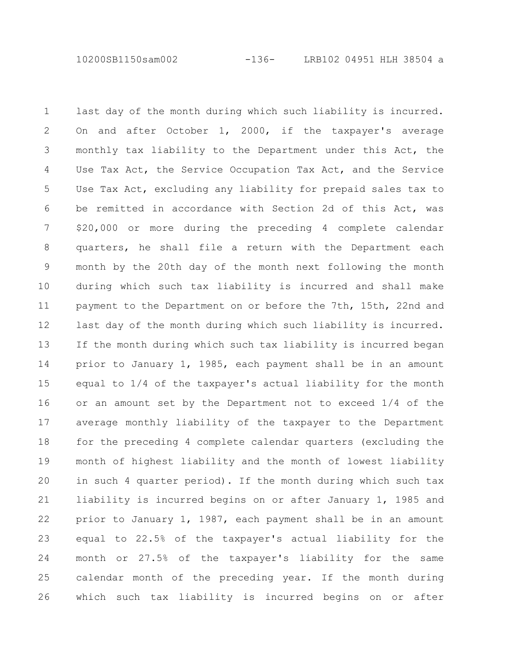10200SB1150sam002 -136- LRB102 04951 HLH 38504 a

last day of the month during which such liability is incurred. On and after October 1, 2000, if the taxpayer's average monthly tax liability to the Department under this Act, the Use Tax Act, the Service Occupation Tax Act, and the Service Use Tax Act, excluding any liability for prepaid sales tax to be remitted in accordance with Section 2d of this Act, was \$20,000 or more during the preceding 4 complete calendar quarters, he shall file a return with the Department each month by the 20th day of the month next following the month during which such tax liability is incurred and shall make payment to the Department on or before the 7th, 15th, 22nd and last day of the month during which such liability is incurred. If the month during which such tax liability is incurred began prior to January 1, 1985, each payment shall be in an amount equal to 1/4 of the taxpayer's actual liability for the month or an amount set by the Department not to exceed 1/4 of the average monthly liability of the taxpayer to the Department for the preceding 4 complete calendar quarters (excluding the month of highest liability and the month of lowest liability in such 4 quarter period). If the month during which such tax liability is incurred begins on or after January 1, 1985 and prior to January 1, 1987, each payment shall be in an amount equal to 22.5% of the taxpayer's actual liability for the month or 27.5% of the taxpayer's liability for the same calendar month of the preceding year. If the month during which such tax liability is incurred begins on or after 1 2 3 4 5 6 7 8 9 10 11 12 13 14 15 16 17 18 19 20 21 22 23 24 25 26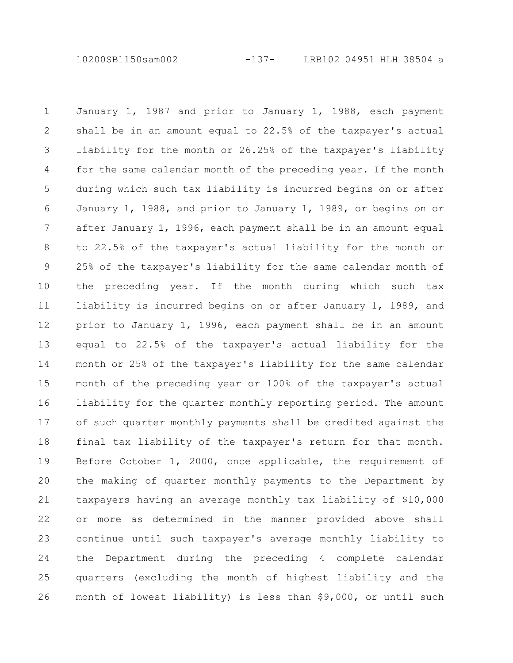10200SB1150sam002 -137- LRB102 04951 HLH 38504 a

January 1, 1987 and prior to January 1, 1988, each payment shall be in an amount equal to 22.5% of the taxpayer's actual liability for the month or 26.25% of the taxpayer's liability for the same calendar month of the preceding year. If the month during which such tax liability is incurred begins on or after January 1, 1988, and prior to January 1, 1989, or begins on or after January 1, 1996, each payment shall be in an amount equal to 22.5% of the taxpayer's actual liability for the month or 25% of the taxpayer's liability for the same calendar month of the preceding year. If the month during which such tax liability is incurred begins on or after January 1, 1989, and prior to January 1, 1996, each payment shall be in an amount equal to 22.5% of the taxpayer's actual liability for the month or 25% of the taxpayer's liability for the same calendar month of the preceding year or 100% of the taxpayer's actual liability for the quarter monthly reporting period. The amount of such quarter monthly payments shall be credited against the final tax liability of the taxpayer's return for that month. Before October 1, 2000, once applicable, the requirement of the making of quarter monthly payments to the Department by taxpayers having an average monthly tax liability of \$10,000 or more as determined in the manner provided above shall continue until such taxpayer's average monthly liability to the Department during the preceding 4 complete calendar quarters (excluding the month of highest liability and the month of lowest liability) is less than \$9,000, or until such 1 2 3 4 5 6 7 8 9 10 11 12 13 14 15 16 17 18 19 20 21 22 23 24 25 26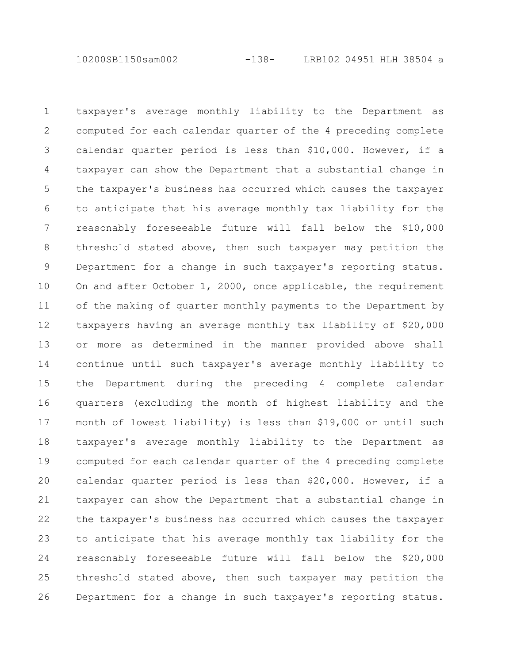10200SB1150sam002 -138- LRB102 04951 HLH 38504 a

taxpayer's average monthly liability to the Department as computed for each calendar quarter of the 4 preceding complete calendar quarter period is less than \$10,000. However, if a taxpayer can show the Department that a substantial change in the taxpayer's business has occurred which causes the taxpayer to anticipate that his average monthly tax liability for the reasonably foreseeable future will fall below the \$10,000 threshold stated above, then such taxpayer may petition the Department for a change in such taxpayer's reporting status. On and after October 1, 2000, once applicable, the requirement of the making of quarter monthly payments to the Department by taxpayers having an average monthly tax liability of \$20,000 or more as determined in the manner provided above shall continue until such taxpayer's average monthly liability to the Department during the preceding 4 complete calendar quarters (excluding the month of highest liability and the month of lowest liability) is less than \$19,000 or until such taxpayer's average monthly liability to the Department as computed for each calendar quarter of the 4 preceding complete calendar quarter period is less than \$20,000. However, if a taxpayer can show the Department that a substantial change in the taxpayer's business has occurred which causes the taxpayer to anticipate that his average monthly tax liability for the reasonably foreseeable future will fall below the \$20,000 threshold stated above, then such taxpayer may petition the Department for a change in such taxpayer's reporting status. 1 2 3 4 5 6 7 8 9 10 11 12 13 14 15 16 17 18 19 20 21 22 23 24 25 26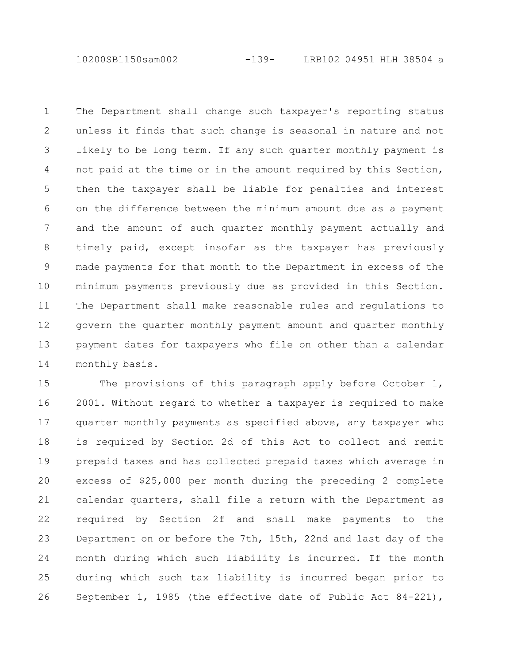10200SB1150sam002 -139- LRB102 04951 HLH 38504 a

The Department shall change such taxpayer's reporting status unless it finds that such change is seasonal in nature and not likely to be long term. If any such quarter monthly payment is not paid at the time or in the amount required by this Section, then the taxpayer shall be liable for penalties and interest on the difference between the minimum amount due as a payment and the amount of such quarter monthly payment actually and timely paid, except insofar as the taxpayer has previously made payments for that month to the Department in excess of the minimum payments previously due as provided in this Section. The Department shall make reasonable rules and regulations to govern the quarter monthly payment amount and quarter monthly payment dates for taxpayers who file on other than a calendar monthly basis. 1 2 3 4 5 6 7 8 9 10 11 12 13 14

The provisions of this paragraph apply before October 1, 2001. Without regard to whether a taxpayer is required to make quarter monthly payments as specified above, any taxpayer who is required by Section 2d of this Act to collect and remit prepaid taxes and has collected prepaid taxes which average in excess of \$25,000 per month during the preceding 2 complete calendar quarters, shall file a return with the Department as required by Section 2f and shall make payments to the Department on or before the 7th, 15th, 22nd and last day of the month during which such liability is incurred. If the month during which such tax liability is incurred began prior to September 1, 1985 (the effective date of Public Act 84-221), 15 16 17 18 19 20 21 22 23 24 25 26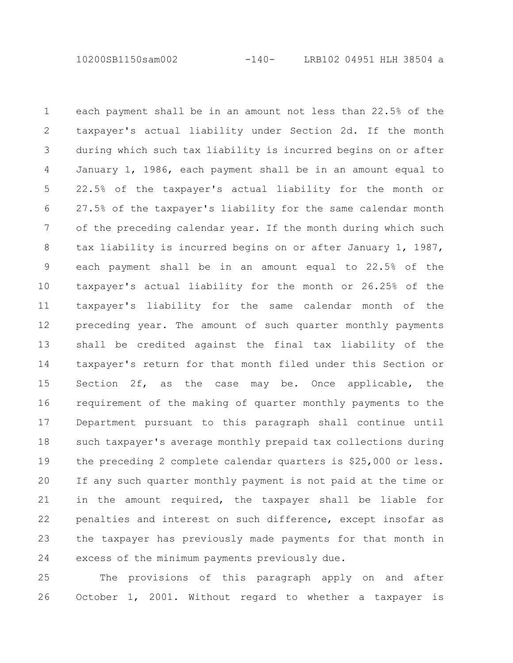10200SB1150sam002 -140- LRB102 04951 HLH 38504 a

each payment shall be in an amount not less than 22.5% of the taxpayer's actual liability under Section 2d. If the month during which such tax liability is incurred begins on or after January 1, 1986, each payment shall be in an amount equal to 22.5% of the taxpayer's actual liability for the month or 27.5% of the taxpayer's liability for the same calendar month of the preceding calendar year. If the month during which such tax liability is incurred begins on or after January 1, 1987, each payment shall be in an amount equal to 22.5% of the taxpayer's actual liability for the month or 26.25% of the taxpayer's liability for the same calendar month of the preceding year. The amount of such quarter monthly payments shall be credited against the final tax liability of the taxpayer's return for that month filed under this Section or Section 2f, as the case may be. Once applicable, the requirement of the making of quarter monthly payments to the Department pursuant to this paragraph shall continue until such taxpayer's average monthly prepaid tax collections during the preceding 2 complete calendar quarters is \$25,000 or less. If any such quarter monthly payment is not paid at the time or in the amount required, the taxpayer shall be liable for penalties and interest on such difference, except insofar as the taxpayer has previously made payments for that month in excess of the minimum payments previously due. 1 2 3 4 5 6 7 8 9 10 11 12 13 14 15 16 17 18 19 20 21 22 23 24

The provisions of this paragraph apply on and after October 1, 2001. Without regard to whether a taxpayer is 25 26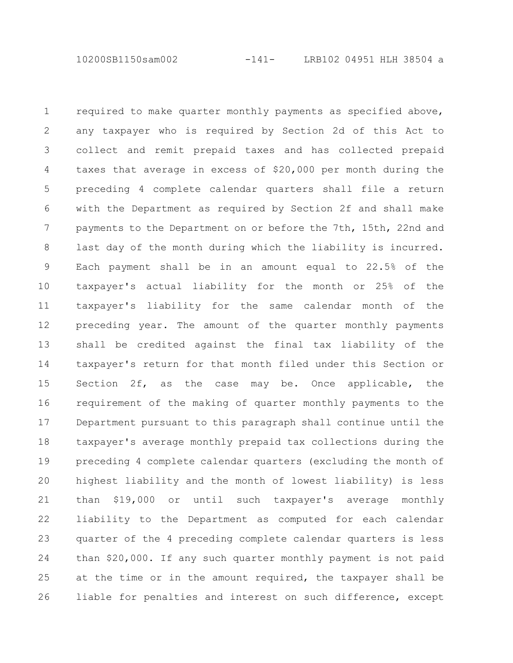10200SB1150sam002 -141- LRB102 04951 HLH 38504 a

required to make quarter monthly payments as specified above, any taxpayer who is required by Section 2d of this Act to collect and remit prepaid taxes and has collected prepaid taxes that average in excess of \$20,000 per month during the preceding 4 complete calendar quarters shall file a return with the Department as required by Section 2f and shall make payments to the Department on or before the 7th, 15th, 22nd and last day of the month during which the liability is incurred. Each payment shall be in an amount equal to 22.5% of the taxpayer's actual liability for the month or 25% of the taxpayer's liability for the same calendar month of the preceding year. The amount of the quarter monthly payments shall be credited against the final tax liability of the taxpayer's return for that month filed under this Section or Section 2f, as the case may be. Once applicable, the requirement of the making of quarter monthly payments to the Department pursuant to this paragraph shall continue until the taxpayer's average monthly prepaid tax collections during the preceding 4 complete calendar quarters (excluding the month of highest liability and the month of lowest liability) is less than \$19,000 or until such taxpayer's average monthly liability to the Department as computed for each calendar quarter of the 4 preceding complete calendar quarters is less than \$20,000. If any such quarter monthly payment is not paid at the time or in the amount required, the taxpayer shall be liable for penalties and interest on such difference, except 1 2 3 4 5 6 7 8 9 10 11 12 13 14 15 16 17 18 19 20 21 22 23 24 25 26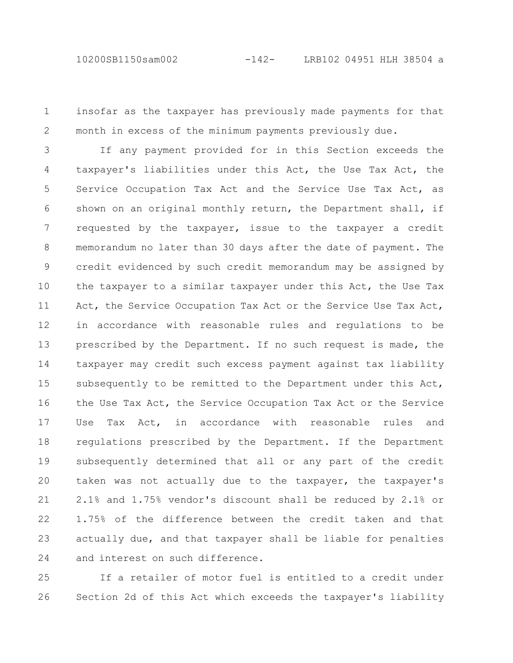insofar as the taxpayer has previously made payments for that month in excess of the minimum payments previously due. 1 2

If any payment provided for in this Section exceeds the taxpayer's liabilities under this Act, the Use Tax Act, the Service Occupation Tax Act and the Service Use Tax Act, as shown on an original monthly return, the Department shall, if requested by the taxpayer, issue to the taxpayer a credit memorandum no later than 30 days after the date of payment. The credit evidenced by such credit memorandum may be assigned by the taxpayer to a similar taxpayer under this Act, the Use Tax Act, the Service Occupation Tax Act or the Service Use Tax Act, in accordance with reasonable rules and regulations to be prescribed by the Department. If no such request is made, the taxpayer may credit such excess payment against tax liability subsequently to be remitted to the Department under this Act, the Use Tax Act, the Service Occupation Tax Act or the Service Use Tax Act, in accordance with reasonable rules and regulations prescribed by the Department. If the Department subsequently determined that all or any part of the credit taken was not actually due to the taxpayer, the taxpayer's 2.1% and 1.75% vendor's discount shall be reduced by 2.1% or 1.75% of the difference between the credit taken and that actually due, and that taxpayer shall be liable for penalties and interest on such difference. 3 4 5 6 7 8 9 10 11 12 13 14 15 16 17 18 19 20 21 22 23 24

If a retailer of motor fuel is entitled to a credit under Section 2d of this Act which exceeds the taxpayer's liability 25 26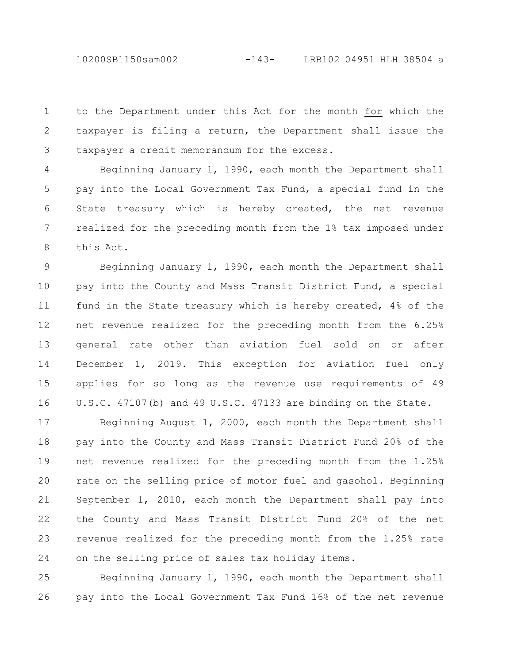10200SB1150sam002 -143- LRB102 04951 HLH 38504 a

to the Department under this Act for the month for which the taxpayer is filing a return, the Department shall issue the taxpayer a credit memorandum for the excess. 1 2 3

Beginning January 1, 1990, each month the Department shall pay into the Local Government Tax Fund, a special fund in the State treasury which is hereby created, the net revenue realized for the preceding month from the 1% tax imposed under this Act. 4 5 6 7 8

Beginning January 1, 1990, each month the Department shall pay into the County and Mass Transit District Fund, a special fund in the State treasury which is hereby created, 4% of the net revenue realized for the preceding month from the 6.25% general rate other than aviation fuel sold on or after December 1, 2019. This exception for aviation fuel only applies for so long as the revenue use requirements of 49 U.S.C. 47107(b) and 49 U.S.C. 47133 are binding on the State. 9 10 11 12 13 14 15 16

Beginning August 1, 2000, each month the Department shall pay into the County and Mass Transit District Fund 20% of the net revenue realized for the preceding month from the 1.25% rate on the selling price of motor fuel and gasohol. Beginning September 1, 2010, each month the Department shall pay into the County and Mass Transit District Fund 20% of the net revenue realized for the preceding month from the 1.25% rate on the selling price of sales tax holiday items. 17 18 19 20 21 22 23 24

Beginning January 1, 1990, each month the Department shall pay into the Local Government Tax Fund 16% of the net revenue 25 26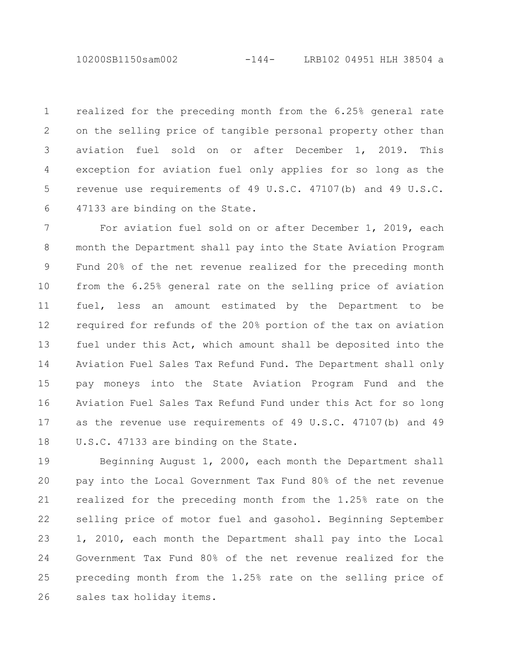10200SB1150sam002 -144- LRB102 04951 HLH 38504 a

realized for the preceding month from the 6.25% general rate on the selling price of tangible personal property other than aviation fuel sold on or after December 1, 2019. This exception for aviation fuel only applies for so long as the revenue use requirements of 49 U.S.C. 47107(b) and 49 U.S.C. 47133 are binding on the State. 1 2 3 4 5 6

For aviation fuel sold on or after December 1, 2019, each month the Department shall pay into the State Aviation Program Fund 20% of the net revenue realized for the preceding month from the 6.25% general rate on the selling price of aviation fuel, less an amount estimated by the Department to be required for refunds of the 20% portion of the tax on aviation fuel under this Act, which amount shall be deposited into the Aviation Fuel Sales Tax Refund Fund. The Department shall only pay moneys into the State Aviation Program Fund and the Aviation Fuel Sales Tax Refund Fund under this Act for so long as the revenue use requirements of 49 U.S.C. 47107(b) and 49 U.S.C. 47133 are binding on the State. 7 8 9 10 11 12 13 14 15 16 17 18

Beginning August 1, 2000, each month the Department shall pay into the Local Government Tax Fund 80% of the net revenue realized for the preceding month from the 1.25% rate on the selling price of motor fuel and gasohol. Beginning September 1, 2010, each month the Department shall pay into the Local Government Tax Fund 80% of the net revenue realized for the preceding month from the 1.25% rate on the selling price of sales tax holiday items. 19 20 21 22 23 24 25 26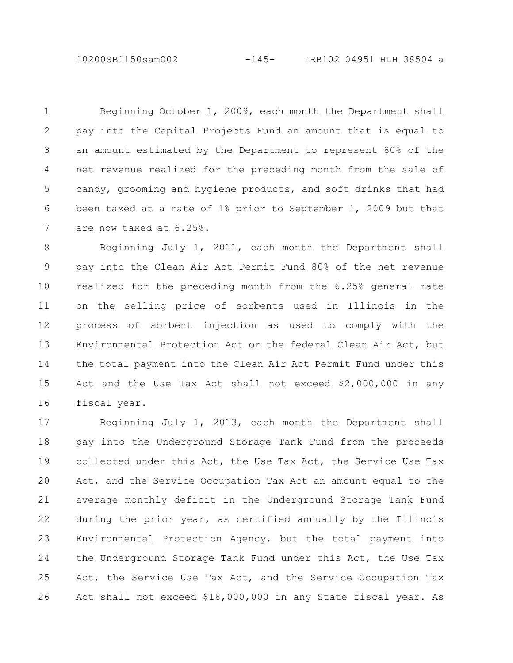10200SB1150sam002 -145- LRB102 04951 HLH 38504 a

Beginning October 1, 2009, each month the Department shall pay into the Capital Projects Fund an amount that is equal to an amount estimated by the Department to represent 80% of the net revenue realized for the preceding month from the sale of candy, grooming and hygiene products, and soft drinks that had been taxed at a rate of 1% prior to September 1, 2009 but that are now taxed at 6.25%. 1 2 3 4 5 6 7

Beginning July 1, 2011, each month the Department shall pay into the Clean Air Act Permit Fund 80% of the net revenue realized for the preceding month from the 6.25% general rate on the selling price of sorbents used in Illinois in the process of sorbent injection as used to comply with the Environmental Protection Act or the federal Clean Air Act, but the total payment into the Clean Air Act Permit Fund under this Act and the Use Tax Act shall not exceed \$2,000,000 in any fiscal year. 8 9 10 11 12 13 14 15 16

Beginning July 1, 2013, each month the Department shall pay into the Underground Storage Tank Fund from the proceeds collected under this Act, the Use Tax Act, the Service Use Tax Act, and the Service Occupation Tax Act an amount equal to the average monthly deficit in the Underground Storage Tank Fund during the prior year, as certified annually by the Illinois Environmental Protection Agency, but the total payment into the Underground Storage Tank Fund under this Act, the Use Tax Act, the Service Use Tax Act, and the Service Occupation Tax Act shall not exceed \$18,000,000 in any State fiscal year. As 17 18 19 20 21 22 23 24 25 26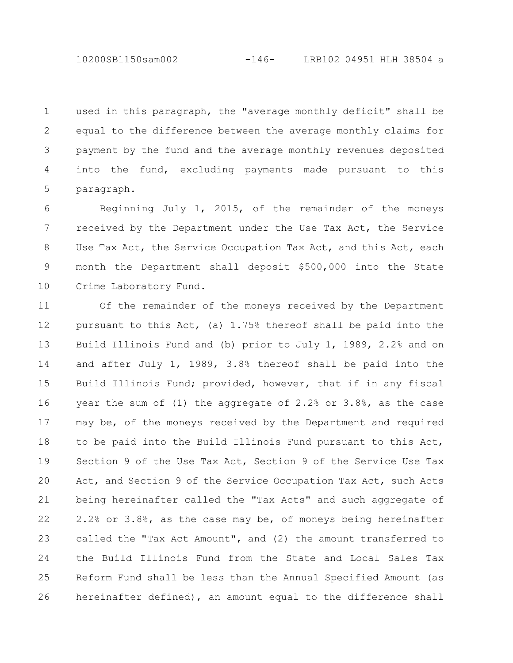used in this paragraph, the "average monthly deficit" shall be equal to the difference between the average monthly claims for payment by the fund and the average monthly revenues deposited into the fund, excluding payments made pursuant to this paragraph. 1 2 3 4 5

Beginning July 1, 2015, of the remainder of the moneys received by the Department under the Use Tax Act, the Service Use Tax Act, the Service Occupation Tax Act, and this Act, each month the Department shall deposit \$500,000 into the State Crime Laboratory Fund. 6 7 8 9 10

Of the remainder of the moneys received by the Department pursuant to this Act, (a) 1.75% thereof shall be paid into the Build Illinois Fund and (b) prior to July 1, 1989, 2.2% and on and after July 1, 1989, 3.8% thereof shall be paid into the Build Illinois Fund; provided, however, that if in any fiscal year the sum of (1) the aggregate of 2.2% or 3.8%, as the case may be, of the moneys received by the Department and required to be paid into the Build Illinois Fund pursuant to this Act, Section 9 of the Use Tax Act, Section 9 of the Service Use Tax Act, and Section 9 of the Service Occupation Tax Act, such Acts being hereinafter called the "Tax Acts" and such aggregate of 2.2% or 3.8%, as the case may be, of moneys being hereinafter called the "Tax Act Amount", and (2) the amount transferred to the Build Illinois Fund from the State and Local Sales Tax Reform Fund shall be less than the Annual Specified Amount (as hereinafter defined), an amount equal to the difference shall 11 12 13 14 15 16 17 18 19 20 21 22 23 24 25 26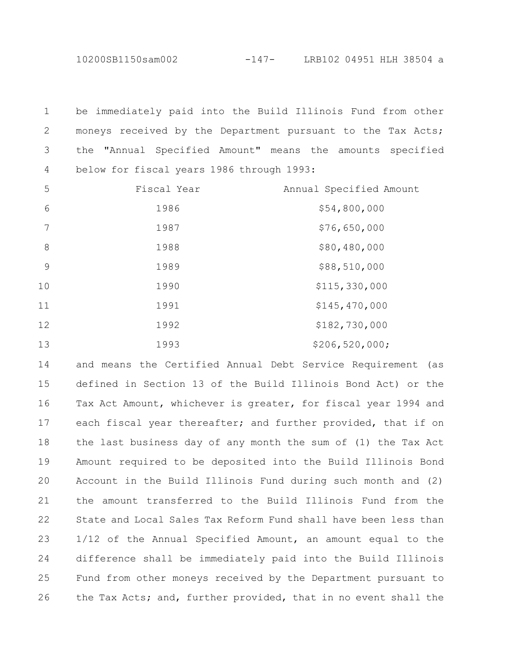10200SB1150sam002 -147- LRB102 04951 HLH 38504 a

be immediately paid into the Build Illinois Fund from other moneys received by the Department pursuant to the Tax Acts; the "Annual Specified Amount" means the amounts specified below for fiscal years 1986 through 1993: 

| 5  | Fiscal Year | Annual Specified Amount |
|----|-------------|-------------------------|
| 6  | 1986        | \$54,800,000            |
| 7  | 1987        | \$76,650,000            |
| 8  | 1988        | \$80,480,000            |
| 9  | 1989        | \$88,510,000            |
| 10 | 1990        | \$115,330,000           |
| 11 | 1991        | \$145,470,000           |
| 12 | 1992        | \$182,730,000           |
| 13 | 1993        | \$206, 520, 000;        |

and means the Certified Annual Debt Service Requirement (as defined in Section 13 of the Build Illinois Bond Act) or the Tax Act Amount, whichever is greater, for fiscal year 1994 and each fiscal year thereafter; and further provided, that if on the last business day of any month the sum of (1) the Tax Act Amount required to be deposited into the Build Illinois Bond Account in the Build Illinois Fund during such month and (2) the amount transferred to the Build Illinois Fund from the State and Local Sales Tax Reform Fund shall have been less than 1/12 of the Annual Specified Amount, an amount equal to the difference shall be immediately paid into the Build Illinois Fund from other moneys received by the Department pursuant to the Tax Acts; and, further provided, that in no event shall the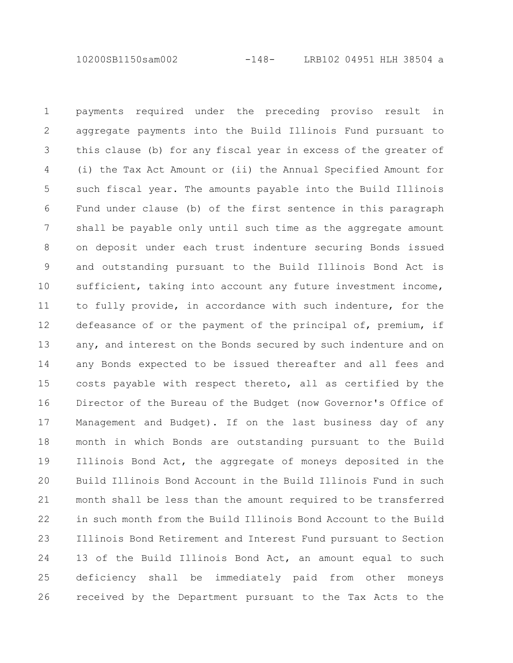10200SB1150sam002 -148- LRB102 04951 HLH 38504 a

payments required under the preceding proviso result in aggregate payments into the Build Illinois Fund pursuant to this clause (b) for any fiscal year in excess of the greater of (i) the Tax Act Amount or (ii) the Annual Specified Amount for such fiscal year. The amounts payable into the Build Illinois Fund under clause (b) of the first sentence in this paragraph shall be payable only until such time as the aggregate amount on deposit under each trust indenture securing Bonds issued and outstanding pursuant to the Build Illinois Bond Act is sufficient, taking into account any future investment income, to fully provide, in accordance with such indenture, for the defeasance of or the payment of the principal of, premium, if any, and interest on the Bonds secured by such indenture and on any Bonds expected to be issued thereafter and all fees and costs payable with respect thereto, all as certified by the Director of the Bureau of the Budget (now Governor's Office of Management and Budget). If on the last business day of any month in which Bonds are outstanding pursuant to the Build Illinois Bond Act, the aggregate of moneys deposited in the Build Illinois Bond Account in the Build Illinois Fund in such month shall be less than the amount required to be transferred in such month from the Build Illinois Bond Account to the Build Illinois Bond Retirement and Interest Fund pursuant to Section 13 of the Build Illinois Bond Act, an amount equal to such deficiency shall be immediately paid from other moneys received by the Department pursuant to the Tax Acts to the 1 2 3 4 5 6 7 8 9 10 11 12 13 14 15 16 17 18 19 20 21 22 23 24 25 26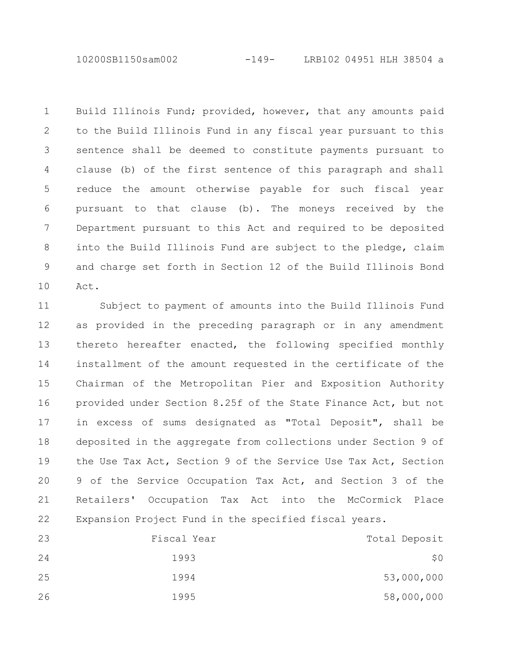10200SB1150sam002 -149- LRB102 04951 HLH 38504 a

Build Illinois Fund; provided, however, that any amounts paid to the Build Illinois Fund in any fiscal year pursuant to this sentence shall be deemed to constitute payments pursuant to clause (b) of the first sentence of this paragraph and shall reduce the amount otherwise payable for such fiscal year pursuant to that clause (b). The moneys received by the Department pursuant to this Act and required to be deposited into the Build Illinois Fund are subject to the pledge, claim and charge set forth in Section 12 of the Build Illinois Bond Act. 1 2 3 4 5 6 7 8 9 10

Subject to payment of amounts into the Build Illinois Fund as provided in the preceding paragraph or in any amendment thereto hereafter enacted, the following specified monthly installment of the amount requested in the certificate of the Chairman of the Metropolitan Pier and Exposition Authority provided under Section 8.25f of the State Finance Act, but not in excess of sums designated as "Total Deposit", shall be deposited in the aggregate from collections under Section 9 of the Use Tax Act, Section 9 of the Service Use Tax Act, Section 9 of the Service Occupation Tax Act, and Section 3 of the Retailers' Occupation Tax Act into the McCormick Place Expansion Project Fund in the specified fiscal years. 11 12 13 14 15 16 17 18 19 20 21 22

| Total Deposit | Fiscal Year | 23 |
|---------------|-------------|----|
| \$0\$         | 1993        | 24 |
| 53,000,000    | 1994        | 25 |
| 58,000,000    | 1995        | 26 |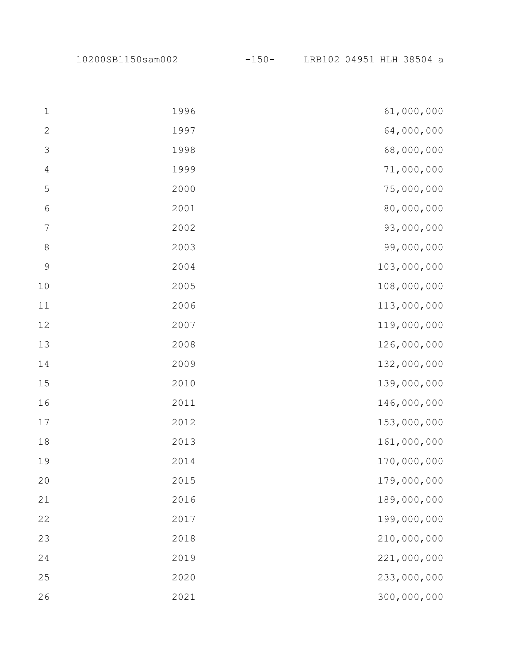10200SB1150sam002 -150- LRB102 04951 HLH 38504 a

| $\mathbf 1$      | 1996 | 61,000,000  |
|------------------|------|-------------|
| $\mathbf{2}$     | 1997 | 64,000,000  |
| $\mathcal{S}$    | 1998 | 68,000,000  |
| $\sqrt{4}$       | 1999 | 71,000,000  |
| $\mathsf S$      | 2000 | 75,000,000  |
| $\sqrt{6}$       | 2001 | 80,000,000  |
| $\boldsymbol{7}$ | 2002 | 93,000,000  |
| $\,8\,$          | 2003 | 99,000,000  |
| $\mathcal{G}$    | 2004 | 103,000,000 |
| $10$             | 2005 | 108,000,000 |
| 11               | 2006 | 113,000,000 |
| 12               | 2007 | 119,000,000 |
| 13               | 2008 | 126,000,000 |
| 14               | 2009 | 132,000,000 |
| 15               | 2010 | 139,000,000 |
| 16               | 2011 | 146,000,000 |
| $17$             | 2012 | 153,000,000 |
| $18\,$           | 2013 | 161,000,000 |
| 19               | 2014 | 170,000,000 |
| 20               | 2015 | 179,000,000 |
| 21               | 2016 | 189,000,000 |
| 22               | 2017 | 199,000,000 |
| 23               | 2018 | 210,000,000 |
| 24               | 2019 | 221,000,000 |
| 25               | 2020 | 233,000,000 |
| 26               | 2021 | 300,000,000 |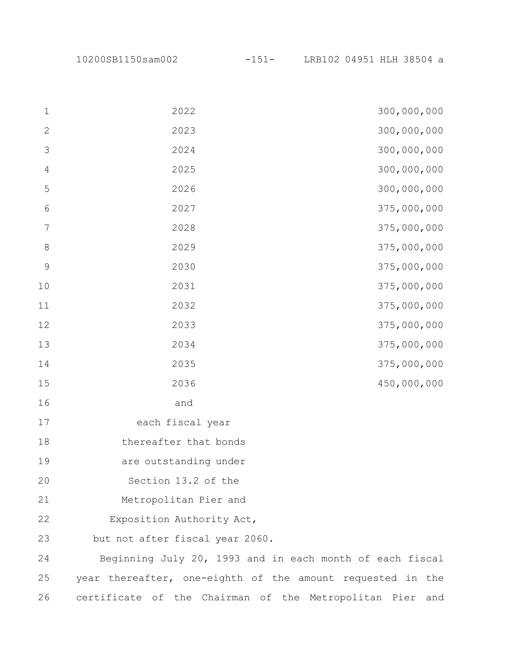10200SB1150sam002 -151- LRB102 04951 HLH 38504 a

| $\mathbf{1}$   | 2022<br>300,000,000                                        |
|----------------|------------------------------------------------------------|
| $\mathbf{2}$   | 300,000,000<br>2023                                        |
| $\mathcal{S}$  | 300,000,000<br>2024                                        |
| $\overline{4}$ | 300,000,000<br>2025                                        |
| 5              | 300,000,000<br>2026                                        |
| $\sqrt{6}$     | 375,000,000<br>2027                                        |
| $\overline{7}$ | 375,000,000<br>2028                                        |
| $\,8\,$        | 375,000,000<br>2029                                        |
| $\mathcal{G}$  | 375,000,000<br>2030                                        |
| 10             | 375,000,000<br>2031                                        |
| 11             | 375,000,000<br>2032                                        |
| 12             | 375,000,000<br>2033                                        |
| 13             | 375,000,000<br>2034                                        |
| 14             | 375,000,000<br>2035                                        |
| 15             | 450,000,000<br>2036                                        |
| 16             | and                                                        |
| 17             | each fiscal year                                           |
| 18             | thereafter that bonds                                      |
| 19             | are outstanding under                                      |
| 20             | Section 13.2 of the                                        |
| 21             | Metropolitan Pier and                                      |
| 22             | Exposition Authority Act,                                  |
| 23             | but not after fiscal year 2060.                            |
| 24             | Beginning July 20, 1993 and in each month of each fiscal   |
| 25             | year thereafter, one-eighth of the amount requested in the |
|                |                                                            |

certificate of the Chairman of the Metropolitan Pier and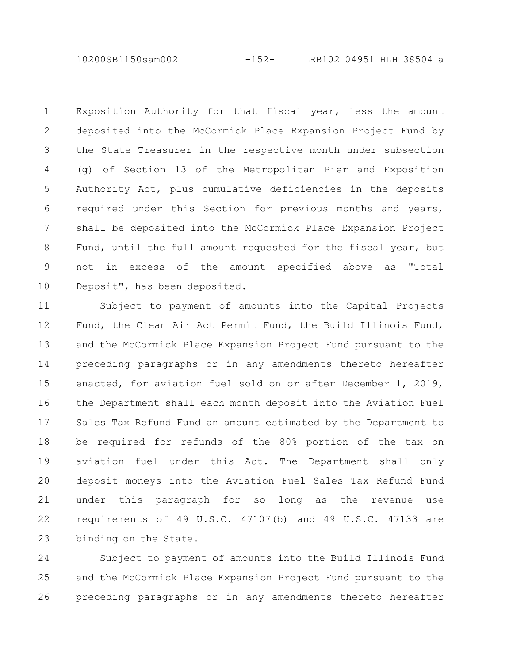10200SB1150sam002 -152- LRB102 04951 HLH 38504 a

Exposition Authority for that fiscal year, less the amount deposited into the McCormick Place Expansion Project Fund by the State Treasurer in the respective month under subsection (g) of Section 13 of the Metropolitan Pier and Exposition Authority Act, plus cumulative deficiencies in the deposits required under this Section for previous months and years, shall be deposited into the McCormick Place Expansion Project Fund, until the full amount requested for the fiscal year, but not in excess of the amount specified above as "Total Deposit", has been deposited. 1 2 3 4 5 6 7 8 9 10

Subject to payment of amounts into the Capital Projects Fund, the Clean Air Act Permit Fund, the Build Illinois Fund, and the McCormick Place Expansion Project Fund pursuant to the preceding paragraphs or in any amendments thereto hereafter enacted, for aviation fuel sold on or after December 1, 2019, the Department shall each month deposit into the Aviation Fuel Sales Tax Refund Fund an amount estimated by the Department to be required for refunds of the 80% portion of the tax on aviation fuel under this Act. The Department shall only deposit moneys into the Aviation Fuel Sales Tax Refund Fund under this paragraph for so long as the revenue use requirements of 49 U.S.C. 47107(b) and 49 U.S.C. 47133 are binding on the State. 11 12 13 14 15 16 17 18 19 20 21 22 23

Subject to payment of amounts into the Build Illinois Fund and the McCormick Place Expansion Project Fund pursuant to the preceding paragraphs or in any amendments thereto hereafter 24 25 26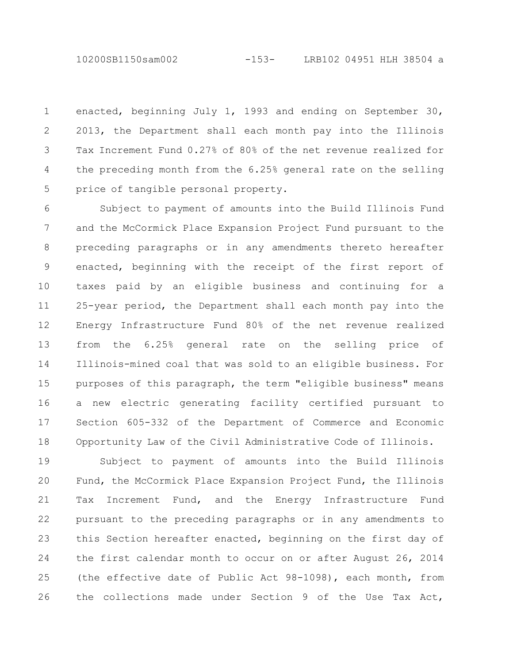10200SB1150sam002 -153- LRB102 04951 HLH 38504 a

enacted, beginning July 1, 1993 and ending on September 30, 2013, the Department shall each month pay into the Illinois Tax Increment Fund 0.27% of 80% of the net revenue realized for the preceding month from the 6.25% general rate on the selling price of tangible personal property. 1 2 3 4 5

Subject to payment of amounts into the Build Illinois Fund and the McCormick Place Expansion Project Fund pursuant to the preceding paragraphs or in any amendments thereto hereafter enacted, beginning with the receipt of the first report of taxes paid by an eligible business and continuing for a 25-year period, the Department shall each month pay into the Energy Infrastructure Fund 80% of the net revenue realized from the 6.25% general rate on the selling price of Illinois-mined coal that was sold to an eligible business. For purposes of this paragraph, the term "eligible business" means a new electric generating facility certified pursuant to Section 605-332 of the Department of Commerce and Economic Opportunity Law of the Civil Administrative Code of Illinois. 6 7 8 9 10 11 12 13 14 15 16 17 18

Subject to payment of amounts into the Build Illinois Fund, the McCormick Place Expansion Project Fund, the Illinois Tax Increment Fund, and the Energy Infrastructure Fund pursuant to the preceding paragraphs or in any amendments to this Section hereafter enacted, beginning on the first day of the first calendar month to occur on or after August 26, 2014 (the effective date of Public Act 98-1098), each month, from the collections made under Section 9 of the Use Tax Act, 19 20 21 22 23 24 25 26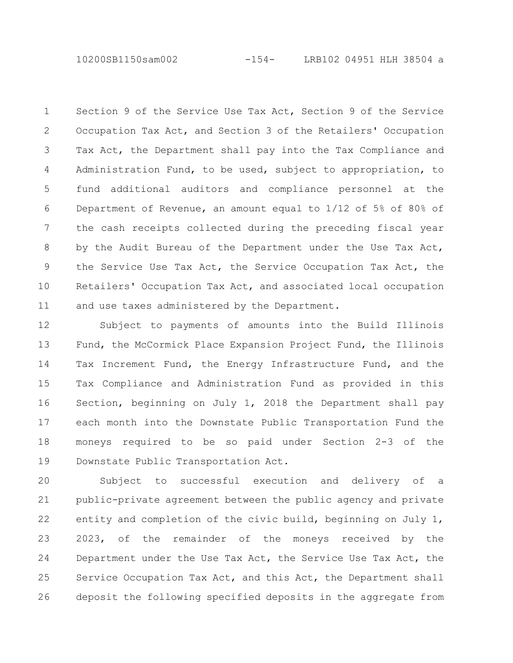10200SB1150sam002 -154- LRB102 04951 HLH 38504 a

Section 9 of the Service Use Tax Act, Section 9 of the Service Occupation Tax Act, and Section 3 of the Retailers' Occupation Tax Act, the Department shall pay into the Tax Compliance and Administration Fund, to be used, subject to appropriation, to fund additional auditors and compliance personnel at the Department of Revenue, an amount equal to 1/12 of 5% of 80% of the cash receipts collected during the preceding fiscal year by the Audit Bureau of the Department under the Use Tax Act, the Service Use Tax Act, the Service Occupation Tax Act, the Retailers' Occupation Tax Act, and associated local occupation and use taxes administered by the Department. 1 2 3 4 5 6 7 8 9 10 11

Subject to payments of amounts into the Build Illinois Fund, the McCormick Place Expansion Project Fund, the Illinois Tax Increment Fund, the Energy Infrastructure Fund, and the Tax Compliance and Administration Fund as provided in this Section, beginning on July 1, 2018 the Department shall pay each month into the Downstate Public Transportation Fund the moneys required to be so paid under Section 2-3 of the Downstate Public Transportation Act. 12 13 14 15 16 17 18 19

Subject to successful execution and delivery of a public-private agreement between the public agency and private entity and completion of the civic build, beginning on July 1, 2023, of the remainder of the moneys received by the Department under the Use Tax Act, the Service Use Tax Act, the Service Occupation Tax Act, and this Act, the Department shall deposit the following specified deposits in the aggregate from 20 21 22 23 24 25 26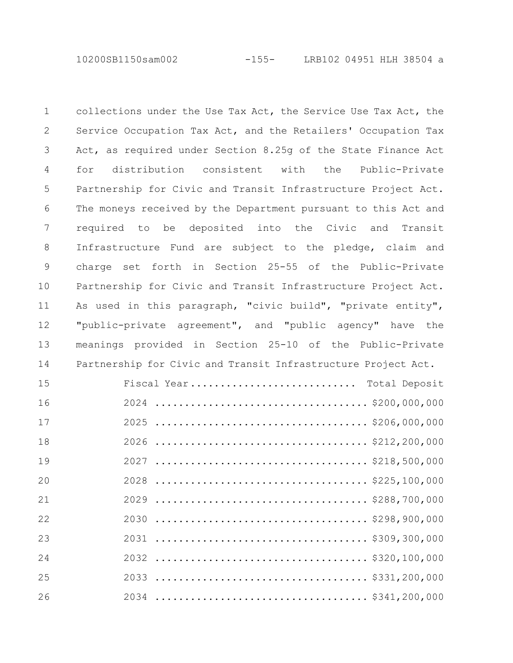10200SB1150sam002 -155- LRB102 04951 HLH 38504 a

collections under the Use Tax Act, the Service Use Tax Act, the Service Occupation Tax Act, and the Retailers' Occupation Tax Act, as required under Section 8.25g of the State Finance Act for distribution consistent with the Public-Private Partnership for Civic and Transit Infrastructure Project Act. The moneys received by the Department pursuant to this Act and required to be deposited into the Civic and Transit Infrastructure Fund are subject to the pledge, claim and charge set forth in Section 25-55 of the Public-Private Partnership for Civic and Transit Infrastructure Project Act. As used in this paragraph, "civic build", "private entity", "public-private agreement", and "public agency" have the meanings provided in Section 25-10 of the Public-Private Partnership for Civic and Transit Infrastructure Project Act. 

| 15 | Fiscal Year Total Deposit |
|----|---------------------------|
| 16 |                           |
| 17 |                           |
| 18 |                           |
| 19 |                           |
| 20 |                           |
| 21 |                           |
| 22 |                           |
| 23 |                           |
| 24 |                           |
| 25 |                           |
| 26 |                           |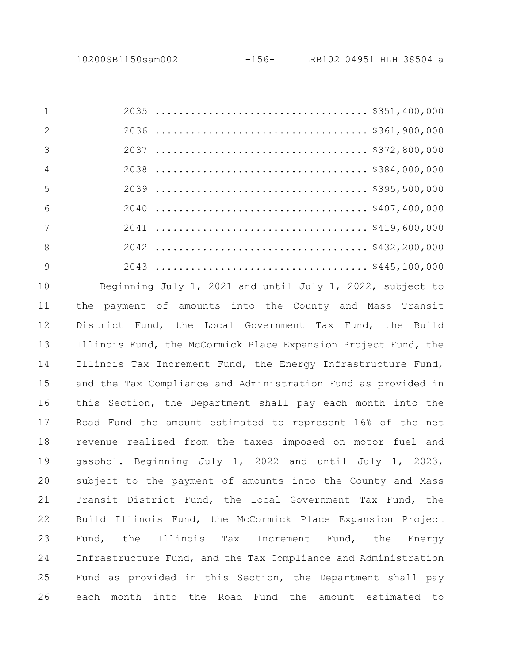| $\overline{2}$ |  |  |
|----------------|--|--|
| - 3            |  |  |
| $\overline{4}$ |  |  |
| .5             |  |  |
| 6              |  |  |
| 7              |  |  |
| 8              |  |  |
| - 9            |  |  |

Beginning July 1, 2021 and until July 1, 2022, subject to the payment of amounts into the County and Mass Transit District Fund, the Local Government Tax Fund, the Build Illinois Fund, the McCormick Place Expansion Project Fund, the Illinois Tax Increment Fund, the Energy Infrastructure Fund, and the Tax Compliance and Administration Fund as provided in this Section, the Department shall pay each month into the Road Fund the amount estimated to represent 16% of the net revenue realized from the taxes imposed on motor fuel and gasohol. Beginning July 1, 2022 and until July 1, 2023, subject to the payment of amounts into the County and Mass Transit District Fund, the Local Government Tax Fund, the Build Illinois Fund, the McCormick Place Expansion Project Fund, the Illinois Tax Increment Fund, the Energy Infrastructure Fund, and the Tax Compliance and Administration Fund as provided in this Section, the Department shall pay each month into the Road Fund the amount estimated to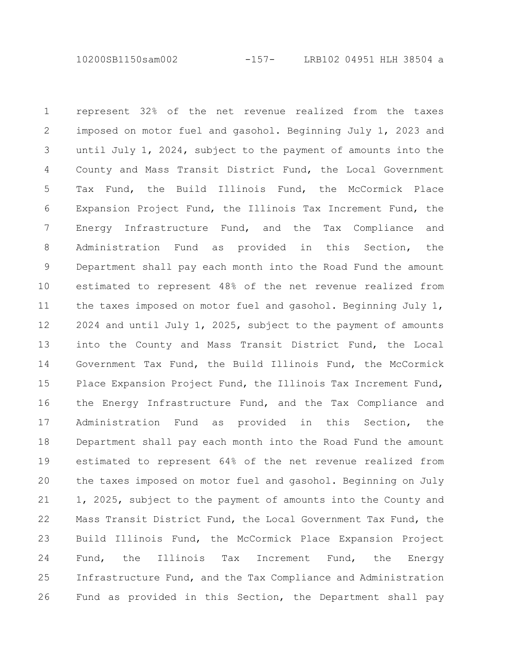10200SB1150sam002 -157- LRB102 04951 HLH 38504 a

represent 32% of the net revenue realized from the taxes imposed on motor fuel and gasohol. Beginning July 1, 2023 and until July 1, 2024, subject to the payment of amounts into the County and Mass Transit District Fund, the Local Government Tax Fund, the Build Illinois Fund, the McCormick Place Expansion Project Fund, the Illinois Tax Increment Fund, the Energy Infrastructure Fund, and the Tax Compliance and Administration Fund as provided in this Section, the Department shall pay each month into the Road Fund the amount estimated to represent 48% of the net revenue realized from the taxes imposed on motor fuel and gasohol. Beginning July 1, 2024 and until July 1, 2025, subject to the payment of amounts into the County and Mass Transit District Fund, the Local Government Tax Fund, the Build Illinois Fund, the McCormick Place Expansion Project Fund, the Illinois Tax Increment Fund, the Energy Infrastructure Fund, and the Tax Compliance and Administration Fund as provided in this Section, the Department shall pay each month into the Road Fund the amount estimated to represent 64% of the net revenue realized from the taxes imposed on motor fuel and gasohol. Beginning on July 1, 2025, subject to the payment of amounts into the County and Mass Transit District Fund, the Local Government Tax Fund, the Build Illinois Fund, the McCormick Place Expansion Project Fund, the Illinois Tax Increment Fund, the Energy Infrastructure Fund, and the Tax Compliance and Administration Fund as provided in this Section, the Department shall pay 1 2 3 4 5 6 7 8 9 10 11 12 13 14 15 16 17 18 19 20 21 22 23 24 25 26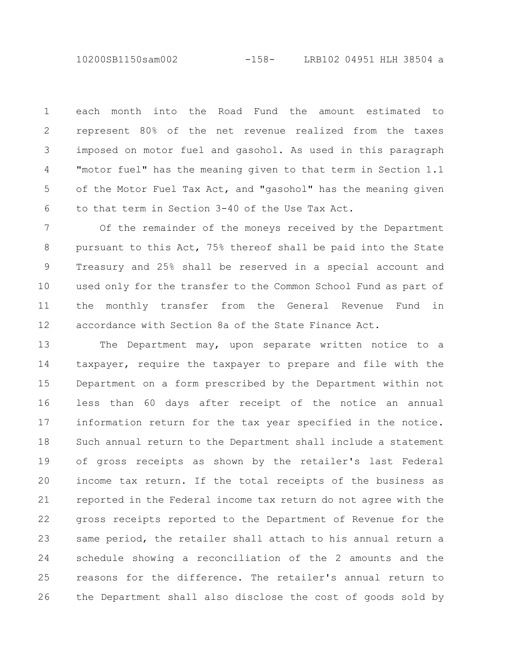10200SB1150sam002 -158- LRB102 04951 HLH 38504 a

each month into the Road Fund the amount estimated to represent 80% of the net revenue realized from the taxes imposed on motor fuel and gasohol. As used in this paragraph "motor fuel" has the meaning given to that term in Section 1.1 of the Motor Fuel Tax Act, and "gasohol" has the meaning given to that term in Section 3-40 of the Use Tax Act. 1 2 3 4 5 6

Of the remainder of the moneys received by the Department pursuant to this Act, 75% thereof shall be paid into the State Treasury and 25% shall be reserved in a special account and used only for the transfer to the Common School Fund as part of the monthly transfer from the General Revenue Fund in accordance with Section 8a of the State Finance Act. 7 8 9 10 11 12

The Department may, upon separate written notice to a taxpayer, require the taxpayer to prepare and file with the Department on a form prescribed by the Department within not less than 60 days after receipt of the notice an annual information return for the tax year specified in the notice. Such annual return to the Department shall include a statement of gross receipts as shown by the retailer's last Federal income tax return. If the total receipts of the business as reported in the Federal income tax return do not agree with the gross receipts reported to the Department of Revenue for the same period, the retailer shall attach to his annual return a schedule showing a reconciliation of the 2 amounts and the reasons for the difference. The retailer's annual return to the Department shall also disclose the cost of goods sold by 13 14 15 16 17 18 19 20 21 22 23 24 25 26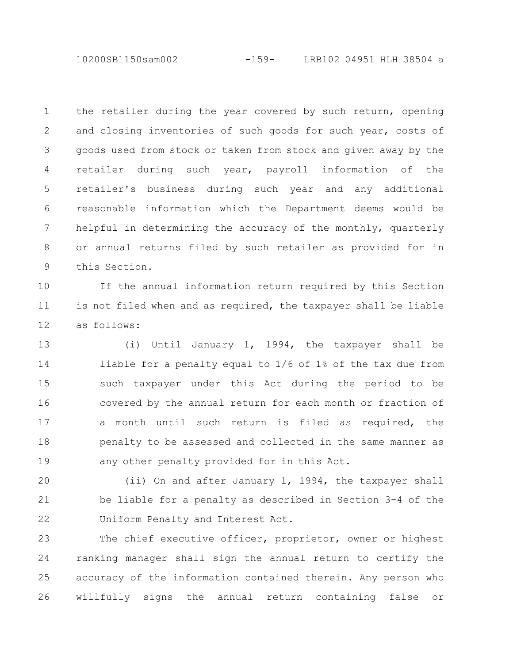10200SB1150sam002 -159- LRB102 04951 HLH 38504 a

the retailer during the year covered by such return, opening and closing inventories of such goods for such year, costs of goods used from stock or taken from stock and given away by the retailer during such year, payroll information of the retailer's business during such year and any additional reasonable information which the Department deems would be helpful in determining the accuracy of the monthly, quarterly or annual returns filed by such retailer as provided for in this Section. 1 2 3 4 5 6 7 8 9

If the annual information return required by this Section is not filed when and as required, the taxpayer shall be liable as follows: 10 11 12

(i) Until January 1, 1994, the taxpayer shall be liable for a penalty equal to 1/6 of 1% of the tax due from such taxpayer under this Act during the period to be covered by the annual return for each month or fraction of a month until such return is filed as required, the penalty to be assessed and collected in the same manner as any other penalty provided for in this Act. 13 14 15 16 17 18 19

(ii) On and after January 1, 1994, the taxpayer shall be liable for a penalty as described in Section 3-4 of the Uniform Penalty and Interest Act. 20 21 22

The chief executive officer, proprietor, owner or highest ranking manager shall sign the annual return to certify the accuracy of the information contained therein. Any person who willfully signs the annual return containing false or 23 24 25 26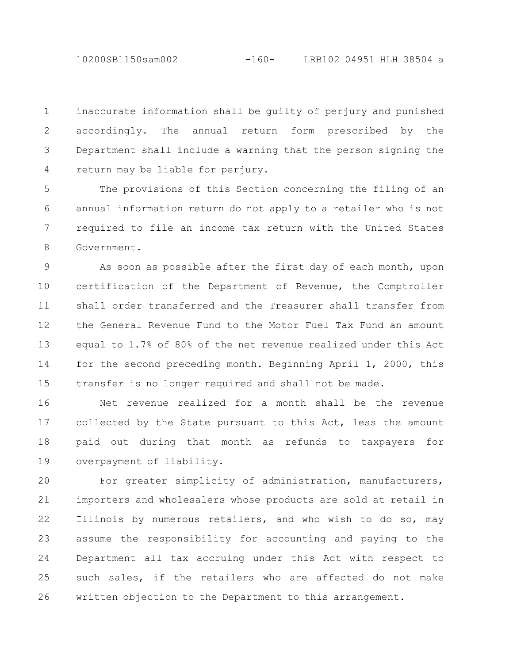10200SB1150sam002 -160- LRB102 04951 HLH 38504 a

inaccurate information shall be guilty of perjury and punished accordingly. The annual return form prescribed by the Department shall include a warning that the person signing the return may be liable for perjury. 1 2 3 4

The provisions of this Section concerning the filing of an annual information return do not apply to a retailer who is not required to file an income tax return with the United States Government. 5 6 7 8

As soon as possible after the first day of each month, upon certification of the Department of Revenue, the Comptroller shall order transferred and the Treasurer shall transfer from the General Revenue Fund to the Motor Fuel Tax Fund an amount equal to 1.7% of 80% of the net revenue realized under this Act for the second preceding month. Beginning April 1, 2000, this transfer is no longer required and shall not be made. 9 10 11 12 13 14 15

Net revenue realized for a month shall be the revenue collected by the State pursuant to this Act, less the amount paid out during that month as refunds to taxpayers for overpayment of liability. 16 17 18 19

For greater simplicity of administration, manufacturers, importers and wholesalers whose products are sold at retail in Illinois by numerous retailers, and who wish to do so, may assume the responsibility for accounting and paying to the Department all tax accruing under this Act with respect to such sales, if the retailers who are affected do not make written objection to the Department to this arrangement. 20 21 22 23 24 25 26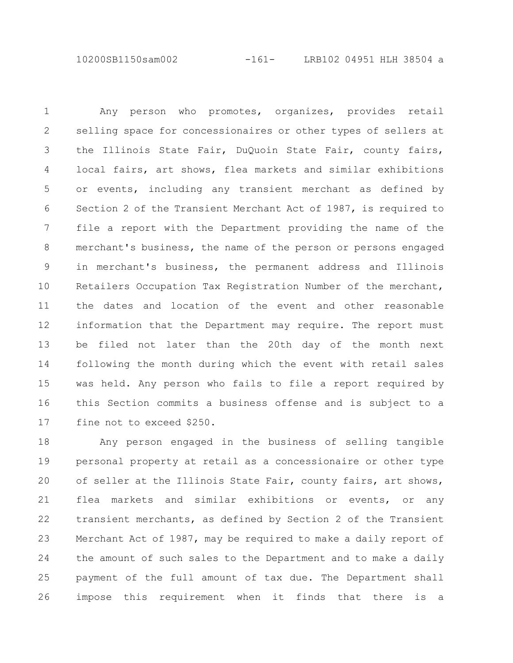10200SB1150sam002 -161- LRB102 04951 HLH 38504 a

Any person who promotes, organizes, provides retail selling space for concessionaires or other types of sellers at the Illinois State Fair, DuQuoin State Fair, county fairs, local fairs, art shows, flea markets and similar exhibitions or events, including any transient merchant as defined by Section 2 of the Transient Merchant Act of 1987, is required to file a report with the Department providing the name of the merchant's business, the name of the person or persons engaged in merchant's business, the permanent address and Illinois Retailers Occupation Tax Registration Number of the merchant, the dates and location of the event and other reasonable information that the Department may require. The report must be filed not later than the 20th day of the month next following the month during which the event with retail sales was held. Any person who fails to file a report required by this Section commits a business offense and is subject to a fine not to exceed \$250. 1 2 3 4 5 6 7 8 9 10 11 12 13 14 15 16 17

Any person engaged in the business of selling tangible personal property at retail as a concessionaire or other type of seller at the Illinois State Fair, county fairs, art shows, flea markets and similar exhibitions or events, or any transient merchants, as defined by Section 2 of the Transient Merchant Act of 1987, may be required to make a daily report of the amount of such sales to the Department and to make a daily payment of the full amount of tax due. The Department shall impose this requirement when it finds that there is a 18 19 20 21 22 23 24 25 26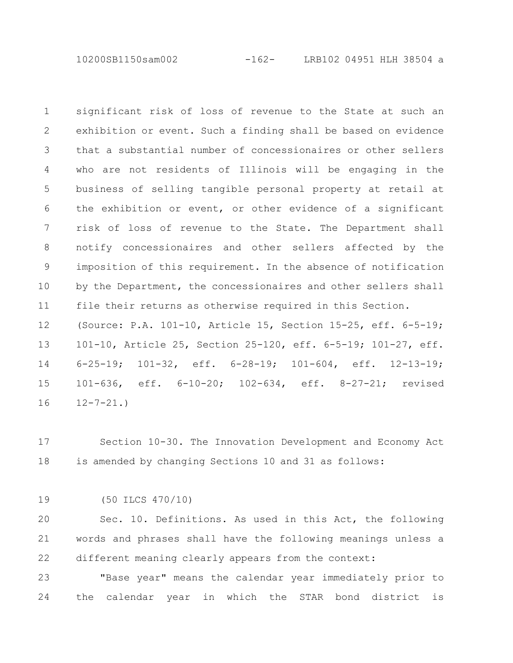10200SB1150sam002 -162- LRB102 04951 HLH 38504 a

significant risk of loss of revenue to the State at such an exhibition or event. Such a finding shall be based on evidence that a substantial number of concessionaires or other sellers who are not residents of Illinois will be engaging in the business of selling tangible personal property at retail at the exhibition or event, or other evidence of a significant risk of loss of revenue to the State. The Department shall notify concessionaires and other sellers affected by the imposition of this requirement. In the absence of notification by the Department, the concessionaires and other sellers shall file their returns as otherwise required in this Section. (Source: P.A. 101-10, Article 15, Section 15-25, eff. 6-5-19; 101-10, Article 25, Section 25-120, eff. 6-5-19; 101-27, eff. 6-25-19; 101-32, eff. 6-28-19; 101-604, eff. 12-13-19; 101-636, eff. 6-10-20; 102-634, eff. 8-27-21; revised  $12 - 7 - 21.$ 1 2 3 4 5 6 7 8 9 10 11 12 13 14 15 16

Section 10-30. The Innovation Development and Economy Act is amended by changing Sections 10 and 31 as follows: 17 18

(50 ILCS 470/10) 19

Sec. 10. Definitions. As used in this Act, the following words and phrases shall have the following meanings unless a different meaning clearly appears from the context: 20 21 22

"Base year" means the calendar year immediately prior to the calendar year in which the STAR bond district is 23 24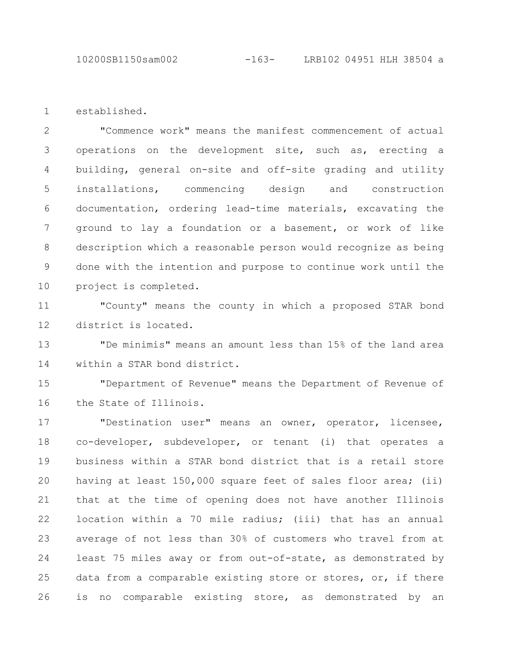10200SB1150sam002 -163- LRB102 04951 HLH 38504 a

established. 1

"Commence work" means the manifest commencement of actual operations on the development site, such as, erecting a building, general on-site and off-site grading and utility installations, commencing design and construction documentation, ordering lead-time materials, excavating the ground to lay a foundation or a basement, or work of like description which a reasonable person would recognize as being done with the intention and purpose to continue work until the project is completed. 2 3 4 5 6 7 8 9 10

"County" means the county in which a proposed STAR bond district is located. 11 12

"De minimis" means an amount less than 15% of the land area within a STAR bond district. 13 14

"Department of Revenue" means the Department of Revenue of the State of Illinois. 15 16

"Destination user" means an owner, operator, licensee, co-developer, subdeveloper, or tenant (i) that operates a business within a STAR bond district that is a retail store having at least 150,000 square feet of sales floor area; (ii) that at the time of opening does not have another Illinois location within a 70 mile radius; (iii) that has an annual average of not less than 30% of customers who travel from at least 75 miles away or from out-of-state, as demonstrated by data from a comparable existing store or stores, or, if there is no comparable existing store, as demonstrated by an 17 18 19 20 21 22 23 24 25 26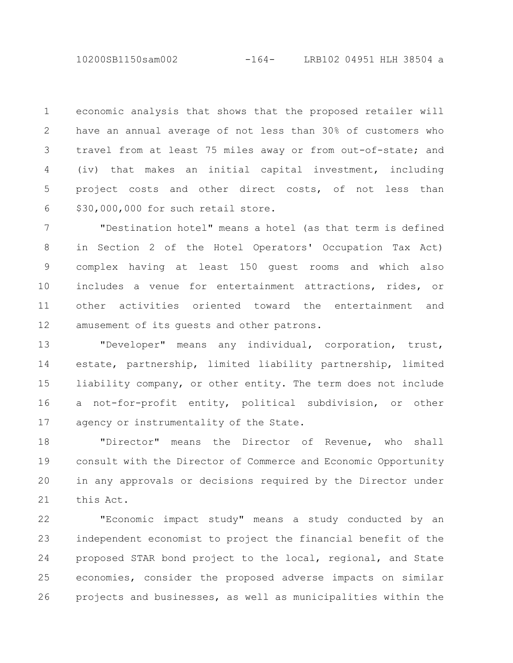10200SB1150sam002 -164- LRB102 04951 HLH 38504 a

economic analysis that shows that the proposed retailer will have an annual average of not less than 30% of customers who travel from at least 75 miles away or from out-of-state; and (iv) that makes an initial capital investment, including project costs and other direct costs, of not less than \$30,000,000 for such retail store. 1 2 3 4 5 6

"Destination hotel" means a hotel (as that term is defined in Section 2 of the Hotel Operators' Occupation Tax Act) complex having at least 150 guest rooms and which also includes a venue for entertainment attractions, rides, or other activities oriented toward the entertainment and amusement of its guests and other patrons. 7 8 9 10 11 12

"Developer" means any individual, corporation, trust, estate, partnership, limited liability partnership, limited liability company, or other entity. The term does not include a not-for-profit entity, political subdivision, or other agency or instrumentality of the State. 13 14 15 16 17

"Director" means the Director of Revenue, who shall consult with the Director of Commerce and Economic Opportunity in any approvals or decisions required by the Director under this Act. 18 19 20 21

"Economic impact study" means a study conducted by an independent economist to project the financial benefit of the proposed STAR bond project to the local, regional, and State economies, consider the proposed adverse impacts on similar projects and businesses, as well as municipalities within the 22 23 24 25 26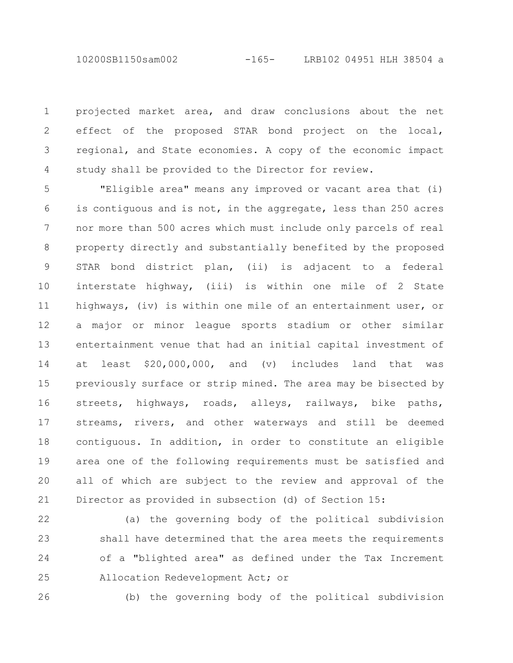10200SB1150sam002 -165- LRB102 04951 HLH 38504 a

projected market area, and draw conclusions about the net effect of the proposed STAR bond project on the local, regional, and State economies. A copy of the economic impact study shall be provided to the Director for review. 1 2 3 4

"Eligible area" means any improved or vacant area that (i) is contiguous and is not, in the aggregate, less than 250 acres nor more than 500 acres which must include only parcels of real property directly and substantially benefited by the proposed STAR bond district plan, (ii) is adjacent to a federal interstate highway, (iii) is within one mile of 2 State highways, (iv) is within one mile of an entertainment user, or a major or minor league sports stadium or other similar entertainment venue that had an initial capital investment of at least \$20,000,000, and (v) includes land that was previously surface or strip mined. The area may be bisected by streets, highways, roads, alleys, railways, bike paths, streams, rivers, and other waterways and still be deemed contiguous. In addition, in order to constitute an eligible area one of the following requirements must be satisfied and all of which are subject to the review and approval of the Director as provided in subsection (d) of Section 15: 5 6 7 8 9 10 11 12 13 14 15 16 17 18 19 20 21

22

23

24

25

(a) the governing body of the political subdivision shall have determined that the area meets the requirements of a "blighted area" as defined under the Tax Increment Allocation Redevelopment Act; or

26

(b) the governing body of the political subdivision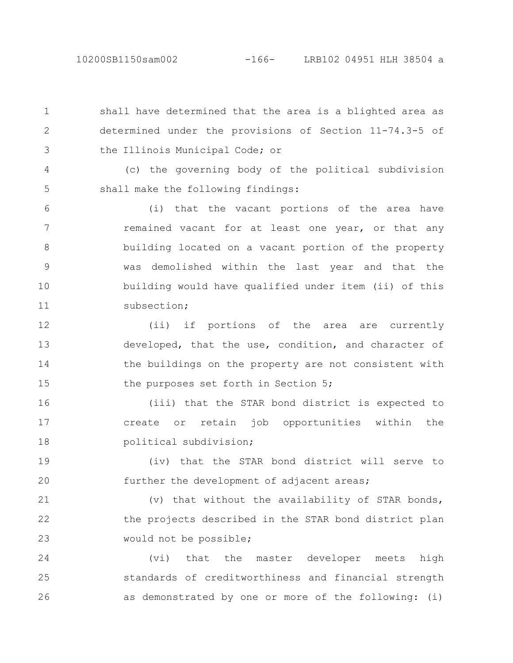2

shall have determined that the area is a blighted area as determined under the provisions of Section 11-74.3-5 of the Illinois Municipal Code; or 1 3

(c) the governing body of the political subdivision shall make the following findings: 4 5

(i) that the vacant portions of the area have remained vacant for at least one year, or that any building located on a vacant portion of the property was demolished within the last year and that the building would have qualified under item (ii) of this subsection; 6 7 8 9 10 11

(ii) if portions of the area are currently developed, that the use, condition, and character of the buildings on the property are not consistent with the purposes set forth in Section 5; 12 13 14 15

(iii) that the STAR bond district is expected to create or retain job opportunities within the political subdivision; 16 17 18

(iv) that the STAR bond district will serve to further the development of adjacent areas; 19 20

(v) that without the availability of STAR bonds, the projects described in the STAR bond district plan would not be possible; 21 22 23

(vi) that the master developer meets high standards of creditworthiness and financial strength as demonstrated by one or more of the following: (i) 24 25 26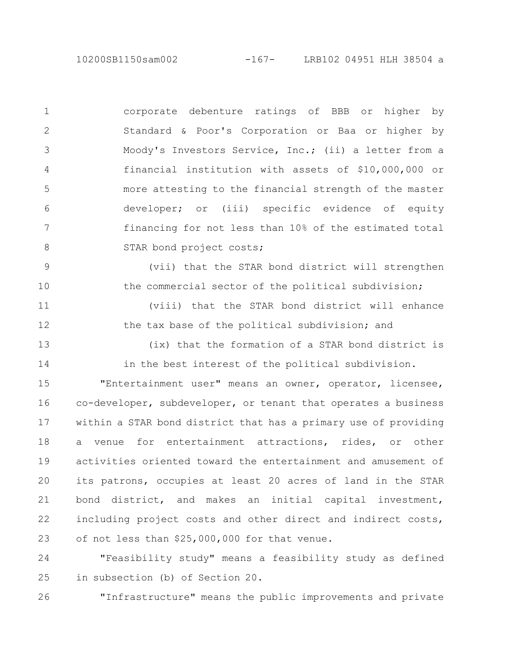10200SB1150sam002 -167- LRB102 04951 HLH 38504 a

corporate debenture ratings of BBB or higher by Standard & Poor's Corporation or Baa or higher by Moody's Investors Service, Inc.; (ii) a letter from a financial institution with assets of \$10,000,000 or more attesting to the financial strength of the master developer; or (iii) specific evidence of equity financing for not less than 10% of the estimated total STAR bond project costs; 1 2 3 4 5 6 7 8

(vii) that the STAR bond district will strengthen the commercial sector of the political subdivision; 9 10

(viii) that the STAR bond district will enhance the tax base of the political subdivision; and 11 12

(ix) that the formation of a STAR bond district is in the best interest of the political subdivision. 13 14

"Entertainment user" means an owner, operator, licensee, co-developer, subdeveloper, or tenant that operates a business within a STAR bond district that has a primary use of providing a venue for entertainment attractions, rides, or other activities oriented toward the entertainment and amusement of its patrons, occupies at least 20 acres of land in the STAR bond district, and makes an initial capital investment, including project costs and other direct and indirect costs, of not less than \$25,000,000 for that venue. 15 16 17 18 19 20 21 22 23

"Feasibility study" means a feasibility study as defined in subsection (b) of Section 20. 24 25

"Infrastructure" means the public improvements and private 26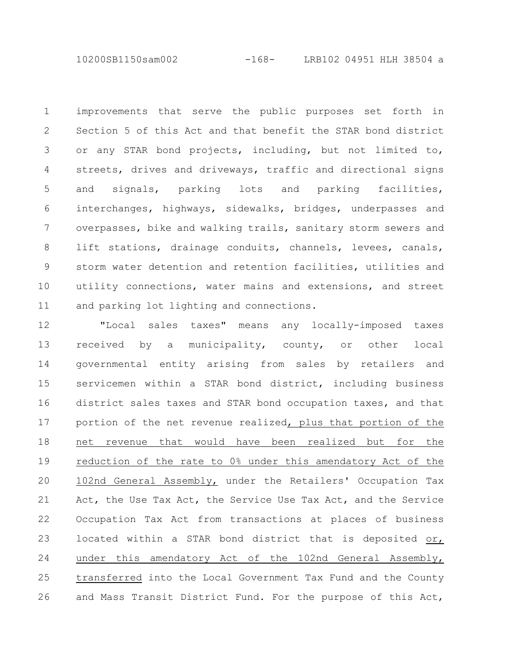10200SB1150sam002 -168- LRB102 04951 HLH 38504 a

improvements that serve the public purposes set forth in Section 5 of this Act and that benefit the STAR bond district or any STAR bond projects, including, but not limited to, streets, drives and driveways, traffic and directional signs and signals, parking lots and parking facilities, interchanges, highways, sidewalks, bridges, underpasses and overpasses, bike and walking trails, sanitary storm sewers and lift stations, drainage conduits, channels, levees, canals, storm water detention and retention facilities, utilities and utility connections, water mains and extensions, and street and parking lot lighting and connections. 1 2 3 4 5 6 7 8 9 10 11

"Local sales taxes" means any locally-imposed taxes received by a municipality, county, or other local governmental entity arising from sales by retailers and servicemen within a STAR bond district, including business district sales taxes and STAR bond occupation taxes, and that portion of the net revenue realized, plus that portion of the net revenue that would have been realized but for the reduction of the rate to 0% under this amendatory Act of the 102nd General Assembly, under the Retailers' Occupation Tax Act, the Use Tax Act, the Service Use Tax Act, and the Service Occupation Tax Act from transactions at places of business located within a STAR bond district that is deposited or, under this amendatory Act of the 102nd General Assembly, transferred into the Local Government Tax Fund and the County and Mass Transit District Fund. For the purpose of this Act, 12 13 14 15 16 17 18 19 20 21 22 23 24 25 26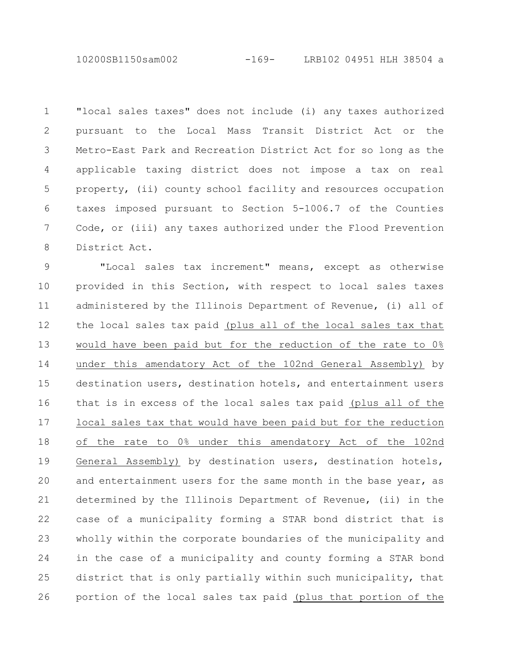10200SB1150sam002 -169- LRB102 04951 HLH 38504 a

"local sales taxes" does not include (i) any taxes authorized pursuant to the Local Mass Transit District Act or the Metro-East Park and Recreation District Act for so long as the applicable taxing district does not impose a tax on real property, (ii) county school facility and resources occupation taxes imposed pursuant to Section 5-1006.7 of the Counties Code, or (iii) any taxes authorized under the Flood Prevention District Act. 1 2 3 4 5 6 7 8

"Local sales tax increment" means, except as otherwise provided in this Section, with respect to local sales taxes administered by the Illinois Department of Revenue, (i) all of the local sales tax paid (plus all of the local sales tax that would have been paid but for the reduction of the rate to 0% under this amendatory Act of the 102nd General Assembly) by destination users, destination hotels, and entertainment users that is in excess of the local sales tax paid (plus all of the local sales tax that would have been paid but for the reduction of the rate to 0% under this amendatory Act of the 102nd General Assembly) by destination users, destination hotels, and entertainment users for the same month in the base year, as determined by the Illinois Department of Revenue, (ii) in the case of a municipality forming a STAR bond district that is wholly within the corporate boundaries of the municipality and in the case of a municipality and county forming a STAR bond district that is only partially within such municipality, that portion of the local sales tax paid (plus that portion of the 9 10 11 12 13 14 15 16 17 18 19 20 21 22 23 24 25 26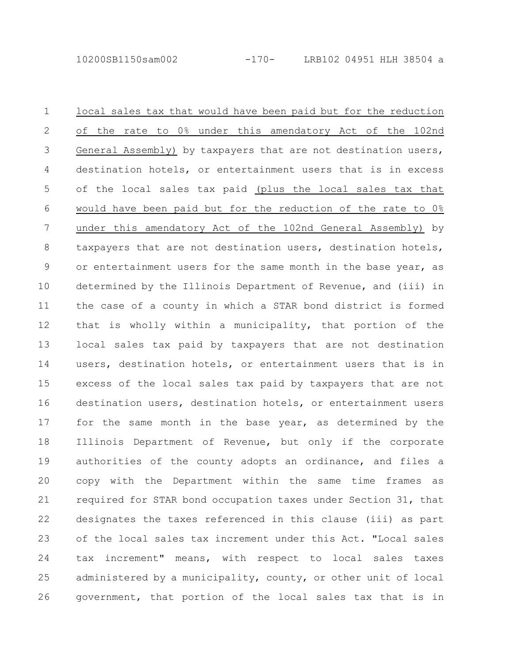local sales tax that would have been paid but for the reduction of the rate to 0% under this amendatory Act of the 102nd General Assembly) by taxpayers that are not destination users, destination hotels, or entertainment users that is in excess of the local sales tax paid (plus the local sales tax that would have been paid but for the reduction of the rate to 0% under this amendatory Act of the 102nd General Assembly) by taxpayers that are not destination users, destination hotels, or entertainment users for the same month in the base year, as determined by the Illinois Department of Revenue, and (iii) in the case of a county in which a STAR bond district is formed that is wholly within a municipality, that portion of the local sales tax paid by taxpayers that are not destination users, destination hotels, or entertainment users that is in excess of the local sales tax paid by taxpayers that are not destination users, destination hotels, or entertainment users for the same month in the base year, as determined by the Illinois Department of Revenue, but only if the corporate authorities of the county adopts an ordinance, and files a copy with the Department within the same time frames as required for STAR bond occupation taxes under Section 31, that designates the taxes referenced in this clause (iii) as part of the local sales tax increment under this Act. "Local sales tax increment" means, with respect to local sales taxes administered by a municipality, county, or other unit of local government, that portion of the local sales tax that is in 1 2 3 4 5 6 7 8 9 10 11 12 13 14 15 16 17 18 19 20 21 22 23 24 25 26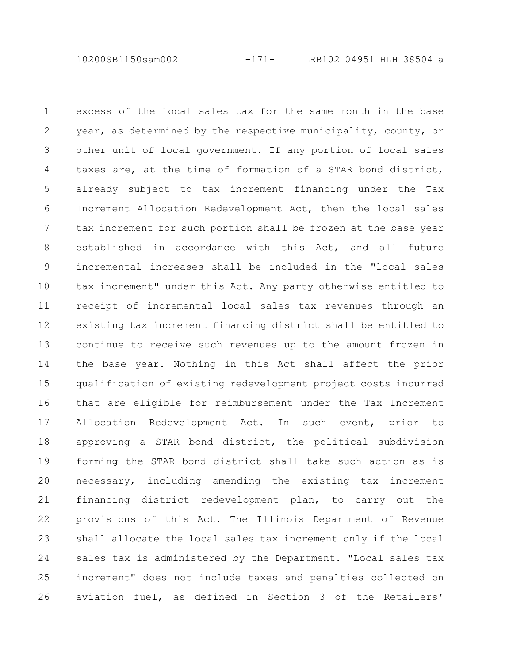10200SB1150sam002 -171- LRB102 04951 HLH 38504 a

excess of the local sales tax for the same month in the base year, as determined by the respective municipality, county, or other unit of local government. If any portion of local sales taxes are, at the time of formation of a STAR bond district, already subject to tax increment financing under the Tax Increment Allocation Redevelopment Act, then the local sales tax increment for such portion shall be frozen at the base year established in accordance with this Act, and all future incremental increases shall be included in the "local sales tax increment" under this Act. Any party otherwise entitled to receipt of incremental local sales tax revenues through an existing tax increment financing district shall be entitled to continue to receive such revenues up to the amount frozen in the base year. Nothing in this Act shall affect the prior qualification of existing redevelopment project costs incurred that are eligible for reimbursement under the Tax Increment Allocation Redevelopment Act. In such event, prior to approving a STAR bond district, the political subdivision forming the STAR bond district shall take such action as is necessary, including amending the existing tax increment financing district redevelopment plan, to carry out the provisions of this Act. The Illinois Department of Revenue shall allocate the local sales tax increment only if the local sales tax is administered by the Department. "Local sales tax increment" does not include taxes and penalties collected on aviation fuel, as defined in Section 3 of the Retailers' 1 2 3 4 5 6 7 8 9 10 11 12 13 14 15 16 17 18 19 20 21 22 23 24 25 26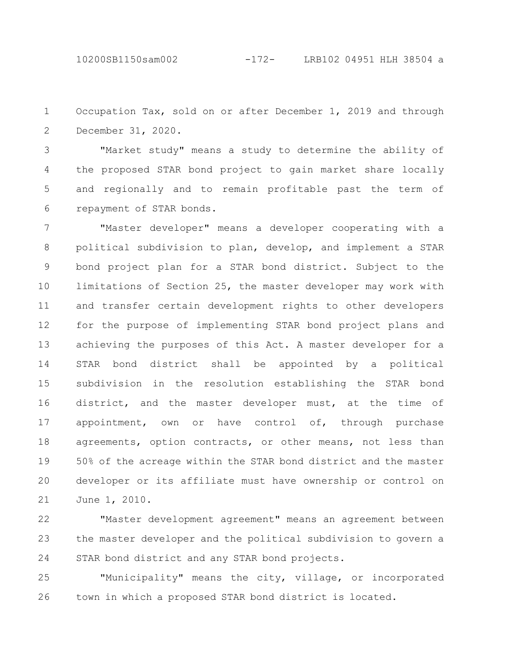10200SB1150sam002 -172- LRB102 04951 HLH 38504 a

Occupation Tax, sold on or after December 1, 2019 and through December 31, 2020. 1 2

"Market study" means a study to determine the ability of the proposed STAR bond project to gain market share locally and regionally and to remain profitable past the term of repayment of STAR bonds. 3 4 5 6

"Master developer" means a developer cooperating with a political subdivision to plan, develop, and implement a STAR bond project plan for a STAR bond district. Subject to the limitations of Section 25, the master developer may work with and transfer certain development rights to other developers for the purpose of implementing STAR bond project plans and achieving the purposes of this Act. A master developer for a STAR bond district shall be appointed by a political subdivision in the resolution establishing the STAR bond district, and the master developer must, at the time of appointment, own or have control of, through purchase agreements, option contracts, or other means, not less than 50% of the acreage within the STAR bond district and the master developer or its affiliate must have ownership or control on June 1, 2010. 7 8 9 10 11 12 13 14 15 16 17 18 19 20 21

"Master development agreement" means an agreement between the master developer and the political subdivision to govern a STAR bond district and any STAR bond projects. 22 23 24

"Municipality" means the city, village, or incorporated town in which a proposed STAR bond district is located. 25 26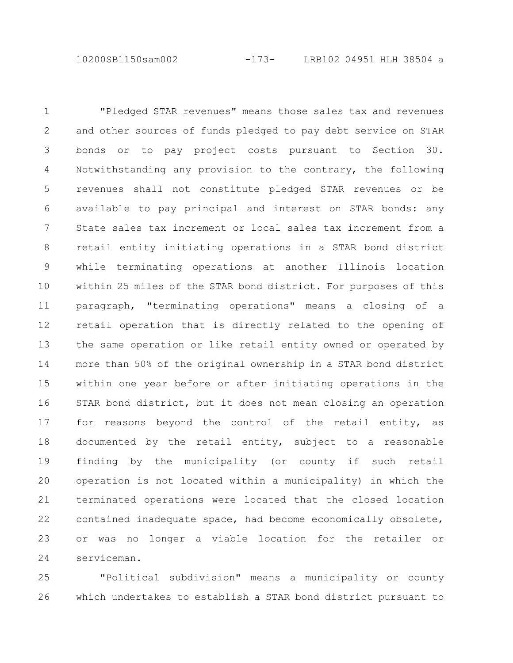10200SB1150sam002 -173- LRB102 04951 HLH 38504 a

"Pledged STAR revenues" means those sales tax and revenues and other sources of funds pledged to pay debt service on STAR bonds or to pay project costs pursuant to Section 30. Notwithstanding any provision to the contrary, the following revenues shall not constitute pledged STAR revenues or be available to pay principal and interest on STAR bonds: any State sales tax increment or local sales tax increment from a retail entity initiating operations in a STAR bond district while terminating operations at another Illinois location within 25 miles of the STAR bond district. For purposes of this paragraph, "terminating operations" means a closing of a retail operation that is directly related to the opening of the same operation or like retail entity owned or operated by more than 50% of the original ownership in a STAR bond district within one year before or after initiating operations in the STAR bond district, but it does not mean closing an operation for reasons beyond the control of the retail entity, as documented by the retail entity, subject to a reasonable finding by the municipality (or county if such retail operation is not located within a municipality) in which the terminated operations were located that the closed location contained inadequate space, had become economically obsolete, or was no longer a viable location for the retailer or serviceman. 1 2 3 4 5 6 7 8 9 10 11 12 13 14 15 16 17 18 19 20 21 22 23 24

"Political subdivision" means a municipality or county which undertakes to establish a STAR bond district pursuant to 25 26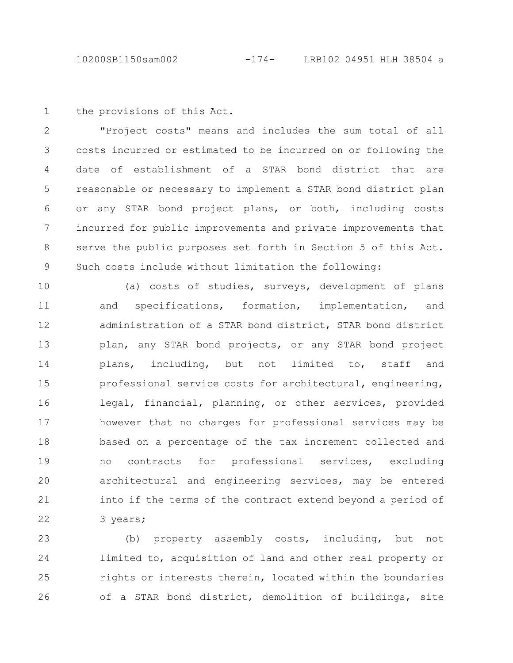the provisions of this Act. 1

"Project costs" means and includes the sum total of all costs incurred or estimated to be incurred on or following the date of establishment of a STAR bond district that are reasonable or necessary to implement a STAR bond district plan or any STAR bond project plans, or both, including costs incurred for public improvements and private improvements that serve the public purposes set forth in Section 5 of this Act. Such costs include without limitation the following: 2 3 4 5 6 7 8 9

(a) costs of studies, surveys, development of plans and specifications, formation, implementation, and administration of a STAR bond district, STAR bond district plan, any STAR bond projects, or any STAR bond project plans, including, but not limited to, staff and professional service costs for architectural, engineering, legal, financial, planning, or other services, provided however that no charges for professional services may be based on a percentage of the tax increment collected and no contracts for professional services, excluding architectural and engineering services, may be entered into if the terms of the contract extend beyond a period of 3 years; 10 11 12 13 14 15 16 17 18 19 20 21 22

(b) property assembly costs, including, but not limited to, acquisition of land and other real property or rights or interests therein, located within the boundaries of a STAR bond district, demolition of buildings, site 23 24 25 26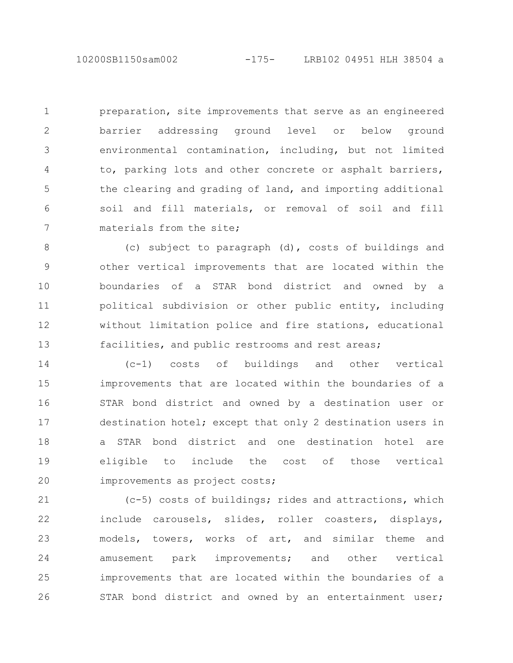preparation, site improvements that serve as an engineered barrier addressing ground level or below ground environmental contamination, including, but not limited to, parking lots and other concrete or asphalt barriers, the clearing and grading of land, and importing additional soil and fill materials, or removal of soil and fill materials from the site; 1 2 3 4 5 6 7

(c) subject to paragraph (d), costs of buildings and other vertical improvements that are located within the boundaries of a STAR bond district and owned by a political subdivision or other public entity, including without limitation police and fire stations, educational facilities, and public restrooms and rest areas; 8 9 10 11 12 13

(c-1) costs of buildings and other vertical improvements that are located within the boundaries of a STAR bond district and owned by a destination user or destination hotel; except that only 2 destination users in a STAR bond district and one destination hotel are eligible to include the cost of those vertical improvements as project costs; 14 15 16 17 18 19 20

(c-5) costs of buildings; rides and attractions, which include carousels, slides, roller coasters, displays, models, towers, works of art, and similar theme and amusement park improvements; and other vertical improvements that are located within the boundaries of a STAR bond district and owned by an entertainment user; 21 22 23 24 25 26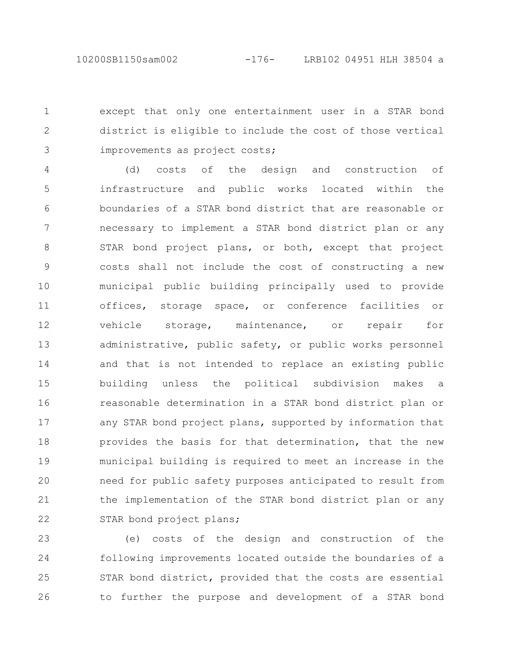except that only one entertainment user in a STAR bond district is eligible to include the cost of those vertical improvements as project costs; 1 2 3

(d) costs of the design and construction of infrastructure and public works located within the boundaries of a STAR bond district that are reasonable or necessary to implement a STAR bond district plan or any STAR bond project plans, or both, except that project costs shall not include the cost of constructing a new municipal public building principally used to provide offices, storage space, or conference facilities or vehicle storage, maintenance, or repair for administrative, public safety, or public works personnel and that is not intended to replace an existing public building unless the political subdivision makes a reasonable determination in a STAR bond district plan or any STAR bond project plans, supported by information that provides the basis for that determination, that the new municipal building is required to meet an increase in the need for public safety purposes anticipated to result from the implementation of the STAR bond district plan or any STAR bond project plans; 4 5 6 7 8 9 10 11 12 13 14 15 16 17 18 19 20 21 22

(e) costs of the design and construction of the following improvements located outside the boundaries of a STAR bond district, provided that the costs are essential to further the purpose and development of a STAR bond 23 24 25 26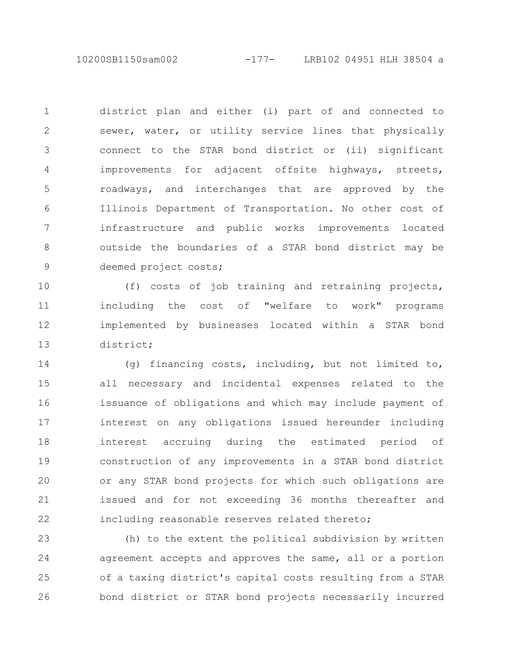10200SB1150sam002 -177- LRB102 04951 HLH 38504 a

district plan and either (i) part of and connected to sewer, water, or utility service lines that physically connect to the STAR bond district or (ii) significant improvements for adjacent offsite highways, streets, roadways, and interchanges that are approved by the Illinois Department of Transportation. No other cost of infrastructure and public works improvements located outside the boundaries of a STAR bond district may be deemed project costs; 1 2 3 4 5 6 7 8 9

(f) costs of job training and retraining projects, including the cost of "welfare to work" programs implemented by businesses located within a STAR bond district; 10 11 12 13

(g) financing costs, including, but not limited to, all necessary and incidental expenses related to the issuance of obligations and which may include payment of interest on any obligations issued hereunder including interest accruing during the estimated period of construction of any improvements in a STAR bond district or any STAR bond projects for which such obligations are issued and for not exceeding 36 months thereafter and including reasonable reserves related thereto; 14 15 16 17 18 19 20 21 22

(h) to the extent the political subdivision by written agreement accepts and approves the same, all or a portion of a taxing district's capital costs resulting from a STAR bond district or STAR bond projects necessarily incurred 23 24 25 26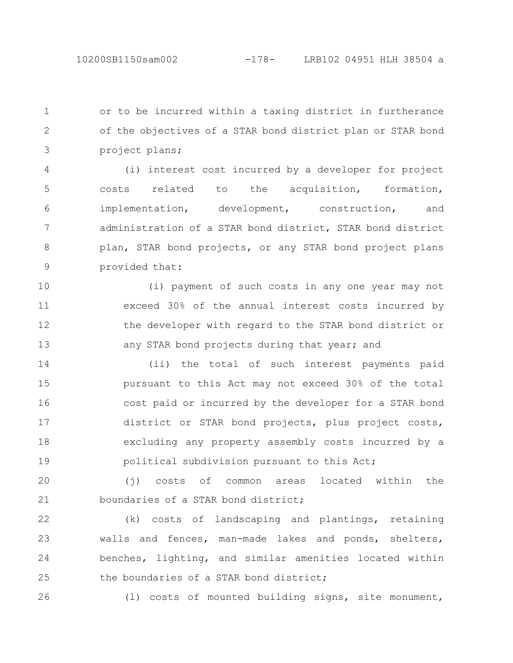or to be incurred within a taxing district in furtherance of the objectives of a STAR bond district plan or STAR bond project plans; 1 2 3

(i) interest cost incurred by a developer for project costs related to the acquisition, formation, implementation, development, construction, and administration of a STAR bond district, STAR bond district plan, STAR bond projects, or any STAR bond project plans provided that: 4 5 6 7 8 9

(i) payment of such costs in any one year may not exceed 30% of the annual interest costs incurred by the developer with regard to the STAR bond district or any STAR bond projects during that year; and 10 11 12 13

(ii) the total of such interest payments paid pursuant to this Act may not exceed 30% of the total cost paid or incurred by the developer for a STAR bond district or STAR bond projects, plus project costs, excluding any property assembly costs incurred by a political subdivision pursuant to this Act; 14 15 16 17 18 19

(j) costs of common areas located within the boundaries of a STAR bond district; 20 21

(k) costs of landscaping and plantings, retaining walls and fences, man-made lakes and ponds, shelters, benches, lighting, and similar amenities located within the boundaries of a STAR bond district; 22 23 24 25

26

(l) costs of mounted building signs, site monument,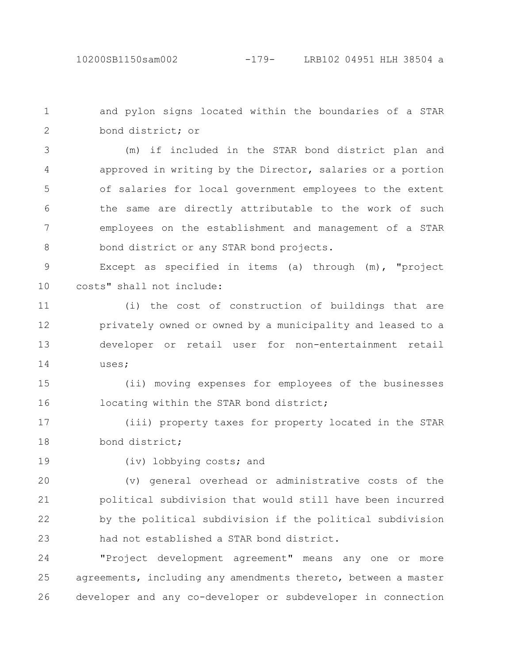and pylon signs located within the boundaries of a STAR bond district; or 1 2

(m) if included in the STAR bond district plan and approved in writing by the Director, salaries or a portion of salaries for local government employees to the extent the same are directly attributable to the work of such employees on the establishment and management of a STAR bond district or any STAR bond projects. 3 4 5 6 7 8

Except as specified in items (a) through (m), "project costs" shall not include: 9 10

(i) the cost of construction of buildings that are privately owned or owned by a municipality and leased to a developer or retail user for non-entertainment retail uses; 11 12 13 14

(ii) moving expenses for employees of the businesses locating within the STAR bond district; 15 16

(iii) property taxes for property located in the STAR bond district; 17 18

19

(iv) lobbying costs; and

(v) general overhead or administrative costs of the political subdivision that would still have been incurred by the political subdivision if the political subdivision had not established a STAR bond district. 20 21 22 23

"Project development agreement" means any one or more agreements, including any amendments thereto, between a master developer and any co-developer or subdeveloper in connection 24 25 26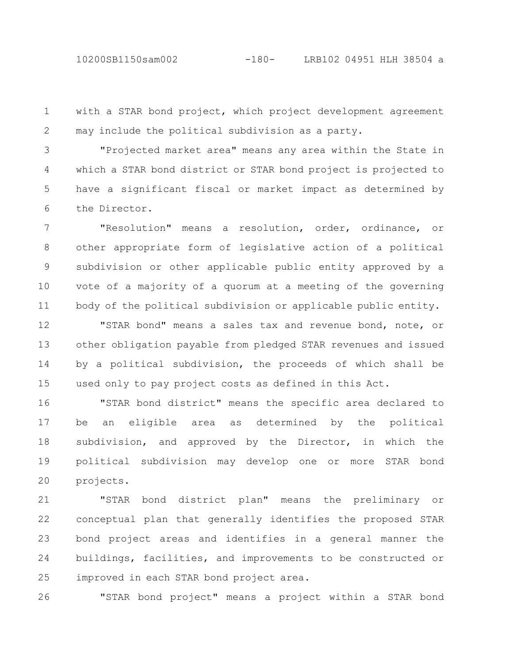with a STAR bond project, which project development agreement may include the political subdivision as a party. 1 2

"Projected market area" means any area within the State in which a STAR bond district or STAR bond project is projected to have a significant fiscal or market impact as determined by the Director. 3 4 5 6

"Resolution" means a resolution, order, ordinance, or other appropriate form of legislative action of a political subdivision or other applicable public entity approved by a vote of a majority of a quorum at a meeting of the governing body of the political subdivision or applicable public entity. 7 8 9 10 11

"STAR bond" means a sales tax and revenue bond, note, or other obligation payable from pledged STAR revenues and issued by a political subdivision, the proceeds of which shall be used only to pay project costs as defined in this Act. 12 13 14 15

"STAR bond district" means the specific area declared to be an eligible area as determined by the political subdivision, and approved by the Director, in which the political subdivision may develop one or more STAR bond projects. 16 17 18 19 20

"STAR bond district plan" means the preliminary or conceptual plan that generally identifies the proposed STAR bond project areas and identifies in a general manner the buildings, facilities, and improvements to be constructed or improved in each STAR bond project area. 21 22 23 24 25

26

"STAR bond project" means a project within a STAR bond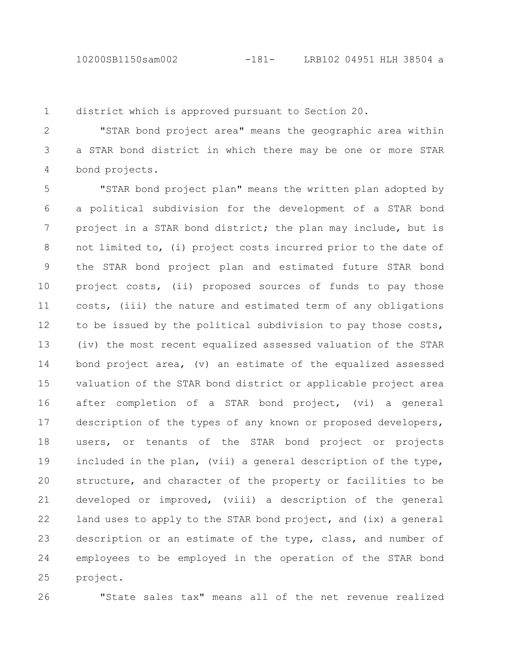10200SB1150sam002 -181- LRB102 04951 HLH 38504 a

district which is approved pursuant to Section 20. 1

"STAR bond project area" means the geographic area within a STAR bond district in which there may be one or more STAR bond projects. 2 3 4

"STAR bond project plan" means the written plan adopted by a political subdivision for the development of a STAR bond project in a STAR bond district; the plan may include, but is not limited to, (i) project costs incurred prior to the date of the STAR bond project plan and estimated future STAR bond project costs, (ii) proposed sources of funds to pay those costs, (iii) the nature and estimated term of any obligations to be issued by the political subdivision to pay those costs, (iv) the most recent equalized assessed valuation of the STAR bond project area, (v) an estimate of the equalized assessed valuation of the STAR bond district or applicable project area after completion of a STAR bond project, (vi) a general description of the types of any known or proposed developers, users, or tenants of the STAR bond project or projects included in the plan, (vii) a general description of the type, structure, and character of the property or facilities to be developed or improved, (viii) a description of the general land uses to apply to the STAR bond project, and (ix) a general description or an estimate of the type, class, and number of employees to be employed in the operation of the STAR bond project. 5 6 7 8 9 10 11 12 13 14 15 16 17 18 19 20 21 22 23 24 25

26

"State sales tax" means all of the net revenue realized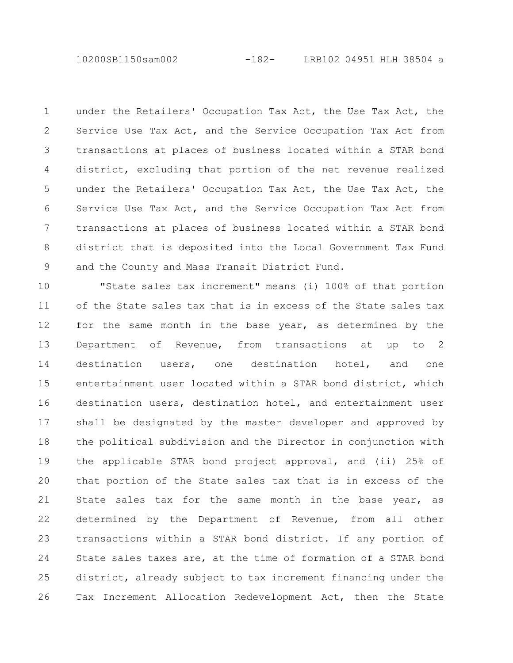10200SB1150sam002 -182- LRB102 04951 HLH 38504 a

under the Retailers' Occupation Tax Act, the Use Tax Act, the Service Use Tax Act, and the Service Occupation Tax Act from transactions at places of business located within a STAR bond district, excluding that portion of the net revenue realized under the Retailers' Occupation Tax Act, the Use Tax Act, the Service Use Tax Act, and the Service Occupation Tax Act from transactions at places of business located within a STAR bond district that is deposited into the Local Government Tax Fund and the County and Mass Transit District Fund. 1 2 3 4 5 6 7 8 9

"State sales tax increment" means (i) 100% of that portion of the State sales tax that is in excess of the State sales tax for the same month in the base year, as determined by the Department of Revenue, from transactions at up to 2 destination users, one destination hotel, and one entertainment user located within a STAR bond district, which destination users, destination hotel, and entertainment user shall be designated by the master developer and approved by the political subdivision and the Director in conjunction with the applicable STAR bond project approval, and (ii) 25% of that portion of the State sales tax that is in excess of the State sales tax for the same month in the base year, as determined by the Department of Revenue, from all other transactions within a STAR bond district. If any portion of State sales taxes are, at the time of formation of a STAR bond district, already subject to tax increment financing under the Tax Increment Allocation Redevelopment Act, then the State 10 11 12 13 14 15 16 17 18 19 20 21 22 23 24 25 26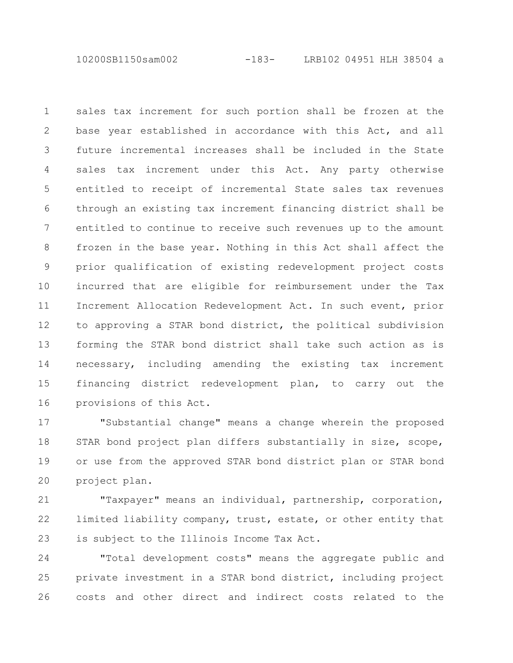10200SB1150sam002 -183- LRB102 04951 HLH 38504 a

sales tax increment for such portion shall be frozen at the base year established in accordance with this Act, and all future incremental increases shall be included in the State sales tax increment under this Act. Any party otherwise entitled to receipt of incremental State sales tax revenues through an existing tax increment financing district shall be entitled to continue to receive such revenues up to the amount frozen in the base year. Nothing in this Act shall affect the prior qualification of existing redevelopment project costs incurred that are eligible for reimbursement under the Tax Increment Allocation Redevelopment Act. In such event, prior to approving a STAR bond district, the political subdivision forming the STAR bond district shall take such action as is necessary, including amending the existing tax increment financing district redevelopment plan, to carry out the provisions of this Act. 1 2 3 4 5 6 7 8 9 10 11 12 13 14 15 16

"Substantial change" means a change wherein the proposed STAR bond project plan differs substantially in size, scope, or use from the approved STAR bond district plan or STAR bond project plan. 17 18 19 20

"Taxpayer" means an individual, partnership, corporation, limited liability company, trust, estate, or other entity that is subject to the Illinois Income Tax Act. 21 22 23

"Total development costs" means the aggregate public and private investment in a STAR bond district, including project costs and other direct and indirect costs related to the 24 25 26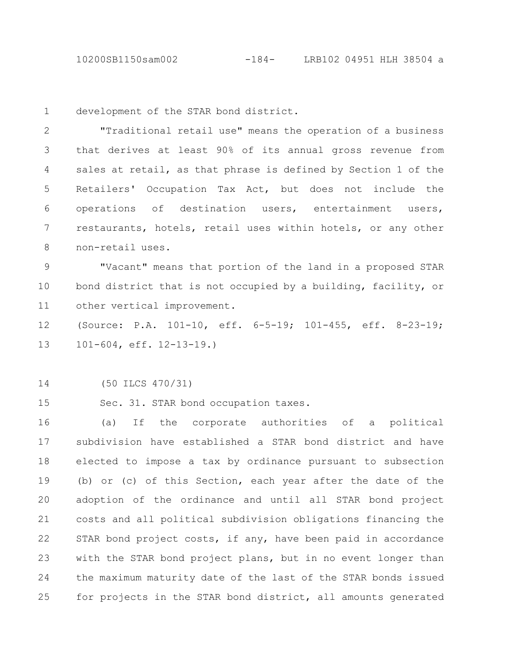10200SB1150sam002 -184- LRB102 04951 HLH 38504 a

development of the STAR bond district. 1

"Traditional retail use" means the operation of a business that derives at least 90% of its annual gross revenue from sales at retail, as that phrase is defined by Section 1 of the Retailers' Occupation Tax Act, but does not include the operations of destination users, entertainment users, restaurants, hotels, retail uses within hotels, or any other non-retail uses. 2 3 4 5 6 7 8

"Vacant" means that portion of the land in a proposed STAR bond district that is not occupied by a building, facility, or other vertical improvement. 9 10 11

(Source: P.A. 101-10, eff. 6-5-19; 101-455, eff. 8-23-19; 101-604, eff. 12-13-19.) 12 13

(50 ILCS 470/31) 14

Sec. 31. STAR bond occupation taxes. 15

(a) If the corporate authorities of a political subdivision have established a STAR bond district and have elected to impose a tax by ordinance pursuant to subsection (b) or (c) of this Section, each year after the date of the adoption of the ordinance and until all STAR bond project costs and all political subdivision obligations financing the STAR bond project costs, if any, have been paid in accordance with the STAR bond project plans, but in no event longer than the maximum maturity date of the last of the STAR bonds issued for projects in the STAR bond district, all amounts generated 16 17 18 19 20 21 22 23 24 25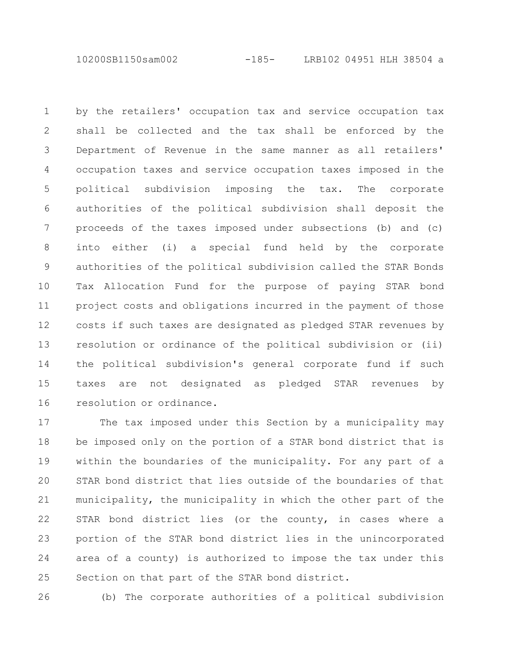10200SB1150sam002 -185- LRB102 04951 HLH 38504 a

by the retailers' occupation tax and service occupation tax shall be collected and the tax shall be enforced by the Department of Revenue in the same manner as all retailers' occupation taxes and service occupation taxes imposed in the political subdivision imposing the tax. The corporate authorities of the political subdivision shall deposit the proceeds of the taxes imposed under subsections (b) and (c) into either (i) a special fund held by the corporate authorities of the political subdivision called the STAR Bonds Tax Allocation Fund for the purpose of paying STAR bond project costs and obligations incurred in the payment of those costs if such taxes are designated as pledged STAR revenues by resolution or ordinance of the political subdivision or (ii) the political subdivision's general corporate fund if such taxes are not designated as pledged STAR revenues by resolution or ordinance. 1 2 3 4 5 6 7 8 9 10 11 12 13 14 15 16

The tax imposed under this Section by a municipality may be imposed only on the portion of a STAR bond district that is within the boundaries of the municipality. For any part of a STAR bond district that lies outside of the boundaries of that municipality, the municipality in which the other part of the STAR bond district lies (or the county, in cases where a portion of the STAR bond district lies in the unincorporated area of a county) is authorized to impose the tax under this Section on that part of the STAR bond district. 17 18 19 20 21 22 23 24 25

26

(b) The corporate authorities of a political subdivision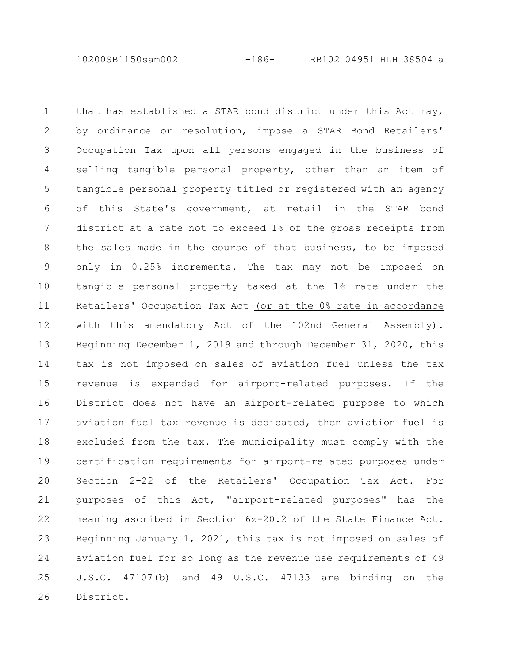10200SB1150sam002 -186- LRB102 04951 HLH 38504 a

that has established a STAR bond district under this Act may, by ordinance or resolution, impose a STAR Bond Retailers' Occupation Tax upon all persons engaged in the business of selling tangible personal property, other than an item of tangible personal property titled or registered with an agency of this State's government, at retail in the STAR bond district at a rate not to exceed 1% of the gross receipts from the sales made in the course of that business, to be imposed only in 0.25% increments. The tax may not be imposed on tangible personal property taxed at the 1% rate under the Retailers' Occupation Tax Act (or at the 0% rate in accordance with this amendatory Act of the 102nd General Assembly). Beginning December 1, 2019 and through December 31, 2020, this tax is not imposed on sales of aviation fuel unless the tax revenue is expended for airport-related purposes. If the District does not have an airport-related purpose to which aviation fuel tax revenue is dedicated, then aviation fuel is excluded from the tax. The municipality must comply with the certification requirements for airport-related purposes under Section 2-22 of the Retailers' Occupation Tax Act. For purposes of this Act, "airport-related purposes" has the meaning ascribed in Section 6z-20.2 of the State Finance Act. Beginning January 1, 2021, this tax is not imposed on sales of aviation fuel for so long as the revenue use requirements of 49 U.S.C. 47107(b) and 49 U.S.C. 47133 are binding on the District. 1 2 3 4 5 6 7 8 9 10 11 12 13 14 15 16 17 18 19 20 21 22 23 24 25 26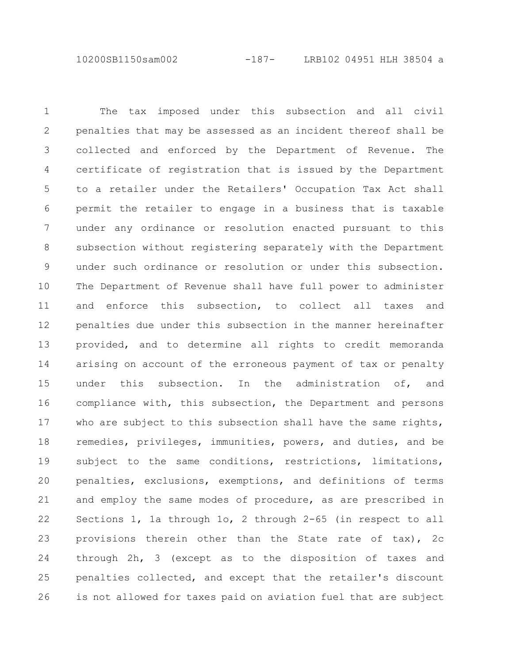10200SB1150sam002 -187- LRB102 04951 HLH 38504 a

The tax imposed under this subsection and all civil penalties that may be assessed as an incident thereof shall be collected and enforced by the Department of Revenue. The certificate of registration that is issued by the Department to a retailer under the Retailers' Occupation Tax Act shall permit the retailer to engage in a business that is taxable under any ordinance or resolution enacted pursuant to this subsection without registering separately with the Department under such ordinance or resolution or under this subsection. The Department of Revenue shall have full power to administer and enforce this subsection, to collect all taxes and penalties due under this subsection in the manner hereinafter provided, and to determine all rights to credit memoranda arising on account of the erroneous payment of tax or penalty under this subsection. In the administration of, and compliance with, this subsection, the Department and persons who are subject to this subsection shall have the same rights, remedies, privileges, immunities, powers, and duties, and be subject to the same conditions, restrictions, limitations, penalties, exclusions, exemptions, and definitions of terms and employ the same modes of procedure, as are prescribed in Sections 1, 1a through 1o, 2 through 2-65 (in respect to all provisions therein other than the State rate of tax), 2c through 2h, 3 (except as to the disposition of taxes and penalties collected, and except that the retailer's discount is not allowed for taxes paid on aviation fuel that are subject 1 2 3 4 5 6 7 8 9 10 11 12 13 14 15 16 17 18 19 20 21 22 23 24 25 26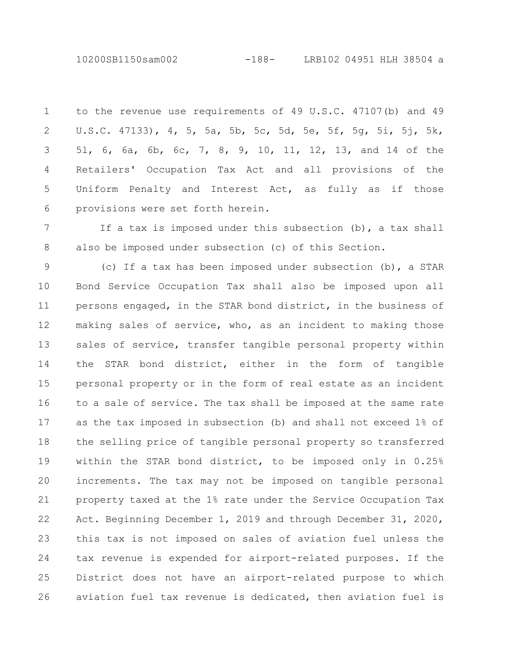10200SB1150sam002 -188- LRB102 04951 HLH 38504 a

to the revenue use requirements of 49 U.S.C. 47107(b) and 49 U.S.C. 47133), 4, 5, 5a, 5b, 5c, 5d, 5e, 5f, 5g, 5i, 5j, 5k, 5l, 6, 6a, 6b, 6c, 7, 8, 9, 10, 11, 12, 13, and 14 of the Retailers' Occupation Tax Act and all provisions of the Uniform Penalty and Interest Act, as fully as if those provisions were set forth herein. 1 2 3 4 5 6

If a tax is imposed under this subsection (b), a tax shall also be imposed under subsection (c) of this Section. 7 8

(c) If a tax has been imposed under subsection (b), a STAR Bond Service Occupation Tax shall also be imposed upon all persons engaged, in the STAR bond district, in the business of making sales of service, who, as an incident to making those sales of service, transfer tangible personal property within the STAR bond district, either in the form of tangible personal property or in the form of real estate as an incident to a sale of service. The tax shall be imposed at the same rate as the tax imposed in subsection (b) and shall not exceed 1% of the selling price of tangible personal property so transferred within the STAR bond district, to be imposed only in 0.25% increments. The tax may not be imposed on tangible personal property taxed at the 1% rate under the Service Occupation Tax Act. Beginning December 1, 2019 and through December 31, 2020, this tax is not imposed on sales of aviation fuel unless the tax revenue is expended for airport-related purposes. If the District does not have an airport-related purpose to which aviation fuel tax revenue is dedicated, then aviation fuel is 9 10 11 12 13 14 15 16 17 18 19 20 21 22 23 24 25 26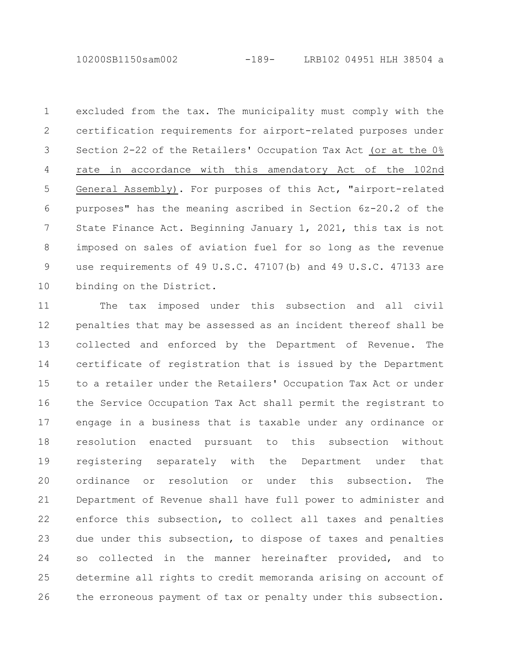10200SB1150sam002 -189- LRB102 04951 HLH 38504 a

excluded from the tax. The municipality must comply with the certification requirements for airport-related purposes under Section 2-22 of the Retailers' Occupation Tax Act (or at the 0% rate in accordance with this amendatory Act of the 102nd General Assembly). For purposes of this Act, "airport-related purposes" has the meaning ascribed in Section 6z-20.2 of the State Finance Act. Beginning January 1, 2021, this tax is not imposed on sales of aviation fuel for so long as the revenue use requirements of 49 U.S.C. 47107(b) and 49 U.S.C. 47133 are binding on the District. 1 2 3 4 5 6 7 8 9 10

The tax imposed under this subsection and all civil penalties that may be assessed as an incident thereof shall be collected and enforced by the Department of Revenue. The certificate of registration that is issued by the Department to a retailer under the Retailers' Occupation Tax Act or under the Service Occupation Tax Act shall permit the registrant to engage in a business that is taxable under any ordinance or resolution enacted pursuant to this subsection without registering separately with the Department under that ordinance or resolution or under this subsection. The Department of Revenue shall have full power to administer and enforce this subsection, to collect all taxes and penalties due under this subsection, to dispose of taxes and penalties so collected in the manner hereinafter provided, and to determine all rights to credit memoranda arising on account of the erroneous payment of tax or penalty under this subsection. 11 12 13 14 15 16 17 18 19 20 21 22 23 24 25 26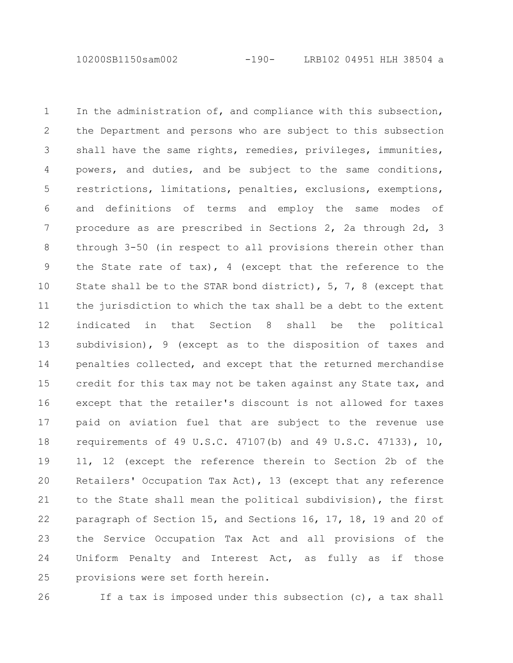10200SB1150sam002 -190- LRB102 04951 HLH 38504 a

In the administration of, and compliance with this subsection, the Department and persons who are subject to this subsection shall have the same rights, remedies, privileges, immunities, powers, and duties, and be subject to the same conditions, restrictions, limitations, penalties, exclusions, exemptions, and definitions of terms and employ the same modes of procedure as are prescribed in Sections 2, 2a through 2d, 3 through 3-50 (in respect to all provisions therein other than the State rate of tax), 4 (except that the reference to the State shall be to the STAR bond district), 5, 7, 8 (except that the jurisdiction to which the tax shall be a debt to the extent indicated in that Section 8 shall be the political subdivision), 9 (except as to the disposition of taxes and penalties collected, and except that the returned merchandise credit for this tax may not be taken against any State tax, and except that the retailer's discount is not allowed for taxes paid on aviation fuel that are subject to the revenue use requirements of 49 U.S.C. 47107(b) and 49 U.S.C. 47133), 10, 11, 12 (except the reference therein to Section 2b of the Retailers' Occupation Tax Act), 13 (except that any reference to the State shall mean the political subdivision), the first paragraph of Section 15, and Sections 16, 17, 18, 19 and 20 of the Service Occupation Tax Act and all provisions of the Uniform Penalty and Interest Act, as fully as if those provisions were set forth herein. 1 2 3 4 5 6 7 8 9 10 11 12 13 14 15 16 17 18 19 20 21 22 23 24 25

26

If a tax is imposed under this subsection (c), a tax shall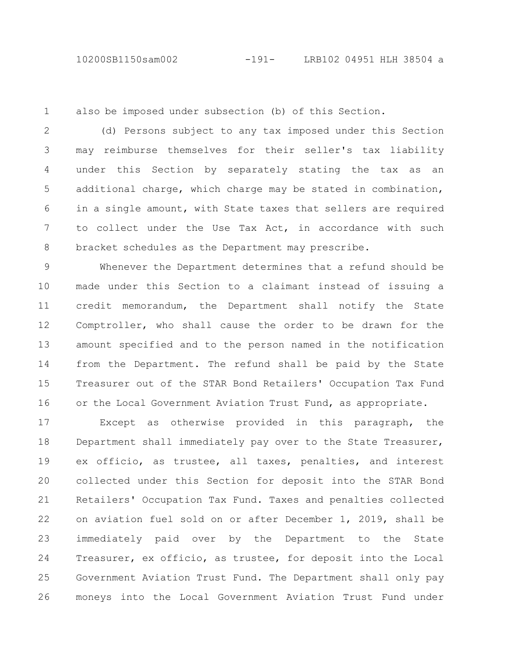1

also be imposed under subsection (b) of this Section.

(d) Persons subject to any tax imposed under this Section may reimburse themselves for their seller's tax liability under this Section by separately stating the tax as an additional charge, which charge may be stated in combination, in a single amount, with State taxes that sellers are required to collect under the Use Tax Act, in accordance with such bracket schedules as the Department may prescribe. 2 3 4 5 6 7 8

Whenever the Department determines that a refund should be made under this Section to a claimant instead of issuing a credit memorandum, the Department shall notify the State Comptroller, who shall cause the order to be drawn for the amount specified and to the person named in the notification from the Department. The refund shall be paid by the State Treasurer out of the STAR Bond Retailers' Occupation Tax Fund or the Local Government Aviation Trust Fund, as appropriate. 9 10 11 12 13 14 15 16

Except as otherwise provided in this paragraph, the Department shall immediately pay over to the State Treasurer, ex officio, as trustee, all taxes, penalties, and interest collected under this Section for deposit into the STAR Bond Retailers' Occupation Tax Fund. Taxes and penalties collected on aviation fuel sold on or after December 1, 2019, shall be immediately paid over by the Department to the State Treasurer, ex officio, as trustee, for deposit into the Local Government Aviation Trust Fund. The Department shall only pay moneys into the Local Government Aviation Trust Fund under 17 18 19 20 21 22 23 24 25 26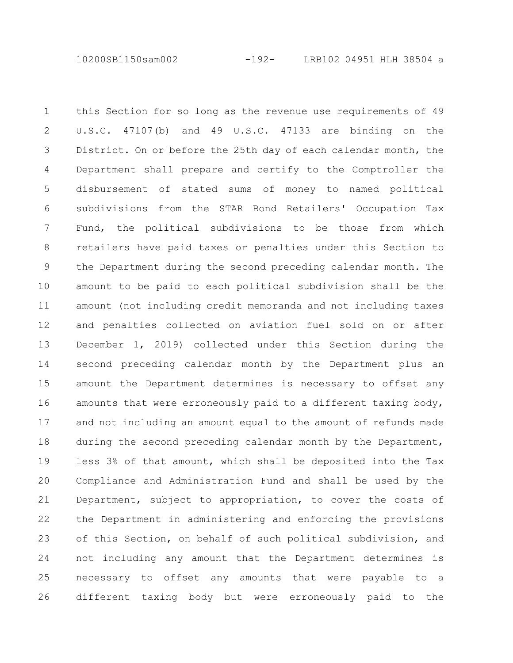10200SB1150sam002 -192- LRB102 04951 HLH 38504 a

this Section for so long as the revenue use requirements of 49 U.S.C. 47107(b) and 49 U.S.C. 47133 are binding on the District. On or before the 25th day of each calendar month, the Department shall prepare and certify to the Comptroller the disbursement of stated sums of money to named political subdivisions from the STAR Bond Retailers' Occupation Tax Fund, the political subdivisions to be those from which retailers have paid taxes or penalties under this Section to the Department during the second preceding calendar month. The amount to be paid to each political subdivision shall be the amount (not including credit memoranda and not including taxes and penalties collected on aviation fuel sold on or after December 1, 2019) collected under this Section during the second preceding calendar month by the Department plus an amount the Department determines is necessary to offset any amounts that were erroneously paid to a different taxing body, and not including an amount equal to the amount of refunds made during the second preceding calendar month by the Department, less 3% of that amount, which shall be deposited into the Tax Compliance and Administration Fund and shall be used by the Department, subject to appropriation, to cover the costs of the Department in administering and enforcing the provisions of this Section, on behalf of such political subdivision, and not including any amount that the Department determines is necessary to offset any amounts that were payable to a different taxing body but were erroneously paid to the 1 2 3 4 5 6 7 8 9 10 11 12 13 14 15 16 17 18 19 20 21 22 23 24 25 26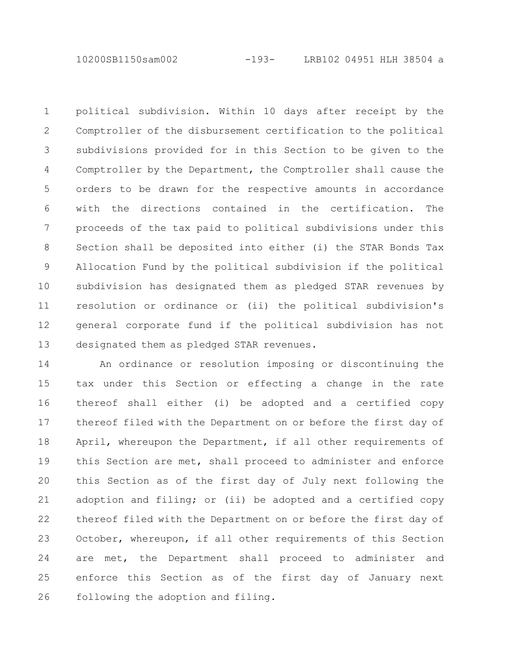10200SB1150sam002 -193- LRB102 04951 HLH 38504 a

political subdivision. Within 10 days after receipt by the Comptroller of the disbursement certification to the political subdivisions provided for in this Section to be given to the Comptroller by the Department, the Comptroller shall cause the orders to be drawn for the respective amounts in accordance with the directions contained in the certification. The proceeds of the tax paid to political subdivisions under this Section shall be deposited into either (i) the STAR Bonds Tax Allocation Fund by the political subdivision if the political subdivision has designated them as pledged STAR revenues by resolution or ordinance or (ii) the political subdivision's general corporate fund if the political subdivision has not designated them as pledged STAR revenues. 1 2 3 4 5 6 7 8 9 10 11 12 13

An ordinance or resolution imposing or discontinuing the tax under this Section or effecting a change in the rate thereof shall either (i) be adopted and a certified copy thereof filed with the Department on or before the first day of April, whereupon the Department, if all other requirements of this Section are met, shall proceed to administer and enforce this Section as of the first day of July next following the adoption and filing; or (ii) be adopted and a certified copy thereof filed with the Department on or before the first day of October, whereupon, if all other requirements of this Section are met, the Department shall proceed to administer and enforce this Section as of the first day of January next following the adoption and filing. 14 15 16 17 18 19 20 21 22 23 24 25 26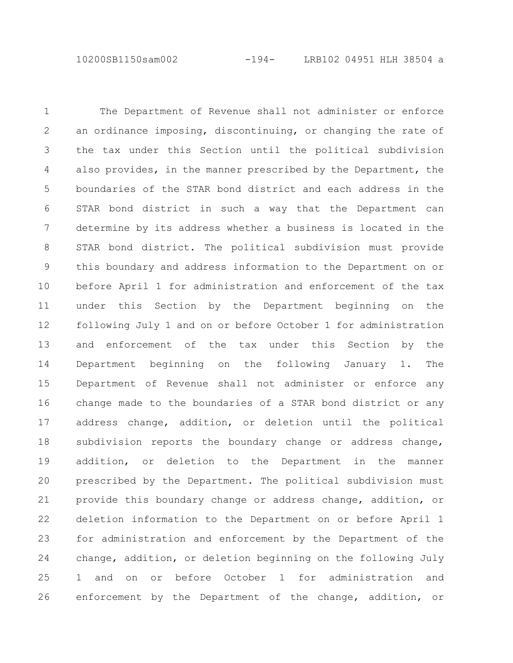10200SB1150sam002 -194- LRB102 04951 HLH 38504 a

The Department of Revenue shall not administer or enforce an ordinance imposing, discontinuing, or changing the rate of the tax under this Section until the political subdivision also provides, in the manner prescribed by the Department, the boundaries of the STAR bond district and each address in the STAR bond district in such a way that the Department can determine by its address whether a business is located in the STAR bond district. The political subdivision must provide this boundary and address information to the Department on or before April 1 for administration and enforcement of the tax under this Section by the Department beginning on the following July 1 and on or before October 1 for administration and enforcement of the tax under this Section by the Department beginning on the following January 1. The Department of Revenue shall not administer or enforce any change made to the boundaries of a STAR bond district or any address change, addition, or deletion until the political subdivision reports the boundary change or address change, addition, or deletion to the Department in the manner prescribed by the Department. The political subdivision must provide this boundary change or address change, addition, or deletion information to the Department on or before April 1 for administration and enforcement by the Department of the change, addition, or deletion beginning on the following July 1 and on or before October 1 for administration and enforcement by the Department of the change, addition, or 1 2 3 4 5 6 7 8 9 10 11 12 13 14 15 16 17 18 19 20 21 22 23 24 25 26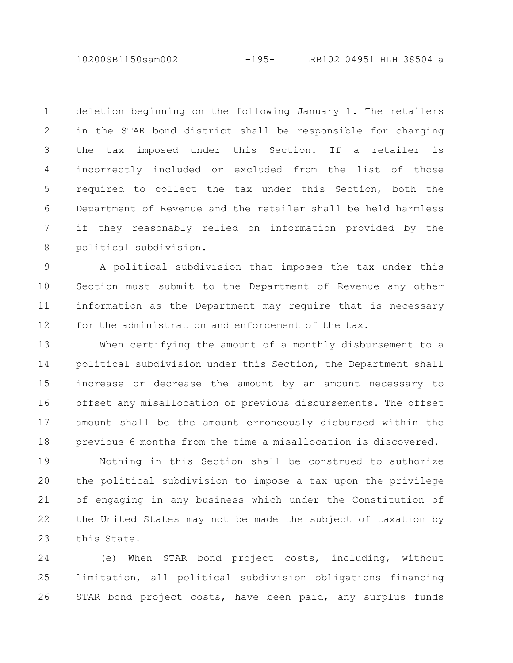10200SB1150sam002 -195- LRB102 04951 HLH 38504 a

deletion beginning on the following January 1. The retailers in the STAR bond district shall be responsible for charging the tax imposed under this Section. If a retailer is incorrectly included or excluded from the list of those required to collect the tax under this Section, both the Department of Revenue and the retailer shall be held harmless if they reasonably relied on information provided by the political subdivision. 1 2 3 4 5 6 7 8

A political subdivision that imposes the tax under this Section must submit to the Department of Revenue any other information as the Department may require that is necessary for the administration and enforcement of the tax. 9 10 11 12

When certifying the amount of a monthly disbursement to a political subdivision under this Section, the Department shall increase or decrease the amount by an amount necessary to offset any misallocation of previous disbursements. The offset amount shall be the amount erroneously disbursed within the previous 6 months from the time a misallocation is discovered. 13 14 15 16 17 18

Nothing in this Section shall be construed to authorize the political subdivision to impose a tax upon the privilege of engaging in any business which under the Constitution of the United States may not be made the subject of taxation by this State. 19 20 21 22 23

(e) When STAR bond project costs, including, without limitation, all political subdivision obligations financing STAR bond project costs, have been paid, any surplus funds 24 25 26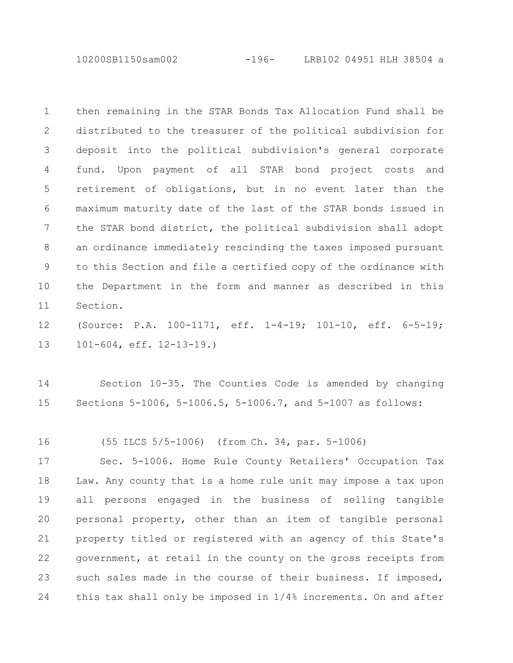10200SB1150sam002 -196- LRB102 04951 HLH 38504 a

then remaining in the STAR Bonds Tax Allocation Fund shall be distributed to the treasurer of the political subdivision for deposit into the political subdivision's general corporate fund. Upon payment of all STAR bond project costs and retirement of obligations, but in no event later than the maximum maturity date of the last of the STAR bonds issued in the STAR bond district, the political subdivision shall adopt an ordinance immediately rescinding the taxes imposed pursuant to this Section and file a certified copy of the ordinance with the Department in the form and manner as described in this Section. 1 2 3 4 5 6 7 8 9 10 11

(Source: P.A. 100-1171, eff. 1-4-19; 101-10, eff. 6-5-19; 101-604, eff. 12-13-19.) 12 13

Section 10-35. The Counties Code is amended by changing Sections 5-1006, 5-1006.5, 5-1006.7, and 5-1007 as follows: 14 15

(55 ILCS 5/5-1006) (from Ch. 34, par. 5-1006) 16

Sec. 5-1006. Home Rule County Retailers' Occupation Tax Law. Any county that is a home rule unit may impose a tax upon all persons engaged in the business of selling tangible personal property, other than an item of tangible personal property titled or registered with an agency of this State's government, at retail in the county on the gross receipts from such sales made in the course of their business. If imposed, this tax shall only be imposed in 1/4% increments. On and after 17 18 19 20 21 22 23 24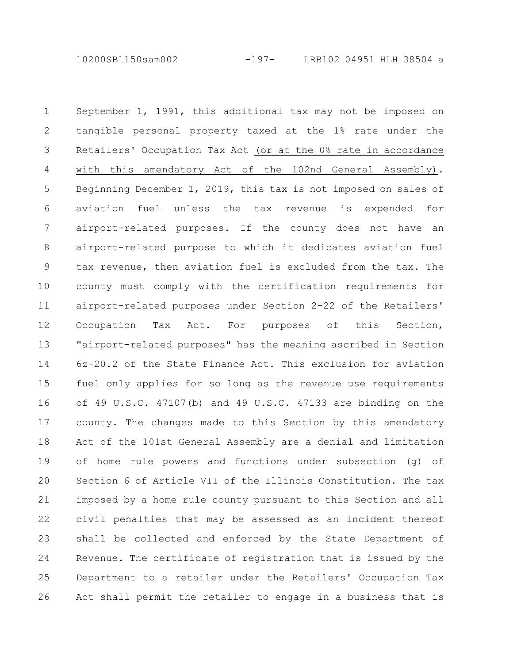10200SB1150sam002 -197- LRB102 04951 HLH 38504 a

September 1, 1991, this additional tax may not be imposed on tangible personal property taxed at the 1% rate under the Retailers' Occupation Tax Act (or at the 0% rate in accordance with this amendatory Act of the 102nd General Assembly). Beginning December 1, 2019, this tax is not imposed on sales of aviation fuel unless the tax revenue is expended for airport-related purposes. If the county does not have an airport-related purpose to which it dedicates aviation fuel tax revenue, then aviation fuel is excluded from the tax. The county must comply with the certification requirements for airport-related purposes under Section 2-22 of the Retailers' Occupation Tax Act. For purposes of this Section, "airport-related purposes" has the meaning ascribed in Section 6z-20.2 of the State Finance Act. This exclusion for aviation fuel only applies for so long as the revenue use requirements of 49 U.S.C. 47107(b) and 49 U.S.C. 47133 are binding on the county. The changes made to this Section by this amendatory Act of the 101st General Assembly are a denial and limitation of home rule powers and functions under subsection (g) of Section 6 of Article VII of the Illinois Constitution. The tax imposed by a home rule county pursuant to this Section and all civil penalties that may be assessed as an incident thereof shall be collected and enforced by the State Department of Revenue. The certificate of registration that is issued by the Department to a retailer under the Retailers' Occupation Tax Act shall permit the retailer to engage in a business that is 1 2 3 4 5 6 7 8 9 10 11 12 13 14 15 16 17 18 19 20 21 22 23 24 25 26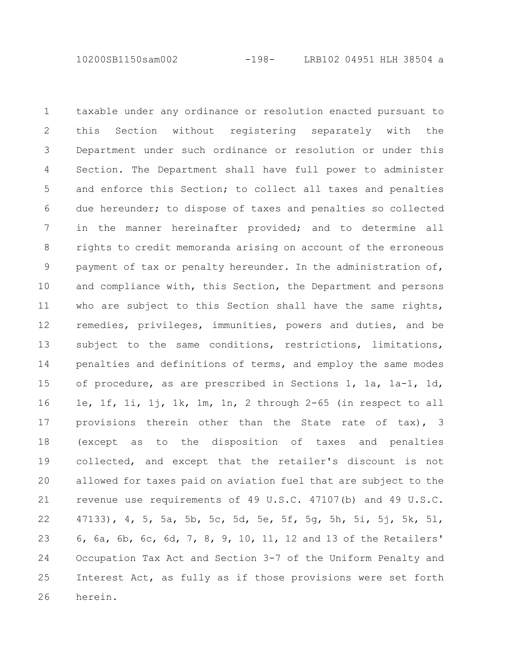10200SB1150sam002 -198- LRB102 04951 HLH 38504 a

taxable under any ordinance or resolution enacted pursuant to this Section without registering separately with the Department under such ordinance or resolution or under this Section. The Department shall have full power to administer and enforce this Section; to collect all taxes and penalties due hereunder; to dispose of taxes and penalties so collected in the manner hereinafter provided; and to determine all rights to credit memoranda arising on account of the erroneous payment of tax or penalty hereunder. In the administration of, and compliance with, this Section, the Department and persons who are subject to this Section shall have the same rights, remedies, privileges, immunities, powers and duties, and be subject to the same conditions, restrictions, limitations, penalties and definitions of terms, and employ the same modes of procedure, as are prescribed in Sections 1, 1a, 1a-1, 1d, 1e, 1f, 1i, 1j, 1k, 1m, 1n, 2 through 2-65 (in respect to all provisions therein other than the State rate of tax), 3 (except as to the disposition of taxes and penalties collected, and except that the retailer's discount is not allowed for taxes paid on aviation fuel that are subject to the revenue use requirements of 49 U.S.C. 47107(b) and 49 U.S.C. 47133), 4, 5, 5a, 5b, 5c, 5d, 5e, 5f, 5g, 5h, 5i, 5j, 5k, 5l, 6, 6a, 6b, 6c, 6d, 7, 8, 9, 10, 11, 12 and 13 of the Retailers' Occupation Tax Act and Section 3-7 of the Uniform Penalty and Interest Act, as fully as if those provisions were set forth herein. 1 2 3 4 5 6 7 8 9 10 11 12 13 14 15 16 17 18 19 20 21 22 23 24 25 26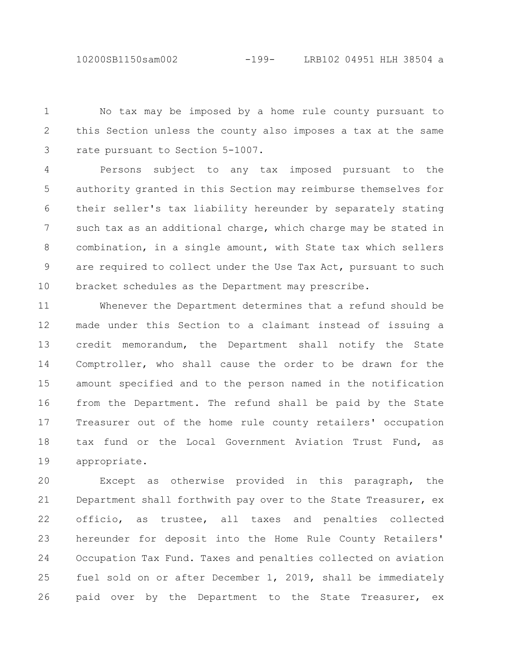10200SB1150sam002 -199- LRB102 04951 HLH 38504 a

No tax may be imposed by a home rule county pursuant to this Section unless the county also imposes a tax at the same rate pursuant to Section 5-1007. 1 2 3

Persons subject to any tax imposed pursuant to the authority granted in this Section may reimburse themselves for their seller's tax liability hereunder by separately stating such tax as an additional charge, which charge may be stated in combination, in a single amount, with State tax which sellers are required to collect under the Use Tax Act, pursuant to such bracket schedules as the Department may prescribe. 4 5 6 7 8 9 10

Whenever the Department determines that a refund should be made under this Section to a claimant instead of issuing a credit memorandum, the Department shall notify the State Comptroller, who shall cause the order to be drawn for the amount specified and to the person named in the notification from the Department. The refund shall be paid by the State Treasurer out of the home rule county retailers' occupation tax fund or the Local Government Aviation Trust Fund, as appropriate. 11 12 13 14 15 16 17 18 19

Except as otherwise provided in this paragraph, the Department shall forthwith pay over to the State Treasurer, ex officio, as trustee, all taxes and penalties collected hereunder for deposit into the Home Rule County Retailers' Occupation Tax Fund. Taxes and penalties collected on aviation fuel sold on or after December 1, 2019, shall be immediately paid over by the Department to the State Treasurer, ex 20 21 22 23 24 25 26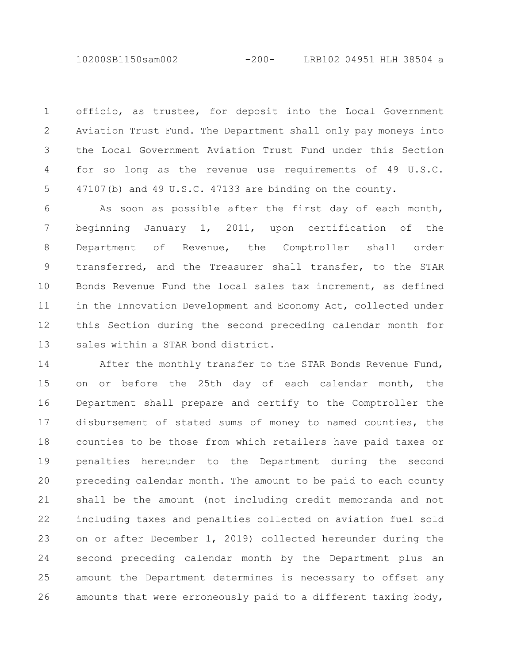officio, as trustee, for deposit into the Local Government Aviation Trust Fund. The Department shall only pay moneys into the Local Government Aviation Trust Fund under this Section for so long as the revenue use requirements of 49 U.S.C. 47107(b) and 49 U.S.C. 47133 are binding on the county. 1 2 3 4 5

As soon as possible after the first day of each month, beginning January 1, 2011, upon certification of the Department of Revenue, the Comptroller shall order transferred, and the Treasurer shall transfer, to the STAR Bonds Revenue Fund the local sales tax increment, as defined in the Innovation Development and Economy Act, collected under this Section during the second preceding calendar month for sales within a STAR bond district. 6 7 8 9 10 11 12 13

After the monthly transfer to the STAR Bonds Revenue Fund, on or before the 25th day of each calendar month, the Department shall prepare and certify to the Comptroller the disbursement of stated sums of money to named counties, the counties to be those from which retailers have paid taxes or penalties hereunder to the Department during the second preceding calendar month. The amount to be paid to each county shall be the amount (not including credit memoranda and not including taxes and penalties collected on aviation fuel sold on or after December 1, 2019) collected hereunder during the second preceding calendar month by the Department plus an amount the Department determines is necessary to offset any amounts that were erroneously paid to a different taxing body, 14 15 16 17 18 19 20 21 22 23 24 25 26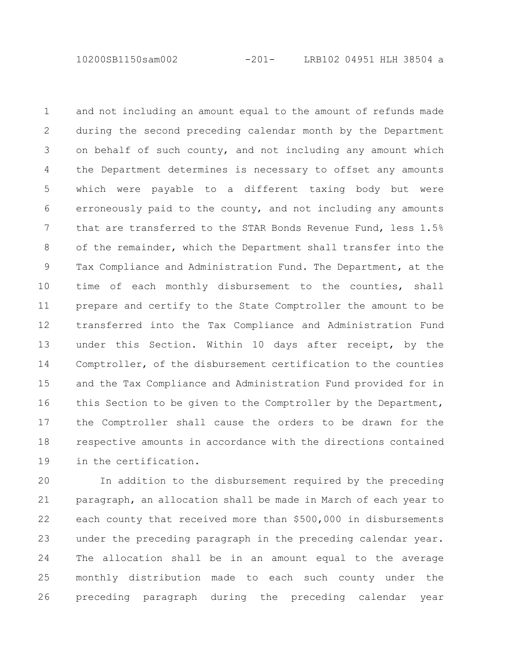and not including an amount equal to the amount of refunds made during the second preceding calendar month by the Department on behalf of such county, and not including any amount which the Department determines is necessary to offset any amounts which were payable to a different taxing body but were erroneously paid to the county, and not including any amounts that are transferred to the STAR Bonds Revenue Fund, less 1.5% of the remainder, which the Department shall transfer into the Tax Compliance and Administration Fund. The Department, at the time of each monthly disbursement to the counties, shall prepare and certify to the State Comptroller the amount to be transferred into the Tax Compliance and Administration Fund under this Section. Within 10 days after receipt, by the Comptroller, of the disbursement certification to the counties and the Tax Compliance and Administration Fund provided for in this Section to be given to the Comptroller by the Department, the Comptroller shall cause the orders to be drawn for the respective amounts in accordance with the directions contained in the certification. 1 2 3 4 5 6 7 8 9 10 11 12 13 14 15 16 17 18 19

In addition to the disbursement required by the preceding paragraph, an allocation shall be made in March of each year to each county that received more than \$500,000 in disbursements under the preceding paragraph in the preceding calendar year. The allocation shall be in an amount equal to the average monthly distribution made to each such county under the preceding paragraph during the preceding calendar year 20 21 22 23 24 25 26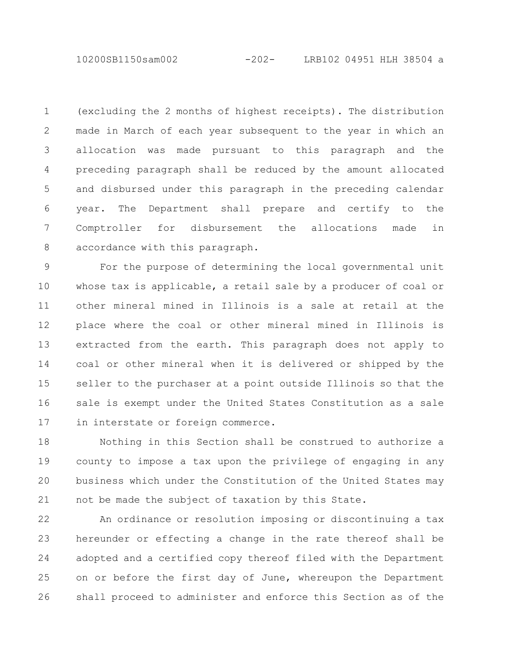10200SB1150sam002 -202- LRB102 04951 HLH 38504 a

(excluding the 2 months of highest receipts). The distribution made in March of each year subsequent to the year in which an allocation was made pursuant to this paragraph and the preceding paragraph shall be reduced by the amount allocated and disbursed under this paragraph in the preceding calendar year. The Department shall prepare and certify to the Comptroller for disbursement the allocations made in accordance with this paragraph. 1 2 3 4 5 6 7 8

For the purpose of determining the local governmental unit whose tax is applicable, a retail sale by a producer of coal or other mineral mined in Illinois is a sale at retail at the place where the coal or other mineral mined in Illinois is extracted from the earth. This paragraph does not apply to coal or other mineral when it is delivered or shipped by the seller to the purchaser at a point outside Illinois so that the sale is exempt under the United States Constitution as a sale in interstate or foreign commerce. 9 10 11 12 13 14 15 16 17

Nothing in this Section shall be construed to authorize a county to impose a tax upon the privilege of engaging in any business which under the Constitution of the United States may not be made the subject of taxation by this State. 18 19 20 21

An ordinance or resolution imposing or discontinuing a tax hereunder or effecting a change in the rate thereof shall be adopted and a certified copy thereof filed with the Department on or before the first day of June, whereupon the Department shall proceed to administer and enforce this Section as of the 22 23 24 25 26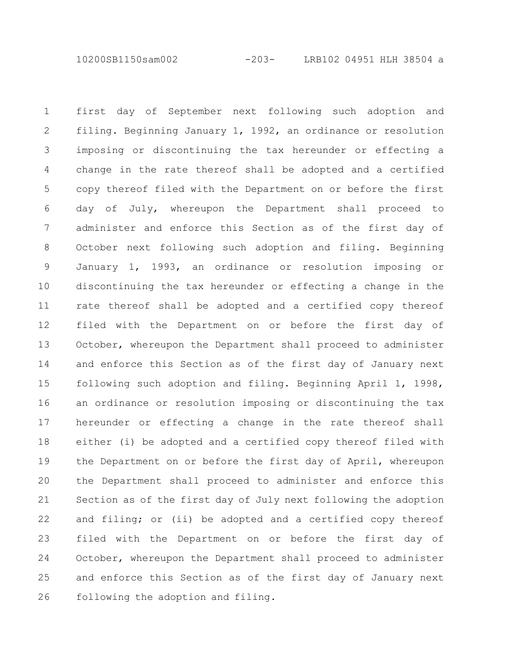10200SB1150sam002 -203- LRB102 04951 HLH 38504 a

first day of September next following such adoption and filing. Beginning January 1, 1992, an ordinance or resolution imposing or discontinuing the tax hereunder or effecting a change in the rate thereof shall be adopted and a certified copy thereof filed with the Department on or before the first day of July, whereupon the Department shall proceed to administer and enforce this Section as of the first day of October next following such adoption and filing. Beginning January 1, 1993, an ordinance or resolution imposing or discontinuing the tax hereunder or effecting a change in the rate thereof shall be adopted and a certified copy thereof filed with the Department on or before the first day of October, whereupon the Department shall proceed to administer and enforce this Section as of the first day of January next following such adoption and filing. Beginning April 1, 1998, an ordinance or resolution imposing or discontinuing the tax hereunder or effecting a change in the rate thereof shall either (i) be adopted and a certified copy thereof filed with the Department on or before the first day of April, whereupon the Department shall proceed to administer and enforce this Section as of the first day of July next following the adoption and filing; or (ii) be adopted and a certified copy thereof filed with the Department on or before the first day of October, whereupon the Department shall proceed to administer and enforce this Section as of the first day of January next following the adoption and filing. 1 2 3 4 5 6 7 8 9 10 11 12 13 14 15 16 17 18 19 20 21 22 23 24 25 26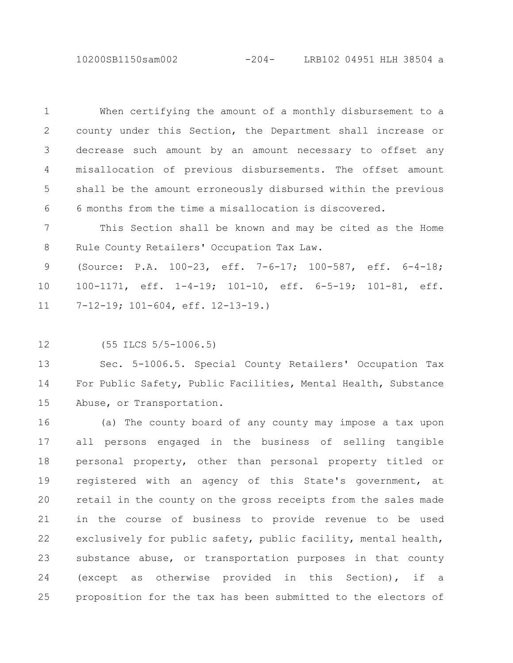10200SB1150sam002 -204- LRB102 04951 HLH 38504 a

When certifying the amount of a monthly disbursement to a county under this Section, the Department shall increase or decrease such amount by an amount necessary to offset any misallocation of previous disbursements. The offset amount shall be the amount erroneously disbursed within the previous 6 months from the time a misallocation is discovered. 1 2 3 4 5 6

This Section shall be known and may be cited as the Home Rule County Retailers' Occupation Tax Law. 7 8

(Source: P.A. 100-23, eff. 7-6-17; 100-587, eff. 6-4-18; 100-1171, eff. 1-4-19; 101-10, eff. 6-5-19; 101-81, eff. 7-12-19; 101-604, eff. 12-13-19.) 9 10 11

(55 ILCS 5/5-1006.5) 12

Sec. 5-1006.5. Special County Retailers' Occupation Tax For Public Safety, Public Facilities, Mental Health, Substance Abuse, or Transportation. 13 14 15

(a) The county board of any county may impose a tax upon all persons engaged in the business of selling tangible personal property, other than personal property titled or registered with an agency of this State's government, at retail in the county on the gross receipts from the sales made in the course of business to provide revenue to be used exclusively for public safety, public facility, mental health, substance abuse, or transportation purposes in that county (except as otherwise provided in this Section), if a proposition for the tax has been submitted to the electors of 16 17 18 19 20 21 22 23 24 25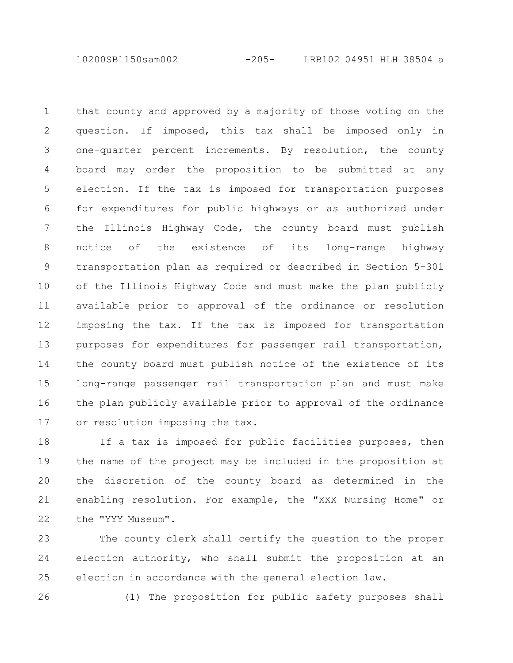10200SB1150sam002 -205- LRB102 04951 HLH 38504 a

that county and approved by a majority of those voting on the question. If imposed, this tax shall be imposed only in one-quarter percent increments. By resolution, the county board may order the proposition to be submitted at any election. If the tax is imposed for transportation purposes for expenditures for public highways or as authorized under the Illinois Highway Code, the county board must publish notice of the existence of its long-range highway transportation plan as required or described in Section 5-301 of the Illinois Highway Code and must make the plan publicly available prior to approval of the ordinance or resolution imposing the tax. If the tax is imposed for transportation purposes for expenditures for passenger rail transportation, the county board must publish notice of the existence of its long-range passenger rail transportation plan and must make the plan publicly available prior to approval of the ordinance or resolution imposing the tax. 1 2 3 4 5 6 7 8 9 10 11 12 13 14 15 16 17

If a tax is imposed for public facilities purposes, then the name of the project may be included in the proposition at the discretion of the county board as determined in the enabling resolution. For example, the "XXX Nursing Home" or the "YYY Museum". 18 19 20 21 22

The county clerk shall certify the question to the proper election authority, who shall submit the proposition at an election in accordance with the general election law. 23 24 25

26

(1) The proposition for public safety purposes shall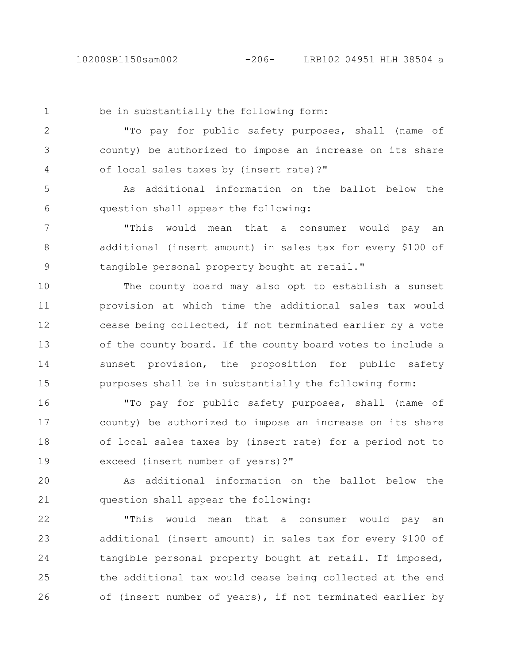be in substantially the following form: "To pay for public safety purposes, shall (name of county) be authorized to impose an increase on its share of local sales taxes by (insert rate)?" As additional information on the ballot below the question shall appear the following: "This would mean that a consumer would pay an additional (insert amount) in sales tax for every \$100 of tangible personal property bought at retail." The county board may also opt to establish a sunset provision at which time the additional sales tax would cease being collected, if not terminated earlier by a vote of the county board. If the county board votes to include a sunset provision, the proposition for public safety purposes shall be in substantially the following form: "To pay for public safety purposes, shall (name of county) be authorized to impose an increase on its share of local sales taxes by (insert rate) for a period not to exceed (insert number of years)?" As additional information on the ballot below the question shall appear the following: "This would mean that a consumer would pay an additional (insert amount) in sales tax for every \$100 of tangible personal property bought at retail. If imposed, 1 2 3 4 5 6 7 8 9 10 11 12 13 14 15 16 17 18 19 20 21 22 23 24

the additional tax would cease being collected at the end of (insert number of years), if not terminated earlier by 25 26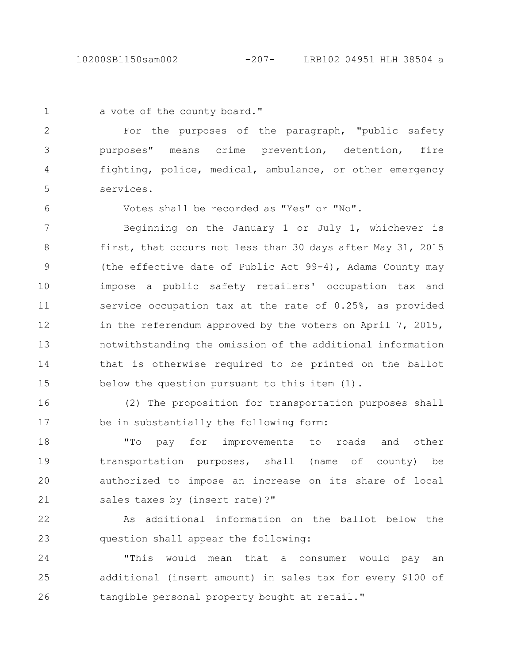10200SB1150sam002 -207- LRB102 04951 HLH 38504 a

1

a vote of the county board."

For the purposes of the paragraph, "public safety purposes" means crime prevention, detention, fire fighting, police, medical, ambulance, or other emergency services. 2 3 4 5

6

Votes shall be recorded as "Yes" or "No".

Beginning on the January 1 or July 1, whichever is first, that occurs not less than 30 days after May 31, 2015 (the effective date of Public Act 99-4), Adams County may impose a public safety retailers' occupation tax and service occupation tax at the rate of 0.25%, as provided in the referendum approved by the voters on April 7, 2015, notwithstanding the omission of the additional information that is otherwise required to be printed on the ballot below the question pursuant to this item (1). 7 8 9 10 11 12 13 14 15

(2) The proposition for transportation purposes shall be in substantially the following form: 16 17

"To pay for improvements to roads and other transportation purposes, shall (name of county) be authorized to impose an increase on its share of local sales taxes by (insert rate)?" 18 19 20 21

As additional information on the ballot below the question shall appear the following: 22 23

"This would mean that a consumer would pay an additional (insert amount) in sales tax for every \$100 of tangible personal property bought at retail." 24 25 26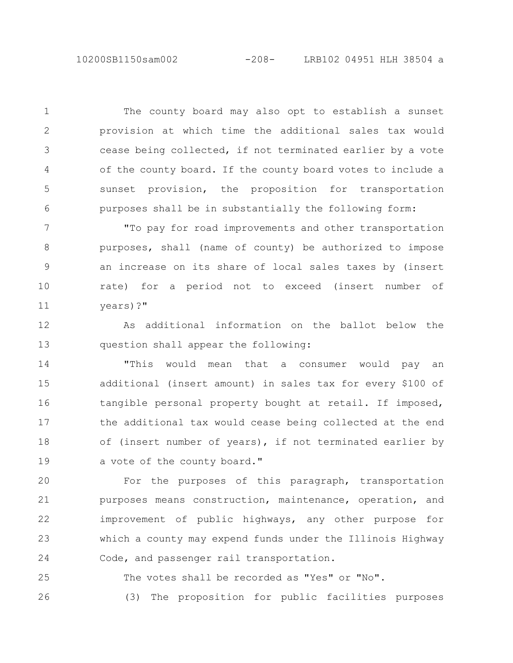The county board may also opt to establish a sunset provision at which time the additional sales tax would cease being collected, if not terminated earlier by a vote of the county board. If the county board votes to include a sunset provision, the proposition for transportation purposes shall be in substantially the following form: 1 2 3 4 5 6

"To pay for road improvements and other transportation purposes, shall (name of county) be authorized to impose an increase on its share of local sales taxes by (insert rate) for a period not to exceed (insert number of years)?" 7 8 9 10 11

As additional information on the ballot below the question shall appear the following: 12 13

"This would mean that a consumer would pay an additional (insert amount) in sales tax for every \$100 of tangible personal property bought at retail. If imposed, the additional tax would cease being collected at the end of (insert number of years), if not terminated earlier by a vote of the county board." 14 15 16 17 18 19

For the purposes of this paragraph, transportation purposes means construction, maintenance, operation, and improvement of public highways, any other purpose for which a county may expend funds under the Illinois Highway Code, and passenger rail transportation. 20 21 22 23 24

The votes shall be recorded as "Yes" or "No". (3) The proposition for public facilities purposes 25 26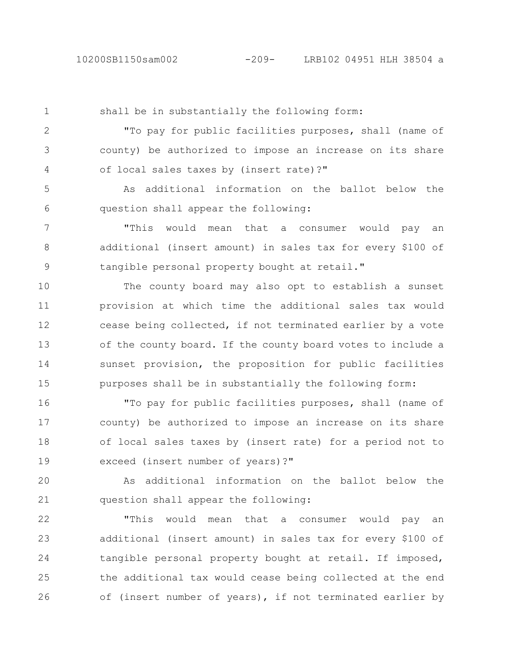shall be in substantially the following form: "To pay for public facilities purposes, shall (name of county) be authorized to impose an increase on its share of local sales taxes by (insert rate)?" As additional information on the ballot below the question shall appear the following: "This would mean that a consumer would pay an 1 2 3 4 5 6 7

additional (insert amount) in sales tax for every \$100 of tangible personal property bought at retail." 8 9

The county board may also opt to establish a sunset provision at which time the additional sales tax would cease being collected, if not terminated earlier by a vote of the county board. If the county board votes to include a sunset provision, the proposition for public facilities purposes shall be in substantially the following form: 10 11 12 13 14 15

"To pay for public facilities purposes, shall (name of county) be authorized to impose an increase on its share of local sales taxes by (insert rate) for a period not to exceed (insert number of years)?" 16 17 18 19

As additional information on the ballot below the question shall appear the following: 20 21

"This would mean that a consumer would pay an additional (insert amount) in sales tax for every \$100 of tangible personal property bought at retail. If imposed, the additional tax would cease being collected at the end of (insert number of years), if not terminated earlier by 22 23 24 25 26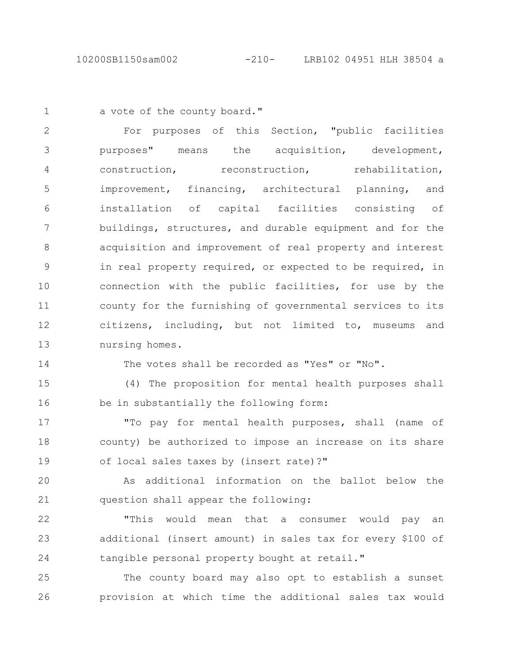a vote of the county board." 1

For purposes of this Section, "public facilities purposes" means the acquisition, development, construction, reconstruction, rehabilitation, improvement, financing, architectural planning, and installation of capital facilities consisting of buildings, structures, and durable equipment and for the acquisition and improvement of real property and interest in real property required, or expected to be required, in connection with the public facilities, for use by the county for the furnishing of governmental services to its citizens, including, but not limited to, museums and nursing homes. 2 3 4 5 6 7 8 9 10 11 12 13

14

The votes shall be recorded as "Yes" or "No".

(4) The proposition for mental health purposes shall be in substantially the following form: 15 16

"To pay for mental health purposes, shall (name of county) be authorized to impose an increase on its share of local sales taxes by (insert rate)?" 17 18 19

As additional information on the ballot below the question shall appear the following: 20 21

"This would mean that a consumer would pay an additional (insert amount) in sales tax for every \$100 of tangible personal property bought at retail." 22 23 24

The county board may also opt to establish a sunset provision at which time the additional sales tax would 25 26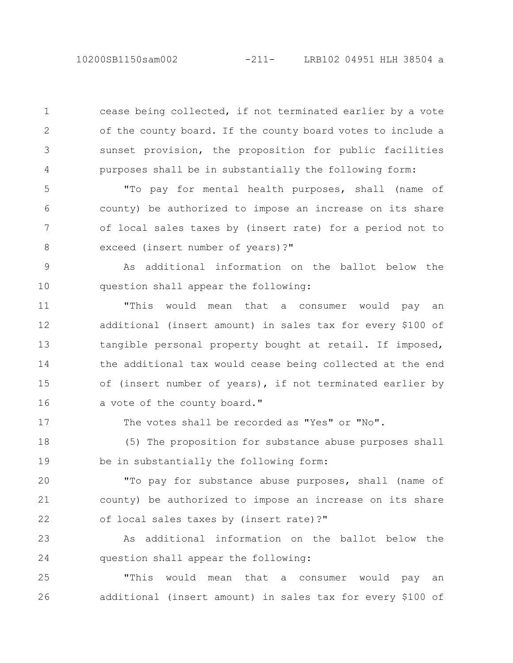cease being collected, if not terminated earlier by a vote of the county board. If the county board votes to include a sunset provision, the proposition for public facilities purposes shall be in substantially the following form:

"To pay for mental health purposes, shall (name of county) be authorized to impose an increase on its share of local sales taxes by (insert rate) for a period not to exceed (insert number of years)?" 5 6 7 8

As additional information on the ballot below the question shall appear the following: 9 10

"This would mean that a consumer would pay an additional (insert amount) in sales tax for every \$100 of tangible personal property bought at retail. If imposed, the additional tax would cease being collected at the end of (insert number of years), if not terminated earlier by a vote of the county board." 11 12 13 14 15 16

17

1

2

3

4

The votes shall be recorded as "Yes" or "No".

(5) The proposition for substance abuse purposes shall be in substantially the following form: 18 19

"To pay for substance abuse purposes, shall (name of county) be authorized to impose an increase on its share of local sales taxes by (insert rate)?" 20 21 22

As additional information on the ballot below the question shall appear the following: 23 24

"This would mean that a consumer would pay an additional (insert amount) in sales tax for every \$100 of 25 26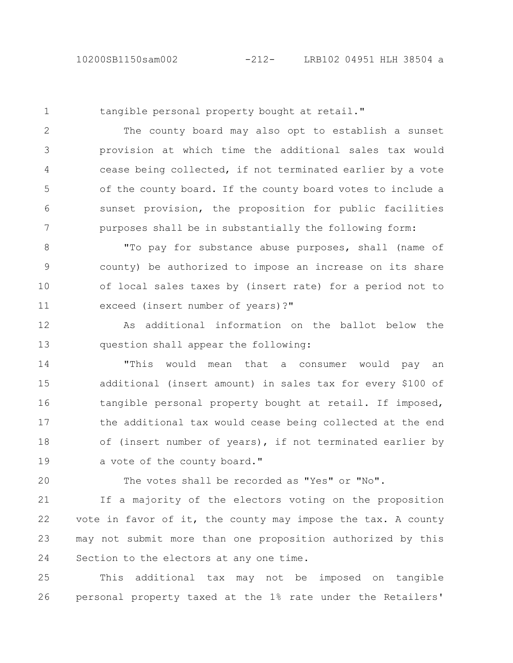1

tangible personal property bought at retail."

The county board may also opt to establish a sunset provision at which time the additional sales tax would cease being collected, if not terminated earlier by a vote of the county board. If the county board votes to include a sunset provision, the proposition for public facilities purposes shall be in substantially the following form: 2 3 4 5 6 7

"To pay for substance abuse purposes, shall (name of county) be authorized to impose an increase on its share of local sales taxes by (insert rate) for a period not to exceed (insert number of years)?" 8 9 10 11

As additional information on the ballot below the question shall appear the following: 12 13

"This would mean that a consumer would pay an additional (insert amount) in sales tax for every \$100 of tangible personal property bought at retail. If imposed, the additional tax would cease being collected at the end of (insert number of years), if not terminated earlier by a vote of the county board." 14 15 16 17 18 19

20

The votes shall be recorded as "Yes" or "No".

If a majority of the electors voting on the proposition vote in favor of it, the county may impose the tax. A county may not submit more than one proposition authorized by this Section to the electors at any one time. 21 22 23 24

This additional tax may not be imposed on tangible personal property taxed at the 1% rate under the Retailers' 25 26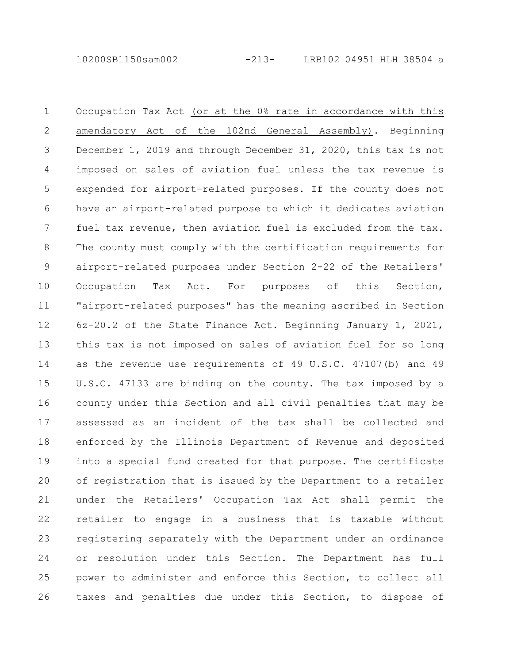Occupation Tax Act (or at the 0% rate in accordance with this amendatory Act of the 102nd General Assembly). Beginning December 1, 2019 and through December 31, 2020, this tax is not imposed on sales of aviation fuel unless the tax revenue is expended for airport-related purposes. If the county does not have an airport-related purpose to which it dedicates aviation fuel tax revenue, then aviation fuel is excluded from the tax. The county must comply with the certification requirements for airport-related purposes under Section 2-22 of the Retailers' Occupation Tax Act. For purposes of this Section, "airport-related purposes" has the meaning ascribed in Section 6z-20.2 of the State Finance Act. Beginning January 1, 2021, this tax is not imposed on sales of aviation fuel for so long as the revenue use requirements of 49 U.S.C. 47107(b) and 49 U.S.C. 47133 are binding on the county. The tax imposed by a county under this Section and all civil penalties that may be assessed as an incident of the tax shall be collected and enforced by the Illinois Department of Revenue and deposited into a special fund created for that purpose. The certificate of registration that is issued by the Department to a retailer under the Retailers' Occupation Tax Act shall permit the retailer to engage in a business that is taxable without registering separately with the Department under an ordinance or resolution under this Section. The Department has full power to administer and enforce this Section, to collect all taxes and penalties due under this Section, to dispose of 1 2 3 4 5 6 7 8 9 10 11 12 13 14 15 16 17 18 19 20 21 22 23 24 25 26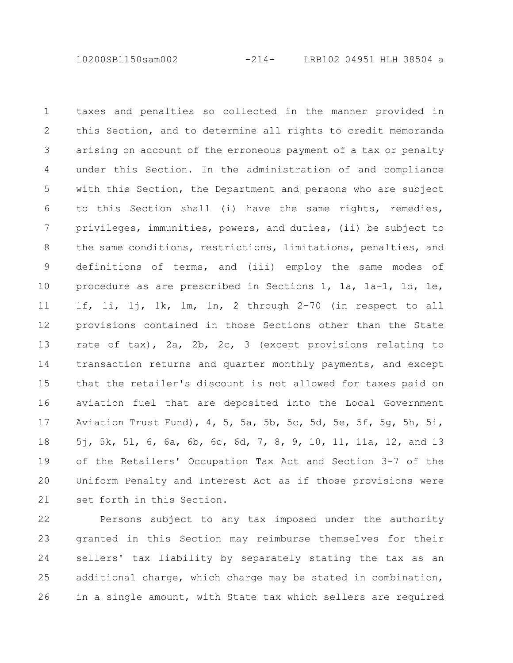10200SB1150sam002 -214- LRB102 04951 HLH 38504 a

taxes and penalties so collected in the manner provided in this Section, and to determine all rights to credit memoranda arising on account of the erroneous payment of a tax or penalty under this Section. In the administration of and compliance with this Section, the Department and persons who are subject to this Section shall (i) have the same rights, remedies, privileges, immunities, powers, and duties, (ii) be subject to the same conditions, restrictions, limitations, penalties, and definitions of terms, and (iii) employ the same modes of procedure as are prescribed in Sections 1, 1a, 1a-1, 1d, 1e, 1f, 1i, 1j, 1k, 1m, 1n, 2 through 2-70 (in respect to all provisions contained in those Sections other than the State rate of tax), 2a, 2b, 2c, 3 (except provisions relating to transaction returns and quarter monthly payments, and except that the retailer's discount is not allowed for taxes paid on aviation fuel that are deposited into the Local Government Aviation Trust Fund), 4, 5, 5a, 5b, 5c, 5d, 5e, 5f, 5g, 5h, 5i, 5j, 5k, 5l, 6, 6a, 6b, 6c, 6d, 7, 8, 9, 10, 11, 11a, 12, and 13 of the Retailers' Occupation Tax Act and Section 3-7 of the Uniform Penalty and Interest Act as if those provisions were set forth in this Section. 1 2 3 4 5 6 7 8 9 10 11 12 13 14 15 16 17 18 19 20 21

Persons subject to any tax imposed under the authority granted in this Section may reimburse themselves for their sellers' tax liability by separately stating the tax as an additional charge, which charge may be stated in combination, in a single amount, with State tax which sellers are required 22 23 24 25 26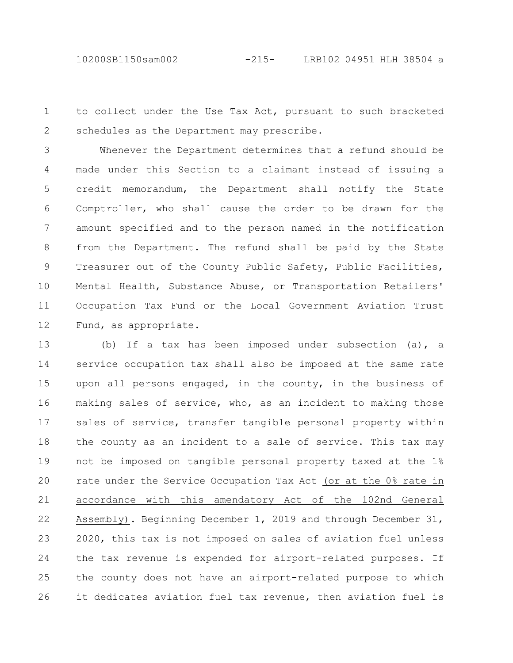10200SB1150sam002 -215- LRB102 04951 HLH 38504 a

to collect under the Use Tax Act, pursuant to such bracketed schedules as the Department may prescribe. 1 2

Whenever the Department determines that a refund should be made under this Section to a claimant instead of issuing a credit memorandum, the Department shall notify the State Comptroller, who shall cause the order to be drawn for the amount specified and to the person named in the notification from the Department. The refund shall be paid by the State Treasurer out of the County Public Safety, Public Facilities, Mental Health, Substance Abuse, or Transportation Retailers' Occupation Tax Fund or the Local Government Aviation Trust Fund, as appropriate. 3 4 5 6 7 8 9 10 11 12

(b) If a tax has been imposed under subsection (a), a service occupation tax shall also be imposed at the same rate upon all persons engaged, in the county, in the business of making sales of service, who, as an incident to making those sales of service, transfer tangible personal property within the county as an incident to a sale of service. This tax may not be imposed on tangible personal property taxed at the 1% rate under the Service Occupation Tax Act (or at the 0% rate in accordance with this amendatory Act of the 102nd General Assembly). Beginning December 1, 2019 and through December 31, 2020, this tax is not imposed on sales of aviation fuel unless the tax revenue is expended for airport-related purposes. If the county does not have an airport-related purpose to which it dedicates aviation fuel tax revenue, then aviation fuel is 13 14 15 16 17 18 19 20 21 22 23 24 25 26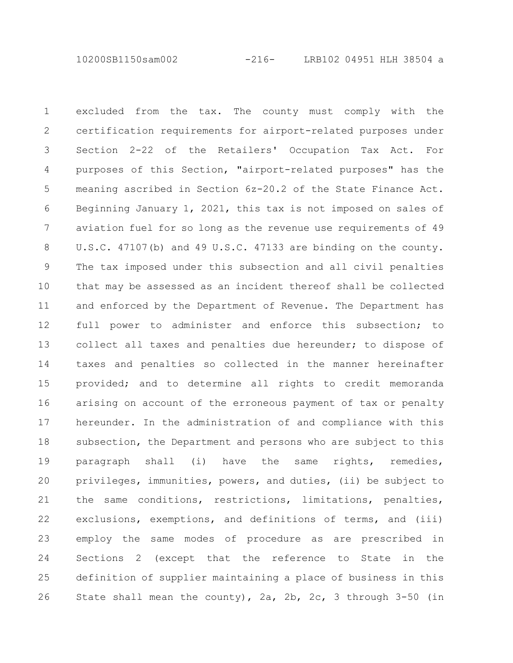10200SB1150sam002 -216- LRB102 04951 HLH 38504 a

excluded from the tax. The county must comply with the certification requirements for airport-related purposes under Section 2-22 of the Retailers' Occupation Tax Act. For purposes of this Section, "airport-related purposes" has the meaning ascribed in Section 6z-20.2 of the State Finance Act. Beginning January 1, 2021, this tax is not imposed on sales of aviation fuel for so long as the revenue use requirements of 49 U.S.C. 47107(b) and 49 U.S.C. 47133 are binding on the county. The tax imposed under this subsection and all civil penalties that may be assessed as an incident thereof shall be collected and enforced by the Department of Revenue. The Department has full power to administer and enforce this subsection; to collect all taxes and penalties due hereunder; to dispose of taxes and penalties so collected in the manner hereinafter provided; and to determine all rights to credit memoranda arising on account of the erroneous payment of tax or penalty hereunder. In the administration of and compliance with this subsection, the Department and persons who are subject to this paragraph shall (i) have the same rights, remedies, privileges, immunities, powers, and duties, (ii) be subject to the same conditions, restrictions, limitations, penalties, exclusions, exemptions, and definitions of terms, and (iii) employ the same modes of procedure as are prescribed in Sections 2 (except that the reference to State in the definition of supplier maintaining a place of business in this State shall mean the county), 2a, 2b, 2c, 3 through 3-50 (in 1 2 3 4 5 6 7 8 9 10 11 12 13 14 15 16 17 18 19 20 21 22 23 24 25 26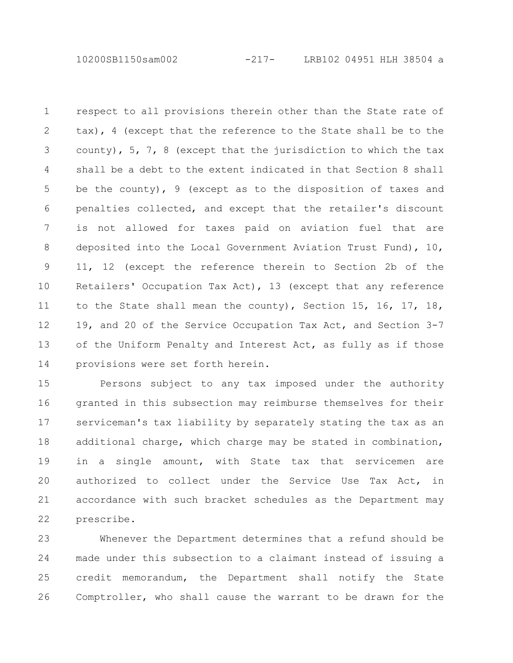10200SB1150sam002 -217- LRB102 04951 HLH 38504 a

respect to all provisions therein other than the State rate of tax), 4 (except that the reference to the State shall be to the county), 5, 7, 8 (except that the jurisdiction to which the tax shall be a debt to the extent indicated in that Section 8 shall be the county), 9 (except as to the disposition of taxes and penalties collected, and except that the retailer's discount is not allowed for taxes paid on aviation fuel that are deposited into the Local Government Aviation Trust Fund), 10, 11, 12 (except the reference therein to Section 2b of the Retailers' Occupation Tax Act), 13 (except that any reference to the State shall mean the county), Section 15, 16, 17, 18, 19, and 20 of the Service Occupation Tax Act, and Section 3-7 of the Uniform Penalty and Interest Act, as fully as if those provisions were set forth herein. 1 2 3 4 5 6 7 8 9 10 11 12 13 14

Persons subject to any tax imposed under the authority granted in this subsection may reimburse themselves for their serviceman's tax liability by separately stating the tax as an additional charge, which charge may be stated in combination, in a single amount, with State tax that servicemen are authorized to collect under the Service Use Tax Act, in accordance with such bracket schedules as the Department may prescribe. 15 16 17 18 19 20 21 22

Whenever the Department determines that a refund should be made under this subsection to a claimant instead of issuing a credit memorandum, the Department shall notify the State Comptroller, who shall cause the warrant to be drawn for the 23 24 25 26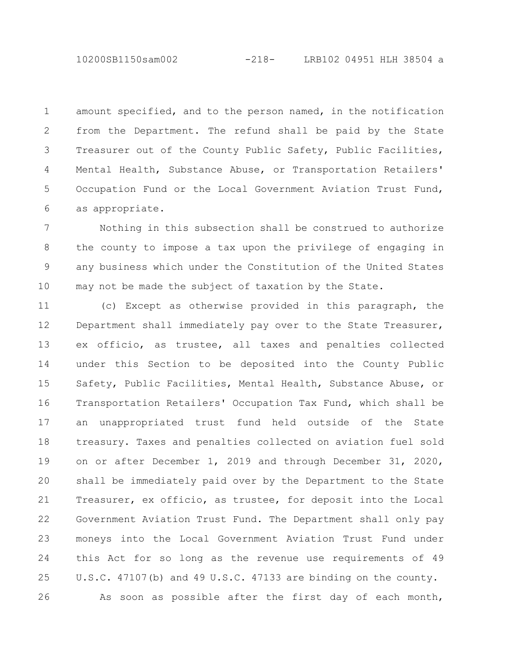10200SB1150sam002 -218- LRB102 04951 HLH 38504 a

amount specified, and to the person named, in the notification from the Department. The refund shall be paid by the State Treasurer out of the County Public Safety, Public Facilities, Mental Health, Substance Abuse, or Transportation Retailers' Occupation Fund or the Local Government Aviation Trust Fund, as appropriate. 1 2 3 4 5 6

Nothing in this subsection shall be construed to authorize the county to impose a tax upon the privilege of engaging in any business which under the Constitution of the United States may not be made the subject of taxation by the State. 7 8 9 10

(c) Except as otherwise provided in this paragraph, the Department shall immediately pay over to the State Treasurer, ex officio, as trustee, all taxes and penalties collected under this Section to be deposited into the County Public Safety, Public Facilities, Mental Health, Substance Abuse, or Transportation Retailers' Occupation Tax Fund, which shall be an unappropriated trust fund held outside of the State treasury. Taxes and penalties collected on aviation fuel sold on or after December 1, 2019 and through December 31, 2020, shall be immediately paid over by the Department to the State Treasurer, ex officio, as trustee, for deposit into the Local Government Aviation Trust Fund. The Department shall only pay moneys into the Local Government Aviation Trust Fund under this Act for so long as the revenue use requirements of 49 U.S.C. 47107(b) and 49 U.S.C. 47133 are binding on the county. As soon as possible after the first day of each month, 11 12 13 14 15 16 17 18 19 20 21 22 23 24 25 26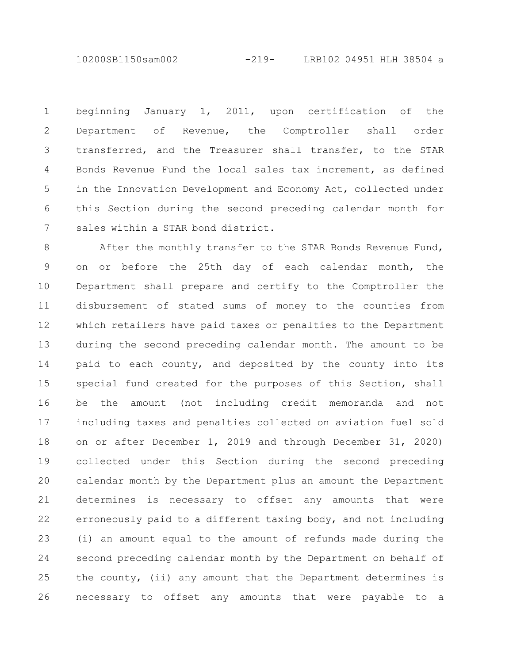10200SB1150sam002 -219- LRB102 04951 HLH 38504 a

beginning January 1, 2011, upon certification of the Department of Revenue, the Comptroller shall order transferred, and the Treasurer shall transfer, to the STAR Bonds Revenue Fund the local sales tax increment, as defined in the Innovation Development and Economy Act, collected under this Section during the second preceding calendar month for sales within a STAR bond district. 1 2 3 4 5 6 7

After the monthly transfer to the STAR Bonds Revenue Fund, on or before the 25th day of each calendar month, the Department shall prepare and certify to the Comptroller the disbursement of stated sums of money to the counties from which retailers have paid taxes or penalties to the Department during the second preceding calendar month. The amount to be paid to each county, and deposited by the county into its special fund created for the purposes of this Section, shall be the amount (not including credit memoranda and not including taxes and penalties collected on aviation fuel sold on or after December 1, 2019 and through December 31, 2020) collected under this Section during the second preceding calendar month by the Department plus an amount the Department determines is necessary to offset any amounts that were erroneously paid to a different taxing body, and not including (i) an amount equal to the amount of refunds made during the second preceding calendar month by the Department on behalf of the county, (ii) any amount that the Department determines is necessary to offset any amounts that were payable to a 8 9 10 11 12 13 14 15 16 17 18 19 20 21 22 23 24 25 26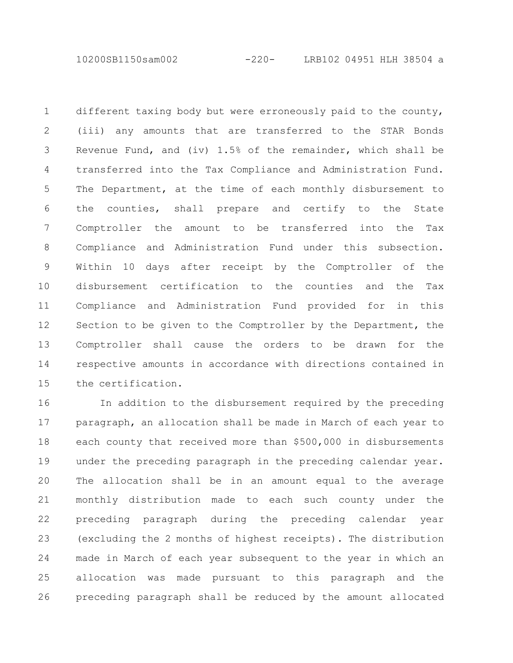10200SB1150sam002 -220- LRB102 04951 HLH 38504 a

different taxing body but were erroneously paid to the county, (iii) any amounts that are transferred to the STAR Bonds Revenue Fund, and (iv)  $1.5%$  of the remainder, which shall be transferred into the Tax Compliance and Administration Fund. The Department, at the time of each monthly disbursement to the counties, shall prepare and certify to the State Comptroller the amount to be transferred into the Tax Compliance and Administration Fund under this subsection. Within 10 days after receipt by the Comptroller of the disbursement certification to the counties and the Tax Compliance and Administration Fund provided for in this Section to be given to the Comptroller by the Department, the Comptroller shall cause the orders to be drawn for the respective amounts in accordance with directions contained in the certification. 1 2 3 4 5 6 7 8 9 10 11 12 13 14 15

In addition to the disbursement required by the preceding paragraph, an allocation shall be made in March of each year to each county that received more than \$500,000 in disbursements under the preceding paragraph in the preceding calendar year. The allocation shall be in an amount equal to the average monthly distribution made to each such county under the preceding paragraph during the preceding calendar year (excluding the 2 months of highest receipts). The distribution made in March of each year subsequent to the year in which an allocation was made pursuant to this paragraph and the preceding paragraph shall be reduced by the amount allocated 16 17 18 19 20 21 22 23 24 25 26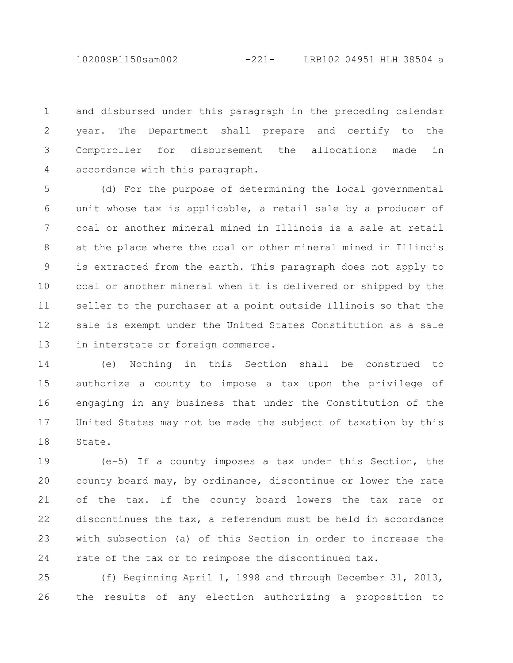10200SB1150sam002 -221- LRB102 04951 HLH 38504 a

and disbursed under this paragraph in the preceding calendar year. The Department shall prepare and certify to the Comptroller for disbursement the allocations made in accordance with this paragraph. 1 2 3 4

(d) For the purpose of determining the local governmental unit whose tax is applicable, a retail sale by a producer of coal or another mineral mined in Illinois is a sale at retail at the place where the coal or other mineral mined in Illinois is extracted from the earth. This paragraph does not apply to coal or another mineral when it is delivered or shipped by the seller to the purchaser at a point outside Illinois so that the sale is exempt under the United States Constitution as a sale in interstate or foreign commerce. 5 6 7 8 9 10 11 12 13

(e) Nothing in this Section shall be construed to authorize a county to impose a tax upon the privilege of engaging in any business that under the Constitution of the United States may not be made the subject of taxation by this State. 14 15 16 17 18

(e-5) If a county imposes a tax under this Section, the county board may, by ordinance, discontinue or lower the rate of the tax. If the county board lowers the tax rate or discontinues the tax, a referendum must be held in accordance with subsection (a) of this Section in order to increase the rate of the tax or to reimpose the discontinued tax. 19 20 21 22 23 24

(f) Beginning April 1, 1998 and through December 31, 2013, the results of any election authorizing a proposition to 25 26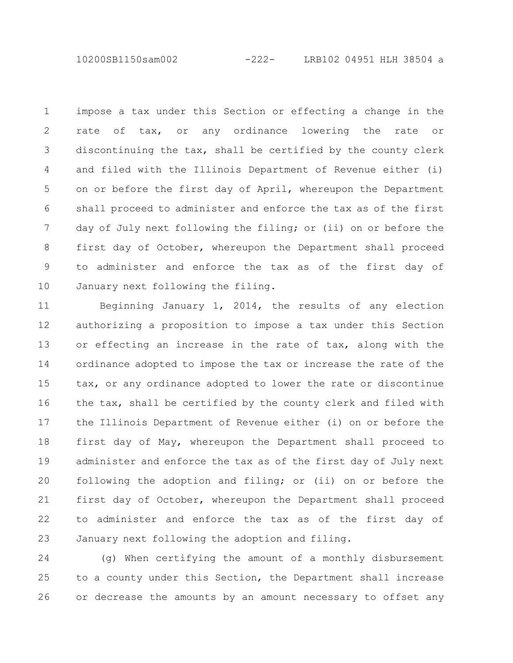10200SB1150sam002 -222- LRB102 04951 HLH 38504 a

impose a tax under this Section or effecting a change in the rate of tax, or any ordinance lowering the rate or discontinuing the tax, shall be certified by the county clerk and filed with the Illinois Department of Revenue either (i) on or before the first day of April, whereupon the Department shall proceed to administer and enforce the tax as of the first day of July next following the filing; or (ii) on or before the first day of October, whereupon the Department shall proceed to administer and enforce the tax as of the first day of January next following the filing. 1 2 3 4 5 6 7 8 9 10

Beginning January 1, 2014, the results of any election authorizing a proposition to impose a tax under this Section or effecting an increase in the rate of tax, along with the ordinance adopted to impose the tax or increase the rate of the tax, or any ordinance adopted to lower the rate or discontinue the tax, shall be certified by the county clerk and filed with the Illinois Department of Revenue either (i) on or before the first day of May, whereupon the Department shall proceed to administer and enforce the tax as of the first day of July next following the adoption and filing; or (ii) on or before the first day of October, whereupon the Department shall proceed to administer and enforce the tax as of the first day of January next following the adoption and filing. 11 12 13 14 15 16 17 18 19 20 21 22 23

(g) When certifying the amount of a monthly disbursement to a county under this Section, the Department shall increase or decrease the amounts by an amount necessary to offset any 24 25 26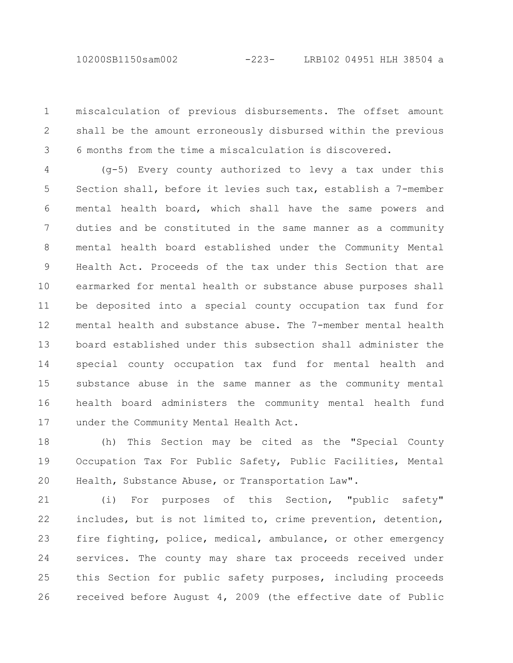miscalculation of previous disbursements. The offset amount shall be the amount erroneously disbursed within the previous 6 months from the time a miscalculation is discovered. 1 2 3

(g-5) Every county authorized to levy a tax under this Section shall, before it levies such tax, establish a 7-member mental health board, which shall have the same powers and duties and be constituted in the same manner as a community mental health board established under the Community Mental Health Act. Proceeds of the tax under this Section that are earmarked for mental health or substance abuse purposes shall be deposited into a special county occupation tax fund for mental health and substance abuse. The 7-member mental health board established under this subsection shall administer the special county occupation tax fund for mental health and substance abuse in the same manner as the community mental health board administers the community mental health fund under the Community Mental Health Act. 4 5 6 7 8 9 10 11 12 13 14 15 16 17

(h) This Section may be cited as the "Special County Occupation Tax For Public Safety, Public Facilities, Mental Health, Substance Abuse, or Transportation Law". 18 19 20

(i) For purposes of this Section, "public safety" includes, but is not limited to, crime prevention, detention, fire fighting, police, medical, ambulance, or other emergency services. The county may share tax proceeds received under this Section for public safety purposes, including proceeds received before August 4, 2009 (the effective date of Public 21 22 23 24 25 26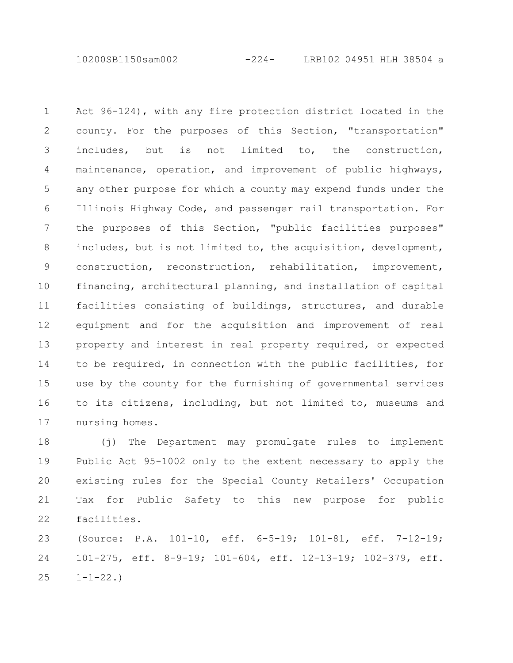10200SB1150sam002 -224- LRB102 04951 HLH 38504 a

Act 96-124), with any fire protection district located in the county. For the purposes of this Section, "transportation" includes, but is not limited to, the construction, maintenance, operation, and improvement of public highways, any other purpose for which a county may expend funds under the Illinois Highway Code, and passenger rail transportation. For the purposes of this Section, "public facilities purposes" includes, but is not limited to, the acquisition, development, construction, reconstruction, rehabilitation, improvement, financing, architectural planning, and installation of capital facilities consisting of buildings, structures, and durable equipment and for the acquisition and improvement of real property and interest in real property required, or expected to be required, in connection with the public facilities, for use by the county for the furnishing of governmental services to its citizens, including, but not limited to, museums and nursing homes. 1 2 3 4 5 6 7 8 9 10 11 12 13 14 15 16 17

(j) The Department may promulgate rules to implement Public Act 95-1002 only to the extent necessary to apply the existing rules for the Special County Retailers' Occupation Tax for Public Safety to this new purpose for public facilities. 18 19 20 21 22

(Source: P.A. 101-10, eff. 6-5-19; 101-81, eff. 7-12-19; 101-275, eff. 8-9-19; 101-604, eff. 12-13-19; 102-379, eff.  $1 - 1 - 22.$ 23 24 25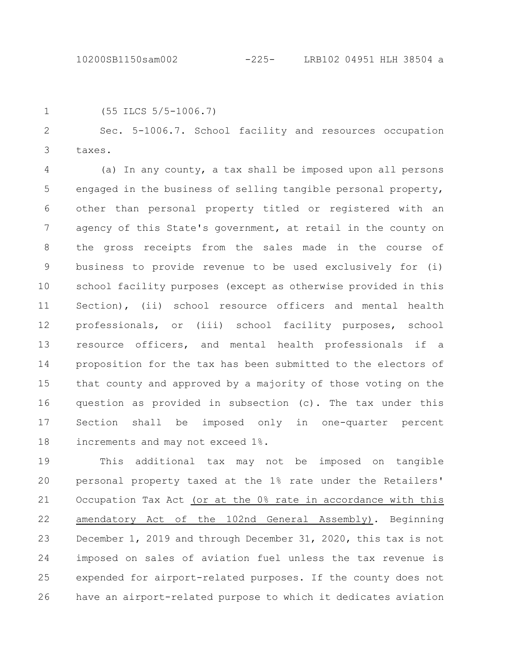1

(55 ILCS 5/5-1006.7)

Sec. 5-1006.7. School facility and resources occupation taxes. 2 3

(a) In any county, a tax shall be imposed upon all persons engaged in the business of selling tangible personal property, other than personal property titled or registered with an agency of this State's government, at retail in the county on the gross receipts from the sales made in the course of business to provide revenue to be used exclusively for (i) school facility purposes (except as otherwise provided in this Section), (ii) school resource officers and mental health professionals, or (iii) school facility purposes, school resource officers, and mental health professionals if a proposition for the tax has been submitted to the electors of that county and approved by a majority of those voting on the question as provided in subsection (c). The tax under this Section shall be imposed only in one-quarter percent increments and may not exceed 1%. 4 5 6 7 8 9 10 11 12 13 14 15 16 17 18

This additional tax may not be imposed on tangible personal property taxed at the 1% rate under the Retailers' Occupation Tax Act (or at the 0% rate in accordance with this amendatory Act of the 102nd General Assembly). Beginning December 1, 2019 and through December 31, 2020, this tax is not imposed on sales of aviation fuel unless the tax revenue is expended for airport-related purposes. If the county does not have an airport-related purpose to which it dedicates aviation 19 20 21 22 23 24 25 26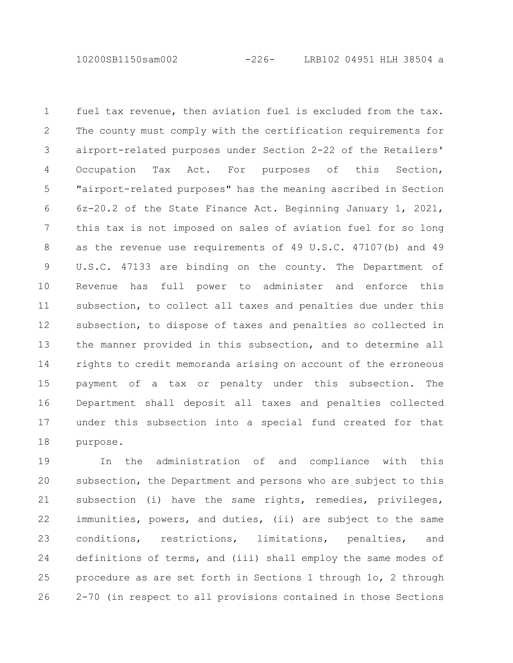10200SB1150sam002 -226- LRB102 04951 HLH 38504 a

fuel tax revenue, then aviation fuel is excluded from the tax. The county must comply with the certification requirements for airport-related purposes under Section 2-22 of the Retailers' Occupation Tax Act. For purposes of this Section, "airport-related purposes" has the meaning ascribed in Section 6z-20.2 of the State Finance Act. Beginning January 1, 2021, this tax is not imposed on sales of aviation fuel for so long as the revenue use requirements of 49 U.S.C. 47107(b) and 49 U.S.C. 47133 are binding on the county. The Department of Revenue has full power to administer and enforce this subsection, to collect all taxes and penalties due under this subsection, to dispose of taxes and penalties so collected in the manner provided in this subsection, and to determine all rights to credit memoranda arising on account of the erroneous payment of a tax or penalty under this subsection. The Department shall deposit all taxes and penalties collected under this subsection into a special fund created for that purpose. 1 2 3 4 5 6 7 8 9 10 11 12 13 14 15 16 17 18

In the administration of and compliance with this subsection, the Department and persons who are subject to this subsection (i) have the same rights, remedies, privileges, immunities, powers, and duties, (ii) are subject to the same conditions, restrictions, limitations, penalties, and definitions of terms, and (iii) shall employ the same modes of procedure as are set forth in Sections 1 through 1o, 2 through 2-70 (in respect to all provisions contained in those Sections 19 20 21 22 23 24 25 26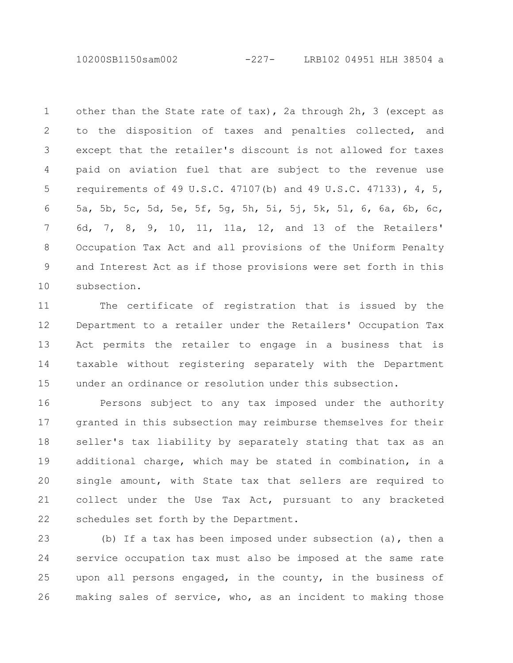10200SB1150sam002 -227- LRB102 04951 HLH 38504 a

other than the State rate of tax), 2a through 2h, 3 (except as to the disposition of taxes and penalties collected, and except that the retailer's discount is not allowed for taxes paid on aviation fuel that are subject to the revenue use requirements of 49 U.S.C. 47107(b) and 49 U.S.C. 47133), 4, 5, 5a, 5b, 5c, 5d, 5e, 5f, 5g, 5h, 5i, 5j, 5k, 5l, 6, 6a, 6b, 6c, 6d, 7, 8, 9, 10, 11, 11a, 12, and 13 of the Retailers' Occupation Tax Act and all provisions of the Uniform Penalty and Interest Act as if those provisions were set forth in this subsection. 1 2 3 4 5 6 7 8 9 10

The certificate of registration that is issued by the Department to a retailer under the Retailers' Occupation Tax Act permits the retailer to engage in a business that is taxable without registering separately with the Department under an ordinance or resolution under this subsection. 11 12 13 14 15

Persons subject to any tax imposed under the authority granted in this subsection may reimburse themselves for their seller's tax liability by separately stating that tax as an additional charge, which may be stated in combination, in a single amount, with State tax that sellers are required to collect under the Use Tax Act, pursuant to any bracketed schedules set forth by the Department. 16 17 18 19 20 21 22

(b) If a tax has been imposed under subsection (a), then a service occupation tax must also be imposed at the same rate upon all persons engaged, in the county, in the business of making sales of service, who, as an incident to making those 23 24 25 26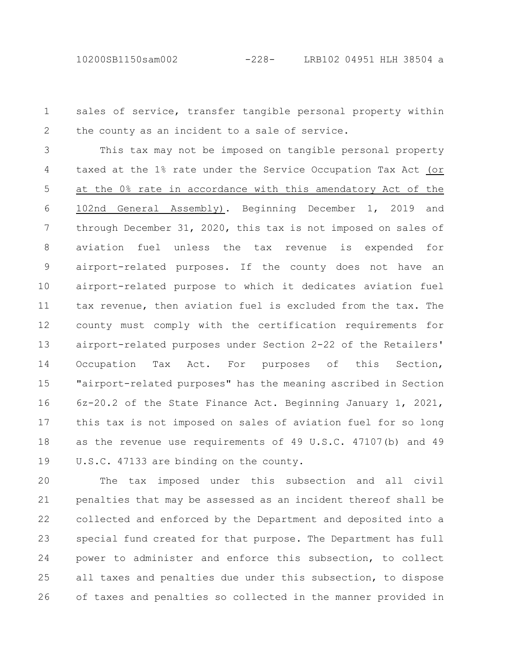sales of service, transfer tangible personal property within the county as an incident to a sale of service. 1 2

This tax may not be imposed on tangible personal property taxed at the 1% rate under the Service Occupation Tax Act (or at the 0% rate in accordance with this amendatory Act of the 102nd General Assembly). Beginning December 1, 2019 and through December 31, 2020, this tax is not imposed on sales of aviation fuel unless the tax revenue is expended for airport-related purposes. If the county does not have an airport-related purpose to which it dedicates aviation fuel tax revenue, then aviation fuel is excluded from the tax. The county must comply with the certification requirements for airport-related purposes under Section 2-22 of the Retailers' Occupation Tax Act. For purposes of this Section, "airport-related purposes" has the meaning ascribed in Section 6z-20.2 of the State Finance Act. Beginning January 1, 2021, this tax is not imposed on sales of aviation fuel for so long as the revenue use requirements of 49 U.S.C. 47107(b) and 49 U.S.C. 47133 are binding on the county. 3 4 5 6 7 8 9 10 11 12 13 14 15 16 17 18 19

The tax imposed under this subsection and all civil penalties that may be assessed as an incident thereof shall be collected and enforced by the Department and deposited into a special fund created for that purpose. The Department has full power to administer and enforce this subsection, to collect all taxes and penalties due under this subsection, to dispose of taxes and penalties so collected in the manner provided in 20 21 22 23 24 25 26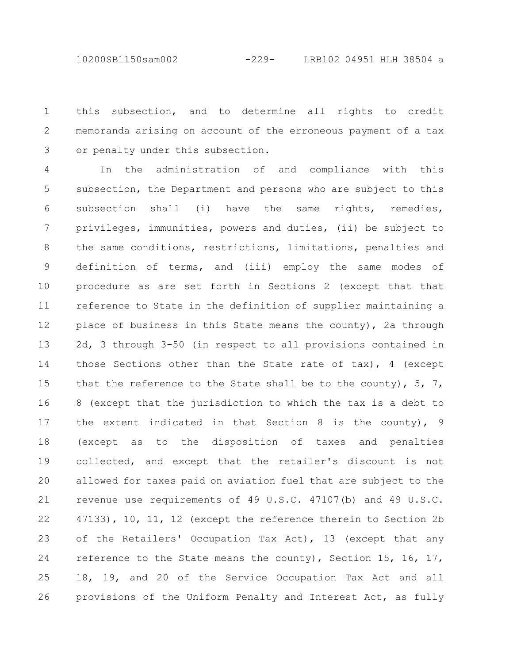10200SB1150sam002 -229- LRB102 04951 HLH 38504 a

this subsection, and to determine all rights to credit memoranda arising on account of the erroneous payment of a tax or penalty under this subsection. 1 2 3

In the administration of and compliance with this subsection, the Department and persons who are subject to this subsection shall (i) have the same rights, remedies, privileges, immunities, powers and duties, (ii) be subject to the same conditions, restrictions, limitations, penalties and definition of terms, and (iii) employ the same modes of procedure as are set forth in Sections 2 (except that that reference to State in the definition of supplier maintaining a place of business in this State means the county), 2a through 2d, 3 through 3-50 (in respect to all provisions contained in those Sections other than the State rate of tax), 4 (except that the reference to the State shall be to the county),  $5, 7,$ 8 (except that the jurisdiction to which the tax is a debt to the extent indicated in that Section 8 is the county), 9 (except as to the disposition of taxes and penalties collected, and except that the retailer's discount is not allowed for taxes paid on aviation fuel that are subject to the revenue use requirements of 49 U.S.C. 47107(b) and 49 U.S.C. 47133), 10, 11, 12 (except the reference therein to Section 2b of the Retailers' Occupation Tax Act), 13 (except that any reference to the State means the county), Section 15, 16, 17, 18, 19, and 20 of the Service Occupation Tax Act and all provisions of the Uniform Penalty and Interest Act, as fully 4 5 6 7 8 9 10 11 12 13 14 15 16 17 18 19 20 21 22 23 24 25 26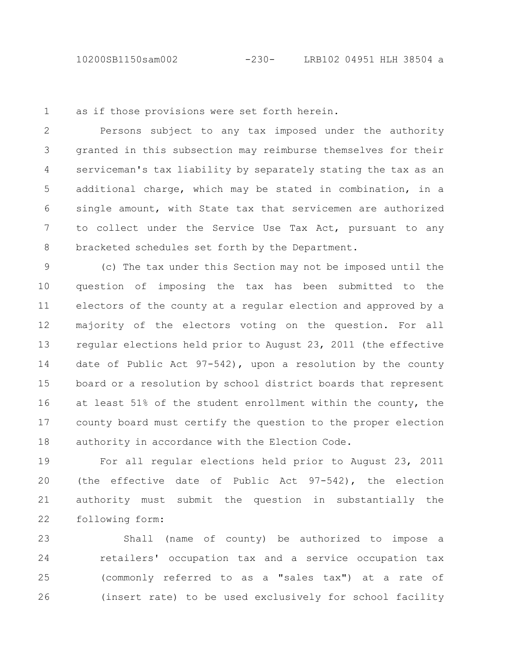as if those provisions were set forth herein. 1

Persons subject to any tax imposed under the authority granted in this subsection may reimburse themselves for their serviceman's tax liability by separately stating the tax as an additional charge, which may be stated in combination, in a single amount, with State tax that servicemen are authorized to collect under the Service Use Tax Act, pursuant to any bracketed schedules set forth by the Department. 2 3 4 5 6 7 8

(c) The tax under this Section may not be imposed until the question of imposing the tax has been submitted to the electors of the county at a regular election and approved by a majority of the electors voting on the question. For all regular elections held prior to August 23, 2011 (the effective date of Public Act 97-542), upon a resolution by the county board or a resolution by school district boards that represent at least 51% of the student enrollment within the county, the county board must certify the question to the proper election authority in accordance with the Election Code. 9 10 11 12 13 14 15 16 17 18

For all regular elections held prior to August 23, 2011 (the effective date of Public Act 97-542), the election authority must submit the question in substantially the following form: 19 20 21 22

Shall (name of county) be authorized to impose a retailers' occupation tax and a service occupation tax (commonly referred to as a "sales tax") at a rate of (insert rate) to be used exclusively for school facility 23 24 25 26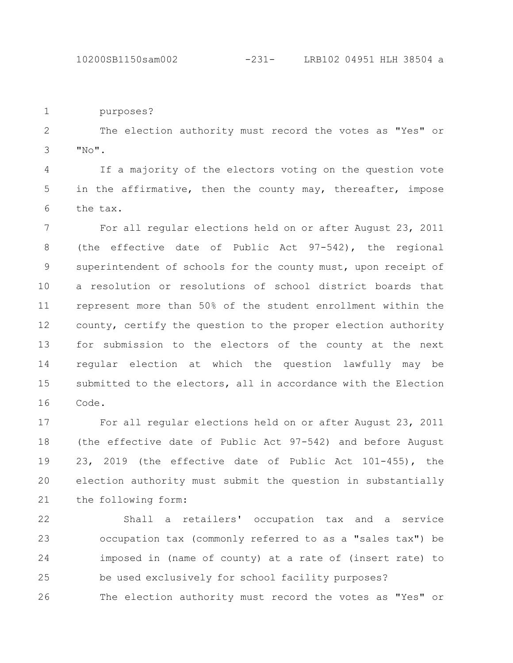10200SB1150sam002 -231- LRB102 04951 HLH 38504 a

purposes? 1

The election authority must record the votes as "Yes" or  $"$ <sub>No</sub> $"$ . 2 3

If a majority of the electors voting on the question vote in the affirmative, then the county may, thereafter, impose the tax. 4 5 6

For all regular elections held on or after August 23, 2011 (the effective date of Public Act 97-542), the regional superintendent of schools for the county must, upon receipt of a resolution or resolutions of school district boards that represent more than 50% of the student enrollment within the county, certify the question to the proper election authority for submission to the electors of the county at the next regular election at which the question lawfully may be submitted to the electors, all in accordance with the Election Code. 7 8 9 10 11 12 13 14 15 16

For all regular elections held on or after August 23, 2011 (the effective date of Public Act 97-542) and before August 23, 2019 (the effective date of Public Act 101-455), the election authority must submit the question in substantially the following form: 17 18 19 20 21

Shall a retailers' occupation tax and a service occupation tax (commonly referred to as a "sales tax") be imposed in (name of county) at a rate of (insert rate) to be used exclusively for school facility purposes? The election authority must record the votes as "Yes" or 22 23 24 25 26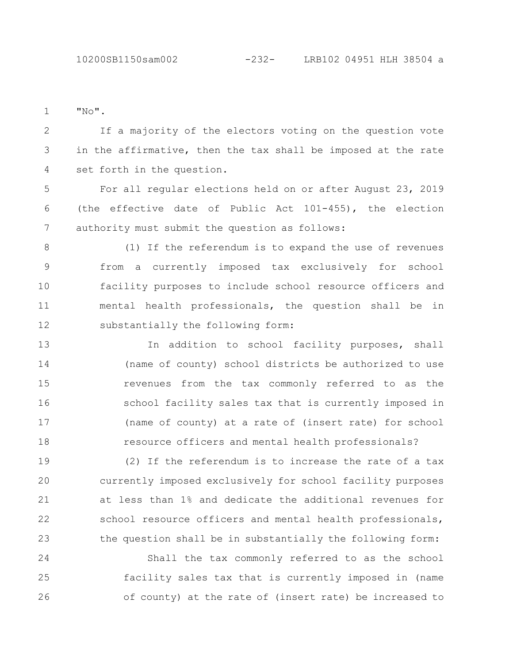"No". 1

If a majority of the electors voting on the question vote in the affirmative, then the tax shall be imposed at the rate set forth in the question. 2 3 4

For all regular elections held on or after August 23, 2019 (the effective date of Public Act 101-455), the election authority must submit the question as follows: 5 6 7

(1) If the referendum is to expand the use of revenues from a currently imposed tax exclusively for school facility purposes to include school resource officers and mental health professionals, the question shall be in substantially the following form: 8 9 10 11 12

In addition to school facility purposes, shall (name of county) school districts be authorized to use revenues from the tax commonly referred to as the school facility sales tax that is currently imposed in (name of county) at a rate of (insert rate) for school resource officers and mental health professionals? 13 14 15 16 17 18

(2) If the referendum is to increase the rate of a tax currently imposed exclusively for school facility purposes at less than 1% and dedicate the additional revenues for school resource officers and mental health professionals, the question shall be in substantially the following form: 19 20 21 22 23

Shall the tax commonly referred to as the school facility sales tax that is currently imposed in (name of county) at the rate of (insert rate) be increased to 24 25 26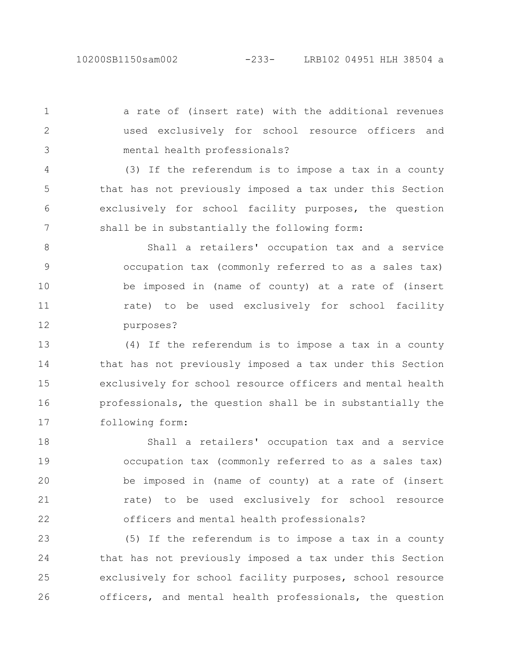a rate of (insert rate) with the additional revenues used exclusively for school resource officers and mental health professionals? 1 2 3

(3) If the referendum is to impose a tax in a county that has not previously imposed a tax under this Section exclusively for school facility purposes, the question shall be in substantially the following form: 4 5 6 7

Shall a retailers' occupation tax and a service occupation tax (commonly referred to as a sales tax) be imposed in (name of county) at a rate of (insert rate) to be used exclusively for school facility purposes? 8 9 10 11 12

(4) If the referendum is to impose a tax in a county that has not previously imposed a tax under this Section exclusively for school resource officers and mental health professionals, the question shall be in substantially the following form: 13 14 15 16 17

Shall a retailers' occupation tax and a service occupation tax (commonly referred to as a sales tax) be imposed in (name of county) at a rate of (insert rate) to be used exclusively for school resource officers and mental health professionals? 18 19 20 21 22

(5) If the referendum is to impose a tax in a county that has not previously imposed a tax under this Section exclusively for school facility purposes, school resource officers, and mental health professionals, the question 23 24 25 26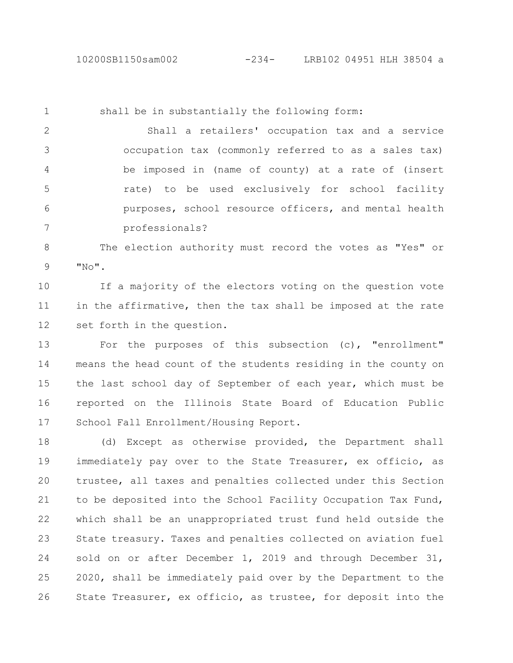shall be in substantially the following form: Shall a retailers' occupation tax and a service occupation tax (commonly referred to as a sales tax) be imposed in (name of county) at a rate of (insert rate) to be used exclusively for school facility purposes, school resource officers, and mental health professionals? 1 2 3 4 5 6 7

The election authority must record the votes as "Yes" or  $"N$ <sup> $"$ </sup>. 8 9

If a majority of the electors voting on the question vote in the affirmative, then the tax shall be imposed at the rate set forth in the question. 10 11 12

For the purposes of this subsection (c), "enrollment" means the head count of the students residing in the county on the last school day of September of each year, which must be reported on the Illinois State Board of Education Public School Fall Enrollment/Housing Report. 13 14 15 16 17

(d) Except as otherwise provided, the Department shall immediately pay over to the State Treasurer, ex officio, as trustee, all taxes and penalties collected under this Section to be deposited into the School Facility Occupation Tax Fund, which shall be an unappropriated trust fund held outside the State treasury. Taxes and penalties collected on aviation fuel sold on or after December 1, 2019 and through December 31, 2020, shall be immediately paid over by the Department to the State Treasurer, ex officio, as trustee, for deposit into the 18 19 20 21 22 23 24 25 26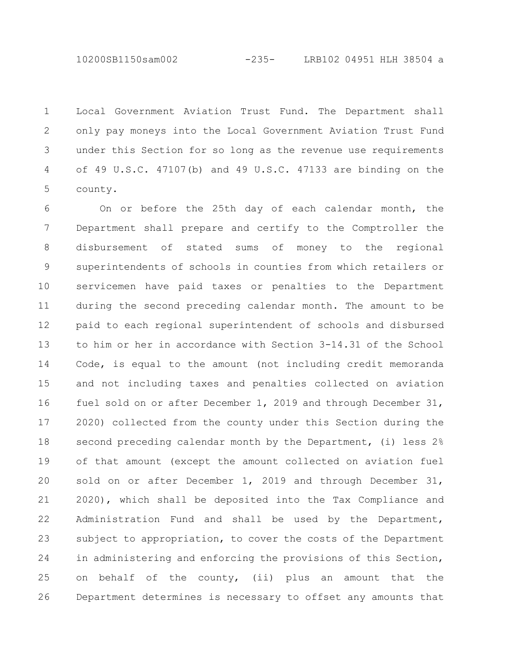10200SB1150sam002 -235- LRB102 04951 HLH 38504 a

Local Government Aviation Trust Fund. The Department shall only pay moneys into the Local Government Aviation Trust Fund under this Section for so long as the revenue use requirements of 49 U.S.C. 47107(b) and 49 U.S.C. 47133 are binding on the county. 1 2 3 4 5

On or before the 25th day of each calendar month, the Department shall prepare and certify to the Comptroller the disbursement of stated sums of money to the regional superintendents of schools in counties from which retailers or servicemen have paid taxes or penalties to the Department during the second preceding calendar month. The amount to be paid to each regional superintendent of schools and disbursed to him or her in accordance with Section 3-14.31 of the School Code, is equal to the amount (not including credit memoranda and not including taxes and penalties collected on aviation fuel sold on or after December 1, 2019 and through December 31, 2020) collected from the county under this Section during the second preceding calendar month by the Department, (i) less 2% of that amount (except the amount collected on aviation fuel sold on or after December 1, 2019 and through December 31, 2020), which shall be deposited into the Tax Compliance and Administration Fund and shall be used by the Department, subject to appropriation, to cover the costs of the Department in administering and enforcing the provisions of this Section, on behalf of the county, (ii) plus an amount that the Department determines is necessary to offset any amounts that 6 7 8 9 10 11 12 13 14 15 16 17 18 19 20 21 22 23 24 25 26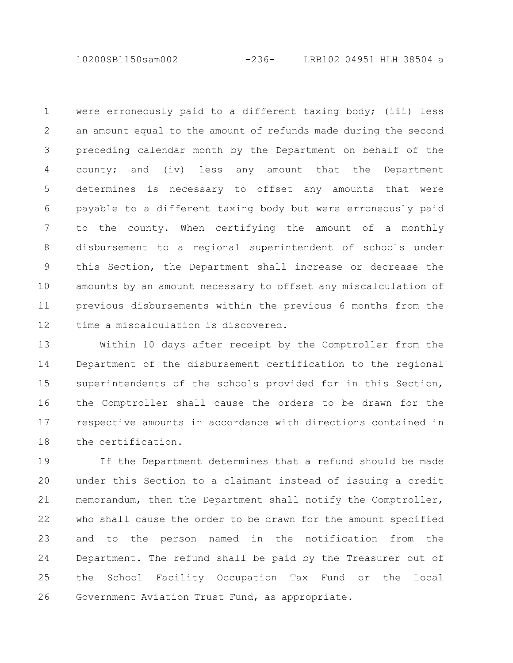10200SB1150sam002 -236- LRB102 04951 HLH 38504 a

were erroneously paid to a different taxing body; (iii) less an amount equal to the amount of refunds made during the second preceding calendar month by the Department on behalf of the county; and (iv) less any amount that the Department determines is necessary to offset any amounts that were payable to a different taxing body but were erroneously paid to the county. When certifying the amount of a monthly disbursement to a regional superintendent of schools under this Section, the Department shall increase or decrease the amounts by an amount necessary to offset any miscalculation of previous disbursements within the previous 6 months from the time a miscalculation is discovered. 1 2 3 4 5 6 7 8 9 10 11 12

Within 10 days after receipt by the Comptroller from the Department of the disbursement certification to the regional superintendents of the schools provided for in this Section, the Comptroller shall cause the orders to be drawn for the respective amounts in accordance with directions contained in the certification. 13 14 15 16 17 18

If the Department determines that a refund should be made under this Section to a claimant instead of issuing a credit memorandum, then the Department shall notify the Comptroller, who shall cause the order to be drawn for the amount specified and to the person named in the notification from the Department. The refund shall be paid by the Treasurer out of the School Facility Occupation Tax Fund or the Local Government Aviation Trust Fund, as appropriate. 19 20 21 22 23 24 25 26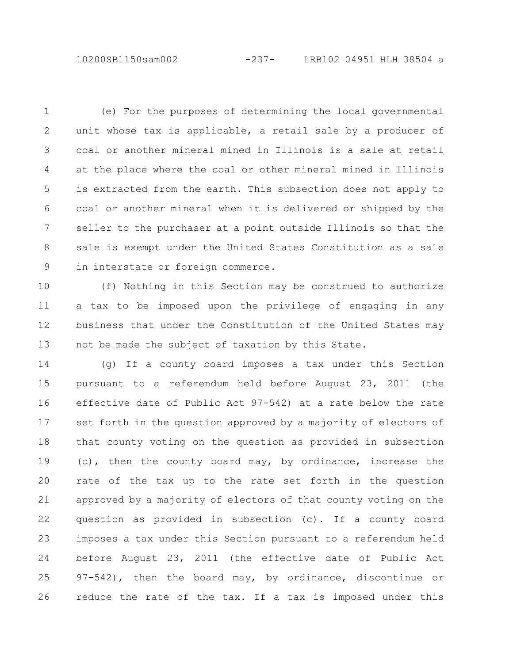10200SB1150sam002 -237- LRB102 04951 HLH 38504 a

(e) For the purposes of determining the local governmental unit whose tax is applicable, a retail sale by a producer of coal or another mineral mined in Illinois is a sale at retail at the place where the coal or other mineral mined in Illinois is extracted from the earth. This subsection does not apply to coal or another mineral when it is delivered or shipped by the seller to the purchaser at a point outside Illinois so that the sale is exempt under the United States Constitution as a sale in interstate or foreign commerce. 1 2 3 4 5 6 7 8 9

(f) Nothing in this Section may be construed to authorize a tax to be imposed upon the privilege of engaging in any business that under the Constitution of the United States may not be made the subject of taxation by this State. 10 11 12 13

(g) If a county board imposes a tax under this Section pursuant to a referendum held before August 23, 2011 (the effective date of Public Act 97-542) at a rate below the rate set forth in the question approved by a majority of electors of that county voting on the question as provided in subsection (c), then the county board may, by ordinance, increase the rate of the tax up to the rate set forth in the question approved by a majority of electors of that county voting on the question as provided in subsection (c). If a county board imposes a tax under this Section pursuant to a referendum held before August 23, 2011 (the effective date of Public Act 97-542), then the board may, by ordinance, discontinue or reduce the rate of the tax. If a tax is imposed under this 14 15 16 17 18 19 20 21 22 23 24 25 26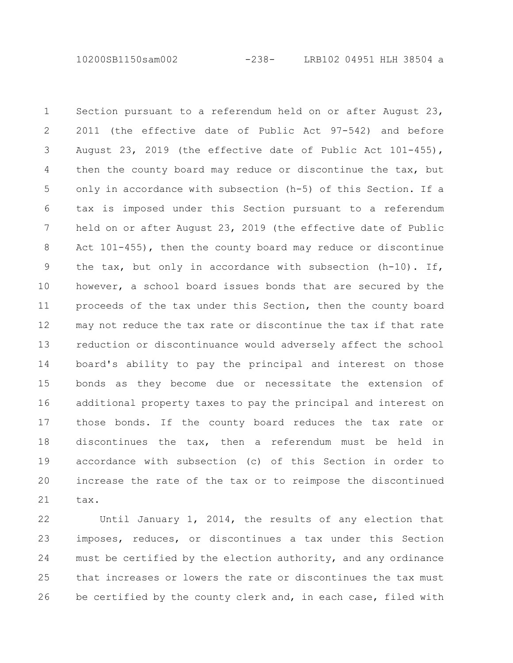10200SB1150sam002 -238- LRB102 04951 HLH 38504 a

Section pursuant to a referendum held on or after August 23, 2011 (the effective date of Public Act 97-542) and before August 23, 2019 (the effective date of Public Act 101-455), then the county board may reduce or discontinue the tax, but only in accordance with subsection (h-5) of this Section. If a tax is imposed under this Section pursuant to a referendum held on or after August 23, 2019 (the effective date of Public Act 101-455), then the county board may reduce or discontinue the tax, but only in accordance with subsection (h-10). If, however, a school board issues bonds that are secured by the proceeds of the tax under this Section, then the county board may not reduce the tax rate or discontinue the tax if that rate reduction or discontinuance would adversely affect the school board's ability to pay the principal and interest on those bonds as they become due or necessitate the extension of additional property taxes to pay the principal and interest on those bonds. If the county board reduces the tax rate or discontinues the tax, then a referendum must be held in accordance with subsection (c) of this Section in order to increase the rate of the tax or to reimpose the discontinued tax. 1 2 3 4 5 6 7 8 9 10 11 12 13 14 15 16 17 18 19 20 21

Until January 1, 2014, the results of any election that imposes, reduces, or discontinues a tax under this Section must be certified by the election authority, and any ordinance that increases or lowers the rate or discontinues the tax must be certified by the county clerk and, in each case, filed with 22 23 24 25 26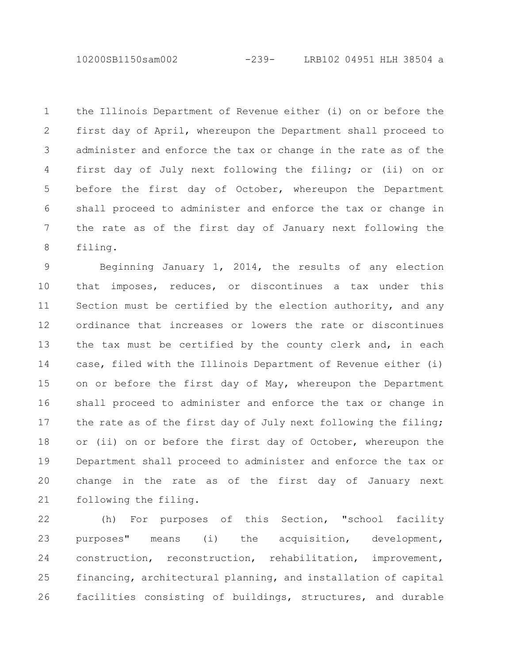10200SB1150sam002 -239- LRB102 04951 HLH 38504 a

the Illinois Department of Revenue either (i) on or before the first day of April, whereupon the Department shall proceed to administer and enforce the tax or change in the rate as of the first day of July next following the filing; or (ii) on or before the first day of October, whereupon the Department shall proceed to administer and enforce the tax or change in the rate as of the first day of January next following the filing. 1 2 3 4 5 6 7 8

Beginning January 1, 2014, the results of any election that imposes, reduces, or discontinues a tax under this Section must be certified by the election authority, and any ordinance that increases or lowers the rate or discontinues the tax must be certified by the county clerk and, in each case, filed with the Illinois Department of Revenue either (i) on or before the first day of May, whereupon the Department shall proceed to administer and enforce the tax or change in the rate as of the first day of July next following the filing; or (ii) on or before the first day of October, whereupon the Department shall proceed to administer and enforce the tax or change in the rate as of the first day of January next following the filing. 9 10 11 12 13 14 15 16 17 18 19 20 21

(h) For purposes of this Section, "school facility purposes" means (i) the acquisition, development, construction, reconstruction, rehabilitation, improvement, financing, architectural planning, and installation of capital facilities consisting of buildings, structures, and durable 22 23 24 25 26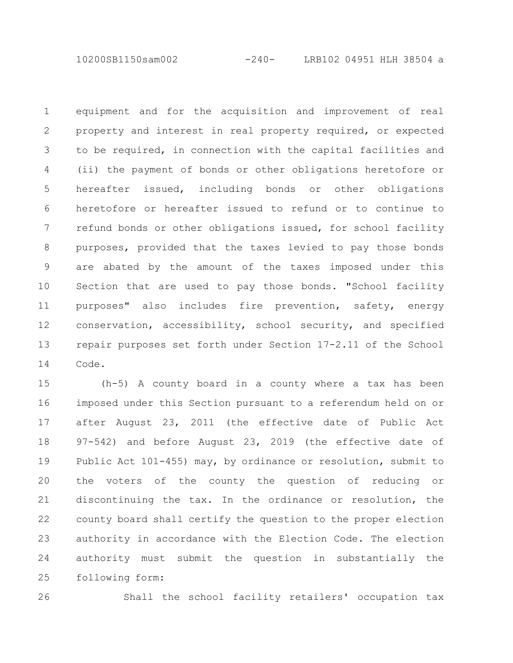10200SB1150sam002 -240- LRB102 04951 HLH 38504 a

equipment and for the acquisition and improvement of real property and interest in real property required, or expected to be required, in connection with the capital facilities and (ii) the payment of bonds or other obligations heretofore or hereafter issued, including bonds or other obligations heretofore or hereafter issued to refund or to continue to refund bonds or other obligations issued, for school facility purposes, provided that the taxes levied to pay those bonds are abated by the amount of the taxes imposed under this Section that are used to pay those bonds. "School facility purposes" also includes fire prevention, safety, energy conservation, accessibility, school security, and specified repair purposes set forth under Section 17-2.11 of the School Code. 1 2 3 4 5 6 7 8 9 10 11 12 13 14

(h-5) A county board in a county where a tax has been imposed under this Section pursuant to a referendum held on or after August 23, 2011 (the effective date of Public Act 97-542) and before August 23, 2019 (the effective date of Public Act 101-455) may, by ordinance or resolution, submit to the voters of the county the question of reducing or discontinuing the tax. In the ordinance or resolution, the county board shall certify the question to the proper election authority in accordance with the Election Code. The election authority must submit the question in substantially the following form: 15 16 17 18 19 20 21 22 23 24 25

26

Shall the school facility retailers' occupation tax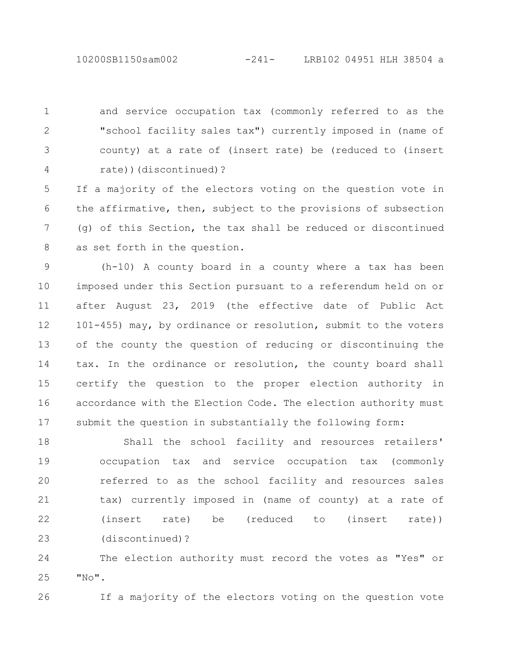and service occupation tax (commonly referred to as the "school facility sales tax") currently imposed in (name of county) at a rate of (insert rate) be (reduced to (insert rate))(discontinued)? 1 2 3 4

If a majority of the electors voting on the question vote in the affirmative, then, subject to the provisions of subsection (g) of this Section, the tax shall be reduced or discontinued as set forth in the question. 5 6 7 8

(h-10) A county board in a county where a tax has been imposed under this Section pursuant to a referendum held on or after August 23, 2019 (the effective date of Public Act 101-455) may, by ordinance or resolution, submit to the voters of the county the question of reducing or discontinuing the tax. In the ordinance or resolution, the county board shall certify the question to the proper election authority in accordance with the Election Code. The election authority must submit the question in substantially the following form: 9 10 11 12 13 14 15 16 17

Shall the school facility and resources retailers' occupation tax and service occupation tax (commonly referred to as the school facility and resources sales tax) currently imposed in (name of county) at a rate of (insert rate) be (reduced to (insert rate)) (discontinued)? 18 19 20 21 22 23

The election authority must record the votes as "Yes" or  $"$  No $"$ . 24 25

26

If a majority of the electors voting on the question vote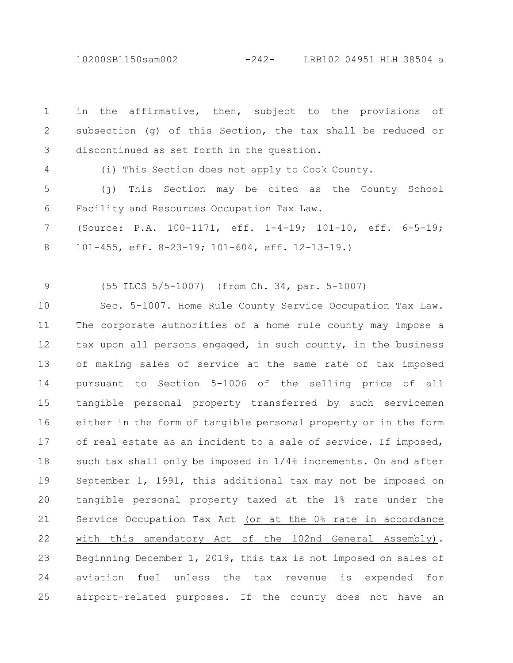10200SB1150sam002 -242- LRB102 04951 HLH 38504 a

in the affirmative, then, subject to the provisions of subsection (g) of this Section, the tax shall be reduced or discontinued as set forth in the question. 1 2 3

4

(i) This Section does not apply to Cook County.

(j) This Section may be cited as the County School Facility and Resources Occupation Tax Law. 5 6

(Source: P.A. 100-1171, eff. 1-4-19; 101-10, eff. 6-5-19; 101-455, eff. 8-23-19; 101-604, eff. 12-13-19.) 7 8

(55 ILCS 5/5-1007) (from Ch. 34, par. 5-1007) 9

Sec. 5-1007. Home Rule County Service Occupation Tax Law. The corporate authorities of a home rule county may impose a tax upon all persons engaged, in such county, in the business of making sales of service at the same rate of tax imposed pursuant to Section 5-1006 of the selling price of all tangible personal property transferred by such servicemen either in the form of tangible personal property or in the form of real estate as an incident to a sale of service. If imposed, such tax shall only be imposed in 1/4% increments. On and after September 1, 1991, this additional tax may not be imposed on tangible personal property taxed at the 1% rate under the Service Occupation Tax Act (or at the 0% rate in accordance with this amendatory Act of the 102nd General Assembly). Beginning December 1, 2019, this tax is not imposed on sales of aviation fuel unless the tax revenue is expended for airport-related purposes. If the county does not have an 10 11 12 13 14 15 16 17 18 19 20 21 22 23 24 25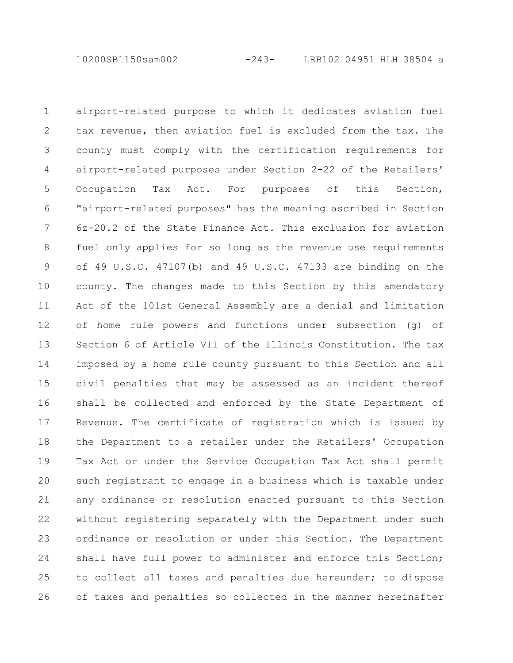10200SB1150sam002 -243- LRB102 04951 HLH 38504 a

airport-related purpose to which it dedicates aviation fuel tax revenue, then aviation fuel is excluded from the tax. The county must comply with the certification requirements for airport-related purposes under Section 2-22 of the Retailers' Occupation Tax Act. For purposes of this Section, "airport-related purposes" has the meaning ascribed in Section 6z-20.2 of the State Finance Act. This exclusion for aviation fuel only applies for so long as the revenue use requirements of 49 U.S.C. 47107(b) and 49 U.S.C. 47133 are binding on the county. The changes made to this Section by this amendatory Act of the 101st General Assembly are a denial and limitation of home rule powers and functions under subsection (g) of Section 6 of Article VII of the Illinois Constitution. The tax imposed by a home rule county pursuant to this Section and all civil penalties that may be assessed as an incident thereof shall be collected and enforced by the State Department of Revenue. The certificate of registration which is issued by the Department to a retailer under the Retailers' Occupation Tax Act or under the Service Occupation Tax Act shall permit such registrant to engage in a business which is taxable under any ordinance or resolution enacted pursuant to this Section without registering separately with the Department under such ordinance or resolution or under this Section. The Department shall have full power to administer and enforce this Section; to collect all taxes and penalties due hereunder; to dispose of taxes and penalties so collected in the manner hereinafter 1 2 3 4 5 6 7 8 9 10 11 12 13 14 15 16 17 18 19 20 21 22 23 24 25 26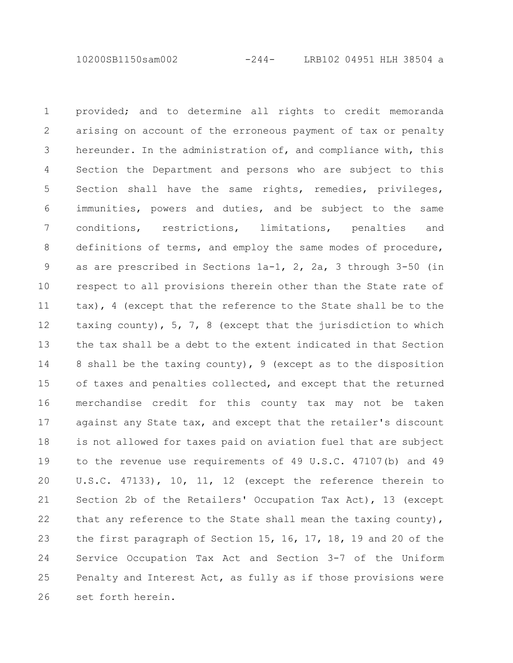10200SB1150sam002 -244- LRB102 04951 HLH 38504 a

provided; and to determine all rights to credit memoranda arising on account of the erroneous payment of tax or penalty hereunder. In the administration of, and compliance with, this Section the Department and persons who are subject to this Section shall have the same rights, remedies, privileges, immunities, powers and duties, and be subject to the same conditions, restrictions, limitations, penalties and definitions of terms, and employ the same modes of procedure, as are prescribed in Sections 1a-1, 2, 2a, 3 through 3-50 (in respect to all provisions therein other than the State rate of tax), 4 (except that the reference to the State shall be to the taxing county), 5, 7, 8 (except that the jurisdiction to which the tax shall be a debt to the extent indicated in that Section 8 shall be the taxing county), 9 (except as to the disposition of taxes and penalties collected, and except that the returned merchandise credit for this county tax may not be taken against any State tax, and except that the retailer's discount is not allowed for taxes paid on aviation fuel that are subject to the revenue use requirements of 49 U.S.C. 47107(b) and 49 U.S.C. 47133), 10, 11, 12 (except the reference therein to Section 2b of the Retailers' Occupation Tax Act), 13 (except that any reference to the State shall mean the taxing county), the first paragraph of Section 15, 16, 17, 18, 19 and 20 of the Service Occupation Tax Act and Section 3-7 of the Uniform Penalty and Interest Act, as fully as if those provisions were set forth herein. 1 2 3 4 5 6 7 8 9 10 11 12 13 14 15 16 17 18 19 20 21 22 23 24 25 26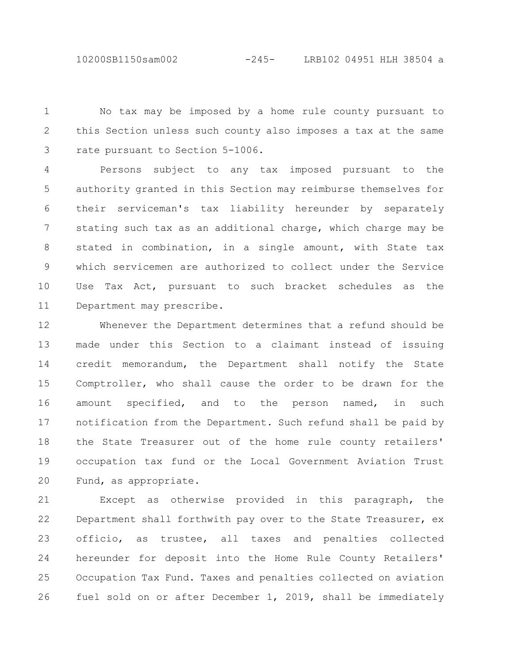10200SB1150sam002 -245- LRB102 04951 HLH 38504 a

No tax may be imposed by a home rule county pursuant to this Section unless such county also imposes a tax at the same rate pursuant to Section 5-1006. 1 2 3

Persons subject to any tax imposed pursuant to the authority granted in this Section may reimburse themselves for their serviceman's tax liability hereunder by separately stating such tax as an additional charge, which charge may be stated in combination, in a single amount, with State tax which servicemen are authorized to collect under the Service Use Tax Act, pursuant to such bracket schedules as the Department may prescribe. 4 5 6 7 8 9 10 11

Whenever the Department determines that a refund should be made under this Section to a claimant instead of issuing credit memorandum, the Department shall notify the State Comptroller, who shall cause the order to be drawn for the amount specified, and to the person named, in such notification from the Department. Such refund shall be paid by the State Treasurer out of the home rule county retailers' occupation tax fund or the Local Government Aviation Trust Fund, as appropriate. 12 13 14 15 16 17 18 19 20

Except as otherwise provided in this paragraph, the Department shall forthwith pay over to the State Treasurer, ex officio, as trustee, all taxes and penalties collected hereunder for deposit into the Home Rule County Retailers' Occupation Tax Fund. Taxes and penalties collected on aviation fuel sold on or after December 1, 2019, shall be immediately 21 22 23 24 25 26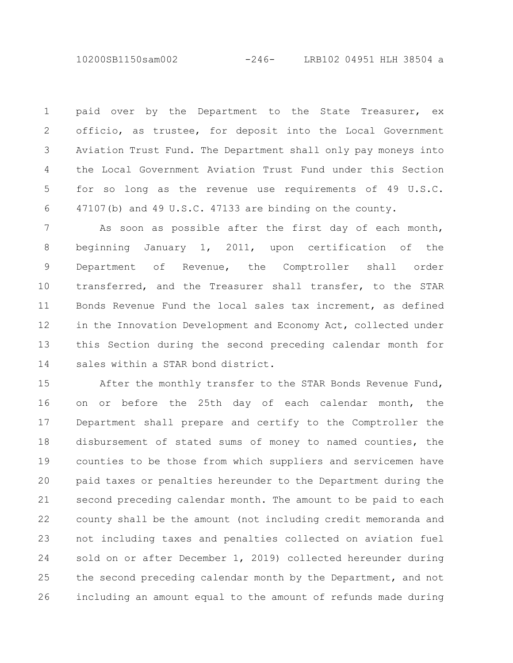10200SB1150sam002 -246- LRB102 04951 HLH 38504 a

paid over by the Department to the State Treasurer, ex officio, as trustee, for deposit into the Local Government Aviation Trust Fund. The Department shall only pay moneys into the Local Government Aviation Trust Fund under this Section for so long as the revenue use requirements of 49 U.S.C. 47107(b) and 49 U.S.C. 47133 are binding on the county. 1 2 3 4 5 6

As soon as possible after the first day of each month, beginning January 1, 2011, upon certification of the Department of Revenue, the Comptroller shall order transferred, and the Treasurer shall transfer, to the STAR Bonds Revenue Fund the local sales tax increment, as defined in the Innovation Development and Economy Act, collected under this Section during the second preceding calendar month for sales within a STAR bond district. 7 8 9 10 11 12 13 14

After the monthly transfer to the STAR Bonds Revenue Fund, on or before the 25th day of each calendar month, the Department shall prepare and certify to the Comptroller the disbursement of stated sums of money to named counties, the counties to be those from which suppliers and servicemen have paid taxes or penalties hereunder to the Department during the second preceding calendar month. The amount to be paid to each county shall be the amount (not including credit memoranda and not including taxes and penalties collected on aviation fuel sold on or after December 1, 2019) collected hereunder during the second preceding calendar month by the Department, and not including an amount equal to the amount of refunds made during 15 16 17 18 19 20 21 22 23 24 25 26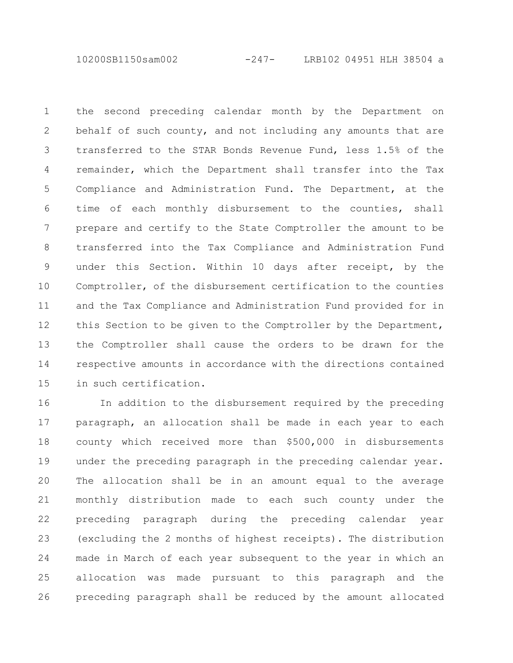10200SB1150sam002 -247- LRB102 04951 HLH 38504 a

the second preceding calendar month by the Department on behalf of such county, and not including any amounts that are transferred to the STAR Bonds Revenue Fund, less 1.5% of the remainder, which the Department shall transfer into the Tax Compliance and Administration Fund. The Department, at the time of each monthly disbursement to the counties, shall prepare and certify to the State Comptroller the amount to be transferred into the Tax Compliance and Administration Fund under this Section. Within 10 days after receipt, by the Comptroller, of the disbursement certification to the counties and the Tax Compliance and Administration Fund provided for in this Section to be given to the Comptroller by the Department, the Comptroller shall cause the orders to be drawn for the respective amounts in accordance with the directions contained in such certification. 1 2 3 4 5 6 7 8 9 10 11 12 13 14 15

In addition to the disbursement required by the preceding paragraph, an allocation shall be made in each year to each county which received more than \$500,000 in disbursements under the preceding paragraph in the preceding calendar year. The allocation shall be in an amount equal to the average monthly distribution made to each such county under the preceding paragraph during the preceding calendar year (excluding the 2 months of highest receipts). The distribution made in March of each year subsequent to the year in which an allocation was made pursuant to this paragraph and the preceding paragraph shall be reduced by the amount allocated 16 17 18 19 20 21 22 23 24 25 26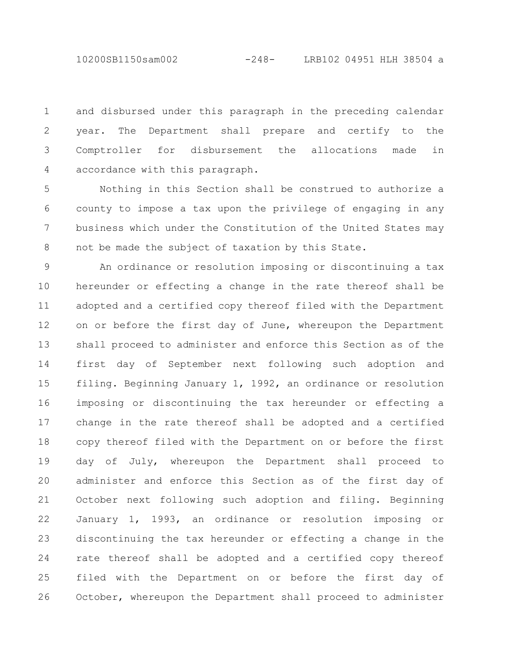and disbursed under this paragraph in the preceding calendar year. The Department shall prepare and certify to the Comptroller for disbursement the allocations made in accordance with this paragraph. 1 2 3 4

Nothing in this Section shall be construed to authorize a county to impose a tax upon the privilege of engaging in any business which under the Constitution of the United States may not be made the subject of taxation by this State. 5 6 7 8

An ordinance or resolution imposing or discontinuing a tax hereunder or effecting a change in the rate thereof shall be adopted and a certified copy thereof filed with the Department on or before the first day of June, whereupon the Department shall proceed to administer and enforce this Section as of the first day of September next following such adoption and filing. Beginning January 1, 1992, an ordinance or resolution imposing or discontinuing the tax hereunder or effecting a change in the rate thereof shall be adopted and a certified copy thereof filed with the Department on or before the first day of July, whereupon the Department shall proceed to administer and enforce this Section as of the first day of October next following such adoption and filing. Beginning January 1, 1993, an ordinance or resolution imposing or discontinuing the tax hereunder or effecting a change in the rate thereof shall be adopted and a certified copy thereof filed with the Department on or before the first day of October, whereupon the Department shall proceed to administer 9 10 11 12 13 14 15 16 17 18 19 20 21 22 23 24 25 26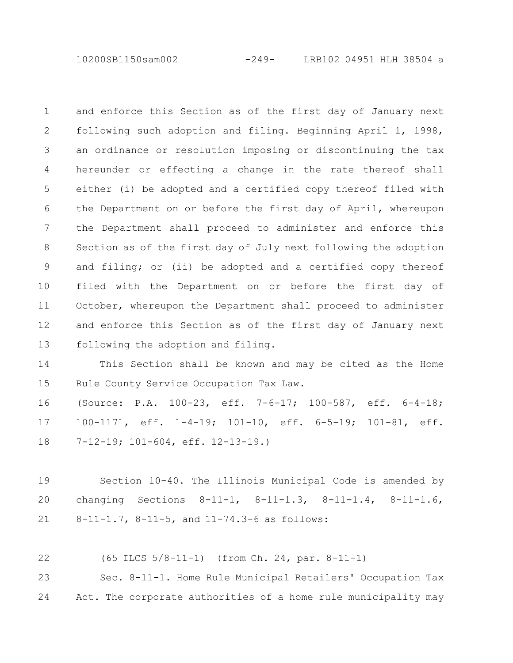10200SB1150sam002 -249- LRB102 04951 HLH 38504 a

and enforce this Section as of the first day of January next following such adoption and filing. Beginning April 1, 1998, an ordinance or resolution imposing or discontinuing the tax hereunder or effecting a change in the rate thereof shall either (i) be adopted and a certified copy thereof filed with the Department on or before the first day of April, whereupon the Department shall proceed to administer and enforce this Section as of the first day of July next following the adoption and filing; or (ii) be adopted and a certified copy thereof filed with the Department on or before the first day of October, whereupon the Department shall proceed to administer and enforce this Section as of the first day of January next following the adoption and filing. 1 2 3 4 5 6 7 8 9 10 11 12 13

This Section shall be known and may be cited as the Home Rule County Service Occupation Tax Law. 14 15

(Source: P.A. 100-23, eff. 7-6-17; 100-587, eff. 6-4-18; 100-1171, eff. 1-4-19; 101-10, eff. 6-5-19; 101-81, eff. 7-12-19; 101-604, eff. 12-13-19.) 16 17 18

Section 10-40. The Illinois Municipal Code is amended by changing Sections 8-11-1, 8-11-1.3, 8-11-1.4, 8-11-1.6, 8-11-1.7, 8-11-5, and 11-74.3-6 as follows: 19 20 21

(65 ILCS 5/8-11-1) (from Ch. 24, par. 8-11-1) 22

Sec. 8-11-1. Home Rule Municipal Retailers' Occupation Tax Act. The corporate authorities of a home rule municipality may 23 24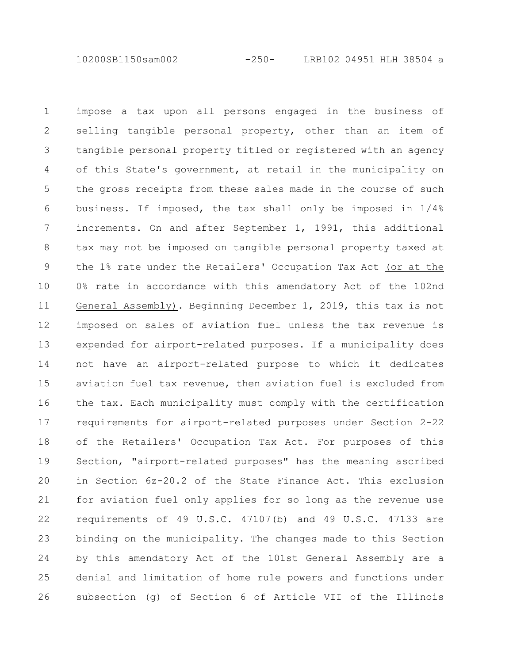10200SB1150sam002 -250- LRB102 04951 HLH 38504 a

impose a tax upon all persons engaged in the business of selling tangible personal property, other than an item of tangible personal property titled or registered with an agency of this State's government, at retail in the municipality on the gross receipts from these sales made in the course of such business. If imposed, the tax shall only be imposed in 1/4% increments. On and after September 1, 1991, this additional tax may not be imposed on tangible personal property taxed at the 1% rate under the Retailers' Occupation Tax Act (or at the 0% rate in accordance with this amendatory Act of the 102nd General Assembly). Beginning December 1, 2019, this tax is not imposed on sales of aviation fuel unless the tax revenue is expended for airport-related purposes. If a municipality does not have an airport-related purpose to which it dedicates aviation fuel tax revenue, then aviation fuel is excluded from the tax. Each municipality must comply with the certification requirements for airport-related purposes under Section 2-22 of the Retailers' Occupation Tax Act. For purposes of this Section, "airport-related purposes" has the meaning ascribed in Section 6z-20.2 of the State Finance Act. This exclusion for aviation fuel only applies for so long as the revenue use requirements of 49 U.S.C. 47107(b) and 49 U.S.C. 47133 are binding on the municipality. The changes made to this Section by this amendatory Act of the 101st General Assembly are a denial and limitation of home rule powers and functions under subsection (g) of Section 6 of Article VII of the Illinois 1 2 3 4 5 6 7 8 9 10 11 12 13 14 15 16 17 18 19 20 21 22 23 24 25 26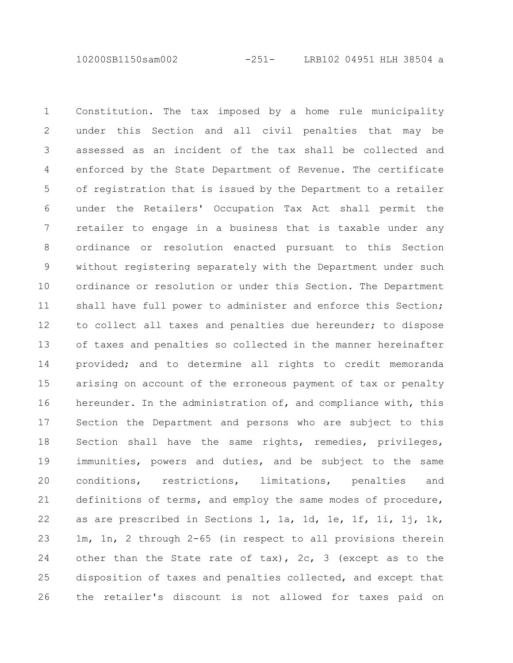10200SB1150sam002 -251- LRB102 04951 HLH 38504 a

Constitution. The tax imposed by a home rule municipality under this Section and all civil penalties that may be assessed as an incident of the tax shall be collected and enforced by the State Department of Revenue. The certificate of registration that is issued by the Department to a retailer under the Retailers' Occupation Tax Act shall permit the retailer to engage in a business that is taxable under any ordinance or resolution enacted pursuant to this Section without registering separately with the Department under such ordinance or resolution or under this Section. The Department shall have full power to administer and enforce this Section; to collect all taxes and penalties due hereunder; to dispose of taxes and penalties so collected in the manner hereinafter provided; and to determine all rights to credit memoranda arising on account of the erroneous payment of tax or penalty hereunder. In the administration of, and compliance with, this Section the Department and persons who are subject to this Section shall have the same rights, remedies, privileges, immunities, powers and duties, and be subject to the same conditions, restrictions, limitations, penalties and definitions of terms, and employ the same modes of procedure, as are prescribed in Sections 1, 1a, 1d, 1e, 1f, 1i, 1j, 1k, 1m, 1n, 2 through 2-65 (in respect to all provisions therein other than the State rate of tax),  $2c$ , 3 (except as to the disposition of taxes and penalties collected, and except that the retailer's discount is not allowed for taxes paid on 1 2 3 4 5 6 7 8 9 10 11 12 13 14 15 16 17 18 19 20 21 22 23 24 25 26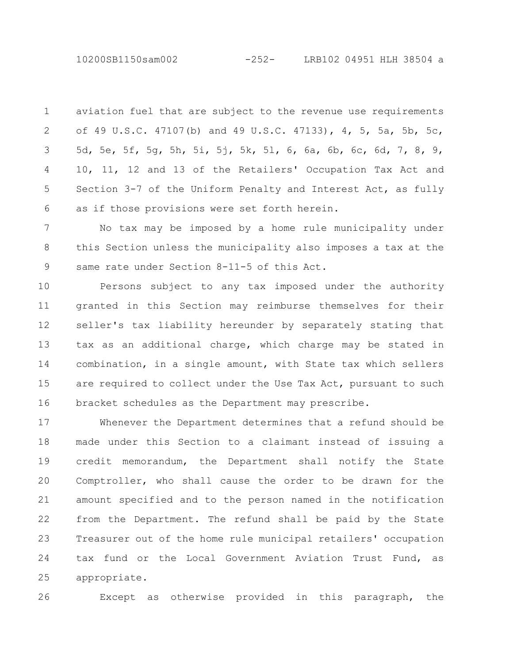10200SB1150sam002 -252- LRB102 04951 HLH 38504 a

aviation fuel that are subject to the revenue use requirements of 49 U.S.C. 47107(b) and 49 U.S.C. 47133), 4, 5, 5a, 5b, 5c, 5d, 5e, 5f, 5g, 5h, 5i, 5j, 5k, 5l, 6, 6a, 6b, 6c, 6d, 7, 8, 9, 10, 11, 12 and 13 of the Retailers' Occupation Tax Act and Section 3-7 of the Uniform Penalty and Interest Act, as fully as if those provisions were set forth herein. 1 2 3 4 5 6

No tax may be imposed by a home rule municipality under this Section unless the municipality also imposes a tax at the same rate under Section 8-11-5 of this Act. 7 8 9

Persons subject to any tax imposed under the authority granted in this Section may reimburse themselves for their seller's tax liability hereunder by separately stating that tax as an additional charge, which charge may be stated in combination, in a single amount, with State tax which sellers are required to collect under the Use Tax Act, pursuant to such bracket schedules as the Department may prescribe. 10 11 12 13 14 15 16

Whenever the Department determines that a refund should be made under this Section to a claimant instead of issuing a credit memorandum, the Department shall notify the State Comptroller, who shall cause the order to be drawn for the amount specified and to the person named in the notification from the Department. The refund shall be paid by the State Treasurer out of the home rule municipal retailers' occupation tax fund or the Local Government Aviation Trust Fund, as appropriate. 17 18 19 20 21 22 23 24 25

26

Except as otherwise provided in this paragraph, the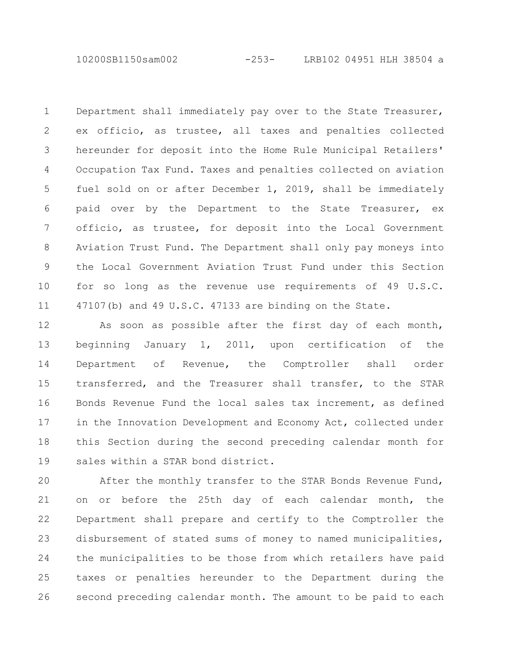10200SB1150sam002 -253- LRB102 04951 HLH 38504 a

Department shall immediately pay over to the State Treasurer, ex officio, as trustee, all taxes and penalties collected hereunder for deposit into the Home Rule Municipal Retailers' Occupation Tax Fund. Taxes and penalties collected on aviation fuel sold on or after December 1, 2019, shall be immediately paid over by the Department to the State Treasurer, ex officio, as trustee, for deposit into the Local Government Aviation Trust Fund. The Department shall only pay moneys into the Local Government Aviation Trust Fund under this Section for so long as the revenue use requirements of 49 U.S.C. 47107(b) and 49 U.S.C. 47133 are binding on the State. 1 2 3 4 5 6 7 8 9 10 11

As soon as possible after the first day of each month, beginning January 1, 2011, upon certification of the Department of Revenue, the Comptroller shall order transferred, and the Treasurer shall transfer, to the STAR Bonds Revenue Fund the local sales tax increment, as defined in the Innovation Development and Economy Act, collected under this Section during the second preceding calendar month for sales within a STAR bond district. 12 13 14 15 16 17 18 19

After the monthly transfer to the STAR Bonds Revenue Fund, on or before the 25th day of each calendar month, the Department shall prepare and certify to the Comptroller the disbursement of stated sums of money to named municipalities, the municipalities to be those from which retailers have paid taxes or penalties hereunder to the Department during the second preceding calendar month. The amount to be paid to each 20 21 22 23 24 25 26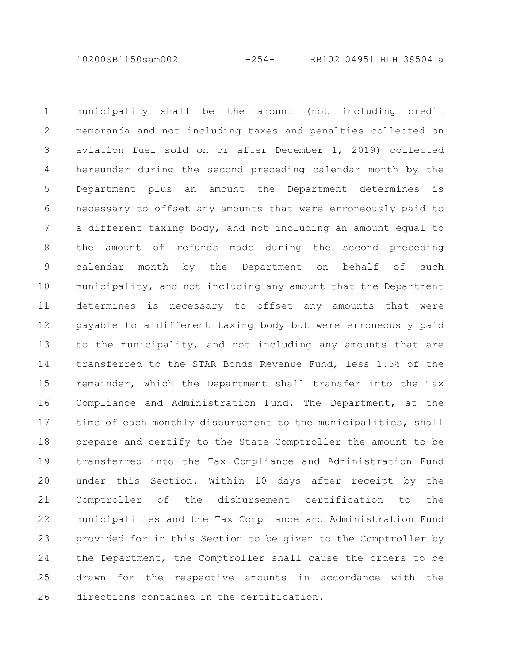10200SB1150sam002 -254- LRB102 04951 HLH 38504 a

municipality shall be the amount (not including credit memoranda and not including taxes and penalties collected on aviation fuel sold on or after December 1, 2019) collected hereunder during the second preceding calendar month by the Department plus an amount the Department determines is necessary to offset any amounts that were erroneously paid to a different taxing body, and not including an amount equal to the amount of refunds made during the second preceding calendar month by the Department on behalf of such municipality, and not including any amount that the Department determines is necessary to offset any amounts that were payable to a different taxing body but were erroneously paid to the municipality, and not including any amounts that are transferred to the STAR Bonds Revenue Fund, less 1.5% of the remainder, which the Department shall transfer into the Tax Compliance and Administration Fund. The Department, at the time of each monthly disbursement to the municipalities, shall prepare and certify to the State Comptroller the amount to be transferred into the Tax Compliance and Administration Fund under this Section. Within 10 days after receipt by the Comptroller of the disbursement certification to the municipalities and the Tax Compliance and Administration Fund provided for in this Section to be given to the Comptroller by the Department, the Comptroller shall cause the orders to be drawn for the respective amounts in accordance with the directions contained in the certification. 1 2 3 4 5 6 7 8 9 10 11 12 13 14 15 16 17 18 19 20 21 22 23 24 25 26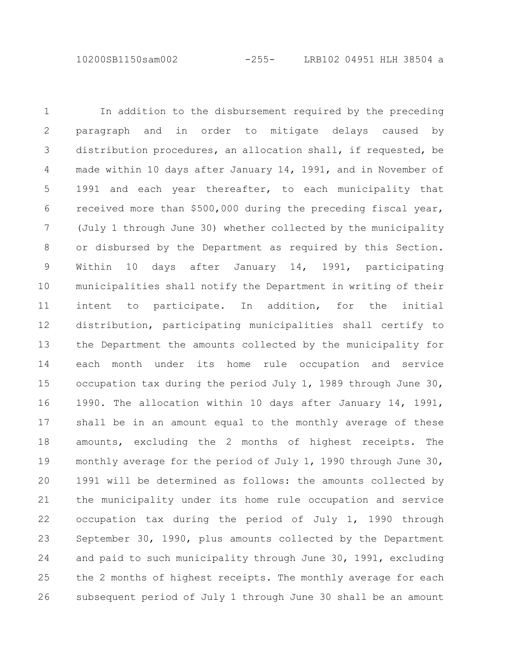10200SB1150sam002 -255- LRB102 04951 HLH 38504 a

In addition to the disbursement required by the preceding paragraph and in order to mitigate delays caused by distribution procedures, an allocation shall, if requested, be made within 10 days after January 14, 1991, and in November of 1991 and each year thereafter, to each municipality that received more than \$500,000 during the preceding fiscal year, (July 1 through June 30) whether collected by the municipality or disbursed by the Department as required by this Section. Within 10 days after January 14, 1991, participating municipalities shall notify the Department in writing of their intent to participate. In addition, for the initial distribution, participating municipalities shall certify to the Department the amounts collected by the municipality for each month under its home rule occupation and service occupation tax during the period July 1, 1989 through June 30, 1990. The allocation within 10 days after January 14, 1991, shall be in an amount equal to the monthly average of these amounts, excluding the 2 months of highest receipts. The monthly average for the period of July 1, 1990 through June 30, 1991 will be determined as follows: the amounts collected by the municipality under its home rule occupation and service occupation tax during the period of July 1, 1990 through September 30, 1990, plus amounts collected by the Department and paid to such municipality through June 30, 1991, excluding the 2 months of highest receipts. The monthly average for each subsequent period of July 1 through June 30 shall be an amount 1 2 3 4 5 6 7 8 9 10 11 12 13 14 15 16 17 18 19 20 21 22 23 24 25 26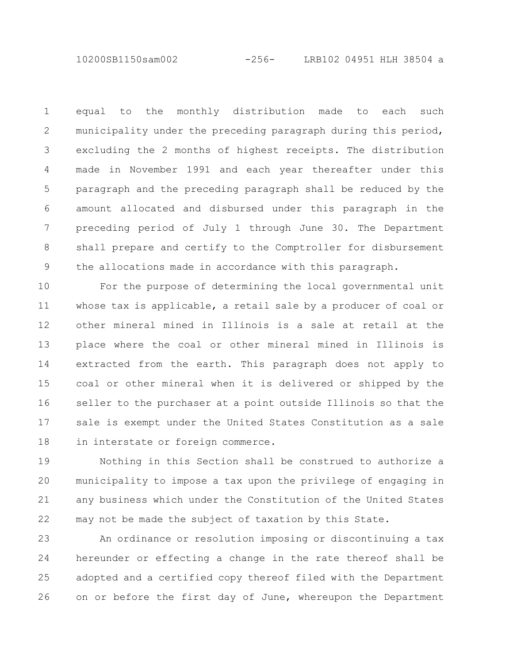10200SB1150sam002 -256- LRB102 04951 HLH 38504 a

equal to the monthly distribution made to each such municipality under the preceding paragraph during this period, excluding the 2 months of highest receipts. The distribution made in November 1991 and each year thereafter under this paragraph and the preceding paragraph shall be reduced by the amount allocated and disbursed under this paragraph in the preceding period of July 1 through June 30. The Department shall prepare and certify to the Comptroller for disbursement the allocations made in accordance with this paragraph. 1 2 3 4 5 6 7 8 9

For the purpose of determining the local governmental unit whose tax is applicable, a retail sale by a producer of coal or other mineral mined in Illinois is a sale at retail at the place where the coal or other mineral mined in Illinois is extracted from the earth. This paragraph does not apply to coal or other mineral when it is delivered or shipped by the seller to the purchaser at a point outside Illinois so that the sale is exempt under the United States Constitution as a sale in interstate or foreign commerce. 10 11 12 13 14 15 16 17 18

Nothing in this Section shall be construed to authorize a municipality to impose a tax upon the privilege of engaging in any business which under the Constitution of the United States may not be made the subject of taxation by this State. 19 20 21 22

An ordinance or resolution imposing or discontinuing a tax hereunder or effecting a change in the rate thereof shall be adopted and a certified copy thereof filed with the Department on or before the first day of June, whereupon the Department 23 24 25 26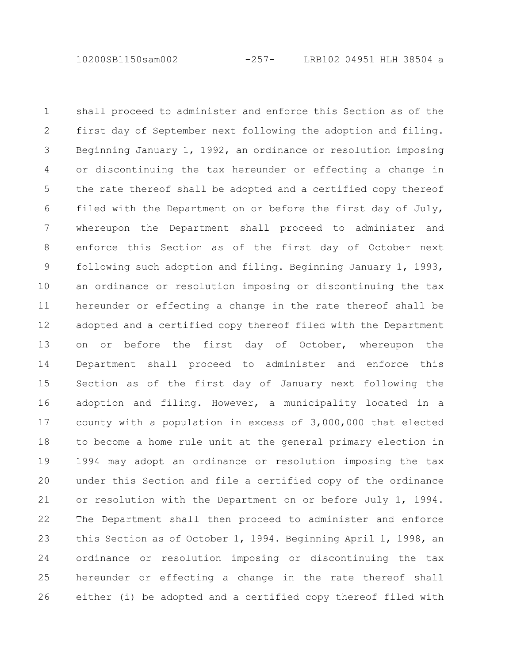10200SB1150sam002 -257- LRB102 04951 HLH 38504 a

shall proceed to administer and enforce this Section as of the first day of September next following the adoption and filing. Beginning January 1, 1992, an ordinance or resolution imposing or discontinuing the tax hereunder or effecting a change in the rate thereof shall be adopted and a certified copy thereof filed with the Department on or before the first day of July, whereupon the Department shall proceed to administer and enforce this Section as of the first day of October next following such adoption and filing. Beginning January 1, 1993, an ordinance or resolution imposing or discontinuing the tax hereunder or effecting a change in the rate thereof shall be adopted and a certified copy thereof filed with the Department on or before the first day of October, whereupon the Department shall proceed to administer and enforce this Section as of the first day of January next following the adoption and filing. However, a municipality located in a county with a population in excess of 3,000,000 that elected to become a home rule unit at the general primary election in 1994 may adopt an ordinance or resolution imposing the tax under this Section and file a certified copy of the ordinance or resolution with the Department on or before July 1, 1994. The Department shall then proceed to administer and enforce this Section as of October 1, 1994. Beginning April 1, 1998, an ordinance or resolution imposing or discontinuing the tax hereunder or effecting a change in the rate thereof shall either (i) be adopted and a certified copy thereof filed with 1 2 3 4 5 6 7 8 9 10 11 12 13 14 15 16 17 18 19 20 21 22 23 24 25 26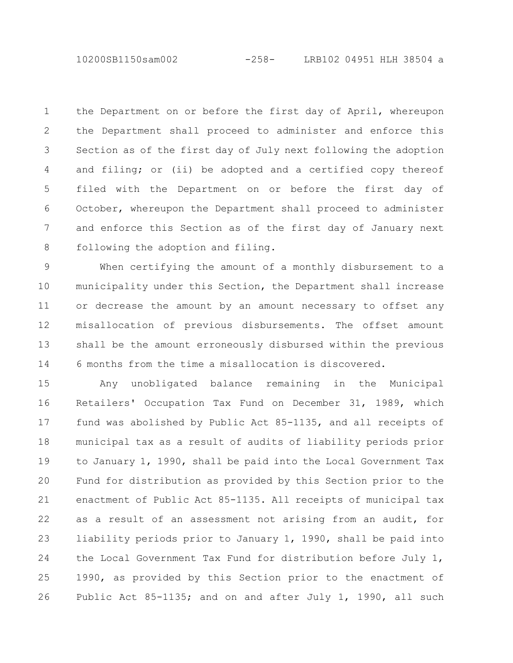10200SB1150sam002 -258- LRB102 04951 HLH 38504 a

the Department on or before the first day of April, whereupon the Department shall proceed to administer and enforce this Section as of the first day of July next following the adoption and filing; or (ii) be adopted and a certified copy thereof filed with the Department on or before the first day of October, whereupon the Department shall proceed to administer and enforce this Section as of the first day of January next following the adoption and filing. 1 2 3 4 5 6 7 8

When certifying the amount of a monthly disbursement to a municipality under this Section, the Department shall increase or decrease the amount by an amount necessary to offset any misallocation of previous disbursements. The offset amount shall be the amount erroneously disbursed within the previous 6 months from the time a misallocation is discovered. 9 10 11 12 13 14

Any unobligated balance remaining in the Municipal Retailers' Occupation Tax Fund on December 31, 1989, which fund was abolished by Public Act 85-1135, and all receipts of municipal tax as a result of audits of liability periods prior to January 1, 1990, shall be paid into the Local Government Tax Fund for distribution as provided by this Section prior to the enactment of Public Act 85-1135. All receipts of municipal tax as a result of an assessment not arising from an audit, for liability periods prior to January 1, 1990, shall be paid into the Local Government Tax Fund for distribution before July 1, 1990, as provided by this Section prior to the enactment of Public Act 85-1135; and on and after July 1, 1990, all such 15 16 17 18 19 20 21 22 23 24 25 26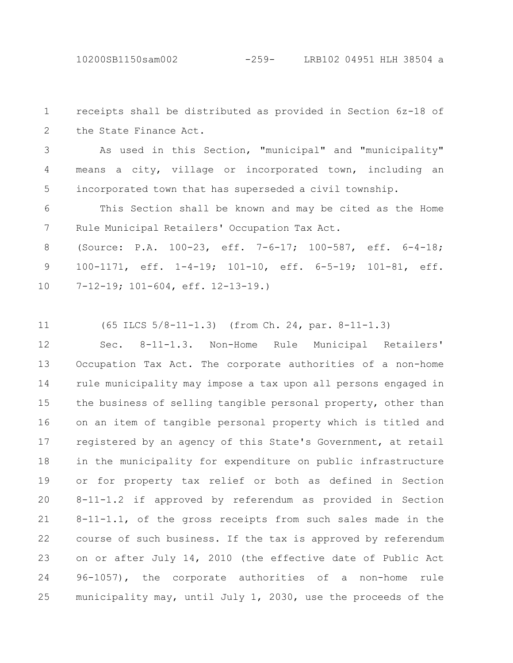receipts shall be distributed as provided in Section 6z-18 of the State Finance Act. 1 2

As used in this Section, "municipal" and "municipality" means a city, village or incorporated town, including an incorporated town that has superseded a civil township. 3 4 5

This Section shall be known and may be cited as the Home Rule Municipal Retailers' Occupation Tax Act. 6 7

(Source: P.A. 100-23, eff. 7-6-17; 100-587, eff. 6-4-18; 100-1171, eff. 1-4-19; 101-10, eff. 6-5-19; 101-81, eff. 7-12-19; 101-604, eff. 12-13-19.) 8 9 10

(65 ILCS 5/8-11-1.3) (from Ch. 24, par. 8-11-1.3) 11

Sec. 8-11-1.3. Non-Home Rule Municipal Retailers' Occupation Tax Act. The corporate authorities of a non-home rule municipality may impose a tax upon all persons engaged in the business of selling tangible personal property, other than on an item of tangible personal property which is titled and registered by an agency of this State's Government, at retail in the municipality for expenditure on public infrastructure or for property tax relief or both as defined in Section 8-11-1.2 if approved by referendum as provided in Section 8-11-1.1, of the gross receipts from such sales made in the course of such business. If the tax is approved by referendum on or after July 14, 2010 (the effective date of Public Act 96-1057), the corporate authorities of a non-home rule municipality may, until July 1, 2030, use the proceeds of the 12 13 14 15 16 17 18 19 20 21 22 23 24 25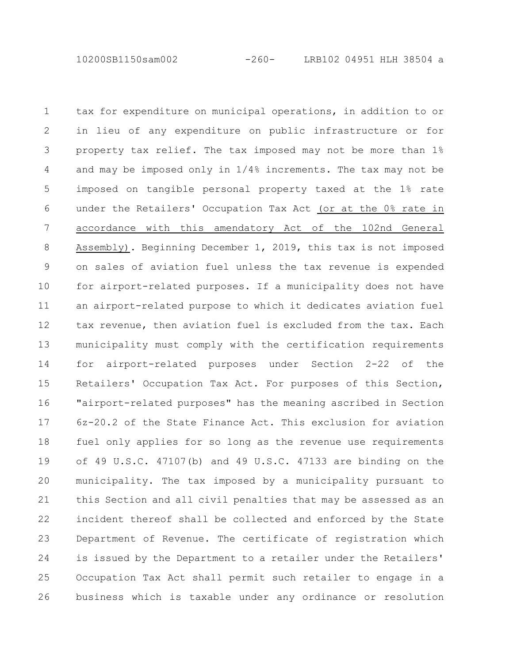10200SB1150sam002 -260- LRB102 04951 HLH 38504 a

tax for expenditure on municipal operations, in addition to or in lieu of any expenditure on public infrastructure or for property tax relief. The tax imposed may not be more than 1% and may be imposed only in 1/4% increments. The tax may not be imposed on tangible personal property taxed at the 1% rate under the Retailers' Occupation Tax Act (or at the 0% rate in accordance with this amendatory Act of the 102nd General Assembly). Beginning December 1, 2019, this tax is not imposed on sales of aviation fuel unless the tax revenue is expended for airport-related purposes. If a municipality does not have an airport-related purpose to which it dedicates aviation fuel tax revenue, then aviation fuel is excluded from the tax. Each municipality must comply with the certification requirements for airport-related purposes under Section 2-22 of the Retailers' Occupation Tax Act. For purposes of this Section, "airport-related purposes" has the meaning ascribed in Section 6z-20.2 of the State Finance Act. This exclusion for aviation fuel only applies for so long as the revenue use requirements of 49 U.S.C. 47107(b) and 49 U.S.C. 47133 are binding on the municipality. The tax imposed by a municipality pursuant to this Section and all civil penalties that may be assessed as an incident thereof shall be collected and enforced by the State Department of Revenue. The certificate of registration which is issued by the Department to a retailer under the Retailers' Occupation Tax Act shall permit such retailer to engage in a business which is taxable under any ordinance or resolution 1 2 3 4 5 6 7 8 9 10 11 12 13 14 15 16 17 18 19 20 21 22 23 24 25 26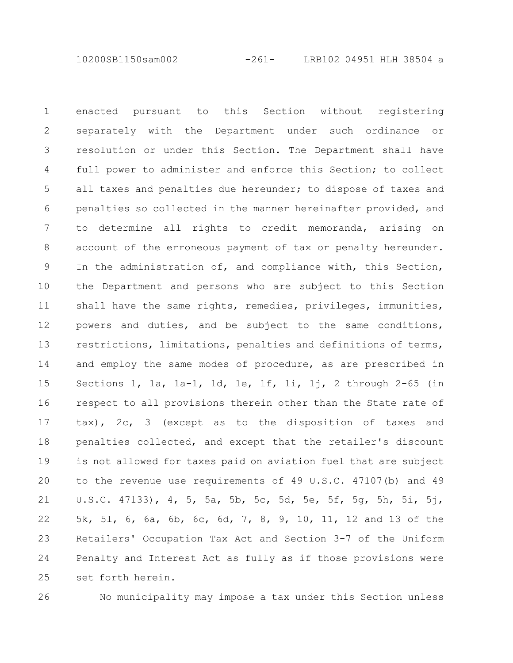10200SB1150sam002 -261- LRB102 04951 HLH 38504 a

enacted pursuant to this Section without registering separately with the Department under such ordinance or resolution or under this Section. The Department shall have full power to administer and enforce this Section; to collect all taxes and penalties due hereunder; to dispose of taxes and penalties so collected in the manner hereinafter provided, and to determine all rights to credit memoranda, arising on account of the erroneous payment of tax or penalty hereunder. In the administration of, and compliance with, this Section, the Department and persons who are subject to this Section shall have the same rights, remedies, privileges, immunities, powers and duties, and be subject to the same conditions, restrictions, limitations, penalties and definitions of terms, and employ the same modes of procedure, as are prescribed in Sections 1, 1a, 1a-1, 1d, 1e, 1f, 1i, 1j, 2 through 2-65 (in respect to all provisions therein other than the State rate of tax), 2c, 3 (except as to the disposition of taxes and penalties collected, and except that the retailer's discount is not allowed for taxes paid on aviation fuel that are subject to the revenue use requirements of 49 U.S.C. 47107(b) and 49 U.S.C. 47133), 4, 5, 5a, 5b, 5c, 5d, 5e, 5f, 5g, 5h, 5i, 5j, 5k, 5l, 6, 6a, 6b, 6c, 6d, 7, 8, 9, 10, 11, 12 and 13 of the Retailers' Occupation Tax Act and Section 3-7 of the Uniform Penalty and Interest Act as fully as if those provisions were set forth herein. 1 2 3 4 5 6 7 8 9 10 11 12 13 14 15 16 17 18 19 20 21 22 23 24 25

26

No municipality may impose a tax under this Section unless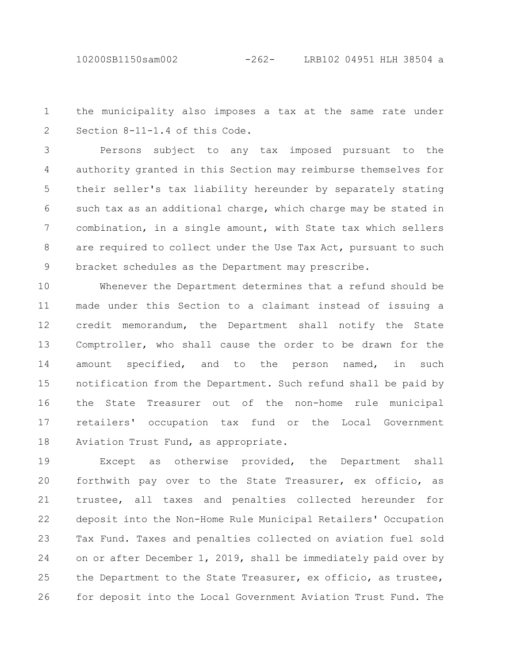10200SB1150sam002 -262- LRB102 04951 HLH 38504 a

the municipality also imposes a tax at the same rate under Section 8-11-1.4 of this Code. 1 2

Persons subject to any tax imposed pursuant to the authority granted in this Section may reimburse themselves for their seller's tax liability hereunder by separately stating such tax as an additional charge, which charge may be stated in combination, in a single amount, with State tax which sellers are required to collect under the Use Tax Act, pursuant to such bracket schedules as the Department may prescribe. 3 4 5 6 7 8 9

Whenever the Department determines that a refund should be made under this Section to a claimant instead of issuing a credit memorandum, the Department shall notify the State Comptroller, who shall cause the order to be drawn for the amount specified, and to the person named, in such notification from the Department. Such refund shall be paid by the State Treasurer out of the non-home rule municipal retailers' occupation tax fund or the Local Government Aviation Trust Fund, as appropriate. 10 11 12 13 14 15 16 17 18

Except as otherwise provided, the Department shall forthwith pay over to the State Treasurer, ex officio, as trustee, all taxes and penalties collected hereunder for deposit into the Non-Home Rule Municipal Retailers' Occupation Tax Fund. Taxes and penalties collected on aviation fuel sold on or after December 1, 2019, shall be immediately paid over by the Department to the State Treasurer, ex officio, as trustee, for deposit into the Local Government Aviation Trust Fund. The 19 20 21 22 23 24 25 26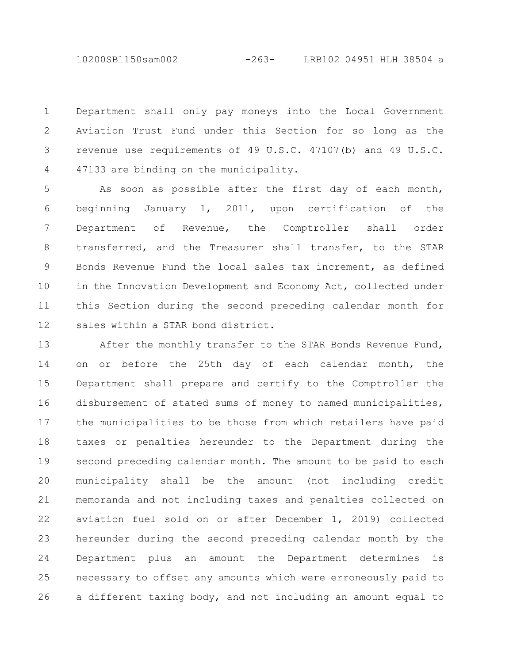10200SB1150sam002 -263- LRB102 04951 HLH 38504 a

Department shall only pay moneys into the Local Government Aviation Trust Fund under this Section for so long as the revenue use requirements of 49 U.S.C. 47107(b) and 49 U.S.C. 47133 are binding on the municipality. 1 2 3 4

As soon as possible after the first day of each month, beginning January 1, 2011, upon certification of the Department of Revenue, the Comptroller shall order transferred, and the Treasurer shall transfer, to the STAR Bonds Revenue Fund the local sales tax increment, as defined in the Innovation Development and Economy Act, collected under this Section during the second preceding calendar month for sales within a STAR bond district. 5 6 7 8 9 10 11 12

After the monthly transfer to the STAR Bonds Revenue Fund, on or before the 25th day of each calendar month, the Department shall prepare and certify to the Comptroller the disbursement of stated sums of money to named municipalities, the municipalities to be those from which retailers have paid taxes or penalties hereunder to the Department during the second preceding calendar month. The amount to be paid to each municipality shall be the amount (not including credit memoranda and not including taxes and penalties collected on aviation fuel sold on or after December 1, 2019) collected hereunder during the second preceding calendar month by the Department plus an amount the Department determines is necessary to offset any amounts which were erroneously paid to a different taxing body, and not including an amount equal to 13 14 15 16 17 18 19 20 21 22 23 24 25 26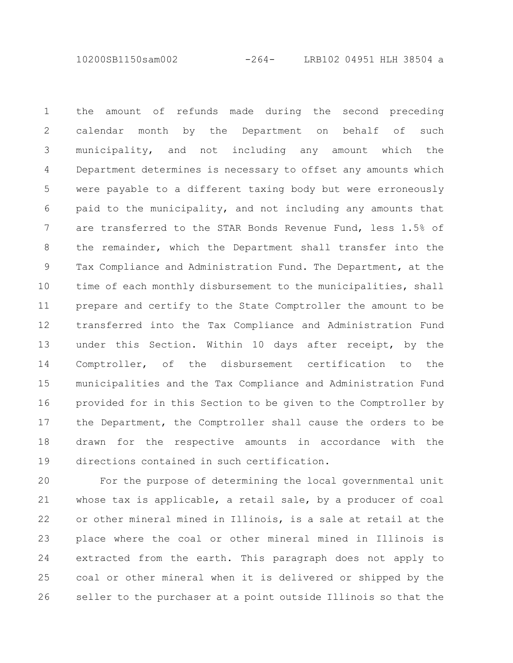10200SB1150sam002 -264- LRB102 04951 HLH 38504 a

the amount of refunds made during the second preceding calendar month by the Department on behalf of such municipality, and not including any amount which the Department determines is necessary to offset any amounts which were payable to a different taxing body but were erroneously paid to the municipality, and not including any amounts that are transferred to the STAR Bonds Revenue Fund, less 1.5% of the remainder, which the Department shall transfer into the Tax Compliance and Administration Fund. The Department, at the time of each monthly disbursement to the municipalities, shall prepare and certify to the State Comptroller the amount to be transferred into the Tax Compliance and Administration Fund under this Section. Within 10 days after receipt, by the Comptroller, of the disbursement certification to the municipalities and the Tax Compliance and Administration Fund provided for in this Section to be given to the Comptroller by the Department, the Comptroller shall cause the orders to be drawn for the respective amounts in accordance with the directions contained in such certification. 1 2 3 4 5 6 7 8 9 10 11 12 13 14 15 16 17 18 19

For the purpose of determining the local governmental unit whose tax is applicable, a retail sale, by a producer of coal or other mineral mined in Illinois, is a sale at retail at the place where the coal or other mineral mined in Illinois is extracted from the earth. This paragraph does not apply to coal or other mineral when it is delivered or shipped by the seller to the purchaser at a point outside Illinois so that the 20 21 22 23 24 25 26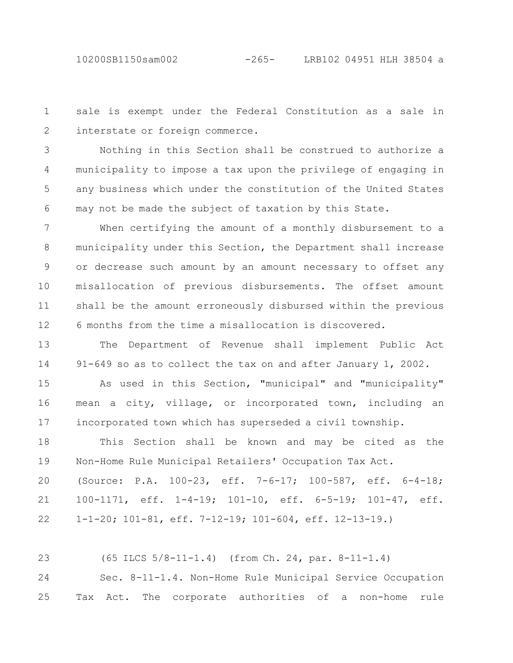sale is exempt under the Federal Constitution as a sale in interstate or foreign commerce. 1 2

Nothing in this Section shall be construed to authorize a municipality to impose a tax upon the privilege of engaging in any business which under the constitution of the United States may not be made the subject of taxation by this State. 3 4 5 6

When certifying the amount of a monthly disbursement to a municipality under this Section, the Department shall increase or decrease such amount by an amount necessary to offset any misallocation of previous disbursements. The offset amount shall be the amount erroneously disbursed within the previous 6 months from the time a misallocation is discovered. 7 8 9 10 11 12

The Department of Revenue shall implement Public Act 91-649 so as to collect the tax on and after January 1, 2002. 13 14

As used in this Section, "municipal" and "municipality" mean a city, village, or incorporated town, including an incorporated town which has superseded a civil township. 15 16 17

This Section shall be known and may be cited as the Non-Home Rule Municipal Retailers' Occupation Tax Act. (Source: P.A. 100-23, eff. 7-6-17; 100-587, eff. 6-4-18; 100-1171, eff. 1-4-19; 101-10, eff. 6-5-19; 101-47, eff. 1-1-20; 101-81, eff. 7-12-19; 101-604, eff. 12-13-19.) 18 19 20 21 22

(65 ILCS 5/8-11-1.4) (from Ch. 24, par. 8-11-1.4) Sec. 8-11-1.4. Non-Home Rule Municipal Service Occupation Tax Act. The corporate authorities of a non-home rule 23 24 25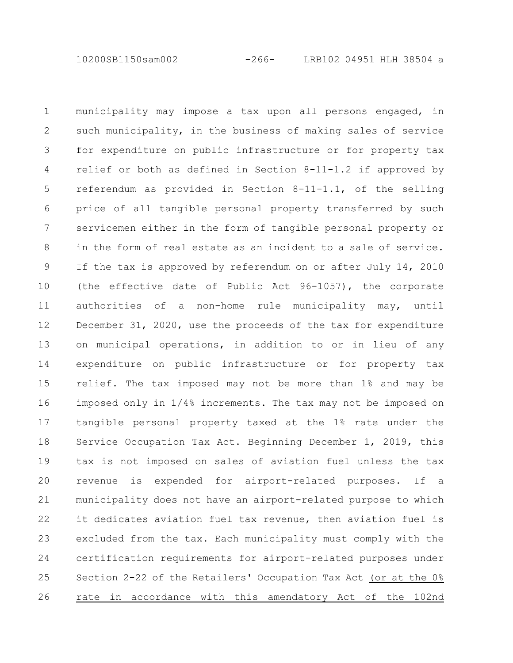10200SB1150sam002 -266- LRB102 04951 HLH 38504 a

municipality may impose a tax upon all persons engaged, in such municipality, in the business of making sales of service for expenditure on public infrastructure or for property tax relief or both as defined in Section 8-11-1.2 if approved by referendum as provided in Section 8-11-1.1, of the selling price of all tangible personal property transferred by such servicemen either in the form of tangible personal property or in the form of real estate as an incident to a sale of service. If the tax is approved by referendum on or after July 14, 2010 (the effective date of Public Act 96-1057), the corporate authorities of a non-home rule municipality may, until December 31, 2020, use the proceeds of the tax for expenditure on municipal operations, in addition to or in lieu of any expenditure on public infrastructure or for property tax relief. The tax imposed may not be more than 1% and may be imposed only in 1/4% increments. The tax may not be imposed on tangible personal property taxed at the 1% rate under the Service Occupation Tax Act. Beginning December 1, 2019, this tax is not imposed on sales of aviation fuel unless the tax revenue is expended for airport-related purposes. If a municipality does not have an airport-related purpose to which it dedicates aviation fuel tax revenue, then aviation fuel is excluded from the tax. Each municipality must comply with the certification requirements for airport-related purposes under Section 2-22 of the Retailers' Occupation Tax Act (or at the 0% rate in accordance with this amendatory Act of the 102nd 1 2 3 4 5 6 7 8 9 10 11 12 13 14 15 16 17 18 19 20 21 22 23 24 25 26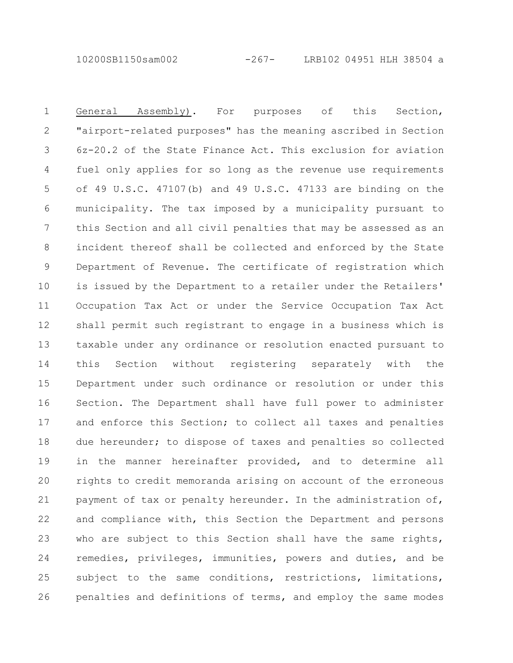10200SB1150sam002 -267- LRB102 04951 HLH 38504 a

General Assembly). For purposes of this Section, "airport-related purposes" has the meaning ascribed in Section 6z-20.2 of the State Finance Act. This exclusion for aviation fuel only applies for so long as the revenue use requirements of 49 U.S.C. 47107(b) and 49 U.S.C. 47133 are binding on the municipality. The tax imposed by a municipality pursuant to this Section and all civil penalties that may be assessed as an incident thereof shall be collected and enforced by the State Department of Revenue. The certificate of registration which is issued by the Department to a retailer under the Retailers' Occupation Tax Act or under the Service Occupation Tax Act shall permit such registrant to engage in a business which is taxable under any ordinance or resolution enacted pursuant to this Section without registering separately with the Department under such ordinance or resolution or under this Section. The Department shall have full power to administer and enforce this Section; to collect all taxes and penalties due hereunder; to dispose of taxes and penalties so collected in the manner hereinafter provided, and to determine all rights to credit memoranda arising on account of the erroneous payment of tax or penalty hereunder. In the administration of, and compliance with, this Section the Department and persons who are subject to this Section shall have the same rights, remedies, privileges, immunities, powers and duties, and be subject to the same conditions, restrictions, limitations, penalties and definitions of terms, and employ the same modes 1 2 3 4 5 6 7 8 9 10 11 12 13 14 15 16 17 18 19 20 21 22 23 24 25 26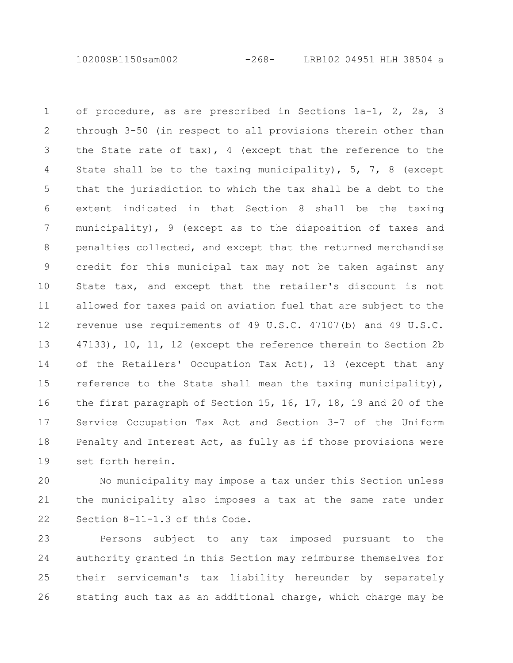10200SB1150sam002 -268- LRB102 04951 HLH 38504 a

of procedure, as are prescribed in Sections 1a-1, 2, 2a, 3 through 3-50 (in respect to all provisions therein other than the State rate of tax), 4 (except that the reference to the State shall be to the taxing municipality), 5, 7, 8 (except that the jurisdiction to which the tax shall be a debt to the extent indicated in that Section 8 shall be the taxing municipality), 9 (except as to the disposition of taxes and penalties collected, and except that the returned merchandise credit for this municipal tax may not be taken against any State tax, and except that the retailer's discount is not allowed for taxes paid on aviation fuel that are subject to the revenue use requirements of 49 U.S.C. 47107(b) and 49 U.S.C. 47133), 10, 11, 12 (except the reference therein to Section 2b of the Retailers' Occupation Tax Act), 13 (except that any reference to the State shall mean the taxing municipality), the first paragraph of Section 15, 16, 17, 18, 19 and 20 of the Service Occupation Tax Act and Section 3-7 of the Uniform Penalty and Interest Act, as fully as if those provisions were set forth herein. 1 2 3 4 5 6 7 8 9 10 11 12 13 14 15 16 17 18 19

No municipality may impose a tax under this Section unless the municipality also imposes a tax at the same rate under Section 8-11-1.3 of this Code. 20 21 22

Persons subject to any tax imposed pursuant to the authority granted in this Section may reimburse themselves for their serviceman's tax liability hereunder by separately stating such tax as an additional charge, which charge may be 23 24 25 26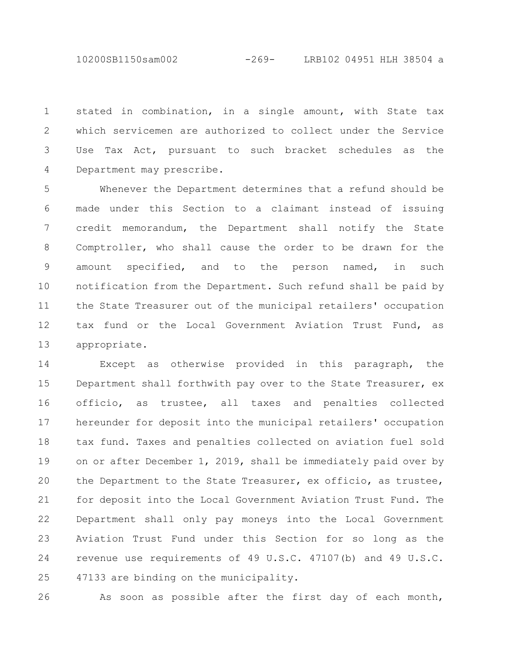10200SB1150sam002 -269- LRB102 04951 HLH 38504 a

stated in combination, in a single amount, with State tax which servicemen are authorized to collect under the Service Use Tax Act, pursuant to such bracket schedules as the Department may prescribe. 1 2 3 4

Whenever the Department determines that a refund should be made under this Section to a claimant instead of issuing credit memorandum, the Department shall notify the State Comptroller, who shall cause the order to be drawn for the amount specified, and to the person named, in such notification from the Department. Such refund shall be paid by the State Treasurer out of the municipal retailers' occupation tax fund or the Local Government Aviation Trust Fund, as appropriate. 5 6 7 8 9 10 11 12 13

Except as otherwise provided in this paragraph, the Department shall forthwith pay over to the State Treasurer, ex officio, as trustee, all taxes and penalties collected hereunder for deposit into the municipal retailers' occupation tax fund. Taxes and penalties collected on aviation fuel sold on or after December 1, 2019, shall be immediately paid over by the Department to the State Treasurer, ex officio, as trustee, for deposit into the Local Government Aviation Trust Fund. The Department shall only pay moneys into the Local Government Aviation Trust Fund under this Section for so long as the revenue use requirements of 49 U.S.C. 47107(b) and 49 U.S.C. 47133 are binding on the municipality. 14 15 16 17 18 19 20 21 22 23 24 25

26

As soon as possible after the first day of each month,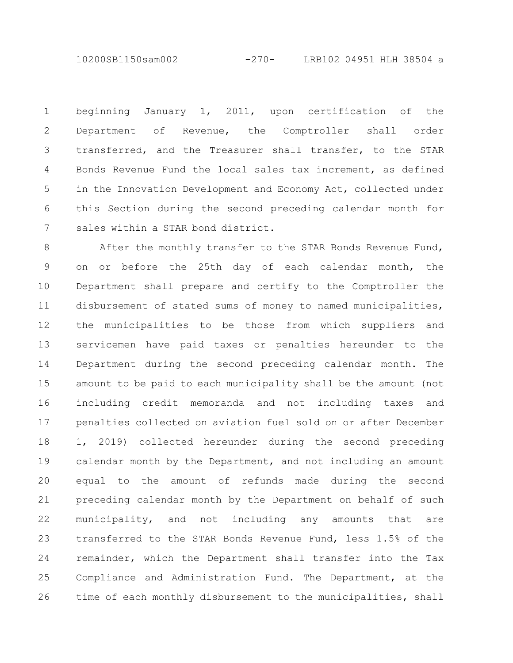10200SB1150sam002 -270- LRB102 04951 HLH 38504 a

beginning January 1, 2011, upon certification of the Department of Revenue, the Comptroller shall order transferred, and the Treasurer shall transfer, to the STAR Bonds Revenue Fund the local sales tax increment, as defined in the Innovation Development and Economy Act, collected under this Section during the second preceding calendar month for sales within a STAR bond district. 1 2 3 4 5 6 7

After the monthly transfer to the STAR Bonds Revenue Fund, on or before the 25th day of each calendar month, the Department shall prepare and certify to the Comptroller the disbursement of stated sums of money to named municipalities, the municipalities to be those from which suppliers and servicemen have paid taxes or penalties hereunder to the Department during the second preceding calendar month. The amount to be paid to each municipality shall be the amount (not including credit memoranda and not including taxes and penalties collected on aviation fuel sold on or after December 1, 2019) collected hereunder during the second preceding calendar month by the Department, and not including an amount equal to the amount of refunds made during the second preceding calendar month by the Department on behalf of such municipality, and not including any amounts that are transferred to the STAR Bonds Revenue Fund, less 1.5% of the remainder, which the Department shall transfer into the Tax Compliance and Administration Fund. The Department, at the time of each monthly disbursement to the municipalities, shall 8 9 10 11 12 13 14 15 16 17 18 19 20 21 22 23 24 25 26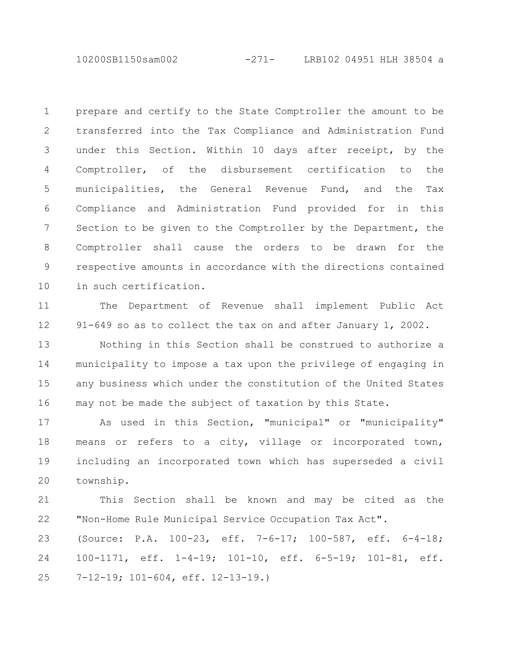10200SB1150sam002 -271- LRB102 04951 HLH 38504 a

prepare and certify to the State Comptroller the amount to be transferred into the Tax Compliance and Administration Fund under this Section. Within 10 days after receipt, by the Comptroller, of the disbursement certification to the municipalities, the General Revenue Fund, and the Tax Compliance and Administration Fund provided for in this Section to be given to the Comptroller by the Department, the Comptroller shall cause the orders to be drawn for the respective amounts in accordance with the directions contained in such certification. 1 2 3 4 5 6 7 8 9 10

The Department of Revenue shall implement Public Act 91-649 so as to collect the tax on and after January 1, 2002. 11 12

Nothing in this Section shall be construed to authorize a municipality to impose a tax upon the privilege of engaging in any business which under the constitution of the United States may not be made the subject of taxation by this State. 13 14 15 16

As used in this Section, "municipal" or "municipality" means or refers to a city, village or incorporated town, including an incorporated town which has superseded a civil township. 17 18 19 20

This Section shall be known and may be cited as the "Non-Home Rule Municipal Service Occupation Tax Act". 21 22

(Source: P.A. 100-23, eff. 7-6-17; 100-587, eff. 6-4-18; 100-1171, eff. 1-4-19; 101-10, eff. 6-5-19; 101-81, eff. 7-12-19; 101-604, eff. 12-13-19.) 23 24 25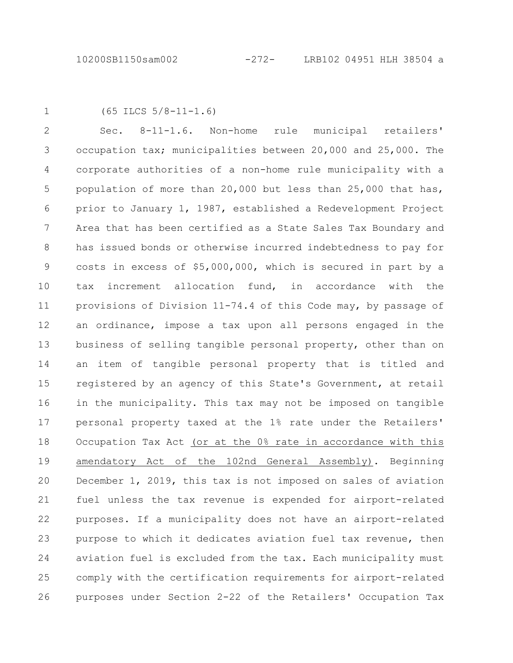```
1
```
(65 ILCS 5/8-11-1.6)

Sec. 8-11-1.6. Non-home rule municipal retailers' occupation tax; municipalities between 20,000 and 25,000. The corporate authorities of a non-home rule municipality with a population of more than 20,000 but less than 25,000 that has, prior to January 1, 1987, established a Redevelopment Project Area that has been certified as a State Sales Tax Boundary and has issued bonds or otherwise incurred indebtedness to pay for costs in excess of \$5,000,000, which is secured in part by a tax increment allocation fund, in accordance with the provisions of Division 11-74.4 of this Code may, by passage of an ordinance, impose a tax upon all persons engaged in the business of selling tangible personal property, other than on an item of tangible personal property that is titled and registered by an agency of this State's Government, at retail in the municipality. This tax may not be imposed on tangible personal property taxed at the 1% rate under the Retailers' Occupation Tax Act (or at the 0% rate in accordance with this amendatory Act of the 102nd General Assembly). Beginning December 1, 2019, this tax is not imposed on sales of aviation fuel unless the tax revenue is expended for airport-related purposes. If a municipality does not have an airport-related purpose to which it dedicates aviation fuel tax revenue, then aviation fuel is excluded from the tax. Each municipality must comply with the certification requirements for airport-related purposes under Section 2-22 of the Retailers' Occupation Tax 2 3 4 5 6 7 8 9 10 11 12 13 14 15 16 17 18 19 20 21 22 23 24 25 26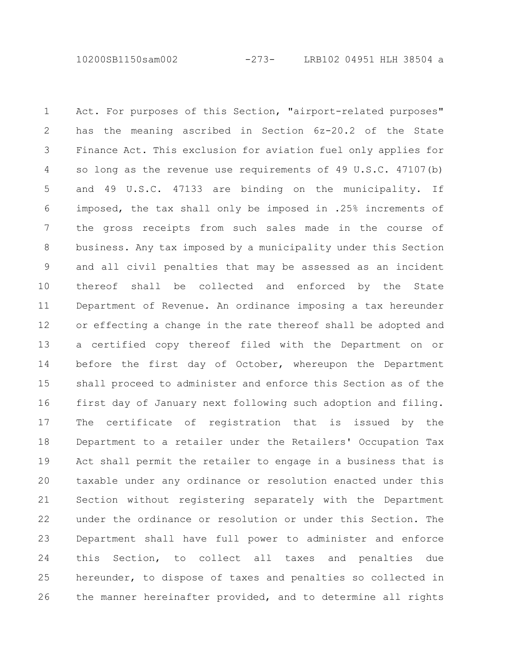10200SB1150sam002 -273- LRB102 04951 HLH 38504 a

Act. For purposes of this Section, "airport-related purposes" has the meaning ascribed in Section 6z-20.2 of the State Finance Act. This exclusion for aviation fuel only applies for so long as the revenue use requirements of 49 U.S.C. 47107(b) and 49 U.S.C. 47133 are binding on the municipality. If imposed, the tax shall only be imposed in .25% increments of the gross receipts from such sales made in the course of business. Any tax imposed by a municipality under this Section and all civil penalties that may be assessed as an incident thereof shall be collected and enforced by the State Department of Revenue. An ordinance imposing a tax hereunder or effecting a change in the rate thereof shall be adopted and a certified copy thereof filed with the Department on or before the first day of October, whereupon the Department shall proceed to administer and enforce this Section as of the first day of January next following such adoption and filing. The certificate of registration that is issued by the Department to a retailer under the Retailers' Occupation Tax Act shall permit the retailer to engage in a business that is taxable under any ordinance or resolution enacted under this Section without registering separately with the Department under the ordinance or resolution or under this Section. The Department shall have full power to administer and enforce this Section, to collect all taxes and penalties due hereunder, to dispose of taxes and penalties so collected in the manner hereinafter provided, and to determine all rights 1 2 3 4 5 6 7 8 9 10 11 12 13 14 15 16 17 18 19 20 21 22 23 24 25 26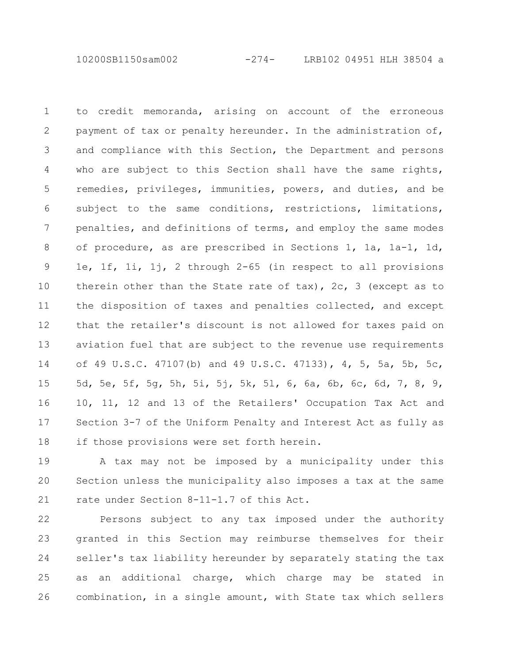10200SB1150sam002 -274- LRB102 04951 HLH 38504 a

to credit memoranda, arising on account of the erroneous payment of tax or penalty hereunder. In the administration of, and compliance with this Section, the Department and persons who are subject to this Section shall have the same rights, remedies, privileges, immunities, powers, and duties, and be subject to the same conditions, restrictions, limitations, penalties, and definitions of terms, and employ the same modes of procedure, as are prescribed in Sections 1, 1a, 1a-1, 1d, 1e, 1f, 1i, 1j, 2 through 2-65 (in respect to all provisions therein other than the State rate of  $\text{tax}$ ), 2c, 3 (except as to the disposition of taxes and penalties collected, and except that the retailer's discount is not allowed for taxes paid on aviation fuel that are subject to the revenue use requirements of 49 U.S.C. 47107(b) and 49 U.S.C. 47133), 4, 5, 5a, 5b, 5c, 5d, 5e, 5f, 5g, 5h, 5i, 5j, 5k, 5l, 6, 6a, 6b, 6c, 6d, 7, 8, 9, 10, 11, 12 and 13 of the Retailers' Occupation Tax Act and Section 3-7 of the Uniform Penalty and Interest Act as fully as if those provisions were set forth herein. 1 2 3 4 5 6 7 8 9 10 11 12 13 14 15 16 17 18

A tax may not be imposed by a municipality under this Section unless the municipality also imposes a tax at the same rate under Section 8-11-1.7 of this Act. 19 20 21

Persons subject to any tax imposed under the authority granted in this Section may reimburse themselves for their seller's tax liability hereunder by separately stating the tax as an additional charge, which charge may be stated in combination, in a single amount, with State tax which sellers 22 23 24 25 26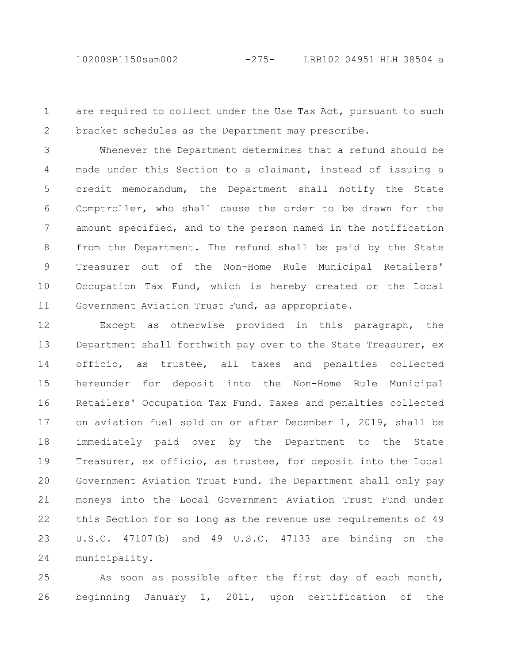are required to collect under the Use Tax Act, pursuant to such bracket schedules as the Department may prescribe. 1 2

Whenever the Department determines that a refund should be made under this Section to a claimant, instead of issuing a credit memorandum, the Department shall notify the State Comptroller, who shall cause the order to be drawn for the amount specified, and to the person named in the notification from the Department. The refund shall be paid by the State Treasurer out of the Non-Home Rule Municipal Retailers' Occupation Tax Fund, which is hereby created or the Local Government Aviation Trust Fund, as appropriate. 3 4 5 6 7 8 9 10 11

Except as otherwise provided in this paragraph, the Department shall forthwith pay over to the State Treasurer, ex officio, as trustee, all taxes and penalties collected hereunder for deposit into the Non-Home Rule Municipal Retailers' Occupation Tax Fund. Taxes and penalties collected on aviation fuel sold on or after December 1, 2019, shall be immediately paid over by the Department to the State Treasurer, ex officio, as trustee, for deposit into the Local Government Aviation Trust Fund. The Department shall only pay moneys into the Local Government Aviation Trust Fund under this Section for so long as the revenue use requirements of 49 U.S.C. 47107(b) and 49 U.S.C. 47133 are binding on the municipality. 12 13 14 15 16 17 18 19 20 21 22 23 24

As soon as possible after the first day of each month, beginning January 1, 2011, upon certification of the 25 26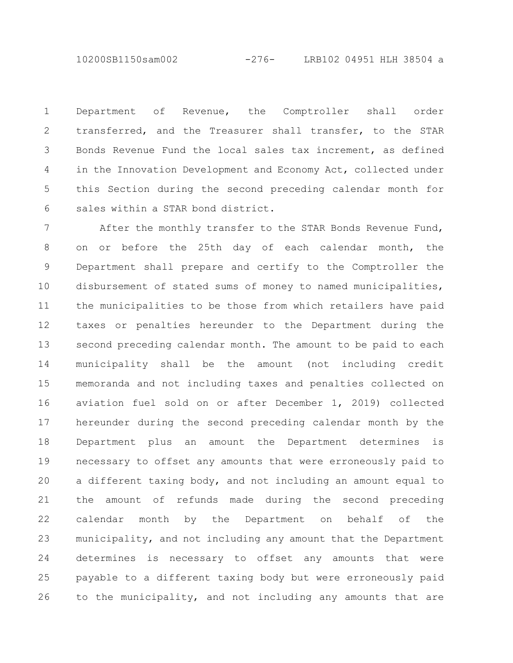10200SB1150sam002 -276- LRB102 04951 HLH 38504 a

Department of Revenue, the Comptroller shall order transferred, and the Treasurer shall transfer, to the STAR Bonds Revenue Fund the local sales tax increment, as defined in the Innovation Development and Economy Act, collected under this Section during the second preceding calendar month for sales within a STAR bond district. 1 2 3 4 5 6

After the monthly transfer to the STAR Bonds Revenue Fund, on or before the 25th day of each calendar month, the Department shall prepare and certify to the Comptroller the disbursement of stated sums of money to named municipalities, the municipalities to be those from which retailers have paid taxes or penalties hereunder to the Department during the second preceding calendar month. The amount to be paid to each municipality shall be the amount (not including credit memoranda and not including taxes and penalties collected on aviation fuel sold on or after December 1, 2019) collected hereunder during the second preceding calendar month by the Department plus an amount the Department determines is necessary to offset any amounts that were erroneously paid to a different taxing body, and not including an amount equal to the amount of refunds made during the second preceding calendar month by the Department on behalf of the municipality, and not including any amount that the Department determines is necessary to offset any amounts that were payable to a different taxing body but were erroneously paid to the municipality, and not including any amounts that are 7 8 9 10 11 12 13 14 15 16 17 18 19 20 21 22 23 24 25 26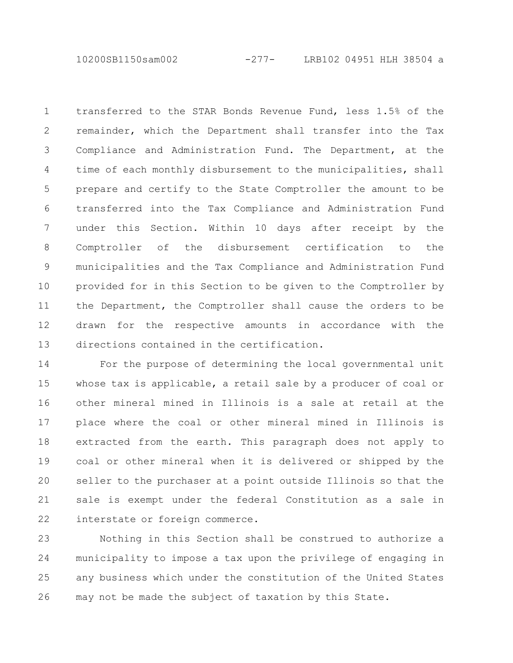10200SB1150sam002 -277- LRB102 04951 HLH 38504 a

transferred to the STAR Bonds Revenue Fund, less 1.5% of the remainder, which the Department shall transfer into the Tax Compliance and Administration Fund. The Department, at the time of each monthly disbursement to the municipalities, shall prepare and certify to the State Comptroller the amount to be transferred into the Tax Compliance and Administration Fund under this Section. Within 10 days after receipt by the Comptroller of the disbursement certification to the municipalities and the Tax Compliance and Administration Fund provided for in this Section to be given to the Comptroller by the Department, the Comptroller shall cause the orders to be drawn for the respective amounts in accordance with the directions contained in the certification. 1 2 3 4 5 6 7 8 9 10 11 12 13

For the purpose of determining the local governmental unit whose tax is applicable, a retail sale by a producer of coal or other mineral mined in Illinois is a sale at retail at the place where the coal or other mineral mined in Illinois is extracted from the earth. This paragraph does not apply to coal or other mineral when it is delivered or shipped by the seller to the purchaser at a point outside Illinois so that the sale is exempt under the federal Constitution as a sale in interstate or foreign commerce. 14 15 16 17 18 19 20 21 22

Nothing in this Section shall be construed to authorize a municipality to impose a tax upon the privilege of engaging in any business which under the constitution of the United States may not be made the subject of taxation by this State. 23 24 25 26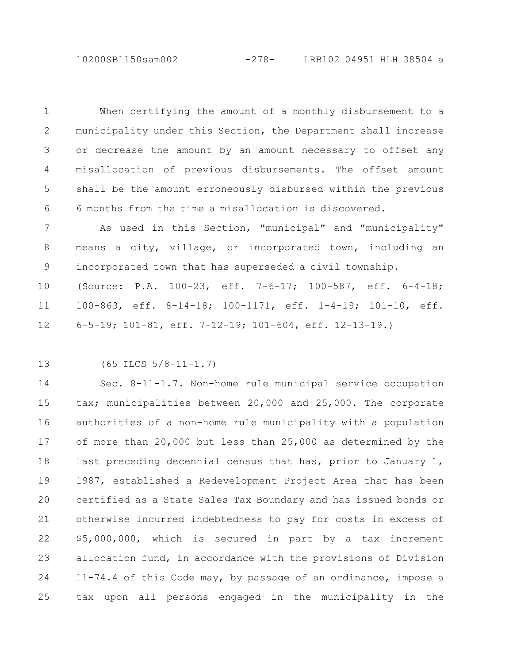10200SB1150sam002 -278- LRB102 04951 HLH 38504 a

When certifying the amount of a monthly disbursement to a municipality under this Section, the Department shall increase or decrease the amount by an amount necessary to offset any misallocation of previous disbursements. The offset amount shall be the amount erroneously disbursed within the previous 6 months from the time a misallocation is discovered. 1 2 3 4 5 6

As used in this Section, "municipal" and "municipality" means a city, village, or incorporated town, including an incorporated town that has superseded a civil township. 7 8 9

(Source: P.A. 100-23, eff. 7-6-17; 100-587, eff. 6-4-18; 100-863, eff. 8-14-18; 100-1171, eff. 1-4-19; 101-10, eff. 6-5-19; 101-81, eff. 7-12-19; 101-604, eff. 12-13-19.) 10 11 12

13

(65 ILCS 5/8-11-1.7)

Sec. 8-11-1.7. Non-home rule municipal service occupation tax; municipalities between 20,000 and 25,000. The corporate authorities of a non-home rule municipality with a population of more than 20,000 but less than 25,000 as determined by the last preceding decennial census that has, prior to January 1, 1987, established a Redevelopment Project Area that has been certified as a State Sales Tax Boundary and has issued bonds or otherwise incurred indebtedness to pay for costs in excess of \$5,000,000, which is secured in part by a tax increment allocation fund, in accordance with the provisions of Division 11-74.4 of this Code may, by passage of an ordinance, impose a tax upon all persons engaged in the municipality in the 14 15 16 17 18 19 20 21 22 23 24 25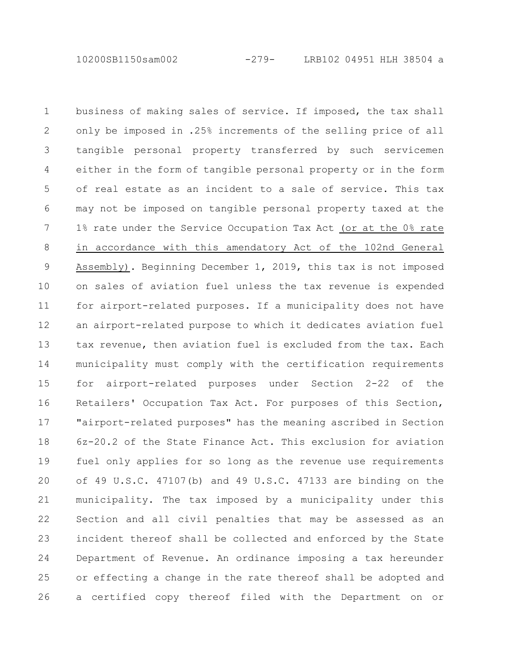10200SB1150sam002 -279- LRB102 04951 HLH 38504 a

business of making sales of service. If imposed, the tax shall only be imposed in .25% increments of the selling price of all tangible personal property transferred by such servicemen either in the form of tangible personal property or in the form of real estate as an incident to a sale of service. This tax may not be imposed on tangible personal property taxed at the 1% rate under the Service Occupation Tax Act (or at the 0% rate in accordance with this amendatory Act of the 102nd General Assembly). Beginning December 1, 2019, this tax is not imposed on sales of aviation fuel unless the tax revenue is expended for airport-related purposes. If a municipality does not have an airport-related purpose to which it dedicates aviation fuel tax revenue, then aviation fuel is excluded from the tax. Each municipality must comply with the certification requirements for airport-related purposes under Section 2-22 of the Retailers' Occupation Tax Act. For purposes of this Section, "airport-related purposes" has the meaning ascribed in Section 6z-20.2 of the State Finance Act. This exclusion for aviation fuel only applies for so long as the revenue use requirements of 49 U.S.C. 47107(b) and 49 U.S.C. 47133 are binding on the municipality. The tax imposed by a municipality under this Section and all civil penalties that may be assessed as an incident thereof shall be collected and enforced by the State Department of Revenue. An ordinance imposing a tax hereunder or effecting a change in the rate thereof shall be adopted and a certified copy thereof filed with the Department on or 1 2 3 4 5 6 7 8 9 10 11 12 13 14 15 16 17 18 19 20 21 22 23 24 25 26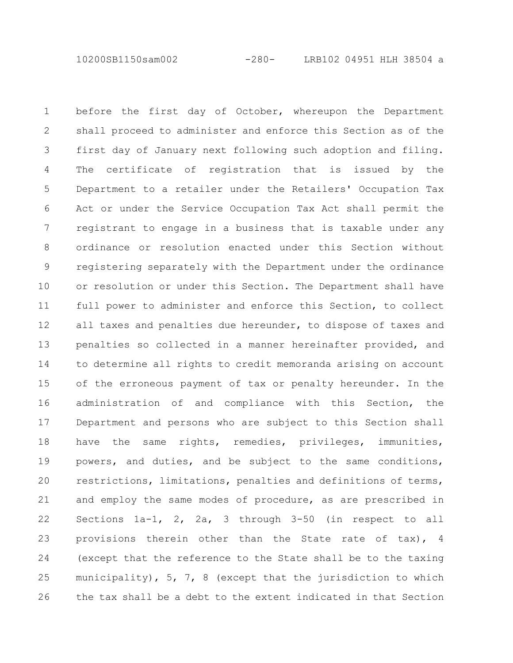10200SB1150sam002 -280- LRB102 04951 HLH 38504 a

before the first day of October, whereupon the Department shall proceed to administer and enforce this Section as of the first day of January next following such adoption and filing. The certificate of registration that is issued by the Department to a retailer under the Retailers' Occupation Tax Act or under the Service Occupation Tax Act shall permit the registrant to engage in a business that is taxable under any ordinance or resolution enacted under this Section without registering separately with the Department under the ordinance or resolution or under this Section. The Department shall have full power to administer and enforce this Section, to collect all taxes and penalties due hereunder, to dispose of taxes and penalties so collected in a manner hereinafter provided, and to determine all rights to credit memoranda arising on account of the erroneous payment of tax or penalty hereunder. In the administration of and compliance with this Section, the Department and persons who are subject to this Section shall have the same rights, remedies, privileges, immunities, powers, and duties, and be subject to the same conditions, restrictions, limitations, penalties and definitions of terms, and employ the same modes of procedure, as are prescribed in Sections 1a-1, 2, 2a, 3 through 3-50 (in respect to all provisions therein other than the State rate of tax), 4 (except that the reference to the State shall be to the taxing municipality), 5, 7, 8 (except that the jurisdiction to which the tax shall be a debt to the extent indicated in that Section 1 2 3 4 5 6 7 8 9 10 11 12 13 14 15 16 17 18 19 20 21 22 23 24 25 26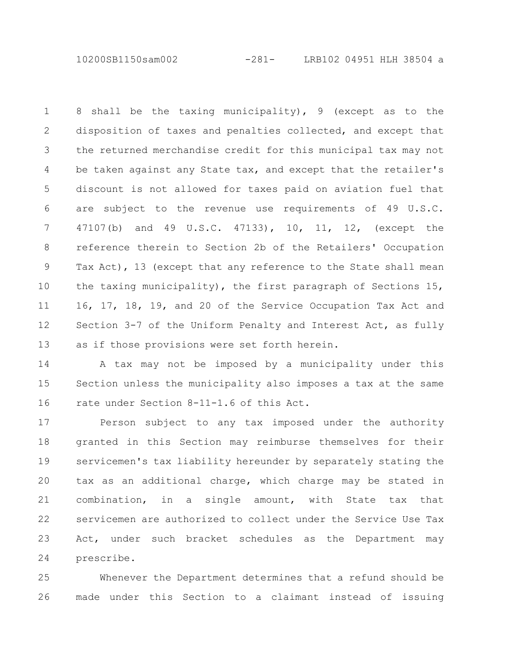10200SB1150sam002 -281- LRB102 04951 HLH 38504 a

8 shall be the taxing municipality), 9 (except as to the disposition of taxes and penalties collected, and except that the returned merchandise credit for this municipal tax may not be taken against any State tax, and except that the retailer's discount is not allowed for taxes paid on aviation fuel that are subject to the revenue use requirements of 49 U.S.C. 47107(b) and 49 U.S.C. 47133), 10, 11, 12, (except the reference therein to Section 2b of the Retailers' Occupation Tax Act), 13 (except that any reference to the State shall mean the taxing municipality), the first paragraph of Sections 15, 16, 17, 18, 19, and 20 of the Service Occupation Tax Act and Section 3-7 of the Uniform Penalty and Interest Act, as fully as if those provisions were set forth herein. 1 2 3 4 5 6 7 8 9 10 11 12 13

A tax may not be imposed by a municipality under this Section unless the municipality also imposes a tax at the same rate under Section 8-11-1.6 of this Act. 14 15 16

Person subject to any tax imposed under the authority granted in this Section may reimburse themselves for their servicemen's tax liability hereunder by separately stating the tax as an additional charge, which charge may be stated in combination, in a single amount, with State tax that servicemen are authorized to collect under the Service Use Tax Act, under such bracket schedules as the Department may prescribe. 17 18 19 20 21 22 23 24

Whenever the Department determines that a refund should be made under this Section to a claimant instead of issuing 25 26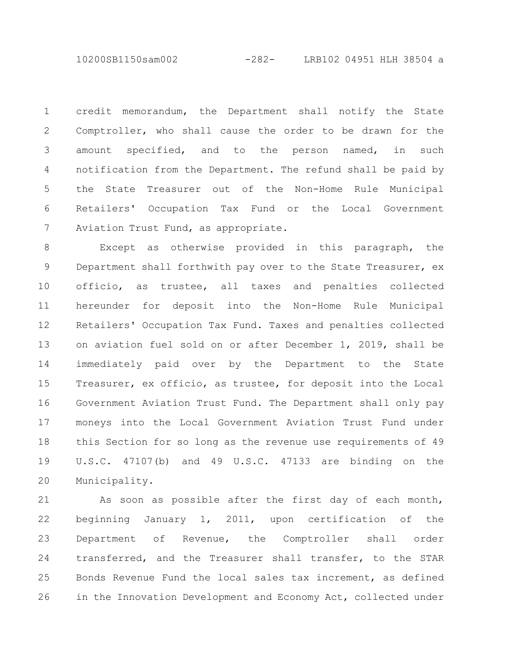10200SB1150sam002 -282- LRB102 04951 HLH 38504 a

credit memorandum, the Department shall notify the State Comptroller, who shall cause the order to be drawn for the amount specified, and to the person named, in such notification from the Department. The refund shall be paid by the State Treasurer out of the Non-Home Rule Municipal Retailers' Occupation Tax Fund or the Local Government Aviation Trust Fund, as appropriate. 1 2 3 4 5 6 7

Except as otherwise provided in this paragraph, the Department shall forthwith pay over to the State Treasurer, ex officio, as trustee, all taxes and penalties collected hereunder for deposit into the Non-Home Rule Municipal Retailers' Occupation Tax Fund. Taxes and penalties collected on aviation fuel sold on or after December 1, 2019, shall be immediately paid over by the Department to the State Treasurer, ex officio, as trustee, for deposit into the Local Government Aviation Trust Fund. The Department shall only pay moneys into the Local Government Aviation Trust Fund under this Section for so long as the revenue use requirements of 49 U.S.C. 47107(b) and 49 U.S.C. 47133 are binding on the Municipality. 8 9 10 11 12 13 14 15 16 17 18 19 20

As soon as possible after the first day of each month, beginning January 1, 2011, upon certification of the Department of Revenue, the Comptroller shall order transferred, and the Treasurer shall transfer, to the STAR Bonds Revenue Fund the local sales tax increment, as defined in the Innovation Development and Economy Act, collected under 21 22 23 24 25 26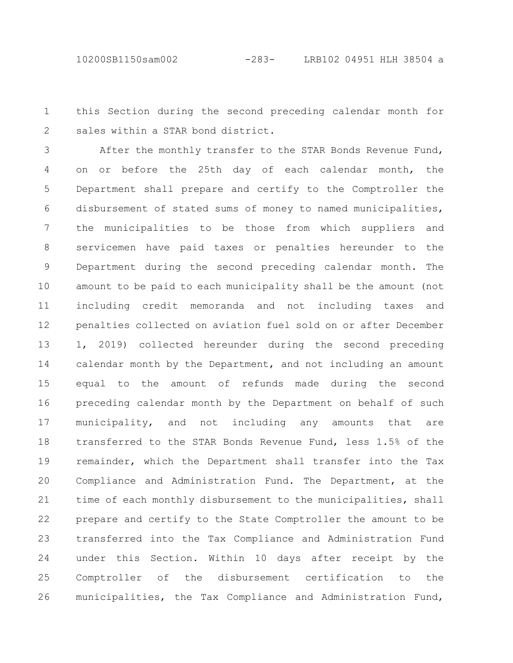this Section during the second preceding calendar month for sales within a STAR bond district. 1 2

After the monthly transfer to the STAR Bonds Revenue Fund, on or before the 25th day of each calendar month, the Department shall prepare and certify to the Comptroller the disbursement of stated sums of money to named municipalities, the municipalities to be those from which suppliers and servicemen have paid taxes or penalties hereunder to the Department during the second preceding calendar month. The amount to be paid to each municipality shall be the amount (not including credit memoranda and not including taxes and penalties collected on aviation fuel sold on or after December 1, 2019) collected hereunder during the second preceding calendar month by the Department, and not including an amount equal to the amount of refunds made during the second preceding calendar month by the Department on behalf of such municipality, and not including any amounts that are transferred to the STAR Bonds Revenue Fund, less 1.5% of the remainder, which the Department shall transfer into the Tax Compliance and Administration Fund. The Department, at the time of each monthly disbursement to the municipalities, shall prepare and certify to the State Comptroller the amount to be transferred into the Tax Compliance and Administration Fund under this Section. Within 10 days after receipt by the Comptroller of the disbursement certification to the municipalities, the Tax Compliance and Administration Fund, 3 4 5 6 7 8 9 10 11 12 13 14 15 16 17 18 19 20 21 22 23 24 25 26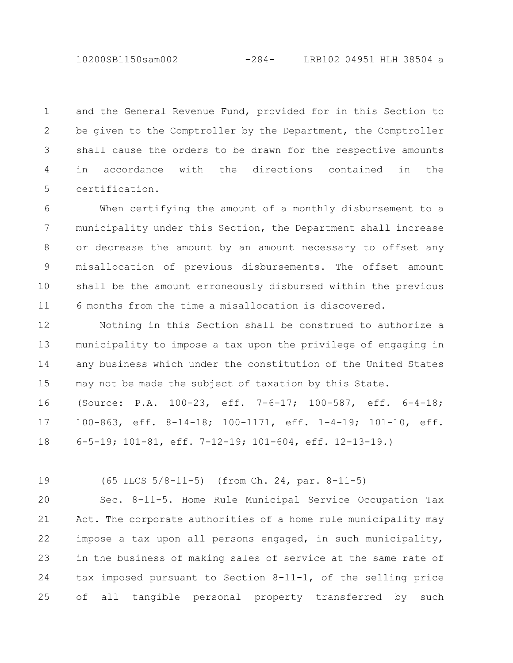10200SB1150sam002 -284- LRB102 04951 HLH 38504 a

and the General Revenue Fund, provided for in this Section to be given to the Comptroller by the Department, the Comptroller shall cause the orders to be drawn for the respective amounts in accordance with the directions contained in the certification. 1 2 3 4 5

When certifying the amount of a monthly disbursement to a municipality under this Section, the Department shall increase or decrease the amount by an amount necessary to offset any misallocation of previous disbursements. The offset amount shall be the amount erroneously disbursed within the previous 6 months from the time a misallocation is discovered. 6 7 8 9 10 11

Nothing in this Section shall be construed to authorize a municipality to impose a tax upon the privilege of engaging in any business which under the constitution of the United States may not be made the subject of taxation by this State. 12 13 14 15

(Source: P.A. 100-23, eff. 7-6-17; 100-587, eff. 6-4-18; 100-863, eff. 8-14-18; 100-1171, eff. 1-4-19; 101-10, eff. 6-5-19; 101-81, eff. 7-12-19; 101-604, eff. 12-13-19.) 16 17 18

(65 ILCS 5/8-11-5) (from Ch. 24, par. 8-11-5) 19

Sec. 8-11-5. Home Rule Municipal Service Occupation Tax Act. The corporate authorities of a home rule municipality may impose a tax upon all persons engaged, in such municipality, in the business of making sales of service at the same rate of tax imposed pursuant to Section 8-11-1, of the selling price of all tangible personal property transferred by such  $20$ 21 22 23 24 25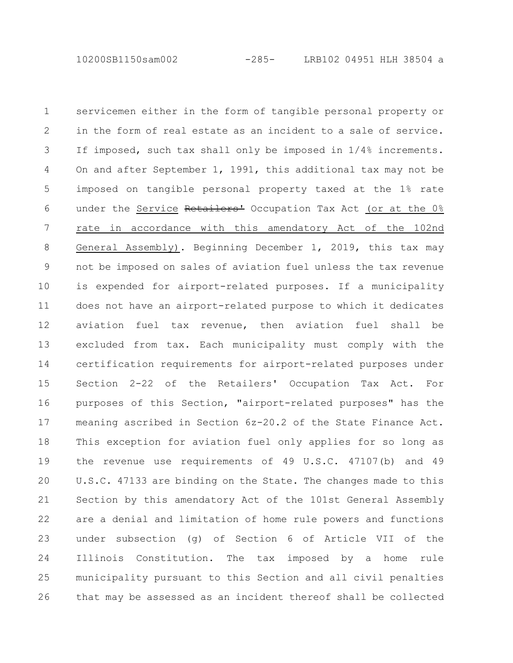servicemen either in the form of tangible personal property or in the form of real estate as an incident to a sale of service. If imposed, such tax shall only be imposed in 1/4% increments. On and after September 1, 1991, this additional tax may not be imposed on tangible personal property taxed at the 1% rate under the Service Retailers<sup>1</sup> Occupation Tax Act (or at the 0% rate in accordance with this amendatory Act of the 102nd General Assembly). Beginning December 1, 2019, this tax may not be imposed on sales of aviation fuel unless the tax revenue is expended for airport-related purposes. If a municipality does not have an airport-related purpose to which it dedicates aviation fuel tax revenue, then aviation fuel shall be excluded from tax. Each municipality must comply with the certification requirements for airport-related purposes under Section 2-22 of the Retailers' Occupation Tax Act. For purposes of this Section, "airport-related purposes" has the meaning ascribed in Section 6z-20.2 of the State Finance Act. This exception for aviation fuel only applies for so long as the revenue use requirements of 49 U.S.C. 47107(b) and 49 U.S.C. 47133 are binding on the State. The changes made to this Section by this amendatory Act of the 101st General Assembly are a denial and limitation of home rule powers and functions under subsection (g) of Section 6 of Article VII of the Illinois Constitution. The tax imposed by a home rule municipality pursuant to this Section and all civil penalties that may be assessed as an incident thereof shall be collected 1 2 3 4 5 6 7 8 9 10 11 12 13 14 15 16 17 18 19 20 21 22 23 24 25 26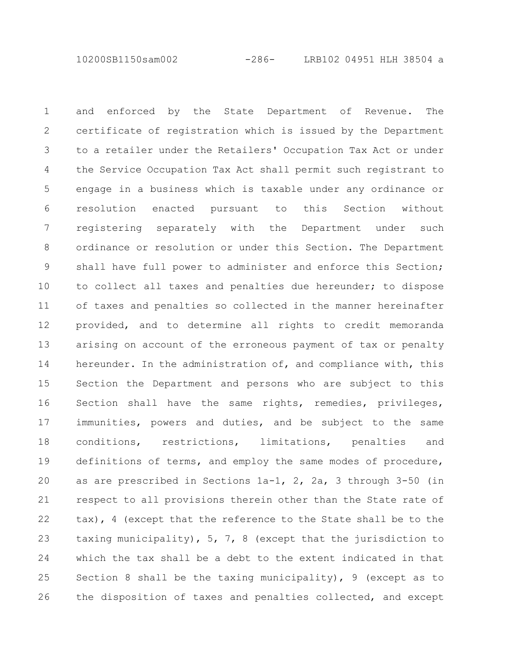10200SB1150sam002 -286- LRB102 04951 HLH 38504 a

and enforced by the State Department of Revenue. The certificate of registration which is issued by the Department to a retailer under the Retailers' Occupation Tax Act or under the Service Occupation Tax Act shall permit such registrant to engage in a business which is taxable under any ordinance or resolution enacted pursuant to this Section without registering separately with the Department under such ordinance or resolution or under this Section. The Department shall have full power to administer and enforce this Section; to collect all taxes and penalties due hereunder; to dispose of taxes and penalties so collected in the manner hereinafter provided, and to determine all rights to credit memoranda arising on account of the erroneous payment of tax or penalty hereunder. In the administration of, and compliance with, this Section the Department and persons who are subject to this Section shall have the same rights, remedies, privileges, immunities, powers and duties, and be subject to the same conditions, restrictions, limitations, penalties and definitions of terms, and employ the same modes of procedure, as are prescribed in Sections 1a-1, 2, 2a, 3 through 3-50 (in respect to all provisions therein other than the State rate of tax), 4 (except that the reference to the State shall be to the taxing municipality), 5, 7, 8 (except that the jurisdiction to which the tax shall be a debt to the extent indicated in that Section 8 shall be the taxing municipality), 9 (except as to the disposition of taxes and penalties collected, and except 1 2 3 4 5 6 7 8 9 10 11 12 13 14 15 16 17 18 19 20 21 22 23 24 25 26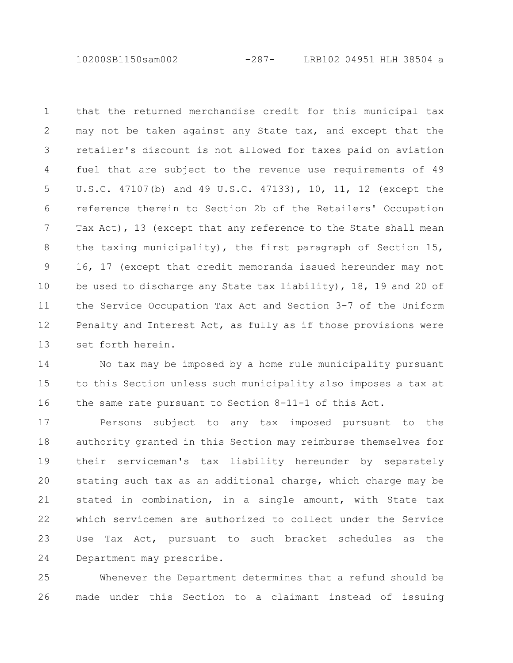10200SB1150sam002 -287- LRB102 04951 HLH 38504 a

that the returned merchandise credit for this municipal tax may not be taken against any State tax, and except that the retailer's discount is not allowed for taxes paid on aviation fuel that are subject to the revenue use requirements of 49 U.S.C. 47107(b) and 49 U.S.C. 47133), 10, 11, 12 (except the reference therein to Section 2b of the Retailers' Occupation Tax Act), 13 (except that any reference to the State shall mean the taxing municipality), the first paragraph of Section 15, 16, 17 (except that credit memoranda issued hereunder may not be used to discharge any State tax liability), 18, 19 and 20 of the Service Occupation Tax Act and Section 3-7 of the Uniform Penalty and Interest Act, as fully as if those provisions were set forth herein. 1 2 3 4 5 6 7 8 9 10 11 12 13

No tax may be imposed by a home rule municipality pursuant to this Section unless such municipality also imposes a tax at the same rate pursuant to Section 8-11-1 of this Act. 14 15 16

Persons subject to any tax imposed pursuant to the authority granted in this Section may reimburse themselves for their serviceman's tax liability hereunder by separately stating such tax as an additional charge, which charge may be stated in combination, in a single amount, with State tax which servicemen are authorized to collect under the Service Use Tax Act, pursuant to such bracket schedules as the Department may prescribe. 17 18 19 20 21 22 23 24

Whenever the Department determines that a refund should be made under this Section to a claimant instead of issuing 25 26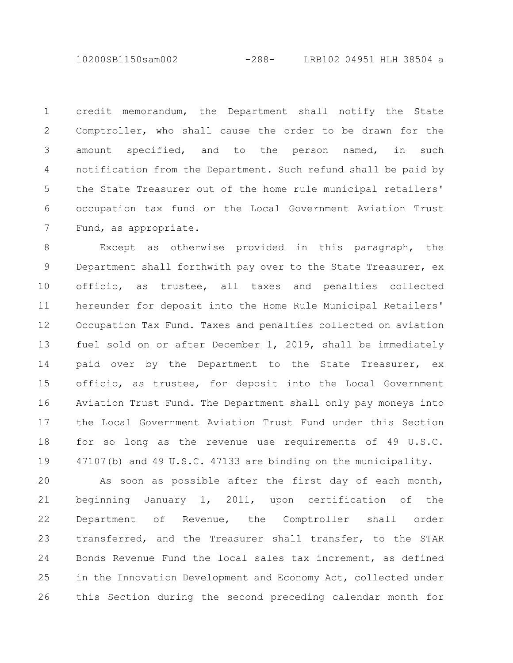10200SB1150sam002 -288- LRB102 04951 HLH 38504 a

credit memorandum, the Department shall notify the State Comptroller, who shall cause the order to be drawn for the amount specified, and to the person named, in such notification from the Department. Such refund shall be paid by the State Treasurer out of the home rule municipal retailers' occupation tax fund or the Local Government Aviation Trust Fund, as appropriate. 1 2 3 4 5 6 7

Except as otherwise provided in this paragraph, the Department shall forthwith pay over to the State Treasurer, ex officio, as trustee, all taxes and penalties collected hereunder for deposit into the Home Rule Municipal Retailers' Occupation Tax Fund. Taxes and penalties collected on aviation fuel sold on or after December 1, 2019, shall be immediately paid over by the Department to the State Treasurer, ex officio, as trustee, for deposit into the Local Government Aviation Trust Fund. The Department shall only pay moneys into the Local Government Aviation Trust Fund under this Section for so long as the revenue use requirements of 49 U.S.C. 47107(b) and 49 U.S.C. 47133 are binding on the municipality. 8 9 10 11 12 13 14 15 16 17 18 19

As soon as possible after the first day of each month, beginning January 1, 2011, upon certification of the Department of Revenue, the Comptroller shall order transferred, and the Treasurer shall transfer, to the STAR Bonds Revenue Fund the local sales tax increment, as defined in the Innovation Development and Economy Act, collected under this Section during the second preceding calendar month for 20 21 22 23 24 25 26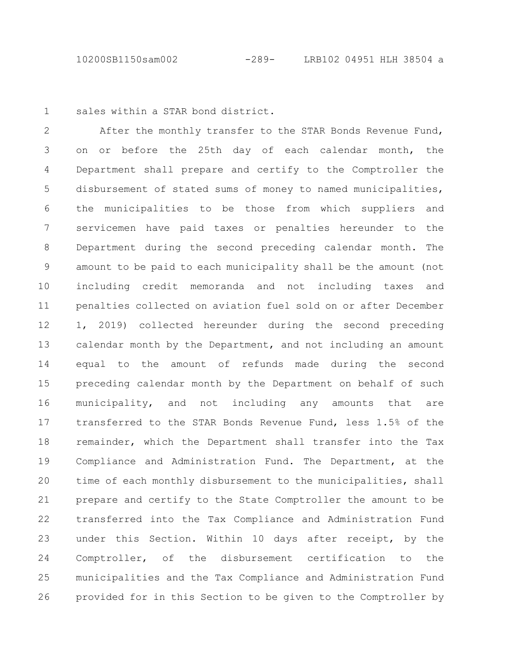10200SB1150sam002 -289- LRB102 04951 HLH 38504 a

sales within a STAR bond district. 1

After the monthly transfer to the STAR Bonds Revenue Fund, on or before the 25th day of each calendar month, the Department shall prepare and certify to the Comptroller the disbursement of stated sums of money to named municipalities, the municipalities to be those from which suppliers and servicemen have paid taxes or penalties hereunder to the Department during the second preceding calendar month. The amount to be paid to each municipality shall be the amount (not including credit memoranda and not including taxes and penalties collected on aviation fuel sold on or after December 1, 2019) collected hereunder during the second preceding calendar month by the Department, and not including an amount equal to the amount of refunds made during the second preceding calendar month by the Department on behalf of such municipality, and not including any amounts that are transferred to the STAR Bonds Revenue Fund, less 1.5% of the remainder, which the Department shall transfer into the Tax Compliance and Administration Fund. The Department, at the time of each monthly disbursement to the municipalities, shall prepare and certify to the State Comptroller the amount to be transferred into the Tax Compliance and Administration Fund under this Section. Within 10 days after receipt, by the Comptroller, of the disbursement certification to the municipalities and the Tax Compliance and Administration Fund provided for in this Section to be given to the Comptroller by 2 3 4 5 6 7 8 9 10 11 12 13 14 15 16 17 18 19 20 21 22 23 24 25 26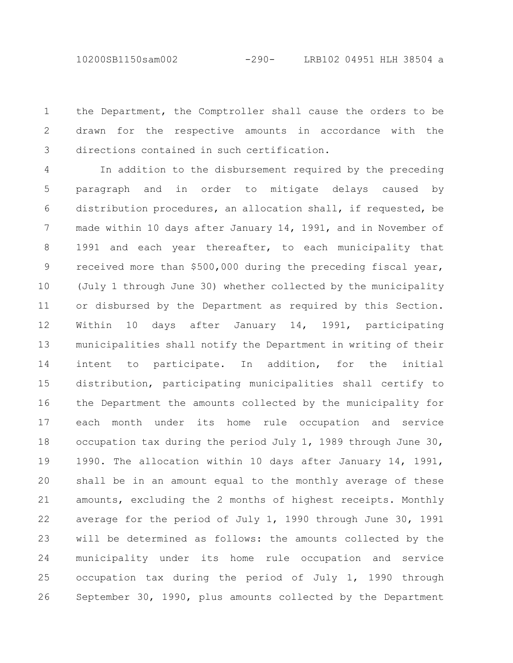10200SB1150sam002 -290- LRB102 04951 HLH 38504 a

the Department, the Comptroller shall cause the orders to be drawn for the respective amounts in accordance with the directions contained in such certification. 1 2 3

In addition to the disbursement required by the preceding paragraph and in order to mitigate delays caused by distribution procedures, an allocation shall, if requested, be made within 10 days after January 14, 1991, and in November of 1991 and each year thereafter, to each municipality that received more than \$500,000 during the preceding fiscal year, (July 1 through June 30) whether collected by the municipality or disbursed by the Department as required by this Section. Within 10 days after January 14, 1991, participating municipalities shall notify the Department in writing of their intent to participate. In addition, for the initial distribution, participating municipalities shall certify to the Department the amounts collected by the municipality for each month under its home rule occupation and service occupation tax during the period July 1, 1989 through June 30, 1990. The allocation within 10 days after January 14, 1991, shall be in an amount equal to the monthly average of these amounts, excluding the 2 months of highest receipts. Monthly average for the period of July 1, 1990 through June 30, 1991 will be determined as follows: the amounts collected by the municipality under its home rule occupation and service occupation tax during the period of July 1, 1990 through September 30, 1990, plus amounts collected by the Department 4 5 6 7 8 9 10 11 12 13 14 15 16 17 18 19 20 21 22 23 24 25 26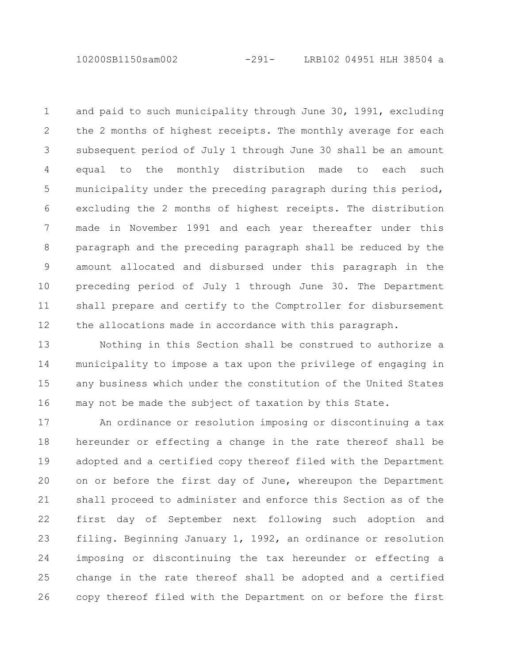10200SB1150sam002 -291- LRB102 04951 HLH 38504 a

and paid to such municipality through June 30, 1991, excluding the 2 months of highest receipts. The monthly average for each subsequent period of July 1 through June 30 shall be an amount equal to the monthly distribution made to each such municipality under the preceding paragraph during this period, excluding the 2 months of highest receipts. The distribution made in November 1991 and each year thereafter under this paragraph and the preceding paragraph shall be reduced by the amount allocated and disbursed under this paragraph in the preceding period of July 1 through June 30. The Department shall prepare and certify to the Comptroller for disbursement the allocations made in accordance with this paragraph. 1 2 3 4 5 6 7 8 9 10 11 12

Nothing in this Section shall be construed to authorize a municipality to impose a tax upon the privilege of engaging in any business which under the constitution of the United States may not be made the subject of taxation by this State. 13 14 15 16

An ordinance or resolution imposing or discontinuing a tax hereunder or effecting a change in the rate thereof shall be adopted and a certified copy thereof filed with the Department on or before the first day of June, whereupon the Department shall proceed to administer and enforce this Section as of the first day of September next following such adoption and filing. Beginning January 1, 1992, an ordinance or resolution imposing or discontinuing the tax hereunder or effecting a change in the rate thereof shall be adopted and a certified copy thereof filed with the Department on or before the first 17 18 19 20 21 22 23 24 25 26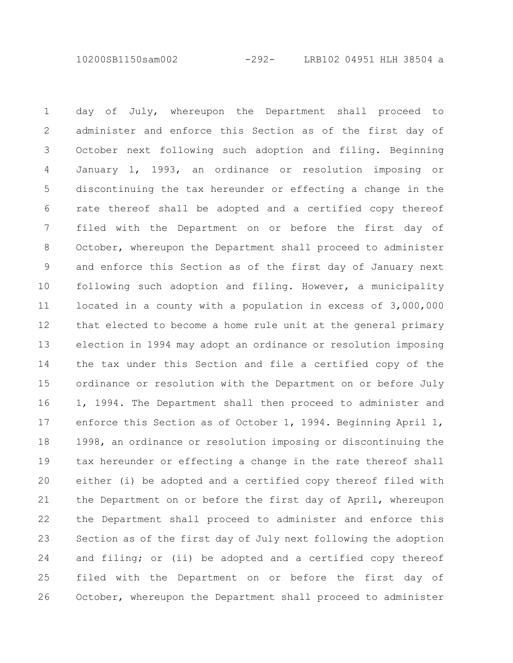10200SB1150sam002 -292- LRB102 04951 HLH 38504 a

day of July, whereupon the Department shall proceed to administer and enforce this Section as of the first day of October next following such adoption and filing. Beginning January 1, 1993, an ordinance or resolution imposing or discontinuing the tax hereunder or effecting a change in the rate thereof shall be adopted and a certified copy thereof filed with the Department on or before the first day of October, whereupon the Department shall proceed to administer and enforce this Section as of the first day of January next following such adoption and filing. However, a municipality located in a county with a population in excess of 3,000,000 that elected to become a home rule unit at the general primary election in 1994 may adopt an ordinance or resolution imposing the tax under this Section and file a certified copy of the ordinance or resolution with the Department on or before July 1, 1994. The Department shall then proceed to administer and enforce this Section as of October 1, 1994. Beginning April 1, 1998, an ordinance or resolution imposing or discontinuing the tax hereunder or effecting a change in the rate thereof shall either (i) be adopted and a certified copy thereof filed with the Department on or before the first day of April, whereupon the Department shall proceed to administer and enforce this Section as of the first day of July next following the adoption and filing; or (ii) be adopted and a certified copy thereof filed with the Department on or before the first day of October, whereupon the Department shall proceed to administer 1 2 3 4 5 6 7 8 9 10 11 12 13 14 15 16 17 18 19 20 21 22 23 24 25 26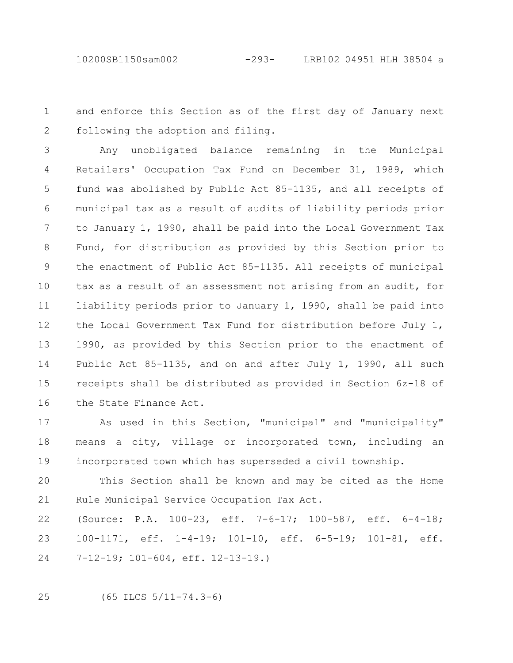and enforce this Section as of the first day of January next following the adoption and filing. 1 2

Any unobligated balance remaining in the Municipal Retailers' Occupation Tax Fund on December 31, 1989, which fund was abolished by Public Act 85-1135, and all receipts of municipal tax as a result of audits of liability periods prior to January 1, 1990, shall be paid into the Local Government Tax Fund, for distribution as provided by this Section prior to the enactment of Public Act 85-1135. All receipts of municipal tax as a result of an assessment not arising from an audit, for liability periods prior to January 1, 1990, shall be paid into the Local Government Tax Fund for distribution before July 1, 1990, as provided by this Section prior to the enactment of Public Act 85-1135, and on and after July 1, 1990, all such receipts shall be distributed as provided in Section 6z-18 of the State Finance Act. 3 4 5 6 7 8 9 10 11 12 13 14 15 16

As used in this Section, "municipal" and "municipality" means a city, village or incorporated town, including an incorporated town which has superseded a civil township. 17 18 19

This Section shall be known and may be cited as the Home Rule Municipal Service Occupation Tax Act. 20 21

(Source: P.A. 100-23, eff. 7-6-17; 100-587, eff. 6-4-18; 100-1171, eff. 1-4-19; 101-10, eff. 6-5-19; 101-81, eff. 7-12-19; 101-604, eff. 12-13-19.) 22 23 24

(65 ILCS 5/11-74.3-6) 25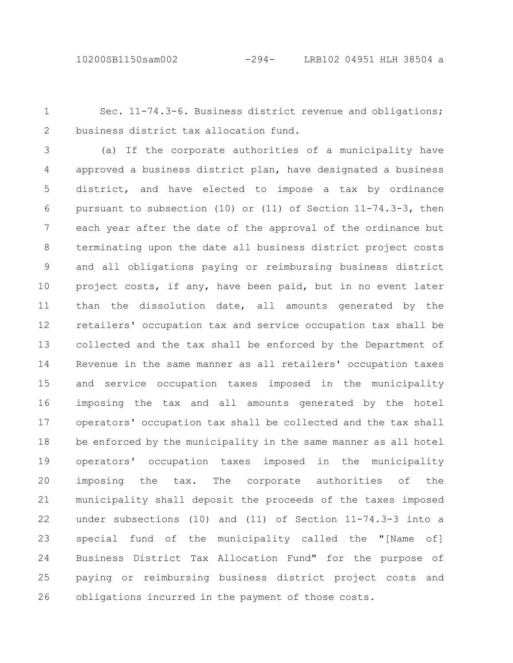Sec. 11-74.3-6. Business district revenue and obligations; business district tax allocation fund. 1 2

(a) If the corporate authorities of a municipality have approved a business district plan, have designated a business district, and have elected to impose a tax by ordinance pursuant to subsection (10) or (11) of Section 11-74.3-3, then each year after the date of the approval of the ordinance but terminating upon the date all business district project costs and all obligations paying or reimbursing business district project costs, if any, have been paid, but in no event later than the dissolution date, all amounts generated by the retailers' occupation tax and service occupation tax shall be collected and the tax shall be enforced by the Department of Revenue in the same manner as all retailers' occupation taxes and service occupation taxes imposed in the municipality imposing the tax and all amounts generated by the hotel operators' occupation tax shall be collected and the tax shall be enforced by the municipality in the same manner as all hotel operators' occupation taxes imposed in the municipality imposing the tax. The corporate authorities of the municipality shall deposit the proceeds of the taxes imposed under subsections (10) and (11) of Section 11-74.3-3 into a special fund of the municipality called the "[Name of] Business District Tax Allocation Fund" for the purpose of paying or reimbursing business district project costs and obligations incurred in the payment of those costs. 3 4 5 6 7 8 9 10 11 12 13 14 15 16 17 18 19 20 21 22 23 24 25 26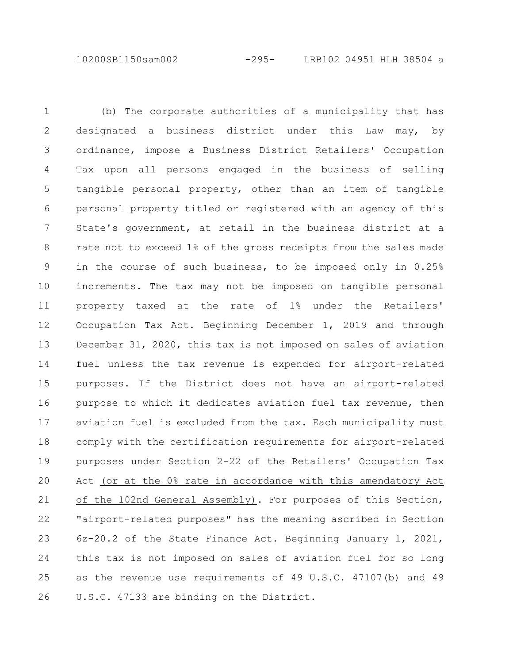10200SB1150sam002 -295- LRB102 04951 HLH 38504 a

(b) The corporate authorities of a municipality that has designated a business district under this Law may, by ordinance, impose a Business District Retailers' Occupation Tax upon all persons engaged in the business of selling tangible personal property, other than an item of tangible personal property titled or registered with an agency of this State's government, at retail in the business district at a rate not to exceed 1% of the gross receipts from the sales made in the course of such business, to be imposed only in 0.25% increments. The tax may not be imposed on tangible personal property taxed at the rate of 1% under the Retailers' Occupation Tax Act. Beginning December 1, 2019 and through December 31, 2020, this tax is not imposed on sales of aviation fuel unless the tax revenue is expended for airport-related purposes. If the District does not have an airport-related purpose to which it dedicates aviation fuel tax revenue, then aviation fuel is excluded from the tax. Each municipality must comply with the certification requirements for airport-related purposes under Section 2-22 of the Retailers' Occupation Tax Act (or at the 0% rate in accordance with this amendatory Act of the 102nd General Assembly). For purposes of this Section, "airport-related purposes" has the meaning ascribed in Section 6z-20.2 of the State Finance Act. Beginning January 1, 2021, this tax is not imposed on sales of aviation fuel for so long as the revenue use requirements of 49 U.S.C. 47107(b) and 49 U.S.C. 47133 are binding on the District. 1 2 3 4 5 6 7 8 9 10 11 12 13 14 15 16 17 18 19 20 21 22 23 24 25 26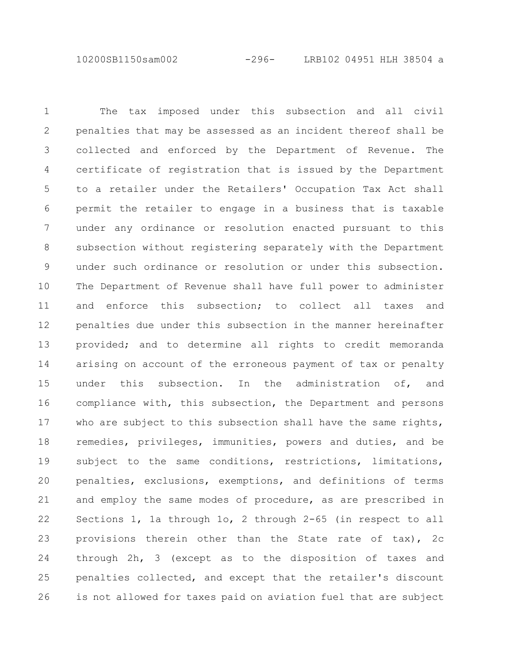10200SB1150sam002 -296- LRB102 04951 HLH 38504 a

The tax imposed under this subsection and all civil penalties that may be assessed as an incident thereof shall be collected and enforced by the Department of Revenue. The certificate of registration that is issued by the Department to a retailer under the Retailers' Occupation Tax Act shall permit the retailer to engage in a business that is taxable under any ordinance or resolution enacted pursuant to this subsection without registering separately with the Department under such ordinance or resolution or under this subsection. The Department of Revenue shall have full power to administer and enforce this subsection; to collect all taxes and penalties due under this subsection in the manner hereinafter provided; and to determine all rights to credit memoranda arising on account of the erroneous payment of tax or penalty under this subsection. In the administration of, and compliance with, this subsection, the Department and persons who are subject to this subsection shall have the same rights, remedies, privileges, immunities, powers and duties, and be subject to the same conditions, restrictions, limitations, penalties, exclusions, exemptions, and definitions of terms and employ the same modes of procedure, as are prescribed in Sections 1, 1a through 1o, 2 through 2-65 (in respect to all provisions therein other than the State rate of tax), 2c through 2h, 3 (except as to the disposition of taxes and penalties collected, and except that the retailer's discount is not allowed for taxes paid on aviation fuel that are subject 1 2 3 4 5 6 7 8 9 10 11 12 13 14 15 16 17 18 19 20 21 22 23 24 25 26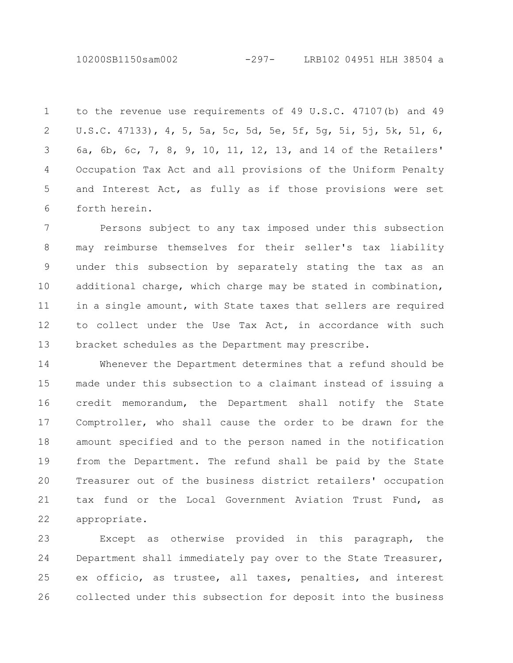10200SB1150sam002 -297- LRB102 04951 HLH 38504 a

to the revenue use requirements of 49 U.S.C. 47107(b) and 49 U.S.C. 47133), 4, 5, 5a, 5c, 5d, 5e, 5f, 5g, 5i, 5j, 5k, 5l, 6, 6a, 6b, 6c, 7, 8, 9, 10, 11, 12, 13, and 14 of the Retailers' Occupation Tax Act and all provisions of the Uniform Penalty and Interest Act, as fully as if those provisions were set forth herein. 1 2 3 4 5 6

Persons subject to any tax imposed under this subsection may reimburse themselves for their seller's tax liability under this subsection by separately stating the tax as an additional charge, which charge may be stated in combination, in a single amount, with State taxes that sellers are required to collect under the Use Tax Act, in accordance with such bracket schedules as the Department may prescribe. 7 8 9 10 11 12 13

Whenever the Department determines that a refund should be made under this subsection to a claimant instead of issuing a credit memorandum, the Department shall notify the State Comptroller, who shall cause the order to be drawn for the amount specified and to the person named in the notification from the Department. The refund shall be paid by the State Treasurer out of the business district retailers' occupation tax fund or the Local Government Aviation Trust Fund, as appropriate. 14 15 16 17 18 19 20 21 22

Except as otherwise provided in this paragraph, the Department shall immediately pay over to the State Treasurer, ex officio, as trustee, all taxes, penalties, and interest collected under this subsection for deposit into the business 23 24 25 26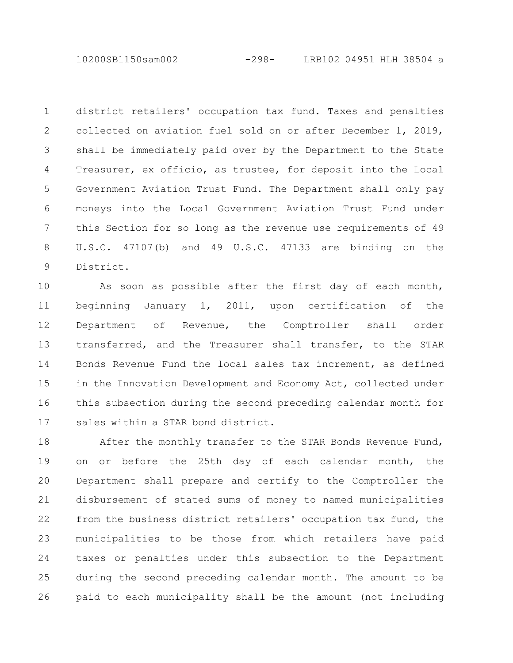10200SB1150sam002 -298- LRB102 04951 HLH 38504 a

district retailers' occupation tax fund. Taxes and penalties collected on aviation fuel sold on or after December 1, 2019, shall be immediately paid over by the Department to the State Treasurer, ex officio, as trustee, for deposit into the Local Government Aviation Trust Fund. The Department shall only pay moneys into the Local Government Aviation Trust Fund under this Section for so long as the revenue use requirements of 49 U.S.C. 47107(b) and 49 U.S.C. 47133 are binding on the District. 1 2 3 4 5 6 7 8 9

As soon as possible after the first day of each month, beginning January 1, 2011, upon certification of the Department of Revenue, the Comptroller shall order transferred, and the Treasurer shall transfer, to the STAR Bonds Revenue Fund the local sales tax increment, as defined in the Innovation Development and Economy Act, collected under this subsection during the second preceding calendar month for sales within a STAR bond district. 10 11 12 13 14 15 16 17

After the monthly transfer to the STAR Bonds Revenue Fund, on or before the 25th day of each calendar month, the Department shall prepare and certify to the Comptroller the disbursement of stated sums of money to named municipalities from the business district retailers' occupation tax fund, the municipalities to be those from which retailers have paid taxes or penalties under this subsection to the Department during the second preceding calendar month. The amount to be paid to each municipality shall be the amount (not including 18 19 20 21 22 23 24 25 26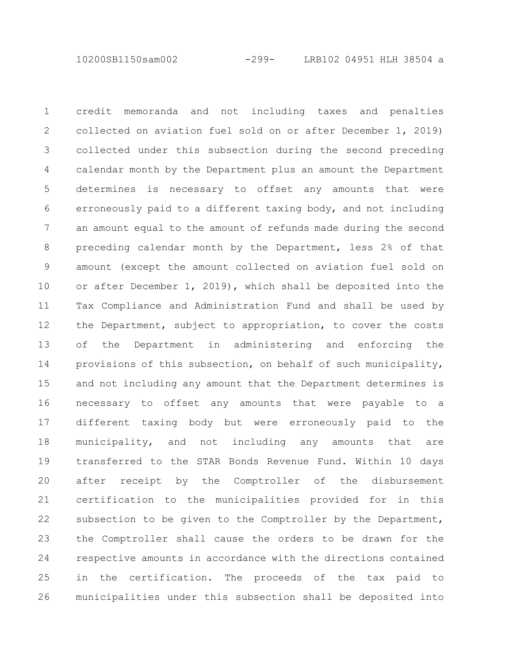10200SB1150sam002 -299- LRB102 04951 HLH 38504 a

credit memoranda and not including taxes and penalties collected on aviation fuel sold on or after December 1, 2019) collected under this subsection during the second preceding calendar month by the Department plus an amount the Department determines is necessary to offset any amounts that were erroneously paid to a different taxing body, and not including an amount equal to the amount of refunds made during the second preceding calendar month by the Department, less 2% of that amount (except the amount collected on aviation fuel sold on or after December 1, 2019), which shall be deposited into the Tax Compliance and Administration Fund and shall be used by the Department, subject to appropriation, to cover the costs of the Department in administering and enforcing the provisions of this subsection, on behalf of such municipality, and not including any amount that the Department determines is necessary to offset any amounts that were payable to a different taxing body but were erroneously paid to the municipality, and not including any amounts that are transferred to the STAR Bonds Revenue Fund. Within 10 days after receipt by the Comptroller of the disbursement certification to the municipalities provided for in this subsection to be given to the Comptroller by the Department, the Comptroller shall cause the orders to be drawn for the respective amounts in accordance with the directions contained in the certification. The proceeds of the tax paid to municipalities under this subsection shall be deposited into 1 2 3 4 5 6 7 8 9 10 11 12 13 14 15 16 17 18 19 20 21 22 23 24 25 26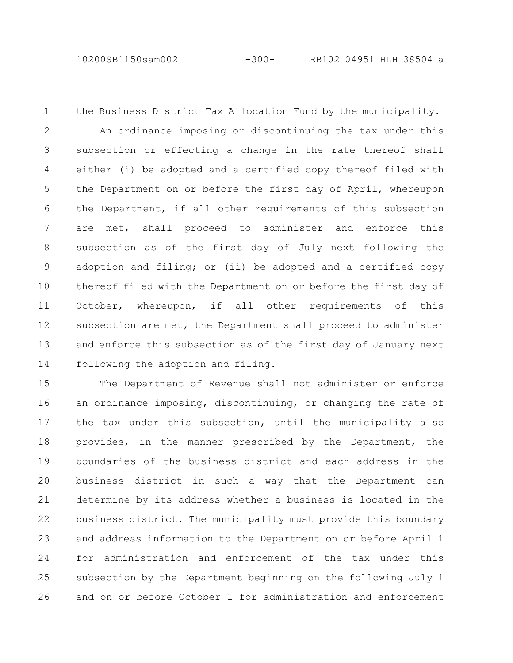10200SB1150sam002 -300- LRB102 04951 HLH 38504 a

the Business District Tax Allocation Fund by the municipality. An ordinance imposing or discontinuing the tax under this subsection or effecting a change in the rate thereof shall either (i) be adopted and a certified copy thereof filed with the Department on or before the first day of April, whereupon the Department, if all other requirements of this subsection are met, shall proceed to administer and enforce this subsection as of the first day of July next following the adoption and filing; or (ii) be adopted and a certified copy thereof filed with the Department on or before the first day of October, whereupon, if all other requirements of this subsection are met, the Department shall proceed to administer and enforce this subsection as of the first day of January next following the adoption and filing. 1 2 3 4 5 6 7 8 9 10 11 12 13 14

The Department of Revenue shall not administer or enforce an ordinance imposing, discontinuing, or changing the rate of the tax under this subsection, until the municipality also provides, in the manner prescribed by the Department, the boundaries of the business district and each address in the business district in such a way that the Department can determine by its address whether a business is located in the business district. The municipality must provide this boundary and address information to the Department on or before April 1 for administration and enforcement of the tax under this subsection by the Department beginning on the following July 1 and on or before October 1 for administration and enforcement 15 16 17 18 19 20 21 22 23 24 25 26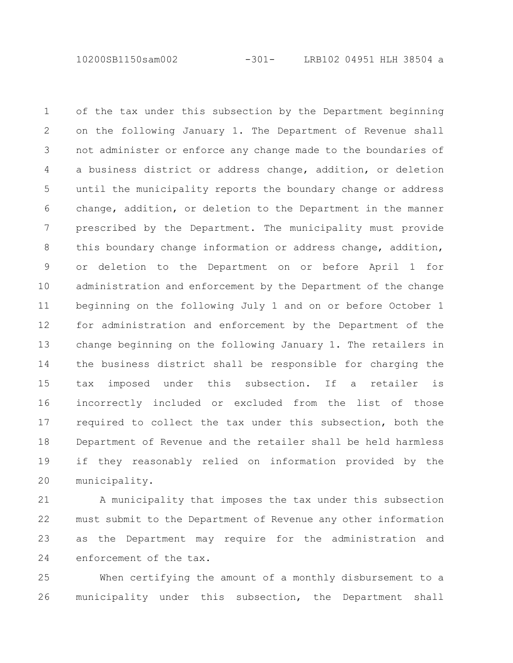10200SB1150sam002 -301- LRB102 04951 HLH 38504 a

of the tax under this subsection by the Department beginning on the following January 1. The Department of Revenue shall not administer or enforce any change made to the boundaries of a business district or address change, addition, or deletion until the municipality reports the boundary change or address change, addition, or deletion to the Department in the manner prescribed by the Department. The municipality must provide this boundary change information or address change, addition, or deletion to the Department on or before April 1 for administration and enforcement by the Department of the change beginning on the following July 1 and on or before October 1 for administration and enforcement by the Department of the change beginning on the following January 1. The retailers in the business district shall be responsible for charging the tax imposed under this subsection. If a retailer is incorrectly included or excluded from the list of those required to collect the tax under this subsection, both the Department of Revenue and the retailer shall be held harmless if they reasonably relied on information provided by the municipality. 1 2 3 4 5 6 7 8 9 10 11 12 13 14 15 16 17 18 19 20

A municipality that imposes the tax under this subsection must submit to the Department of Revenue any other information as the Department may require for the administration and enforcement of the tax. 21 22 23 24

When certifying the amount of a monthly disbursement to a municipality under this subsection, the Department shall 25 26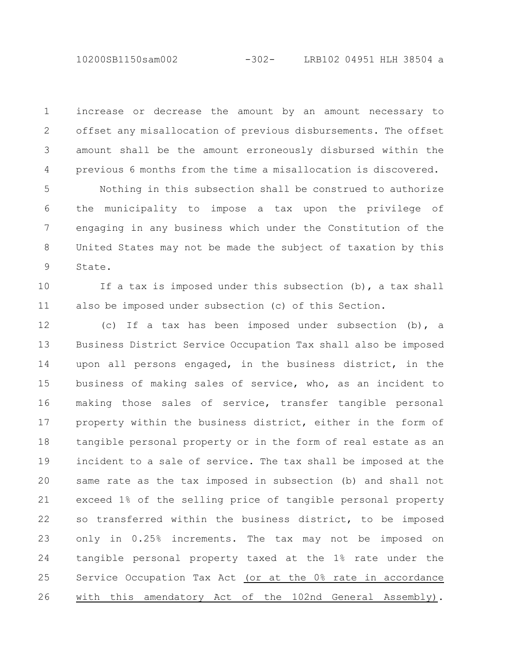10200SB1150sam002 -302- LRB102 04951 HLH 38504 a

increase or decrease the amount by an amount necessary to offset any misallocation of previous disbursements. The offset amount shall be the amount erroneously disbursed within the previous 6 months from the time a misallocation is discovered. 1 2 3 4

Nothing in this subsection shall be construed to authorize the municipality to impose a tax upon the privilege of engaging in any business which under the Constitution of the United States may not be made the subject of taxation by this State. 5 6 7 8 9

If a tax is imposed under this subsection (b), a tax shall also be imposed under subsection (c) of this Section. 10 11

(c) If a tax has been imposed under subsection (b), a Business District Service Occupation Tax shall also be imposed upon all persons engaged, in the business district, in the business of making sales of service, who, as an incident to making those sales of service, transfer tangible personal property within the business district, either in the form of tangible personal property or in the form of real estate as an incident to a sale of service. The tax shall be imposed at the same rate as the tax imposed in subsection (b) and shall not exceed 1% of the selling price of tangible personal property so transferred within the business district, to be imposed only in 0.25% increments. The tax may not be imposed on tangible personal property taxed at the 1% rate under the Service Occupation Tax Act (or at the 0% rate in accordance with this amendatory Act of the 102nd General Assembly). 12 13 14 15 16 17 18 19 20 21 22 23 24 25 26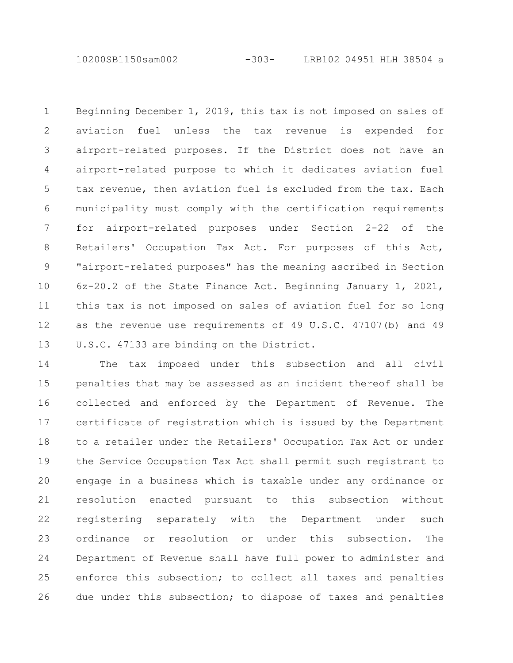10200SB1150sam002 -303- LRB102 04951 HLH 38504 a

Beginning December 1, 2019, this tax is not imposed on sales of aviation fuel unless the tax revenue is expended for airport-related purposes. If the District does not have an airport-related purpose to which it dedicates aviation fuel tax revenue, then aviation fuel is excluded from the tax. Each municipality must comply with the certification requirements for airport-related purposes under Section 2-22 of the Retailers' Occupation Tax Act. For purposes of this Act, "airport-related purposes" has the meaning ascribed in Section 6z-20.2 of the State Finance Act. Beginning January 1, 2021, this tax is not imposed on sales of aviation fuel for so long as the revenue use requirements of 49 U.S.C. 47107(b) and 49 U.S.C. 47133 are binding on the District. 1 2 3 4 5 6 7 8 9 10 11 12 13

The tax imposed under this subsection and all civil penalties that may be assessed as an incident thereof shall be collected and enforced by the Department of Revenue. The certificate of registration which is issued by the Department to a retailer under the Retailers' Occupation Tax Act or under the Service Occupation Tax Act shall permit such registrant to engage in a business which is taxable under any ordinance or resolution enacted pursuant to this subsection without registering separately with the Department under such ordinance or resolution or under this subsection. The Department of Revenue shall have full power to administer and enforce this subsection; to collect all taxes and penalties due under this subsection; to dispose of taxes and penalties 14 15 16 17 18 19 20 21 22 23 24 25 26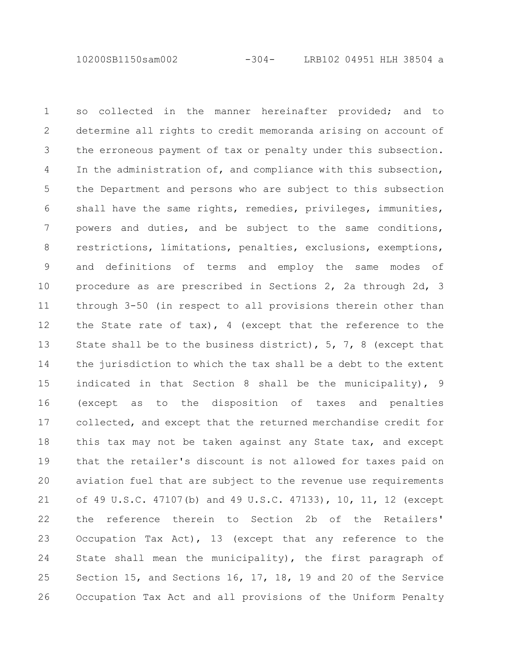10200SB1150sam002 -304- LRB102 04951 HLH 38504 a

so collected in the manner hereinafter provided; and to determine all rights to credit memoranda arising on account of the erroneous payment of tax or penalty under this subsection. In the administration of, and compliance with this subsection, the Department and persons who are subject to this subsection shall have the same rights, remedies, privileges, immunities, powers and duties, and be subject to the same conditions, restrictions, limitations, penalties, exclusions, exemptions, and definitions of terms and employ the same modes of procedure as are prescribed in Sections 2, 2a through 2d, 3 through 3-50 (in respect to all provisions therein other than the State rate of tax), 4 (except that the reference to the State shall be to the business district), 5, 7, 8 (except that the jurisdiction to which the tax shall be a debt to the extent indicated in that Section 8 shall be the municipality), 9 (except as to the disposition of taxes and penalties collected, and except that the returned merchandise credit for this tax may not be taken against any State tax, and except that the retailer's discount is not allowed for taxes paid on aviation fuel that are subject to the revenue use requirements of 49 U.S.C. 47107(b) and 49 U.S.C. 47133), 10, 11, 12 (except the reference therein to Section 2b of the Retailers' Occupation Tax Act), 13 (except that any reference to the State shall mean the municipality), the first paragraph of Section 15, and Sections 16, 17, 18, 19 and 20 of the Service Occupation Tax Act and all provisions of the Uniform Penalty 1 2 3 4 5 6 7 8 9 10 11 12 13 14 15 16 17 18 19 20 21 22 23 24 25 26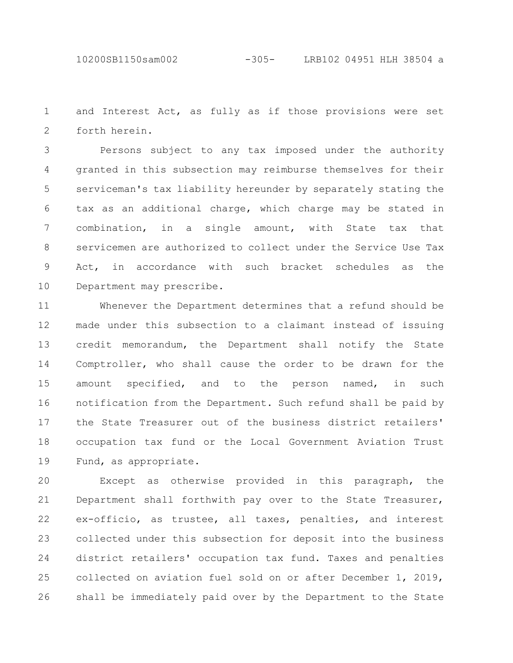10200SB1150sam002 -305- LRB102 04951 HLH 38504 a

and Interest Act, as fully as if those provisions were set forth herein. 1 2

Persons subject to any tax imposed under the authority granted in this subsection may reimburse themselves for their serviceman's tax liability hereunder by separately stating the tax as an additional charge, which charge may be stated in combination, in a single amount, with State tax that servicemen are authorized to collect under the Service Use Tax Act, in accordance with such bracket schedules as the Department may prescribe. 3 4 5 6 7 8 9 10

Whenever the Department determines that a refund should be made under this subsection to a claimant instead of issuing credit memorandum, the Department shall notify the State Comptroller, who shall cause the order to be drawn for the amount specified, and to the person named, in such notification from the Department. Such refund shall be paid by the State Treasurer out of the business district retailers' occupation tax fund or the Local Government Aviation Trust Fund, as appropriate. 11 12 13 14 15 16 17 18 19

Except as otherwise provided in this paragraph, the Department shall forthwith pay over to the State Treasurer, ex-officio, as trustee, all taxes, penalties, and interest collected under this subsection for deposit into the business district retailers' occupation tax fund. Taxes and penalties collected on aviation fuel sold on or after December 1, 2019, shall be immediately paid over by the Department to the State 20 21 22 23 24 25 26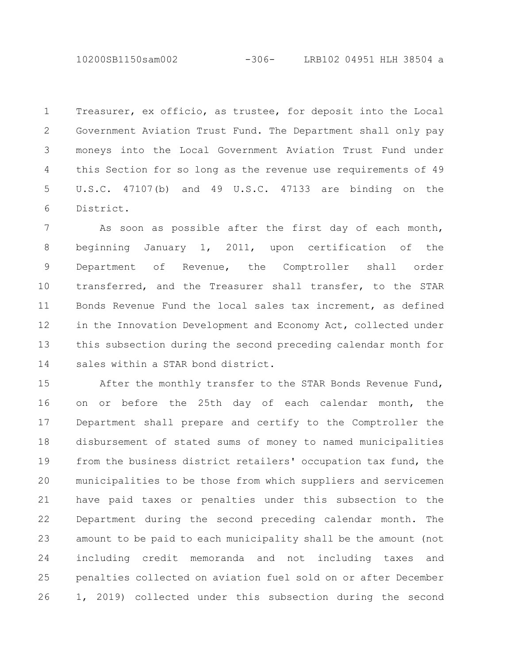10200SB1150sam002 -306- LRB102 04951 HLH 38504 a

Treasurer, ex officio, as trustee, for deposit into the Local Government Aviation Trust Fund. The Department shall only pay moneys into the Local Government Aviation Trust Fund under this Section for so long as the revenue use requirements of 49 U.S.C. 47107(b) and 49 U.S.C. 47133 are binding on the District. 1 2 3 4 5 6

As soon as possible after the first day of each month, beginning January 1, 2011, upon certification of the Department of Revenue, the Comptroller shall order transferred, and the Treasurer shall transfer, to the STAR Bonds Revenue Fund the local sales tax increment, as defined in the Innovation Development and Economy Act, collected under this subsection during the second preceding calendar month for sales within a STAR bond district. 7 8 9 10 11 12 13 14

After the monthly transfer to the STAR Bonds Revenue Fund, on or before the 25th day of each calendar month, the Department shall prepare and certify to the Comptroller the disbursement of stated sums of money to named municipalities from the business district retailers' occupation tax fund, the municipalities to be those from which suppliers and servicemen have paid taxes or penalties under this subsection to the Department during the second preceding calendar month. The amount to be paid to each municipality shall be the amount (not including credit memoranda and not including taxes and penalties collected on aviation fuel sold on or after December 1, 2019) collected under this subsection during the second 15 16 17 18 19 20 21 22 23 24 25 26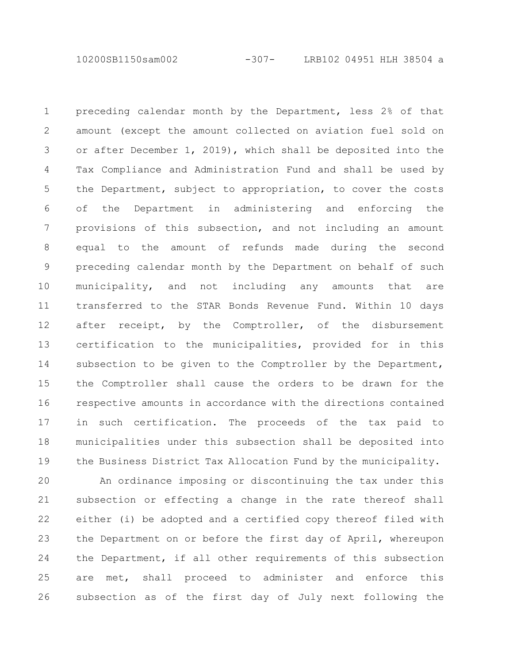10200SB1150sam002 -307- LRB102 04951 HLH 38504 a

preceding calendar month by the Department, less 2% of that amount (except the amount collected on aviation fuel sold on or after December 1, 2019), which shall be deposited into the Tax Compliance and Administration Fund and shall be used by the Department, subject to appropriation, to cover the costs of the Department in administering and enforcing the provisions of this subsection, and not including an amount equal to the amount of refunds made during the second preceding calendar month by the Department on behalf of such municipality, and not including any amounts that are transferred to the STAR Bonds Revenue Fund. Within 10 days after receipt, by the Comptroller, of the disbursement certification to the municipalities, provided for in this subsection to be given to the Comptroller by the Department, the Comptroller shall cause the orders to be drawn for the respective amounts in accordance with the directions contained in such certification. The proceeds of the tax paid to municipalities under this subsection shall be deposited into the Business District Tax Allocation Fund by the municipality. 1 2 3 4 5 6 7 8 9 10 11 12 13 14 15 16 17 18 19

An ordinance imposing or discontinuing the tax under this subsection or effecting a change in the rate thereof shall either (i) be adopted and a certified copy thereof filed with the Department on or before the first day of April, whereupon the Department, if all other requirements of this subsection are met, shall proceed to administer and enforce this subsection as of the first day of July next following the 20 21 22 23 24 25 26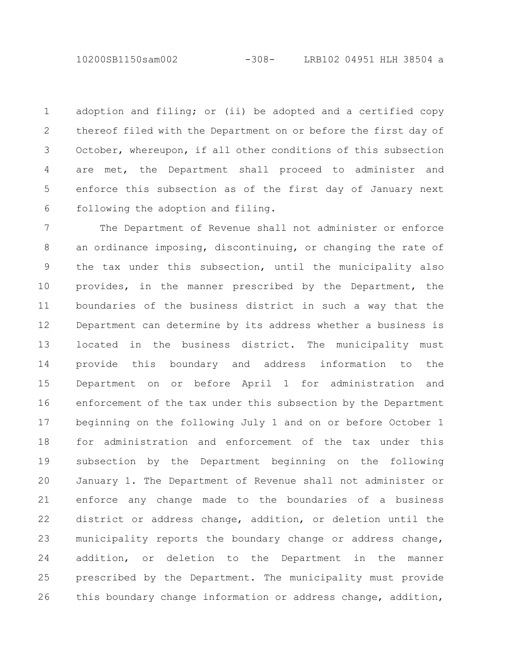10200SB1150sam002 -308- LRB102 04951 HLH 38504 a

adoption and filing; or (ii) be adopted and a certified copy thereof filed with the Department on or before the first day of October, whereupon, if all other conditions of this subsection are met, the Department shall proceed to administer and enforce this subsection as of the first day of January next following the adoption and filing. 1 2 3 4 5 6

The Department of Revenue shall not administer or enforce an ordinance imposing, discontinuing, or changing the rate of the tax under this subsection, until the municipality also provides, in the manner prescribed by the Department, the boundaries of the business district in such a way that the Department can determine by its address whether a business is located in the business district. The municipality must provide this boundary and address information to the Department on or before April 1 for administration and enforcement of the tax under this subsection by the Department beginning on the following July 1 and on or before October 1 for administration and enforcement of the tax under this subsection by the Department beginning on the following January 1. The Department of Revenue shall not administer or enforce any change made to the boundaries of a business district or address change, addition, or deletion until the municipality reports the boundary change or address change, addition, or deletion to the Department in the manner prescribed by the Department. The municipality must provide this boundary change information or address change, addition, 7 8 9 10 11 12 13 14 15 16 17 18 19 20 21 22 23 24 25 26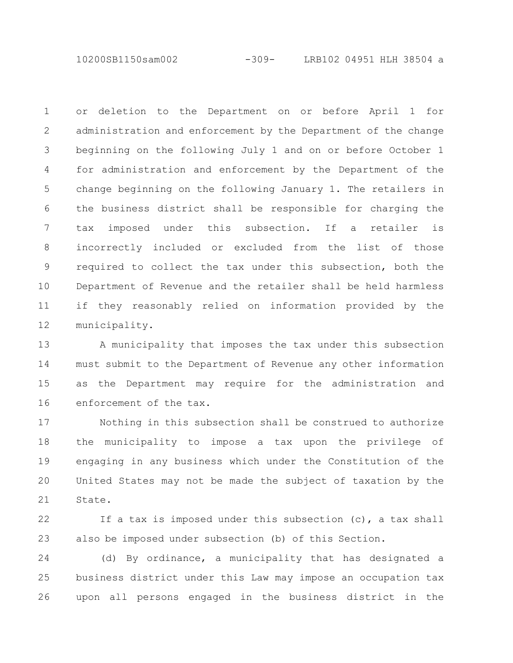10200SB1150sam002 -309- LRB102 04951 HLH 38504 a

or deletion to the Department on or before April 1 for administration and enforcement by the Department of the change beginning on the following July 1 and on or before October 1 for administration and enforcement by the Department of the change beginning on the following January 1. The retailers in the business district shall be responsible for charging the tax imposed under this subsection. If a retailer is incorrectly included or excluded from the list of those required to collect the tax under this subsection, both the Department of Revenue and the retailer shall be held harmless if they reasonably relied on information provided by the municipality. 1 2 3 4 5 6 7 8 9 10 11 12

A municipality that imposes the tax under this subsection must submit to the Department of Revenue any other information as the Department may require for the administration and enforcement of the tax. 13 14 15 16

Nothing in this subsection shall be construed to authorize the municipality to impose a tax upon the privilege of engaging in any business which under the Constitution of the United States may not be made the subject of taxation by the State. 17 18 19 20 21

If a tax is imposed under this subsection  $(c)$ , a tax shall also be imposed under subsection (b) of this Section. 22 23

(d) By ordinance, a municipality that has designated a business district under this Law may impose an occupation tax upon all persons engaged in the business district in the 24 25 26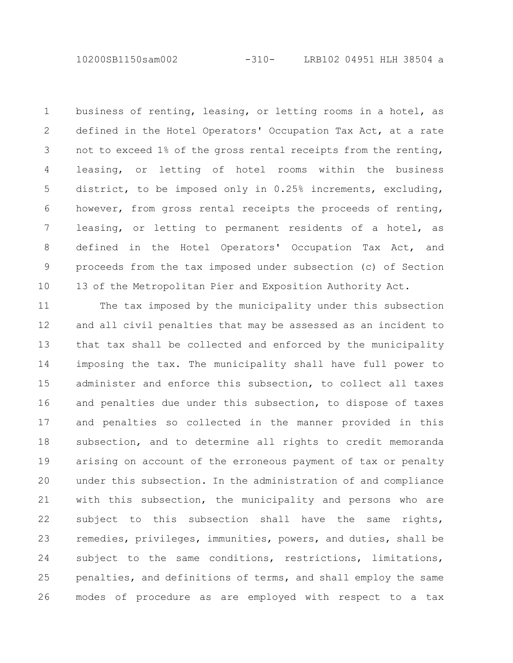10200SB1150sam002 -310- LRB102 04951 HLH 38504 a

business of renting, leasing, or letting rooms in a hotel, as defined in the Hotel Operators' Occupation Tax Act, at a rate not to exceed 1% of the gross rental receipts from the renting, leasing, or letting of hotel rooms within the business district, to be imposed only in 0.25% increments, excluding, however, from gross rental receipts the proceeds of renting, leasing, or letting to permanent residents of a hotel, as defined in the Hotel Operators' Occupation Tax Act, and proceeds from the tax imposed under subsection (c) of Section 13 of the Metropolitan Pier and Exposition Authority Act. 1 2 3 4 5 6 7 8 9 10

The tax imposed by the municipality under this subsection and all civil penalties that may be assessed as an incident to that tax shall be collected and enforced by the municipality imposing the tax. The municipality shall have full power to administer and enforce this subsection, to collect all taxes and penalties due under this subsection, to dispose of taxes and penalties so collected in the manner provided in this subsection, and to determine all rights to credit memoranda arising on account of the erroneous payment of tax or penalty under this subsection. In the administration of and compliance with this subsection, the municipality and persons who are subject to this subsection shall have the same rights, remedies, privileges, immunities, powers, and duties, shall be subject to the same conditions, restrictions, limitations, penalties, and definitions of terms, and shall employ the same modes of procedure as are employed with respect to a tax 11 12 13 14 15 16 17 18 19 20 21 22 23 24 25 26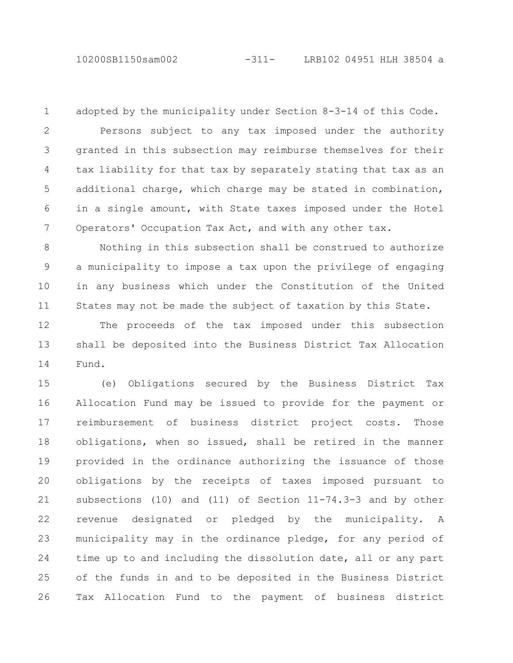10200SB1150sam002 -311- LRB102 04951 HLH 38504 a

1

adopted by the municipality under Section 8-3-14 of this Code.

Persons subject to any tax imposed under the authority granted in this subsection may reimburse themselves for their tax liability for that tax by separately stating that tax as an additional charge, which charge may be stated in combination, in a single amount, with State taxes imposed under the Hotel Operators' Occupation Tax Act, and with any other tax. 2 3 4 5 6 7

Nothing in this subsection shall be construed to authorize a municipality to impose a tax upon the privilege of engaging in any business which under the Constitution of the United States may not be made the subject of taxation by this State. 8 9 10 11

The proceeds of the tax imposed under this subsection shall be deposited into the Business District Tax Allocation Fund. 12 13 14

(e) Obligations secured by the Business District Tax Allocation Fund may be issued to provide for the payment or reimbursement of business district project costs. Those obligations, when so issued, shall be retired in the manner provided in the ordinance authorizing the issuance of those obligations by the receipts of taxes imposed pursuant to subsections (10) and (11) of Section 11-74.3-3 and by other revenue designated or pledged by the municipality. A municipality may in the ordinance pledge, for any period of time up to and including the dissolution date, all or any part of the funds in and to be deposited in the Business District Tax Allocation Fund to the payment of business district 15 16 17 18 19 20 21 22 23 24 25 26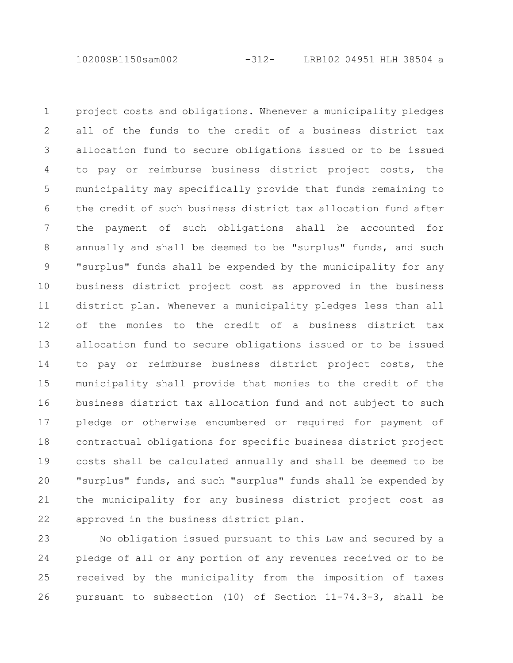10200SB1150sam002 -312- LRB102 04951 HLH 38504 a

project costs and obligations. Whenever a municipality pledges all of the funds to the credit of a business district tax allocation fund to secure obligations issued or to be issued to pay or reimburse business district project costs, the municipality may specifically provide that funds remaining to the credit of such business district tax allocation fund after the payment of such obligations shall be accounted for annually and shall be deemed to be "surplus" funds, and such "surplus" funds shall be expended by the municipality for any business district project cost as approved in the business district plan. Whenever a municipality pledges less than all of the monies to the credit of a business district tax allocation fund to secure obligations issued or to be issued to pay or reimburse business district project costs, the municipality shall provide that monies to the credit of the business district tax allocation fund and not subject to such pledge or otherwise encumbered or required for payment of contractual obligations for specific business district project costs shall be calculated annually and shall be deemed to be "surplus" funds, and such "surplus" funds shall be expended by the municipality for any business district project cost as approved in the business district plan. 1 2 3 4 5 6 7 8 9 10 11 12 13 14 15 16 17 18 19 20 21 22

No obligation issued pursuant to this Law and secured by a pledge of all or any portion of any revenues received or to be received by the municipality from the imposition of taxes pursuant to subsection (10) of Section 11-74.3-3, shall be 23 24 25 26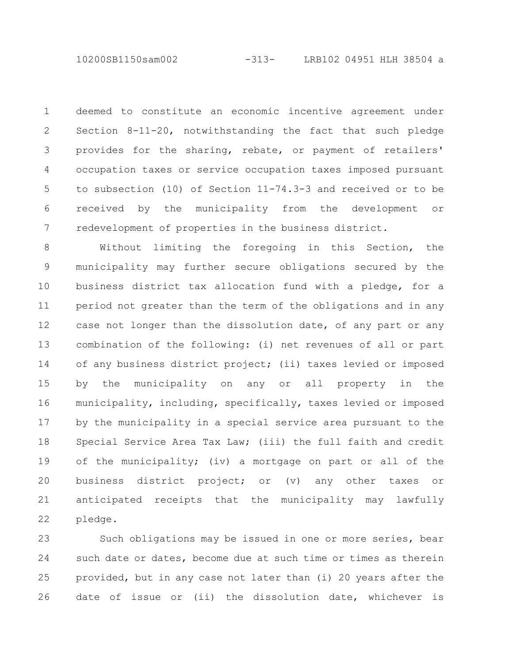deemed to constitute an economic incentive agreement under Section 8-11-20, notwithstanding the fact that such pledge provides for the sharing, rebate, or payment of retailers' occupation taxes or service occupation taxes imposed pursuant to subsection (10) of Section 11-74.3-3 and received or to be received by the municipality from the development or redevelopment of properties in the business district. 1 2 3 4 5 6 7

Without limiting the foregoing in this Section, the municipality may further secure obligations secured by the business district tax allocation fund with a pledge, for a period not greater than the term of the obligations and in any case not longer than the dissolution date, of any part or any combination of the following: (i) net revenues of all or part of any business district project; (ii) taxes levied or imposed by the municipality on any or all property in the municipality, including, specifically, taxes levied or imposed by the municipality in a special service area pursuant to the Special Service Area Tax Law; (iii) the full faith and credit of the municipality; (iv) a mortgage on part or all of the business district project; or (v) any other taxes or anticipated receipts that the municipality may lawfully pledge. 8 9 10 11 12 13 14 15 16 17 18 19 20 21 22

Such obligations may be issued in one or more series, bear such date or dates, become due at such time or times as therein provided, but in any case not later than (i) 20 years after the date of issue or (ii) the dissolution date, whichever is 23 24 25 26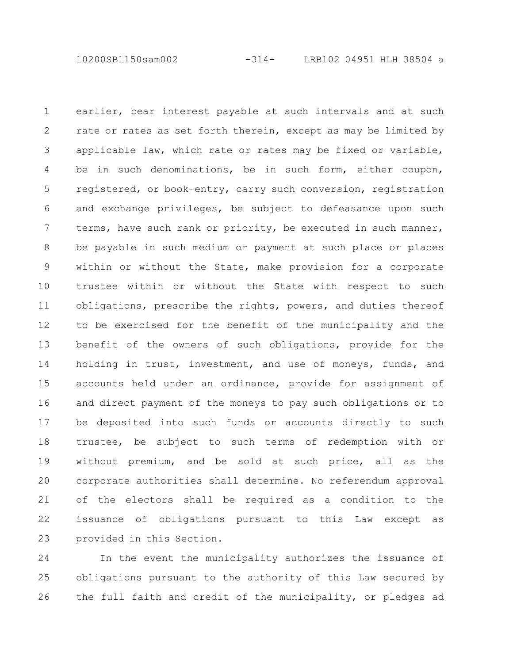10200SB1150sam002 -314- LRB102 04951 HLH 38504 a

earlier, bear interest payable at such intervals and at such rate or rates as set forth therein, except as may be limited by applicable law, which rate or rates may be fixed or variable, be in such denominations, be in such form, either coupon, registered, or book-entry, carry such conversion, registration and exchange privileges, be subject to defeasance upon such terms, have such rank or priority, be executed in such manner, be payable in such medium or payment at such place or places within or without the State, make provision for a corporate trustee within or without the State with respect to such obligations, prescribe the rights, powers, and duties thereof to be exercised for the benefit of the municipality and the benefit of the owners of such obligations, provide for the holding in trust, investment, and use of moneys, funds, and accounts held under an ordinance, provide for assignment of and direct payment of the moneys to pay such obligations or to be deposited into such funds or accounts directly to such trustee, be subject to such terms of redemption with or without premium, and be sold at such price, all as the corporate authorities shall determine. No referendum approval of the electors shall be required as a condition to the issuance of obligations pursuant to this Law except as provided in this Section. 1 2 3 4 5 6 7 8 9 10 11 12 13 14 15 16 17 18 19 20 21 22 23

In the event the municipality authorizes the issuance of obligations pursuant to the authority of this Law secured by the full faith and credit of the municipality, or pledges ad 24 25 26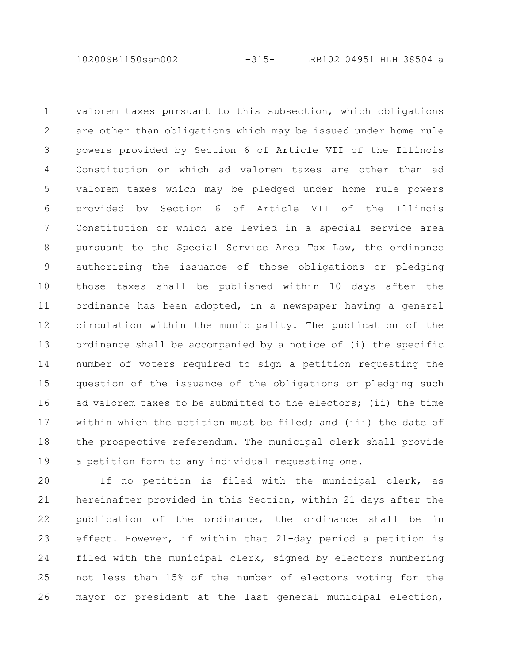10200SB1150sam002 -315- LRB102 04951 HLH 38504 a

valorem taxes pursuant to this subsection, which obligations are other than obligations which may be issued under home rule powers provided by Section 6 of Article VII of the Illinois Constitution or which ad valorem taxes are other than ad valorem taxes which may be pledged under home rule powers provided by Section 6 of Article VII of the Illinois Constitution or which are levied in a special service area pursuant to the Special Service Area Tax Law, the ordinance authorizing the issuance of those obligations or pledging those taxes shall be published within 10 days after the ordinance has been adopted, in a newspaper having a general circulation within the municipality. The publication of the ordinance shall be accompanied by a notice of (i) the specific number of voters required to sign a petition requesting the question of the issuance of the obligations or pledging such ad valorem taxes to be submitted to the electors; (ii) the time within which the petition must be filed; and (iii) the date of the prospective referendum. The municipal clerk shall provide a petition form to any individual requesting one. 1 2 3 4 5 6 7 8 9 10 11 12 13 14 15 16 17 18 19

If no petition is filed with the municipal clerk, as hereinafter provided in this Section, within 21 days after the publication of the ordinance, the ordinance shall be in effect. However, if within that 21-day period a petition is filed with the municipal clerk, signed by electors numbering not less than 15% of the number of electors voting for the mayor or president at the last general municipal election, 20 21 22 23 24 25 26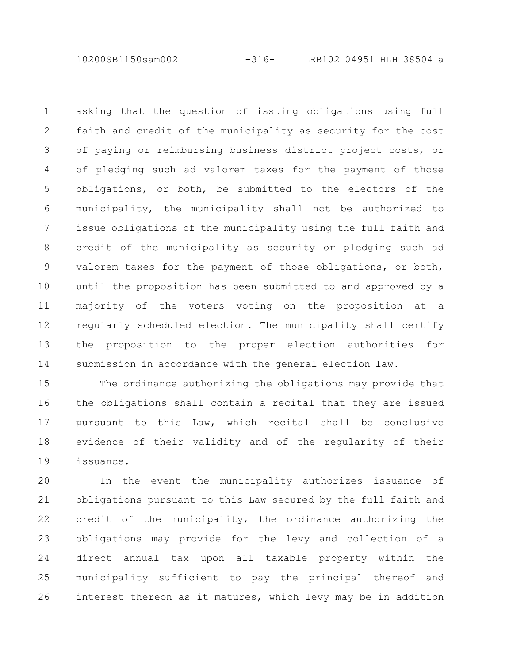10200SB1150sam002 -316- LRB102 04951 HLH 38504 a

asking that the question of issuing obligations using full faith and credit of the municipality as security for the cost of paying or reimbursing business district project costs, or of pledging such ad valorem taxes for the payment of those obligations, or both, be submitted to the electors of the municipality, the municipality shall not be authorized to issue obligations of the municipality using the full faith and credit of the municipality as security or pledging such ad valorem taxes for the payment of those obligations, or both, until the proposition has been submitted to and approved by a majority of the voters voting on the proposition at a regularly scheduled election. The municipality shall certify the proposition to the proper election authorities for submission in accordance with the general election law. 1 2 3 4 5 6 7 8 9 10 11 12 13 14

The ordinance authorizing the obligations may provide that the obligations shall contain a recital that they are issued pursuant to this Law, which recital shall be conclusive evidence of their validity and of the regularity of their issuance. 15 16 17 18 19

In the event the municipality authorizes issuance of obligations pursuant to this Law secured by the full faith and credit of the municipality, the ordinance authorizing the obligations may provide for the levy and collection of a direct annual tax upon all taxable property within the municipality sufficient to pay the principal thereof and interest thereon as it matures, which levy may be in addition 20 21 22 23 24 25 26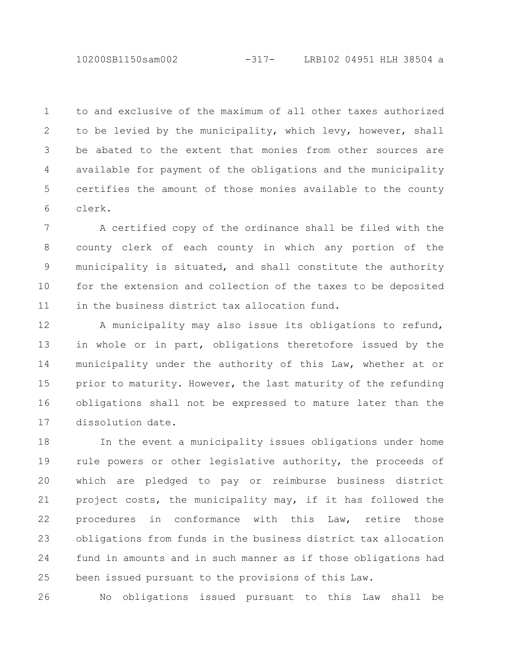to and exclusive of the maximum of all other taxes authorized to be levied by the municipality, which levy, however, shall be abated to the extent that monies from other sources are available for payment of the obligations and the municipality certifies the amount of those monies available to the county clerk. 1 2 3 4 5 6

A certified copy of the ordinance shall be filed with the county clerk of each county in which any portion of the municipality is situated, and shall constitute the authority for the extension and collection of the taxes to be deposited in the business district tax allocation fund. 7 8 9 10 11

A municipality may also issue its obligations to refund, in whole or in part, obligations theretofore issued by the municipality under the authority of this Law, whether at or prior to maturity. However, the last maturity of the refunding obligations shall not be expressed to mature later than the dissolution date. 12 13 14 15 16 17

In the event a municipality issues obligations under home rule powers or other legislative authority, the proceeds of which are pledged to pay or reimburse business district project costs, the municipality may, if it has followed the procedures in conformance with this Law, retire those obligations from funds in the business district tax allocation fund in amounts and in such manner as if those obligations had been issued pursuant to the provisions of this Law. 18 19 20 21 22 23 24 25

No obligations issued pursuant to this Law shall be 26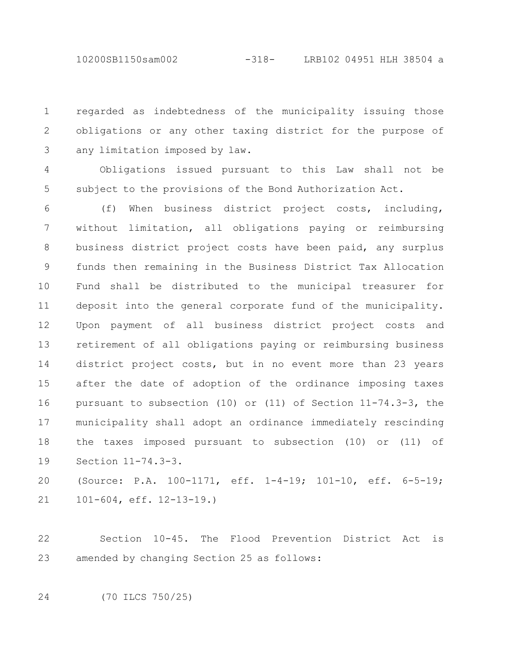10200SB1150sam002 -318- LRB102 04951 HLH 38504 a

regarded as indebtedness of the municipality issuing those obligations or any other taxing district for the purpose of any limitation imposed by law. 1 2 3

Obligations issued pursuant to this Law shall not be subject to the provisions of the Bond Authorization Act. 4 5

(f) When business district project costs, including, without limitation, all obligations paying or reimbursing business district project costs have been paid, any surplus funds then remaining in the Business District Tax Allocation Fund shall be distributed to the municipal treasurer for deposit into the general corporate fund of the municipality. Upon payment of all business district project costs and retirement of all obligations paying or reimbursing business district project costs, but in no event more than 23 years after the date of adoption of the ordinance imposing taxes pursuant to subsection (10) or (11) of Section 11-74.3-3, the municipality shall adopt an ordinance immediately rescinding the taxes imposed pursuant to subsection (10) or (11) of Section 11-74.3-3. 6 7 8 9 10 11 12 13 14 15 16 17 18 19

(Source: P.A. 100-1171, eff. 1-4-19; 101-10, eff. 6-5-19; 101-604, eff. 12-13-19.) 20 21

Section 10-45. The Flood Prevention District Act is amended by changing Section 25 as follows: 22 23

(70 ILCS 750/25) 24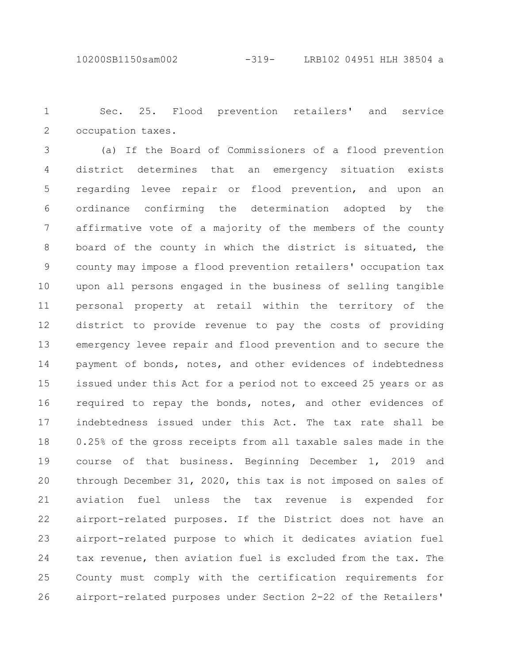Sec. 25. Flood prevention retailers' and service occupation taxes. 1 2

(a) If the Board of Commissioners of a flood prevention district determines that an emergency situation exists regarding levee repair or flood prevention, and upon an ordinance confirming the determination adopted by the affirmative vote of a majority of the members of the county board of the county in which the district is situated, the county may impose a flood prevention retailers' occupation tax upon all persons engaged in the business of selling tangible personal property at retail within the territory of the district to provide revenue to pay the costs of providing emergency levee repair and flood prevention and to secure the payment of bonds, notes, and other evidences of indebtedness issued under this Act for a period not to exceed 25 years or as required to repay the bonds, notes, and other evidences of indebtedness issued under this Act. The tax rate shall be 0.25% of the gross receipts from all taxable sales made in the course of that business. Beginning December 1, 2019 and through December 31, 2020, this tax is not imposed on sales of aviation fuel unless the tax revenue is expended for airport-related purposes. If the District does not have an airport-related purpose to which it dedicates aviation fuel tax revenue, then aviation fuel is excluded from the tax. The County must comply with the certification requirements for airport-related purposes under Section 2-22 of the Retailers' 3 4 5 6 7 8 9 10 11 12 13 14 15 16 17 18 19 20 21 22 23 24 25 26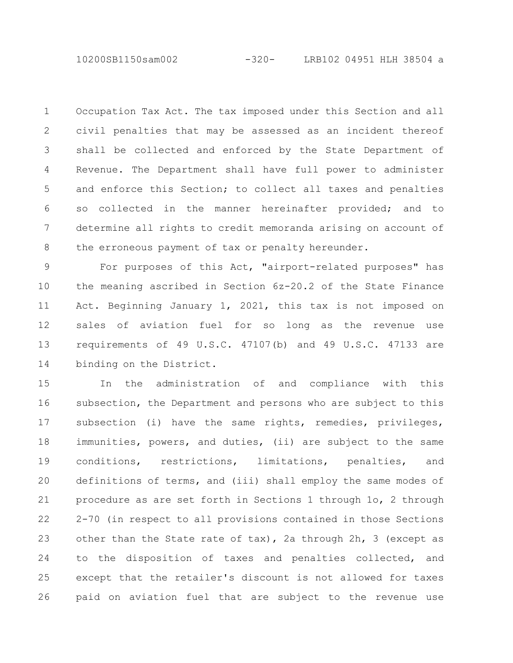10200SB1150sam002 -320- LRB102 04951 HLH 38504 a

Occupation Tax Act. The tax imposed under this Section and all civil penalties that may be assessed as an incident thereof shall be collected and enforced by the State Department of Revenue. The Department shall have full power to administer and enforce this Section; to collect all taxes and penalties so collected in the manner hereinafter provided; and to determine all rights to credit memoranda arising on account of the erroneous payment of tax or penalty hereunder. 1 2 3 4 5 6 7 8

For purposes of this Act, "airport-related purposes" has the meaning ascribed in Section 6z-20.2 of the State Finance Act. Beginning January 1, 2021, this tax is not imposed on sales of aviation fuel for so long as the revenue use requirements of 49 U.S.C. 47107(b) and 49 U.S.C. 47133 are binding on the District. 9 10 11 12 13 14

In the administration of and compliance with this subsection, the Department and persons who are subject to this subsection (i) have the same rights, remedies, privileges, immunities, powers, and duties, (ii) are subject to the same conditions, restrictions, limitations, penalties, and definitions of terms, and (iii) shall employ the same modes of procedure as are set forth in Sections 1 through 1o, 2 through 2-70 (in respect to all provisions contained in those Sections other than the State rate of tax), 2a through 2h, 3 (except as to the disposition of taxes and penalties collected, and except that the retailer's discount is not allowed for taxes paid on aviation fuel that are subject to the revenue use 15 16 17 18 19 20 21 22 23 24 25 26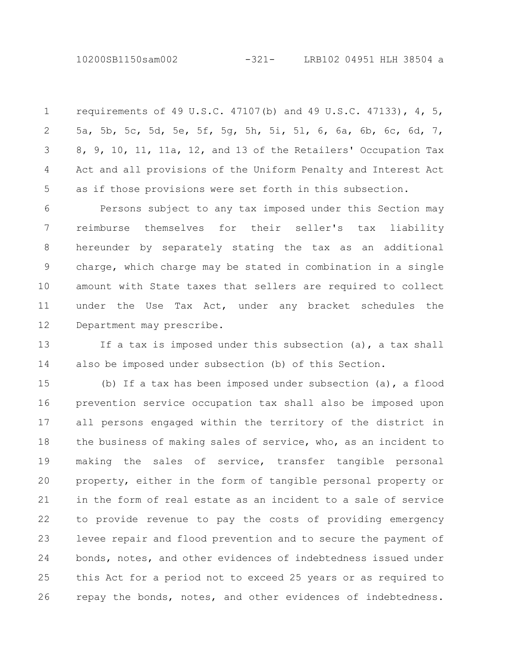10200SB1150sam002 -321- LRB102 04951 HLH 38504 a

requirements of 49 U.S.C. 47107(b) and 49 U.S.C. 47133), 4, 5, 5a, 5b, 5c, 5d, 5e, 5f, 5g, 5h, 5i, 5l, 6, 6a, 6b, 6c, 6d, 7, 8, 9, 10, 11, 11a, 12, and 13 of the Retailers' Occupation Tax Act and all provisions of the Uniform Penalty and Interest Act as if those provisions were set forth in this subsection. 1 2 3 4 5

Persons subject to any tax imposed under this Section may reimburse themselves for their seller's tax liability hereunder by separately stating the tax as an additional charge, which charge may be stated in combination in a single amount with State taxes that sellers are required to collect under the Use Tax Act, under any bracket schedules the Department may prescribe. 6 7 8 9 10 11 12

If a tax is imposed under this subsection (a), a tax shall also be imposed under subsection (b) of this Section. 13 14

(b) If a tax has been imposed under subsection (a), a flood prevention service occupation tax shall also be imposed upon all persons engaged within the territory of the district in the business of making sales of service, who, as an incident to making the sales of service, transfer tangible personal property, either in the form of tangible personal property or in the form of real estate as an incident to a sale of service to provide revenue to pay the costs of providing emergency levee repair and flood prevention and to secure the payment of bonds, notes, and other evidences of indebtedness issued under this Act for a period not to exceed 25 years or as required to repay the bonds, notes, and other evidences of indebtedness. 15 16 17 18 19 20 21 22 23 24 25 26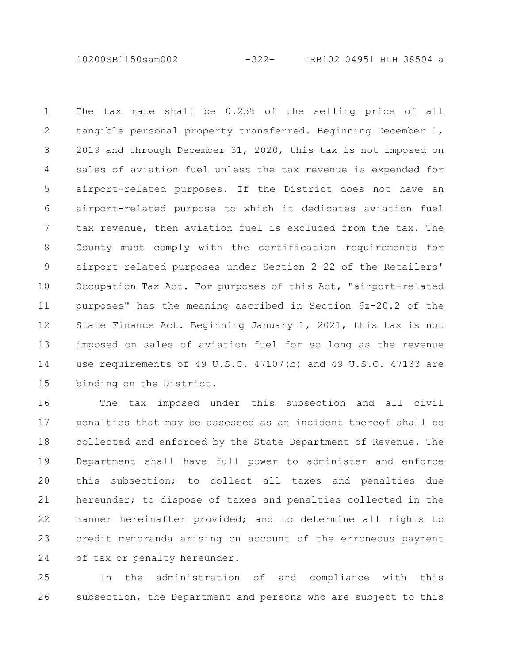10200SB1150sam002 -322- LRB102 04951 HLH 38504 a

The tax rate shall be 0.25% of the selling price of all tangible personal property transferred. Beginning December 1, 2019 and through December 31, 2020, this tax is not imposed on sales of aviation fuel unless the tax revenue is expended for airport-related purposes. If the District does not have an airport-related purpose to which it dedicates aviation fuel tax revenue, then aviation fuel is excluded from the tax. The County must comply with the certification requirements for airport-related purposes under Section 2-22 of the Retailers' Occupation Tax Act. For purposes of this Act, "airport-related purposes" has the meaning ascribed in Section 6z-20.2 of the State Finance Act. Beginning January 1, 2021, this tax is not imposed on sales of aviation fuel for so long as the revenue use requirements of 49 U.S.C. 47107(b) and 49 U.S.C. 47133 are binding on the District. 1 2 3 4 5 6 7 8 9 10 11 12 13 14 15

The tax imposed under this subsection and all civil penalties that may be assessed as an incident thereof shall be collected and enforced by the State Department of Revenue. The Department shall have full power to administer and enforce this subsection; to collect all taxes and penalties due hereunder; to dispose of taxes and penalties collected in the manner hereinafter provided; and to determine all rights to credit memoranda arising on account of the erroneous payment of tax or penalty hereunder. 16 17 18 19 20 21 22 23 24

In the administration of and compliance with this subsection, the Department and persons who are subject to this 25 26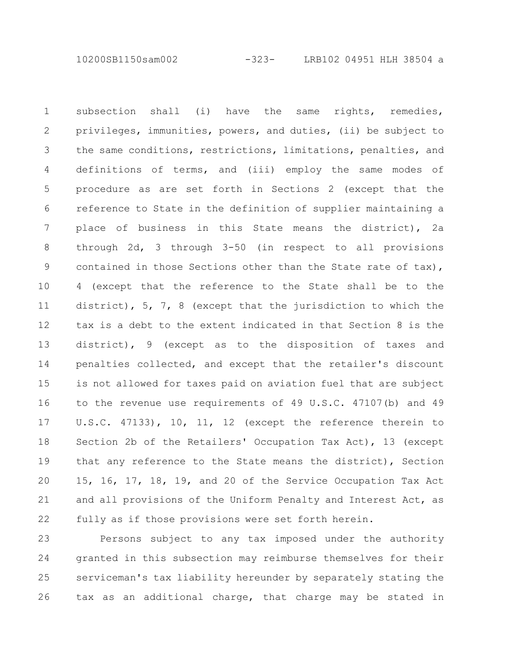10200SB1150sam002 -323- LRB102 04951 HLH 38504 a

subsection shall (i) have the same rights, remedies, privileges, immunities, powers, and duties, (ii) be subject to the same conditions, restrictions, limitations, penalties, and definitions of terms, and (iii) employ the same modes of procedure as are set forth in Sections 2 (except that the reference to State in the definition of supplier maintaining a place of business in this State means the district), 2a through 2d, 3 through 3-50 (in respect to all provisions contained in those Sections other than the State rate of tax), 4 (except that the reference to the State shall be to the district), 5, 7, 8 (except that the jurisdiction to which the tax is a debt to the extent indicated in that Section 8 is the district), 9 (except as to the disposition of taxes and penalties collected, and except that the retailer's discount is not allowed for taxes paid on aviation fuel that are subject to the revenue use requirements of 49 U.S.C. 47107(b) and 49 U.S.C. 47133), 10, 11, 12 (except the reference therein to Section 2b of the Retailers' Occupation Tax Act), 13 (except that any reference to the State means the district), Section 15, 16, 17, 18, 19, and 20 of the Service Occupation Tax Act and all provisions of the Uniform Penalty and Interest Act, as fully as if those provisions were set forth herein. 1 2 3 4 5 6 7 8 9 10 11 12 13 14 15 16 17 18 19 20 21 22

Persons subject to any tax imposed under the authority granted in this subsection may reimburse themselves for their serviceman's tax liability hereunder by separately stating the tax as an additional charge, that charge may be stated in 23 24 25 26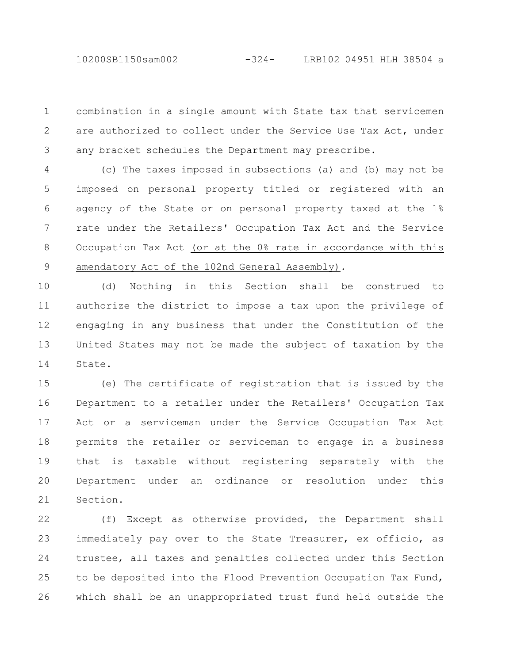combination in a single amount with State tax that servicemen are authorized to collect under the Service Use Tax Act, under any bracket schedules the Department may prescribe. 1 2 3

(c) The taxes imposed in subsections (a) and (b) may not be imposed on personal property titled or registered with an agency of the State or on personal property taxed at the 1% rate under the Retailers' Occupation Tax Act and the Service Occupation Tax Act (or at the 0% rate in accordance with this amendatory Act of the 102nd General Assembly). 4 5 6 7 8 9

(d) Nothing in this Section shall be construed to authorize the district to impose a tax upon the privilege of engaging in any business that under the Constitution of the United States may not be made the subject of taxation by the State. 10 11 12 13 14

(e) The certificate of registration that is issued by the Department to a retailer under the Retailers' Occupation Tax Act or a serviceman under the Service Occupation Tax Act permits the retailer or serviceman to engage in a business that is taxable without registering separately with the Department under an ordinance or resolution under this Section. 15 16 17 18 19 20 21

(f) Except as otherwise provided, the Department shall immediately pay over to the State Treasurer, ex officio, as trustee, all taxes and penalties collected under this Section to be deposited into the Flood Prevention Occupation Tax Fund, which shall be an unappropriated trust fund held outside the 22 23 24 25 26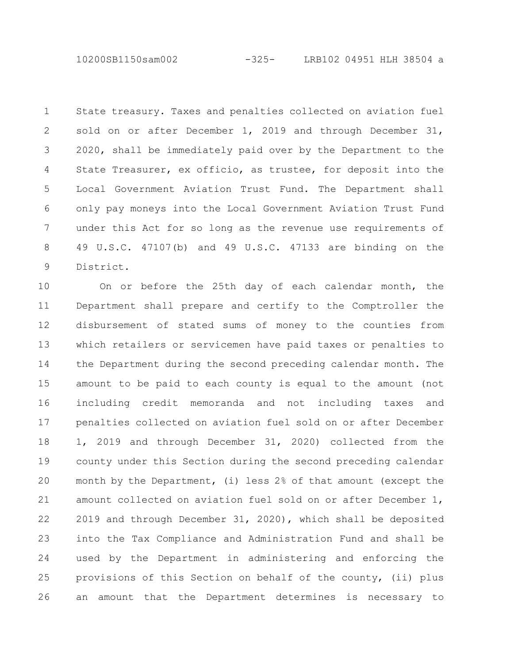10200SB1150sam002 -325- LRB102 04951 HLH 38504 a

State treasury. Taxes and penalties collected on aviation fuel sold on or after December 1, 2019 and through December 31, 2020, shall be immediately paid over by the Department to the State Treasurer, ex officio, as trustee, for deposit into the Local Government Aviation Trust Fund. The Department shall only pay moneys into the Local Government Aviation Trust Fund under this Act for so long as the revenue use requirements of 49 U.S.C. 47107(b) and 49 U.S.C. 47133 are binding on the District. 1 2 3 4 5 6 7 8 9

On or before the 25th day of each calendar month, the Department shall prepare and certify to the Comptroller the disbursement of stated sums of money to the counties from which retailers or servicemen have paid taxes or penalties to the Department during the second preceding calendar month. The amount to be paid to each county is equal to the amount (not including credit memoranda and not including taxes and penalties collected on aviation fuel sold on or after December 1, 2019 and through December 31, 2020) collected from the county under this Section during the second preceding calendar month by the Department, (i) less 2% of that amount (except the amount collected on aviation fuel sold on or after December 1, 2019 and through December 31, 2020), which shall be deposited into the Tax Compliance and Administration Fund and shall be used by the Department in administering and enforcing the provisions of this Section on behalf of the county, (ii) plus an amount that the Department determines is necessary to 10 11 12 13 14 15 16 17 18 19 20 21 22 23 24 25 26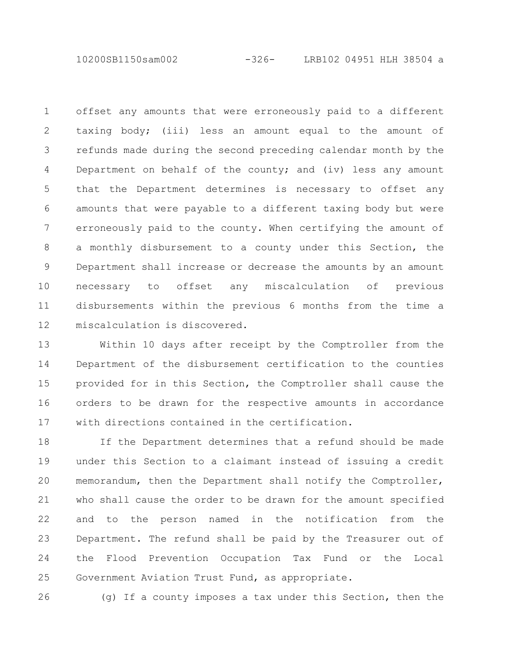10200SB1150sam002 -326- LRB102 04951 HLH 38504 a

offset any amounts that were erroneously paid to a different taxing body; (iii) less an amount equal to the amount of refunds made during the second preceding calendar month by the Department on behalf of the county; and (iv) less any amount that the Department determines is necessary to offset any amounts that were payable to a different taxing body but were erroneously paid to the county. When certifying the amount of a monthly disbursement to a county under this Section, the Department shall increase or decrease the amounts by an amount necessary to offset any miscalculation of previous disbursements within the previous 6 months from the time a miscalculation is discovered. 1 2 3 4 5 6 7 8 9 10 11 12

Within 10 days after receipt by the Comptroller from the Department of the disbursement certification to the counties provided for in this Section, the Comptroller shall cause the orders to be drawn for the respective amounts in accordance with directions contained in the certification. 13 14 15 16 17

If the Department determines that a refund should be made under this Section to a claimant instead of issuing a credit memorandum, then the Department shall notify the Comptroller, who shall cause the order to be drawn for the amount specified and to the person named in the notification from the Department. The refund shall be paid by the Treasurer out of the Flood Prevention Occupation Tax Fund or the Local Government Aviation Trust Fund, as appropriate. 18 19 20 21 22 23 24 25

26

(g) If a county imposes a tax under this Section, then the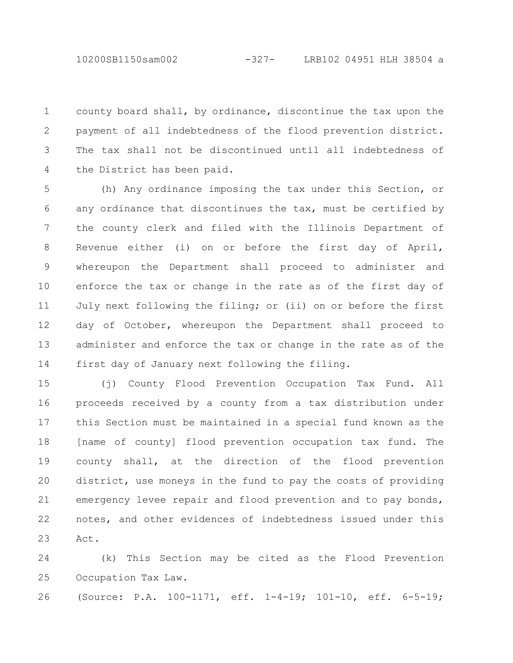county board shall, by ordinance, discontinue the tax upon the payment of all indebtedness of the flood prevention district. The tax shall not be discontinued until all indebtedness of the District has been paid. 1 2 3 4

(h) Any ordinance imposing the tax under this Section, or any ordinance that discontinues the tax, must be certified by the county clerk and filed with the Illinois Department of Revenue either (i) on or before the first day of April, whereupon the Department shall proceed to administer and enforce the tax or change in the rate as of the first day of July next following the filing; or (ii) on or before the first day of October, whereupon the Department shall proceed to administer and enforce the tax or change in the rate as of the first day of January next following the filing. 5 6 7 8 9 10 11 12 13 14

(j) County Flood Prevention Occupation Tax Fund. All proceeds received by a county from a tax distribution under this Section must be maintained in a special fund known as the [name of county] flood prevention occupation tax fund. The county shall, at the direction of the flood prevention district, use moneys in the fund to pay the costs of providing emergency levee repair and flood prevention and to pay bonds, notes, and other evidences of indebtedness issued under this Act. 15 16 17 18 19 20 21 22 23

(k) This Section may be cited as the Flood Prevention Occupation Tax Law. 24 25

(Source: P.A. 100-1171, eff. 1-4-19; 101-10, eff. 6-5-19; 26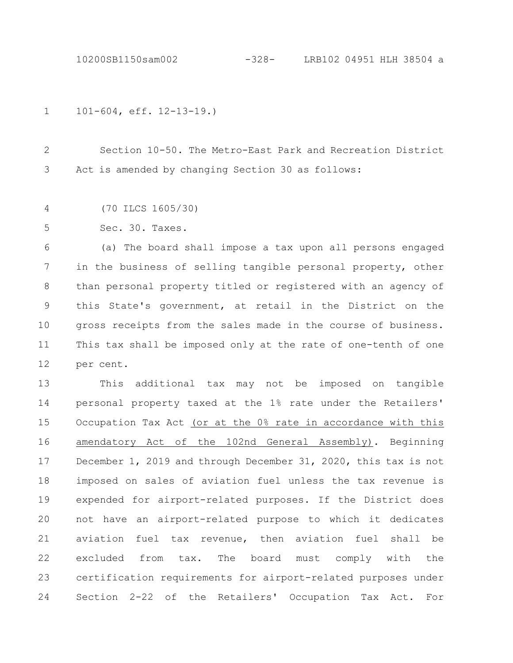10200SB1150sam002 -328- LRB102 04951 HLH 38504 a

101-604, eff. 12-13-19.) 1

Section 10-50. The Metro-East Park and Recreation District Act is amended by changing Section 30 as follows: 2 3

(70 ILCS 1605/30) 4

Sec. 30. Taxes. 5

(a) The board shall impose a tax upon all persons engaged in the business of selling tangible personal property, other than personal property titled or registered with an agency of this State's government, at retail in the District on the gross receipts from the sales made in the course of business. This tax shall be imposed only at the rate of one-tenth of one per cent. 6 7 8 9 10 11 12

This additional tax may not be imposed on tangible personal property taxed at the 1% rate under the Retailers' Occupation Tax Act (or at the 0% rate in accordance with this amendatory Act of the 102nd General Assembly). Beginning December 1, 2019 and through December 31, 2020, this tax is not imposed on sales of aviation fuel unless the tax revenue is expended for airport-related purposes. If the District does not have an airport-related purpose to which it dedicates aviation fuel tax revenue, then aviation fuel shall be excluded from tax. The board must comply with the certification requirements for airport-related purposes under Section 2-22 of the Retailers' Occupation Tax Act. For 13 14 15 16 17 18 19 20 21 22 23 24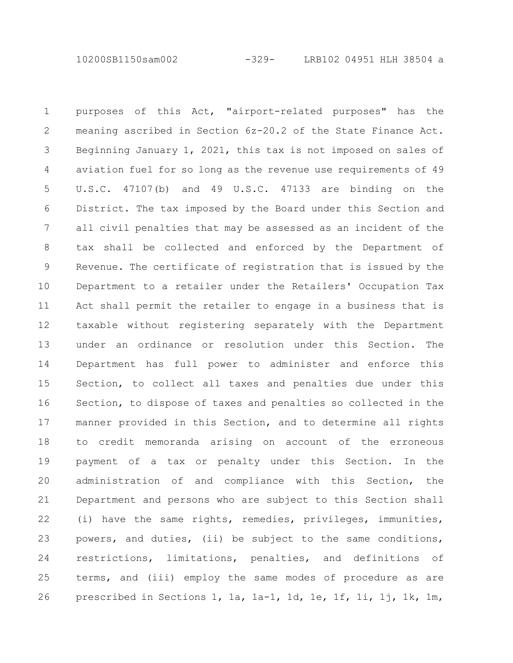10200SB1150sam002 -329- LRB102 04951 HLH 38504 a

purposes of this Act, "airport-related purposes" has the meaning ascribed in Section 6z-20.2 of the State Finance Act. Beginning January 1, 2021, this tax is not imposed on sales of aviation fuel for so long as the revenue use requirements of 49 U.S.C. 47107(b) and 49 U.S.C. 47133 are binding on the District. The tax imposed by the Board under this Section and all civil penalties that may be assessed as an incident of the tax shall be collected and enforced by the Department of Revenue. The certificate of registration that is issued by the Department to a retailer under the Retailers' Occupation Tax Act shall permit the retailer to engage in a business that is taxable without registering separately with the Department under an ordinance or resolution under this Section. The Department has full power to administer and enforce this Section, to collect all taxes and penalties due under this Section, to dispose of taxes and penalties so collected in the manner provided in this Section, and to determine all rights to credit memoranda arising on account of the erroneous payment of a tax or penalty under this Section. In the administration of and compliance with this Section, the Department and persons who are subject to this Section shall (i) have the same rights, remedies, privileges, immunities, powers, and duties, (ii) be subject to the same conditions, restrictions, limitations, penalties, and definitions of terms, and (iii) employ the same modes of procedure as are prescribed in Sections 1, 1a, 1a-1, 1d, 1e, 1f, 1i, 1j, 1k, 1m, 1 2 3 4 5 6 7 8 9 10 11 12 13 14 15 16 17 18 19 20 21 22 23 24 25 26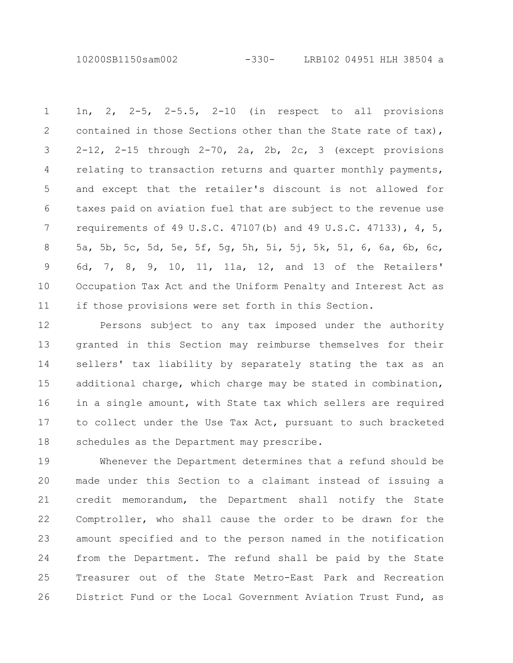10200SB1150sam002 -330- LRB102 04951 HLH 38504 a

1n, 2, 2-5, 2-5.5, 2-10 (in respect to all provisions contained in those Sections other than the State rate of tax),  $2-12$ ,  $2-15$  through  $2-70$ ,  $2a$ ,  $2b$ ,  $2c$ ,  $3$  (except provisions relating to transaction returns and quarter monthly payments, and except that the retailer's discount is not allowed for taxes paid on aviation fuel that are subject to the revenue use requirements of 49 U.S.C. 47107(b) and 49 U.S.C. 47133), 4, 5, 5a, 5b, 5c, 5d, 5e, 5f, 5g, 5h, 5i, 5j, 5k, 5l, 6, 6a, 6b, 6c, 6d, 7, 8, 9, 10, 11, 11a, 12, and 13 of the Retailers' Occupation Tax Act and the Uniform Penalty and Interest Act as if those provisions were set forth in this Section. 1 2 3 4 5 6 7 8 9 10 11

Persons subject to any tax imposed under the authority granted in this Section may reimburse themselves for their sellers' tax liability by separately stating the tax as an additional charge, which charge may be stated in combination, in a single amount, with State tax which sellers are required to collect under the Use Tax Act, pursuant to such bracketed schedules as the Department may prescribe. 12 13 14 15 16 17 18

Whenever the Department determines that a refund should be made under this Section to a claimant instead of issuing a credit memorandum, the Department shall notify the State Comptroller, who shall cause the order to be drawn for the amount specified and to the person named in the notification from the Department. The refund shall be paid by the State Treasurer out of the State Metro-East Park and Recreation District Fund or the Local Government Aviation Trust Fund, as 19 20 21 22 23 24 25 26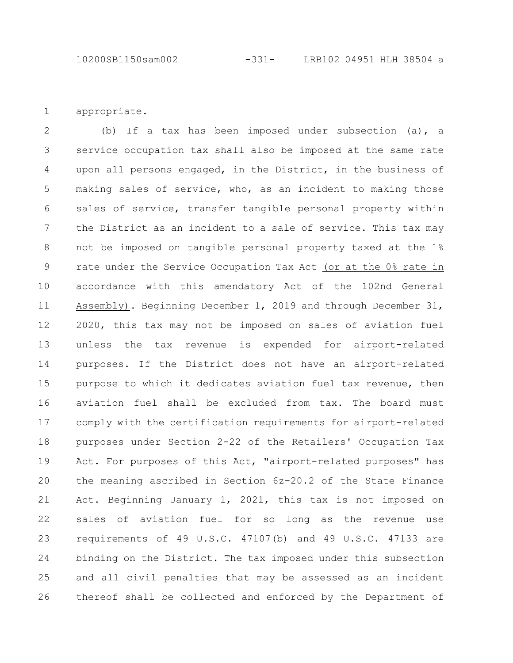appropriate. 1

(b) If a tax has been imposed under subsection (a), a service occupation tax shall also be imposed at the same rate upon all persons engaged, in the District, in the business of making sales of service, who, as an incident to making those sales of service, transfer tangible personal property within the District as an incident to a sale of service. This tax may not be imposed on tangible personal property taxed at the 1% rate under the Service Occupation Tax Act (or at the 0% rate in accordance with this amendatory Act of the 102nd General Assembly). Beginning December 1, 2019 and through December 31, 2020, this tax may not be imposed on sales of aviation fuel unless the tax revenue is expended for airport-related purposes. If the District does not have an airport-related purpose to which it dedicates aviation fuel tax revenue, then aviation fuel shall be excluded from tax. The board must comply with the certification requirements for airport-related purposes under Section 2-22 of the Retailers' Occupation Tax Act. For purposes of this Act, "airport-related purposes" has the meaning ascribed in Section 6z-20.2 of the State Finance Act. Beginning January 1, 2021, this tax is not imposed on sales of aviation fuel for so long as the revenue use requirements of 49 U.S.C. 47107(b) and 49 U.S.C. 47133 are binding on the District. The tax imposed under this subsection and all civil penalties that may be assessed as an incident thereof shall be collected and enforced by the Department of 2 3 4 5 6 7 8 9 10 11 12 13 14 15 16 17 18 19 20 21 22 23 24 25 26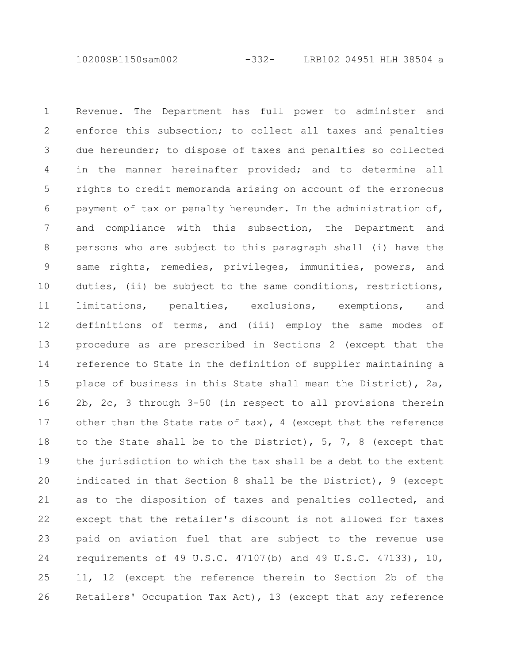10200SB1150sam002 -332- LRB102 04951 HLH 38504 a

Revenue. The Department has full power to administer and enforce this subsection; to collect all taxes and penalties due hereunder; to dispose of taxes and penalties so collected in the manner hereinafter provided; and to determine all rights to credit memoranda arising on account of the erroneous payment of tax or penalty hereunder. In the administration of, and compliance with this subsection, the Department and persons who are subject to this paragraph shall (i) have the same rights, remedies, privileges, immunities, powers, and duties, (ii) be subject to the same conditions, restrictions, limitations, penalties, exclusions, exemptions, and definitions of terms, and (iii) employ the same modes of procedure as are prescribed in Sections 2 (except that the reference to State in the definition of supplier maintaining a place of business in this State shall mean the District), 2a, 2b, 2c, 3 through 3-50 (in respect to all provisions therein other than the State rate of tax), 4 (except that the reference to the State shall be to the District), 5, 7, 8 (except that the jurisdiction to which the tax shall be a debt to the extent indicated in that Section 8 shall be the District), 9 (except as to the disposition of taxes and penalties collected, and except that the retailer's discount is not allowed for taxes paid on aviation fuel that are subject to the revenue use requirements of 49 U.S.C. 47107(b) and 49 U.S.C. 47133), 10, 11, 12 (except the reference therein to Section 2b of the Retailers' Occupation Tax Act), 13 (except that any reference 1 2 3 4 5 6 7 8 9 10 11 12 13 14 15 16 17 18 19 20 21 22 23 24 25 26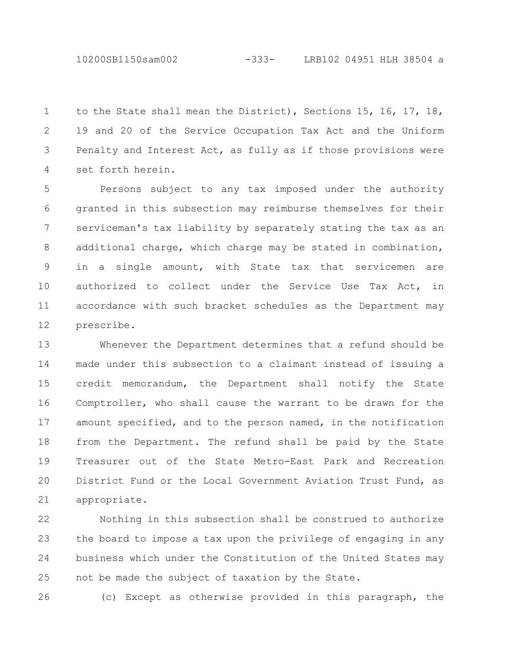10200SB1150sam002 -333- LRB102 04951 HLH 38504 a

to the State shall mean the District), Sections 15, 16, 17, 18, 19 and 20 of the Service Occupation Tax Act and the Uniform Penalty and Interest Act, as fully as if those provisions were set forth herein. 1 2 3 4

Persons subject to any tax imposed under the authority granted in this subsection may reimburse themselves for their serviceman's tax liability by separately stating the tax as an additional charge, which charge may be stated in combination, in a single amount, with State tax that servicemen are authorized to collect under the Service Use Tax Act, in accordance with such bracket schedules as the Department may prescribe. 5 6 7 8 9 10 11 12

Whenever the Department determines that a refund should be made under this subsection to a claimant instead of issuing a credit memorandum, the Department shall notify the State Comptroller, who shall cause the warrant to be drawn for the amount specified, and to the person named, in the notification from the Department. The refund shall be paid by the State Treasurer out of the State Metro-East Park and Recreation District Fund or the Local Government Aviation Trust Fund, as appropriate. 13 14 15 16 17 18 19 20 21

Nothing in this subsection shall be construed to authorize the board to impose a tax upon the privilege of engaging in any business which under the Constitution of the United States may not be made the subject of taxation by the State. 22 23 24 25

26

(c) Except as otherwise provided in this paragraph, the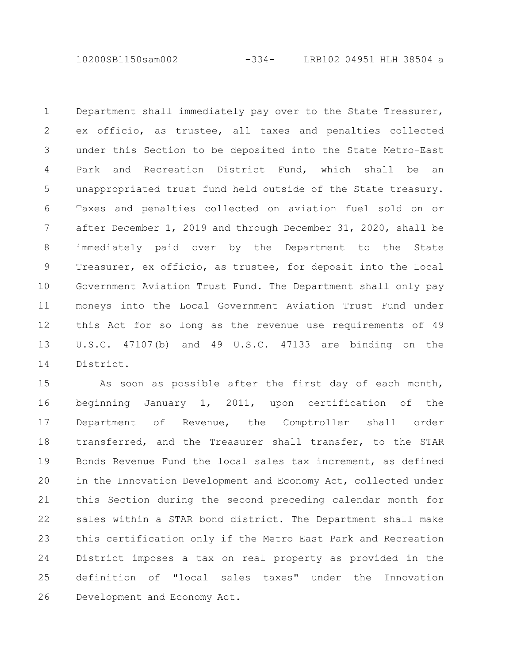10200SB1150sam002 -334- LRB102 04951 HLH 38504 a

Department shall immediately pay over to the State Treasurer, ex officio, as trustee, all taxes and penalties collected under this Section to be deposited into the State Metro-East Park and Recreation District Fund, which shall be an unappropriated trust fund held outside of the State treasury. Taxes and penalties collected on aviation fuel sold on or after December 1, 2019 and through December 31, 2020, shall be immediately paid over by the Department to the State Treasurer, ex officio, as trustee, for deposit into the Local Government Aviation Trust Fund. The Department shall only pay moneys into the Local Government Aviation Trust Fund under this Act for so long as the revenue use requirements of 49 U.S.C. 47107(b) and 49 U.S.C. 47133 are binding on the District. 1 2 3 4 5 6 7 8 9 10 11 12 13 14

As soon as possible after the first day of each month, beginning January 1, 2011, upon certification of the Department of Revenue, the Comptroller shall order transferred, and the Treasurer shall transfer, to the STAR Bonds Revenue Fund the local sales tax increment, as defined in the Innovation Development and Economy Act, collected under this Section during the second preceding calendar month for sales within a STAR bond district. The Department shall make this certification only if the Metro East Park and Recreation District imposes a tax on real property as provided in the definition of "local sales taxes" under the Innovation Development and Economy Act. 15 16 17 18 19 20 21 22 23 24 25 26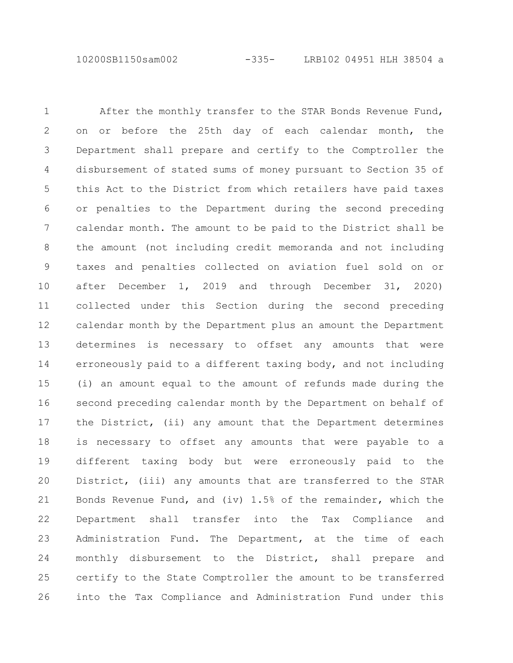10200SB1150sam002 -335- LRB102 04951 HLH 38504 a

After the monthly transfer to the STAR Bonds Revenue Fund, on or before the 25th day of each calendar month, the Department shall prepare and certify to the Comptroller the disbursement of stated sums of money pursuant to Section 35 of this Act to the District from which retailers have paid taxes or penalties to the Department during the second preceding calendar month. The amount to be paid to the District shall be the amount (not including credit memoranda and not including taxes and penalties collected on aviation fuel sold on or after December 1, 2019 and through December 31, 2020) collected under this Section during the second preceding calendar month by the Department plus an amount the Department determines is necessary to offset any amounts that were erroneously paid to a different taxing body, and not including (i) an amount equal to the amount of refunds made during the second preceding calendar month by the Department on behalf of the District, (ii) any amount that the Department determines is necessary to offset any amounts that were payable to a different taxing body but were erroneously paid to the District, (iii) any amounts that are transferred to the STAR Bonds Revenue Fund, and (iv) 1.5% of the remainder, which the Department shall transfer into the Tax Compliance and Administration Fund. The Department, at the time of each monthly disbursement to the District, shall prepare and certify to the State Comptroller the amount to be transferred into the Tax Compliance and Administration Fund under this 1 2 3 4 5 6 7 8 9 10 11 12 13 14 15 16 17 18 19 20 21 22 23 24 25 26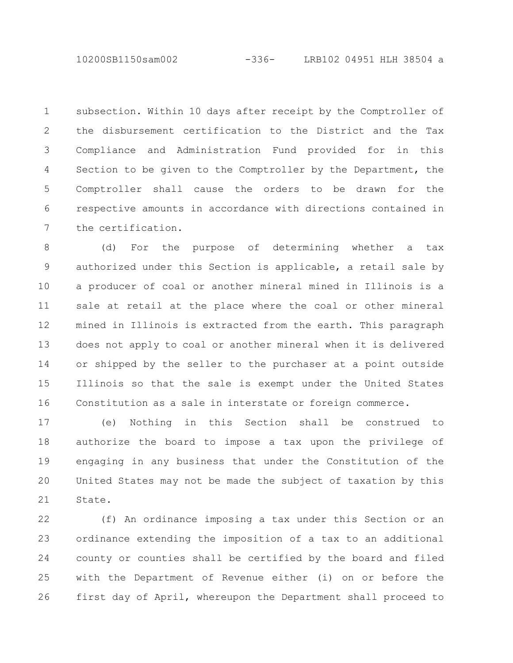10200SB1150sam002 -336- LRB102 04951 HLH 38504 a

subsection. Within 10 days after receipt by the Comptroller of the disbursement certification to the District and the Tax Compliance and Administration Fund provided for in this Section to be given to the Comptroller by the Department, the Comptroller shall cause the orders to be drawn for the respective amounts in accordance with directions contained in the certification. 1 2 3 4 5 6 7

(d) For the purpose of determining whether a tax authorized under this Section is applicable, a retail sale by a producer of coal or another mineral mined in Illinois is a sale at retail at the place where the coal or other mineral mined in Illinois is extracted from the earth. This paragraph does not apply to coal or another mineral when it is delivered or shipped by the seller to the purchaser at a point outside Illinois so that the sale is exempt under the United States Constitution as a sale in interstate or foreign commerce. 8 9 10 11 12 13 14 15 16

(e) Nothing in this Section shall be construed to authorize the board to impose a tax upon the privilege of engaging in any business that under the Constitution of the United States may not be made the subject of taxation by this State. 17 18 19 20 21

(f) An ordinance imposing a tax under this Section or an ordinance extending the imposition of a tax to an additional county or counties shall be certified by the board and filed with the Department of Revenue either (i) on or before the first day of April, whereupon the Department shall proceed to 22 23 24 25 26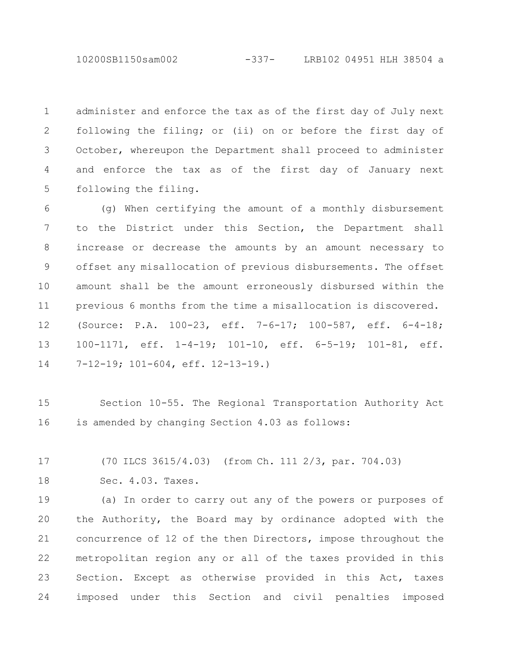10200SB1150sam002 -337- LRB102 04951 HLH 38504 a

administer and enforce the tax as of the first day of July next following the filing; or (ii) on or before the first day of October, whereupon the Department shall proceed to administer and enforce the tax as of the first day of January next following the filing. 1 2 3 4 5

(g) When certifying the amount of a monthly disbursement to the District under this Section, the Department shall increase or decrease the amounts by an amount necessary to offset any misallocation of previous disbursements. The offset amount shall be the amount erroneously disbursed within the previous 6 months from the time a misallocation is discovered. (Source: P.A. 100-23, eff. 7-6-17; 100-587, eff. 6-4-18; 100-1171, eff. 1-4-19; 101-10, eff. 6-5-19; 101-81, eff. 7-12-19; 101-604, eff. 12-13-19.) 6 7 8 9 10 11 12 13 14

Section 10-55. The Regional Transportation Authority Act is amended by changing Section 4.03 as follows: 15 16

(70 ILCS 3615/4.03) (from Ch. 111 2/3, par. 704.03) 17

Sec. 4.03. Taxes. 18

(a) In order to carry out any of the powers or purposes of the Authority, the Board may by ordinance adopted with the concurrence of 12 of the then Directors, impose throughout the metropolitan region any or all of the taxes provided in this Section. Except as otherwise provided in this Act, taxes imposed under this Section and civil penalties imposed 19 20 21 22 23 24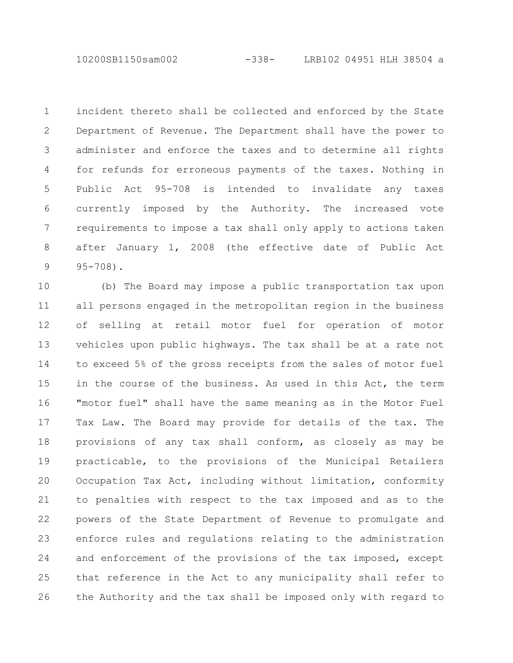10200SB1150sam002 -338- LRB102 04951 HLH 38504 a

incident thereto shall be collected and enforced by the State Department of Revenue. The Department shall have the power to administer and enforce the taxes and to determine all rights for refunds for erroneous payments of the taxes. Nothing in Public Act 95-708 is intended to invalidate any taxes currently imposed by the Authority. The increased vote requirements to impose a tax shall only apply to actions taken after January 1, 2008 (the effective date of Public Act 95-708). 1 2 3 4 5 6 7 8 9

(b) The Board may impose a public transportation tax upon all persons engaged in the metropolitan region in the business of selling at retail motor fuel for operation of motor vehicles upon public highways. The tax shall be at a rate not to exceed 5% of the gross receipts from the sales of motor fuel in the course of the business. As used in this Act, the term "motor fuel" shall have the same meaning as in the Motor Fuel Tax Law. The Board may provide for details of the tax. The provisions of any tax shall conform, as closely as may be practicable, to the provisions of the Municipal Retailers Occupation Tax Act, including without limitation, conformity to penalties with respect to the tax imposed and as to the powers of the State Department of Revenue to promulgate and enforce rules and regulations relating to the administration and enforcement of the provisions of the tax imposed, except that reference in the Act to any municipality shall refer to the Authority and the tax shall be imposed only with regard to 10 11 12 13 14 15 16 17 18 19 20 21 22 23 24 25 26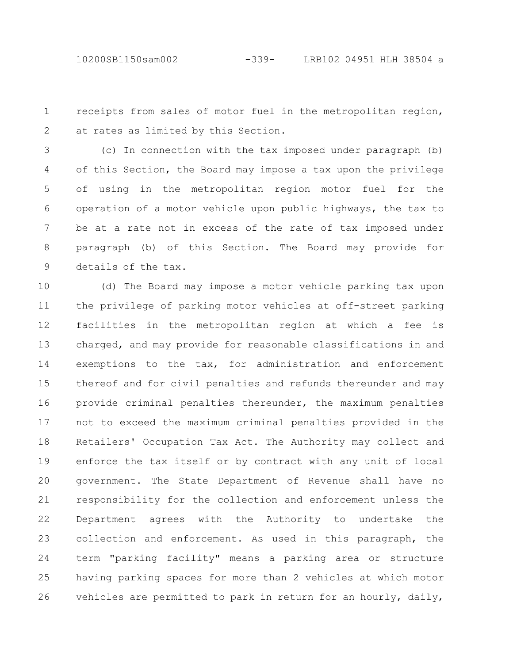receipts from sales of motor fuel in the metropolitan region, at rates as limited by this Section. 1 2

(c) In connection with the tax imposed under paragraph (b) of this Section, the Board may impose a tax upon the privilege of using in the metropolitan region motor fuel for the operation of a motor vehicle upon public highways, the tax to be at a rate not in excess of the rate of tax imposed under paragraph (b) of this Section. The Board may provide for details of the tax. 3 4 5 6 7 8 9

(d) The Board may impose a motor vehicle parking tax upon the privilege of parking motor vehicles at off-street parking facilities in the metropolitan region at which a fee is charged, and may provide for reasonable classifications in and exemptions to the tax, for administration and enforcement thereof and for civil penalties and refunds thereunder and may provide criminal penalties thereunder, the maximum penalties not to exceed the maximum criminal penalties provided in the Retailers' Occupation Tax Act. The Authority may collect and enforce the tax itself or by contract with any unit of local government. The State Department of Revenue shall have no responsibility for the collection and enforcement unless the Department agrees with the Authority to undertake the collection and enforcement. As used in this paragraph, the term "parking facility" means a parking area or structure having parking spaces for more than 2 vehicles at which motor vehicles are permitted to park in return for an hourly, daily, 10 11 12 13 14 15 16 17 18 19 20 21 22 23 24 25 26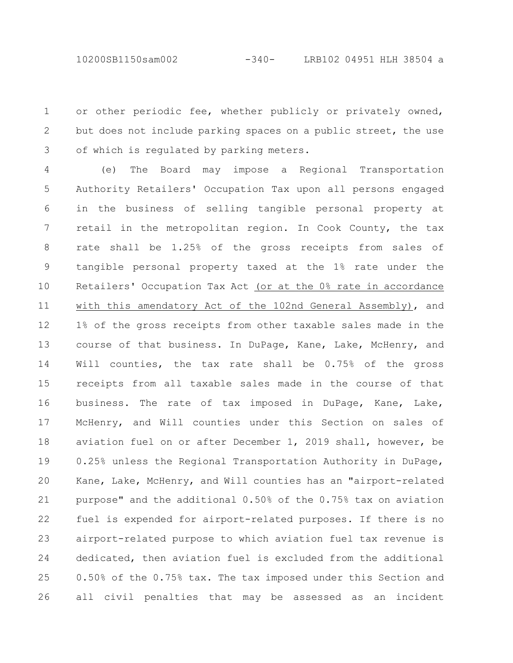or other periodic fee, whether publicly or privately owned, but does not include parking spaces on a public street, the use of which is regulated by parking meters. 1 2 3

(e) The Board may impose a Regional Transportation Authority Retailers' Occupation Tax upon all persons engaged in the business of selling tangible personal property at retail in the metropolitan region. In Cook County, the tax rate shall be 1.25% of the gross receipts from sales of tangible personal property taxed at the 1% rate under the Retailers' Occupation Tax Act (or at the 0% rate in accordance with this amendatory Act of the 102nd General Assembly), and 1% of the gross receipts from other taxable sales made in the course of that business. In DuPage, Kane, Lake, McHenry, and Will counties, the tax rate shall be 0.75% of the gross receipts from all taxable sales made in the course of that business. The rate of tax imposed in DuPage, Kane, Lake, McHenry, and Will counties under this Section on sales of aviation fuel on or after December 1, 2019 shall, however, be 0.25% unless the Regional Transportation Authority in DuPage, Kane, Lake, McHenry, and Will counties has an "airport-related purpose" and the additional 0.50% of the 0.75% tax on aviation fuel is expended for airport-related purposes. If there is no airport-related purpose to which aviation fuel tax revenue is dedicated, then aviation fuel is excluded from the additional 0.50% of the 0.75% tax. The tax imposed under this Section and all civil penalties that may be assessed as an incident 4 5 6 7 8 9 10 11 12 13 14 15 16 17 18 19 20 21 22 23 24 25 26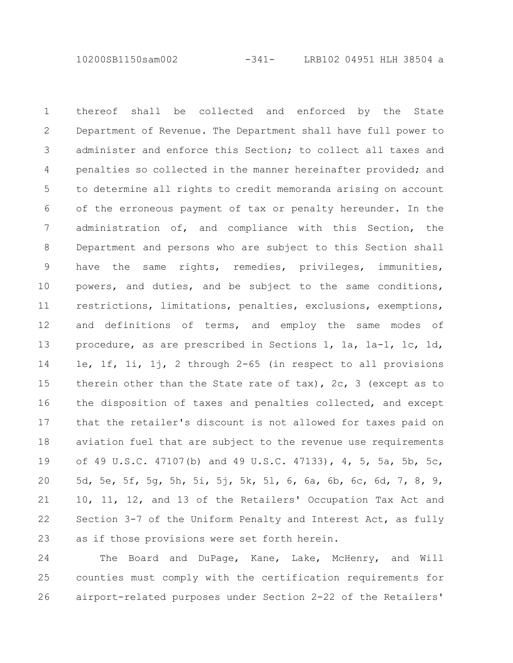10200SB1150sam002 -341- LRB102 04951 HLH 38504 a

thereof shall be collected and enforced by the State Department of Revenue. The Department shall have full power to administer and enforce this Section; to collect all taxes and penalties so collected in the manner hereinafter provided; and to determine all rights to credit memoranda arising on account of the erroneous payment of tax or penalty hereunder. In the administration of, and compliance with this Section, the Department and persons who are subject to this Section shall have the same rights, remedies, privileges, immunities, powers, and duties, and be subject to the same conditions, restrictions, limitations, penalties, exclusions, exemptions, and definitions of terms, and employ the same modes of procedure, as are prescribed in Sections 1, 1a, 1a-1, 1c, 1d, 1e, 1f, 1i, 1j, 2 through 2-65 (in respect to all provisions therein other than the State rate of tax), 2c, 3 (except as to the disposition of taxes and penalties collected, and except that the retailer's discount is not allowed for taxes paid on aviation fuel that are subject to the revenue use requirements of 49 U.S.C. 47107(b) and 49 U.S.C. 47133), 4, 5, 5a, 5b, 5c, 5d, 5e, 5f, 5g, 5h, 5i, 5j, 5k, 5l, 6, 6a, 6b, 6c, 6d, 7, 8, 9, 10, 11, 12, and 13 of the Retailers' Occupation Tax Act and Section 3-7 of the Uniform Penalty and Interest Act, as fully as if those provisions were set forth herein. 1 2 3 4 5 6 7 8 9 10 11 12 13 14 15 16 17 18 19 20 21 22 23

The Board and DuPage, Kane, Lake, McHenry, and Will counties must comply with the certification requirements for airport-related purposes under Section 2-22 of the Retailers' 24 25 26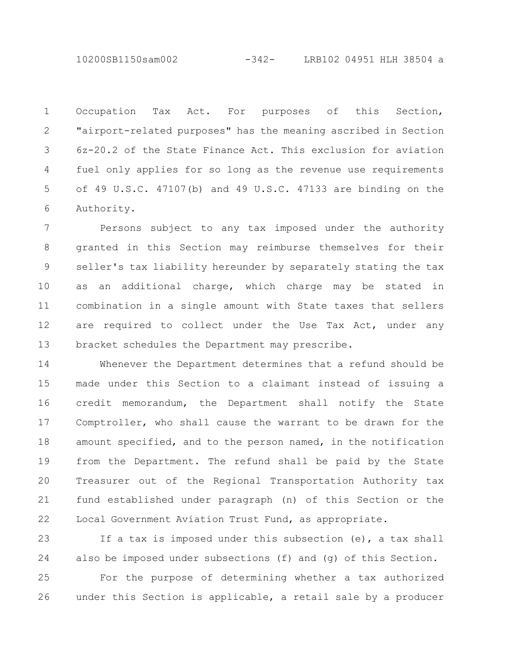10200SB1150sam002 -342- LRB102 04951 HLH 38504 a

Occupation Tax Act. For purposes of this Section, "airport-related purposes" has the meaning ascribed in Section 6z-20.2 of the State Finance Act. This exclusion for aviation fuel only applies for so long as the revenue use requirements of 49 U.S.C. 47107(b) and 49 U.S.C. 47133 are binding on the Authority. 1 2 3 4 5 6

Persons subject to any tax imposed under the authority granted in this Section may reimburse themselves for their seller's tax liability hereunder by separately stating the tax as an additional charge, which charge may be stated in combination in a single amount with State taxes that sellers are required to collect under the Use Tax Act, under any bracket schedules the Department may prescribe. 7 8 9 10 11 12 13

Whenever the Department determines that a refund should be made under this Section to a claimant instead of issuing a credit memorandum, the Department shall notify the State Comptroller, who shall cause the warrant to be drawn for the amount specified, and to the person named, in the notification from the Department. The refund shall be paid by the State Treasurer out of the Regional Transportation Authority tax fund established under paragraph (n) of this Section or the Local Government Aviation Trust Fund, as appropriate. 14 15 16 17 18 19 20 21 22

If a tax is imposed under this subsection (e), a tax shall also be imposed under subsections (f) and (g) of this Section. 23 24

For the purpose of determining whether a tax authorized under this Section is applicable, a retail sale by a producer 25 26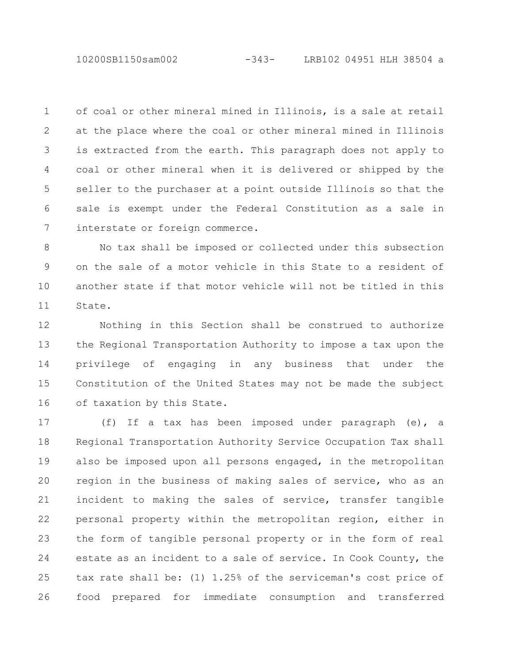10200SB1150sam002 -343- LRB102 04951 HLH 38504 a

of coal or other mineral mined in Illinois, is a sale at retail at the place where the coal or other mineral mined in Illinois is extracted from the earth. This paragraph does not apply to coal or other mineral when it is delivered or shipped by the seller to the purchaser at a point outside Illinois so that the sale is exempt under the Federal Constitution as a sale in interstate or foreign commerce. 1 2 3 4 5 6 7

No tax shall be imposed or collected under this subsection on the sale of a motor vehicle in this State to a resident of another state if that motor vehicle will not be titled in this State. 8 9 10 11

Nothing in this Section shall be construed to authorize the Regional Transportation Authority to impose a tax upon the privilege of engaging in any business that under the Constitution of the United States may not be made the subject of taxation by this State. 12 13 14 15 16

(f) If a tax has been imposed under paragraph (e), a Regional Transportation Authority Service Occupation Tax shall also be imposed upon all persons engaged, in the metropolitan region in the business of making sales of service, who as an incident to making the sales of service, transfer tangible personal property within the metropolitan region, either in the form of tangible personal property or in the form of real estate as an incident to a sale of service. In Cook County, the tax rate shall be: (1) 1.25% of the serviceman's cost price of food prepared for immediate consumption and transferred 17 18 19 20 21 22 23 24 25 26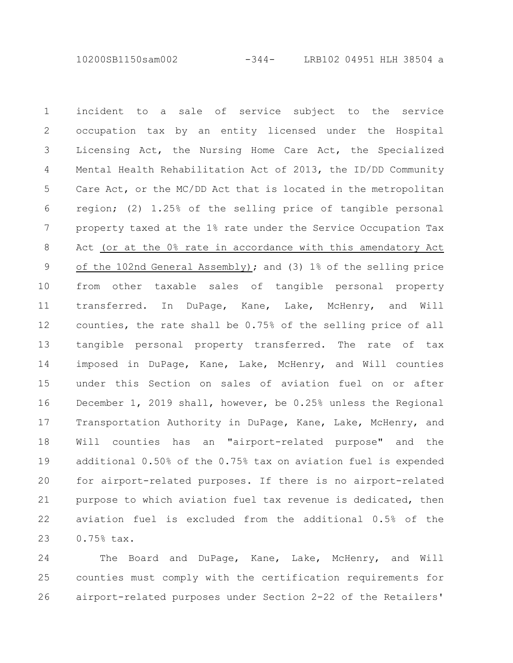10200SB1150sam002 -344- LRB102 04951 HLH 38504 a

incident to a sale of service subject to the service occupation tax by an entity licensed under the Hospital Licensing Act, the Nursing Home Care Act, the Specialized Mental Health Rehabilitation Act of 2013, the ID/DD Community Care Act, or the MC/DD Act that is located in the metropolitan region; (2) 1.25% of the selling price of tangible personal property taxed at the 1% rate under the Service Occupation Tax Act (or at the 0% rate in accordance with this amendatory Act of the 102nd General Assembly); and (3) 1% of the selling price from other taxable sales of tangible personal property transferred. In DuPage, Kane, Lake, McHenry, and Will counties, the rate shall be 0.75% of the selling price of all tangible personal property transferred. The rate of tax imposed in DuPage, Kane, Lake, McHenry, and Will counties under this Section on sales of aviation fuel on or after December 1, 2019 shall, however, be 0.25% unless the Regional Transportation Authority in DuPage, Kane, Lake, McHenry, and Will counties has an "airport-related purpose" and the additional 0.50% of the 0.75% tax on aviation fuel is expended for airport-related purposes. If there is no airport-related purpose to which aviation fuel tax revenue is dedicated, then aviation fuel is excluded from the additional 0.5% of the 0.75% tax. 1 2 3 4 5 6 7 8 9 10 11 12 13 14 15 16 17 18 19 20 21 22 23

The Board and DuPage, Kane, Lake, McHenry, and Will counties must comply with the certification requirements for airport-related purposes under Section 2-22 of the Retailers' 24 25 26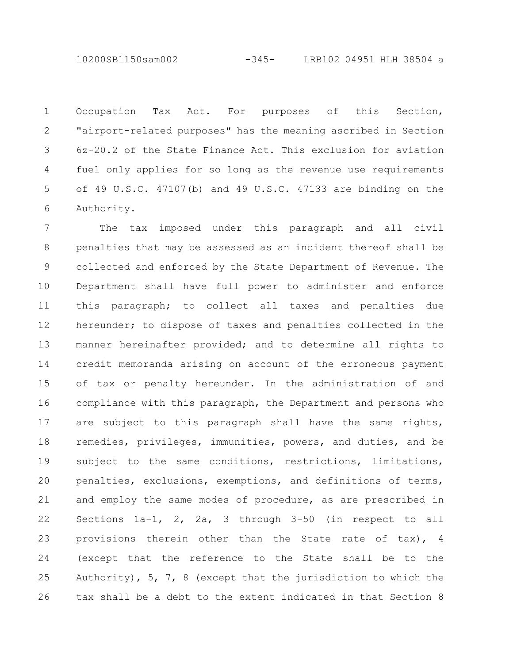10200SB1150sam002 -345- LRB102 04951 HLH 38504 a

Occupation Tax Act. For purposes of this Section, "airport-related purposes" has the meaning ascribed in Section 6z-20.2 of the State Finance Act. This exclusion for aviation fuel only applies for so long as the revenue use requirements of 49 U.S.C. 47107(b) and 49 U.S.C. 47133 are binding on the Authority. 1 2 3 4 5 6

The tax imposed under this paragraph and all civil penalties that may be assessed as an incident thereof shall be collected and enforced by the State Department of Revenue. The Department shall have full power to administer and enforce this paragraph; to collect all taxes and penalties due hereunder; to dispose of taxes and penalties collected in the manner hereinafter provided; and to determine all rights to credit memoranda arising on account of the erroneous payment of tax or penalty hereunder. In the administration of and compliance with this paragraph, the Department and persons who are subject to this paragraph shall have the same rights, remedies, privileges, immunities, powers, and duties, and be subject to the same conditions, restrictions, limitations, penalties, exclusions, exemptions, and definitions of terms, and employ the same modes of procedure, as are prescribed in Sections 1a-1, 2, 2a, 3 through 3-50 (in respect to all provisions therein other than the State rate of tax), 4 (except that the reference to the State shall be to the Authority), 5, 7, 8 (except that the jurisdiction to which the tax shall be a debt to the extent indicated in that Section 8 7 8 9 10 11 12 13 14 15 16 17 18 19 20 21 22 23 24 25 26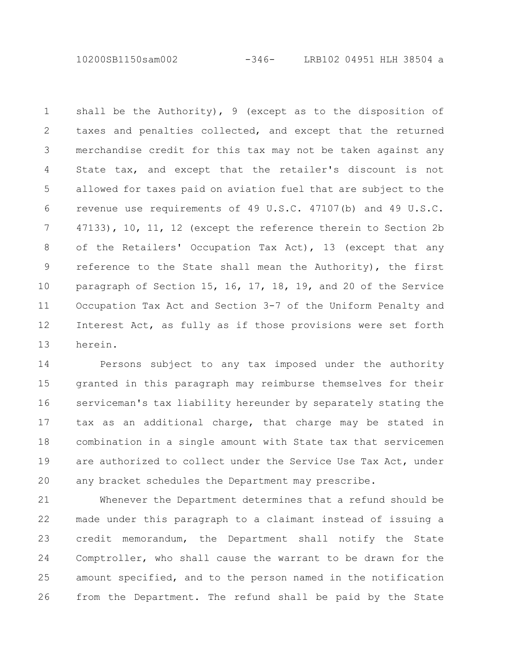10200SB1150sam002 -346- LRB102 04951 HLH 38504 a

shall be the Authority), 9 (except as to the disposition of taxes and penalties collected, and except that the returned merchandise credit for this tax may not be taken against any State tax, and except that the retailer's discount is not allowed for taxes paid on aviation fuel that are subject to the revenue use requirements of 49 U.S.C. 47107(b) and 49 U.S.C. 47133), 10, 11, 12 (except the reference therein to Section 2b of the Retailers' Occupation Tax Act), 13 (except that any reference to the State shall mean the Authority), the first paragraph of Section 15, 16, 17, 18, 19, and 20 of the Service Occupation Tax Act and Section 3-7 of the Uniform Penalty and Interest Act, as fully as if those provisions were set forth herein. 1 2 3 4 5 6 7 8 9 10 11 12 13

Persons subject to any tax imposed under the authority granted in this paragraph may reimburse themselves for their serviceman's tax liability hereunder by separately stating the tax as an additional charge, that charge may be stated in combination in a single amount with State tax that servicemen are authorized to collect under the Service Use Tax Act, under any bracket schedules the Department may prescribe. 14 15 16 17 18 19 20

Whenever the Department determines that a refund should be made under this paragraph to a claimant instead of issuing a credit memorandum, the Department shall notify the State Comptroller, who shall cause the warrant to be drawn for the amount specified, and to the person named in the notification from the Department. The refund shall be paid by the State 21 22 23 24 25 26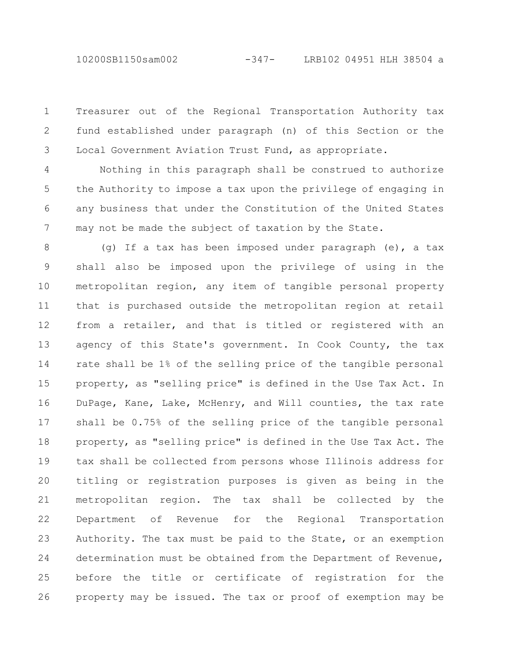10200SB1150sam002 -347- LRB102 04951 HLH 38504 a

Treasurer out of the Regional Transportation Authority tax fund established under paragraph (n) of this Section or the Local Government Aviation Trust Fund, as appropriate. 1 2 3

Nothing in this paragraph shall be construed to authorize the Authority to impose a tax upon the privilege of engaging in any business that under the Constitution of the United States may not be made the subject of taxation by the State. 4 5 6 7

(g) If a tax has been imposed under paragraph (e), a tax shall also be imposed upon the privilege of using in the metropolitan region, any item of tangible personal property that is purchased outside the metropolitan region at retail from a retailer, and that is titled or registered with an agency of this State's government. In Cook County, the tax rate shall be 1% of the selling price of the tangible personal property, as "selling price" is defined in the Use Tax Act. In DuPage, Kane, Lake, McHenry, and Will counties, the tax rate shall be 0.75% of the selling price of the tangible personal property, as "selling price" is defined in the Use Tax Act. The tax shall be collected from persons whose Illinois address for titling or registration purposes is given as being in the metropolitan region. The tax shall be collected by the Department of Revenue for the Regional Transportation Authority. The tax must be paid to the State, or an exemption determination must be obtained from the Department of Revenue, before the title or certificate of registration for the property may be issued. The tax or proof of exemption may be 8 9 10 11 12 13 14 15 16 17 18 19 20 21 22 23 24 25 26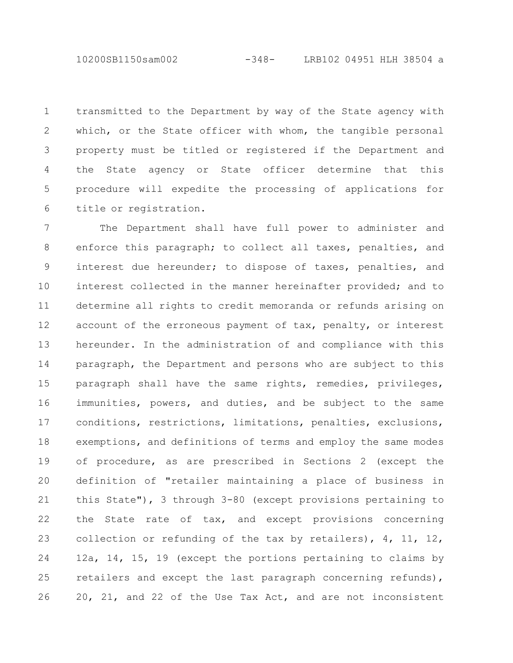10200SB1150sam002 -348- LRB102 04951 HLH 38504 a

transmitted to the Department by way of the State agency with which, or the State officer with whom, the tangible personal property must be titled or registered if the Department and the State agency or State officer determine that this procedure will expedite the processing of applications for title or registration. 1 2 3 4 5 6

The Department shall have full power to administer and enforce this paragraph; to collect all taxes, penalties, and interest due hereunder; to dispose of taxes, penalties, and interest collected in the manner hereinafter provided; and to determine all rights to credit memoranda or refunds arising on account of the erroneous payment of tax, penalty, or interest hereunder. In the administration of and compliance with this paragraph, the Department and persons who are subject to this paragraph shall have the same rights, remedies, privileges, immunities, powers, and duties, and be subject to the same conditions, restrictions, limitations, penalties, exclusions, exemptions, and definitions of terms and employ the same modes of procedure, as are prescribed in Sections 2 (except the definition of "retailer maintaining a place of business in this State"), 3 through 3-80 (except provisions pertaining to the State rate of tax, and except provisions concerning collection or refunding of the tax by retailers), 4, 11, 12, 12a, 14, 15, 19 (except the portions pertaining to claims by retailers and except the last paragraph concerning refunds), 20, 21, and 22 of the Use Tax Act, and are not inconsistent 7 8 9 10 11 12 13 14 15 16 17 18 19 20 21 22 23 24 25 26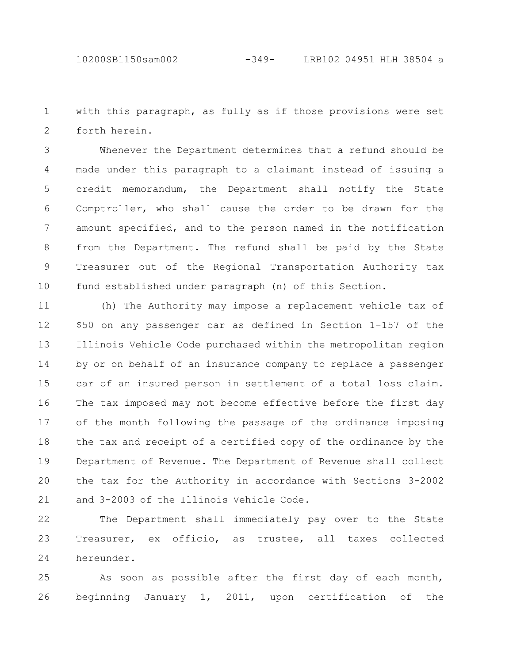with this paragraph, as fully as if those provisions were set forth herein. 1 2

Whenever the Department determines that a refund should be made under this paragraph to a claimant instead of issuing a credit memorandum, the Department shall notify the State Comptroller, who shall cause the order to be drawn for the amount specified, and to the person named in the notification from the Department. The refund shall be paid by the State Treasurer out of the Regional Transportation Authority tax fund established under paragraph (n) of this Section. 3 4 5 6 7 8 9 10

(h) The Authority may impose a replacement vehicle tax of \$50 on any passenger car as defined in Section 1-157 of the Illinois Vehicle Code purchased within the metropolitan region by or on behalf of an insurance company to replace a passenger car of an insured person in settlement of a total loss claim. The tax imposed may not become effective before the first day of the month following the passage of the ordinance imposing the tax and receipt of a certified copy of the ordinance by the Department of Revenue. The Department of Revenue shall collect the tax for the Authority in accordance with Sections 3-2002 and 3-2003 of the Illinois Vehicle Code. 11 12 13 14 15 16 17 18 19 20 21

The Department shall immediately pay over to the State Treasurer, ex officio, as trustee, all taxes collected hereunder. 22 23 24

As soon as possible after the first day of each month, beginning January 1, 2011, upon certification of the 25 26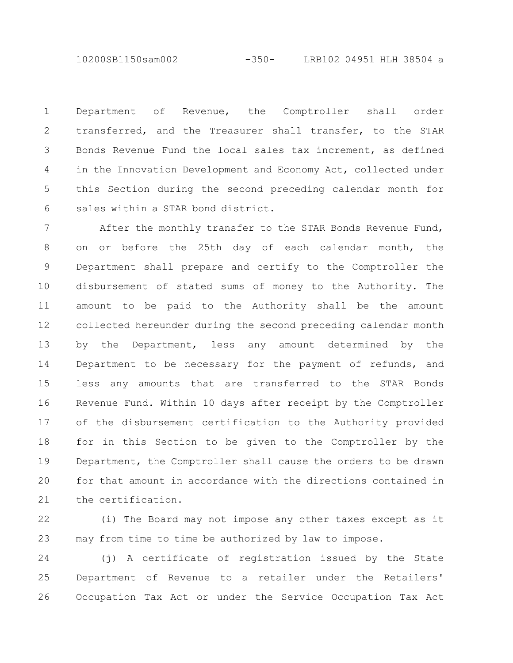10200SB1150sam002 -350- LRB102 04951 HLH 38504 a

Department of Revenue, the Comptroller shall order transferred, and the Treasurer shall transfer, to the STAR Bonds Revenue Fund the local sales tax increment, as defined in the Innovation Development and Economy Act, collected under this Section during the second preceding calendar month for sales within a STAR bond district. 1 2 3 4 5 6

After the monthly transfer to the STAR Bonds Revenue Fund, on or before the 25th day of each calendar month, the Department shall prepare and certify to the Comptroller the disbursement of stated sums of money to the Authority. The amount to be paid to the Authority shall be the amount collected hereunder during the second preceding calendar month by the Department, less any amount determined by the Department to be necessary for the payment of refunds, and less any amounts that are transferred to the STAR Bonds Revenue Fund. Within 10 days after receipt by the Comptroller of the disbursement certification to the Authority provided for in this Section to be given to the Comptroller by the Department, the Comptroller shall cause the orders to be drawn for that amount in accordance with the directions contained in the certification. 7 8 9 10 11 12 13 14 15 16 17 18 19 20 21

(i) The Board may not impose any other taxes except as it may from time to time be authorized by law to impose. 22 23

(j) A certificate of registration issued by the State Department of Revenue to a retailer under the Retailers' Occupation Tax Act or under the Service Occupation Tax Act 24 25 26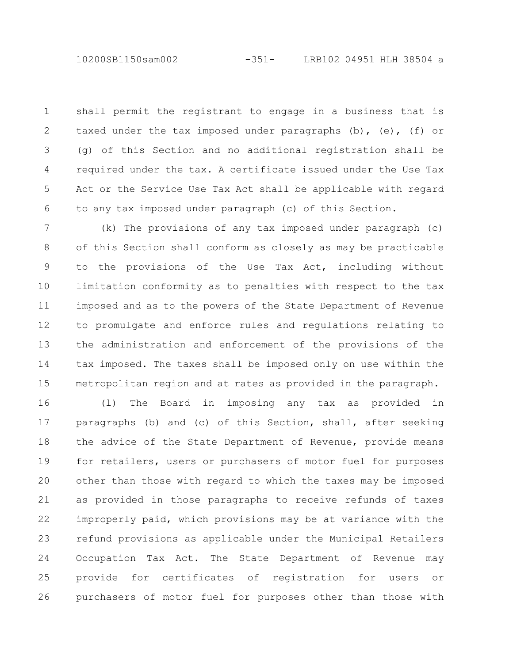10200SB1150sam002 -351- LRB102 04951 HLH 38504 a

shall permit the registrant to engage in a business that is taxed under the tax imposed under paragraphs (b), (e), (f) or (g) of this Section and no additional registration shall be required under the tax. A certificate issued under the Use Tax Act or the Service Use Tax Act shall be applicable with regard to any tax imposed under paragraph (c) of this Section. 1 2 3 4 5 6

(k) The provisions of any tax imposed under paragraph (c) of this Section shall conform as closely as may be practicable to the provisions of the Use Tax Act, including without limitation conformity as to penalties with respect to the tax imposed and as to the powers of the State Department of Revenue to promulgate and enforce rules and regulations relating to the administration and enforcement of the provisions of the tax imposed. The taxes shall be imposed only on use within the metropolitan region and at rates as provided in the paragraph. 7 8 9 10 11 12 13 14 15

(l) The Board in imposing any tax as provided in paragraphs (b) and (c) of this Section, shall, after seeking the advice of the State Department of Revenue, provide means for retailers, users or purchasers of motor fuel for purposes other than those with regard to which the taxes may be imposed as provided in those paragraphs to receive refunds of taxes improperly paid, which provisions may be at variance with the refund provisions as applicable under the Municipal Retailers Occupation Tax Act. The State Department of Revenue may provide for certificates of registration for users or purchasers of motor fuel for purposes other than those with 16 17 18 19 20 21 22 23 24 25 26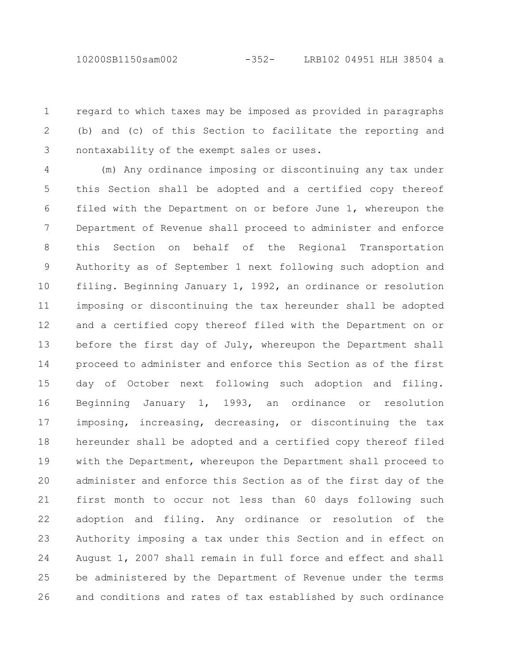regard to which taxes may be imposed as provided in paragraphs (b) and (c) of this Section to facilitate the reporting and nontaxability of the exempt sales or uses. 1 2 3

(m) Any ordinance imposing or discontinuing any tax under this Section shall be adopted and a certified copy thereof filed with the Department on or before June 1, whereupon the Department of Revenue shall proceed to administer and enforce this Section on behalf of the Regional Transportation Authority as of September 1 next following such adoption and filing. Beginning January 1, 1992, an ordinance or resolution imposing or discontinuing the tax hereunder shall be adopted and a certified copy thereof filed with the Department on or before the first day of July, whereupon the Department shall proceed to administer and enforce this Section as of the first day of October next following such adoption and filing. Beginning January 1, 1993, an ordinance or resolution imposing, increasing, decreasing, or discontinuing the tax hereunder shall be adopted and a certified copy thereof filed with the Department, whereupon the Department shall proceed to administer and enforce this Section as of the first day of the first month to occur not less than 60 days following such adoption and filing. Any ordinance or resolution of the Authority imposing a tax under this Section and in effect on August 1, 2007 shall remain in full force and effect and shall be administered by the Department of Revenue under the terms and conditions and rates of tax established by such ordinance 4 5 6 7 8 9 10 11 12 13 14 15 16 17 18 19 20 21 22 23 24 25 26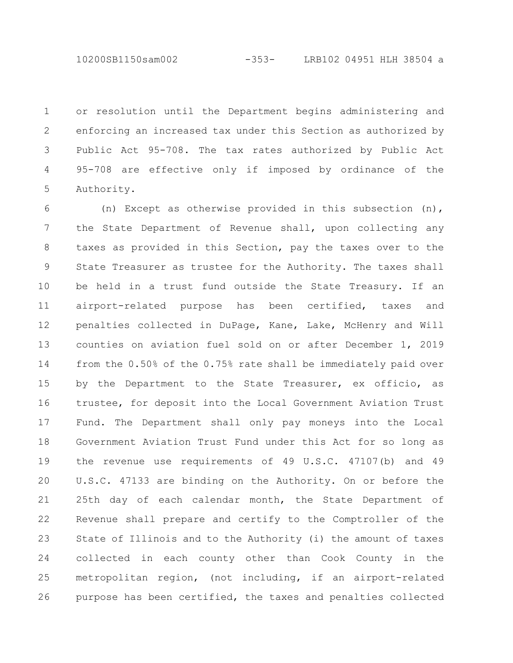or resolution until the Department begins administering and enforcing an increased tax under this Section as authorized by Public Act 95-708. The tax rates authorized by Public Act 95-708 are effective only if imposed by ordinance of the Authority. 1 2 3 4 5

(n) Except as otherwise provided in this subsection (n), the State Department of Revenue shall, upon collecting any taxes as provided in this Section, pay the taxes over to the State Treasurer as trustee for the Authority. The taxes shall be held in a trust fund outside the State Treasury. If an airport-related purpose has been certified, taxes and penalties collected in DuPage, Kane, Lake, McHenry and Will counties on aviation fuel sold on or after December 1, 2019 from the 0.50% of the 0.75% rate shall be immediately paid over by the Department to the State Treasurer, ex officio, as trustee, for deposit into the Local Government Aviation Trust Fund. The Department shall only pay moneys into the Local Government Aviation Trust Fund under this Act for so long as the revenue use requirements of 49 U.S.C. 47107(b) and 49 U.S.C. 47133 are binding on the Authority. On or before the 25th day of each calendar month, the State Department of Revenue shall prepare and certify to the Comptroller of the State of Illinois and to the Authority (i) the amount of taxes collected in each county other than Cook County in the metropolitan region, (not including, if an airport-related purpose has been certified, the taxes and penalties collected 6 7 8 9 10 11 12 13 14 15 16 17 18 19 20 21 22 23 24 25 26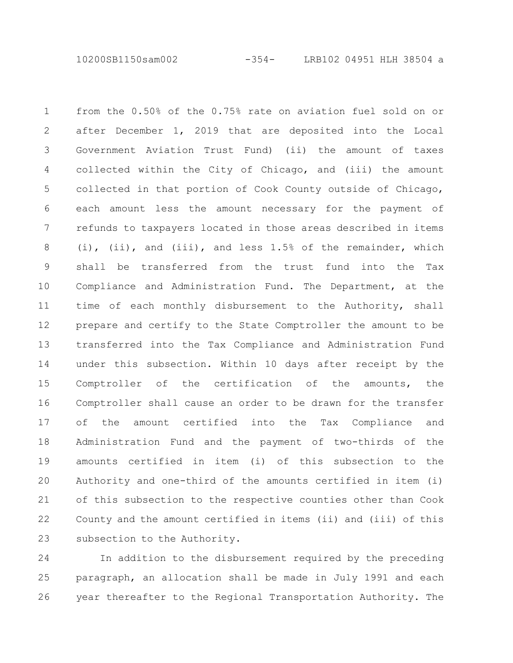10200SB1150sam002 -354- LRB102 04951 HLH 38504 a

from the 0.50% of the 0.75% rate on aviation fuel sold on or after December 1, 2019 that are deposited into the Local Government Aviation Trust Fund) (ii) the amount of taxes collected within the City of Chicago, and (iii) the amount collected in that portion of Cook County outside of Chicago, each amount less the amount necessary for the payment of refunds to taxpayers located in those areas described in items (i), (ii), and (iii), and less 1.5% of the remainder, which shall be transferred from the trust fund into the Tax Compliance and Administration Fund. The Department, at the time of each monthly disbursement to the Authority, shall prepare and certify to the State Comptroller the amount to be transferred into the Tax Compliance and Administration Fund under this subsection. Within 10 days after receipt by the Comptroller of the certification of the amounts, the Comptroller shall cause an order to be drawn for the transfer of the amount certified into the Tax Compliance and Administration Fund and the payment of two-thirds of the amounts certified in item (i) of this subsection to the Authority and one-third of the amounts certified in item (i) of this subsection to the respective counties other than Cook County and the amount certified in items (ii) and (iii) of this subsection to the Authority. 1 2 3 4 5 6 7 8 9 10 11 12 13 14 15 16 17 18 19 20 21 22 23

In addition to the disbursement required by the preceding paragraph, an allocation shall be made in July 1991 and each year thereafter to the Regional Transportation Authority. The 24 25 26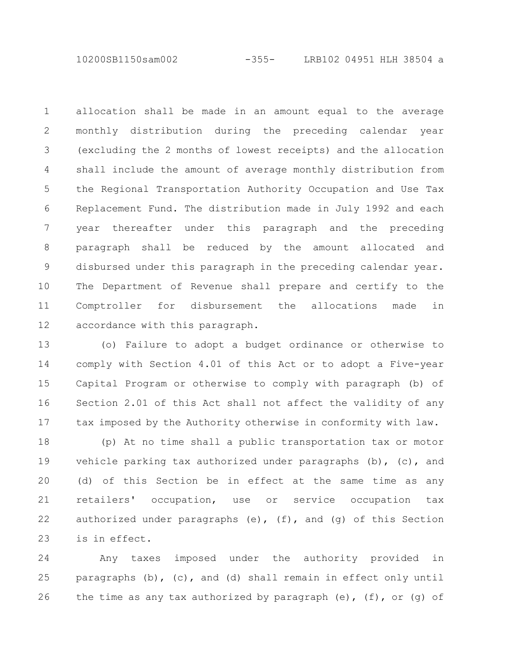10200SB1150sam002 -355- LRB102 04951 HLH 38504 a

allocation shall be made in an amount equal to the average monthly distribution during the preceding calendar year (excluding the 2 months of lowest receipts) and the allocation shall include the amount of average monthly distribution from the Regional Transportation Authority Occupation and Use Tax Replacement Fund. The distribution made in July 1992 and each year thereafter under this paragraph and the preceding paragraph shall be reduced by the amount allocated and disbursed under this paragraph in the preceding calendar year. The Department of Revenue shall prepare and certify to the Comptroller for disbursement the allocations made in accordance with this paragraph. 1 2 3 4 5 6 7 8 9 10 11 12

(o) Failure to adopt a budget ordinance or otherwise to comply with Section 4.01 of this Act or to adopt a Five-year Capital Program or otherwise to comply with paragraph (b) of Section 2.01 of this Act shall not affect the validity of any tax imposed by the Authority otherwise in conformity with law. 13 14 15 16 17

(p) At no time shall a public transportation tax or motor vehicle parking tax authorized under paragraphs  $(b)$ ,  $(c)$ , and (d) of this Section be in effect at the same time as any retailers' occupation, use or service occupation tax authorized under paragraphs  $(e)$ ,  $(f)$ , and  $(g)$  of this Section is in effect. 18 19 20 21 22 23

Any taxes imposed under the authority provided in paragraphs (b), (c), and (d) shall remain in effect only until the time as any tax authorized by paragraph (e),  $(f)$ , or  $(g)$  of 24 25 26